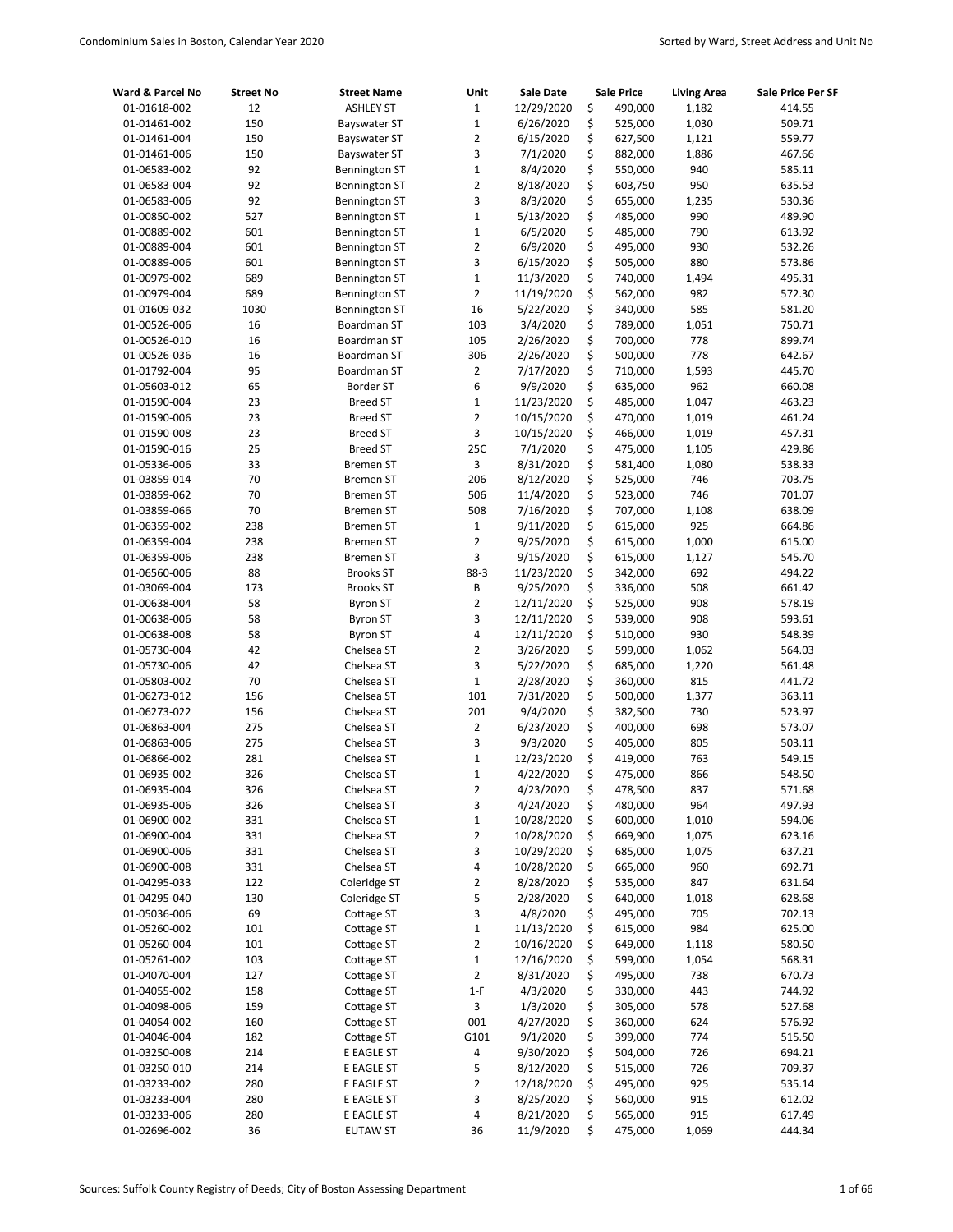| Ward & Parcel No | <b>Street No</b> | <b>Street Name</b>   | Unit           | Sale Date  | <b>Sale Price</b> | <b>Living Area</b> | Sale Price Per SF |
|------------------|------------------|----------------------|----------------|------------|-------------------|--------------------|-------------------|
| 01-01618-002     | 12               | <b>ASHLEY ST</b>     | $1\,$          | 12/29/2020 | \$<br>490,000     | 1,182              | 414.55            |
| 01-01461-002     | 150              | <b>Bayswater ST</b>  | $\mathbf 1$    | 6/26/2020  | \$<br>525,000     | 1,030              | 509.71            |
| 01-01461-004     | 150              | Bayswater ST         | $\overline{2}$ | 6/15/2020  | \$<br>627,500     | 1,121              | 559.77            |
| 01-01461-006     | 150              | Bayswater ST         | 3              | 7/1/2020   | \$<br>882,000     | 1,886              | 467.66            |
| 01-06583-002     | 92               | <b>Bennington ST</b> | $\mathbf 1$    | 8/4/2020   | \$<br>550,000     | 940                | 585.11            |
| 01-06583-004     | 92               | <b>Bennington ST</b> | $\overline{2}$ | 8/18/2020  | \$<br>603,750     | 950                | 635.53            |
| 01-06583-006     | 92               | <b>Bennington ST</b> | 3              | 8/3/2020   | \$<br>655,000     | 1,235              | 530.36            |
| 01-00850-002     | 527              | <b>Bennington ST</b> | $\mathbf{1}$   | 5/13/2020  | \$<br>485,000     | 990                | 489.90            |
| 01-00889-002     | 601              | <b>Bennington ST</b> | $\mathbf 1$    | 6/5/2020   | \$<br>485,000     | 790                | 613.92            |
| 01-00889-004     | 601              | <b>Bennington ST</b> | $\overline{2}$ | 6/9/2020   | \$<br>495,000     | 930                | 532.26            |
| 01-00889-006     | 601              | <b>Bennington ST</b> | 3              | 6/15/2020  | \$<br>505,000     | 880                | 573.86            |
| 01-00979-002     | 689              | <b>Bennington ST</b> | $\mathbf 1$    | 11/3/2020  | \$<br>740,000     | 1,494              | 495.31            |
| 01-00979-004     | 689              | <b>Bennington ST</b> | $\overline{2}$ | 11/19/2020 | \$<br>562,000     | 982                | 572.30            |
| 01-01609-032     | 1030             | <b>Bennington ST</b> | 16             | 5/22/2020  | \$<br>340,000     | 585                | 581.20            |
| 01-00526-006     | 16               | Boardman ST          | 103            | 3/4/2020   | \$<br>789,000     | 1,051              | 750.71            |
| 01-00526-010     | 16               | Boardman ST          | 105            | 2/26/2020  | \$<br>700,000     | 778                | 899.74            |
| 01-00526-036     | 16               | Boardman ST          | 306            | 2/26/2020  | \$<br>500,000     | 778                | 642.67            |
| 01-01792-004     | 95               | Boardman ST          | $\overline{2}$ | 7/17/2020  | \$<br>710,000     | 1,593              | 445.70            |
| 01-05603-012     | 65               | <b>Border ST</b>     | 6              | 9/9/2020   | \$<br>635,000     | 962                | 660.08            |
| 01-01590-004     | 23               | <b>Breed ST</b>      | $\mathbf 1$    | 11/23/2020 | \$<br>485,000     | 1,047              | 463.23            |
| 01-01590-006     | 23               | <b>Breed ST</b>      | $\overline{2}$ | 10/15/2020 | \$<br>470,000     | 1,019              | 461.24            |
| 01-01590-008     | 23               | <b>Breed ST</b>      | 3              | 10/15/2020 | \$<br>466,000     | 1,019              | 457.31            |
| 01-01590-016     | 25               | <b>Breed ST</b>      | 25C            | 7/1/2020   | \$<br>475,000     | 1,105              | 429.86            |
| 01-05336-006     | 33               | <b>Bremen ST</b>     | 3              | 8/31/2020  | \$<br>581,400     | 1,080              | 538.33            |
| 01-03859-014     | 70               | <b>Bremen ST</b>     | 206            | 8/12/2020  | \$<br>525,000     | 746                | 703.75            |
| 01-03859-062     | 70               | <b>Bremen ST</b>     | 506            | 11/4/2020  | \$<br>523,000     | 746                | 701.07            |
| 01-03859-066     | 70               | <b>Bremen ST</b>     | 508            | 7/16/2020  | \$<br>707,000     | 1,108              | 638.09            |
| 01-06359-002     | 238              | <b>Bremen ST</b>     | $1\,$          | 9/11/2020  | \$<br>615,000     | 925                | 664.86            |
| 01-06359-004     | 238              | <b>Bremen ST</b>     | $\overline{2}$ | 9/25/2020  | \$<br>615,000     | 1,000              | 615.00            |
| 01-06359-006     | 238              | <b>Bremen ST</b>     | 3              | 9/15/2020  | \$<br>615,000     | 1,127              | 545.70            |
| 01-06560-006     | 88               | <b>Brooks ST</b>     | 88-3           | 11/23/2020 | \$<br>342,000     | 692                | 494.22            |
| 01-03069-004     | 173              | <b>Brooks ST</b>     | B              | 9/25/2020  | \$<br>336,000     | 508                | 661.42            |
| 01-00638-004     | 58               | <b>Byron ST</b>      | $\overline{2}$ | 12/11/2020 | \$<br>525,000     | 908                | 578.19            |
| 01-00638-006     | 58               | <b>Byron ST</b>      | 3              | 12/11/2020 | \$<br>539,000     | 908                | 593.61            |
| 01-00638-008     | 58               | <b>Byron ST</b>      | 4              | 12/11/2020 | \$<br>510,000     | 930                | 548.39            |
| 01-05730-004     | 42               | Chelsea ST           | $\overline{2}$ | 3/26/2020  | \$<br>599,000     | 1,062              | 564.03            |
| 01-05730-006     | 42               | Chelsea ST           | 3              | 5/22/2020  | \$<br>685,000     | 1,220              | 561.48            |
| 01-05803-002     | 70               | Chelsea ST           | $\mathbf{1}$   | 2/28/2020  | \$<br>360,000     | 815                | 441.72            |
| 01-06273-012     | 156              | Chelsea ST           | 101            | 7/31/2020  | \$<br>500,000     | 1,377              | 363.11            |
| 01-06273-022     | 156              | Chelsea ST           | 201            | 9/4/2020   | \$<br>382,500     | 730                | 523.97            |
| 01-06863-004     | 275              | Chelsea ST           | $\overline{2}$ | 6/23/2020  | \$<br>400,000     | 698                | 573.07            |
| 01-06863-006     | 275              | Chelsea ST           | 3              | 9/3/2020   | \$<br>405,000     | 805                | 503.11            |
| 01-06866-002     | 281              | Chelsea ST           | $\mathbf 1$    | 12/23/2020 | \$<br>419,000     | 763                | 549.15            |
| 01-06935-002     | 326              | Chelsea ST           | $\mathbf 1$    | 4/22/2020  | \$<br>475,000     | 866                | 548.50            |
| 01-06935-004     | 326              | Chelsea ST           | 2              | 4/23/2020  | \$<br>478,500     | 837                | 571.68            |
| 01-06935-006     | 326              | Chelsea ST           | 3              | 4/24/2020  | \$<br>480,000     | 964                | 497.93            |
| 01-06900-002     | 331              | Chelsea ST           | $\mathbf 1$    | 10/28/2020 | \$<br>600,000     | 1,010              | 594.06            |
| 01-06900-004     | 331              | Chelsea ST           | $\overline{2}$ | 10/28/2020 | \$<br>669,900     | 1,075              | 623.16            |
| 01-06900-006     | 331              | Chelsea ST           | 3              | 10/29/2020 | \$<br>685,000     | 1,075              | 637.21            |
| 01-06900-008     | 331              | Chelsea ST           | 4              | 10/28/2020 | \$<br>665,000     | 960                | 692.71            |
| 01-04295-033     | 122              | Coleridge ST         | $\overline{2}$ | 8/28/2020  | \$<br>535,000     | 847                | 631.64            |
| 01-04295-040     | 130              | Coleridge ST         | 5              | 2/28/2020  | \$<br>640,000     | 1,018              | 628.68            |
| 01-05036-006     | 69               | Cottage ST           | 3              | 4/8/2020   | \$<br>495,000     | 705                | 702.13            |
| 01-05260-002     | 101              | Cottage ST           | $\mathbf{1}$   | 11/13/2020 | \$<br>615,000     | 984                | 625.00            |
| 01-05260-004     | 101              | Cottage ST           | 2              | 10/16/2020 | \$<br>649,000     | 1,118              | 580.50            |
| 01-05261-002     | 103              | Cottage ST           | $\mathbf 1$    | 12/16/2020 | \$<br>599,000     | 1,054              | 568.31            |
| 01-04070-004     | 127              | Cottage ST           | 2              | 8/31/2020  | \$<br>495,000     | 738                | 670.73            |
| 01-04055-002     | 158              | Cottage ST           | $1-F$          | 4/3/2020   | \$<br>330,000     | 443                | 744.92            |
| 01-04098-006     | 159              | Cottage ST           | 3              | 1/3/2020   | \$<br>305,000     | 578                | 527.68            |
| 01-04054-002     | 160              | Cottage ST           | 001            | 4/27/2020  | \$<br>360,000     | 624                | 576.92            |
| 01-04046-004     | 182              | Cottage ST           | G101           | 9/1/2020   | \$<br>399,000     | 774                | 515.50            |
| 01-03250-008     | 214              | E EAGLE ST           | 4              | 9/30/2020  | \$<br>504,000     | 726                | 694.21            |
| 01-03250-010     | 214              | E EAGLE ST           | 5              | 8/12/2020  | \$<br>515,000     | 726                | 709.37            |
| 01-03233-002     | 280              | E EAGLE ST           | $\overline{2}$ | 12/18/2020 | \$<br>495,000     | 925                | 535.14            |
| 01-03233-004     | 280              | E EAGLE ST           | 3              | 8/25/2020  | \$<br>560,000     | 915                | 612.02            |
| 01-03233-006     | 280              | E EAGLE ST           | 4              | 8/21/2020  | \$<br>565,000     | 915                | 617.49            |
| 01-02696-002     | 36               | <b>EUTAW ST</b>      | 36             | 11/9/2020  | \$<br>475,000     | 1,069              | 444.34            |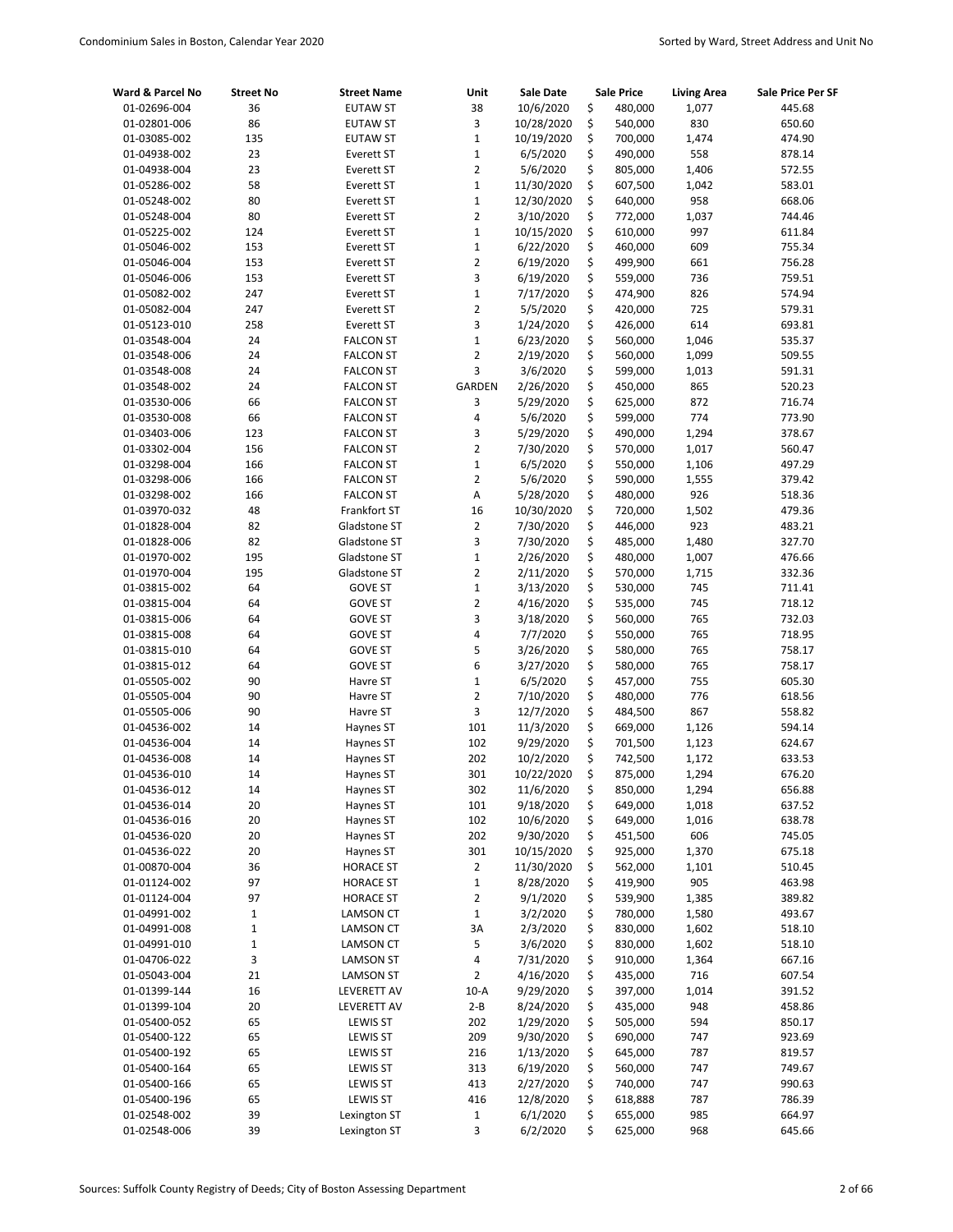| Ward & Parcel No             | <b>Street No</b> | <b>Street Name</b>     | Unit           | Sale Date              |          | Sale Price         | <b>Living Area</b> | Sale Price Per SF |
|------------------------------|------------------|------------------------|----------------|------------------------|----------|--------------------|--------------------|-------------------|
| 01-02696-004                 | 36               | <b>EUTAW ST</b>        | 38             | 10/6/2020              | \$       | 480,000            | 1,077              | 445.68            |
| 01-02801-006                 | 86               | <b>EUTAW ST</b>        | 3              | 10/28/2020             | \$       | 540,000            | 830                | 650.60            |
| 01-03085-002                 | 135              | <b>EUTAW ST</b>        | $\mathbf{1}$   | 10/19/2020             | \$       | 700,000            | 1,474              | 474.90            |
| 01-04938-002                 | 23               | Everett ST             | $\mathbf{1}$   | 6/5/2020               | \$       | 490,000            | 558                | 878.14            |
| 01-04938-004                 | 23               | Everett ST             | $\overline{2}$ | 5/6/2020               | \$       | 805,000            | 1,406              | 572.55            |
| 01-05286-002                 | 58               | Everett ST             | $\mathbf{1}$   | 11/30/2020             | \$       | 607,500            | 1,042              | 583.01            |
| 01-05248-002                 | 80               | Everett ST             | $\mathbf{1}$   | 12/30/2020             | \$       | 640,000            | 958                | 668.06            |
| 01-05248-004                 | 80               | Everett ST             | $\overline{2}$ | 3/10/2020              | \$       | 772,000            | 1,037              | 744.46            |
| 01-05225-002                 | 124              | Everett ST             | $\mathbf{1}$   | 10/15/2020             | \$       | 610,000            | 997                | 611.84            |
| 01-05046-002                 | 153              | Everett ST             | $\mathbf{1}$   | 6/22/2020              | \$       | 460,000            | 609                | 755.34            |
| 01-05046-004                 | 153              | Everett ST             | $\overline{2}$ | 6/19/2020              | \$       | 499,900            | 661                | 756.28            |
| 01-05046-006                 | 153              | Everett ST             | 3              | 6/19/2020              | \$       | 559,000            | 736                | 759.51            |
| 01-05082-002                 | 247              | Everett ST             | $\mathbf{1}$   | 7/17/2020              | \$       | 474,900            | 826                | 574.94            |
| 01-05082-004                 | 247              | Everett ST             | $\overline{2}$ | 5/5/2020               | \$       | 420,000            | 725                | 579.31            |
| 01-05123-010                 | 258              | Everett ST             | 3              | 1/24/2020              | \$       | 426,000            | 614                | 693.81            |
| 01-03548-004                 | 24               | <b>FALCON ST</b>       | $\mathbf{1}$   | 6/23/2020              | \$       | 560,000            | 1,046              | 535.37            |
| 01-03548-006                 | 24               | <b>FALCON ST</b>       | $\overline{2}$ | 2/19/2020              | \$       | 560,000            | 1,099              | 509.55            |
| 01-03548-008                 | 24               | <b>FALCON ST</b>       | 3              | 3/6/2020               | \$       | 599,000            | 1,013              | 591.31            |
| 01-03548-002                 | 24               | <b>FALCON ST</b>       | GARDEN         | 2/26/2020              | \$       | 450,000            | 865                | 520.23            |
| 01-03530-006                 | 66               | <b>FALCON ST</b>       | 3              | 5/29/2020              | \$       | 625,000            | 872                | 716.74            |
| 01-03530-008                 | 66               | <b>FALCON ST</b>       | 4              | 5/6/2020               | \$       | 599,000            | 774                | 773.90            |
| 01-03403-006                 | 123              | <b>FALCON ST</b>       | 3              | 5/29/2020              | \$       | 490,000            | 1,294              | 378.67            |
| 01-03302-004                 | 156              | <b>FALCON ST</b>       | $\overline{2}$ | 7/30/2020              | \$       | 570,000            | 1,017              | 560.47            |
| 01-03298-004                 | 166              | <b>FALCON ST</b>       | $\mathbf{1}$   | 6/5/2020               | \$       | 550,000            | 1,106              | 497.29            |
| 01-03298-006                 | 166              | <b>FALCON ST</b>       | $\overline{2}$ | 5/6/2020               | \$       | 590,000            | 1,555              | 379.42            |
| 01-03298-002                 | 166              | <b>FALCON ST</b>       | A              | 5/28/2020              | \$       | 480,000            | 926                | 518.36            |
| 01-03970-032                 | 48               | Frankfort ST           | 16             | 10/30/2020             | \$       | 720,000            | 1,502              | 479.36            |
| 01-01828-004                 | 82               | Gladstone ST           | $\overline{2}$ | 7/30/2020              | \$       | 446,000            | 923                | 483.21            |
| 01-01828-006                 | 82               | Gladstone ST           | 3              | 7/30/2020              | \$       | 485,000            | 1,480              | 327.70            |
| 01-01970-002                 | 195              | Gladstone ST           | $\mathbf{1}$   | 2/26/2020              | \$       | 480,000            | 1,007              | 476.66            |
| 01-01970-004                 | 195              | Gladstone ST           | $\overline{2}$ | 2/11/2020              | \$       | 570,000            | 1,715              | 332.36            |
| 01-03815-002                 | 64               | <b>GOVE ST</b>         | $\mathbf{1}$   | 3/13/2020              | \$       | 530,000            | 745                | 711.41            |
| 01-03815-004                 | 64               | <b>GOVE ST</b>         | $\overline{2}$ | 4/16/2020              | \$       | 535,000            | 745                | 718.12            |
| 01-03815-006                 | 64               | <b>GOVE ST</b>         | 3              | 3/18/2020              | \$       | 560,000            | 765                | 732.03            |
| 01-03815-008                 | 64               | <b>GOVE ST</b>         | 4              | 7/7/2020               | \$       | 550,000            | 765                | 718.95            |
| 01-03815-010                 | 64               | <b>GOVE ST</b>         | 5              | 3/26/2020              | \$       | 580,000            | 765                | 758.17            |
| 01-03815-012                 | 64               | <b>GOVE ST</b>         | 6              | 3/27/2020              | \$       | 580,000            | 765                | 758.17            |
| 01-05505-002                 | 90               | Havre ST               | $\mathbf{1}$   | 6/5/2020               | \$       | 457,000            | 755                | 605.30            |
| 01-05505-004                 | 90               | Havre ST               | $\overline{2}$ | 7/10/2020              | \$       | 480,000            | 776                | 618.56            |
| 01-05505-006                 | 90               | Havre ST               | 3              | 12/7/2020              | \$       | 484,500            | 867                | 558.82            |
| 01-04536-002                 | 14               | Haynes ST              | 101            | 11/3/2020              | \$       | 669,000            | 1,126              | 594.14            |
| 01-04536-004                 | 14               | Haynes ST              | 102<br>202     | 9/29/2020              | \$<br>\$ | 701,500            | 1,123              | 624.67            |
| 01-04536-008                 | 14               | Haynes ST              |                | 10/2/2020              | \$       | 742,500            | 1,172<br>1,294     | 633.53            |
| 01-04536-010                 | 14               | Haynes ST              | 301            | 10/22/2020             |          | 875,000            |                    | 676.20            |
| 01-04536-012                 | 14<br>20         | Haynes ST              | 302<br>101     | 11/6/2020<br>9/18/2020 | \$<br>\$ | 850,000            | 1,294              | 656.88<br>637.52  |
| 01-04536-014<br>01-04536-016 | 20               | Haynes ST<br>Haynes ST | 102            | 10/6/2020              | \$       | 649,000<br>649,000 | 1,018<br>1,016     | 638.78            |
| 01-04536-020                 | 20               | Haynes ST              | 202            | 9/30/2020              | \$       | 451,500            | 606                | 745.05            |
| 01-04536-022                 | 20               | Haynes ST              | 301            | 10/15/2020             | \$       | 925,000            | 1,370              | 675.18            |
| 01-00870-004                 | 36               | <b>HORACE ST</b>       | 2              | 11/30/2020             | \$       | 562,000            | 1,101              | 510.45            |
| 01-01124-002                 | 97               | <b>HORACE ST</b>       | $\mathbf 1$    | 8/28/2020              | \$       | 419,900            | 905                | 463.98            |
| 01-01124-004                 | 97               | <b>HORACE ST</b>       | $\overline{2}$ | 9/1/2020               | \$       | 539,900            | 1,385              | 389.82            |
| 01-04991-002                 | $\mathbf 1$      | LAMSON CT              | $\mathbf 1$    | 3/2/2020               | \$       | 780,000            | 1,580              | 493.67            |
| 01-04991-008                 | $\mathbf 1$      | LAMSON CT              | 3A             | 2/3/2020               | \$       | 830,000            | 1,602              | 518.10            |
| 01-04991-010                 | $\mathbf{1}$     | LAMSON CT              | 5              | 3/6/2020               | \$       | 830,000            | 1,602              | 518.10            |
| 01-04706-022                 | 3                | <b>LAMSON ST</b>       | 4              | 7/31/2020              | \$       | 910,000            | 1,364              | 667.16            |
| 01-05043-004                 | 21               | <b>LAMSON ST</b>       | $\overline{2}$ | 4/16/2020              | \$       | 435,000            | 716                | 607.54            |
| 01-01399-144                 | 16               | LEVERETT AV            | $10-A$         | 9/29/2020              | \$       | 397,000            | 1,014              | 391.52            |
| 01-01399-104                 | 20               | LEVERETT AV            | $2 - B$        | 8/24/2020              | \$       | 435,000            | 948                | 458.86            |
| 01-05400-052                 | 65               | <b>LEWIS ST</b>        | 202            | 1/29/2020              | \$       | 505,000            | 594                | 850.17            |
| 01-05400-122                 | 65               | <b>LEWIS ST</b>        | 209            | 9/30/2020              | \$       | 690,000            | 747                | 923.69            |
| 01-05400-192                 | 65               | <b>LEWIS ST</b>        | 216            | 1/13/2020              | \$       | 645,000            | 787                | 819.57            |
| 01-05400-164                 | 65               | <b>LEWIS ST</b>        | 313            | 6/19/2020              | \$       | 560,000            | 747                | 749.67            |
| 01-05400-166                 | 65               | <b>LEWIS ST</b>        | 413            | 2/27/2020              | \$       | 740,000            | 747                | 990.63            |
| 01-05400-196                 | 65               | <b>LEWIS ST</b>        | 416            | 12/8/2020              | \$       | 618,888            | 787                | 786.39            |
| 01-02548-002                 | 39               | Lexington ST           | $\mathbf{1}$   | 6/1/2020               | \$       | 655,000            | 985                | 664.97            |
| 01-02548-006                 | 39               | Lexington ST           | 3              | 6/2/2020               | \$       | 625,000            | 968                | 645.66            |
|                              |                  |                        |                |                        |          |                    |                    |                   |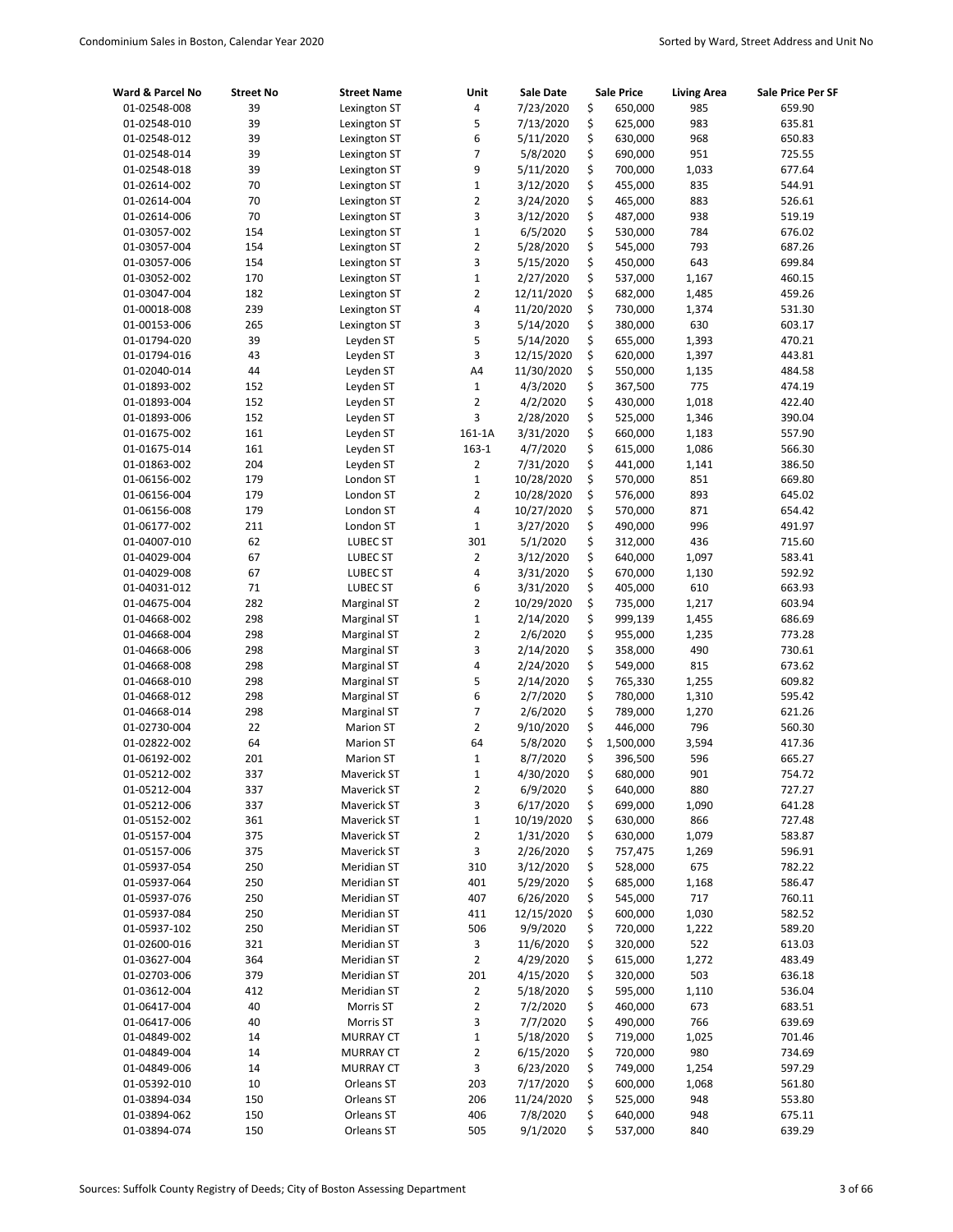| Ward & Parcel No             | <b>Street No</b> | <b>Street Name</b>                   | Unit                    | Sale Date             |          | <b>Sale Price</b>  | <b>Living Area</b> | Sale Price Per SF |
|------------------------------|------------------|--------------------------------------|-------------------------|-----------------------|----------|--------------------|--------------------|-------------------|
| 01-02548-008                 | 39               | Lexington ST                         | 4                       | 7/23/2020             | \$       | 650,000            | 985                | 659.90            |
| 01-02548-010                 | 39               | Lexington ST                         | 5                       | 7/13/2020             | \$       | 625,000            | 983                | 635.81            |
| 01-02548-012                 | 39               | Lexington ST                         | 6                       | 5/11/2020             | \$       | 630,000            | 968                | 650.83            |
| 01-02548-014                 | 39               | Lexington ST                         | 7                       | 5/8/2020              | \$       | 690,000            | 951                | 725.55            |
| 01-02548-018                 | 39               | Lexington ST                         | 9                       | 5/11/2020             | \$       | 700,000            | 1,033              | 677.64            |
| 01-02614-002                 | 70               | Lexington ST                         | $\mathbf 1$             | 3/12/2020             | \$       | 455,000            | 835                | 544.91            |
| 01-02614-004                 | 70               | Lexington ST                         | 2                       | 3/24/2020             | \$       | 465,000            | 883                | 526.61            |
| 01-02614-006                 | 70               | Lexington ST                         | 3                       | 3/12/2020             | \$       | 487,000            | 938                | 519.19            |
| 01-03057-002                 | 154              | Lexington ST                         | $\mathbf 1$             | 6/5/2020              | \$       | 530,000            | 784                | 676.02            |
| 01-03057-004                 | 154              | Lexington ST                         | 2                       | 5/28/2020             | \$       | 545,000            | 793                | 687.26            |
| 01-03057-006                 | 154              | Lexington ST                         | 3                       | 5/15/2020             | \$       | 450,000            | 643                | 699.84            |
| 01-03052-002                 | 170              | Lexington ST                         | $\mathbf 1$             | 2/27/2020             | \$       | 537,000            | 1,167              | 460.15            |
| 01-03047-004                 | 182              | Lexington ST                         | $\overline{2}$          | 12/11/2020            | \$       | 682,000            | 1,485              | 459.26            |
| 01-00018-008                 | 239              | Lexington ST                         | 4                       | 11/20/2020            | \$       | 730,000            | 1,374              | 531.30            |
| 01-00153-006                 | 265              | Lexington ST                         | 3                       | 5/14/2020             | \$       | 380,000            | 630                | 603.17            |
| 01-01794-020                 | 39               | Leyden ST                            | 5                       | 5/14/2020             | \$       | 655,000            | 1,393              | 470.21            |
| 01-01794-016                 | 43               | Leyden ST                            | 3                       | 12/15/2020            | \$       | 620,000            | 1,397              | 443.81            |
| 01-02040-014                 | 44               | Leyden ST                            | A4                      | 11/30/2020            | \$       | 550,000            | 1,135              | 484.58            |
| 01-01893-002                 | 152              | Leyden ST                            | $\mathbf 1$             | 4/3/2020              | \$       | 367,500            | 775                | 474.19            |
| 01-01893-004                 | 152              | Leyden ST                            | $\overline{2}$          | 4/2/2020              | \$       | 430,000            | 1,018              | 422.40            |
| 01-01893-006                 | 152              | Leyden ST                            | 3                       | 2/28/2020             | \$       | 525,000            | 1,346              | 390.04            |
| 01-01675-002                 | 161              | Leyden ST                            | 161-1A                  | 3/31/2020             | \$       | 660,000            | 1,183              | 557.90            |
| 01-01675-014                 | 161              | Leyden ST                            | $163-1$                 | 4/7/2020              | \$       | 615,000            | 1,086              | 566.30            |
| 01-01863-002                 | 204              | Leyden ST                            | $\overline{2}$          | 7/31/2020             | \$       | 441,000            | 1,141              | 386.50            |
| 01-06156-002                 | 179              | London ST                            | $\mathbf 1$             | 10/28/2020            | \$       | 570,000            | 851                | 669.80            |
| 01-06156-004                 | 179              | London ST                            | $\overline{2}$          | 10/28/2020            | \$       | 576,000            | 893                | 645.02            |
| 01-06156-008                 | 179              | London ST                            | 4                       | 10/27/2020            | \$       | 570,000            | 871                | 654.42            |
| 01-06177-002                 | 211              | London ST                            | $\mathbf 1$             | 3/27/2020             | \$       | 490,000            | 996                | 491.97            |
| 01-04007-010                 | 62               | LUBEC ST                             | 301                     | 5/1/2020              | \$       | 312,000            | 436                | 715.60            |
| 01-04029-004                 | 67               | <b>LUBEC ST</b>                      | $\overline{2}$          | 3/12/2020             | \$       | 640,000            | 1,097              | 583.41            |
| 01-04029-008                 | 67               | LUBEC ST                             | 4                       | 3/31/2020             | \$       | 670,000            | 1,130              | 592.92            |
| 01-04031-012                 | 71               | LUBEC ST                             | 6                       | 3/31/2020             | \$       | 405,000            | 610                | 663.93            |
| 01-04675-004                 | 282              | <b>Marginal ST</b>                   | 2                       | 10/29/2020            | \$       | 735,000            | 1,217              | 603.94            |
| 01-04668-002                 | 298              | <b>Marginal ST</b>                   | $\mathbf 1$             | 2/14/2020             | \$       | 999,139            | 1,455              | 686.69            |
| 01-04668-004                 | 298              | <b>Marginal ST</b>                   | 2                       | 2/6/2020              | \$       | 955,000            | 1,235              | 773.28            |
| 01-04668-006                 | 298              | <b>Marginal ST</b>                   | 3                       | 2/14/2020             | \$       | 358,000            | 490                | 730.61            |
| 01-04668-008                 | 298              | <b>Marginal ST</b>                   | 4                       | 2/24/2020             | \$       | 549,000            | 815                | 673.62            |
| 01-04668-010                 | 298              | <b>Marginal ST</b>                   | 5                       | 2/14/2020             | \$       | 765,330            | 1,255              | 609.82            |
| 01-04668-012                 | 298              | <b>Marginal ST</b>                   | 6                       | 2/7/2020              | \$       | 780,000            | 1,310              | 595.42            |
| 01-04668-014                 | 298              | <b>Marginal ST</b>                   | 7                       | 2/6/2020              | \$       | 789,000            | 1,270              | 621.26            |
| 01-02730-004                 | 22               | <b>Marion ST</b>                     | $\overline{2}$          | 9/10/2020             | \$       | 446,000            | 796                | 560.30            |
| 01-02822-002                 | 64<br>201        | <b>Marion ST</b><br><b>Marion ST</b> | 64<br>$\mathbf 1$       | 5/8/2020              | \$<br>\$ | 1,500,000          | 3,594<br>596       | 417.36            |
| 01-06192-002<br>01-05212-002 | 337              |                                      | $\mathbf{1}$            | 8/7/2020              | \$       | 396,500            | 901                | 665.27<br>754.72  |
| 01-05212-004                 |                  | Maverick ST<br>Maverick ST           |                         | 4/30/2020             |          | 680,000            |                    |                   |
|                              | 337<br>337       | Maverick ST                          | 2<br>3                  | 6/9/2020<br>6/17/2020 | \$       | 640,000<br>699,000 | 880                | 727.27<br>641.28  |
| 01-05212-006<br>01-05152-002 | 361              | Maverick ST                          | 1                       | 10/19/2020            | \$<br>\$ | 630,000            | 1,090<br>866       | 727.48            |
| 01-05157-004                 | 375              | Maverick ST                          | 2                       | 1/31/2020             | \$       | 630,000            | 1,079              | 583.87            |
| 01-05157-006                 | 375              | Maverick ST                          | 3                       | 2/26/2020             | \$       | 757,475            | 1,269              | 596.91            |
| 01-05937-054                 | 250              | Meridian ST                          | 310                     | 3/12/2020             | \$       | 528,000            | 675                | 782.22            |
| 01-05937-064                 | 250              | Meridian ST                          | 401                     | 5/29/2020             | \$       | 685,000            | 1,168              | 586.47            |
| 01-05937-076                 | 250              | Meridian ST                          | 407                     | 6/26/2020             | \$       | 545,000            | 717                | 760.11            |
| 01-05937-084                 | 250              | Meridian ST                          | 411                     | 12/15/2020            | \$       | 600,000            | 1,030              | 582.52            |
| 01-05937-102                 | 250              | Meridian ST                          | 506                     | 9/9/2020              | \$       | 720,000            | 1,222              | 589.20            |
| 01-02600-016                 | 321              | Meridian ST                          | 3                       | 11/6/2020             | \$       | 320,000            | 522                | 613.03            |
| 01-03627-004                 | 364              | Meridian ST                          | $\mathbf 2$             | 4/29/2020             | \$       | 615,000            | 1,272              | 483.49            |
| 01-02703-006                 | 379              | Meridian ST                          | 201                     | 4/15/2020             | \$       | 320,000            | 503                | 636.18            |
| 01-03612-004                 | 412              | Meridian ST                          | 2                       | 5/18/2020             | \$       | 595,000            | 1,110              | 536.04            |
| 01-06417-004                 | 40               | Morris ST                            | 2                       | 7/2/2020              | \$       | 460,000            | 673                | 683.51            |
| 01-06417-006                 | 40               | Morris ST                            | 3                       | 7/7/2020              | \$       | 490,000            | 766                | 639.69            |
| 01-04849-002                 | 14               | <b>MURRAY CT</b>                     | $\mathbf 1$             | 5/18/2020             | \$       | 719,000            | 1,025              | 701.46            |
| 01-04849-004                 | 14               | <b>MURRAY CT</b>                     | $\overline{\mathbf{c}}$ | 6/15/2020             | \$       | 720,000            | 980                | 734.69            |
| 01-04849-006                 | 14               | <b>MURRAY CT</b>                     | 3                       | 6/23/2020             | \$       | 749,000            | 1,254              | 597.29            |
| 01-05392-010                 | 10               | Orleans ST                           | 203                     | 7/17/2020             | \$       | 600,000            | 1,068              | 561.80            |
| 01-03894-034                 | 150              | Orleans ST                           | 206                     | 11/24/2020            | \$       | 525,000            | 948                | 553.80            |
| 01-03894-062                 | 150              | Orleans ST                           | 406                     | 7/8/2020              | \$       | 640,000            | 948                | 675.11            |
| 01-03894-074                 | 150              | Orleans ST                           | 505                     | 9/1/2020              | \$       | 537,000            | 840                | 639.29            |
|                              |                  |                                      |                         |                       |          |                    |                    |                   |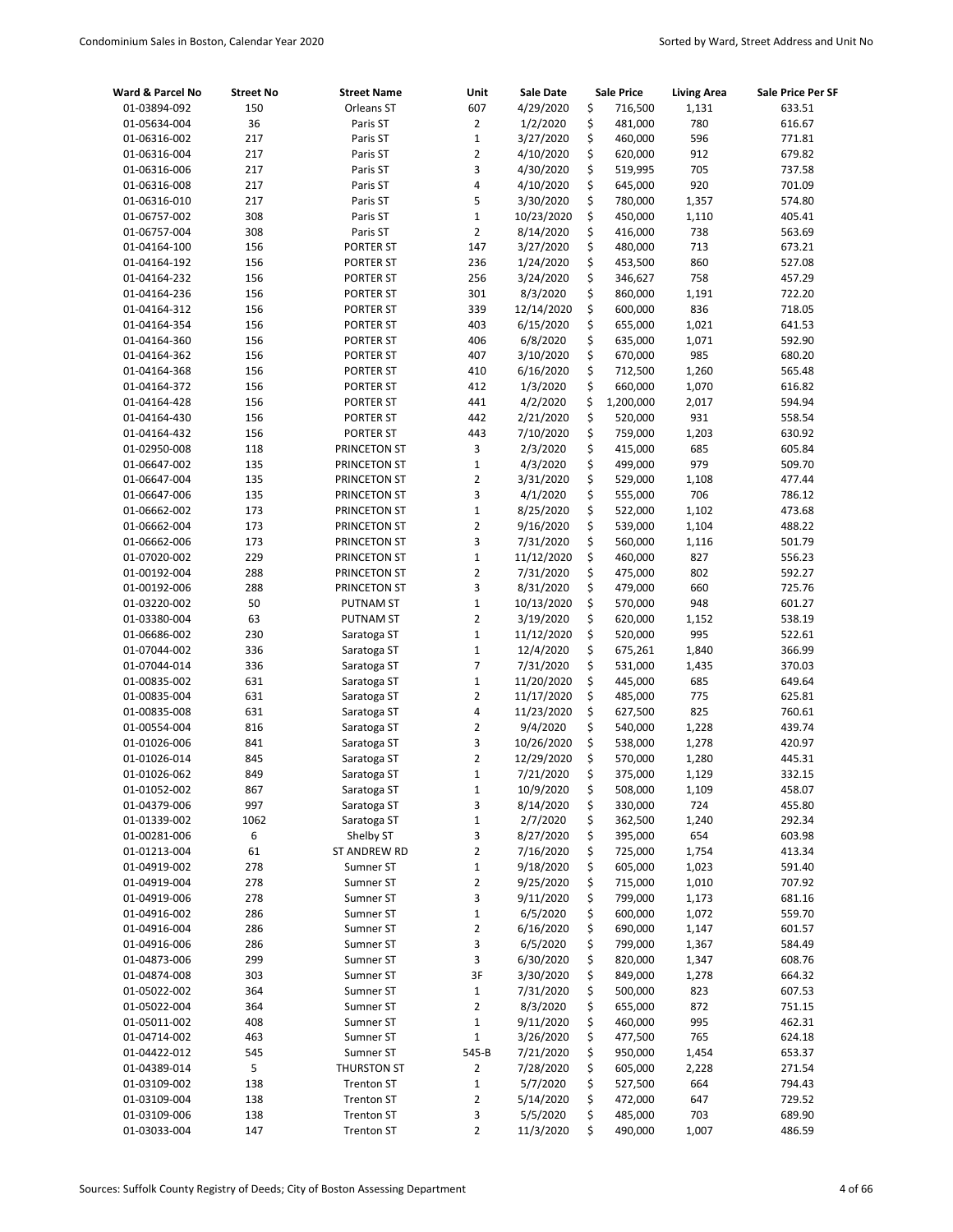| Ward & Parcel No | <b>Street No</b> | <b>Street Name</b> | Unit           | Sale Date  | <b>Sale Price</b> | <b>Living Area</b> | Sale Price Per SF |
|------------------|------------------|--------------------|----------------|------------|-------------------|--------------------|-------------------|
| 01-03894-092     | 150              | Orleans ST         | 607            | 4/29/2020  | \$<br>716,500     | 1,131              | 633.51            |
| 01-05634-004     | 36               | Paris ST           | $\overline{2}$ | 1/2/2020   | \$<br>481,000     | 780                | 616.67            |
| 01-06316-002     | 217              | Paris ST           | $\mathbf 1$    | 3/27/2020  | \$<br>460,000     | 596                | 771.81            |
| 01-06316-004     | 217              | Paris ST           | $\overline{2}$ | 4/10/2020  | \$<br>620,000     | 912                | 679.82            |
| 01-06316-006     | 217              | Paris ST           | 3              | 4/30/2020  | \$<br>519,995     | 705                | 737.58            |
| 01-06316-008     | 217              | Paris ST           | 4              | 4/10/2020  | \$<br>645,000     | 920                | 701.09            |
| 01-06316-010     | 217              | Paris ST           | 5              | 3/30/2020  | \$<br>780,000     | 1,357              | 574.80            |
| 01-06757-002     | 308              | Paris ST           | $\mathbf{1}$   | 10/23/2020 | \$<br>450,000     | 1,110              | 405.41            |
| 01-06757-004     | 308              | Paris ST           | $\overline{2}$ | 8/14/2020  | \$<br>416,000     | 738                | 563.69            |
| 01-04164-100     | 156              | PORTER ST          | 147            | 3/27/2020  | \$<br>480,000     | 713                | 673.21            |
| 01-04164-192     | 156              | PORTER ST          | 236            | 1/24/2020  | \$<br>453,500     | 860                | 527.08            |
| 01-04164-232     | 156              | PORTER ST          | 256            | 3/24/2020  | \$<br>346,627     | 758                | 457.29            |
| 01-04164-236     | 156              | PORTER ST          | 301            | 8/3/2020   | \$<br>860,000     | 1,191              | 722.20            |
| 01-04164-312     | 156              | PORTER ST          | 339            | 12/14/2020 | \$<br>600,000     | 836                | 718.05            |
| 01-04164-354     | 156              | PORTER ST          | 403            | 6/15/2020  | \$<br>655,000     | 1,021              | 641.53            |
| 01-04164-360     | 156              | PORTER ST          | 406            | 6/8/2020   | \$<br>635,000     | 1,071              | 592.90            |
| 01-04164-362     | 156              | PORTER ST          | 407            | 3/10/2020  | \$<br>670,000     | 985                | 680.20            |
| 01-04164-368     | 156              | PORTER ST          | 410            | 6/16/2020  | \$<br>712,500     | 1,260              | 565.48            |
| 01-04164-372     | 156              | <b>PORTER ST</b>   | 412            | 1/3/2020   | \$<br>660,000     | 1,070              | 616.82            |
| 01-04164-428     | 156              | PORTER ST          | 441            | 4/2/2020   | \$<br>1,200,000   | 2,017              | 594.94            |
| 01-04164-430     | 156              | <b>PORTER ST</b>   | 442            | 2/21/2020  | \$<br>520,000     | 931                | 558.54            |
| 01-04164-432     | 156              | PORTER ST          | 443            | 7/10/2020  | \$<br>759,000     | 1,203              | 630.92            |
| 01-02950-008     | 118              | PRINCETON ST       | 3              | 2/3/2020   | \$<br>415,000     | 685                | 605.84            |
| 01-06647-002     | 135              | PRINCETON ST       | $\mathbf 1$    | 4/3/2020   | \$<br>499,000     | 979                | 509.70            |
| 01-06647-004     | 135              | PRINCETON ST       | $\overline{2}$ | 3/31/2020  | \$<br>529,000     | 1,108              | 477.44            |
| 01-06647-006     | 135              | PRINCETON ST       | 3              | 4/1/2020   | \$<br>555,000     | 706                | 786.12            |
| 01-06662-002     | 173              | PRINCETON ST       | $\mathbf{1}$   | 8/25/2020  | \$<br>522,000     | 1,102              | 473.68            |
| 01-06662-004     | 173              | PRINCETON ST       | $\overline{2}$ | 9/16/2020  | \$<br>539,000     | 1,104              | 488.22            |
| 01-06662-006     | 173              | PRINCETON ST       | 3              | 7/31/2020  | \$<br>560,000     | 1,116              | 501.79            |
| 01-07020-002     | 229              | PRINCETON ST       | $\mathbf 1$    | 11/12/2020 | \$<br>460,000     | 827                | 556.23            |
| 01-00192-004     | 288              | PRINCETON ST       | $\overline{2}$ | 7/31/2020  | \$<br>475,000     | 802                | 592.27            |
| 01-00192-006     | 288              | PRINCETON ST       | 3              | 8/31/2020  | \$<br>479,000     | 660                | 725.76            |
| 01-03220-002     | 50               | <b>PUTNAM ST</b>   | $\mathbf{1}$   | 10/13/2020 | \$<br>570,000     | 948                | 601.27            |
| 01-03380-004     | 63               | PUTNAM ST          | $\overline{2}$ | 3/19/2020  | \$<br>620,000     | 1,152              | 538.19            |
| 01-06686-002     | 230              | Saratoga ST        | $\mathbf 1$    | 11/12/2020 | \$<br>520,000     | 995                | 522.61            |
| 01-07044-002     | 336              | Saratoga ST        | $\mathbf{1}$   | 12/4/2020  | \$<br>675,261     | 1,840              | 366.99            |
| 01-07044-014     | 336              | Saratoga ST        | $\overline{7}$ | 7/31/2020  | \$<br>531,000     | 1,435              | 370.03            |
| 01-00835-002     | 631              | Saratoga ST        | $\mathbf 1$    | 11/20/2020 | \$<br>445,000     | 685                | 649.64            |
| 01-00835-004     | 631              | Saratoga ST        | $\overline{2}$ | 11/17/2020 | \$<br>485,000     | 775                | 625.81            |
| 01-00835-008     | 631              | Saratoga ST        | 4              | 11/23/2020 | \$<br>627,500     | 825                | 760.61            |
| 01-00554-004     | 816              | Saratoga ST        | $\overline{2}$ | 9/4/2020   | \$<br>540,000     | 1,228              | 439.74            |
| 01-01026-006     | 841              | Saratoga ST        | 3              | 10/26/2020 | \$<br>538,000     | 1,278              | 420.97            |
| 01-01026-014     | 845              | Saratoga ST        | $\overline{2}$ | 12/29/2020 | \$<br>570,000     | 1,280              | 445.31            |
| 01-01026-062     | 849              | Saratoga ST        | $\mathbf 1$    | 7/21/2020  | \$<br>375,000     | 1,129              | 332.15            |
| 01-01052-002     | 867              | Saratoga ST        | $\mathbf{1}$   | 10/9/2020  | \$<br>508,000     | 1,109              | 458.07            |
| 01-04379-006     | 997              | Saratoga ST        | 3              | 8/14/2020  | \$<br>330,000     | 724                | 455.80            |
| 01-01339-002     | 1062             | Saratoga ST        | $\mathbf 1$    | 2/7/2020   | \$<br>362,500     | 1,240              | 292.34            |
| 01-00281-006     | 6                | Shelby ST          | 3              | 8/27/2020  | \$<br>395,000     | 654                | 603.98            |
| 01-01213-004     | 61               | ST ANDREW RD       | 2              | 7/16/2020  | \$<br>725,000     | 1,754              | 413.34            |
| 01-04919-002     | 278              | Sumner ST          | $\mathbf 1$    | 9/18/2020  | \$<br>605,000     | 1,023              | 591.40            |
| 01-04919-004     | 278              | Sumner ST          | 2              | 9/25/2020  | \$<br>715,000     | 1,010              | 707.92            |
| 01-04919-006     | 278              | Sumner ST          | 3              | 9/11/2020  | \$<br>799,000     | 1,173              | 681.16            |
| 01-04916-002     | 286              | Sumner ST          | $\mathbf 1$    | 6/5/2020   | \$<br>600,000     | 1,072              | 559.70            |
| 01-04916-004     | 286              | Sumner ST          | 2              | 6/16/2020  | \$<br>690,000     | 1,147              | 601.57            |
| 01-04916-006     | 286              | Sumner ST          | 3              | 6/5/2020   | \$<br>799,000     | 1,367              | 584.49            |
| 01-04873-006     | 299              | Sumner ST          | 3              | 6/30/2020  | \$<br>820,000     | 1,347              | 608.76            |
| 01-04874-008     | 303              | Sumner ST          | 3F             | 3/30/2020  | \$<br>849,000     | 1,278              | 664.32            |
| 01-05022-002     | 364              | Sumner ST          | $\mathbf{1}$   | 7/31/2020  | \$<br>500,000     | 823                | 607.53            |
| 01-05022-004     | 364              | Sumner ST          | $\overline{2}$ | 8/3/2020   | \$<br>655,000     | 872                | 751.15            |
| 01-05011-002     | 408              | Sumner ST          | $\mathbf 1$    | 9/11/2020  | \$<br>460,000     | 995                | 462.31            |
| 01-04714-002     | 463              | Sumner ST          | $\mathbf 1$    | 3/26/2020  | \$<br>477,500     | 765                | 624.18            |
| 01-04422-012     | 545              | Sumner ST          | 545-B          | 7/21/2020  | \$<br>950,000     | 1,454              | 653.37            |
| 01-04389-014     | 5                | <b>THURSTON ST</b> | 2              | 7/28/2020  | \$<br>605,000     | 2,228              | 271.54            |
| 01-03109-002     | 138              | <b>Trenton ST</b>  | $\mathbf 1$    | 5/7/2020   | \$<br>527,500     | 664                | 794.43            |
| 01-03109-004     | 138              | <b>Trenton ST</b>  | 2              | 5/14/2020  | \$<br>472,000     | 647                | 729.52            |
| 01-03109-006     | 138              | <b>Trenton ST</b>  | 3              | 5/5/2020   | \$<br>485,000     | 703                | 689.90            |
| 01-03033-004     | 147              | <b>Trenton ST</b>  | 2              | 11/3/2020  | \$<br>490,000     | 1,007              | 486.59            |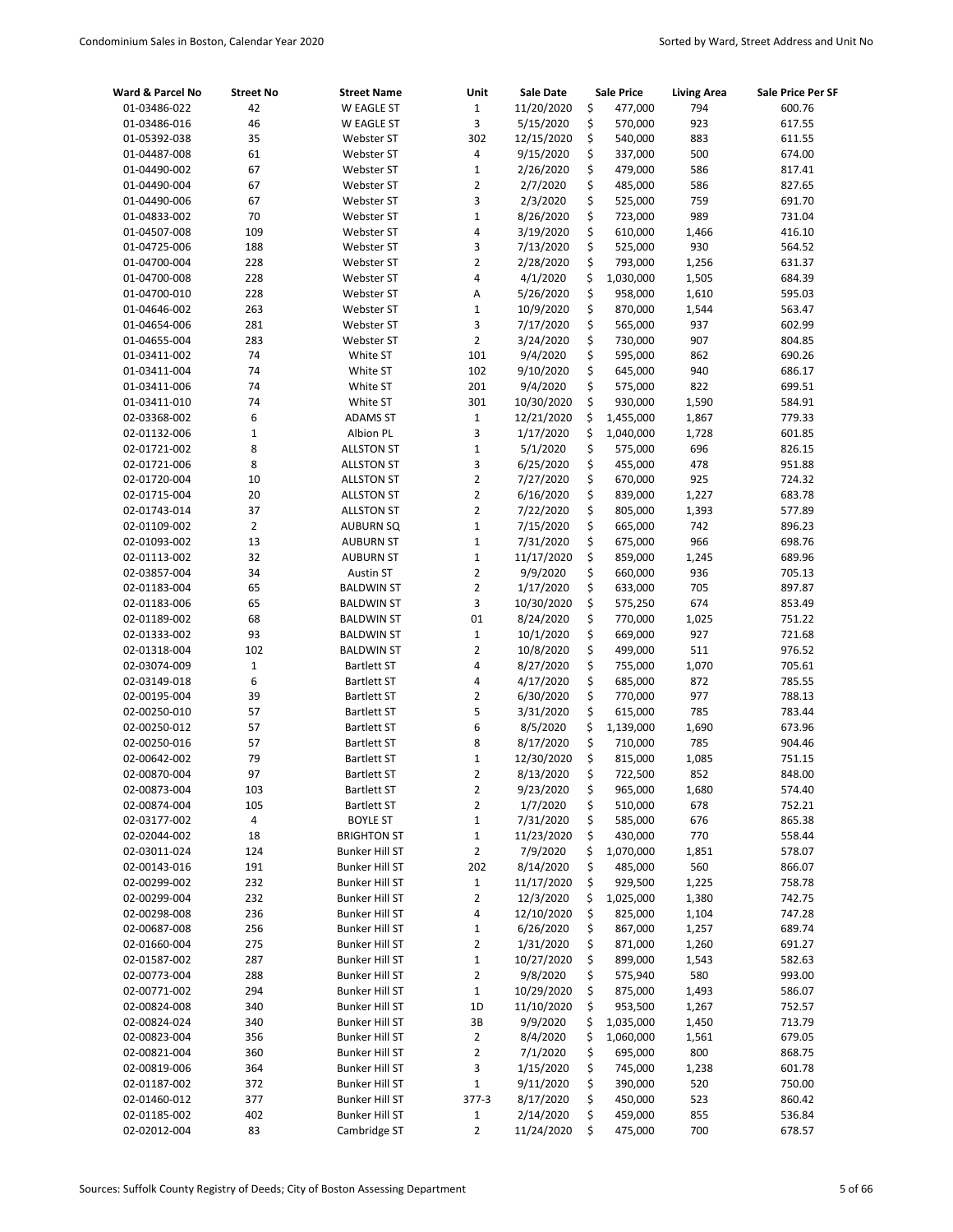| Ward & Parcel No | <b>Street No</b> | <b>Street Name</b>    | Unit                    | Sale Date  | <b>Sale Price</b> | <b>Living Area</b> | Sale Price Per SF |
|------------------|------------------|-----------------------|-------------------------|------------|-------------------|--------------------|-------------------|
| 01-03486-022     | 42               | W EAGLE ST            | $\mathbf 1$             | 11/20/2020 | \$                | 477,000<br>794     | 600.76            |
| 01-03486-016     | 46               | W EAGLE ST            | 3                       | 5/15/2020  | \$                | 570,000<br>923     | 617.55            |
| 01-05392-038     | 35               | Webster ST            | 302                     | 12/15/2020 | \$                | 540,000<br>883     | 611.55            |
| 01-04487-008     | 61               | Webster ST            | 4                       | 9/15/2020  | \$                | 337,000<br>500     | 674.00            |
| 01-04490-002     | 67               | Webster ST            | $\mathbf 1$             | 2/26/2020  | \$                | 479,000<br>586     | 817.41            |
| 01-04490-004     | 67               | Webster ST            | 2                       | 2/7/2020   | \$                | 485,000<br>586     | 827.65            |
| 01-04490-006     | 67               | Webster ST            | 3                       | 2/3/2020   | \$                | 759<br>525,000     | 691.70            |
| 01-04833-002     | 70               | Webster ST            | $\mathbf 1$             | 8/26/2020  | \$                | 989<br>723,000     | 731.04            |
| 01-04507-008     | 109              | Webster ST            | 4                       | 3/19/2020  | \$                | 610,000<br>1,466   | 416.10            |
| 01-04725-006     | 188              | Webster ST            | 3                       | 7/13/2020  | \$                | 930<br>525,000     | 564.52            |
| 01-04700-004     | 228              | Webster ST            | 2                       | 2/28/2020  | \$                | 793,000<br>1,256   | 631.37            |
| 01-04700-008     | 228              | Webster ST            | 4                       | 4/1/2020   | \$<br>1,030,000   | 1,505              | 684.39            |
| 01-04700-010     | 228              | Webster ST            | A                       | 5/26/2020  | \$                | 958,000<br>1,610   | 595.03            |
| 01-04646-002     | 263              | Webster ST            | $\mathbf 1$             | 10/9/2020  | \$                | 870,000<br>1,544   | 563.47            |
| 01-04654-006     | 281              | Webster ST            | 3                       | 7/17/2020  | \$                | 565,000<br>937     | 602.99            |
| 01-04655-004     | 283              | Webster ST            | $\overline{2}$          | 3/24/2020  | \$                | 730,000<br>907     | 804.85            |
| 01-03411-002     | 74               | White ST              | 101                     | 9/4/2020   | \$                | 595,000<br>862     | 690.26            |
| 01-03411-004     | 74               | White ST              | 102                     | 9/10/2020  | \$                | 940<br>645,000     | 686.17            |
| 01-03411-006     | 74               | White ST              | 201                     | 9/4/2020   | \$                | 822<br>575,000     | 699.51            |
| 01-03411-010     | 74               | White ST              | 301                     | 10/30/2020 | \$                | 1,590<br>930,000   | 584.91            |
| 02-03368-002     | 6                | <b>ADAMS ST</b>       | $\mathbf{1}$            | 12/21/2020 | \$<br>1,455,000   | 1,867              | 779.33            |
| 02-01132-006     | $\mathbf 1$      | Albion PL             | 3                       | 1/17/2020  | \$<br>1,040,000   | 1,728              | 601.85            |
| 02-01721-002     | 8                | <b>ALLSTON ST</b>     | $\mathbf{1}$            | 5/1/2020   | \$                | 696<br>575,000     | 826.15            |
| 02-01721-006     | 8                | <b>ALLSTON ST</b>     | 3                       | 6/25/2020  | \$                | 455,000<br>478     | 951.88            |
| 02-01720-004     | 10               | <b>ALLSTON ST</b>     | $\overline{2}$          | 7/27/2020  | \$                | 670,000<br>925     | 724.32            |
| 02-01715-004     | 20               | <b>ALLSTON ST</b>     | 2                       | 6/16/2020  | \$                | 1,227<br>839,000   | 683.78            |
| 02-01743-014     | 37               | <b>ALLSTON ST</b>     | $\overline{2}$          | 7/22/2020  | \$                | 805,000<br>1,393   | 577.89            |
| 02-01109-002     | $\overline{2}$   | <b>AUBURN SQ</b>      | $\mathbf 1$             | 7/15/2020  | \$                | 665,000<br>742     | 896.23            |
| 02-01093-002     | 13               | <b>AUBURN ST</b>      | 1                       | 7/31/2020  | \$                | 966<br>675,000     | 698.76            |
| 02-01113-002     | 32               | <b>AUBURN ST</b>      | $\mathbf{1}$            | 11/17/2020 | \$                | 859,000<br>1,245   | 689.96            |
| 02-03857-004     | 34               | Austin ST             | $\overline{2}$          | 9/9/2020   | \$                | 660,000<br>936     | 705.13            |
| 02-01183-004     | 65               | <b>BALDWIN ST</b>     | 2                       | 1/17/2020  | \$                | 705<br>633,000     | 897.87            |
| 02-01183-006     | 65               | <b>BALDWIN ST</b>     | 3                       | 10/30/2020 | \$                | 575,250<br>674     | 853.49            |
| 02-01189-002     | 68               | <b>BALDWIN ST</b>     | 01                      | 8/24/2020  | \$                | 770,000<br>1,025   | 751.22            |
| 02-01333-002     | 93               | <b>BALDWIN ST</b>     | $\mathbf 1$             | 10/1/2020  | \$                | 927<br>669,000     | 721.68            |
| 02-01318-004     | 102              | <b>BALDWIN ST</b>     | $\overline{2}$          | 10/8/2020  | \$                | 499,000<br>511     | 976.52            |
| 02-03074-009     | $\mathbf 1$      | <b>Bartlett ST</b>    | 4                       | 8/27/2020  | \$                | 755,000<br>1,070   | 705.61            |
| 02-03149-018     | 6                | <b>Bartlett ST</b>    | 4                       | 4/17/2020  | \$                | 685,000<br>872     | 785.55            |
| 02-00195-004     | 39               | <b>Bartlett ST</b>    | $\overline{2}$          | 6/30/2020  | \$                | 770,000<br>977     | 788.13            |
| 02-00250-010     | 57               | <b>Bartlett ST</b>    | 5                       | 3/31/2020  | \$                | 785<br>615,000     | 783.44            |
| 02-00250-012     | 57               | <b>Bartlett ST</b>    | 6                       | 8/5/2020   | \$<br>1,139,000   | 1,690              | 673.96            |
| 02-00250-016     | 57               | <b>Bartlett ST</b>    | 8                       | 8/17/2020  | \$                | 785<br>710,000     | 904.46            |
| 02-00642-002     | 79               | <b>Bartlett ST</b>    | $\mathbf{1}$            | 12/30/2020 | \$                | 815,000<br>1,085   | 751.15            |
| 02-00870-004     | 97               | <b>Bartlett ST</b>    | $\overline{2}$          | 8/13/2020  | \$                | 722,500<br>852     | 848.00            |
| 02-00873-004     | 103              | <b>Bartlett ST</b>    | 2                       | 9/23/2020  | \$                | 965,000<br>1,680   | 574.40            |
| 02-00874-004     | 105              | <b>Bartlett ST</b>    | 2                       | 1/7/2020   | \$                | 678<br>510,000     | 752.21            |
| 02-03177-002     | 4                | <b>BOYLE ST</b>       | $\mathbf 1$             | 7/31/2020  | \$                | 585,000<br>676     | 865.38            |
| 02-02044-002     | 18               | <b>BRIGHTON ST</b>    | $\mathbf 1$             | 11/23/2020 | \$                | 430,000<br>770     | 558.44            |
| 02-03011-024     | 124              | <b>Bunker Hill ST</b> | 2                       | 7/9/2020   | \$<br>1,070,000   | 1,851              | 578.07            |
| 02-00143-016     | 191              | <b>Bunker Hill ST</b> | 202                     | 8/14/2020  | \$                | 485,000<br>560     | 866.07            |
| 02-00299-002     | 232              | <b>Bunker Hill ST</b> | $\mathbf 1$             | 11/17/2020 | \$                | 929,500<br>1,225   | 758.78            |
| 02-00299-004     | 232              | <b>Bunker Hill ST</b> | 2                       | 12/3/2020  | \$<br>1,025,000   | 1,380              | 742.75            |
| 02-00298-008     | 236              | <b>Bunker Hill ST</b> | 4                       | 12/10/2020 | \$                | 825,000<br>1,104   | 747.28            |
| 02-00687-008     | 256              | <b>Bunker Hill ST</b> | $\mathbf 1$             | 6/26/2020  | \$                | 867,000<br>1,257   | 689.74            |
| 02-01660-004     | 275              | <b>Bunker Hill ST</b> | 2                       | 1/31/2020  | \$                | 871,000<br>1,260   | 691.27            |
| 02-01587-002     | 287              | <b>Bunker Hill ST</b> | $\mathbf 1$             | 10/27/2020 | \$                | 899,000<br>1,543   | 582.63            |
| 02-00773-004     | 288              | <b>Bunker Hill ST</b> | 2                       | 9/8/2020   | \$                | 580<br>575,940     | 993.00            |
| 02-00771-002     | 294              | <b>Bunker Hill ST</b> | $\mathbf{1}$            | 10/29/2020 | \$                | 875,000<br>1,493   | 586.07            |
| 02-00824-008     | 340              | <b>Bunker Hill ST</b> | $1D$                    | 11/10/2020 | \$                | 953,500<br>1,267   | 752.57            |
| 02-00824-024     | 340              | <b>Bunker Hill ST</b> | 3B                      | 9/9/2020   | \$<br>1,035,000   | 1,450              | 713.79            |
| 02-00823-004     | 356              | <b>Bunker Hill ST</b> | 2                       | 8/4/2020   | \$<br>1,060,000   | 1,561              | 679.05            |
| 02-00821-004     | 360              | <b>Bunker Hill ST</b> | $\overline{\mathbf{c}}$ | 7/1/2020   | \$                | 800<br>695,000     | 868.75            |
| 02-00819-006     | 364              | <b>Bunker Hill ST</b> | 3                       | 1/15/2020  | \$                | 745,000<br>1,238   | 601.78            |
| 02-01187-002     | 372              | <b>Bunker Hill ST</b> | $\mathbf 1$             | 9/11/2020  | \$                | 390,000<br>520     | 750.00            |
| 02-01460-012     | 377              | <b>Bunker Hill ST</b> | 377-3                   | 8/17/2020  | \$                | 450,000<br>523     | 860.42            |
| 02-01185-002     | 402              | <b>Bunker Hill ST</b> | 1                       | 2/14/2020  | \$                | 459,000<br>855     | 536.84            |
| 02-02012-004     | 83               | Cambridge ST          | 2                       | 11/24/2020 | \$                | 475,000<br>700     | 678.57            |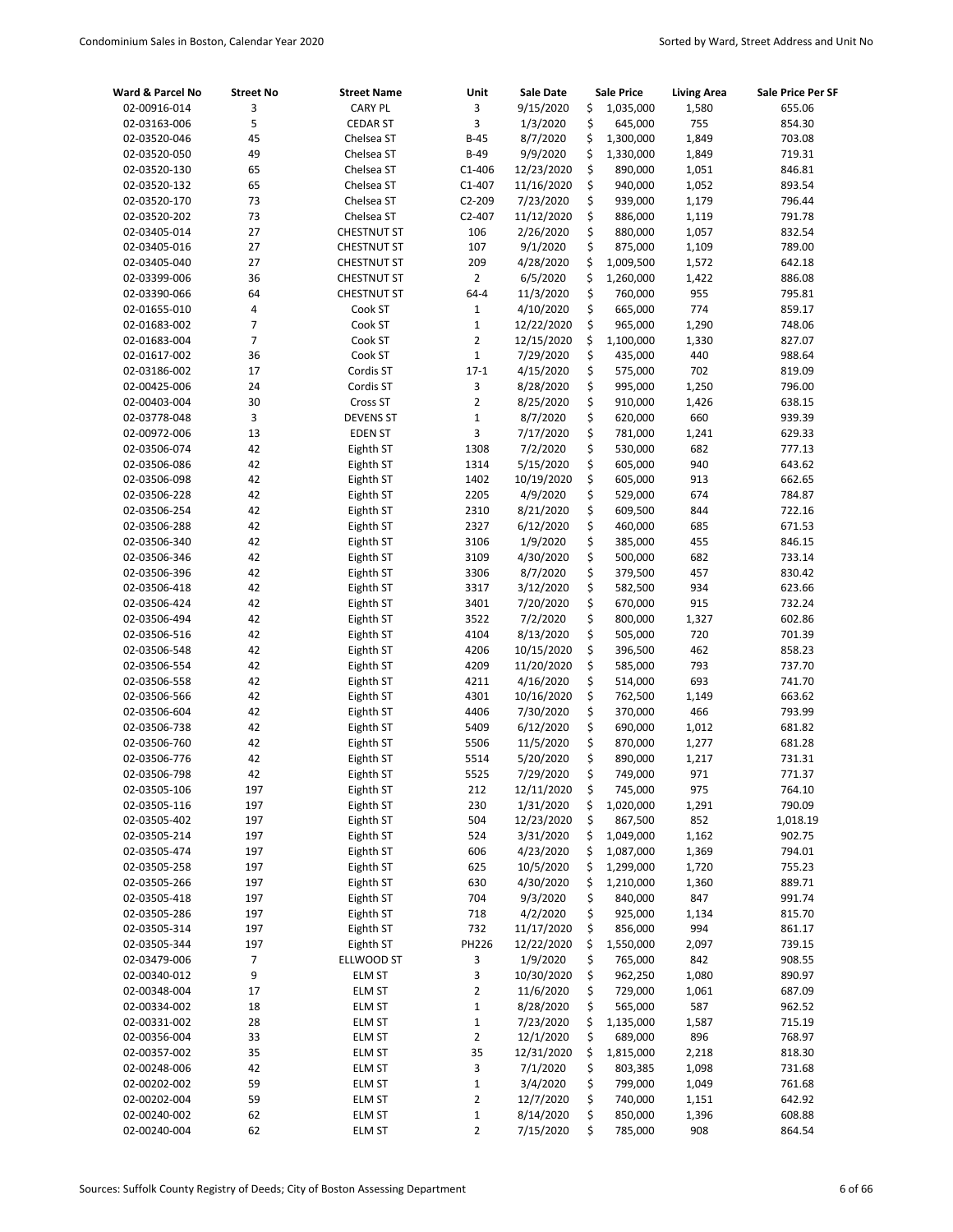| Ward & Parcel No             | <b>Street No</b> | <b>Street Name</b>           | Unit                          | <b>Sale Date</b>       |          | <b>Sale Price</b>  | <b>Living Area</b> | Sale Price Per SF |
|------------------------------|------------------|------------------------------|-------------------------------|------------------------|----------|--------------------|--------------------|-------------------|
| 02-00916-014                 | 3                | <b>CARY PL</b>               | 3                             | 9/15/2020              | \$       | 1,035,000          | 1,580              | 655.06            |
| 02-03163-006                 | 5                | <b>CEDAR ST</b>              | 3                             | 1/3/2020               | \$       | 645,000            | 755                | 854.30            |
| 02-03520-046                 | 45               | Chelsea ST                   | $B-45$                        | 8/7/2020               | \$       | 1,300,000          | 1,849              | 703.08            |
| 02-03520-050                 | 49               | Chelsea ST                   | $B-49$                        | 9/9/2020               | \$       | 1,330,000          | 1,849              | 719.31            |
| 02-03520-130                 | 65               | Chelsea ST                   | $C1-406$                      | 12/23/2020             | \$       | 890,000            | 1,051              | 846.81            |
| 02-03520-132                 | 65               | Chelsea ST                   | $C1 - 407$                    | 11/16/2020             | \$       | 940,000            | 1,052              | 893.54            |
| 02-03520-170                 | 73               | Chelsea ST                   | $C2 - 209$                    | 7/23/2020              | \$       | 939,000            | 1,179              | 796.44            |
| 02-03520-202                 | 73               | Chelsea ST                   | $C2 - 407$                    | 11/12/2020             | \$       | 886,000            | 1,119              | 791.78            |
| 02-03405-014                 | 27               | <b>CHESTNUT ST</b>           | 106                           | 2/26/2020              | \$       | 880,000            | 1,057              | 832.54            |
| 02-03405-016                 | 27               | <b>CHESTNUT ST</b>           | 107                           | 9/1/2020               | \$       | 875,000            | 1,109              | 789.00            |
| 02-03405-040                 | 27               | <b>CHESTNUT ST</b>           | 209                           | 4/28/2020              | \$       | 1,009,500          | 1,572              | 642.18            |
| 02-03399-006                 | 36               | <b>CHESTNUT ST</b>           | $\overline{2}$                | 6/5/2020               | \$       | 1,260,000          | 1,422              | 886.08            |
| 02-03390-066                 | 64               | <b>CHESTNUT ST</b>           | $64 - 4$                      | 11/3/2020              | \$       | 760,000            | 955                | 795.81            |
| 02-01655-010                 | 4                | Cook ST                      | $1\,$                         | 4/10/2020              | \$       | 665,000            | 774                | 859.17            |
| 02-01683-002                 | 7                | Cook ST                      | $\mathbf 1$                   | 12/22/2020             | \$       | 965,000            | 1,290              | 748.06            |
| 02-01683-004                 | $\overline{7}$   | Cook ST                      | $\overline{2}$                | 12/15/2020             | \$       | 1,100,000          | 1,330              | 827.07            |
| 02-01617-002                 | 36<br>17         | Cook ST                      | $\mathbf{1}$<br>$17-1$        | 7/29/2020              | \$       | 435,000            | 440<br>702         | 988.64            |
| 02-03186-002                 | 24               | Cordis ST                    |                               | 4/15/2020              | \$<br>\$ | 575,000            |                    | 819.09            |
| 02-00425-006                 | 30               | Cordis ST                    | 3<br>$\overline{2}$           | 8/28/2020<br>8/25/2020 | \$       | 995,000<br>910,000 | 1,250<br>1,426     | 796.00<br>638.15  |
| 02-00403-004                 | 3                | Cross ST<br><b>DEVENS ST</b> | $\mathbf 1$                   | 8/7/2020               | \$       | 620,000            | 660                | 939.39            |
| 02-03778-048<br>02-00972-006 | 13               | <b>EDEN ST</b>               | 3                             | 7/17/2020              | \$       | 781,000            |                    | 629.33            |
| 02-03506-074                 | 42               | Eighth ST                    | 1308                          | 7/2/2020               | \$       | 530,000            | 1,241<br>682       | 777.13            |
| 02-03506-086                 | 42               | Eighth ST                    | 1314                          | 5/15/2020              | \$       | 605,000            | 940                | 643.62            |
| 02-03506-098                 | 42               | Eighth ST                    | 1402                          | 10/19/2020             | \$       | 605,000            | 913                | 662.65            |
| 02-03506-228                 | 42               | Eighth ST                    | 2205                          | 4/9/2020               | \$       | 529,000            | 674                | 784.87            |
| 02-03506-254                 | 42               | Eighth ST                    | 2310                          | 8/21/2020              | \$       | 609,500            | 844                | 722.16            |
| 02-03506-288                 | 42               | Eighth ST                    | 2327                          | 6/12/2020              | \$       | 460,000            | 685                | 671.53            |
| 02-03506-340                 | 42               | Eighth ST                    | 3106                          | 1/9/2020               | \$       | 385,000            | 455                | 846.15            |
| 02-03506-346                 | 42               | Eighth ST                    | 3109                          | 4/30/2020              | \$       | 500,000            | 682                | 733.14            |
| 02-03506-396                 | 42               | Eighth ST                    | 3306                          | 8/7/2020               | \$       | 379,500            | 457                | 830.42            |
| 02-03506-418                 | 42               | Eighth ST                    | 3317                          | 3/12/2020              | \$       | 582,500            | 934                | 623.66            |
| 02-03506-424                 | 42               | Eighth ST                    | 3401                          | 7/20/2020              | \$       | 670,000            | 915                | 732.24            |
| 02-03506-494                 | 42               | Eighth ST                    | 3522                          | 7/2/2020               | \$       | 800,000            | 1,327              | 602.86            |
| 02-03506-516                 | 42               | Eighth ST                    | 4104                          | 8/13/2020              | \$       | 505,000            | 720                | 701.39            |
| 02-03506-548                 | 42               | Eighth ST                    | 4206                          | 10/15/2020             | \$       | 396,500            | 462                | 858.23            |
| 02-03506-554                 | 42               | Eighth ST                    | 4209                          | 11/20/2020             | \$       | 585,000            | 793                | 737.70            |
| 02-03506-558                 | 42               | Eighth ST                    | 4211                          | 4/16/2020              | \$       | 514,000            | 693                | 741.70            |
| 02-03506-566                 | 42               | Eighth ST                    | 4301                          | 10/16/2020             | \$       | 762,500            | 1,149              | 663.62            |
| 02-03506-604                 | 42               | Eighth ST                    | 4406                          | 7/30/2020              | \$       | 370,000            | 466                | 793.99            |
| 02-03506-738                 | 42               | Eighth ST                    | 5409                          | 6/12/2020              | \$       | 690,000            | 1,012              | 681.82            |
| 02-03506-760                 | 42               | Eighth ST                    | 5506                          | 11/5/2020              | \$       | 870,000            | 1,277              | 681.28            |
| 02-03506-776                 | 42               | Eighth ST                    | 5514                          | 5/20/2020              | \$       | 890,000            | 1,217              | 731.31            |
| 02-03506-798                 | 42               | Eighth ST                    | 5525                          | 7/29/2020              | \$       | 749,000            | 971                | 771.37            |
| 02-03505-106                 | 197              | Eighth ST                    | 212                           | 12/11/2020             | \$       | 745,000            | 975                | 764.10            |
| 02-03505-116                 | 197              | Eighth ST                    | 230                           | 1/31/2020              | \$       | 1,020,000          | 1,291              | 790.09            |
| 02-03505-402                 | 197              | Eighth ST                    | 504                           | 12/23/2020             | \$       | 867,500            | 852                | 1,018.19          |
| 02-03505-214                 | 197              | Eighth ST                    | 524                           | 3/31/2020              | \$       | 1,049,000          | 1,162              | 902.75            |
| 02-03505-474                 | 197              | Eighth ST                    | 606                           | 4/23/2020              | \$       | 1,087,000          | 1,369              | 794.01            |
| 02-03505-258                 | 197              | Eighth ST                    | 625                           | 10/5/2020              | \$       | 1,299,000          | 1,720              | 755.23            |
| 02-03505-266                 | 197              | Eighth ST                    | 630                           | 4/30/2020              | \$       | 1,210,000          | 1,360              | 889.71            |
| 02-03505-418                 | 197              | Eighth ST                    | 704                           | 9/3/2020               | \$       | 840,000            | 847                | 991.74            |
| 02-03505-286                 | 197              | Eighth ST                    | 718                           | 4/2/2020               | \$       | 925,000            | 1,134              | 815.70            |
| 02-03505-314                 | 197              | Eighth ST                    | 732                           | 11/17/2020             | \$       | 856,000            | 994                | 861.17            |
| 02-03505-344                 | 197              | Eighth ST                    | PH226                         | 12/22/2020             | \$       | 1,550,000          | 2,097              | 739.15            |
| 02-03479-006                 | 7                | ELLWOOD ST                   | 3                             | 1/9/2020               | \$       | 765,000            | 842                | 908.55            |
| 02-00340-012                 | 9                | <b>ELM ST</b>                | 3                             | 10/30/2020             | \$       | 962,250            | 1,080              | 890.97            |
| 02-00348-004                 | 17               | <b>ELM ST</b>                | $\overline{2}$                | 11/6/2020              | \$       | 729,000            | 1,061              | 687.09            |
| 02-00334-002                 | 18               | <b>ELM ST</b>                | $\mathbf{1}$                  | 8/28/2020              | \$       | 565,000            | 587                | 962.52            |
| 02-00331-002                 | 28               | <b>ELM ST</b>                | $\mathbf 1$                   | 7/23/2020              | \$       | 1,135,000          | 1,587              | 715.19            |
| 02-00356-004                 | 33               | <b>ELM ST</b>                | $\overline{2}$                | 12/1/2020              | \$       | 689,000            | 896                | 768.97            |
| 02-00357-002                 | 35               | <b>ELM ST</b>                | 35                            | 12/31/2020             | \$       | 1,815,000          | 2,218              | 818.30            |
| 02-00248-006                 | 42               | <b>ELM ST</b>                | 3                             | 7/1/2020               | \$       | 803,385            | 1,098              | 731.68            |
| 02-00202-002                 | 59               | <b>ELM ST</b>                | $\mathbf 1$                   | 3/4/2020               | \$       | 799,000            | 1,049              | 761.68            |
| 02-00202-004                 | 59               | <b>ELM ST</b>                | 2                             | 12/7/2020              | \$<br>\$ | 740,000            | 1,151              | 642.92            |
| 02-00240-002                 | 62               | <b>ELM ST</b>                | $\mathbf 1$<br>$\overline{2}$ | 8/14/2020              | \$       | 850,000            | 1,396              | 608.88            |
| 02-00240-004                 | 62               | ELM ST                       |                               | 7/15/2020              |          | 785,000            | 908                | 864.54            |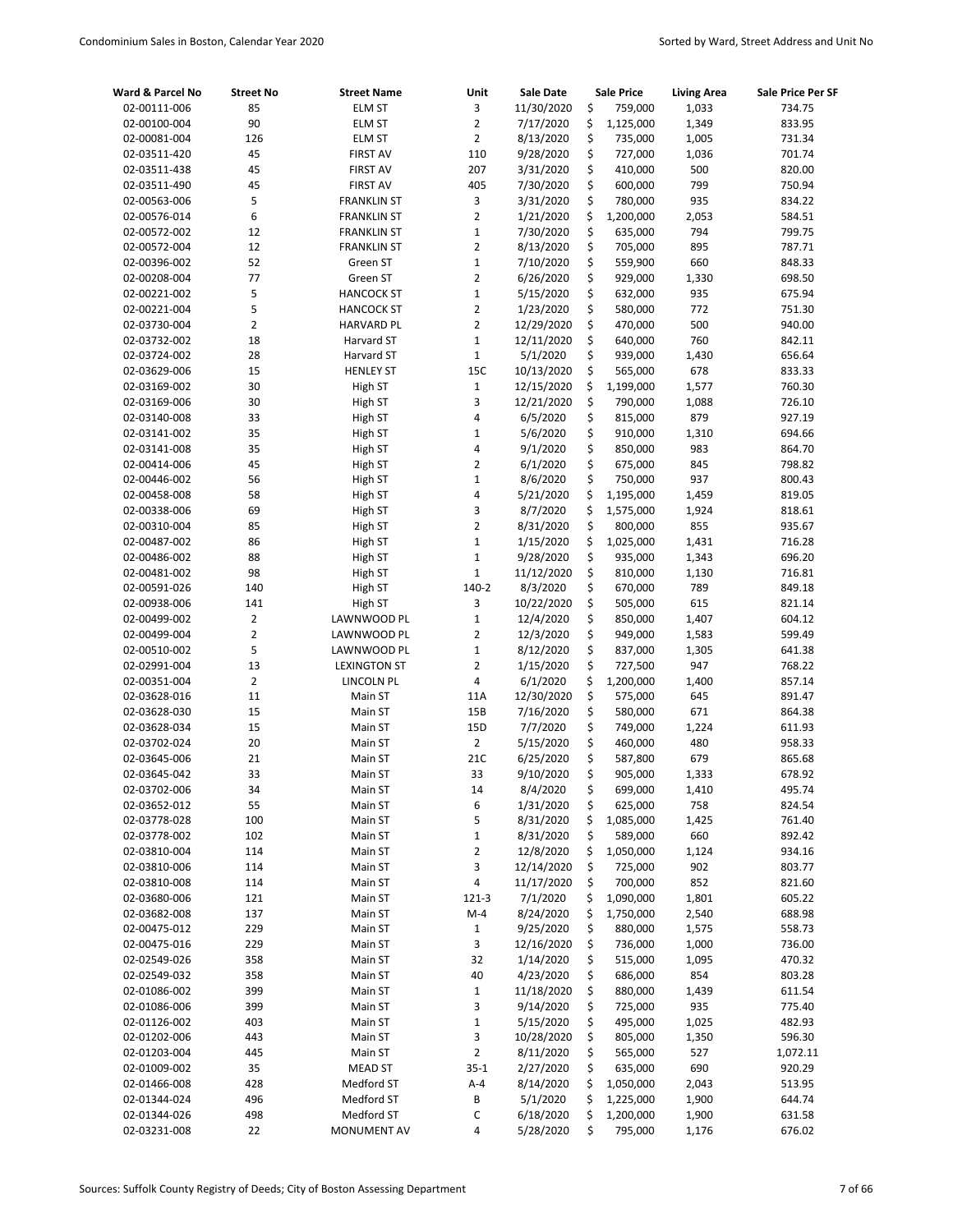| Ward & Parcel No             | <b>Street No</b> | <b>Street Name</b>  | Unit                  | Sale Date             |          | Sale Price           | <b>Living Area</b> | Sale Price Per SF |
|------------------------------|------------------|---------------------|-----------------------|-----------------------|----------|----------------------|--------------------|-------------------|
| 02-00111-006                 | 85               | <b>ELM ST</b>       | 3                     | 11/30/2020            | \$       | 759,000              | 1,033              | 734.75            |
| 02-00100-004                 | 90               | <b>ELM ST</b>       | $\overline{2}$        | 7/17/2020             | \$       | 1,125,000            | 1,349              | 833.95            |
| 02-00081-004                 | 126              | <b>ELM ST</b>       | $\overline{2}$        | 8/13/2020             | \$       | 735,000              | 1,005              | 731.34            |
| 02-03511-420                 | 45               | <b>FIRST AV</b>     | 110                   | 9/28/2020             | \$       | 727,000              | 1,036              | 701.74            |
| 02-03511-438                 | 45               | <b>FIRST AV</b>     | 207                   | 3/31/2020             | \$       | 410,000              | 500                | 820.00            |
| 02-03511-490                 | 45               | <b>FIRST AV</b>     | 405                   | 7/30/2020             | \$       | 600,000              | 799                | 750.94            |
| 02-00563-006                 | 5                | <b>FRANKLIN ST</b>  | 3                     | 3/31/2020             | \$       | 780,000              | 935                | 834.22            |
| 02-00576-014                 | 6                | <b>FRANKLIN ST</b>  | $\overline{2}$        | 1/21/2020             | \$       | 1,200,000            | 2,053              | 584.51            |
| 02-00572-002                 | 12               | <b>FRANKLIN ST</b>  | $\mathbf 1$           | 7/30/2020             | \$       | 635,000              | 794                | 799.75            |
| 02-00572-004                 | 12               | <b>FRANKLIN ST</b>  | $\overline{2}$        | 8/13/2020             | \$       | 705,000              | 895                | 787.71            |
| 02-00396-002                 | 52               | Green ST            | $1\,$                 | 7/10/2020             | \$       | 559,900              | 660                | 848.33            |
| 02-00208-004                 | 77               | Green ST            | $\overline{2}$        | 6/26/2020             | \$       | 929,000              | 1,330              | 698.50            |
| 02-00221-002                 | 5                | <b>HANCOCK ST</b>   | $\mathbf 1$           | 5/15/2020             | \$       | 632,000              | 935                | 675.94            |
| 02-00221-004                 | 5                | <b>HANCOCK ST</b>   | $\overline{2}$        | 1/23/2020             | \$       | 580,000              | 772                | 751.30            |
| 02-03730-004                 | $\overline{2}$   | <b>HARVARD PL</b>   | $\overline{2}$        | 12/29/2020            | \$       | 470,000              | 500                | 940.00            |
| 02-03732-002                 | 18               | Harvard ST          | $\mathbf{1}$          | 12/11/2020            | \$       | 640,000              | 760                | 842.11            |
| 02-03724-002                 | 28               | Harvard ST          | $1\,$                 | 5/1/2020              | \$       | 939,000              | 1,430              | 656.64            |
| 02-03629-006                 | 15               | <b>HENLEY ST</b>    | 15C                   | 10/13/2020            | \$       | 565,000              | 678                | 833.33            |
| 02-03169-002                 | 30               | High ST             | $1\,$                 | 12/15/2020            | \$       | 1,199,000            | 1,577              | 760.30            |
| 02-03169-006                 | 30               | High ST             | 3                     | 12/21/2020            | \$       | 790,000              | 1,088              | 726.10            |
| 02-03140-008                 | 33               | High ST             | 4                     | 6/5/2020              | \$       | 815,000              | 879                | 927.19            |
| 02-03141-002                 | 35               | High ST             | $\mathbf{1}$          | 5/6/2020              | \$       | 910,000              | 1,310              | 694.66            |
| 02-03141-008                 | 35               | High ST             | 4                     | 9/1/2020              | \$       | 850,000              | 983                | 864.70            |
| 02-00414-006                 | 45               | High ST             | $\overline{2}$        | 6/1/2020              | \$       | 675,000              | 845                | 798.82            |
| 02-00446-002                 | 56               | High ST             | $\mathbf 1$           | 8/6/2020              | \$       | 750,000              | 937                | 800.43            |
| 02-00458-008                 | 58               | High ST             | 4                     | 5/21/2020             | \$       | 1,195,000            | 1,459              | 819.05            |
| 02-00338-006                 | 69               | High ST             | 3                     | 8/7/2020              | \$       | 1,575,000            | 1,924              | 818.61            |
| 02-00310-004                 | 85               | High ST             | $\overline{2}$        | 8/31/2020             | \$       | 800,000              | 855                | 935.67            |
| 02-00487-002                 | 86               | High ST             | $\mathbf 1$           | 1/15/2020             | \$       | 1,025,000            | 1,431              | 716.28            |
| 02-00486-002                 | 88               | High ST             | $\mathbf 1$           | 9/28/2020             | \$       | 935,000              | 1,343              | 696.20            |
| 02-00481-002                 | 98               | High ST             | $\mathbf{1}$          | 11/12/2020            | \$       | 810,000              | 1,130              | 716.81            |
| 02-00591-026                 | 140              | High ST             | 140-2                 | 8/3/2020              | \$       | 670,000              | 789                | 849.18            |
| 02-00938-006                 | 141              | High ST             | 3                     | 10/22/2020            | \$       | 505,000              | 615                | 821.14            |
| 02-00499-002                 | $\overline{2}$   | LAWNWOOD PL         | $\mathbf 1$           | 12/4/2020             | \$       | 850,000              | 1,407              | 604.12            |
| 02-00499-004                 | $\overline{2}$   | LAWNWOOD PL         | $\overline{2}$        | 12/3/2020             | \$       | 949,000              | 1,583              | 599.49            |
| 02-00510-002                 | 5                | LAWNWOOD PL         | $\mathbf 1$           | 8/12/2020             | \$       | 837,000              | 1,305              | 641.38            |
| 02-02991-004                 | 13               | <b>LEXINGTON ST</b> | $\overline{2}$        | 1/15/2020             | \$       | 727,500              | 947                | 768.22            |
| 02-00351-004                 | $\overline{2}$   | LINCOLN PL          | 4                     | 6/1/2020              | \$       | 1,200,000            | 1,400              | 857.14            |
| 02-03628-016                 | 11               | Main ST             | 11A                   | 12/30/2020            | \$       | 575,000              | 645                | 891.47            |
| 02-03628-030                 | 15               | Main ST             | 15B                   | 7/16/2020             | \$       | 580,000              | 671                | 864.38            |
| 02-03628-034                 | 15               | Main ST             | 15D                   | 7/7/2020              | \$       | 749,000              | 1,224              | 611.93            |
| 02-03702-024                 | 20               | Main ST             | $\overline{2}$<br>21C | 5/15/2020             | \$<br>\$ | 460,000              | 480                | 958.33            |
| 02-03645-006<br>02-03645-042 | 21               | Main ST             | 33                    | 6/25/2020             | \$       | 587,800              | 679                | 865.68            |
| 02-03702-006                 | 33               | Main ST             |                       | 9/10/2020             |          | 905,000              | 1,333              | 678.92            |
|                              | 34<br>55         | Main ST             | 14                    | 8/4/2020<br>1/31/2020 | \$<br>\$ | 699,000              | 1,410<br>758       | 495.74            |
| 02-03652-012<br>02-03778-028 | 100              | Main ST<br>Main ST  | 6<br>5                | 8/31/2020             | \$       | 625,000<br>1,085,000 | 1,425              | 824.54<br>761.40  |
| 02-03778-002                 | 102              | Main ST             | $\mathbf{1}$          | 8/31/2020             | \$       | 589,000              | 660                | 892.42            |
| 02-03810-004                 | 114              | Main ST             | 2                     | 12/8/2020             | \$       | 1,050,000            | 1,124              | 934.16            |
| 02-03810-006                 | 114              | Main ST             | 3                     | 12/14/2020            | \$       | 725,000              | 902                | 803.77            |
| 02-03810-008                 | 114              | Main ST             | 4                     | 11/17/2020            | \$       | 700,000              | 852                | 821.60            |
| 02-03680-006                 | 121              | Main ST             | $121 - 3$             | 7/1/2020              | \$       | 1,090,000            | 1,801              | 605.22            |
| 02-03682-008                 | 137              | Main ST             | $M-4$                 | 8/24/2020             | \$       | 1,750,000            | 2,540              | 688.98            |
| 02-00475-012                 | 229              | Main ST             | $\mathbf{1}$          | 9/25/2020             | \$       | 880,000              | 1,575              | 558.73            |
| 02-00475-016                 | 229              | Main ST             | 3                     | 12/16/2020            | \$       | 736,000              | 1,000              | 736.00            |
| 02-02549-026                 | 358              | Main ST             | 32                    | 1/14/2020             | \$       | 515,000              | 1,095              | 470.32            |
| 02-02549-032                 | 358              | Main ST             | 40                    | 4/23/2020             | \$       | 686,000              | 854                | 803.28            |
| 02-01086-002                 | 399              | Main ST             | $\mathbf{1}$          | 11/18/2020            | \$       | 880,000              | 1,439              | 611.54            |
| 02-01086-006                 | 399              | Main ST             | 3                     | 9/14/2020             | \$       | 725,000              | 935                | 775.40            |
| 02-01126-002                 | 403              | Main ST             | $\mathbf{1}$          | 5/15/2020             | \$       | 495,000              | 1,025              | 482.93            |
| 02-01202-006                 | 443              | Main ST             | 3                     | 10/28/2020            | \$       | 805,000              | 1,350              | 596.30            |
| 02-01203-004                 | 445              | Main ST             | $\overline{2}$        | 8/11/2020             | \$       | 565,000              | 527                | 1,072.11          |
| 02-01009-002                 | 35               | MEAD ST             | $35 - 1$              | 2/27/2020             | \$       | 635,000              | 690                | 920.29            |
| 02-01466-008                 | 428              | Medford ST          | A-4                   | 8/14/2020             | \$       | 1,050,000            | 2,043              | 513.95            |
| 02-01344-024                 | 496              | Medford ST          | В                     | 5/1/2020              | \$       | 1,225,000            | 1,900              | 644.74            |
| 02-01344-026                 | 498              | Medford ST          | С                     | 6/18/2020             | \$       | 1,200,000            | 1,900              | 631.58            |
| 02-03231-008                 | 22               | <b>MONUMENT AV</b>  | 4                     | 5/28/2020             | \$       | 795,000              | 1,176              | 676.02            |
|                              |                  |                     |                       |                       |          |                      |                    |                   |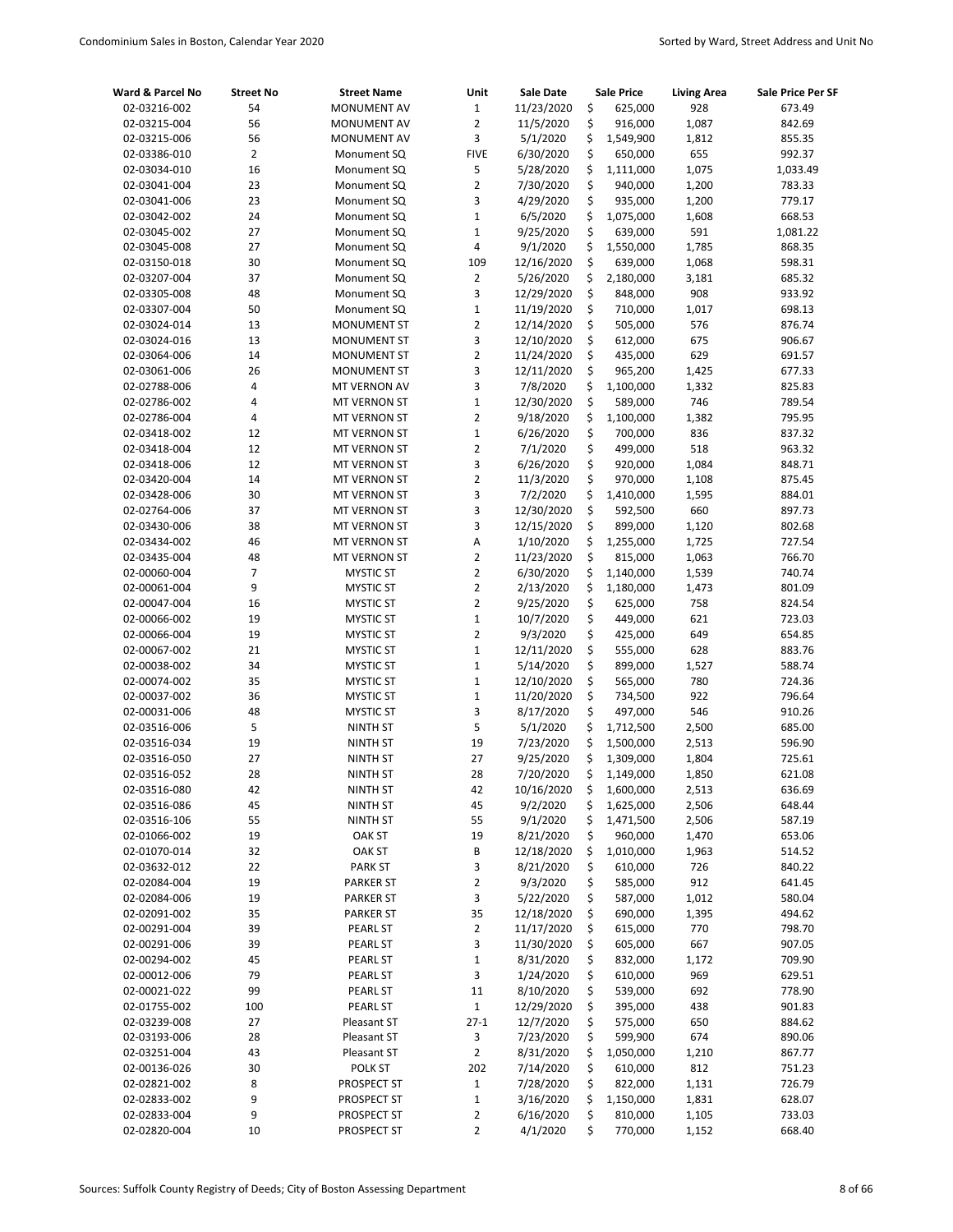| Ward & Parcel No             | <b>Street No</b> | <b>Street Name</b>               | Unit                    | Sale Date               |          | <b>Sale Price</b>    | <b>Living Area</b> | Sale Price Per SF |
|------------------------------|------------------|----------------------------------|-------------------------|-------------------------|----------|----------------------|--------------------|-------------------|
| 02-03216-002                 | 54               | <b>MONUMENT AV</b>               | $\mathbf 1$             | 11/23/2020              | \$       | 625,000              | 928                | 673.49            |
| 02-03215-004                 | 56               | <b>MONUMENT AV</b>               | $\overline{2}$          | 11/5/2020               | \$       | 916,000              | 1,087              | 842.69            |
| 02-03215-006                 | 56               | <b>MONUMENT AV</b>               | 3                       | 5/1/2020                | \$       | 1,549,900            | 1,812              | 855.35            |
| 02-03386-010                 | $\overline{2}$   | Monument SQ                      | <b>FIVE</b>             | 6/30/2020               | \$       | 650,000              | 655                | 992.37            |
| 02-03034-010                 | 16               | Monument SQ                      | 5                       | 5/28/2020               | \$       | 1,111,000            | 1,075              | 1,033.49          |
| 02-03041-004                 | 23               | Monument SQ                      | $\overline{2}$          | 7/30/2020               | \$       | 940,000              | 1,200              | 783.33            |
| 02-03041-006                 | 23               | Monument SQ                      | 3                       | 4/29/2020               | \$       | 935,000              | 1,200              | 779.17            |
| 02-03042-002                 | 24               | Monument SQ                      | $\mathbf 1$             | 6/5/2020                | \$       | 1,075,000            | 1,608              | 668.53            |
| 02-03045-002                 | 27               | Monument SQ                      | 1                       | 9/25/2020               | \$       | 639,000              | 591                | 1,081.22          |
| 02-03045-008                 | 27               | Monument SQ                      | 4                       | 9/1/2020                | \$       | 1,550,000            | 1,785              | 868.35            |
| 02-03150-018                 | 30               | Monument SQ                      | 109                     | 12/16/2020              | \$       | 639,000              | 1,068              | 598.31            |
| 02-03207-004                 | 37               | Monument SQ                      | 2                       | 5/26/2020               | \$       | 2,180,000            | 3,181              | 685.32            |
| 02-03305-008                 | 48               | Monument SQ                      | 3                       | 12/29/2020              | \$       | 848,000              | 908                | 933.92            |
| 02-03307-004                 | 50               | Monument SQ                      | $\mathbf 1$             | 11/19/2020              | \$       | 710,000              | 1,017              | 698.13            |
| 02-03024-014                 | 13               | <b>MONUMENT ST</b>               | 2                       | 12/14/2020              | \$       | 505,000              | 576                | 876.74            |
| 02-03024-016                 | 13               | <b>MONUMENT ST</b>               | 3                       | 12/10/2020              | \$       | 612,000              | 675                | 906.67            |
| 02-03064-006                 | 14               | <b>MONUMENT ST</b>               | $\overline{\mathbf{c}}$ | 11/24/2020              | \$       | 435,000              | 629                | 691.57            |
| 02-03061-006                 | 26               | <b>MONUMENT ST</b>               | 3                       | 12/11/2020              | \$       | 965,200              | 1,425              | 677.33            |
| 02-02788-006                 | 4                | MT VERNON AV                     | 3                       | 7/8/2020                | \$       | 1,100,000            | 1,332              | 825.83            |
| 02-02786-002                 | 4                | MT VERNON ST                     | $\mathbf{1}$            | 12/30/2020              | \$       | 589,000              | 746                | 789.54            |
| 02-02786-004                 | 4                | MT VERNON ST                     | $\overline{2}$          | 9/18/2020               | \$       | 1,100,000            | 1,382              | 795.95            |
| 02-03418-002                 | 12               | MT VERNON ST                     | $\mathbf{1}$            | 6/26/2020               | \$       | 700,000              | 836                | 837.32            |
| 02-03418-004                 | 12               | MT VERNON ST                     | $\overline{2}$          | 7/1/2020                | \$       | 499,000              | 518                | 963.32            |
| 02-03418-006                 | 12               | MT VERNON ST                     | 3<br>$\overline{2}$     | 6/26/2020               | \$<br>\$ | 920,000              | 1,084              | 848.71            |
| 02-03420-004                 | 14               | MT VERNON ST                     |                         | 11/3/2020               |          | 970,000              | 1,108              | 875.45            |
| 02-03428-006                 | 30               | MT VERNON ST                     | 3<br>3                  | 7/2/2020                | \$       | 1,410,000            | 1,595              | 884.01            |
| 02-02764-006                 | 37               | MT VERNON ST                     | 3                       | 12/30/2020              | \$<br>\$ | 592,500              | 660                | 897.73            |
| 02-03430-006                 | 38<br>46         | MT VERNON ST                     | Α                       | 12/15/2020<br>1/10/2020 | \$       | 899,000              | 1,120<br>1,725     | 802.68<br>727.54  |
| 02-03434-002                 | 48               | MT VERNON ST                     | $\overline{2}$          | 11/23/2020              | \$       | 1,255,000<br>815,000 | 1,063              | 766.70            |
| 02-03435-004<br>02-00060-004 | 7                | MT VERNON ST<br><b>MYSTIC ST</b> | $\overline{2}$          | 6/30/2020               | \$       | 1,140,000            | 1,539              | 740.74            |
| 02-00061-004                 | 9                | <b>MYSTIC ST</b>                 | $\overline{2}$          | 2/13/2020               | \$       | 1,180,000            | 1,473              | 801.09            |
| 02-00047-004                 | 16               | <b>MYSTIC ST</b>                 | 2                       | 9/25/2020               | \$       | 625,000              | 758                | 824.54            |
| 02-00066-002                 | 19               | <b>MYSTIC ST</b>                 | $\mathbf{1}$            | 10/7/2020               | \$       | 449,000              | 621                | 723.03            |
| 02-00066-004                 | 19               | <b>MYSTIC ST</b>                 | $\overline{2}$          | 9/3/2020                | \$       | 425,000              | 649                | 654.85            |
| 02-00067-002                 | 21               | <b>MYSTIC ST</b>                 | $\mathbf 1$             | 12/11/2020              | \$       | 555,000              | 628                | 883.76            |
| 02-00038-002                 | 34               | <b>MYSTIC ST</b>                 | $\mathbf{1}$            | 5/14/2020               | \$       | 899,000              | 1,527              | 588.74            |
| 02-00074-002                 | 35               | <b>MYSTIC ST</b>                 | $\mathbf{1}$            | 12/10/2020              | \$       | 565,000              | 780                | 724.36            |
| 02-00037-002                 | 36               | <b>MYSTIC ST</b>                 | $\mathbf 1$             | 11/20/2020              | \$       | 734,500              | 922                | 796.64            |
| 02-00031-006                 | 48               | <b>MYSTIC ST</b>                 | 3                       | 8/17/2020               | \$       | 497,000              | 546                | 910.26            |
| 02-03516-006                 | 5                | <b>NINTH ST</b>                  | 5                       | 5/1/2020                | \$       | 1,712,500            | 2,500              | 685.00            |
| 02-03516-034                 | 19               | <b>NINTH ST</b>                  | 19                      | 7/23/2020               | \$       | 1,500,000            | 2,513              | 596.90            |
| 02-03516-050                 | 27               | <b>NINTH ST</b>                  | 27                      | 9/25/2020               | \$       | 1,309,000            | 1,804              | 725.61            |
| 02-03516-052                 | 28               | <b>NINTH ST</b>                  | 28                      | 7/20/2020               | Ś        | 1,149,000            | 1,850              | 621.08            |
| 02-03516-080                 | 42               | <b>NINTH ST</b>                  | 42                      | 10/16/2020              | \$       | 1,600,000            | 2,513              | 636.69            |
| 02-03516-086                 | 45               | <b>NINTH ST</b>                  | 45                      | 9/2/2020                | \$       | 1,625,000            | 2,506              | 648.44            |
| 02-03516-106                 | 55               | NINTH ST                         | 55                      | 9/1/2020                | \$       | 1,471,500            | 2,506              | 587.19            |
| 02-01066-002                 | 19               | OAK ST                           | 19                      | 8/21/2020               | \$       | 960,000              | 1,470              | 653.06            |
| 02-01070-014                 | 32               | OAK ST                           | В                       | 12/18/2020              | \$       | 1,010,000            | 1,963              | 514.52            |
| 02-03632-012                 | 22               | <b>PARK ST</b>                   | 3                       | 8/21/2020               | \$       | 610,000              | 726                | 840.22            |
| 02-02084-004                 | 19               | <b>PARKER ST</b>                 | 2                       | 9/3/2020                | \$       | 585,000              | 912                | 641.45            |
| 02-02084-006                 | 19               | <b>PARKER ST</b>                 | 3                       | 5/22/2020               | \$       | 587,000              | 1,012              | 580.04            |
| 02-02091-002                 | 35               | <b>PARKER ST</b>                 | 35                      | 12/18/2020              | \$       | 690,000              | 1,395              | 494.62            |
| 02-00291-004                 | 39               | PEARL ST                         | 2                       | 11/17/2020              | \$       | 615,000              | 770                | 798.70            |
| 02-00291-006                 | 39               | PEARL ST                         | 3                       | 11/30/2020              | \$       | 605,000              | 667                | 907.05            |
| 02-00294-002                 | 45               | PEARL ST                         | $\mathbf 1$             | 8/31/2020               | \$       | 832,000              | 1,172              | 709.90            |
| 02-00012-006                 | 79               | PEARL ST                         | 3                       | 1/24/2020               | \$       | 610,000              | 969                | 629.51            |
| 02-00021-022                 | 99               | PEARL ST                         | 11                      | 8/10/2020               | \$       | 539,000              | 692                | 778.90            |
| 02-01755-002                 | 100              | PEARL ST                         | $\mathbf 1$             | 12/29/2020              | \$       | 395,000              | 438                | 901.83            |
| 02-03239-008                 | 27               | Pleasant ST                      | $27-1$                  | 12/7/2020               | \$       | 575,000              | 650                | 884.62            |
| 02-03193-006                 | 28               | Pleasant ST                      | 3                       | 7/23/2020               | \$       | 599,900              | 674                | 890.06            |
| 02-03251-004                 | 43               | Pleasant ST                      | $\overline{2}$          | 8/31/2020               | \$       | 1,050,000            | 1,210              | 867.77            |
| 02-00136-026                 | 30               | POLK ST                          | 202                     | 7/14/2020               | \$       | 610,000              | 812                | 751.23            |
| 02-02821-002                 | 8                | PROSPECT ST                      | $\mathbf 1$             | 7/28/2020               | \$       | 822,000              | 1,131              | 726.79            |
| 02-02833-002                 | 9                | PROSPECT ST                      | $\mathbf 1$             | 3/16/2020               | \$       | 1,150,000            | 1,831              | 628.07            |
| 02-02833-004                 | 9                | PROSPECT ST                      | 2                       | 6/16/2020               | \$       | 810,000              | 1,105              | 733.03            |
| 02-02820-004                 | 10               | PROSPECT ST                      | 2                       | 4/1/2020                | \$       | 770,000              | 1,152              | 668.40            |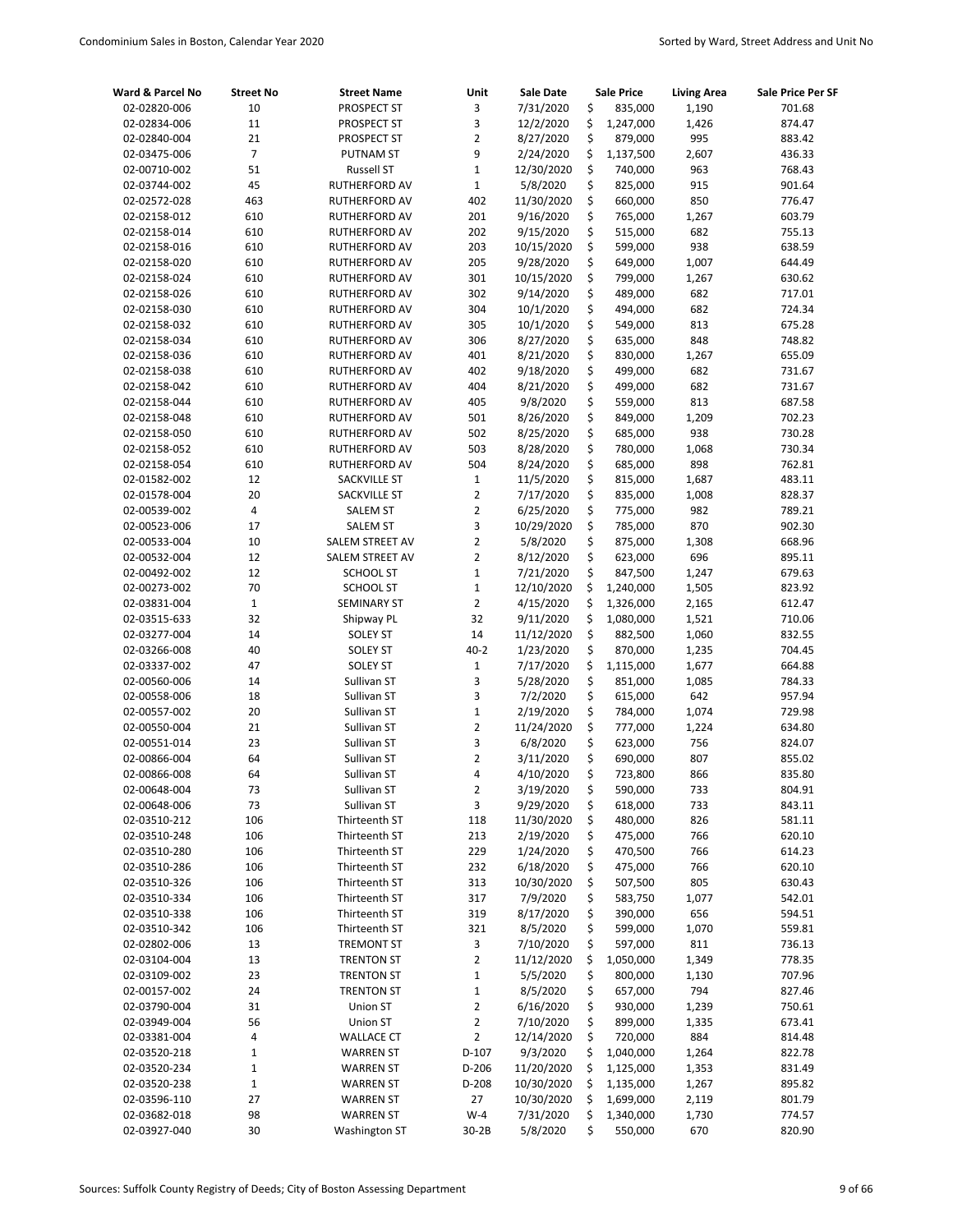| Ward & Parcel No | <b>Street No</b> | <b>Street Name</b>   | Unit           | Sale Date  | Sale Price      | <b>Living Area</b> | Sale Price Per SF |
|------------------|------------------|----------------------|----------------|------------|-----------------|--------------------|-------------------|
| 02-02820-006     | 10               | PROSPECT ST          | 3              | 7/31/2020  | \$<br>835,000   | 1,190              | 701.68            |
| 02-02834-006     | 11               | PROSPECT ST          | 3              | 12/2/2020  | \$<br>1,247,000 | 1,426              | 874.47            |
| 02-02840-004     | 21               | PROSPECT ST          | $\overline{2}$ | 8/27/2020  | \$<br>879,000   | 995                | 883.42            |
| 02-03475-006     | $\overline{7}$   | <b>PUTNAM ST</b>     | 9              | 2/24/2020  | \$<br>1,137,500 | 2,607              | 436.33            |
| 02-00710-002     | 51               | <b>Russell ST</b>    | $\mathbf 1$    | 12/30/2020 | \$<br>740,000   | 963                | 768.43            |
| 02-03744-002     | 45               | RUTHERFORD AV        | $\mathbf 1$    | 5/8/2020   | \$<br>825,000   | 915                | 901.64            |
| 02-02572-028     | 463              | RUTHERFORD AV        | 402            | 11/30/2020 | \$<br>660,000   | 850                | 776.47            |
| 02-02158-012     | 610              | <b>RUTHERFORD AV</b> | 201            | 9/16/2020  | \$<br>765,000   | 1,267              | 603.79            |
| 02-02158-014     | 610              | RUTHERFORD AV        | 202            | 9/15/2020  | \$<br>515,000   | 682                | 755.13            |
| 02-02158-016     | 610              | <b>RUTHERFORD AV</b> | 203            | 10/15/2020 | \$<br>599,000   | 938                | 638.59            |
| 02-02158-020     | 610              | RUTHERFORD AV        | 205            | 9/28/2020  | \$<br>649,000   | 1,007              | 644.49            |
| 02-02158-024     | 610              | <b>RUTHERFORD AV</b> | 301            | 10/15/2020 | \$<br>799,000   | 1,267              | 630.62            |
| 02-02158-026     | 610              | RUTHERFORD AV        | 302            | 9/14/2020  | \$<br>489,000   | 682                | 717.01            |
| 02-02158-030     | 610              | RUTHERFORD AV        | 304            | 10/1/2020  | \$<br>494,000   | 682                | 724.34            |
| 02-02158-032     | 610              | RUTHERFORD AV        | 305            | 10/1/2020  | \$<br>549,000   | 813                | 675.28            |
| 02-02158-034     | 610              | RUTHERFORD AV        | 306            | 8/27/2020  | \$<br>635,000   | 848                | 748.82            |
| 02-02158-036     | 610              | RUTHERFORD AV        | 401            | 8/21/2020  | \$<br>830,000   | 1,267              | 655.09            |
| 02-02158-038     | 610              | RUTHERFORD AV        | 402            | 9/18/2020  | \$<br>499,000   | 682                | 731.67            |
| 02-02158-042     | 610              | RUTHERFORD AV        | 404            | 8/21/2020  | \$<br>499,000   | 682                | 731.67            |
| 02-02158-044     | 610              | RUTHERFORD AV        | 405            | 9/8/2020   | \$<br>559,000   | 813                | 687.58            |
| 02-02158-048     | 610              | <b>RUTHERFORD AV</b> | 501            | 8/26/2020  | \$<br>849,000   | 1,209              | 702.23            |
| 02-02158-050     | 610              | RUTHERFORD AV        | 502            | 8/25/2020  | \$<br>685,000   | 938                | 730.28            |
| 02-02158-052     | 610              | RUTHERFORD AV        | 503            | 8/28/2020  | \$<br>780,000   | 1,068              | 730.34            |
| 02-02158-054     | 610              | <b>RUTHERFORD AV</b> | 504            | 8/24/2020  | \$<br>685,000   | 898                | 762.81            |
| 02-01582-002     | 12               | SACKVILLE ST         | $\mathbf 1$    | 11/5/2020  | \$<br>815,000   | 1,687              | 483.11            |
| 02-01578-004     | 20               | SACKVILLE ST         | $\overline{2}$ | 7/17/2020  | \$<br>835,000   | 1,008              | 828.37            |
| 02-00539-002     | 4                | <b>SALEM ST</b>      | $\overline{2}$ | 6/25/2020  | \$<br>775,000   | 982                | 789.21            |
| 02-00523-006     | 17               | <b>SALEM ST</b>      | 3              | 10/29/2020 | \$<br>785,000   | 870                | 902.30            |
| 02-00533-004     | 10               | SALEM STREET AV      | $\overline{2}$ | 5/8/2020   | \$<br>875,000   | 1,308              | 668.96            |
| 02-00532-004     | 12               | SALEM STREET AV      | $\overline{2}$ | 8/12/2020  | \$<br>623,000   | 696                | 895.11            |
| 02-00492-002     | 12               | <b>SCHOOL ST</b>     | $\mathbf{1}$   | 7/21/2020  | \$<br>847,500   | 1,247              | 679.63            |
| 02-00273-002     | 70               | <b>SCHOOL ST</b>     | $\mathbf 1$    | 12/10/2020 | \$<br>1,240,000 | 1,505              | 823.92            |
| 02-03831-004     | $\mathbf{1}$     | <b>SEMINARY ST</b>   | $\overline{2}$ | 4/15/2020  | \$<br>1,326,000 | 2,165              | 612.47            |
| 02-03515-633     | 32               | Shipway PL           | 32             | 9/11/2020  | \$<br>1,080,000 | 1,521              | 710.06            |
| 02-03277-004     | 14               | <b>SOLEY ST</b>      | 14             | 11/12/2020 | \$<br>882,500   | 1,060              | 832.55            |
| 02-03266-008     | 40               | <b>SOLEY ST</b>      | $40 - 2$       | 1/23/2020  | \$<br>870,000   | 1,235              | 704.45            |
| 02-03337-002     | 47               | <b>SOLEY ST</b>      | $1\,$          | 7/17/2020  | \$<br>1,115,000 | 1,677              | 664.88            |
| 02-00560-006     | 14               | Sullivan ST          | 3              | 5/28/2020  | \$<br>851,000   | 1,085              | 784.33            |
| 02-00558-006     | 18               | Sullivan ST          | 3              | 7/2/2020   | \$<br>615,000   | 642                | 957.94            |
| 02-00557-002     | 20               | Sullivan ST          | $\mathbf 1$    | 2/19/2020  | \$<br>784,000   | 1,074              | 729.98            |
| 02-00550-004     | 21               | Sullivan ST          | $\overline{2}$ | 11/24/2020 | \$<br>777,000   | 1,224              | 634.80            |
| 02-00551-014     | 23               | Sullivan ST          | 3              | 6/8/2020   | \$<br>623,000   | 756                | 824.07            |
| 02-00866-004     | 64               | Sullivan ST          | $\overline{2}$ | 3/11/2020  | \$<br>690,000   | 807                | 855.02            |
| 02-00866-008     | 64               | Sullivan ST          | 4              | 4/10/2020  | \$<br>723,800   | 866                | 835.80            |
| 02-00648-004     | 73               | Sullivan ST          | 2              | 3/19/2020  | \$<br>590,000   | 733                | 804.91            |
| 02-00648-006     | 73               | Sullivan ST          | 3              | 9/29/2020  | \$<br>618,000   | 733                | 843.11            |
| 02-03510-212     | 106              | Thirteenth ST        | 118            | 11/30/2020 | \$<br>480,000   | 826                | 581.11            |
| 02-03510-248     | 106              | Thirteenth ST        | 213            | 2/19/2020  | \$<br>475,000   | 766                | 620.10            |
| 02-03510-280     | 106              | Thirteenth ST        | 229            | 1/24/2020  | \$<br>470,500   | 766                | 614.23            |
| 02-03510-286     | 106              | Thirteenth ST        | 232            | 6/18/2020  | \$<br>475,000   | 766                | 620.10            |
| 02-03510-326     | 106              | Thirteenth ST        | 313            | 10/30/2020 | \$<br>507,500   | 805                | 630.43            |
| 02-03510-334     | 106              | Thirteenth ST        | 317            | 7/9/2020   | \$<br>583,750   | 1,077              | 542.01            |
| 02-03510-338     | 106              | Thirteenth ST        | 319            | 8/17/2020  | \$<br>390,000   | 656                | 594.51            |
| 02-03510-342     | 106              | Thirteenth ST        | 321            | 8/5/2020   | \$<br>599,000   | 1,070              | 559.81            |
| 02-02802-006     | 13               | <b>TREMONT ST</b>    | 3              | 7/10/2020  | \$<br>597,000   | 811                | 736.13            |
| 02-03104-004     | 13               | <b>TRENTON ST</b>    | $\overline{2}$ | 11/12/2020 | \$<br>1,050,000 | 1,349              | 778.35            |
| 02-03109-002     | 23               | <b>TRENTON ST</b>    | $\mathbf{1}$   | 5/5/2020   | \$<br>800,000   | 1,130              | 707.96            |
| 02-00157-002     | 24               | <b>TRENTON ST</b>    | $\mathbf 1$    | 8/5/2020   | \$<br>657,000   | 794                | 827.46            |
| 02-03790-004     | 31               | Union ST             | $\overline{2}$ | 6/16/2020  | \$<br>930,000   | 1,239              | 750.61            |
| 02-03949-004     | 56               | Union ST             | $\overline{2}$ | 7/10/2020  | \$<br>899,000   | 1,335              | 673.41            |
| 02-03381-004     | 4                | <b>WALLACE CT</b>    | $\overline{2}$ | 12/14/2020 | \$<br>720,000   | 884                | 814.48            |
| 02-03520-218     | $\mathbf 1$      | <b>WARREN ST</b>     | $D-107$        | 9/3/2020   | \$<br>1,040,000 | 1,264              | 822.78            |
| 02-03520-234     | $\mathbf{1}$     | <b>WARREN ST</b>     | $D-206$        | 11/20/2020 | \$<br>1,125,000 | 1,353              | 831.49            |
| 02-03520-238     | $\mathbf{1}$     | <b>WARREN ST</b>     | D-208          | 10/30/2020 | \$<br>1,135,000 | 1,267              | 895.82            |
| 02-03596-110     | 27               | <b>WARREN ST</b>     | 27             | 10/30/2020 | \$<br>1,699,000 | 2,119              | 801.79            |
| 02-03682-018     | 98               | <b>WARREN ST</b>     | $W-4$          | 7/31/2020  | \$<br>1,340,000 | 1,730              | 774.57            |
| 02-03927-040     | 30               | <b>Washington ST</b> | $30-2B$        | 5/8/2020   | \$<br>550,000   | 670                | 820.90            |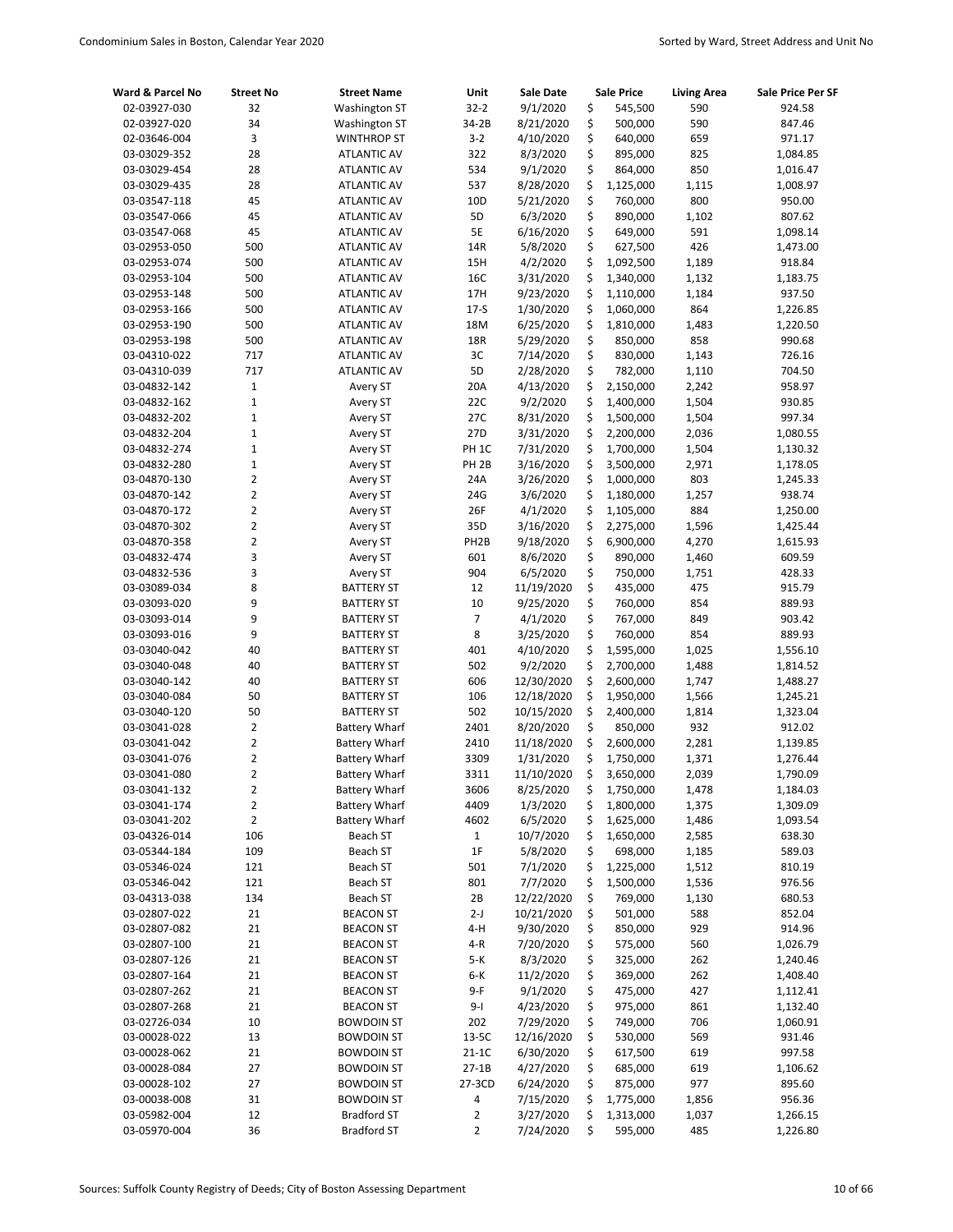| Ward & Parcel No | <b>Street No</b> | <b>Street Name</b>   | Unit              | <b>Sale Date</b> |    | Sale Price | <b>Living Area</b> | <b>Sale Price Per SF</b> |
|------------------|------------------|----------------------|-------------------|------------------|----|------------|--------------------|--------------------------|
| 02-03927-030     | 32               | <b>Washington ST</b> | $32 - 2$          | 9/1/2020         | \$ | 545,500    | 590                | 924.58                   |
| 02-03927-020     | 34               | <b>Washington ST</b> | 34-2B             | 8/21/2020        | \$ | 500,000    | 590                | 847.46                   |
| 02-03646-004     | 3                | <b>WINTHROP ST</b>   | $3 - 2$           | 4/10/2020        | \$ | 640,000    | 659                | 971.17                   |
| 03-03029-352     | 28               | <b>ATLANTIC AV</b>   | 322               | 8/3/2020         | \$ | 895,000    | 825                | 1,084.85                 |
| 03-03029-454     | 28               | <b>ATLANTIC AV</b>   | 534               | 9/1/2020         | \$ | 864,000    | 850                | 1,016.47                 |
| 03-03029-435     | 28               | <b>ATLANTIC AV</b>   | 537               | 8/28/2020        | \$ | 1,125,000  | 1,115              | 1,008.97                 |
| 03-03547-118     | 45               | <b>ATLANTIC AV</b>   | 10 <sub>D</sub>   | 5/21/2020        | \$ | 760,000    | 800                | 950.00                   |
| 03-03547-066     | 45               | <b>ATLANTIC AV</b>   | 5D                | 6/3/2020         | \$ | 890,000    | 1,102              | 807.62                   |
| 03-03547-068     | 45               | <b>ATLANTIC AV</b>   | 5E                | 6/16/2020        | \$ | 649,000    | 591                | 1,098.14                 |
| 03-02953-050     | 500              | <b>ATLANTIC AV</b>   | 14R               | 5/8/2020         | \$ | 627,500    | 426                | 1,473.00                 |
| 03-02953-074     | 500              | <b>ATLANTIC AV</b>   | 15H               | 4/2/2020         | \$ | 1,092,500  | 1,189              | 918.84                   |
| 03-02953-104     | 500              | <b>ATLANTIC AV</b>   | 16C               | 3/31/2020        | \$ | 1,340,000  | 1,132              | 1,183.75                 |
| 03-02953-148     | 500              | <b>ATLANTIC AV</b>   | 17H               | 9/23/2020        | \$ | 1,110,000  | 1,184              | 937.50                   |
| 03-02953-166     | 500              | <b>ATLANTIC AV</b>   | $17-5$            | 1/30/2020        | \$ | 1,060,000  | 864                | 1,226.85                 |
| 03-02953-190     | 500              | <b>ATLANTIC AV</b>   | 18M               | 6/25/2020        | \$ | 1,810,000  | 1,483              | 1,220.50                 |
| 03-02953-198     | 500              | <b>ATLANTIC AV</b>   | 18R               | 5/29/2020        | \$ | 850,000    | 858                | 990.68                   |
| 03-04310-022     | 717              | <b>ATLANTIC AV</b>   | 3C                | 7/14/2020        | \$ | 830,000    | 1,143              | 726.16                   |
| 03-04310-039     | 717              | <b>ATLANTIC AV</b>   | 5D                | 2/28/2020        | \$ | 782,000    | 1,110              | 704.50                   |
| 03-04832-142     | $\mathbf 1$      | Avery ST             | 20A               | 4/13/2020        | \$ | 2,150,000  | 2,242              | 958.97                   |
| 03-04832-162     | $\mathbf{1}$     | Avery ST             | 22C               | 9/2/2020         | \$ | 1,400,000  | 1,504              | 930.85                   |
| 03-04832-202     | 1                | Avery ST             | 27C               | 8/31/2020        | \$ | 1,500,000  | 1,504              | 997.34                   |
| 03-04832-204     | 1                | Avery ST             | 27D               | 3/31/2020        | \$ | 2,200,000  | 2,036              | 1,080.55                 |
| 03-04832-274     | 1                | Avery ST             | PH <sub>1C</sub>  | 7/31/2020        | \$ | 1,700,000  | 1,504              | 1,130.32                 |
| 03-04832-280     | 1                | Avery ST             | PH <sub>2B</sub>  | 3/16/2020        | \$ | 3,500,000  | 2,971              | 1,178.05                 |
| 03-04870-130     | 2                | Avery ST             | 24A               | 3/26/2020        | \$ | 1,000,000  | 803                | 1,245.33                 |
| 03-04870-142     | 2                | Avery ST             | 24G               | 3/6/2020         | \$ | 1,180,000  | 1,257              | 938.74                   |
| 03-04870-172     | 2                | Avery ST             | 26F               | 4/1/2020         | \$ | 1,105,000  | 884                | 1,250.00                 |
| 03-04870-302     | 2                | Avery ST             | 35D               | 3/16/2020        | \$ | 2,275,000  | 1,596              | 1,425.44                 |
| 03-04870-358     | 2                | Avery ST             | PH <sub>2</sub> B | 9/18/2020        | \$ | 6,900,000  | 4,270              | 1,615.93                 |
| 03-04832-474     | 3                | Avery ST             | 601               | 8/6/2020         | \$ | 890,000    | 1,460              | 609.59                   |
| 03-04832-536     | 3                | Avery ST             | 904               | 6/5/2020         | \$ | 750,000    | 1,751              | 428.33                   |
| 03-03089-034     | 8                | <b>BATTERY ST</b>    | 12                | 11/19/2020       | \$ | 435,000    | 475                | 915.79                   |
| 03-03093-020     | 9                | <b>BATTERY ST</b>    | 10                | 9/25/2020        | \$ | 760,000    | 854                | 889.93                   |
| 03-03093-014     | 9                | <b>BATTERY ST</b>    | $\overline{7}$    | 4/1/2020         | \$ | 767,000    | 849                | 903.42                   |
| 03-03093-016     | 9                | <b>BATTERY ST</b>    | 8                 | 3/25/2020        | \$ | 760,000    | 854                | 889.93                   |
| 03-03040-042     | 40               | <b>BATTERY ST</b>    | 401               | 4/10/2020        | \$ | 1,595,000  | 1,025              | 1,556.10                 |
| 03-03040-048     | 40               | <b>BATTERY ST</b>    | 502               | 9/2/2020         | \$ | 2,700,000  | 1,488              | 1,814.52                 |
| 03-03040-142     | 40               | <b>BATTERY ST</b>    | 606               | 12/30/2020       | \$ | 2,600,000  | 1,747              | 1,488.27                 |
| 03-03040-084     | 50               | <b>BATTERY ST</b>    | 106               | 12/18/2020       | \$ | 1,950,000  | 1,566              | 1,245.21                 |
| 03-03040-120     | 50               | <b>BATTERY ST</b>    | 502               | 10/15/2020       | \$ | 2,400,000  | 1,814              | 1,323.04                 |
| 03-03041-028     | $\overline{2}$   | <b>Battery Wharf</b> | 2401              | 8/20/2020        | \$ | 850,000    | 932                | 912.02                   |
| 03-03041-042     | 2                | <b>Battery Wharf</b> | 2410              | 11/18/2020       | \$ | 2,600,000  | 2,281              | 1,139.85                 |
| 03-03041-076     | 2                | <b>Battery Wharf</b> | 3309              | 1/31/2020        | \$ | 1,750,000  | 1,371              | 1,276.44                 |
| 03-03041-080     | 2                | <b>Battery Wharf</b> | 3311              | 11/10/2020       | Ś  | 3,650,000  | 2,039              | 1,790.09                 |
| 03-03041-132     | 2                | <b>Battery Wharf</b> | 3606              | 8/25/2020        | \$ | 1,750,000  | 1,478              | 1,184.03                 |
| 03-03041-174     | 2                | <b>Battery Wharf</b> | 4409              | 1/3/2020         | \$ | 1,800,000  | 1,375              | 1,309.09                 |
| 03-03041-202     | 2                | <b>Battery Wharf</b> | 4602              | 6/5/2020         | \$ | 1,625,000  | 1,486              | 1,093.54                 |
| 03-04326-014     | 106              | Beach ST             | $\mathbf{1}$      | 10/7/2020        | \$ | 1,650,000  | 2,585              | 638.30                   |
| 03-05344-184     | 109              | Beach ST             | $1\mathsf{F}$     | 5/8/2020         | \$ | 698,000    | 1,185              | 589.03                   |
| 03-05346-024     | 121              | Beach ST             | 501               | 7/1/2020         | \$ | 1,225,000  | 1,512              | 810.19                   |
| 03-05346-042     | 121              | Beach ST             | 801               | 7/7/2020         | \$ | 1,500,000  | 1,536              | 976.56                   |
| 03-04313-038     | 134              | Beach ST             | 2B                | 12/22/2020       | \$ | 769,000    | 1,130              | 680.53                   |
| 03-02807-022     | 21               | <b>BEACON ST</b>     | $2-J$             | 10/21/2020       | \$ | 501,000    | 588                | 852.04                   |
| 03-02807-082     | 21               | <b>BEACON ST</b>     | 4-H               | 9/30/2020        | \$ | 850,000    | 929                | 914.96                   |
| 03-02807-100     | 21               | <b>BEACON ST</b>     | 4-R               | 7/20/2020        | \$ | 575,000    | 560                | 1,026.79                 |
| 03-02807-126     | 21               | <b>BEACON ST</b>     | 5-K               | 8/3/2020         | \$ | 325,000    | 262                | 1,240.46                 |
| 03-02807-164     | 21               | <b>BEACON ST</b>     | $6 - K$           | 11/2/2020        | \$ | 369,000    | 262                | 1,408.40                 |
| 03-02807-262     | 21               | <b>BEACON ST</b>     | $9-F$             | 9/1/2020         | \$ | 475,000    | 427                | 1,112.41                 |
| 03-02807-268     | 21               | <b>BEACON ST</b>     | $9-1$             | 4/23/2020        | \$ | 975,000    | 861                | 1,132.40                 |
| 03-02726-034     | 10               | <b>BOWDOIN ST</b>    | 202               | 7/29/2020        | \$ | 749,000    | 706                | 1,060.91                 |
| 03-00028-022     | 13               | <b>BOWDOIN ST</b>    | 13-5C             | 12/16/2020       | \$ | 530,000    | 569                | 931.46                   |
| 03-00028-062     | 21               | <b>BOWDOIN ST</b>    | $21 - 1C$         | 6/30/2020        | \$ | 617,500    | 619                | 997.58                   |
| 03-00028-084     | 27               | <b>BOWDOIN ST</b>    | $27-1B$           | 4/27/2020        | \$ | 685,000    | 619                | 1,106.62                 |
| 03-00028-102     | 27               | <b>BOWDOIN ST</b>    | 27-3CD            | 6/24/2020        | \$ | 875,000    | 977                | 895.60                   |
| 03-00038-008     | 31               | <b>BOWDOIN ST</b>    | 4                 | 7/15/2020        | \$ | 1,775,000  | 1,856              | 956.36                   |
| 03-05982-004     | 12               | <b>Bradford ST</b>   | $\overline{2}$    | 3/27/2020        | \$ | 1,313,000  | 1,037              | 1,266.15                 |
| 03-05970-004     | 36               | <b>Bradford ST</b>   | $\overline{2}$    | 7/24/2020        | \$ | 595,000    | 485                | 1,226.80                 |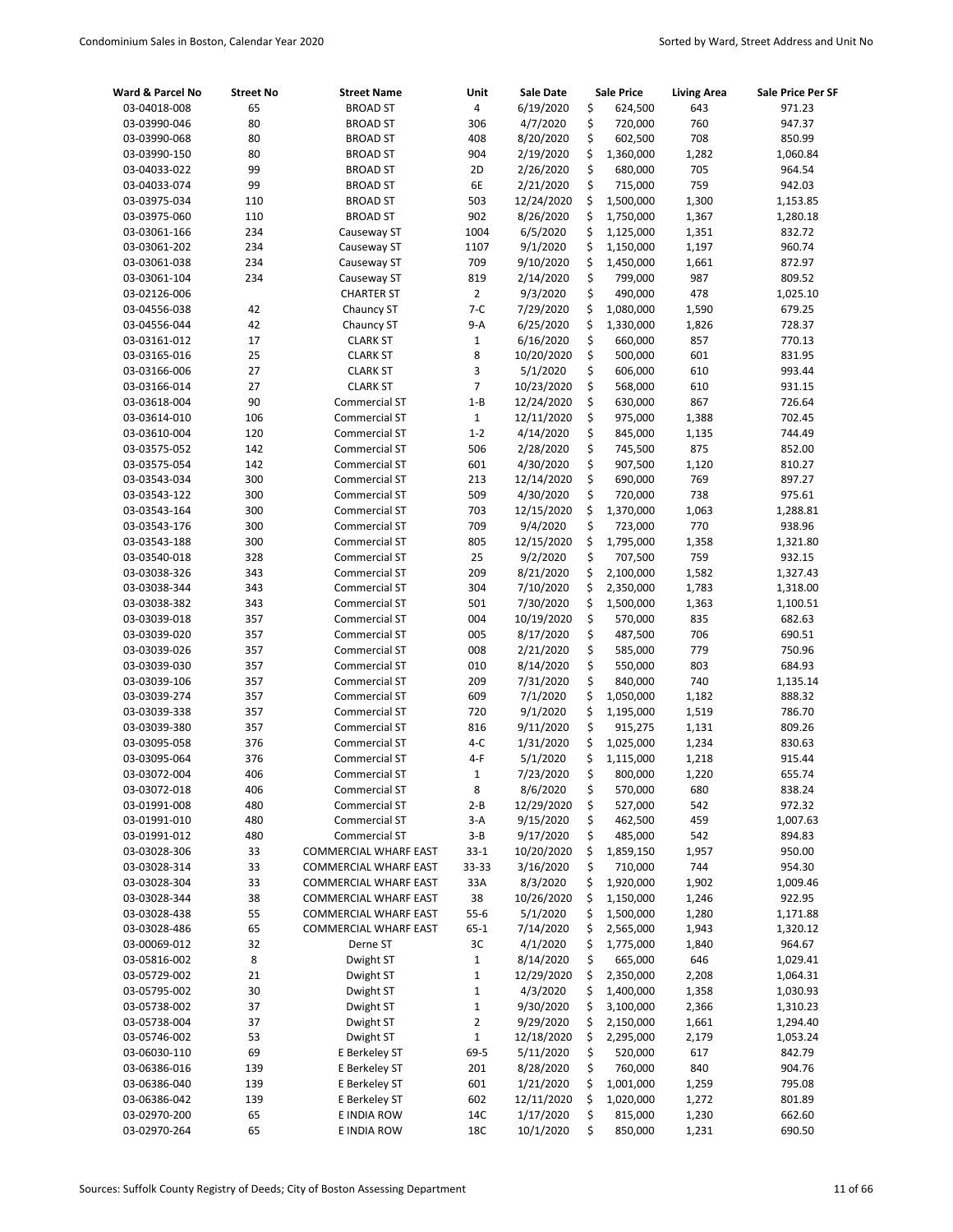| Ward & Parcel No             | <b>Street No</b> | <b>Street Name</b>                                    | Unit              | Sale Date               |          | <b>Sale Price</b>    | <b>Living Area</b> | Sale Price Per SF    |
|------------------------------|------------------|-------------------------------------------------------|-------------------|-------------------------|----------|----------------------|--------------------|----------------------|
| 03-04018-008                 | 65               | <b>BROAD ST</b>                                       | 4                 | 6/19/2020               | \$       | 624,500              | 643                | 971.23               |
| 03-03990-046                 | 80               | <b>BROAD ST</b>                                       | 306               | 4/7/2020                | \$       | 720,000              | 760                | 947.37               |
| 03-03990-068                 | 80               | <b>BROAD ST</b>                                       | 408               | 8/20/2020               | \$       | 602,500              | 708                | 850.99               |
| 03-03990-150                 | 80               | <b>BROAD ST</b>                                       | 904               | 2/19/2020               | \$       | 1,360,000            | 1,282              | 1,060.84             |
| 03-04033-022                 | 99               | <b>BROAD ST</b>                                       | 2D                | 2/26/2020               | \$       | 680,000              | 705                | 964.54               |
| 03-04033-074                 | 99               | <b>BROAD ST</b>                                       | 6E                | 2/21/2020               | \$       | 715,000              | 759                | 942.03               |
| 03-03975-034                 | 110              | <b>BROAD ST</b>                                       | 503               | 12/24/2020              | \$       | 1,500,000            | 1,300              | 1,153.85             |
| 03-03975-060                 | 110              | <b>BROAD ST</b>                                       | 902               | 8/26/2020               | \$       | 1,750,000            | 1,367              | 1,280.18             |
| 03-03061-166                 | 234              | Causeway ST                                           | 1004              | 6/5/2020                | \$       | 1,125,000            | 1,351              | 832.72               |
| 03-03061-202                 | 234              | Causeway ST                                           | 1107              | 9/1/2020                | \$       | 1,150,000            | 1,197              | 960.74               |
| 03-03061-038                 | 234              | Causeway ST                                           | 709               | 9/10/2020               | \$       | 1,450,000            | 1,661              | 872.97               |
| 03-03061-104                 | 234              | Causeway ST                                           | 819               | 2/14/2020               | \$       | 799,000              | 987                | 809.52               |
| 03-02126-006                 |                  | <b>CHARTER ST</b>                                     | $\overline{2}$    | 9/3/2020                | \$       | 490,000              | 478                | 1,025.10             |
| 03-04556-038                 | 42               | Chauncy ST                                            | $7 - C$           | 7/29/2020               | \$       | 1,080,000            | 1,590              | 679.25               |
| 03-04556-044                 | 42               | Chauncy ST                                            | 9-A               | 6/25/2020               | \$       | 1,330,000            | 1,826              | 728.37               |
| 03-03161-012                 | 17               | <b>CLARK ST</b>                                       | $\mathbf 1$       | 6/16/2020               | \$       | 660,000              | 857                | 770.13               |
| 03-03165-016<br>03-03166-006 | 25<br>27         | <b>CLARK ST</b><br><b>CLARK ST</b>                    | 8<br>3            | 10/20/2020<br>5/1/2020  | \$<br>\$ | 500,000<br>606,000   | 601<br>610         | 831.95<br>993.44     |
|                              | 27               | <b>CLARK ST</b>                                       | $\overline{7}$    | 10/23/2020              | \$       | 568,000              | 610                | 931.15               |
| 03-03166-014<br>03-03618-004 | 90               | <b>Commercial ST</b>                                  | $1 - B$           | 12/24/2020              | \$       | 630,000              | 867                | 726.64               |
| 03-03614-010                 | 106              | <b>Commercial ST</b>                                  | $\mathbf 1$       | 12/11/2020              | \$       | 975,000              | 1,388              | 702.45               |
| 03-03610-004                 | 120              | Commercial ST                                         | $1 - 2$           | 4/14/2020               | \$       | 845,000              | 1,135              | 744.49               |
| 03-03575-052                 | 142              | <b>Commercial ST</b>                                  | 506               | 2/28/2020               | \$       | 745,500              | 875                | 852.00               |
| 03-03575-054                 | 142              | <b>Commercial ST</b>                                  | 601               | 4/30/2020               | \$       | 907,500              | 1,120              | 810.27               |
| 03-03543-034                 | 300              | Commercial ST                                         | 213               | 12/14/2020              | \$       | 690,000              | 769                | 897.27               |
| 03-03543-122                 | 300              | <b>Commercial ST</b>                                  | 509               | 4/30/2020               | \$       | 720,000              | 738                | 975.61               |
| 03-03543-164                 | 300              | Commercial ST                                         | 703               | 12/15/2020              | \$       | 1,370,000            | 1,063              | 1,288.81             |
| 03-03543-176                 | 300              | Commercial ST                                         | 709               | 9/4/2020                | \$       | 723,000              | 770                | 938.96               |
| 03-03543-188                 | 300              | Commercial ST                                         | 805               | 12/15/2020              | \$       | 1,795,000            | 1,358              | 1,321.80             |
| 03-03540-018                 | 328              | Commercial ST                                         | 25                | 9/2/2020                | \$       | 707,500              | 759                | 932.15               |
| 03-03038-326                 | 343              | Commercial ST                                         | 209               | 8/21/2020               | \$       | 2,100,000            | 1,582              | 1,327.43             |
| 03-03038-344                 | 343              | Commercial ST                                         | 304               | 7/10/2020               | \$       | 2,350,000            | 1,783              | 1,318.00             |
| 03-03038-382                 | 343              | Commercial ST                                         | 501               | 7/30/2020               | \$       | 1,500,000            | 1,363              | 1,100.51             |
| 03-03039-018                 | 357              | <b>Commercial ST</b>                                  | 004               | 10/19/2020              | \$       | 570,000              | 835                | 682.63               |
| 03-03039-020                 | 357              | <b>Commercial ST</b>                                  | 005               | 8/17/2020               | \$       | 487,500              | 706                | 690.51               |
| 03-03039-026                 | 357              | Commercial ST                                         | 008               | 2/21/2020               | \$       | 585,000              | 779                | 750.96               |
| 03-03039-030                 | 357              | <b>Commercial ST</b>                                  | 010               | 8/14/2020               | \$       | 550,000              | 803                | 684.93               |
| 03-03039-106                 | 357              | Commercial ST                                         | 209               | 7/31/2020               | \$       | 840,000              | 740                | 1,135.14             |
| 03-03039-274                 | 357              | <b>Commercial ST</b>                                  | 609               | 7/1/2020                | \$       | 1,050,000            | 1,182              | 888.32               |
| 03-03039-338                 | 357              | <b>Commercial ST</b>                                  | 720               | 9/1/2020                | \$       | 1,195,000            | 1,519              | 786.70               |
| 03-03039-380                 | 357              | Commercial ST                                         | 816               | 9/11/2020               | \$       | 915,275              | 1,131              | 809.26               |
| 03-03095-058                 | 376              | Commercial ST                                         | $4-C$             | 1/31/2020               | \$       | 1,025,000            | 1,234              | 830.63               |
| 03-03095-064                 | 376              | <b>Commercial ST</b>                                  | 4-F               | 5/1/2020                | \$       | 1,115,000            | 1,218              | 915.44               |
| 03-03072-004                 | 406              | Commercial ST                                         | 1                 | 7/23/2020               | \$       | 800,000              | 1,220              | 655.74               |
| 03-03072-018                 | 406              | Commercial ST                                         | 8                 | 8/6/2020                | \$       | 570,000              | 680                | 838.24               |
| 03-01991-008                 | 480              | Commercial ST                                         | $2 - B$           | 12/29/2020              | \$       | 527,000              | 542                | 972.32               |
| 03-01991-010                 | 480              | Commercial ST                                         | $3-A$             | 9/15/2020               | \$       | 462,500              | 459                | 1,007.63             |
| 03-01991-012                 | 480              | Commercial ST                                         | 3-B               | 9/17/2020               | \$       | 485,000              | 542                | 894.83               |
| 03-03028-306                 | 33               | COMMERCIAL WHARF EAST                                 | $33 - 1$          | 10/20/2020              | \$       | 1,859,150            | 1,957              | 950.00               |
| 03-03028-314                 | 33               | COMMERCIAL WHARF EAST                                 | 33-33             | 3/16/2020               | \$       | 710,000              | 744                | 954.30               |
| 03-03028-304                 | 33               | COMMERCIAL WHARF EAST                                 | 33A               | 8/3/2020                | \$       | 1,920,000            | 1,902              | 1,009.46             |
| 03-03028-344                 | 38               | COMMERCIAL WHARF EAST                                 | 38                | 10/26/2020              | \$       | 1,150,000            | 1,246              | 922.95               |
| 03-03028-438                 | 55               | COMMERCIAL WHARF EAST<br><b>COMMERCIAL WHARF EAST</b> | $55-6$            | 5/1/2020                | \$       | 1,500,000            | 1,280              | 1,171.88             |
| 03-03028-486                 | 65               | Derne ST                                              | $65 - 1$          | 7/14/2020               | \$       | 2,565,000            | 1,943              | 1,320.12             |
| 03-00069-012                 | 32               |                                                       | 3C                | 4/1/2020                | \$<br>\$ | 1,775,000            | 1,840              | 964.67               |
| 03-05816-002<br>03-05729-002 | 8<br>21          | Dwight ST<br>Dwight ST                                | $\mathbf{1}$<br>1 | 8/14/2020<br>12/29/2020 | \$       | 665,000<br>2,350,000 | 646<br>2,208       | 1,029.41<br>1,064.31 |
| 03-05795-002                 | 30               | Dwight ST                                             | $\mathbf 1$       | 4/3/2020                | \$       | 1,400,000            | 1,358              | 1,030.93             |
| 03-05738-002                 | 37               | Dwight ST                                             | $\mathbf 1$       | 9/30/2020               | \$       | 3,100,000            | 2,366              | 1,310.23             |
| 03-05738-004                 | 37               | Dwight ST                                             | 2                 | 9/29/2020               | \$       | 2,150,000            | 1,661              | 1,294.40             |
| 03-05746-002                 | 53               | Dwight ST                                             | $\mathbf 1$       | 12/18/2020              | \$       | 2,295,000            | 2,179              | 1,053.24             |
| 03-06030-110                 | 69               | E Berkeley ST                                         | 69-5              | 5/11/2020               | \$       | 520,000              | 617                | 842.79               |
| 03-06386-016                 | 139              | E Berkeley ST                                         | 201               | 8/28/2020               | \$       | 760,000              | 840                | 904.76               |
| 03-06386-040                 | 139              | E Berkeley ST                                         | 601               | 1/21/2020               | \$       | 1,001,000            | 1,259              | 795.08               |
| 03-06386-042                 | 139              | E Berkeley ST                                         | 602               | 12/11/2020              | \$       | 1,020,000            | 1,272              | 801.89               |
| 03-02970-200                 | 65               | E INDIA ROW                                           | 14C               | 1/17/2020               | \$       | 815,000              | 1,230              | 662.60               |
| 03-02970-264                 | 65               | E INDIA ROW                                           | 18C               | 10/1/2020               | \$       | 850,000              | 1,231              | 690.50               |
|                              |                  |                                                       |                   |                         |          |                      |                    |                      |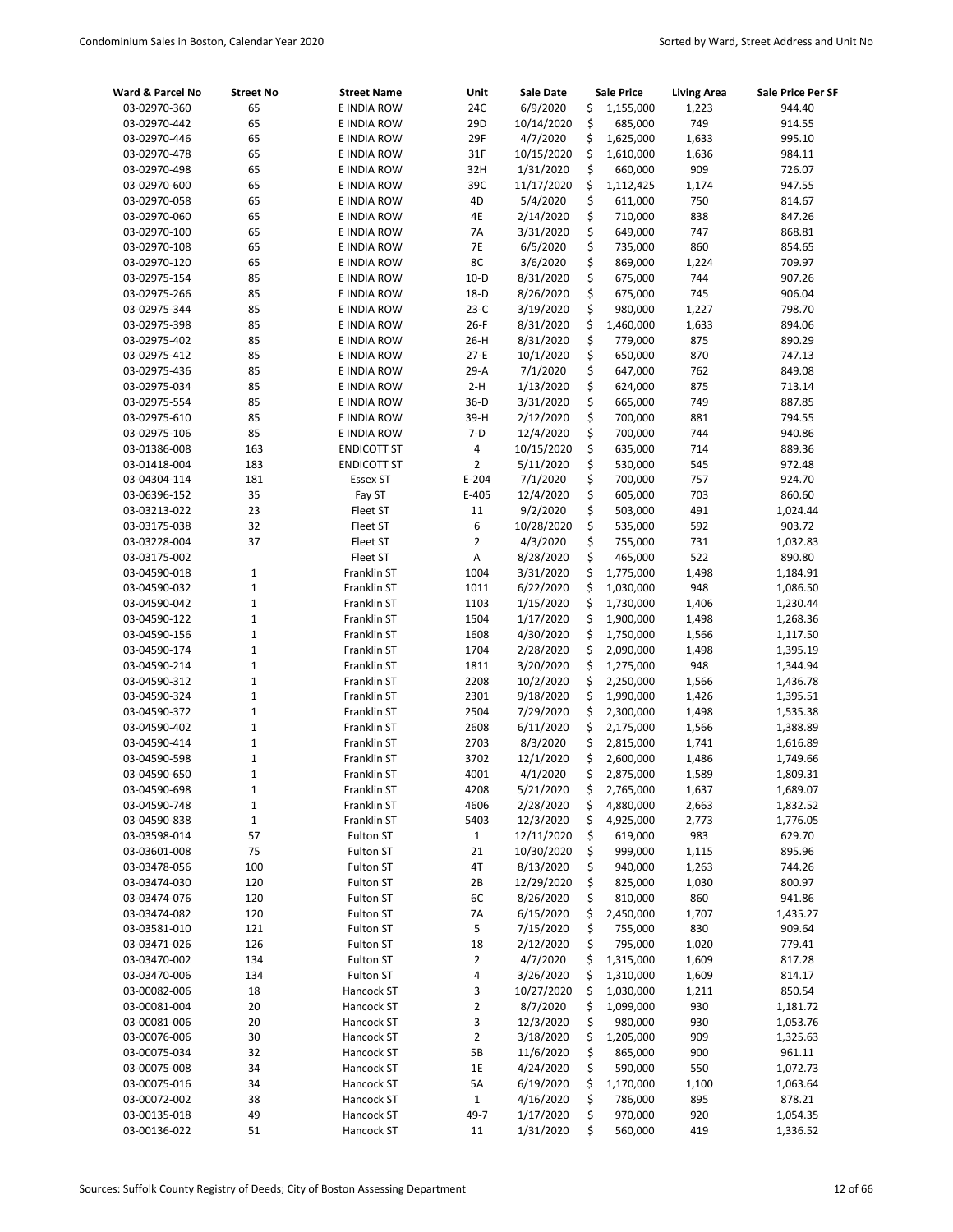| Ward & Parcel No             | <b>Street No</b> | <b>Street Name</b> | Unit                        | Sale Date             |          | <b>Sale Price</b>  | <b>Living Area</b> | Sale Price Per SF  |
|------------------------------|------------------|--------------------|-----------------------------|-----------------------|----------|--------------------|--------------------|--------------------|
| 03-02970-360                 | 65               | E INDIA ROW        | 24C                         | 6/9/2020              | \$       | 1,155,000          | 1,223              | 944.40             |
| 03-02970-442                 | 65               | E INDIA ROW        | 29D                         | 10/14/2020            | \$       | 685,000            | 749                | 914.55             |
| 03-02970-446                 | 65               | E INDIA ROW        | 29F                         | 4/7/2020              | \$       | 1,625,000          | 1,633              | 995.10             |
| 03-02970-478                 | 65               | E INDIA ROW        | 31F                         | 10/15/2020            | \$       | 1,610,000          | 1,636              | 984.11             |
| 03-02970-498                 | 65               | E INDIA ROW        | 32H                         | 1/31/2020             | \$       | 660,000            | 909                | 726.07             |
| 03-02970-600                 | 65               | E INDIA ROW        | 39C                         | 11/17/2020            | \$       | 1,112,425          | 1,174              | 947.55             |
| 03-02970-058                 | 65               | E INDIA ROW        | 4D                          | 5/4/2020              | \$       | 611,000            | 750                | 814.67             |
| 03-02970-060                 | 65               | E INDIA ROW        | 4E                          | 2/14/2020             | \$       | 710,000            | 838                | 847.26             |
| 03-02970-100                 | 65               | E INDIA ROW        | 7A                          | 3/31/2020             | \$       | 649,000            | 747                | 868.81             |
| 03-02970-108                 | 65               | E INDIA ROW        | 7E                          | 6/5/2020              | \$       | 735,000            | 860                | 854.65             |
| 03-02970-120                 | 65               | E INDIA ROW        | 8C                          | 3/6/2020              | \$       | 869,000            | 1,224              | 709.97             |
| 03-02975-154                 | 85               | E INDIA ROW        | $10-D$                      | 8/31/2020             | \$       | 675,000            | 744                | 907.26             |
| 03-02975-266                 | 85               | E INDIA ROW        | $18-D$                      | 8/26/2020             | \$       | 675,000            | 745                | 906.04             |
| 03-02975-344                 | 85               | E INDIA ROW        | $23-C$                      | 3/19/2020             | \$       | 980,000            | 1,227              | 798.70             |
| 03-02975-398                 | 85               | E INDIA ROW        | $26-F$                      | 8/31/2020             | \$       | 1,460,000          | 1,633              | 894.06             |
| 03-02975-402                 | 85               | E INDIA ROW        | $26-H$                      | 8/31/2020             | \$       | 779,000            | 875                | 890.29             |
| 03-02975-412                 | 85               | E INDIA ROW        | $27-E$                      | 10/1/2020             | \$       | 650,000            | 870                | 747.13             |
| 03-02975-436                 | 85               | E INDIA ROW        | $29-A$                      | 7/1/2020              | \$       | 647,000            | 762                | 849.08             |
| 03-02975-034                 | 85               | E INDIA ROW        | $2-H$                       | 1/13/2020             | \$       | 624,000            | 875                | 713.14             |
| 03-02975-554                 | 85               | E INDIA ROW        | $36-D$                      | 3/31/2020             | \$       | 665,000            | 749                | 887.85             |
| 03-02975-610                 | 85               | E INDIA ROW        | 39-H                        | 2/12/2020             | \$       | 700,000            | 881                | 794.55             |
| 03-02975-106                 | 85               | E INDIA ROW        | $7-D$                       | 12/4/2020             | \$       | 700,000            | 744                | 940.86             |
| 03-01386-008                 | 163              | <b>ENDICOTT ST</b> | 4                           | 10/15/2020            | \$       | 635,000            | 714                | 889.36             |
| 03-01418-004                 | 183              | <b>ENDICOTT ST</b> | $\overline{2}$<br>$E - 204$ | 5/11/2020             | \$<br>\$ | 530,000            | 545                | 972.48             |
| 03-04304-114                 | 181<br>35        | Essex ST           |                             | 7/1/2020              | \$       | 700,000<br>605,000 | 757                | 924.70             |
| 03-06396-152<br>03-03213-022 | 23               | Fay ST<br>Fleet ST | $E-405$<br>11               | 12/4/2020<br>9/2/2020 | \$       | 503,000            | 703<br>491         | 860.60<br>1,024.44 |
| 03-03175-038                 | 32               | Fleet ST           | 6                           | 10/28/2020            | \$       | 535,000            | 592                | 903.72             |
| 03-03228-004                 | 37               | Fleet ST           | 2                           | 4/3/2020              | \$       | 755,000            | 731                | 1,032.83           |
| 03-03175-002                 |                  | Fleet ST           | A                           | 8/28/2020             | \$       | 465,000            | 522                | 890.80             |
| 03-04590-018                 | 1                | Franklin ST        | 1004                        | 3/31/2020             | \$       | 1,775,000          | 1,498              | 1,184.91           |
| 03-04590-032                 | $\mathbf 1$      | Franklin ST        | 1011                        | 6/22/2020             | \$       | 1,030,000          | 948                | 1,086.50           |
| 03-04590-042                 | $\mathbf 1$      | Franklin ST        | 1103                        | 1/15/2020             | \$       | 1,730,000          | 1,406              | 1,230.44           |
| 03-04590-122                 | 1                | Franklin ST        | 1504                        | 1/17/2020             | \$       | 1,900,000          | 1,498              | 1,268.36           |
| 03-04590-156                 | $\mathbf{1}$     | Franklin ST        | 1608                        | 4/30/2020             | \$       | 1,750,000          | 1,566              | 1,117.50           |
| 03-04590-174                 | $\mathbf 1$      | Franklin ST        | 1704                        | 2/28/2020             | \$       | 2,090,000          | 1,498              | 1,395.19           |
| 03-04590-214                 | $\mathbf{1}$     | Franklin ST        | 1811                        | 3/20/2020             | \$       | 1,275,000          | 948                | 1,344.94           |
| 03-04590-312                 | 1                | Franklin ST        | 2208                        | 10/2/2020             | \$       | 2,250,000          | 1,566              | 1,436.78           |
| 03-04590-324                 | $\mathbf 1$      | Franklin ST        | 2301                        | 9/18/2020             | \$       | 1,990,000          | 1,426              | 1,395.51           |
| 03-04590-372                 | $\mathbf{1}$     | Franklin ST        | 2504                        | 7/29/2020             | \$       | 2,300,000          | 1,498              | 1,535.38           |
| 03-04590-402                 | $\mathbf 1$      | Franklin ST        | 2608                        | 6/11/2020             | \$       | 2,175,000          | 1,566              | 1,388.89           |
| 03-04590-414                 | $\mathbf 1$      | Franklin ST        | 2703                        | 8/3/2020              | \$       | 2,815,000          | 1,741              | 1,616.89           |
| 03-04590-598                 | $\mathbf{1}$     | Franklin ST        | 3702                        | 12/1/2020             | \$       | 2,600,000          | 1,486              | 1,749.66           |
| 03-04590-650                 | $\mathbf 1$      | Franklin ST        | 4001                        | 4/1/2020              | Ś        | 2,875,000          | 1,589              | 1,809.31           |
| 03-04590-698                 | $\mathbf{1}$     | Franklin ST        | 4208                        | 5/21/2020             | \$       | 2,765,000          | 1,637              | 1,689.07           |
| 03-04590-748                 | $\mathbf 1$      | Franklin ST        | 4606                        | 2/28/2020             | \$       | 4,880,000          | 2,663              | 1,832.52           |
| 03-04590-838                 | $\mathbf{1}$     | Franklin ST        | 5403                        | 12/3/2020             | \$       | 4,925,000          | 2,773              | 1,776.05           |
| 03-03598-014                 | 57               | Fulton ST          | $\mathbf{1}$                | 12/11/2020            | \$       | 619,000            | 983                | 629.70             |
| 03-03601-008                 | 75               | Fulton ST          | 21                          | 10/30/2020            | \$       | 999,000            | 1,115              | 895.96             |
| 03-03478-056                 | 100              | Fulton ST          | 4T                          | 8/13/2020             | \$       | 940,000            | 1,263              | 744.26             |
| 03-03474-030                 | 120              | Fulton ST          | 2Β                          | 12/29/2020            | \$       | 825,000            | 1,030              | 800.97             |
| 03-03474-076                 | 120              | Fulton ST          | 6C                          | 8/26/2020             | \$       | 810,000            | 860                | 941.86             |
| 03-03474-082                 | 120              | Fulton ST          | 7Α                          | 6/15/2020             | \$       | 2,450,000          | 1,707              | 1,435.27           |
| 03-03581-010                 | 121              | Fulton ST          | 5                           | 7/15/2020             | \$       | 755,000            | 830                | 909.64             |
| 03-03471-026                 | 126              | Fulton ST          | 18                          | 2/12/2020             | \$       | 795,000            | 1,020              | 779.41             |
| 03-03470-002                 | 134              | Fulton ST          | 2                           | 4/7/2020              | \$       | 1,315,000          | 1,609              | 817.28             |
| 03-03470-006                 | 134              | Fulton ST          | 4                           | 3/26/2020             | \$       | 1,310,000          | 1,609              | 814.17             |
| 03-00082-006                 | 18               | Hancock ST         | 3                           | 10/27/2020            | \$       | 1,030,000          | 1,211              | 850.54             |
| 03-00081-004                 | 20               | Hancock ST         | 2                           | 8/7/2020              | \$       | 1,099,000          | 930                | 1,181.72           |
| 03-00081-006                 | 20               | Hancock ST         | 3                           | 12/3/2020             | \$       | 980,000            | 930                | 1,053.76           |
| 03-00076-006                 | 30               | Hancock ST         | 2                           | 3/18/2020             | \$       | 1,205,000          | 909                | 1,325.63           |
| 03-00075-034                 | 32               | Hancock ST         | 5B                          | 11/6/2020             | \$       | 865,000            | 900                | 961.11             |
| 03-00075-008                 | 34               | Hancock ST         | 1E                          | 4/24/2020             | \$       | 590,000            | 550                | 1,072.73           |
| 03-00075-016                 | 34               | Hancock ST         | 5A                          | 6/19/2020             | \$       | 1,170,000          | 1,100              | 1,063.64           |
| 03-00072-002                 | 38               | Hancock ST         | $\mathbf{1}$                | 4/16/2020             | \$       | 786,000            | 895                | 878.21             |
| 03-00135-018                 | 49               | Hancock ST         | 49-7                        | 1/17/2020             | \$       | 970,000            | 920                | 1,054.35           |
| 03-00136-022                 | 51               | Hancock ST         | $11\,$                      | 1/31/2020             | \$       | 560,000            | 419                | 1,336.52           |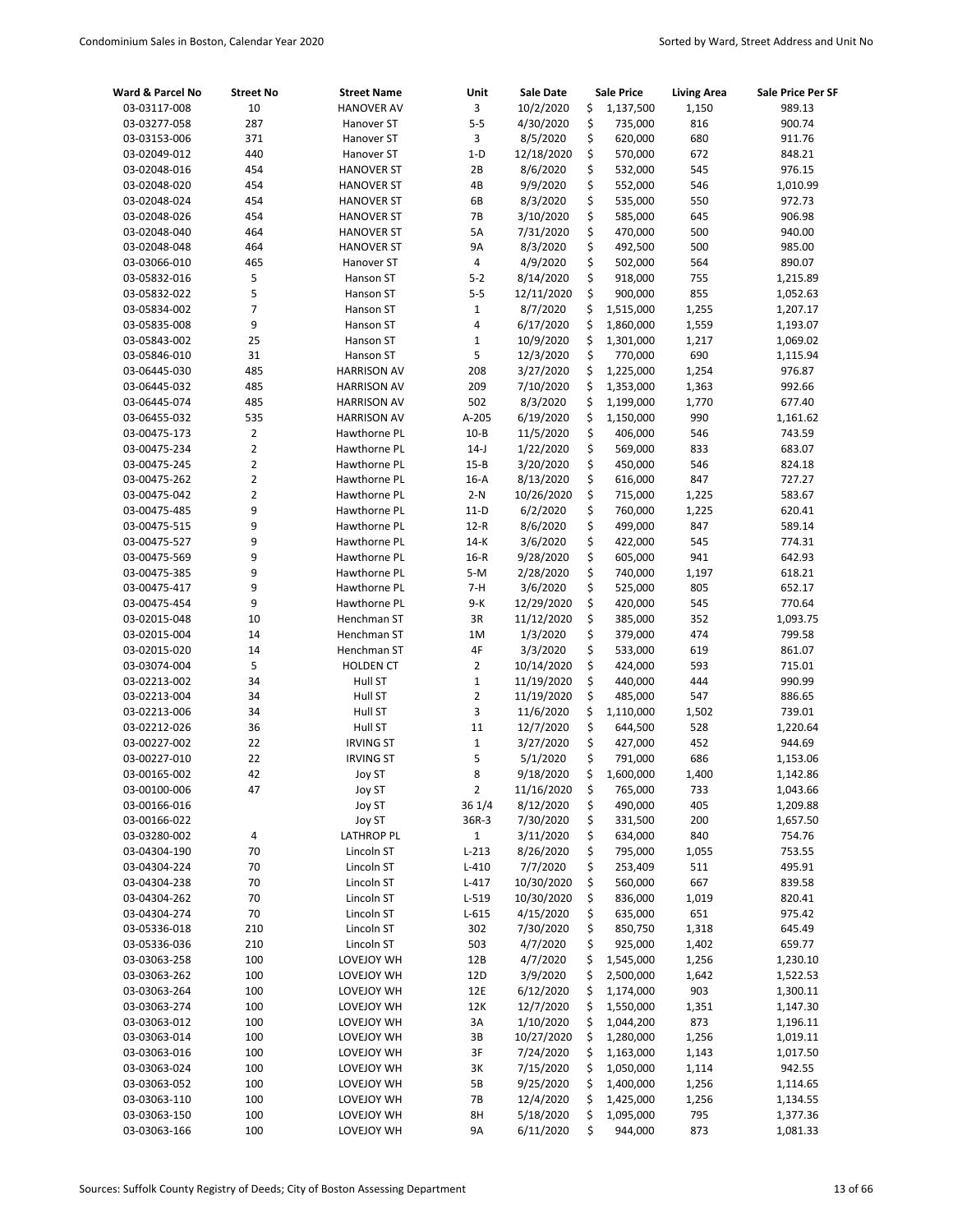| Ward & Parcel No | <b>Street No</b> | <b>Street Name</b> | Unit                    | <b>Sale Date</b> | <b>Sale Price</b> | <b>Living Area</b> | Sale Price Per SF |
|------------------|------------------|--------------------|-------------------------|------------------|-------------------|--------------------|-------------------|
| 03-03117-008     | 10               | <b>HANOVER AV</b>  | $\overline{3}$          | 10/2/2020        | \$<br>1,137,500   | 1,150              | 989.13            |
| 03-03277-058     | 287              | Hanover ST         | $5-5$                   | 4/30/2020        | \$<br>735,000     | 816                | 900.74            |
| 03-03153-006     | 371              | Hanover ST         | 3                       | 8/5/2020         | \$<br>620,000     | 680                | 911.76            |
| 03-02049-012     | 440              | Hanover ST         | $1-D$                   | 12/18/2020       | \$<br>570,000     | 672                | 848.21            |
| 03-02048-016     | 454              | <b>HANOVER ST</b>  | 2B                      | 8/6/2020         | \$<br>532,000     | 545                | 976.15            |
| 03-02048-020     | 454              | <b>HANOVER ST</b>  | 4B                      | 9/9/2020         | \$<br>552,000     | 546                | 1,010.99          |
| 03-02048-024     | 454              | <b>HANOVER ST</b>  | 6B                      | 8/3/2020         | \$<br>535,000     | 550                | 972.73            |
| 03-02048-026     | 454              | <b>HANOVER ST</b>  | <b>7B</b>               | 3/10/2020        | \$<br>585,000     | 645                | 906.98            |
| 03-02048-040     | 464              | <b>HANOVER ST</b>  | 5A                      | 7/31/2020        | \$<br>470,000     | 500                | 940.00            |
| 03-02048-048     | 464              | <b>HANOVER ST</b>  | <b>9A</b>               | 8/3/2020         | \$<br>492,500     | 500                | 985.00            |
| 03-03066-010     | 465              | Hanover ST         | $\overline{4}$          | 4/9/2020         | \$<br>502,000     | 564                | 890.07            |
| 03-05832-016     | 5                | Hanson ST          | $5 - 2$                 | 8/14/2020        | \$<br>918,000     | 755                | 1,215.89          |
| 03-05832-022     | 5                | Hanson ST          | $5-5$                   | 12/11/2020       | \$<br>900,000     | 855                | 1,052.63          |
| 03-05834-002     | 7                | Hanson ST          | $\mathbf 1$             | 8/7/2020         | \$<br>1,515,000   | 1,255              | 1,207.17          |
| 03-05835-008     | 9                | Hanson ST          | $\overline{\mathbf{4}}$ | 6/17/2020        | \$<br>1,860,000   | 1,559              | 1,193.07          |
| 03-05843-002     | 25               | Hanson ST          | $\mathbf 1$             | 10/9/2020        | \$<br>1,301,000   | 1,217              | 1,069.02          |
| 03-05846-010     | 31               | Hanson ST          | 5                       | 12/3/2020        | \$<br>770,000     | 690                | 1,115.94          |
| 03-06445-030     | 485              | <b>HARRISON AV</b> | 208                     | 3/27/2020        | \$<br>1,225,000   | 1,254              | 976.87            |
| 03-06445-032     | 485              | <b>HARRISON AV</b> | 209                     | 7/10/2020        | \$<br>1,353,000   | 1,363              | 992.66            |
| 03-06445-074     | 485              | <b>HARRISON AV</b> | 502                     | 8/3/2020         | \$<br>1,199,000   | 1,770              | 677.40            |
| 03-06455-032     | 535              | <b>HARRISON AV</b> | A-205                   | 6/19/2020        | \$<br>1,150,000   | 990                | 1,161.62          |
| 03-00475-173     | 2                | Hawthorne PL       | $10 - B$                | 11/5/2020        | \$<br>406,000     | 546                | 743.59            |
| 03-00475-234     | 2                | Hawthorne PL       | $14-J$                  | 1/22/2020        | \$<br>569,000     | 833                | 683.07            |
| 03-00475-245     | 2                | Hawthorne PL       | $15 - B$                | 3/20/2020        | \$<br>450,000     | 546                | 824.18            |
| 03-00475-262     | 2                | Hawthorne PL       | $16-A$                  | 8/13/2020        | \$<br>616,000     | 847                | 727.27            |
| 03-00475-042     | 2                | Hawthorne PL       | $2-N$                   | 10/26/2020       | \$<br>715,000     | 1,225              | 583.67            |
| 03-00475-485     | 9                | Hawthorne PL       | $11-D$                  | 6/2/2020         | \$<br>760,000     | 1,225              | 620.41            |
| 03-00475-515     | 9                | Hawthorne PL       | $12-R$                  | 8/6/2020         | \$<br>499,000     | 847                | 589.14            |
| 03-00475-527     | 9                | Hawthorne PL       | $14-K$                  | 3/6/2020         | \$<br>422,000     | 545                | 774.31            |
| 03-00475-569     | 9                | Hawthorne PL       | $16-R$                  | 9/28/2020        | \$<br>605,000     | 941                | 642.93            |
| 03-00475-385     | 9                | Hawthorne PL       | $5-M$                   | 2/28/2020        | \$<br>740,000     | 1,197              | 618.21            |
| 03-00475-417     | 9                | Hawthorne PL       | $7-H$                   | 3/6/2020         | \$<br>525,000     | 805                | 652.17            |
| 03-00475-454     | 9                | Hawthorne PL       | 9-K                     | 12/29/2020       | \$<br>420,000     | 545                | 770.64            |
| 03-02015-048     | 10               | Henchman ST        | 3R                      | 11/12/2020       | \$<br>385,000     | 352                | 1,093.75          |
| 03-02015-004     | 14               | Henchman ST        | 1M                      | 1/3/2020         | \$<br>379,000     | 474                | 799.58            |
| 03-02015-020     | 14               | Henchman ST        | 4F                      | 3/3/2020         | \$<br>533,000     | 619                | 861.07            |
| 03-03074-004     | 5                | <b>HOLDEN CT</b>   | $\overline{2}$          | 10/14/2020       | \$<br>424,000     | 593                | 715.01            |
| 03-02213-002     | 34               | Hull ST            | $\mathbf{1}$            | 11/19/2020       | \$<br>440,000     | 444                | 990.99            |
| 03-02213-004     | 34               | Hull ST            | $\overline{2}$          | 11/19/2020       | \$<br>485,000     | 547                | 886.65            |
| 03-02213-006     | 34               | Hull ST            | 3                       | 11/6/2020        | \$<br>1,110,000   | 1,502              | 739.01            |
| 03-02212-026     | 36               | Hull ST            | 11                      | 12/7/2020        | \$<br>644,500     | 528                | 1,220.64          |
| 03-00227-002     | 22               | <b>IRVING ST</b>   | $\mathbf 1$             | 3/27/2020        | \$<br>427,000     | 452                | 944.69            |
| 03-00227-010     | 22               | <b>IRVING ST</b>   | 5                       | 5/1/2020         | \$<br>791,000     | 686                | 1,153.06          |
| 03-00165-002     | 42               | Joy ST             | 8                       | 9/18/2020        | \$<br>1,600,000   | 1,400              | 1,142.86          |
| 03-00100-006     | 47               | Joy ST             | $\mathbf 2$             | 11/16/2020       | \$<br>765,000     | 733                | 1,043.66          |
| 03-00166-016     |                  | Joy ST             | 36 1/4                  | 8/12/2020        | \$<br>490,000     | 405                | 1,209.88          |
| 03-00166-022     |                  | Joy ST             | 36R-3                   | 7/30/2020        | \$<br>331,500     | 200                | 1,657.50          |
| 03-03280-002     | 4                | LATHROP PL         | $\mathbf{1}$            | 3/11/2020        | \$<br>634,000     | 840                | 754.76            |
| 03-04304-190     | 70               | Lincoln ST         | $L-213$                 | 8/26/2020        | \$<br>795,000     | 1,055              | 753.55            |
| 03-04304-224     | 70               | Lincoln ST         | $L-410$                 | 7/7/2020         | \$<br>253,409     | 511                | 495.91            |
| 03-04304-238     | 70               | Lincoln ST         | $L-417$                 | 10/30/2020       | \$<br>560,000     | 667                | 839.58            |
| 03-04304-262     | 70               | Lincoln ST         | L-519                   | 10/30/2020       | \$<br>836,000     | 1,019              | 820.41            |
| 03-04304-274     | 70               | Lincoln ST         | $L-615$                 | 4/15/2020        | \$<br>635,000     | 651                | 975.42            |
| 03-05336-018     | 210              | Lincoln ST         | 302                     | 7/30/2020        | \$<br>850,750     | 1,318              | 645.49            |
| 03-05336-036     | 210              | Lincoln ST         | 503                     | 4/7/2020         | \$<br>925,000     | 1,402              | 659.77            |
| 03-03063-258     | 100              | LOVEJOY WH         | 12B                     | 4/7/2020         | \$<br>1,545,000   | 1,256              | 1,230.10          |
| 03-03063-262     | 100              | LOVEJOY WH         | 12D                     | 3/9/2020         | \$<br>2,500,000   | 1,642              | 1,522.53          |
| 03-03063-264     | 100              | LOVEJOY WH         | 12E                     | 6/12/2020        | \$<br>1,174,000   | 903                | 1,300.11          |
| 03-03063-274     | 100              | LOVEJOY WH         | 12K                     | 12/7/2020        | \$<br>1,550,000   | 1,351              | 1,147.30          |
| 03-03063-012     | 100              | LOVEJOY WH         | 3A                      | 1/10/2020        | \$<br>1,044,200   | 873                | 1,196.11          |
| 03-03063-014     | 100              | LOVEJOY WH         | 3B                      | 10/27/2020       | \$<br>1,280,000   | 1,256              | 1,019.11          |
| 03-03063-016     | 100              | LOVEJOY WH         | 3F                      | 7/24/2020        | \$<br>1,163,000   | 1,143              | 1,017.50          |
| 03-03063-024     | 100              | LOVEJOY WH         | 3K                      | 7/15/2020        | \$<br>1,050,000   | 1,114              | 942.55            |
| 03-03063-052     | 100              | LOVEJOY WH         | 5B                      | 9/25/2020        | \$<br>1,400,000   | 1,256              | 1,114.65          |
| 03-03063-110     | 100              | LOVEJOY WH         | 7B                      | 12/4/2020        | \$<br>1,425,000   | 1,256              | 1,134.55          |
| 03-03063-150     | 100              | LOVEJOY WH         | 8H                      | 5/18/2020        | \$<br>1,095,000   | 795                | 1,377.36          |
| 03-03063-166     | 100              | LOVEJOY WH         | <b>9A</b>               | 6/11/2020        | \$<br>944,000     | 873                | 1,081.33          |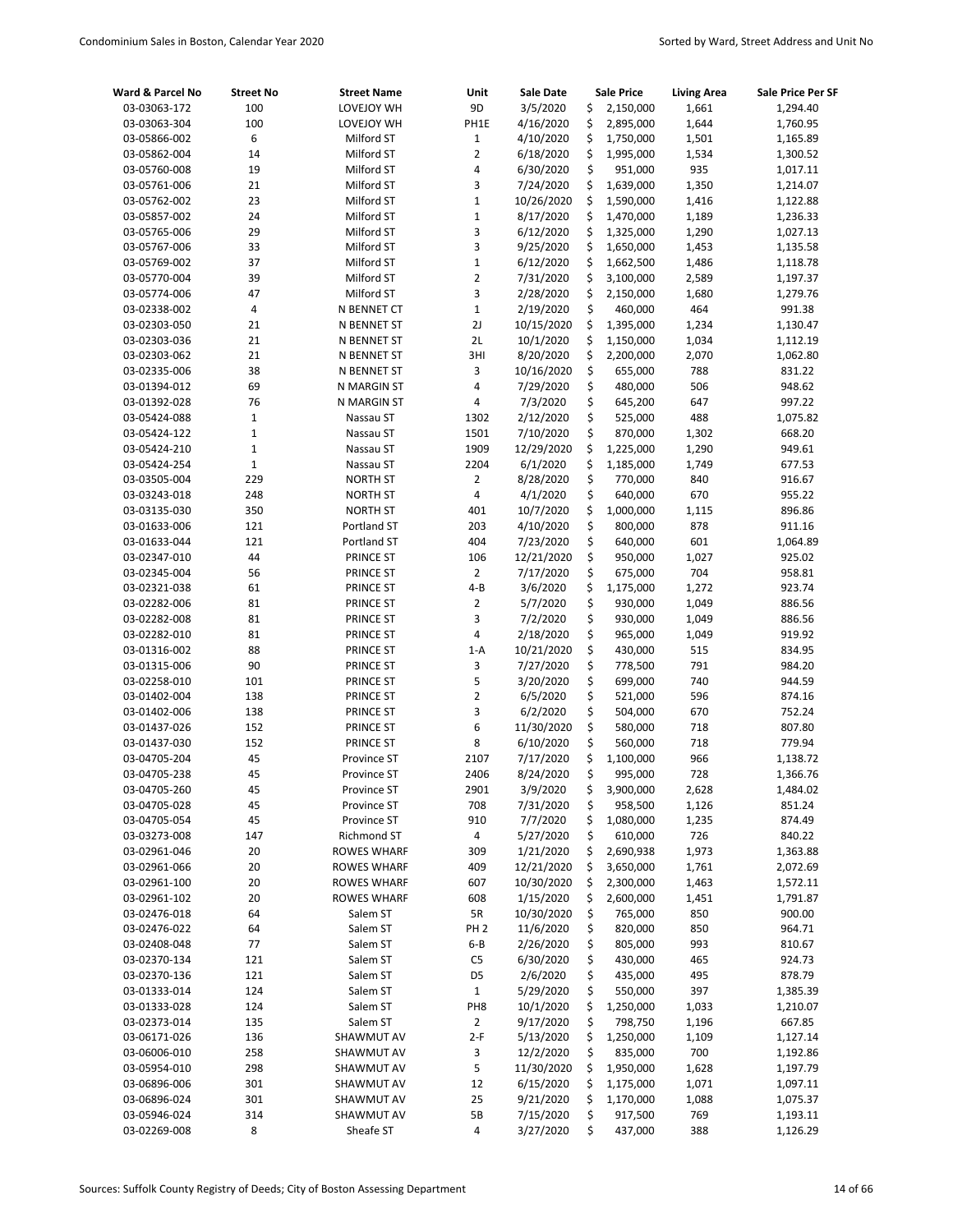| Ward & Parcel No             | <b>Street No</b> | <b>Street Name</b>     | Unit                      | <b>Sale Date</b>     |          | <b>Sale Price</b>    | <b>Living Area</b> | Sale Price Per SF |
|------------------------------|------------------|------------------------|---------------------------|----------------------|----------|----------------------|--------------------|-------------------|
| 03-03063-172                 | 100              | LOVEJOY WH             | 9D                        | 3/5/2020             | \$       | 2,150,000            | 1,661              | 1,294.40          |
| 03-03063-304                 | 100              | LOVEJOY WH             | PH1E                      | 4/16/2020            | \$       | 2,895,000            | 1,644              | 1,760.95          |
| 03-05866-002                 | 6                | Milford ST             | $\mathbf{1}$              | 4/10/2020            | \$       | 1,750,000            | 1,501              | 1,165.89          |
| 03-05862-004                 | 14               | Milford ST             | $\overline{2}$            | 6/18/2020            | \$       | 1,995,000            | 1,534              | 1,300.52          |
| 03-05760-008                 | 19               | Milford ST             | 4                         | 6/30/2020            | \$       | 951,000              | 935                | 1,017.11          |
| 03-05761-006                 | 21               | Milford ST             | 3                         | 7/24/2020            | \$       | 1,639,000            | 1,350              | 1,214.07          |
| 03-05762-002                 | 23               | Milford ST             | $\mathbf 1$               | 10/26/2020           | \$       | 1,590,000            | 1,416              | 1,122.88          |
| 03-05857-002                 | 24               | Milford ST             | $\mathbf 1$               | 8/17/2020            | \$       | 1,470,000            | 1,189              | 1,236.33          |
| 03-05765-006                 | 29               | Milford ST             | 3                         | 6/12/2020            | \$       | 1,325,000            | 1,290              | 1,027.13          |
| 03-05767-006                 | 33               | Milford ST             | 3                         | 9/25/2020            | \$       | 1,650,000            | 1,453              | 1,135.58          |
| 03-05769-002                 | 37               | Milford ST             | $\mathbf 1$               | 6/12/2020            | \$       | 1,662,500            | 1,486              | 1,118.78          |
| 03-05770-004                 | 39               | Milford ST             | $\overline{2}$            | 7/31/2020            | \$       | 3,100,000            | 2,589              | 1,197.37          |
| 03-05774-006                 | 47               | Milford ST             | 3                         | 2/28/2020            | \$       | 2,150,000            | 1,680              | 1,279.76          |
| 03-02338-002                 | 4                | N BENNET CT            | $\mathbf 1$               | 2/19/2020            | \$       | 460,000              | 464                | 991.38            |
| 03-02303-050                 | 21               | N BENNET ST            | 2J                        | 10/15/2020           | \$       | 1,395,000            | 1,234              | 1,130.47          |
| 03-02303-036                 | 21               | N BENNET ST            | 2L                        | 10/1/2020            | \$       | 1,150,000            | 1,034              | 1,112.19          |
| 03-02303-062                 | 21               | N BENNET ST            | 3HI                       | 8/20/2020            | \$       | 2,200,000            | 2,070              | 1,062.80          |
| 03-02335-006                 | 38               | N BENNET ST            | 3                         | 10/16/2020           | \$       | 655,000              | 788                | 831.22            |
| 03-01394-012                 | 69               | N MARGIN ST            | 4                         | 7/29/2020            | \$       | 480,000              | 506                | 948.62            |
| 03-01392-028                 | 76               | N MARGIN ST            | 4                         | 7/3/2020             | \$       | 645,200              | 647                | 997.22            |
| 03-05424-088                 | $\mathbf 1$      | Nassau ST              | 1302                      | 2/12/2020            | \$       | 525,000              | 488                | 1,075.82          |
| 03-05424-122                 | 1                | Nassau ST              | 1501                      | 7/10/2020            | \$       | 870,000              | 1,302              | 668.20            |
| 03-05424-210                 | 1                | Nassau ST              | 1909                      | 12/29/2020           | \$       | 1,225,000            | 1,290              | 949.61            |
| 03-05424-254                 | $\mathbf 1$      | Nassau ST              | 2204                      | 6/1/2020             | \$       | 1,185,000            | 1,749              | 677.53            |
| 03-03505-004                 | 229              | <b>NORTH ST</b>        | $\overline{2}$            | 8/28/2020            | \$       | 770,000              | 840                | 916.67            |
| 03-03243-018                 | 248              | <b>NORTH ST</b>        | 4                         | 4/1/2020             | \$       | 640,000              | 670                | 955.22            |
| 03-03135-030                 | 350              | <b>NORTH ST</b>        | 401                       | 10/7/2020            | \$       | 1,000,000            | 1,115              | 896.86            |
| 03-01633-006                 | 121              | Portland ST            | 203                       | 4/10/2020            | \$       | 800,000              | 878                | 911.16            |
| 03-01633-044                 | 121              | Portland ST            | 404                       | 7/23/2020            | \$       | 640,000              | 601                | 1,064.89          |
| 03-02347-010                 | 44<br>56         | PRINCE ST              | 106<br>$\overline{2}$     | 12/21/2020           | \$<br>\$ | 950,000              | 1,027<br>704       | 925.02            |
| 03-02345-004                 |                  | PRINCE ST              |                           | 7/17/2020            | \$       | 675,000              |                    | 958.81            |
| 03-02321-038<br>03-02282-006 | 61<br>81         | PRINCE ST              | $4 - B$<br>$\overline{2}$ | 3/6/2020<br>5/7/2020 | \$       | 1,175,000<br>930,000 | 1,272<br>1,049     | 923.74<br>886.56  |
| 03-02282-008                 | 81               | PRINCE ST<br>PRINCE ST | 3                         | 7/2/2020             | \$       | 930,000              | 1,049              | 886.56            |
| 03-02282-010                 | 81               | PRINCE ST              | 4                         | 2/18/2020            | \$       | 965,000              | 1,049              | 919.92            |
| 03-01316-002                 | 88               | PRINCE ST              | $1-A$                     | 10/21/2020           | \$       | 430,000              | 515                | 834.95            |
| 03-01315-006                 | 90               | PRINCE ST              | 3                         | 7/27/2020            | \$       | 778,500              | 791                | 984.20            |
| 03-02258-010                 | 101              | PRINCE ST              | 5                         | 3/20/2020            | \$       | 699,000              | 740                | 944.59            |
| 03-01402-004                 | 138              | PRINCE ST              | $\overline{2}$            | 6/5/2020             | \$       | 521,000              | 596                | 874.16            |
| 03-01402-006                 | 138              | PRINCE ST              | 3                         | 6/2/2020             | \$       | 504,000              | 670                | 752.24            |
| 03-01437-026                 | 152              | PRINCE ST              | 6                         | 11/30/2020           | \$       | 580,000              | 718                | 807.80            |
| 03-01437-030                 | 152              | PRINCE ST              | 8                         | 6/10/2020            | \$       | 560,000              | 718                | 779.94            |
| 03-04705-204                 | 45               | Province ST            | 2107                      | 7/17/2020            | \$       | 1,100,000            | 966                | 1,138.72          |
| 03-04705-238                 | 45               | Province ST            | 2406                      | 8/24/2020            | \$       | 995,000              | 728                | 1,366.76          |
| 03-04705-260                 | 45               | Province ST            | 2901                      | 3/9/2020             | \$       | 3,900,000            | 2,628              | 1,484.02          |
| 03-04705-028                 | 45               | Province ST            | 708                       | 7/31/2020            | \$       | 958,500              | 1,126              | 851.24            |
| 03-04705-054                 | 45               | Province ST            | 910                       | 7/7/2020             | \$       | 1,080,000            | 1,235              | 874.49            |
| 03-03273-008                 | 147              | Richmond ST            | 4                         | 5/27/2020            | \$       | 610,000              | 726                | 840.22            |
| 03-02961-046                 | 20               | ROWES WHARF            | 309                       | 1/21/2020            | \$       | 2,690,938            | 1,973              | 1,363.88          |
| 03-02961-066                 | 20               | ROWES WHARF            | 409                       | 12/21/2020           | \$       | 3,650,000            | 1,761              | 2,072.69          |
| 03-02961-100                 | 20               | <b>ROWES WHARF</b>     | 607                       | 10/30/2020           | \$       | 2,300,000            | 1,463              | 1,572.11          |
| 03-02961-102                 | 20               | <b>ROWES WHARF</b>     | 608                       | 1/15/2020            | \$       | 2,600,000            | 1,451              | 1,791.87          |
| 03-02476-018                 | 64               | Salem ST               | 5R                        | 10/30/2020           | \$       | 765,000              | 850                | 900.00            |
| 03-02476-022                 | 64               | Salem ST               | PH <sub>2</sub>           | 11/6/2020            | \$       | 820,000              | 850                | 964.71            |
| 03-02408-048                 | 77               | Salem ST               | $6 - B$                   | 2/26/2020            | \$       | 805,000              | 993                | 810.67            |
| 03-02370-134                 | 121              | Salem ST               | C5                        | 6/30/2020            | \$       | 430,000              | 465                | 924.73            |
| 03-02370-136                 | 121              | Salem ST               | D <sub>5</sub>            | 2/6/2020             | \$       | 435,000              | 495                | 878.79            |
| 03-01333-014                 | 124              | Salem ST               | $\mathbf 1$               | 5/29/2020            | \$       | 550,000              | 397                | 1,385.39          |
| 03-01333-028                 | 124              | Salem ST               | PH <sub>8</sub>           | 10/1/2020            | \$       | 1,250,000            | 1,033              | 1,210.07          |
| 03-02373-014                 | 135              | Salem ST               | $\overline{2}$            | 9/17/2020            | \$       | 798,750              | 1,196              | 667.85            |
| 03-06171-026                 | 136              | SHAWMUT AV             | $2-F$                     | 5/13/2020            | \$       | 1,250,000            | 1,109              | 1,127.14          |
| 03-06006-010                 | 258              | SHAWMUT AV             | 3                         | 12/2/2020            | \$       | 835,000              | 700                | 1,192.86          |
| 03-05954-010                 | 298              | SHAWMUT AV             | 5                         | 11/30/2020           | \$       | 1,950,000            | 1,628              | 1,197.79          |
| 03-06896-006                 | 301              | SHAWMUT AV             | 12                        | 6/15/2020            | \$       | 1,175,000            | 1,071              | 1,097.11          |
| 03-06896-024                 | 301              | SHAWMUT AV             | 25                        | 9/21/2020            | \$       | 1,170,000            | 1,088              | 1,075.37          |
| 03-05946-024                 | 314              | SHAWMUT AV             | 5В                        | 7/15/2020            | \$       | 917,500              | 769                | 1,193.11          |
| 03-02269-008                 | 8                | Sheafe ST              | 4                         | 3/27/2020            | \$       | 437,000              | 388                | 1,126.29          |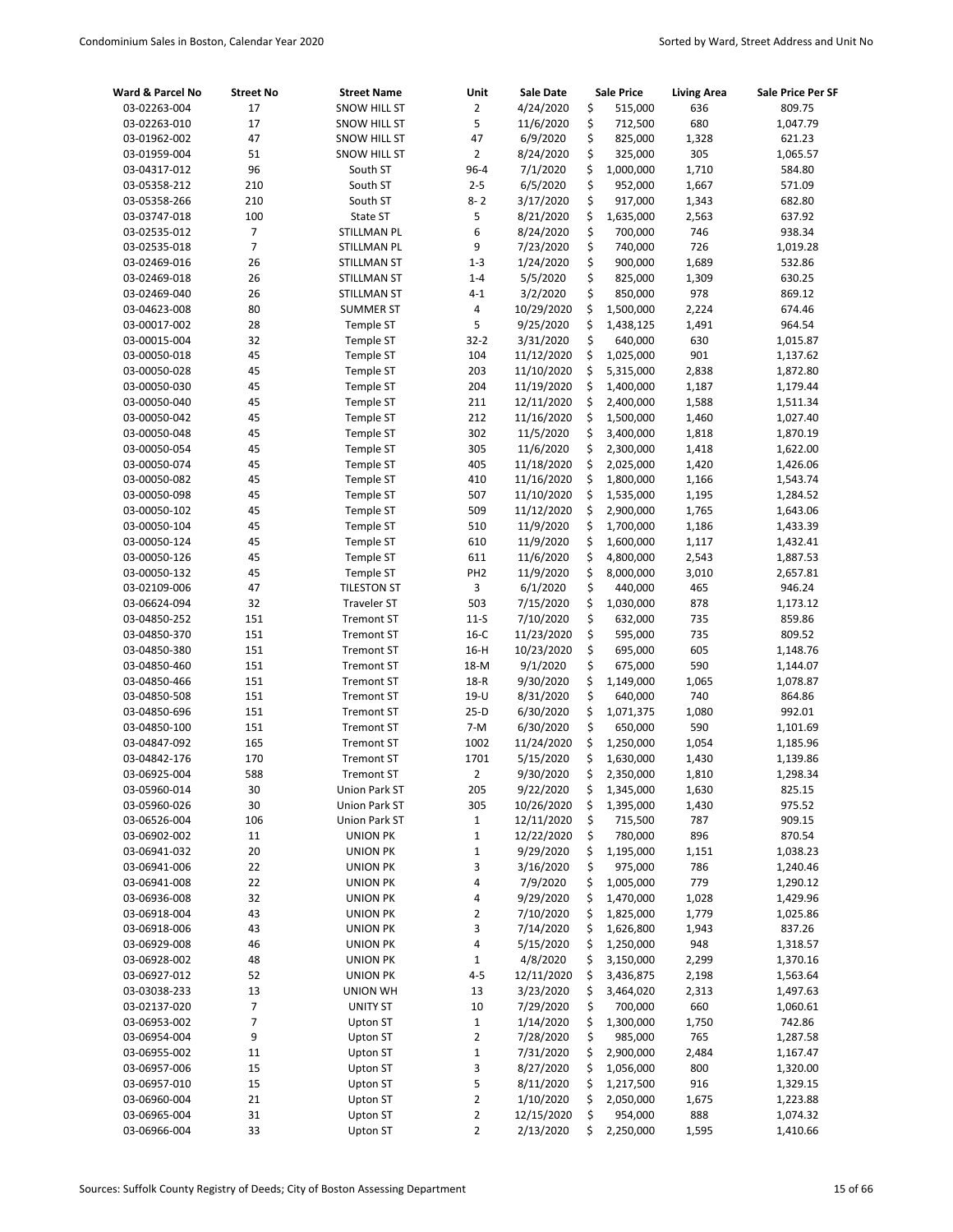| Ward & Parcel No             | <b>Street No</b> | <b>Street Name</b>                     | Unit            | Sale Date              |          | <b>Sale Price</b>    | <b>Living Area</b> | Sale Price Per SF    |
|------------------------------|------------------|----------------------------------------|-----------------|------------------------|----------|----------------------|--------------------|----------------------|
| 03-02263-004                 | 17               | <b>SNOW HILL ST</b>                    | $\overline{2}$  | 4/24/2020              | \$       | 515,000              | 636                | 809.75               |
| 03-02263-010                 | 17               | SNOW HILL ST                           | 5               | 11/6/2020              | \$       | 712,500              | 680                | 1,047.79             |
| 03-01962-002                 | 47               | <b>SNOW HILL ST</b>                    | 47              | 6/9/2020               | \$       | 825,000              | 1,328              | 621.23               |
| 03-01959-004                 | 51               | SNOW HILL ST                           | $\overline{2}$  | 8/24/2020              | \$       | 325,000              | 305                | 1,065.57             |
| 03-04317-012                 | 96               | South ST                               | $96 - 4$        | 7/1/2020               | \$       | 1,000,000            | 1,710              | 584.80               |
| 03-05358-212                 | 210              | South ST                               | $2 - 5$         | 6/5/2020               | \$       | 952,000              | 1,667              | 571.09               |
| 03-05358-266                 | 210              | South ST                               | $8 - 2$         | 3/17/2020              | \$       | 917,000              | 1,343              | 682.80               |
| 03-03747-018                 | 100              | State ST                               | 5               | 8/21/2020              | \$       | 1,635,000            | 2,563              | 637.92               |
| 03-02535-012                 | 7                | STILLMAN PL                            | 6               | 8/24/2020              | \$       | 700,000              | 746                | 938.34               |
| 03-02535-018                 | 7                | <b>STILLMAN PL</b>                     | 9               | 7/23/2020              | \$       | 740,000              | 726                | 1,019.28             |
| 03-02469-016                 | 26               | <b>STILLMAN ST</b>                     | $1 - 3$         | 1/24/2020              | \$       | 900,000              | 1,689              | 532.86               |
| 03-02469-018                 | 26               | STILLMAN ST                            | $1 - 4$         | 5/5/2020               | \$       | 825,000              | 1,309              | 630.25               |
| 03-02469-040                 | 26               | STILLMAN ST                            | $4 - 1$         | 3/2/2020               | \$       | 850,000              | 978                | 869.12               |
| 03-04623-008                 | 80               | <b>SUMMER ST</b>                       | 4               | 10/29/2020             | \$       | 1,500,000            | 2,224              | 674.46               |
| 03-00017-002                 | 28               | Temple ST                              | 5               | 9/25/2020              | \$       | 1,438,125            | 1,491              | 964.54               |
| 03-00015-004                 | 32               | Temple ST                              | $32 - 2$        | 3/31/2020              | \$       | 640,000              | 630                | 1,015.87             |
| 03-00050-018                 | 45               | Temple ST                              | 104             | 11/12/2020             | \$       | 1,025,000            | 901                | 1,137.62             |
| 03-00050-028                 | 45               | Temple ST                              | 203             | 11/10/2020             | \$       | 5,315,000            | 2,838              | 1,872.80             |
| 03-00050-030                 | 45               | Temple ST                              | 204             | 11/19/2020             | \$       | 1,400,000            | 1,187              | 1,179.44             |
| 03-00050-040                 | 45               | Temple ST                              | 211             | 12/11/2020             | \$       | 2,400,000            | 1,588              | 1,511.34             |
| 03-00050-042                 | 45               | Temple ST                              | 212             | 11/16/2020             | \$       | 1,500,000            | 1,460              | 1,027.40             |
| 03-00050-048                 | 45               | Temple ST                              | 302             | 11/5/2020              | \$       | 3,400,000            | 1,818              | 1,870.19             |
| 03-00050-054                 | 45               | Temple ST                              | 305             | 11/6/2020              | \$       | 2,300,000            | 1,418              | 1,622.00             |
| 03-00050-074                 | 45               | Temple ST                              | 405             | 11/18/2020             | \$       | 2,025,000            | 1,420              | 1,426.06             |
| 03-00050-082                 | 45               | Temple ST                              | 410             | 11/16/2020             | \$       | 1,800,000            | 1,166              | 1,543.74             |
| 03-00050-098                 | 45               | Temple ST                              | 507             | 11/10/2020             | \$       | 1,535,000            | 1,195              | 1,284.52             |
| 03-00050-102                 | 45               | Temple ST                              | 509             | 11/12/2020             | \$       | 2,900,000            | 1,765              | 1,643.06             |
| 03-00050-104                 | 45               | Temple ST                              | 510             | 11/9/2020              | \$       | 1,700,000            | 1,186              | 1,433.39             |
| 03-00050-124                 | 45               | Temple ST                              | 610             | 11/9/2020              | \$       | 1,600,000            | 1,117              | 1,432.41             |
| 03-00050-126                 | 45               | Temple ST                              | 611             | 11/6/2020              | \$       | 4,800,000            | 2,543              | 1,887.53             |
| 03-00050-132                 | 45               | Temple ST                              | PH <sub>2</sub> | 11/9/2020              | \$       | 8,000,000            | 3,010              | 2,657.81             |
| 03-02109-006                 | 47               | <b>TILESTON ST</b>                     | 3               | 6/1/2020               | \$       | 440,000              | 465                | 946.24               |
| 03-06624-094                 | 32               | <b>Traveler ST</b>                     | 503             | 7/15/2020              | \$       | 1,030,000            | 878                | 1,173.12             |
| 03-04850-252                 | 151              | <b>Tremont ST</b>                      | $11-S$          | 7/10/2020              | \$       | 632,000              | 735                | 859.86               |
| 03-04850-370                 | 151              | <b>Tremont ST</b>                      | $16-C$          | 11/23/2020             | \$       | 595,000              | 735                | 809.52               |
| 03-04850-380                 | 151              | <b>Tremont ST</b>                      | $16-H$          | 10/23/2020             | \$       | 695,000              | 605                | 1,148.76             |
| 03-04850-460                 | 151              | <b>Tremont ST</b>                      | 18-M            | 9/1/2020               | \$       | 675,000              | 590                | 1,144.07             |
| 03-04850-466                 | 151              | <b>Tremont ST</b>                      | $18-R$          | 9/30/2020              | \$       | 1,149,000            | 1,065<br>740       | 1,078.87             |
| 03-04850-508                 | 151              | <b>Tremont ST</b>                      | $19-U$          | 8/31/2020              | \$       | 640,000              |                    | 864.86<br>992.01     |
| 03-04850-696                 | 151<br>151       | <b>Tremont ST</b><br><b>Tremont ST</b> | $25-D$<br>7-M   | 6/30/2020<br>6/30/2020 | \$<br>\$ | 1,071,375<br>650,000 | 1,080<br>590       |                      |
| 03-04850-100<br>03-04847-092 | 165              | <b>Tremont ST</b>                      | 1002            | 11/24/2020             | \$       | 1,250,000            | 1,054              | 1,101.69<br>1,185.96 |
| 03-04842-176                 | 170              | <b>Tremont ST</b>                      | 1701            | 5/15/2020              | \$       | 1,630,000            | 1,430              | 1,139.86             |
| 03-06925-004                 | 588              | <b>Tremont ST</b>                      | $\overline{2}$  | 9/30/2020              | Ś        | 2,350,000            | 1,810              | 1,298.34             |
| 03-05960-014                 | 30               | Union Park ST                          | 205             | 9/22/2020              | \$       | 1,345,000            | 1,630              | 825.15               |
| 03-05960-026                 | 30               | Union Park ST                          | 305             | 10/26/2020             | \$       | 1,395,000            | 1,430              | 975.52               |
| 03-06526-004                 | 106              | Union Park ST                          | 1               | 12/11/2020             | \$       | 715,500              | 787                | 909.15               |
| 03-06902-002                 | 11               | <b>UNION PK</b>                        | 1               | 12/22/2020             | \$       | 780,000              | 896                | 870.54               |
| 03-06941-032                 | 20               | <b>UNION PK</b>                        | $\mathbf 1$     | 9/29/2020              | \$       | 1,195,000            | 1,151              | 1,038.23             |
| 03-06941-006                 | 22               | <b>UNION PK</b>                        | 3               | 3/16/2020              | \$       | 975,000              | 786                | 1,240.46             |
| 03-06941-008                 | 22               | <b>UNION PK</b>                        | 4               | 7/9/2020               | \$       | 1,005,000            | 779                | 1,290.12             |
| 03-06936-008                 | 32               | <b>UNION PK</b>                        | 4               | 9/29/2020              | \$       | 1,470,000            | 1,028              | 1,429.96             |
| 03-06918-004                 | 43               | <b>UNION PK</b>                        | 2               | 7/10/2020              | \$       | 1,825,000            | 1,779              | 1,025.86             |
| 03-06918-006                 | 43               | <b>UNION PK</b>                        | 3               | 7/14/2020              | \$       | 1,626,800            | 1,943              | 837.26               |
| 03-06929-008                 | 46               | <b>UNION PK</b>                        | 4               | 5/15/2020              | \$       | 1,250,000            | 948                | 1,318.57             |
| 03-06928-002                 | 48               | <b>UNION PK</b>                        | $\mathbf 1$     | 4/8/2020               | \$       | 3,150,000            | 2,299              | 1,370.16             |
| 03-06927-012                 | 52               | <b>UNION PK</b>                        | $4 - 5$         | 12/11/2020             | \$       | 3,436,875            | 2,198              | 1,563.64             |
| 03-03038-233                 | 13               | <b>UNION WH</b>                        | 13              | 3/23/2020              | \$       | 3,464,020            | 2,313              | 1,497.63             |
| 03-02137-020                 | 7                | <b>UNITY ST</b>                        | $10\,$          | 7/29/2020              | \$       | 700,000              | 660                | 1,060.61             |
| 03-06953-002                 | $\overline{7}$   | Upton ST                               | $\mathbf{1}$    | 1/14/2020              | \$       | 1,300,000            | 1,750              | 742.86               |
| 03-06954-004                 | 9                | Upton ST                               | 2               | 7/28/2020              | \$       | 985,000              | 765                | 1,287.58             |
| 03-06955-002                 | $11\,$           | Upton ST                               | $\mathbf 1$     | 7/31/2020              | \$       | 2,900,000            | 2,484              | 1,167.47             |
| 03-06957-006                 | 15               | Upton ST                               | 3               | 8/27/2020              | \$       | 1,056,000            | 800                | 1,320.00             |
| 03-06957-010                 | 15               | Upton ST                               | 5               | 8/11/2020              | \$       | 1,217,500            | 916                | 1,329.15             |
| 03-06960-004                 | 21               | Upton ST                               | 2               | 1/10/2020              | \$       | 2,050,000            | 1,675              | 1,223.88             |
| 03-06965-004                 | 31               | Upton ST                               | 2               | 12/15/2020             | \$       | 954,000              | 888                | 1,074.32             |
| 03-06966-004                 | 33               | Upton ST                               | 2               | 2/13/2020              | \$       | 2,250,000            | 1,595              | 1,410.66             |
|                              |                  |                                        |                 |                        |          |                      |                    |                      |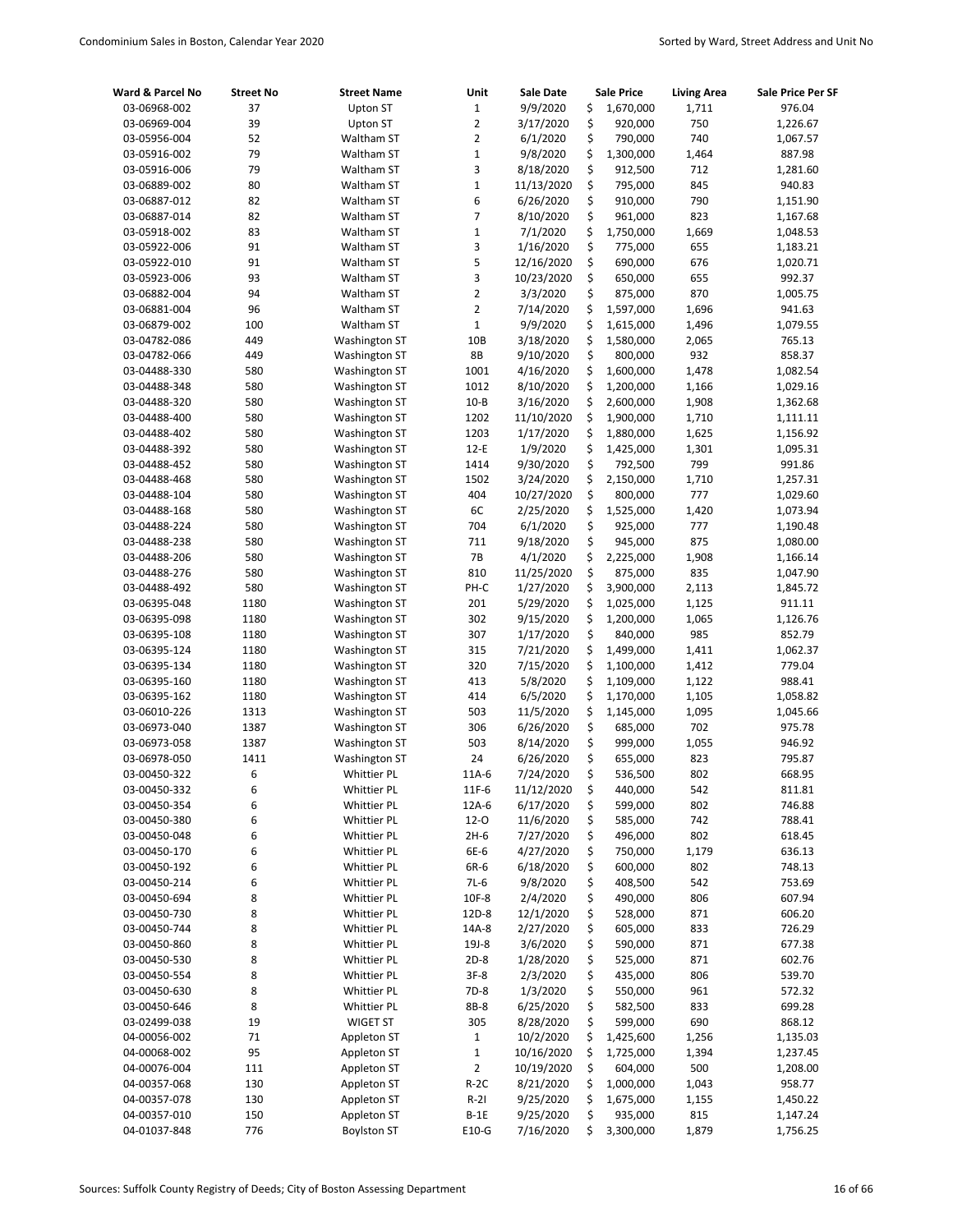| Ward & Parcel No | <b>Street No</b> | <b>Street Name</b>   | Unit            | Sale Date  | <b>Sale Price</b> | <b>Living Area</b> | Sale Price Per SF |
|------------------|------------------|----------------------|-----------------|------------|-------------------|--------------------|-------------------|
| 03-06968-002     | 37               | Upton ST             | $\mathbf 1$     | 9/9/2020   | \$<br>1,670,000   | 1,711              | 976.04            |
| 03-06969-004     | 39               | Upton ST             | $\overline{2}$  | 3/17/2020  | \$<br>920,000     | 750                | 1,226.67          |
| 03-05956-004     | 52               | Waltham ST           | $\overline{2}$  | 6/1/2020   | \$<br>790,000     | 740                | 1,067.57          |
| 03-05916-002     | 79               | Waltham ST           | $\mathbf 1$     | 9/8/2020   | \$<br>1,300,000   | 1,464              | 887.98            |
| 03-05916-006     | 79               | Waltham ST           | 3               | 8/18/2020  | \$<br>912,500     | 712                | 1,281.60          |
| 03-06889-002     | 80               | Waltham ST           | $\mathbf 1$     | 11/13/2020 | \$<br>795,000     | 845                | 940.83            |
| 03-06887-012     | 82               | Waltham ST           | 6               | 6/26/2020  | \$<br>910,000     | 790                | 1,151.90          |
| 03-06887-014     | 82               | Waltham ST           | 7               | 8/10/2020  | \$<br>961,000     | 823                | 1,167.68          |
| 03-05918-002     | 83               | Waltham ST           | $\mathbf 1$     | 7/1/2020   | \$<br>1,750,000   | 1,669              | 1,048.53          |
| 03-05922-006     | 91               | Waltham ST           | 3               | 1/16/2020  | \$<br>775,000     | 655                | 1,183.21          |
| 03-05922-010     | 91               | Waltham ST           | 5               | 12/16/2020 | \$<br>690,000     | 676                | 1,020.71          |
| 03-05923-006     | 93               | Waltham ST           | 3               | 10/23/2020 | \$<br>650,000     | 655                | 992.37            |
| 03-06882-004     | 94               | Waltham ST           | $\overline{2}$  | 3/3/2020   | \$<br>875,000     | 870                | 1,005.75          |
| 03-06881-004     | 96               | Waltham ST           | $\overline{2}$  | 7/14/2020  | \$<br>1,597,000   | 1,696              | 941.63            |
| 03-06879-002     | 100              | Waltham ST           | $\mathbf 1$     | 9/9/2020   | \$<br>1,615,000   | 1,496              | 1,079.55          |
| 03-04782-086     | 449              | <b>Washington ST</b> | 10 <sub>B</sub> | 3/18/2020  | \$<br>1,580,000   | 2,065              | 765.13            |
| 03-04782-066     | 449              | <b>Washington ST</b> | 8B              | 9/10/2020  | \$<br>800,000     | 932                | 858.37            |
| 03-04488-330     | 580              | <b>Washington ST</b> | 1001            | 4/16/2020  | \$<br>1,600,000   | 1,478              | 1,082.54          |
| 03-04488-348     | 580              | <b>Washington ST</b> | 1012            | 8/10/2020  | \$<br>1,200,000   | 1,166              | 1,029.16          |
| 03-04488-320     | 580              | <b>Washington ST</b> | $10 - B$        | 3/16/2020  | \$<br>2,600,000   | 1,908              | 1,362.68          |
| 03-04488-400     | 580              | <b>Washington ST</b> | 1202            | 11/10/2020 | \$<br>1,900,000   | 1,710              | 1,111.11          |
| 03-04488-402     | 580              | <b>Washington ST</b> | 1203            | 1/17/2020  | \$<br>1,880,000   | 1,625              | 1,156.92          |
| 03-04488-392     | 580              | <b>Washington ST</b> | $12-E$          | 1/9/2020   | \$<br>1,425,000   | 1,301              | 1,095.31          |
| 03-04488-452     | 580              | <b>Washington ST</b> | 1414            | 9/30/2020  | \$<br>792,500     | 799                | 991.86            |
| 03-04488-468     | 580              | <b>Washington ST</b> | 1502            | 3/24/2020  | \$<br>2,150,000   | 1,710              | 1,257.31          |
| 03-04488-104     | 580              | <b>Washington ST</b> | 404             | 10/27/2020 | \$<br>800,000     | 777                | 1,029.60          |
| 03-04488-168     | 580              | <b>Washington ST</b> | 6C              | 2/25/2020  | \$<br>1,525,000   | 1,420              | 1,073.94          |
| 03-04488-224     | 580              | <b>Washington ST</b> | 704             | 6/1/2020   | \$<br>925,000     | 777                | 1,190.48          |
| 03-04488-238     | 580              | <b>Washington ST</b> | 711             | 9/18/2020  | \$<br>945,000     | 875                | 1,080.00          |
| 03-04488-206     | 580              | <b>Washington ST</b> | <b>7B</b>       | 4/1/2020   | \$<br>2,225,000   | 1,908              | 1,166.14          |
| 03-04488-276     | 580              | <b>Washington ST</b> | 810             | 11/25/2020 | \$<br>875,000     | 835                | 1,047.90          |
| 03-04488-492     | 580              | <b>Washington ST</b> | PH-C            | 1/27/2020  | \$<br>3,900,000   | 2,113              | 1,845.72          |
| 03-06395-048     | 1180             | <b>Washington ST</b> | 201             | 5/29/2020  | \$<br>1,025,000   | 1,125              | 911.11            |
| 03-06395-098     | 1180             | <b>Washington ST</b> | 302             | 9/15/2020  | \$<br>1,200,000   | 1,065              | 1,126.76          |
| 03-06395-108     | 1180             | <b>Washington ST</b> | 307             | 1/17/2020  | \$<br>840,000     | 985                | 852.79            |
| 03-06395-124     | 1180             | <b>Washington ST</b> | 315             | 7/21/2020  | \$<br>1,499,000   | 1,411              | 1,062.37          |
| 03-06395-134     | 1180             | <b>Washington ST</b> | 320             | 7/15/2020  | \$<br>1,100,000   | 1,412              | 779.04            |
| 03-06395-160     | 1180             | <b>Washington ST</b> | 413             | 5/8/2020   | \$<br>1,109,000   | 1,122              | 988.41            |
| 03-06395-162     | 1180             | <b>Washington ST</b> | 414             | 6/5/2020   | \$<br>1,170,000   | 1,105              | 1,058.82          |
| 03-06010-226     | 1313             | <b>Washington ST</b> | 503             | 11/5/2020  | \$<br>1,145,000   | 1,095              | 1,045.66          |
| 03-06973-040     | 1387             | <b>Washington ST</b> | 306             | 6/26/2020  | \$<br>685,000     | 702                | 975.78            |
| 03-06973-058     | 1387             | <b>Washington ST</b> | 503             | 8/14/2020  | \$<br>999,000     | 1,055              | 946.92            |
| 03-06978-050     | 1411             | <b>Washington ST</b> | 24              | 6/26/2020  | \$<br>655,000     | 823                | 795.87            |
| 03-00450-322     | 6                | <b>Whittier PL</b>   | 11A-6           | 7/24/2020  | \$<br>536,500     | 802                | 668.95            |
| 03-00450-332     | 6                | <b>Whittier PL</b>   | 11F-6           | 11/12/2020 | \$<br>440,000     | 542                | 811.81            |
| 03-00450-354     | 6                | <b>Whittier PL</b>   | 12A-6           | 6/17/2020  | \$<br>599,000     | 802                | 746.88            |
| 03-00450-380     | 6                | <b>Whittier PL</b>   | $12 - 0$        | 11/6/2020  | \$<br>585,000     | 742                | 788.41            |
| 03-00450-048     | 6                | <b>Whittier PL</b>   | $2H-6$          | 7/27/2020  | \$<br>496,000     | 802                | 618.45            |
| 03-00450-170     | 6                | <b>Whittier PL</b>   | 6E-6            | 4/27/2020  | \$<br>750,000     | 1,179              | 636.13            |
| 03-00450-192     | 6                | <b>Whittier PL</b>   | 6R-6            | 6/18/2020  | \$<br>600,000     | 802                | 748.13            |
| 03-00450-214     | 6                | <b>Whittier PL</b>   | 7L-6            | 9/8/2020   | \$<br>408,500     | 542                | 753.69            |
| 03-00450-694     | 8                | <b>Whittier PL</b>   | 10F-8           | 2/4/2020   | \$<br>490,000     | 806                | 607.94            |
| 03-00450-730     | 8                | <b>Whittier PL</b>   | 12D-8           | 12/1/2020  | \$<br>528,000     | 871                | 606.20            |
| 03-00450-744     | 8                | <b>Whittier PL</b>   | 14A-8           | 2/27/2020  | \$<br>605,000     | 833                | 726.29            |
| 03-00450-860     | 8                | <b>Whittier PL</b>   | $19J-8$         | 3/6/2020   | \$<br>590,000     | 871                | 677.38            |
| 03-00450-530     | 8                | <b>Whittier PL</b>   | $2D-8$          | 1/28/2020  | \$<br>525,000     | 871                | 602.76            |
| 03-00450-554     | 8                | <b>Whittier PL</b>   | $3F-8$          | 2/3/2020   | \$<br>435,000     | 806                | 539.70            |
| 03-00450-630     | 8                | <b>Whittier PL</b>   | 7D-8            | 1/3/2020   | \$<br>550,000     | 961                | 572.32            |
| 03-00450-646     | 8                | <b>Whittier PL</b>   | 8B-8            | 6/25/2020  | \$<br>582,500     | 833                | 699.28            |
| 03-02499-038     | 19               | <b>WIGET ST</b>      | 305             | 8/28/2020  | \$<br>599,000     | 690                | 868.12            |
| 04-00056-002     | 71               | Appleton ST          | $\mathbf 1$     | 10/2/2020  | \$<br>1,425,600   | 1,256              | 1,135.03          |
| 04-00068-002     | 95               | Appleton ST          | $\mathbf 1$     | 10/16/2020 | \$<br>1,725,000   | 1,394              | 1,237.45          |
| 04-00076-004     | 111              | Appleton ST          | 2               | 10/19/2020 | \$<br>604,000     | 500                | 1,208.00          |
| 04-00357-068     | 130              | Appleton ST          | $R-2C$          | 8/21/2020  | \$<br>1,000,000   | 1,043              | 958.77            |
| 04-00357-078     | 130              | Appleton ST          | $R-2I$          | 9/25/2020  | \$<br>1,675,000   | 1,155              | 1,450.22          |
| 04-00357-010     | 150              | Appleton ST          | $B-1E$          | 9/25/2020  | \$<br>935,000     | 815                | 1,147.24          |
| 04-01037-848     | 776              | <b>Boylston ST</b>   | E10-G           | 7/16/2020  | \$<br>3,300,000   | 1,879              | 1,756.25          |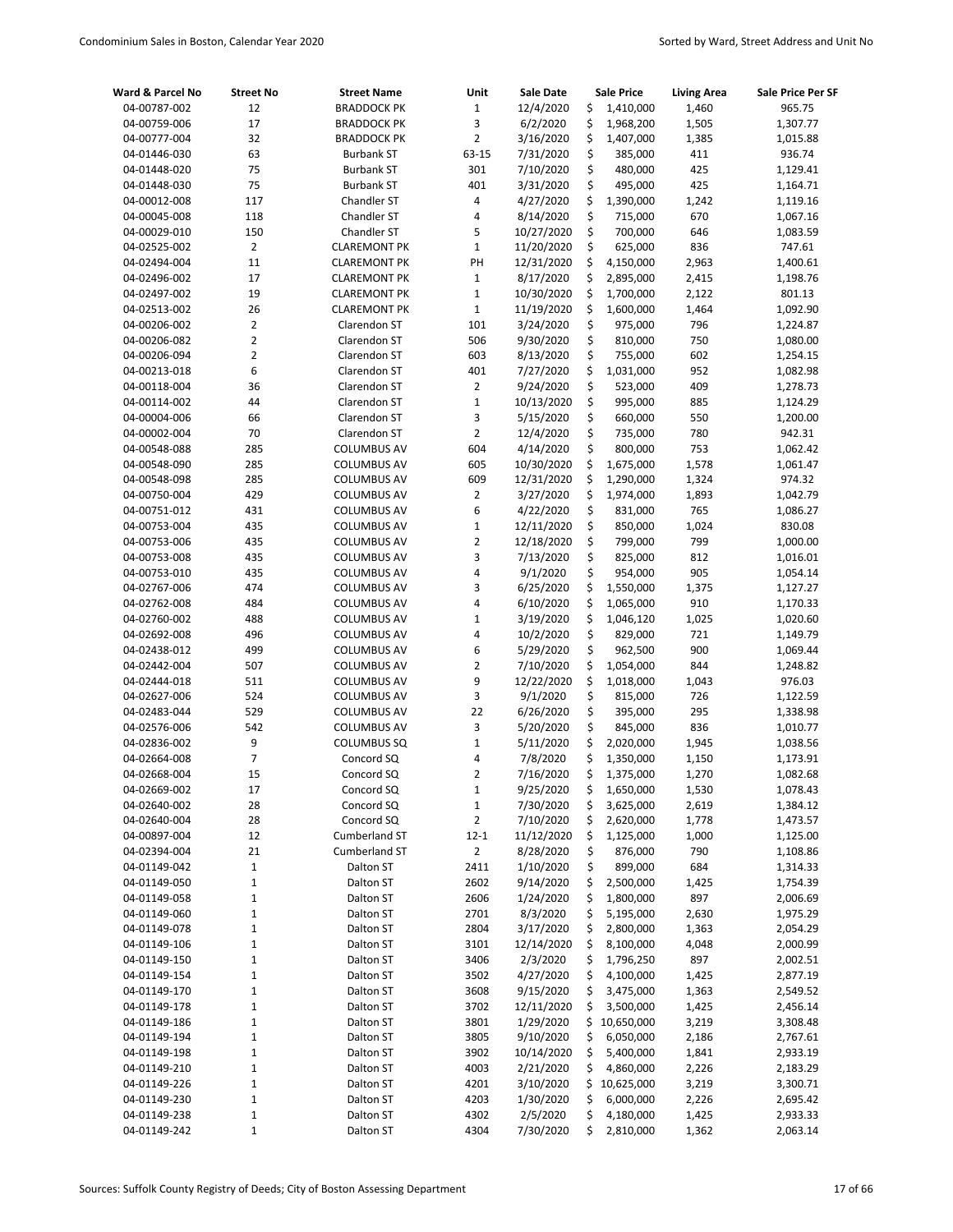| Ward & Parcel No             | <b>Street No</b> | <b>Street Name</b>                | Unit             | <b>Sale Date</b>        | <b>Sale Price</b>        | <b>Living Area</b> | Sale Price Per SF    |
|------------------------------|------------------|-----------------------------------|------------------|-------------------------|--------------------------|--------------------|----------------------|
| 04-00787-002                 | 12               | <b>BRADDOCK PK</b>                | $\mathbf 1$      | 12/4/2020               | \$<br>1,410,000          | 1,460              | 965.75               |
| 04-00759-006                 | 17               | <b>BRADDOCK PK</b>                | 3                | 6/2/2020                | \$<br>1,968,200          | 1,505              | 1,307.77             |
| 04-00777-004                 | 32               | <b>BRADDOCK PK</b>                | $\overline{2}$   | 3/16/2020               | \$<br>1,407,000          | 1,385              | 1,015.88             |
| 04-01446-030                 | 63               | <b>Burbank ST</b>                 | 63-15            | 7/31/2020               | \$<br>385,000            | 411                | 936.74               |
| 04-01448-020                 | 75               | <b>Burbank ST</b>                 | 301              | 7/10/2020               | \$<br>480,000            | 425                | 1,129.41             |
| 04-01448-030                 | 75               | <b>Burbank ST</b>                 | 401              | 3/31/2020               | \$<br>495,000            | 425                | 1,164.71             |
| 04-00012-008                 | 117              | Chandler ST                       | 4                | 4/27/2020               | \$<br>1,390,000          | 1,242              | 1,119.16             |
| 04-00045-008                 | 118              | Chandler ST                       | 4                | 8/14/2020               | \$<br>715,000            | 670                | 1,067.16             |
| 04-00029-010                 | 150              | Chandler ST                       | 5                | 10/27/2020              | \$<br>700,000            | 646                | 1,083.59             |
| 04-02525-002                 | $\overline{2}$   | <b>CLAREMONT PK</b>               | $\mathbf 1$      | 11/20/2020              | \$<br>625,000            | 836                | 747.61               |
| 04-02494-004                 | 11               | <b>CLAREMONT PK</b>               | PH               | 12/31/2020              | \$<br>4,150,000          | 2,963              | 1,400.61             |
| 04-02496-002                 | 17               | <b>CLAREMONT PK</b>               | $\mathbf 1$      | 8/17/2020               | \$<br>2,895,000          | 2,415              | 1,198.76             |
| 04-02497-002                 | 19               | <b>CLAREMONT PK</b>               | $\mathbf{1}$     | 10/30/2020              | \$<br>1,700,000          | 2,122              | 801.13               |
| 04-02513-002                 | 26               | <b>CLAREMONT PK</b>               | $\mathbf 1$      | 11/19/2020              | \$<br>1,600,000          | 1,464              | 1,092.90             |
| 04-00206-002                 | $\overline{2}$   | Clarendon ST                      | 101              | 3/24/2020               | \$<br>975,000            | 796                | 1,224.87             |
| 04-00206-082                 | $\overline{2}$   | Clarendon ST                      | 506              | 9/30/2020               | \$<br>810,000            | 750                | 1,080.00             |
| 04-00206-094                 | 2                | Clarendon ST                      | 603              | 8/13/2020               | \$<br>755,000            | 602                | 1,254.15             |
| 04-00213-018                 | 6                | Clarendon ST                      | 401              | 7/27/2020               | \$<br>1,031,000          | 952                | 1,082.98             |
| 04-00118-004                 | 36               | Clarendon ST                      | $\overline{2}$   | 9/24/2020               | \$<br>523,000            | 409                | 1,278.73             |
| 04-00114-002                 | 44               | Clarendon ST                      | $\mathbf 1$      | 10/13/2020              | \$<br>995,000            | 885                | 1,124.29             |
| 04-00004-006                 | 66               | Clarendon ST                      | 3                | 5/15/2020               | \$<br>660,000            | 550                | 1,200.00             |
| 04-00002-004                 | 70               | Clarendon ST                      | $\overline{2}$   | 12/4/2020               | \$<br>735,000            | 780                | 942.31               |
| 04-00548-088                 | 285              | <b>COLUMBUS AV</b>                | 604              | 4/14/2020               | \$<br>800,000            | 753                | 1,062.42             |
| 04-00548-090                 | 285              | <b>COLUMBUS AV</b>                | 605              | 10/30/2020              | \$<br>1,675,000          | 1,578              | 1,061.47             |
| 04-00548-098                 | 285              | <b>COLUMBUS AV</b>                | 609              | 12/31/2020              | \$<br>1,290,000          | 1,324              | 974.32               |
| 04-00750-004                 | 429              | <b>COLUMBUS AV</b>                | $\overline{2}$   | 3/27/2020               | \$<br>1,974,000          | 1,893              | 1,042.79             |
| 04-00751-012                 | 431              | <b>COLUMBUS AV</b>                | 6                | 4/22/2020               | \$<br>831,000            | 765                | 1,086.27             |
| 04-00753-004                 | 435              | <b>COLUMBUS AV</b>                | $\mathbf{1}$     | 12/11/2020              | \$<br>850,000            | 1,024              | 830.08               |
| 04-00753-006                 | 435              | <b>COLUMBUS AV</b>                | $\overline{2}$   | 12/18/2020              | \$<br>799,000            | 799                | 1,000.00             |
| 04-00753-008                 | 435              | <b>COLUMBUS AV</b>                | 3                | 7/13/2020               | \$<br>825,000            | 812                | 1,016.01             |
| 04-00753-010                 | 435              | <b>COLUMBUS AV</b>                | 4                | 9/1/2020                | \$<br>954,000            | 905                | 1,054.14             |
| 04-02767-006                 | 474              | <b>COLUMBUS AV</b>                | 3                | 6/25/2020               | \$<br>1,550,000          | 1,375              | 1,127.27             |
| 04-02762-008                 | 484              | <b>COLUMBUS AV</b>                | 4                | 6/10/2020               | \$<br>1,065,000          | 910                | 1,170.33             |
| 04-02760-002                 | 488              | <b>COLUMBUS AV</b>                | $\mathbf 1$      | 3/19/2020               | \$<br>1,046,120          | 1,025              | 1,020.60             |
| 04-02692-008                 | 496              | <b>COLUMBUS AV</b>                | 4                | 10/2/2020               | \$<br>829,000            | 721                | 1,149.79             |
| 04-02438-012                 | 499              | <b>COLUMBUS AV</b>                | 6                | 5/29/2020               | \$<br>962,500            | 900                | 1,069.44             |
| 04-02442-004                 | 507              | <b>COLUMBUS AV</b>                | $\overline{2}$   | 7/10/2020               | \$<br>1,054,000          | 844                | 1,248.82             |
| 04-02444-018                 | 511              | <b>COLUMBUS AV</b>                | 9                | 12/22/2020              | \$<br>1,018,000          | 1,043              | 976.03               |
| 04-02627-006                 | 524              | <b>COLUMBUS AV</b>                | 3                | 9/1/2020                | \$<br>815,000            | 726                | 1,122.59             |
| 04-02483-044                 | 529              | <b>COLUMBUS AV</b>                | 22               | 6/26/2020               | \$<br>395,000            | 295                | 1,338.98             |
| 04-02576-006                 | 542              | <b>COLUMBUS AV</b>                | 3                | 5/20/2020               | \$<br>845,000            | 836                | 1,010.77             |
| 04-02836-002                 | 9                | COLUMBUS SQ                       | $\mathbf{1}$     | 5/11/2020               | \$<br>2,020,000          | 1,945              | 1,038.56             |
| 04-02664-008                 | $\overline{7}$   | Concord SQ                        | 4                | 7/8/2020                | \$<br>1,350,000          | 1,150              | 1,173.91             |
| 04-02668-004                 | 15               | Concord SQ                        | 2                | 7/16/2020               | \$<br>1,375,000          | 1,270              | 1,082.68             |
| 04-02669-002                 | 17               | Concord SQ                        | $\mathbf 1$      | 9/25/2020               | \$<br>1,650,000          | 1,530              | 1,078.43             |
| 04-02640-002                 | 28<br>28         | Concord SQ                        | $\mathbf 1$<br>2 | 7/30/2020               | \$<br>3,625,000          | 2,619              | 1,384.12             |
| 04-02640-004<br>04-00897-004 | 12               | Concord SQ                        | $12 - 1$         | 7/10/2020<br>11/12/2020 | \$<br>2,620,000<br>\$    | 1,778              | 1,473.57             |
|                              | 21               | <b>Cumberland ST</b>              |                  | 8/28/2020               | 1,125,000<br>\$          | 1,000              | 1,125.00             |
| 04-02394-004<br>04-01149-042 | 1                | <b>Cumberland ST</b><br>Dalton ST | 2<br>2411        | 1/10/2020               | 876,000<br>\$<br>899,000 | 790<br>684         | 1,108.86<br>1,314.33 |
| 04-01149-050                 | 1                | Dalton ST                         | 2602             | 9/14/2020               | \$<br>2,500,000          | 1,425              | 1,754.39             |
| 04-01149-058                 | 1                | Dalton ST                         | 2606             | 1/24/2020               | \$<br>1,800,000          | 897                | 2,006.69             |
| 04-01149-060                 | 1                | Dalton ST                         | 2701             | 8/3/2020                | \$<br>5,195,000          | 2,630              | 1,975.29             |
| 04-01149-078                 | $\mathbf 1$      | Dalton ST                         | 2804             | 3/17/2020               | \$<br>2,800,000          | 1,363              | 2,054.29             |
| 04-01149-106                 | $\mathbf 1$      | Dalton ST                         | 3101             | 12/14/2020              | \$<br>8,100,000          | 4,048              | 2,000.99             |
| 04-01149-150                 | $\mathbf 1$      | Dalton ST                         | 3406             | 2/3/2020                | \$<br>1,796,250          | 897                | 2,002.51             |
| 04-01149-154                 | $\mathbf 1$      | Dalton ST                         | 3502             | 4/27/2020               | \$<br>4,100,000          | 1,425              | 2,877.19             |
| 04-01149-170                 | $\mathbf 1$      | Dalton ST                         | 3608             | 9/15/2020               | \$<br>3,475,000          | 1,363              | 2,549.52             |
| 04-01149-178                 | $\mathbf 1$      | Dalton ST                         | 3702             | 12/11/2020              | \$<br>3,500,000          | 1,425              | 2,456.14             |
| 04-01149-186                 | $\mathbf 1$      | Dalton ST                         | 3801             | 1/29/2020               | \$<br>10,650,000         | 3,219              | 3,308.48             |
| 04-01149-194                 | 1                | Dalton ST                         | 3805             | 9/10/2020               | \$<br>6,050,000          | 2,186              | 2,767.61             |
| 04-01149-198                 | 1                | Dalton ST                         | 3902             | 10/14/2020              | \$<br>5,400,000          | 1,841              | 2,933.19             |
| 04-01149-210                 | 1                | Dalton ST                         | 4003             | 2/21/2020               | \$<br>4,860,000          | 2,226              | 2,183.29             |
| 04-01149-226                 | 1                | Dalton ST                         | 4201             | 3/10/2020               | \$.<br>10,625,000        | 3,219              | 3,300.71             |
| 04-01149-230                 | 1                | Dalton ST                         | 4203             | 1/30/2020               | \$<br>6,000,000          | 2,226              | 2,695.42             |
| 04-01149-238                 | 1                | Dalton ST                         | 4302             | 2/5/2020                | \$<br>4,180,000          | 1,425              | 2,933.33             |
| 04-01149-242                 | 1                | Dalton ST                         | 4304             | 7/30/2020               | \$<br>2,810,000          | 1,362              | 2,063.14             |
|                              |                  |                                   |                  |                         |                          |                    |                      |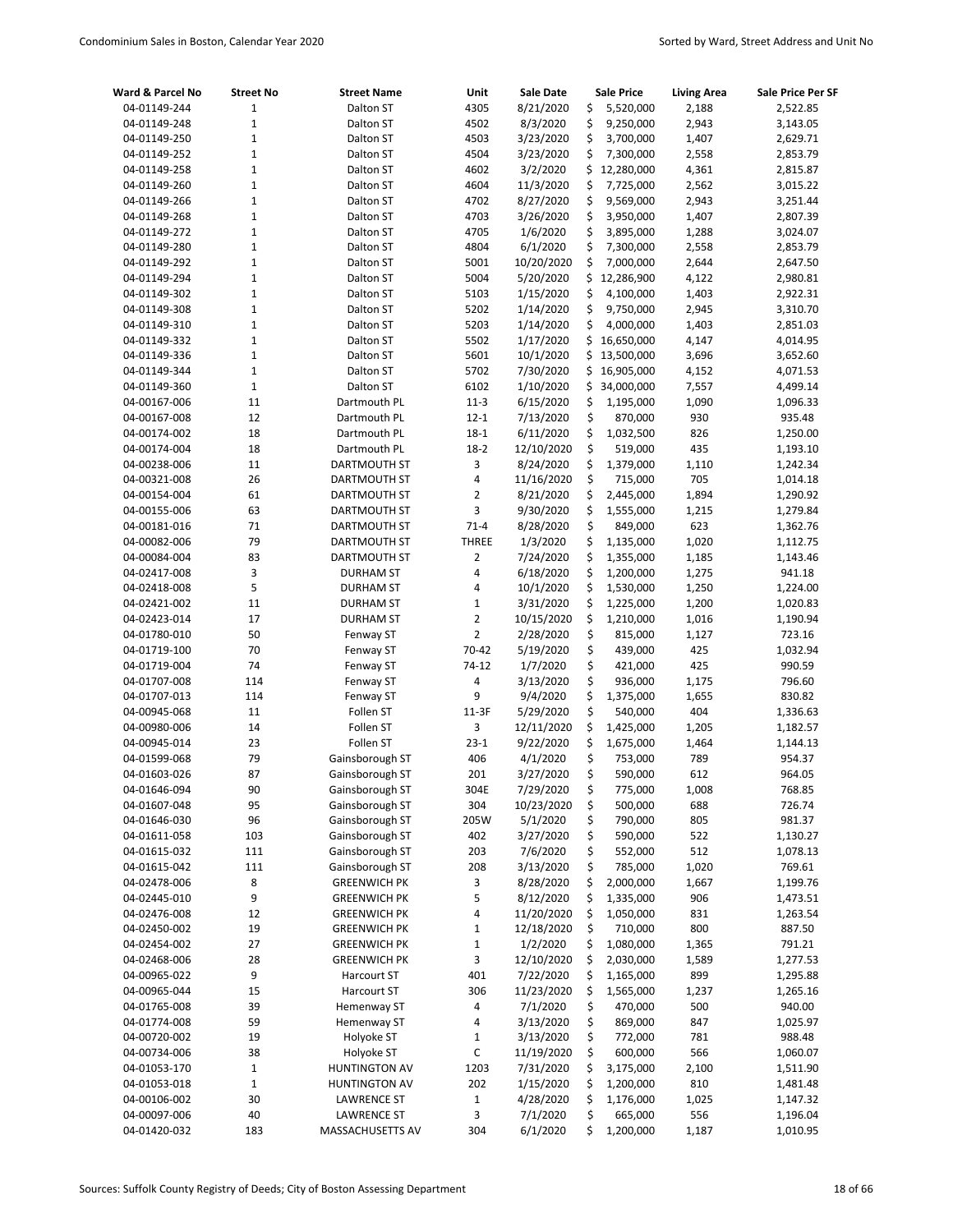| Ward & Parcel No             | <b>Street No</b>            | <b>Street Name</b>                 | Unit           | <b>Sale Date</b>       | <b>Sale Price</b>                   | <b>Living Area</b> | Sale Price Per SF    |
|------------------------------|-----------------------------|------------------------------------|----------------|------------------------|-------------------------------------|--------------------|----------------------|
| 04-01149-244                 | $\mathbf 1$                 | Dalton ST                          | 4305           | 8/21/2020              | \$<br>5,520,000                     | 2,188              | 2,522.85             |
| 04-01149-248                 | $\mathbf 1$                 | Dalton ST                          | 4502           | 8/3/2020               | \$<br>9,250,000                     | 2,943              | 3,143.05             |
| 04-01149-250                 | 1                           | Dalton ST                          | 4503           | 3/23/2020              | \$<br>3,700,000                     | 1,407              | 2,629.71             |
| 04-01149-252                 | 1                           | Dalton ST                          | 4504           | 3/23/2020              | \$<br>7,300,000                     | 2,558              | 2,853.79             |
| 04-01149-258                 | 1                           | Dalton ST                          | 4602           | 3/2/2020               | \$<br>12,280,000                    | 4,361              | 2,815.87             |
| 04-01149-260                 | 1                           | Dalton ST                          | 4604           | 11/3/2020              | \$<br>7,725,000                     | 2,562              | 3,015.22             |
| 04-01149-266                 | 1                           | Dalton ST                          | 4702           | 8/27/2020              | \$<br>9,569,000                     | 2,943              | 3,251.44             |
| 04-01149-268                 | $\mathbf 1$                 | Dalton ST                          | 4703           | 3/26/2020              | \$<br>3,950,000                     | 1,407              | 2,807.39             |
| 04-01149-272                 | 1                           | Dalton ST                          | 4705           | 1/6/2020               | \$<br>3,895,000                     | 1,288              | 3,024.07             |
| 04-01149-280                 | $\mathbf 1$                 | Dalton ST                          | 4804           | 6/1/2020               | \$<br>7,300,000                     | 2,558              | 2,853.79             |
| 04-01149-292                 | 1                           | Dalton ST                          | 5001           | 10/20/2020             | \$<br>7,000,000                     | 2,644              | 2,647.50             |
| 04-01149-294                 | $\mathbf 1$                 | Dalton ST                          | 5004           | 5/20/2020              | \$<br>12,286,900                    | 4,122              | 2,980.81             |
| 04-01149-302                 | $\mathbf 1$                 | Dalton ST                          | 5103           | 1/15/2020              | \$<br>4,100,000                     | 1,403              | 2,922.31             |
| 04-01149-308                 | 1                           | Dalton ST                          | 5202           | 1/14/2020              | \$<br>9,750,000                     | 2,945              | 3,310.70             |
| 04-01149-310                 | $\mathbf{1}$<br>$\mathbf 1$ | Dalton ST                          | 5203<br>5502   | 1/14/2020<br>1/17/2020 | \$<br>4,000,000<br>\$<br>16,650,000 | 1,403<br>4,147     | 2,851.03             |
| 04-01149-332<br>04-01149-336 | 1                           | Dalton ST<br>Dalton ST             | 5601           | 10/1/2020              | \$<br>13,500,000                    | 3,696              | 4,014.95<br>3,652.60 |
| 04-01149-344                 | 1                           | Dalton ST                          | 5702           | 7/30/2020              | \$<br>16,905,000                    | 4,152              | 4,071.53             |
| 04-01149-360                 | $\mathbf 1$                 | Dalton ST                          | 6102           | 1/10/2020              | \$<br>34,000,000                    | 7,557              | 4,499.14             |
| 04-00167-006                 | 11                          | Dartmouth PL                       | $11-3$         | 6/15/2020              | \$<br>1,195,000                     | 1,090              | 1,096.33             |
| 04-00167-008                 | 12                          | Dartmouth PL                       | $12 - 1$       | 7/13/2020              | \$<br>870,000                       | 930                | 935.48               |
| 04-00174-002                 | 18                          | Dartmouth PL                       | $18 - 1$       | 6/11/2020              | \$<br>1,032,500                     | 826                | 1,250.00             |
| 04-00174-004                 | 18                          | Dartmouth PL                       | $18 - 2$       | 12/10/2020             | \$<br>519,000                       | 435                | 1,193.10             |
| 04-00238-006                 | 11                          | DARTMOUTH ST                       | 3              | 8/24/2020              | \$<br>1,379,000                     | 1,110              | 1,242.34             |
| 04-00321-008                 | 26                          | DARTMOUTH ST                       | 4              | 11/16/2020             | \$<br>715,000                       | 705                | 1,014.18             |
| 04-00154-004                 | 61                          | DARTMOUTH ST                       | $\overline{2}$ | 8/21/2020              | \$<br>2,445,000                     | 1,894              | 1,290.92             |
| 04-00155-006                 | 63                          | DARTMOUTH ST                       | 3              | 9/30/2020              | \$<br>1,555,000                     | 1,215              | 1,279.84             |
| 04-00181-016                 | 71                          | DARTMOUTH ST                       | $71 - 4$       | 8/28/2020              | \$<br>849,000                       | 623                | 1,362.76             |
| 04-00082-006                 | 79                          | DARTMOUTH ST                       | <b>THREE</b>   | 1/3/2020               | \$<br>1,135,000                     | 1,020              | 1,112.75             |
| 04-00084-004                 | 83                          | DARTMOUTH ST                       | $\overline{2}$ | 7/24/2020              | \$<br>1,355,000                     | 1,185              | 1,143.46             |
| 04-02417-008                 | 3                           | <b>DURHAM ST</b>                   | 4              | 6/18/2020              | \$<br>1,200,000                     | 1,275              | 941.18               |
| 04-02418-008                 | 5                           | <b>DURHAM ST</b>                   | 4              | 10/1/2020              | \$<br>1,530,000                     | 1,250              | 1,224.00             |
| 04-02421-002                 | 11                          | DURHAM ST                          | $\mathbf 1$    | 3/31/2020              | \$<br>1,225,000                     | 1,200              | 1,020.83             |
| 04-02423-014                 | 17                          | <b>DURHAM ST</b>                   | $\overline{2}$ | 10/15/2020             | \$<br>1,210,000                     | 1,016              | 1,190.94             |
| 04-01780-010                 | 50                          | Fenway ST                          | $\overline{2}$ | 2/28/2020              | \$<br>815,000                       | 1,127              | 723.16               |
| 04-01719-100                 | 70                          | Fenway ST                          | 70-42          | 5/19/2020              | \$<br>439,000                       | 425                | 1,032.94             |
| 04-01719-004                 | 74                          | Fenway ST                          | 74-12          | 1/7/2020               | \$<br>421,000                       | 425                | 990.59               |
| 04-01707-008                 | 114                         | Fenway ST                          | 4              | 3/13/2020              | \$<br>936,000                       | 1,175              | 796.60               |
| 04-01707-013                 | 114                         | Fenway ST                          | 9              | 9/4/2020               | \$<br>1,375,000                     | 1,655              | 830.82               |
| 04-00945-068                 | 11                          | Follen ST                          | $11-3F$        | 5/29/2020              | \$<br>540,000                       | 404                | 1,336.63             |
| 04-00980-006                 | 14                          | Follen ST                          | 3              | 12/11/2020             | \$<br>1,425,000                     | 1,205              | 1,182.57             |
| 04-00945-014                 | 23                          | Follen ST                          | $23-1$         | 9/22/2020              | \$<br>1,675,000                     | 1,464              | 1,144.13             |
| 04-01599-068                 | 79                          | Gainsborough ST                    | 406            | 4/1/2020               | \$<br>753,000                       | 789                | 954.37               |
| 04-01603-026                 | 87                          | Gainsborough ST                    | 201            | 3/27/2020              | \$<br>590,000                       | 612                | 964.05               |
| 04-01646-094                 | 90                          | Gainsborough ST                    | 304E           | 7/29/2020              | \$<br>775,000                       | 1,008              | 768.85               |
| 04-01607-048                 | 95                          | Gainsborough ST                    | 304            | 10/23/2020             | \$<br>500,000                       | 688                | 726.74               |
| 04-01646-030                 | 96                          | Gainsborough ST                    | 205W           | 5/1/2020               | \$<br>790,000                       | 805                | 981.37               |
| 04-01611-058                 | 103                         | Gainsborough ST                    | 402            | 3/27/2020              | \$<br>590,000                       | 522                | 1,130.27             |
| 04-01615-032                 | 111<br>111                  | Gainsborough ST<br>Gainsborough ST | 203<br>208     | 7/6/2020               | \$<br>552,000<br>\$                 | 512<br>1,020       | 1,078.13             |
| 04-01615-042<br>04-02478-006 | 8                           | <b>GREENWICH PK</b>                | 3              | 3/13/2020<br>8/28/2020 | 785,000<br>\$                       |                    | 769.61               |
| 04-02445-010                 | 9                           | <b>GREENWICH PK</b>                | 5              | 8/12/2020              | 2,000,000<br>\$<br>1,335,000        | 1,667<br>906       | 1,199.76<br>1,473.51 |
| 04-02476-008                 | 12                          | <b>GREENWICH PK</b>                | 4              | 11/20/2020             | \$<br>1,050,000                     | 831                | 1,263.54             |
| 04-02450-002                 | 19                          | <b>GREENWICH PK</b>                | $\mathbf 1$    | 12/18/2020             | \$<br>710,000                       | 800                | 887.50               |
| 04-02454-002                 | 27                          | <b>GREENWICH PK</b>                | $\mathbf 1$    | 1/2/2020               | \$<br>1,080,000                     | 1,365              | 791.21               |
| 04-02468-006                 | 28                          | <b>GREENWICH PK</b>                | 3              | 12/10/2020             | \$<br>2,030,000                     | 1,589              | 1,277.53             |
| 04-00965-022                 | 9                           | Harcourt ST                        | 401            | 7/22/2020              | \$<br>1,165,000                     | 899                | 1,295.88             |
| 04-00965-044                 | 15                          | Harcourt ST                        | 306            | 11/23/2020             | \$<br>1,565,000                     | 1,237              | 1,265.16             |
| 04-01765-008                 | 39                          | Hemenway ST                        | 4              | 7/1/2020               | \$<br>470,000                       | 500                | 940.00               |
| 04-01774-008                 | 59                          | Hemenway ST                        | 4              | 3/13/2020              | \$<br>869,000                       | 847                | 1,025.97             |
| 04-00720-002                 | 19                          | Holyoke ST                         | $\mathbf 1$    | 3/13/2020              | \$<br>772,000                       | 781                | 988.48               |
| 04-00734-006                 | 38                          | Holyoke ST                         | C              | 11/19/2020             | \$<br>600,000                       | 566                | 1,060.07             |
| 04-01053-170                 | $\mathbf 1$                 | <b>HUNTINGTON AV</b>               | 1203           | 7/31/2020              | \$<br>3,175,000                     | 2,100              | 1,511.90             |
| 04-01053-018                 | $\mathbf 1$                 | <b>HUNTINGTON AV</b>               | 202            | 1/15/2020              | \$<br>1,200,000                     | 810                | 1,481.48             |
| 04-00106-002                 | 30                          | <b>LAWRENCE ST</b>                 | $\mathbf 1$    | 4/28/2020              | \$<br>1,176,000                     | 1,025              | 1,147.32             |
| 04-00097-006                 | 40                          | LAWRENCE ST                        | 3              | 7/1/2020               | \$<br>665,000                       | 556                | 1,196.04             |
| 04-01420-032                 | 183                         | MASSACHUSETTS AV                   | 304            | 6/1/2020               | \$<br>1,200,000                     | 1,187              | 1,010.95             |
|                              |                             |                                    |                |                        |                                     |                    |                      |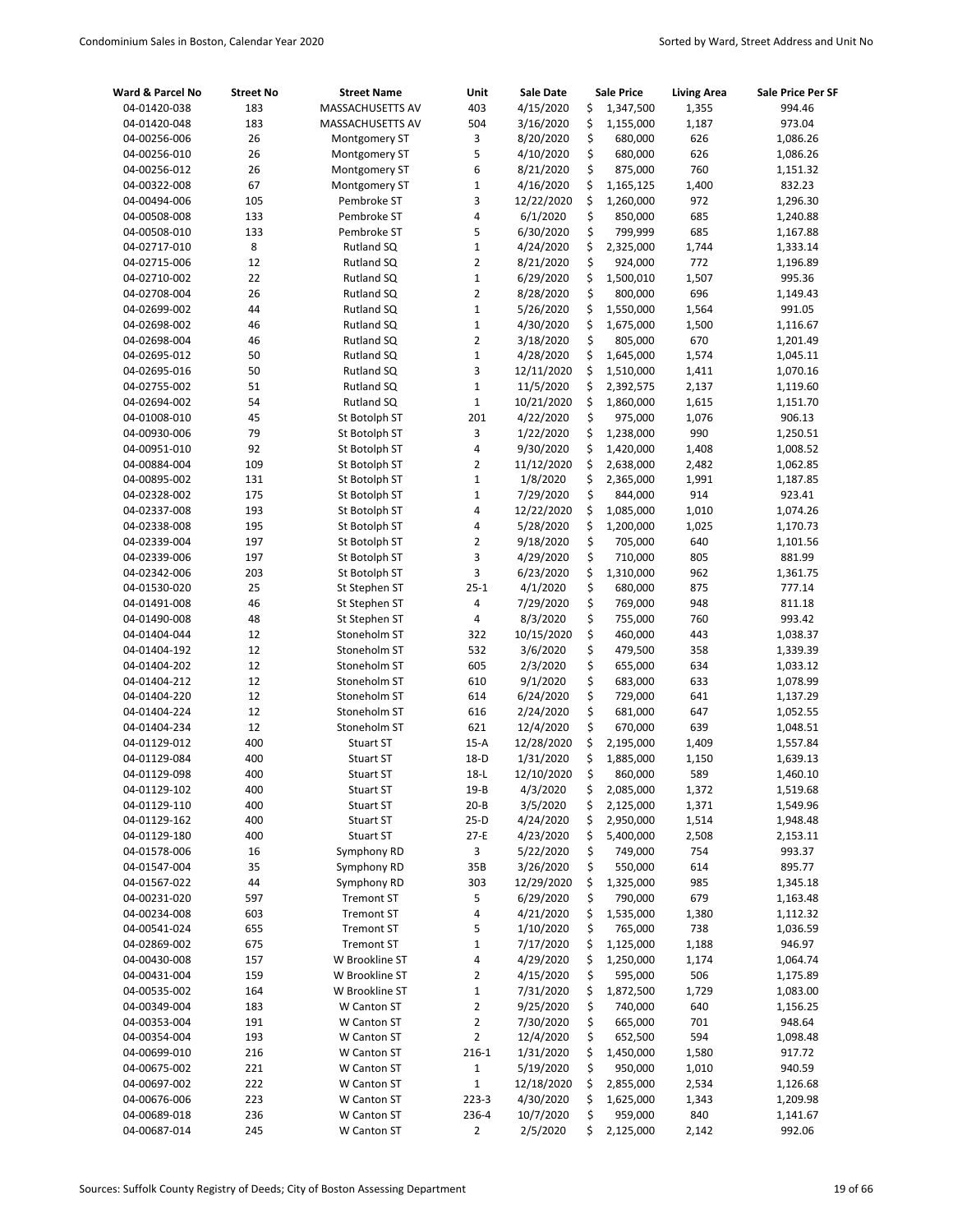| Ward & Parcel No             | <b>Street No</b> | <b>Street Name</b>                     | Unit                       | <b>Sale Date</b>       |          | <b>Sale Price</b>      | <b>Living Area</b> | <b>Sale Price Per SF</b> |
|------------------------------|------------------|----------------------------------------|----------------------------|------------------------|----------|------------------------|--------------------|--------------------------|
| 04-01420-038                 | 183              | MASSACHUSETTS AV                       | 403                        | 4/15/2020              | \$       | 1,347,500              | 1,355              | 994.46                   |
| 04-01420-048                 | 183              | <b>MASSACHUSETTS AV</b>                | 504                        | 3/16/2020              | \$       | 1,155,000              | 1,187              | 973.04                   |
| 04-00256-006                 | 26               | Montgomery ST                          | 3                          | 8/20/2020              | \$       | 680,000                | 626                | 1,086.26                 |
| 04-00256-010                 | 26               | Montgomery ST                          | 5                          | 4/10/2020              | \$       | 680,000                | 626                | 1,086.26                 |
| 04-00256-012                 | 26               | Montgomery ST                          | 6                          | 8/21/2020              | \$       | 875,000                | 760                | 1,151.32                 |
| 04-00322-008                 | 67               | Montgomery ST                          | $\mathbf 1$                | 4/16/2020              | \$       | 1,165,125              | 1,400              | 832.23                   |
| 04-00494-006                 | 105              | Pembroke ST                            | 3                          | 12/22/2020             | \$       | 1,260,000              | 972                | 1,296.30                 |
| 04-00508-008                 | 133              | Pembroke ST                            | 4                          | 6/1/2020               | \$       | 850,000                | 685                | 1,240.88                 |
| 04-00508-010                 | 133              | Pembroke ST                            | 5                          | 6/30/2020              | \$       | 799,999                | 685                | 1,167.88                 |
| 04-02717-010                 | 8                | Rutland SQ                             | $\mathbf 1$                | 4/24/2020              | \$       | 2,325,000              | 1,744              | 1,333.14                 |
| 04-02715-006                 | 12               | Rutland SQ                             | $\overline{2}$             | 8/21/2020              | \$       | 924,000                | 772                | 1,196.89                 |
| 04-02710-002                 | 22               | Rutland SQ                             | $\mathbf 1$                | 6/29/2020              | \$       | 1,500,010              | 1,507              | 995.36                   |
| 04-02708-004                 | 26               | Rutland SQ                             | $\overline{2}$             | 8/28/2020              | \$       | 800,000                | 696                | 1,149.43                 |
| 04-02699-002                 | 44               | Rutland SQ                             | $\mathbf{1}$               | 5/26/2020              | \$       | 1,550,000              | 1,564              | 991.05                   |
| 04-02698-002                 | 46               | Rutland SQ                             | $\mathbf 1$                | 4/30/2020              | \$       | 1,675,000              | 1,500              | 1,116.67                 |
| 04-02698-004                 | 46               | Rutland SQ                             | $\overline{2}$             | 3/18/2020              | \$       | 805,000                | 670                | 1,201.49                 |
| 04-02695-012                 | 50               | Rutland SQ                             | $\mathbf{1}$               | 4/28/2020              | \$       | 1,645,000              | 1,574              | 1,045.11                 |
| 04-02695-016                 | 50               | Rutland SQ                             | 3                          | 12/11/2020             | \$       | 1,510,000              | 1,411              | 1,070.16                 |
| 04-02755-002                 | 51               | Rutland SQ<br>Rutland SQ               | $\mathbf 1$<br>$\mathbf 1$ | 11/5/2020              | \$       | 2,392,575              | 2,137              | 1,119.60                 |
| 04-02694-002<br>04-01008-010 | 54               |                                        |                            | 10/21/2020             | \$<br>\$ | 1,860,000              | 1,615              | 1,151.70                 |
| 04-00930-006                 | 45<br>79         | St Botolph ST                          | 201<br>3                   | 4/22/2020              | \$       | 975,000                | 1,076<br>990       | 906.13                   |
|                              | 92               | St Botolph ST<br>St Botolph ST         | 4                          | 1/22/2020              | \$       | 1,238,000              |                    | 1,250.51                 |
| 04-00951-010                 | 109              |                                        | $\overline{2}$             | 9/30/2020              | \$       | 1,420,000              | 1,408              | 1,008.52                 |
| 04-00884-004<br>04-00895-002 | 131              | St Botolph ST<br>St Botolph ST         | $\mathbf{1}$               | 11/12/2020<br>1/8/2020 | \$       | 2,638,000<br>2,365,000 | 2,482<br>1,991     | 1,062.85<br>1,187.85     |
| 04-02328-002                 | 175              | St Botolph ST                          | $\mathbf{1}$               | 7/29/2020              | \$       | 844,000                | 914                | 923.41                   |
| 04-02337-008                 | 193              | St Botolph ST                          | 4                          | 12/22/2020             | \$       | 1,085,000              | 1,010              | 1,074.26                 |
| 04-02338-008                 | 195              | St Botolph ST                          | 4                          | 5/28/2020              | \$       | 1,200,000              | 1,025              | 1,170.73                 |
| 04-02339-004                 | 197              | St Botolph ST                          | $\overline{2}$             | 9/18/2020              | \$       | 705,000                | 640                | 1,101.56                 |
| 04-02339-006                 | 197              | St Botolph ST                          | 3                          | 4/29/2020              | \$       | 710,000                | 805                | 881.99                   |
| 04-02342-006                 | 203              | St Botolph ST                          | 3                          | 6/23/2020              | \$       | 1,310,000              | 962                | 1,361.75                 |
| 04-01530-020                 | 25               | St Stephen ST                          | $25 - 1$                   | 4/1/2020               | \$       | 680,000                | 875                | 777.14                   |
| 04-01491-008                 | 46               | St Stephen ST                          | 4                          | 7/29/2020              | \$       | 769,000                | 948                | 811.18                   |
| 04-01490-008                 | 48               | St Stephen ST                          | 4                          | 8/3/2020               | \$       | 755,000                | 760                | 993.42                   |
| 04-01404-044                 | 12               | Stoneholm ST                           | 322                        | 10/15/2020             | \$       | 460,000                | 443                | 1,038.37                 |
| 04-01404-192                 | 12               | Stoneholm ST                           | 532                        | 3/6/2020               | \$       | 479,500                | 358                | 1,339.39                 |
| 04-01404-202                 | 12               | Stoneholm ST                           | 605                        | 2/3/2020               | \$       | 655,000                | 634                | 1,033.12                 |
| 04-01404-212                 | 12               | Stoneholm ST                           | 610                        | 9/1/2020               | \$       | 683,000                | 633                | 1,078.99                 |
| 04-01404-220                 | 12               | Stoneholm ST                           | 614                        | 6/24/2020              | \$       | 729,000                | 641                | 1,137.29                 |
| 04-01404-224                 | 12               | Stoneholm ST                           | 616                        | 2/24/2020              | \$       | 681,000                | 647                | 1,052.55                 |
| 04-01404-234                 | 12               | Stoneholm ST                           | 621                        | 12/4/2020              | \$       | 670,000                | 639                | 1,048.51                 |
| 04-01129-012                 | 400              | <b>Stuart ST</b>                       | $15-A$                     | 12/28/2020             | \$       | 2,195,000              | 1,409              | 1,557.84                 |
| 04-01129-084                 | 400              | Stuart ST                              | $18-D$                     | 1/31/2020              | \$       | 1,885,000              | 1,150              | 1,639.13                 |
| 04-01129-098                 | 400              | <b>Stuart ST</b>                       | $18-L$                     | 12/10/2020             | Ś        | 860,000                | 589                | 1,460.10                 |
| 04-01129-102                 | 400              | <b>Stuart ST</b>                       | $19 - B$                   | 4/3/2020               | \$       | 2,085,000              | 1,372              | 1,519.68                 |
| 04-01129-110                 | 400              | Stuart ST                              | $20 - B$                   | 3/5/2020               | \$       | 2,125,000              | 1,371              | 1,549.96                 |
| 04-01129-162                 | 400              | Stuart ST                              | $25-D$                     | 4/24/2020              | \$       | 2,950,000              | 1,514              | 1,948.48                 |
| 04-01129-180                 | 400              | Stuart ST                              | $27-E$                     | 4/23/2020              | \$       | 5,400,000              | 2,508              | 2,153.11                 |
| 04-01578-006                 | 16               | Symphony RD                            | 3                          | 5/22/2020              | \$       | 749,000                | 754                | 993.37                   |
| 04-01547-004                 | 35               | Symphony RD                            | 35B                        | 3/26/2020              | \$       | 550,000                | 614                | 895.77                   |
| 04-01567-022                 | 44               | Symphony RD                            | 303                        | 12/29/2020             | \$       | 1,325,000              | 985                | 1,345.18                 |
| 04-00231-020                 | 597<br>603       | <b>Tremont ST</b>                      | 5                          | 6/29/2020<br>4/21/2020 | \$<br>\$ | 790,000                | 679                | 1,163.48                 |
| 04-00234-008<br>04-00541-024 | 655              | <b>Tremont ST</b><br><b>Tremont ST</b> | 4<br>5                     | 1/10/2020              | \$       | 1,535,000<br>765,000   | 1,380<br>738       | 1,112.32<br>1,036.59     |
| 04-02869-002                 | 675              | <b>Tremont ST</b>                      | $\mathbf 1$                | 7/17/2020              | \$       | 1,125,000              | 1,188              | 946.97                   |
| 04-00430-008                 | 157              | W Brookline ST                         | 4                          | 4/29/2020              | \$       | 1,250,000              | 1,174              | 1,064.74                 |
| 04-00431-004                 | 159              | W Brookline ST                         | $\overline{2}$             | 4/15/2020              | \$       | 595,000                | 506                | 1,175.89                 |
| 04-00535-002                 | 164              | W Brookline ST                         | $\mathbf 1$                | 7/31/2020              | \$       | 1,872,500              | 1,729              | 1,083.00                 |
| 04-00349-004                 | 183              | W Canton ST                            | $\overline{2}$             | 9/25/2020              | \$       | 740,000                | 640                | 1,156.25                 |
| 04-00353-004                 | 191              | W Canton ST                            | $\mathbf 2$                | 7/30/2020              | \$       | 665,000                | 701                | 948.64                   |
| 04-00354-004                 | 193              | W Canton ST                            | $\mathbf 2$                | 12/4/2020              | \$       | 652,500                | 594                | 1,098.48                 |
| 04-00699-010                 | 216              | W Canton ST                            | $216 - 1$                  | 1/31/2020              | \$       | 1,450,000              | 1,580              | 917.72                   |
| 04-00675-002                 | 221              | W Canton ST                            | $\mathbf{1}$               | 5/19/2020              | \$       | 950,000                | 1,010              | 940.59                   |
| 04-00697-002                 | 222              | W Canton ST                            | $\mathbf 1$                | 12/18/2020             | \$       | 2,855,000              | 2,534              | 1,126.68                 |
| 04-00676-006                 | 223              | W Canton ST                            | 223-3                      | 4/30/2020              | \$       | 1,625,000              | 1,343              | 1,209.98                 |
| 04-00689-018                 | 236              | W Canton ST                            | 236-4                      | 10/7/2020              | \$       | 959,000                | 840                | 1,141.67                 |
| 04-00687-014                 | 245              | W Canton ST                            | 2                          | 2/5/2020               | \$       | 2,125,000              | 2,142              | 992.06                   |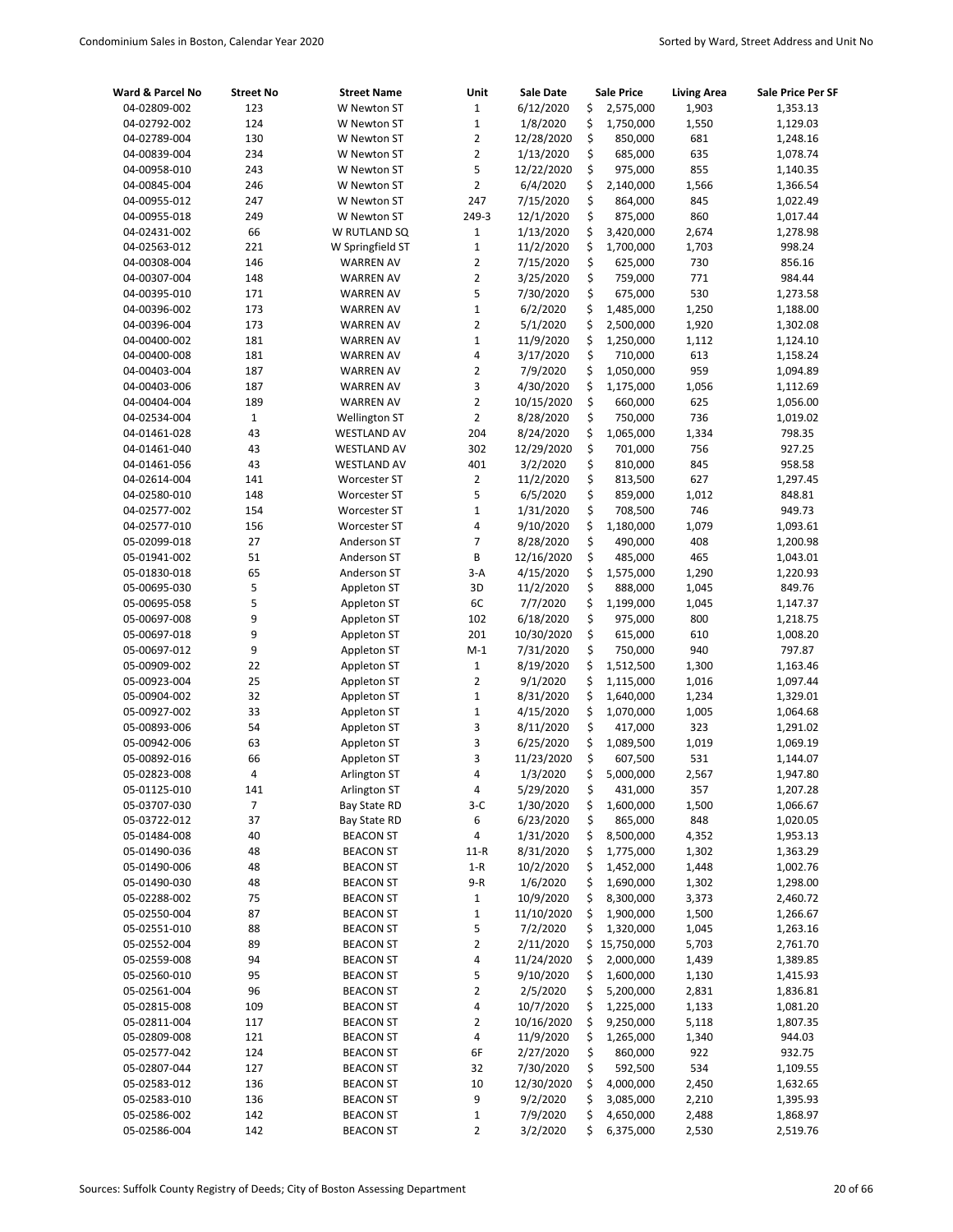| Ward & Parcel No             | <b>Street No</b> | <b>Street Name</b>         | Unit                | <b>Sale Date</b>       | Sale Price                 | <b>Living Area</b> | Sale Price Per SF    |
|------------------------------|------------------|----------------------------|---------------------|------------------------|----------------------------|--------------------|----------------------|
| 04-02809-002                 | 123              | W Newton ST                | 1                   | 6/12/2020              | \$<br>2,575,000            | 1,903              | 1,353.13             |
| 04-02792-002                 | 124              | W Newton ST                | $\mathbf{1}$        | 1/8/2020               | \$<br>1,750,000            | 1,550              | 1,129.03             |
| 04-02789-004                 | 130              | W Newton ST                | 2                   | 12/28/2020             | \$<br>850,000              | 681                | 1,248.16             |
| 04-00839-004                 | 234              | W Newton ST                | $\overline{2}$      | 1/13/2020              | \$<br>685,000              | 635                | 1,078.74             |
| 04-00958-010                 | 243              | W Newton ST                | 5                   | 12/22/2020             | \$<br>975,000              | 855                | 1,140.35             |
| 04-00845-004                 | 246              | W Newton ST                | $\overline{2}$      | 6/4/2020               | \$<br>2,140,000            | 1,566              | 1,366.54             |
| 04-00955-012                 | 247              | W Newton ST                | 247                 | 7/15/2020              | \$<br>864,000              | 845                | 1,022.49             |
| 04-00955-018                 | 249              | W Newton ST                | 249-3               | 12/1/2020              | \$<br>875,000              | 860                | 1,017.44             |
| 04-02431-002                 | 66               | W RUTLAND SQ               | 1                   | 1/13/2020              | \$<br>3,420,000            | 2,674              | 1,278.98             |
| 04-02563-012                 | 221              | W Springfield ST           | $\mathbf{1}$        | 11/2/2020              | \$<br>1,700,000            | 1,703              | 998.24               |
| 04-00308-004                 | 146              | <b>WARREN AV</b>           | $\overline{2}$      | 7/15/2020              | \$<br>625,000              | 730                | 856.16               |
| 04-00307-004                 | 148              | <b>WARREN AV</b>           | 2                   | 3/25/2020              | \$<br>759,000              | 771                | 984.44               |
| 04-00395-010                 | 171              | <b>WARREN AV</b>           | 5                   | 7/30/2020              | \$<br>675,000              | 530                | 1,273.58             |
| 04-00396-002                 | 173              | <b>WARREN AV</b>           | $\mathbf{1}$        | 6/2/2020               | \$<br>1,485,000            | 1,250              | 1,188.00             |
| 04-00396-004                 | 173              | <b>WARREN AV</b>           | 2                   | 5/1/2020               | \$<br>2,500,000            | 1,920              | 1,302.08             |
| 04-00400-002                 | 181              | <b>WARREN AV</b>           | $\mathbf{1}$        | 11/9/2020              | \$<br>1,250,000            | 1,112              | 1,124.10             |
| 04-00400-008                 | 181              | <b>WARREN AV</b>           | 4                   | 3/17/2020              | \$<br>710,000              | 613                | 1,158.24             |
| 04-00403-004                 | 187              | <b>WARREN AV</b>           | $\overline{2}$      | 7/9/2020               | \$<br>1,050,000            | 959                | 1,094.89             |
| 04-00403-006                 | 187              | <b>WARREN AV</b>           | 3                   | 4/30/2020              | \$<br>1,175,000            | 1,056              | 1,112.69             |
| 04-00404-004                 | 189              | <b>WARREN AV</b>           | $\overline{2}$      | 10/15/2020             | \$<br>660,000              | 625                | 1,056.00             |
| 04-02534-004                 | $\mathbf{1}$     | Wellington ST              | $\overline{2}$      | 8/28/2020              | \$<br>750,000              | 736                | 1,019.02             |
| 04-01461-028                 | 43               | <b>WESTLAND AV</b>         | 204                 | 8/24/2020              | \$<br>1,065,000            | 1,334              | 798.35               |
| 04-01461-040                 | 43               | <b>WESTLAND AV</b>         | 302                 | 12/29/2020             | \$<br>701,000              | 756                | 927.25               |
| 04-01461-056                 | 43               | <b>WESTLAND AV</b>         | 401                 | 3/2/2020               | \$<br>810,000              | 845                | 958.58               |
| 04-02614-004                 | 141              | Worcester ST               | $\overline{2}$      | 11/2/2020              | \$<br>813,500              | 627                | 1,297.45             |
| 04-02580-010                 | 148              | Worcester ST               | 5                   | 6/5/2020               | \$<br>859,000              | 1,012              | 848.81               |
| 04-02577-002                 | 154              | Worcester ST               | $\mathbf 1$         | 1/31/2020              | \$<br>708,500              | 746                | 949.73               |
| 04-02577-010                 | 156              | <b>Worcester ST</b>        | 4                   | 9/10/2020              | \$<br>1,180,000            | 1,079              | 1,093.61             |
| 05-02099-018<br>05-01941-002 | 27<br>51         | Anderson ST                | $\overline{7}$<br>B | 8/28/2020              | \$<br>490,000              | 408                | 1,200.98             |
|                              | 65               | Anderson ST                | $3-A$               | 12/16/2020             | \$<br>485,000<br>\$        | 465<br>1,290       | 1,043.01<br>1,220.93 |
| 05-01830-018<br>05-00695-030 | 5                | Anderson ST<br>Appleton ST | 3D                  | 4/15/2020<br>11/2/2020 | 1,575,000<br>\$<br>888,000 | 1,045              | 849.76               |
| 05-00695-058                 | 5                | Appleton ST                | 6C                  | 7/7/2020               | \$<br>1,199,000            |                    | 1,147.37             |
| 05-00697-008                 | 9                | Appleton ST                | 102                 | 6/18/2020              | \$<br>975,000              | 1,045<br>800       | 1,218.75             |
| 05-00697-018                 | 9                | Appleton ST                | 201                 | 10/30/2020             | \$<br>615,000              | 610                | 1,008.20             |
| 05-00697-012                 | 9                | Appleton ST                | $M-1$               | 7/31/2020              | \$<br>750,000              | 940                | 797.87               |
| 05-00909-002                 | 22               | Appleton ST                | $\mathbf 1$         | 8/19/2020              | \$<br>1,512,500            | 1,300              | 1,163.46             |
| 05-00923-004                 | 25               | Appleton ST                | 2                   | 9/1/2020               | \$<br>1,115,000            | 1,016              | 1,097.44             |
| 05-00904-002                 | 32               | Appleton ST                | $\mathbf{1}$        | 8/31/2020              | \$<br>1,640,000            | 1,234              | 1,329.01             |
| 05-00927-002                 | 33               | Appleton ST                | $\mathbf{1}$        | 4/15/2020              | \$<br>1,070,000            | 1,005              | 1,064.68             |
| 05-00893-006                 | 54               | Appleton ST                | 3                   | 8/11/2020              | \$<br>417,000              | 323                | 1,291.02             |
| 05-00942-006                 | 63               | Appleton ST                | 3                   | 6/25/2020              | \$<br>1,089,500            | 1,019              | 1,069.19             |
| 05-00892-016                 | 66               | Appleton ST                | 3                   | 11/23/2020             | \$<br>607,500              | 531                | 1,144.07             |
| 05-02823-008                 | 4                | Arlington ST               | 4                   | 1/3/2020               | \$<br>5,000,000            | 2,567              | 1,947.80             |
| 05-01125-010                 | 141              | Arlington ST               | 4                   | 5/29/2020              | \$<br>431,000              | 357                | 1,207.28             |
| 05-03707-030                 | $\overline{7}$   | Bay State RD               | $3-C$               | 1/30/2020              | \$<br>1,600,000            | 1,500              | 1,066.67             |
| 05-03722-012                 | 37               | <b>Bay State RD</b>        | 6                   | 6/23/2020              | \$<br>865,000              | 848                | 1,020.05             |
| 05-01484-008                 | 40               | <b>BEACON ST</b>           | 4                   | 1/31/2020              | \$<br>8,500,000            | 4,352              | 1,953.13             |
| 05-01490-036                 | 48               | <b>BEACON ST</b>           | $11-R$              | 8/31/2020              | \$<br>1,775,000            | 1,302              | 1,363.29             |
| 05-01490-006                 | 48               | <b>BEACON ST</b>           | $1 - R$             | 10/2/2020              | \$<br>1,452,000            | 1,448              | 1,002.76             |
| 05-01490-030                 | 48               | <b>BEACON ST</b>           | $9-R$               | 1/6/2020               | \$<br>1,690,000            | 1,302              | 1,298.00             |
| 05-02288-002                 | 75               | <b>BEACON ST</b>           | $\mathbf 1$         | 10/9/2020              | \$<br>8,300,000            | 3,373              | 2,460.72             |
| 05-02550-004                 | 87               | <b>BEACON ST</b>           | $\mathbf 1$         | 11/10/2020             | \$<br>1,900,000            | 1,500              | 1,266.67             |
| 05-02551-010                 | 88               | <b>BEACON ST</b>           | 5                   | 7/2/2020               | \$<br>1,320,000            | 1,045              | 1,263.16             |
| 05-02552-004                 | 89               | <b>BEACON ST</b>           | 2                   | 2/11/2020              | \$15,750,000               | 5,703              | 2,761.70             |
| 05-02559-008                 | 94               | <b>BEACON ST</b>           | 4                   | 11/24/2020             | \$<br>2,000,000            | 1,439              | 1,389.85             |
| 05-02560-010                 | 95               | <b>BEACON ST</b>           | 5                   | 9/10/2020              | \$<br>1,600,000            | 1,130              | 1,415.93             |
| 05-02561-004                 | 96               | <b>BEACON ST</b>           | 2                   | 2/5/2020               | \$<br>5,200,000            | 2,831              | 1,836.81             |
| 05-02815-008                 | 109              | <b>BEACON ST</b>           | 4                   | 10/7/2020              | \$<br>1,225,000            | 1,133              | 1,081.20             |
| 05-02811-004                 | 117              | <b>BEACON ST</b>           | 2                   | 10/16/2020             | \$<br>9,250,000            | 5,118              | 1,807.35             |
| 05-02809-008                 | 121              | <b>BEACON ST</b>           | 4                   | 11/9/2020              | \$<br>1,265,000            | 1,340              | 944.03               |
| 05-02577-042                 | 124              | <b>BEACON ST</b>           | 6F                  | 2/27/2020              | \$<br>860,000              | 922                | 932.75               |
| 05-02807-044                 | 127              | <b>BEACON ST</b>           | 32                  | 7/30/2020              | \$<br>592,500              | 534                | 1,109.55             |
| 05-02583-012                 | 136              | <b>BEACON ST</b>           | $10\,$              | 12/30/2020             | \$<br>4,000,000            | 2,450              | 1,632.65             |
| 05-02583-010                 | 136              | <b>BEACON ST</b>           | 9                   | 9/2/2020               | \$<br>3,085,000            | 2,210              | 1,395.93             |
| 05-02586-002                 | 142              | <b>BEACON ST</b>           | $\mathbf 1$         | 7/9/2020               | \$<br>4,650,000            | 2,488              | 1,868.97             |
| 05-02586-004                 | 142              | <b>BEACON ST</b>           | 2                   | 3/2/2020               | \$<br>6,375,000            | 2,530              | 2,519.76             |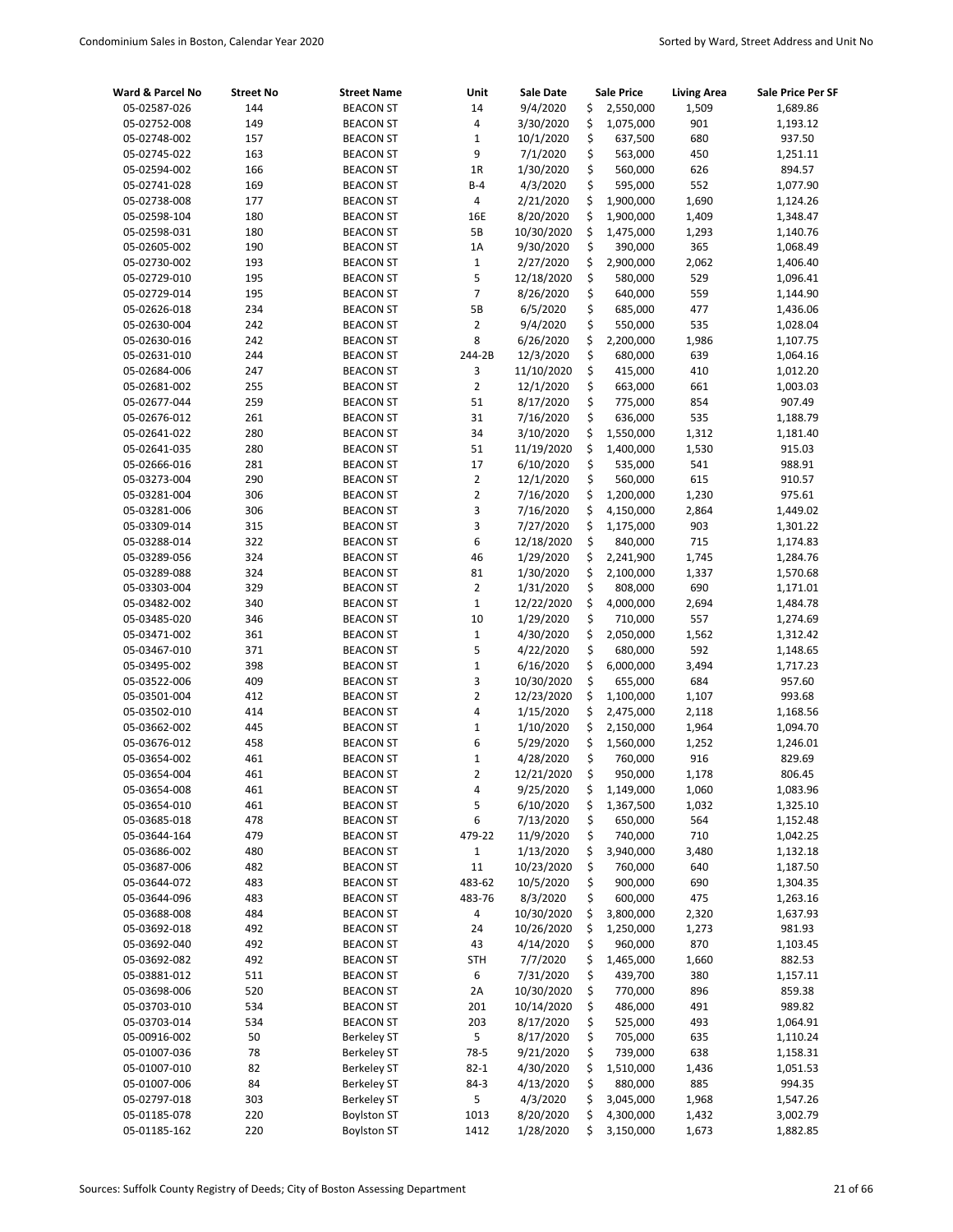| Ward & Parcel No             | <b>Street No</b> | <b>Street Name</b>                   | Unit           | <b>Sale Date</b>       |          | <b>Sale Price</b>      | <b>Living Area</b> | Sale Price Per SF    |
|------------------------------|------------------|--------------------------------------|----------------|------------------------|----------|------------------------|--------------------|----------------------|
| 05-02587-026                 | 144              | <b>BEACON ST</b>                     | 14             | 9/4/2020               | \$       | 2,550,000              | 1,509              | 1,689.86             |
| 05-02752-008                 | 149              | <b>BEACON ST</b>                     | 4              | 3/30/2020              | \$       | 1,075,000              | 901                | 1,193.12             |
| 05-02748-002                 | 157              | <b>BEACON ST</b>                     | $\mathbf 1$    | 10/1/2020              | \$       | 637,500                | 680                | 937.50               |
| 05-02745-022                 | 163              | <b>BEACON ST</b>                     | 9              | 7/1/2020               | \$       | 563,000                | 450                | 1,251.11             |
| 05-02594-002                 | 166              | <b>BEACON ST</b>                     | 1R             | 1/30/2020              | \$       | 560,000                | 626                | 894.57               |
| 05-02741-028                 | 169              | <b>BEACON ST</b>                     | $B-4$          | 4/3/2020               | \$       | 595,000                | 552                | 1,077.90             |
| 05-02738-008                 | 177              | <b>BEACON ST</b>                     | 4              | 2/21/2020              | \$       | 1,900,000              | 1,690              | 1,124.26             |
| 05-02598-104                 | 180              | <b>BEACON ST</b>                     | 16E            | 8/20/2020              | \$       | 1,900,000              | 1,409              | 1,348.47             |
| 05-02598-031                 | 180              | <b>BEACON ST</b>                     | 5В             | 10/30/2020             | \$       | 1,475,000              | 1,293              | 1,140.76             |
| 05-02605-002                 | 190              | <b>BEACON ST</b>                     | 1A             | 9/30/2020              | \$       | 390,000                | 365                | 1,068.49             |
| 05-02730-002                 | 193              | <b>BEACON ST</b>                     | $\mathbf{1}$   | 2/27/2020              | \$       | 2,900,000              | 2,062              | 1,406.40             |
| 05-02729-010                 | 195              | <b>BEACON ST</b>                     | 5              | 12/18/2020             | \$       | 580,000                | 529                | 1,096.41             |
| 05-02729-014                 | 195              | <b>BEACON ST</b>                     | $\overline{7}$ | 8/26/2020              | \$       | 640,000                | 559                | 1,144.90             |
| 05-02626-018                 | 234              | <b>BEACON ST</b>                     | 5В             | 6/5/2020               | \$       | 685,000                | 477                | 1,436.06             |
| 05-02630-004                 | 242              | <b>BEACON ST</b>                     | $\overline{2}$ | 9/4/2020               | \$       | 550,000                | 535                | 1,028.04             |
| 05-02630-016                 | 242              | <b>BEACON ST</b>                     | 8              | 6/26/2020              | \$       | 2,200,000              | 1,986              | 1,107.75             |
| 05-02631-010                 | 244              | <b>BEACON ST</b>                     | 244-2B         | 12/3/2020              | \$       | 680,000                | 639                | 1,064.16             |
| 05-02684-006                 | 247              | <b>BEACON ST</b>                     | 3              | 11/10/2020             | \$       | 415,000                | 410                | 1,012.20             |
| 05-02681-002                 | 255              | <b>BEACON ST</b>                     | $\overline{2}$ | 12/1/2020              | \$       | 663,000                | 661                | 1,003.03             |
| 05-02677-044                 | 259              | <b>BEACON ST</b>                     | 51             | 8/17/2020              | \$       | 775,000                | 854                | 907.49               |
| 05-02676-012                 | 261              | <b>BEACON ST</b>                     | 31             | 7/16/2020              | \$       | 636,000                | 535                | 1,188.79             |
| 05-02641-022                 | 280              | <b>BEACON ST</b>                     | 34             | 3/10/2020              | \$       | 1,550,000              | 1,312              | 1,181.40             |
| 05-02641-035                 | 280              | <b>BEACON ST</b>                     | 51             | 11/19/2020             | \$       | 1,400,000              | 1,530              | 915.03               |
| 05-02666-016                 | 281              | <b>BEACON ST</b>                     | 17             | 6/10/2020              | \$       | 535,000                | 541                | 988.91               |
| 05-03273-004                 | 290              | <b>BEACON ST</b>                     | $\overline{2}$ | 12/1/2020              | \$       | 560,000                | 615                | 910.57               |
| 05-03281-004                 | 306              | <b>BEACON ST</b>                     | $\overline{2}$ | 7/16/2020              | \$       | 1,200,000              | 1,230              | 975.61               |
| 05-03281-006                 | 306              | <b>BEACON ST</b>                     | 3              | 7/16/2020              | \$       | 4,150,000              | 2,864              | 1,449.02             |
| 05-03309-014                 | 315              | <b>BEACON ST</b>                     | 3              | 7/27/2020              | \$       | 1,175,000              | 903                | 1,301.22             |
| 05-03288-014                 | 322              | <b>BEACON ST</b>                     | 6<br>46        | 12/18/2020             | \$       | 840,000                | 715                | 1,174.83             |
| 05-03289-056                 | 324<br>324       | <b>BEACON ST</b>                     | 81             | 1/29/2020<br>1/30/2020 | \$<br>\$ | 2,241,900<br>2,100,000 | 1,745<br>1,337     | 1,284.76             |
| 05-03289-088<br>05-03303-004 | 329              | <b>BEACON ST</b><br><b>BEACON ST</b> | $\overline{2}$ | 1/31/2020              | \$       | 808,000                | 690                | 1,570.68<br>1,171.01 |
| 05-03482-002                 | 340              | <b>BEACON ST</b>                     | $\mathbf 1$    | 12/22/2020             | \$       | 4,000,000              | 2,694              | 1,484.78             |
| 05-03485-020                 | 346              | <b>BEACON ST</b>                     | 10             | 1/29/2020              | \$       | 710,000                | 557                | 1,274.69             |
| 05-03471-002                 | 361              | <b>BEACON ST</b>                     | $\mathbf 1$    | 4/30/2020              | \$       | 2,050,000              | 1,562              | 1,312.42             |
| 05-03467-010                 | 371              | <b>BEACON ST</b>                     | 5              | 4/22/2020              | \$       | 680,000                | 592                | 1,148.65             |
| 05-03495-002                 | 398              | <b>BEACON ST</b>                     | $\mathbf 1$    | 6/16/2020              | \$       | 6,000,000              | 3,494              | 1,717.23             |
| 05-03522-006                 | 409              | <b>BEACON ST</b>                     | 3              | 10/30/2020             | \$       | 655,000                | 684                | 957.60               |
| 05-03501-004                 | 412              | <b>BEACON ST</b>                     | $\overline{2}$ | 12/23/2020             | \$       | 1,100,000              | 1,107              | 993.68               |
| 05-03502-010                 | 414              | <b>BEACON ST</b>                     | 4              | 1/15/2020              | \$       | 2,475,000              | 2,118              | 1,168.56             |
| 05-03662-002                 | 445              | <b>BEACON ST</b>                     | $\mathbf 1$    | 1/10/2020              | \$       | 2,150,000              | 1,964              | 1,094.70             |
| 05-03676-012                 | 458              | <b>BEACON ST</b>                     | 6              | 5/29/2020              | \$       | 1,560,000              | 1,252              | 1,246.01             |
| 05-03654-002                 | 461              | <b>BEACON ST</b>                     | $\mathbf 1$    | 4/28/2020              | \$       | 760,000                | 916                | 829.69               |
| 05-03654-004                 | 461              | <b>BEACON ST</b>                     | 2              | 12/21/2020             | \$       | 950,000                | 1,178              | 806.45               |
| 05-03654-008                 | 461              | <b>BEACON ST</b>                     | 4              | 9/25/2020              | \$       | 1,149,000              | 1,060              | 1,083.96             |
| 05-03654-010                 | 461              | <b>BEACON ST</b>                     | 5              | 6/10/2020              | \$       | 1,367,500              | 1,032              | 1,325.10             |
| 05-03685-018                 | 478              | <b>BEACON ST</b>                     | 6              | 7/13/2020              | \$       | 650,000                | 564                | 1,152.48             |
| 05-03644-164                 | 479              | <b>BEACON ST</b>                     | 479-22         | 11/9/2020              | \$       | 740,000                | 710                | 1,042.25             |
| 05-03686-002                 | 480              | <b>BEACON ST</b>                     | $\mathbf{1}$   | 1/13/2020              | \$       | 3,940,000              | 3,480              | 1,132.18             |
| 05-03687-006                 | 482              | <b>BEACON ST</b>                     | 11             | 10/23/2020             | \$       | 760,000                | 640                | 1,187.50             |
| 05-03644-072                 | 483              | <b>BEACON ST</b>                     | 483-62         | 10/5/2020              | \$       | 900,000                | 690                | 1,304.35             |
| 05-03644-096                 | 483              | <b>BEACON ST</b>                     | 483-76         | 8/3/2020               | \$       | 600,000                | 475                | 1,263.16             |
| 05-03688-008                 | 484              | <b>BEACON ST</b>                     | 4              | 10/30/2020             | \$       | 3,800,000              | 2,320              | 1,637.93             |
| 05-03692-018                 | 492              | <b>BEACON ST</b>                     | 24             | 10/26/2020             | \$       | 1,250,000              | 1,273              | 981.93               |
| 05-03692-040                 | 492              | <b>BEACON ST</b>                     | 43             | 4/14/2020              | \$       | 960,000                | 870                | 1,103.45             |
| 05-03692-082                 | 492              | <b>BEACON ST</b>                     | <b>STH</b>     | 7/7/2020               | \$       | 1,465,000              | 1,660              | 882.53               |
| 05-03881-012                 | 511              | <b>BEACON ST</b>                     | 6              | 7/31/2020              | \$       | 439,700                | 380                | 1,157.11             |
| 05-03698-006                 | 520              | <b>BEACON ST</b>                     | 2A             | 10/30/2020             | \$       | 770,000                | 896                | 859.38               |
| 05-03703-010                 | 534              | <b>BEACON ST</b>                     | 201            | 10/14/2020             | \$       | 486,000                | 491                | 989.82               |
| 05-03703-014                 | 534              | <b>BEACON ST</b>                     | 203            | 8/17/2020              | \$       | 525,000                | 493                | 1,064.91             |
| 05-00916-002                 | 50               | <b>Berkeley ST</b>                   | 5              | 8/17/2020              | \$       | 705,000                | 635                | 1,110.24             |
| 05-01007-036                 | 78               | <b>Berkeley ST</b>                   | 78-5           | 9/21/2020              | \$       | 739,000                | 638                | 1,158.31             |
| 05-01007-010                 | 82               | <b>Berkeley ST</b>                   | $82 - 1$       | 4/30/2020              | \$       | 1,510,000              | 1,436              | 1,051.53             |
| 05-01007-006                 | 84               | <b>Berkeley ST</b>                   | $84-3$         | 4/13/2020              | \$       | 880,000                | 885                | 994.35               |
| 05-02797-018                 | 303              | <b>Berkeley ST</b>                   | 5              | 4/3/2020               | \$       | 3,045,000              | 1,968              | 1,547.26             |
| 05-01185-078                 | 220              | <b>Boylston ST</b>                   | 1013           | 8/20/2020              | \$       | 4,300,000              | 1,432              | 3,002.79             |
| 05-01185-162                 | 220              | <b>Boylston ST</b>                   | 1412           | 1/28/2020              | \$       | 3,150,000              | 1,673              | 1,882.85             |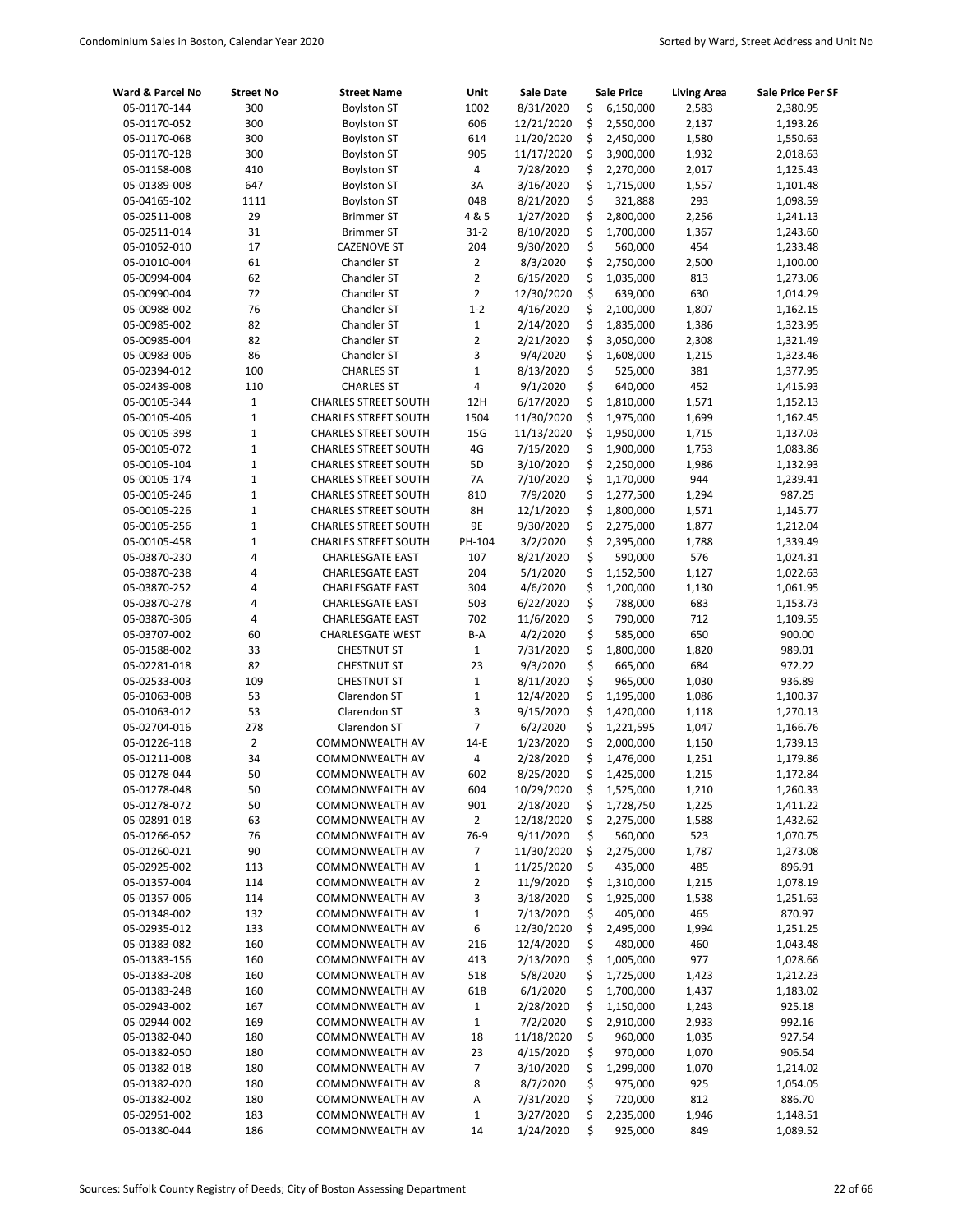| Ward & Parcel No             | <b>Street No</b>      | <b>Street Name</b>                 | Unit             | Sale Date             |          | <b>Sale Price</b>      | <b>Living Area</b> | Sale Price Per SF    |
|------------------------------|-----------------------|------------------------------------|------------------|-----------------------|----------|------------------------|--------------------|----------------------|
| 05-01170-144                 | 300                   | <b>Boylston ST</b>                 | 1002             | 8/31/2020             | \$       | 6,150,000              | 2,583              | 2,380.95             |
| 05-01170-052                 | 300                   | <b>Boylston ST</b>                 | 606              | 12/21/2020            | \$       | 2,550,000              | 2,137              | 1,193.26             |
| 05-01170-068                 | 300                   | <b>Boylston ST</b>                 | 614              | 11/20/2020            | \$       | 2,450,000              | 1,580              | 1,550.63             |
| 05-01170-128                 | 300                   | <b>Boylston ST</b>                 | 905              | 11/17/2020            | \$       | 3,900,000              | 1,932              | 2,018.63             |
| 05-01158-008                 | 410                   | <b>Boylston ST</b>                 | 4                | 7/28/2020             | \$       | 2,270,000              | 2,017              | 1,125.43             |
| 05-01389-008                 | 647                   | <b>Boylston ST</b>                 | 3A               | 3/16/2020             | \$       | 1,715,000              | 1,557              | 1,101.48             |
| 05-04165-102                 | 1111                  | <b>Boylston ST</b>                 | 048              | 8/21/2020             | \$       | 321,888                | 293                | 1,098.59             |
| 05-02511-008                 | 29                    | <b>Brimmer ST</b>                  | 4 & 5            | 1/27/2020             | \$       | 2,800,000              | 2,256              | 1,241.13             |
| 05-02511-014                 | 31                    | <b>Brimmer ST</b>                  | $31 - 2$         | 8/10/2020             | \$       | 1,700,000              | 1,367              | 1,243.60             |
| 05-01052-010                 | 17                    | <b>CAZENOVE ST</b>                 | 204              | 9/30/2020             | \$       | 560,000                | 454                | 1,233.48             |
| 05-01010-004                 | 61                    | <b>Chandler ST</b>                 | $\overline{2}$   | 8/3/2020              | \$       | 2,750,000              | 2,500              | 1,100.00             |
| 05-00994-004                 | 62                    | Chandler ST                        | $\overline{2}$   | 6/15/2020             | \$       | 1,035,000              | 813                | 1,273.06             |
| 05-00990-004                 | 72                    | Chandler ST                        | $\overline{2}$   | 12/30/2020            | \$       | 639,000                | 630                | 1,014.29             |
| 05-00988-002                 | 76                    | Chandler ST                        | $1 - 2$          | 4/16/2020             | \$       | 2,100,000              | 1,807              | 1,162.15             |
| 05-00985-002                 | 82                    | Chandler ST                        | $\mathbf 1$      | 2/14/2020             | \$       | 1,835,000              | 1,386              | 1,323.95             |
| 05-00985-004                 | 82                    | Chandler ST                        | 2                | 2/21/2020             | \$       | 3,050,000              | 2,308              | 1,321.49             |
| 05-00983-006                 | 86                    | Chandler ST                        | 3                | 9/4/2020              | \$       | 1,608,000              | 1,215              | 1,323.46             |
| 05-02394-012                 | 100                   | <b>CHARLES ST</b>                  | $\mathbf 1$      | 8/13/2020             | \$       | 525,000                | 381                | 1,377.95             |
| 05-02439-008                 | 110                   | <b>CHARLES ST</b>                  | 4                | 9/1/2020              | \$       | 640,000                | 452                | 1,415.93             |
| 05-00105-344                 | $\mathbf 1$           | <b>CHARLES STREET SOUTH</b>        | 12H              | 6/17/2020             | \$       | 1,810,000              | 1,571              | 1,152.13             |
| 05-00105-406                 | $\mathbf 1$           | <b>CHARLES STREET SOUTH</b>        | 1504             | 11/30/2020            | \$       | 1,975,000              | 1,699              | 1,162.45             |
| 05-00105-398                 | $\mathbf 1$           | <b>CHARLES STREET SOUTH</b>        | 15G              | 11/13/2020            | \$       | 1,950,000              | 1,715              | 1,137.03             |
| 05-00105-072                 | $\mathbf 1$           | <b>CHARLES STREET SOUTH</b>        | 4G               | 7/15/2020             | \$       | 1,900,000              | 1,753              | 1,083.86             |
| 05-00105-104                 | 1                     | <b>CHARLES STREET SOUTH</b>        | 5D               | 3/10/2020             | \$       | 2,250,000              | 1,986              | 1,132.93             |
| 05-00105-174                 | $\mathbf 1$           | <b>CHARLES STREET SOUTH</b>        | 7A               | 7/10/2020             | \$       | 1,170,000              | 944                | 1,239.41             |
| 05-00105-246                 | $\mathbf 1$           | <b>CHARLES STREET SOUTH</b>        | 810              | 7/9/2020              | \$       | 1,277,500              | 1,294              | 987.25               |
| 05-00105-226                 | $\mathbf{1}$          | <b>CHARLES STREET SOUTH</b>        | 8H               | 12/1/2020             | \$       | 1,800,000              | 1,571              | 1,145.77             |
| 05-00105-256                 | $\mathbf 1$           | <b>CHARLES STREET SOUTH</b>        | 9E               | 9/30/2020             | \$       | 2,275,000              | 1,877              | 1,212.04             |
| 05-00105-458                 | 1                     | <b>CHARLES STREET SOUTH</b>        | PH-104           | 3/2/2020              | \$       | 2,395,000              | 1,788              | 1,339.49             |
| 05-03870-230                 | 4                     | <b>CHARLESGATE EAST</b>            | 107              | 8/21/2020             | \$       | 590,000                | 576                | 1,024.31             |
| 05-03870-238                 | 4                     | <b>CHARLESGATE EAST</b>            | 204              | 5/1/2020              | \$       | 1,152,500              | 1,127              | 1,022.63             |
| 05-03870-252                 | 4                     | CHARLESGATE EAST                   | 304              | 4/6/2020              | \$       | 1,200,000              | 1,130              | 1,061.95             |
| 05-03870-278                 | 4                     | <b>CHARLESGATE EAST</b>            | 503              | 6/22/2020             | \$       | 788,000                | 683                | 1,153.73             |
| 05-03870-306                 | 4                     | <b>CHARLESGATE EAST</b>            | 702              | 11/6/2020             | \$       | 790,000                | 712                | 1,109.55             |
| 05-03707-002                 | 60                    | <b>CHARLESGATE WEST</b>            | B-A              | 4/2/2020              | \$       | 585,000                | 650                | 900.00               |
| 05-01588-002                 | 33                    | <b>CHESTNUT ST</b>                 | $\mathbf 1$      | 7/31/2020             | \$       | 1,800,000              | 1,820              | 989.01               |
| 05-02281-018                 | 82                    | <b>CHESTNUT ST</b>                 | 23               | 9/3/2020              | \$       | 665,000                | 684                | 972.22               |
| 05-02533-003                 | 109<br>53             | <b>CHESTNUT ST</b><br>Clarendon ST | $\mathbf 1$      | 8/11/2020             | \$       | 965,000                | 1,030              | 936.89               |
| 05-01063-008                 |                       |                                    | $\mathbf 1$<br>3 | 12/4/2020             | \$       | 1,195,000              | 1,086              | 1,100.37             |
| 05-01063-012                 | 53                    | Clarendon ST                       | 7                | 9/15/2020             | \$<br>\$ | 1,420,000              | 1,118              | 1,270.13             |
| 05-02704-016<br>05-01226-118 | 278<br>$\overline{2}$ | Clarendon ST<br>COMMONWEALTH AV    | $14-E$           | 6/2/2020<br>1/23/2020 | \$       | 1,221,595<br>2,000,000 | 1,047<br>1,150     | 1,166.76<br>1,739.13 |
| 05-01211-008                 | 34                    | COMMONWEALTH AV                    | 4                | 2/28/2020             | \$       | 1,476,000              | 1,251              | 1,179.86             |
| 05-01278-044                 | 50                    | COMMONWEALTH AV                    | 602              | 8/25/2020             | \$       | 1,425,000              | 1,215              | 1,172.84             |
| 05-01278-048                 | 50                    | COMMONWEALTH AV                    | 604              | 10/29/2020            | \$       | 1,525,000              | 1,210              | 1,260.33             |
| 05-01278-072                 | 50                    | COMMONWEALTH AV                    | 901              | 2/18/2020             | \$       | 1,728,750              | 1,225              | 1,411.22             |
| 05-02891-018                 | 63                    | COMMONWEALTH AV                    | $\overline{2}$   | 12/18/2020            | \$       | 2,275,000              | 1,588              | 1,432.62             |
| 05-01266-052                 | 76                    | COMMONWEALTH AV                    | 76-9             | 9/11/2020             | \$       | 560,000                | 523                | 1,070.75             |
| 05-01260-021                 | 90                    | COMMONWEALTH AV                    | 7                | 11/30/2020            | \$       | 2,275,000              | 1,787              | 1,273.08             |
| 05-02925-002                 | 113                   | COMMONWEALTH AV                    | $\mathbf 1$      | 11/25/2020            | \$       | 435,000                | 485                | 896.91               |
| 05-01357-004                 | 114                   | COMMONWEALTH AV                    | 2                | 11/9/2020             | \$       | 1,310,000              | 1,215              | 1,078.19             |
| 05-01357-006                 | 114                   | COMMONWEALTH AV                    | 3                | 3/18/2020             | \$       | 1,925,000              | 1,538              | 1,251.63             |
| 05-01348-002                 | 132                   | COMMONWEALTH AV                    | $\mathbf 1$      | 7/13/2020             | \$       | 405,000                | 465                | 870.97               |
| 05-02935-012                 | 133                   | COMMONWEALTH AV                    | 6                | 12/30/2020            | \$       | 2,495,000              | 1,994              | 1,251.25             |
| 05-01383-082                 | 160                   | COMMONWEALTH AV                    | 216              | 12/4/2020             | \$       | 480,000                | 460                | 1,043.48             |
| 05-01383-156                 | 160                   | COMMONWEALTH AV                    | 413              | 2/13/2020             | \$       | 1,005,000              | 977                | 1,028.66             |
| 05-01383-208                 | 160                   | COMMONWEALTH AV                    | 518              | 5/8/2020              | \$       | 1,725,000              | 1,423              | 1,212.23             |
| 05-01383-248                 | 160                   | COMMONWEALTH AV                    | 618              | 6/1/2020              | \$       | 1,700,000              | 1,437              | 1,183.02             |
| 05-02943-002                 | 167                   | COMMONWEALTH AV                    | 1                | 2/28/2020             | \$       | 1,150,000              | 1,243              | 925.18               |
| 05-02944-002                 | 169                   | COMMONWEALTH AV                    | $\mathbf{1}$     | 7/2/2020              | \$       | 2,910,000              | 2,933              | 992.16               |
| 05-01382-040                 | 180                   | COMMONWEALTH AV                    | 18               | 11/18/2020            | \$       | 960,000                | 1,035              | 927.54               |
| 05-01382-050                 | 180                   | COMMONWEALTH AV                    | 23               | 4/15/2020             | \$       | 970,000                | 1,070              | 906.54               |
| 05-01382-018                 | 180                   | COMMONWEALTH AV                    | 7                | 3/10/2020             | \$       | 1,299,000              | 1,070              | 1,214.02             |
| 05-01382-020                 | 180                   | COMMONWEALTH AV                    | 8                | 8/7/2020              | \$       | 975,000                | 925                | 1,054.05             |
| 05-01382-002                 | 180                   | COMMONWEALTH AV                    | А                | 7/31/2020             | \$       | 720,000                | 812                | 886.70               |
| 05-02951-002                 | 183                   | COMMONWEALTH AV                    | $\mathbf 1$      | 3/27/2020             | \$       | 2,235,000              | 1,946              | 1,148.51             |
| 05-01380-044                 | 186                   | COMMONWEALTH AV                    | 14               | 1/24/2020             | \$       | 925,000                | 849                | 1,089.52             |
|                              |                       |                                    |                  |                       |          |                        |                    |                      |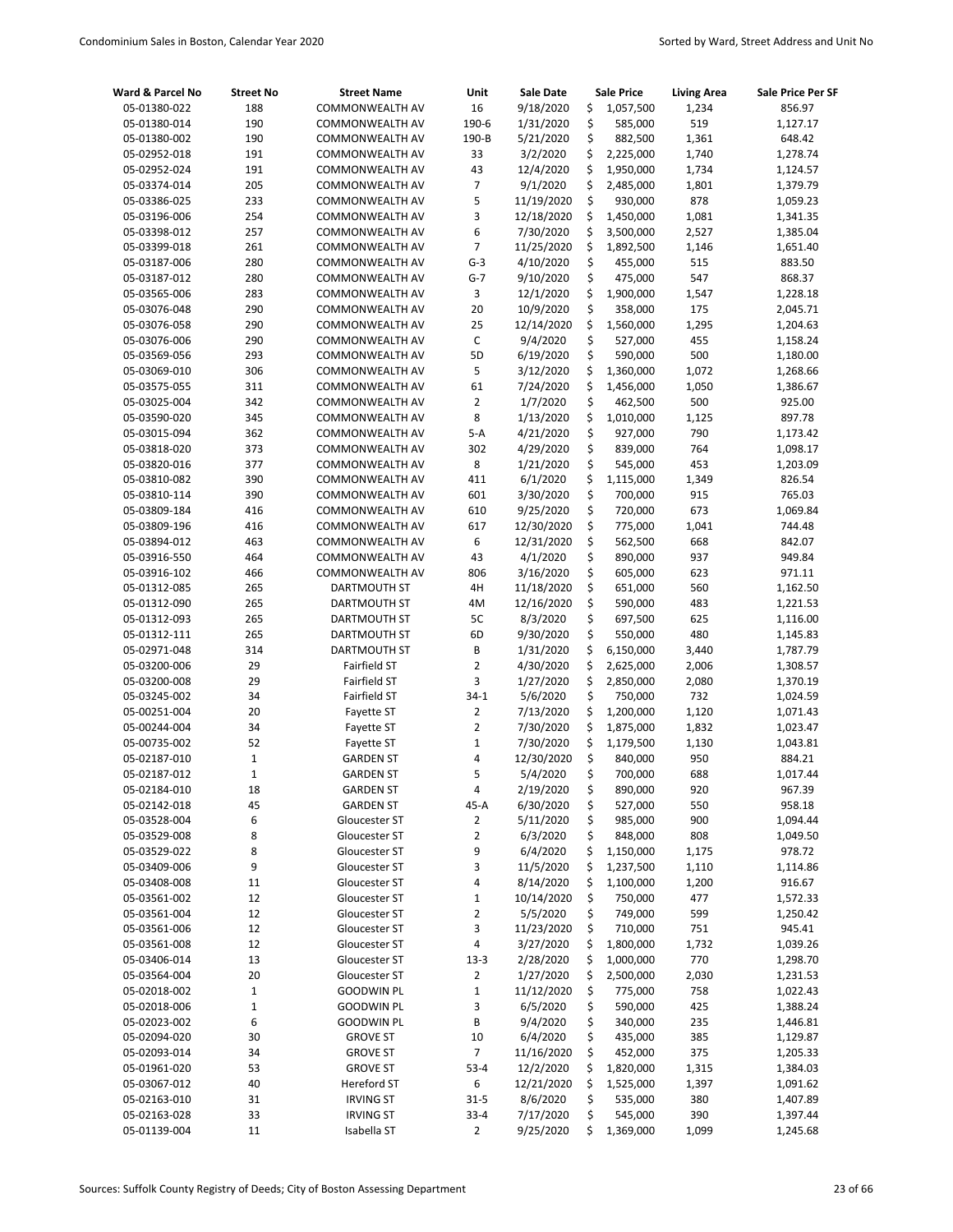| Ward & Parcel No             | <b>Street No</b> | <b>Street Name</b>           | Unit           | Sale Date              |          | <b>Sale Price</b>    | <b>Living Area</b> | Sale Price Per SF    |
|------------------------------|------------------|------------------------------|----------------|------------------------|----------|----------------------|--------------------|----------------------|
| 05-01380-022                 | 188              | COMMONWEALTH AV              | 16             | 9/18/2020              | \$       | 1,057,500            | 1,234              | 856.97               |
| 05-01380-014                 | 190              | COMMONWEALTH AV              | 190-6          | 1/31/2020              | \$       | 585,000              | 519                | 1,127.17             |
| 05-01380-002                 | 190              | COMMONWEALTH AV              | 190-B          | 5/21/2020              | \$       | 882,500              | 1,361              | 648.42               |
| 05-02952-018                 | 191              | COMMONWEALTH AV              | 33             | 3/2/2020               | \$       | 2,225,000            | 1,740              | 1,278.74             |
| 05-02952-024                 | 191              | COMMONWEALTH AV              | 43             | 12/4/2020              | \$       | 1,950,000            | 1,734              | 1,124.57             |
| 05-03374-014                 | 205              | COMMONWEALTH AV              | $\overline{7}$ | 9/1/2020               | \$       | 2,485,000            | 1,801              | 1,379.79             |
| 05-03386-025                 | 233              | COMMONWEALTH AV              | 5              | 11/19/2020             | \$       | 930,000              | 878                | 1,059.23             |
| 05-03196-006                 | 254              | COMMONWEALTH AV              | 3              | 12/18/2020             | \$       | 1,450,000            | 1,081              | 1,341.35             |
| 05-03398-012                 | 257              | COMMONWEALTH AV              | 6              | 7/30/2020              | \$       | 3,500,000            | 2,527              | 1,385.04             |
| 05-03399-018                 | 261              | COMMONWEALTH AV              | $\overline{7}$ | 11/25/2020             | \$       | 1,892,500            | 1,146              | 1,651.40             |
| 05-03187-006                 | 280              | COMMONWEALTH AV              | $G-3$          | 4/10/2020              | \$       | 455,000              | 515                | 883.50               |
| 05-03187-012                 | 280              | COMMONWEALTH AV              | $G-7$          | 9/10/2020              | \$       | 475,000              | 547                | 868.37               |
| 05-03565-006                 | 283              | COMMONWEALTH AV              | 3              | 12/1/2020              | \$       | 1,900,000            | 1,547              | 1,228.18             |
| 05-03076-048                 | 290              | COMMONWEALTH AV              | 20             | 10/9/2020              | \$       | 358,000              | 175                | 2,045.71             |
| 05-03076-058                 | 290              | COMMONWEALTH AV              | 25             | 12/14/2020             | \$       | 1,560,000            | 1,295              | 1,204.63             |
| 05-03076-006                 | 290              | COMMONWEALTH AV              | $\mathsf C$    | 9/4/2020               | \$       | 527,000              | 455                | 1,158.24             |
| 05-03569-056                 | 293              | COMMONWEALTH AV              | 5D             | 6/19/2020              | \$       | 590,000              | 500                | 1,180.00             |
| 05-03069-010                 | 306              | COMMONWEALTH AV              | 5              | 3/12/2020              | \$       | 1,360,000            | 1,072              | 1,268.66             |
| 05-03575-055                 | 311              | COMMONWEALTH AV              | 61             | 7/24/2020              | \$       | 1,456,000            | 1,050              | 1,386.67             |
| 05-03025-004                 | 342              | <b>COMMONWEALTH AV</b>       | $\overline{2}$ | 1/7/2020               | \$       | 462,500              | 500                | 925.00               |
| 05-03590-020                 | 345              | COMMONWEALTH AV              | 8              | 1/13/2020              | \$       | 1,010,000            | 1,125              | 897.78               |
| 05-03015-094                 | 362              | COMMONWEALTH AV              | $5-A$          | 4/21/2020              | \$       | 927,000              | 790                | 1,173.42             |
| 05-03818-020                 | 373              | COMMONWEALTH AV              | 302            | 4/29/2020              | \$       | 839,000              | 764                | 1,098.17             |
| 05-03820-016                 | 377              | COMMONWEALTH AV              | 8              | 1/21/2020              | \$       | 545,000              | 453                | 1,203.09             |
| 05-03810-082                 | 390              | COMMONWEALTH AV              | 411            | 6/1/2020               | \$       | 1,115,000            | 1,349              | 826.54               |
| 05-03810-114                 | 390              | COMMONWEALTH AV              | 601            | 3/30/2020              | \$       | 700,000              | 915                | 765.03               |
| 05-03809-184                 | 416              | COMMONWEALTH AV              | 610            | 9/25/2020              | \$       | 720,000              | 673                | 1,069.84             |
| 05-03809-196                 | 416              | <b>COMMONWEALTH AV</b>       | 617            | 12/30/2020             | \$       | 775,000              | 1,041              | 744.48               |
| 05-03894-012                 | 463              | COMMONWEALTH AV              | 6              | 12/31/2020             | \$       | 562,500              | 668                | 842.07               |
| 05-03916-550                 | 464              | COMMONWEALTH AV              | 43             | 4/1/2020               | \$       | 890,000              | 937                | 949.84               |
| 05-03916-102                 | 466              | COMMONWEALTH AV              | 806            | 3/16/2020              | \$       | 605,000              | 623                | 971.11               |
| 05-01312-085                 | 265              | DARTMOUTH ST                 | 4H             | 11/18/2020             | \$       | 651,000              | 560                | 1,162.50             |
| 05-01312-090                 | 265              | DARTMOUTH ST                 | 4M<br>5C       | 12/16/2020             | \$<br>\$ | 590,000              | 483                | 1,221.53             |
| 05-01312-093                 | 265              | DARTMOUTH ST                 | 6D             | 8/3/2020               | \$       | 697,500              | 625<br>480         | 1,116.00             |
| 05-01312-111<br>05-02971-048 | 265<br>314       | DARTMOUTH ST<br>DARTMOUTH ST | В              | 9/30/2020<br>1/31/2020 | \$       | 550,000<br>6,150,000 |                    | 1,145.83<br>1,787.79 |
| 05-03200-006                 | 29               | Fairfield ST                 | $\overline{2}$ | 4/30/2020              | \$       | 2,625,000            | 3,440<br>2,006     | 1,308.57             |
| 05-03200-008                 | 29               | Fairfield ST                 | 3              | 1/27/2020              | \$       | 2,850,000            | 2,080              | 1,370.19             |
| 05-03245-002                 | 34               | Fairfield ST                 | $34-1$         | 5/6/2020               | \$       | 750,000              | 732                | 1,024.59             |
| 05-00251-004                 | 20               | Fayette ST                   | 2              | 7/13/2020              | \$       | 1,200,000            | 1,120              | 1,071.43             |
| 05-00244-004                 | 34               | Fayette ST                   | $\overline{2}$ | 7/30/2020              | \$       | 1,875,000            | 1,832              | 1,023.47             |
| 05-00735-002                 | 52               | Fayette ST                   | $\mathbf{1}$   | 7/30/2020              | \$       | 1,179,500            | 1,130              | 1,043.81             |
| 05-02187-010                 | $1\,$            | <b>GARDEN ST</b>             | 4              | 12/30/2020             | \$       | 840,000              | 950                | 884.21               |
| 05-02187-012                 | $\mathbf 1$      | GARDEN ST                    | 5              | 5/4/2020               | \$       | 700,000              | 688                | 1,017.44             |
| 05-02184-010                 | 18               | <b>GARDEN ST</b>             | 4              | 2/19/2020              | \$       | 890,000              | 920                | 967.39               |
| 05-02142-018                 | 45               | <b>GARDEN ST</b>             | 45-A           | 6/30/2020              | \$       | 527,000              | 550                | 958.18               |
| 05-03528-004                 | 6                | Gloucester ST                | 2              | 5/11/2020              | \$       | 985,000              | 900                | 1,094.44             |
| 05-03529-008                 | 8                | Gloucester ST                | $\mathbf 2$    | 6/3/2020               | \$       | 848,000              | 808                | 1,049.50             |
| 05-03529-022                 | 8                | Gloucester ST                | 9              | 6/4/2020               | \$       | 1,150,000            | 1,175              | 978.72               |
| 05-03409-006                 | 9                | Gloucester ST                | 3              | 11/5/2020              | \$       | 1,237,500            | 1,110              | 1,114.86             |
| 05-03408-008                 | $11\,$           | Gloucester ST                | 4              | 8/14/2020              | \$       | 1,100,000            | 1,200              | 916.67               |
| 05-03561-002                 | 12               | Gloucester ST                | $\mathbf 1$    | 10/14/2020             | \$       | 750,000              | 477                | 1,572.33             |
| 05-03561-004                 | 12               | Gloucester ST                | 2              | 5/5/2020               | \$       | 749,000              | 599                | 1,250.42             |
| 05-03561-006                 | 12               | Gloucester ST                | 3              | 11/23/2020             | \$       | 710,000              | 751                | 945.41               |
| 05-03561-008                 | 12               | Gloucester ST                | 4              | 3/27/2020              | \$       | 1,800,000            | 1,732              | 1,039.26             |
| 05-03406-014                 | 13               | Gloucester ST                | $13 - 3$       | 2/28/2020              | \$       | 1,000,000            | 770                | 1,298.70             |
| 05-03564-004                 | 20               | Gloucester ST                | 2              | 1/27/2020              | \$       | 2,500,000            | 2,030              | 1,231.53             |
| 05-02018-002                 | $\mathbf 1$      | <b>GOODWIN PL</b>            | $\mathbf 1$    | 11/12/2020             | \$       | 775,000              | 758                | 1,022.43             |
| 05-02018-006                 | $\mathbf{1}$     | <b>GOODWIN PL</b>            | 3              | 6/5/2020               | \$       | 590,000              | 425                | 1,388.24             |
| 05-02023-002                 | 6                | <b>GOODWIN PL</b>            | B              | 9/4/2020               | \$       | 340,000              | 235                | 1,446.81             |
| 05-02094-020                 | 30               | <b>GROVE ST</b>              | 10             | 6/4/2020               | \$       | 435,000              | 385                | 1,129.87             |
| 05-02093-014                 | 34               | <b>GROVE ST</b>              | 7              | 11/16/2020             | \$       | 452,000              | 375                | 1,205.33             |
| 05-01961-020                 | 53               | <b>GROVE ST</b>              | $53 - 4$       | 12/2/2020              | \$       | 1,820,000            | 1,315              | 1,384.03             |
| 05-03067-012                 | 40               | Hereford ST                  | 6              | 12/21/2020             | \$       | 1,525,000            | 1,397              | 1,091.62             |
| 05-02163-010                 | 31               | <b>IRVING ST</b>             | $31 - 5$       | 8/6/2020               | \$       | 535,000              | 380                | 1,407.89             |
| 05-02163-028                 | 33               | <b>IRVING ST</b>             | $33 - 4$       | 7/17/2020              | \$       | 545,000              | 390                | 1,397.44             |
| 05-01139-004                 | $11\,$           | Isabella ST                  | $\overline{2}$ | 9/25/2020              | \$       | 1,369,000            | 1,099              | 1,245.68             |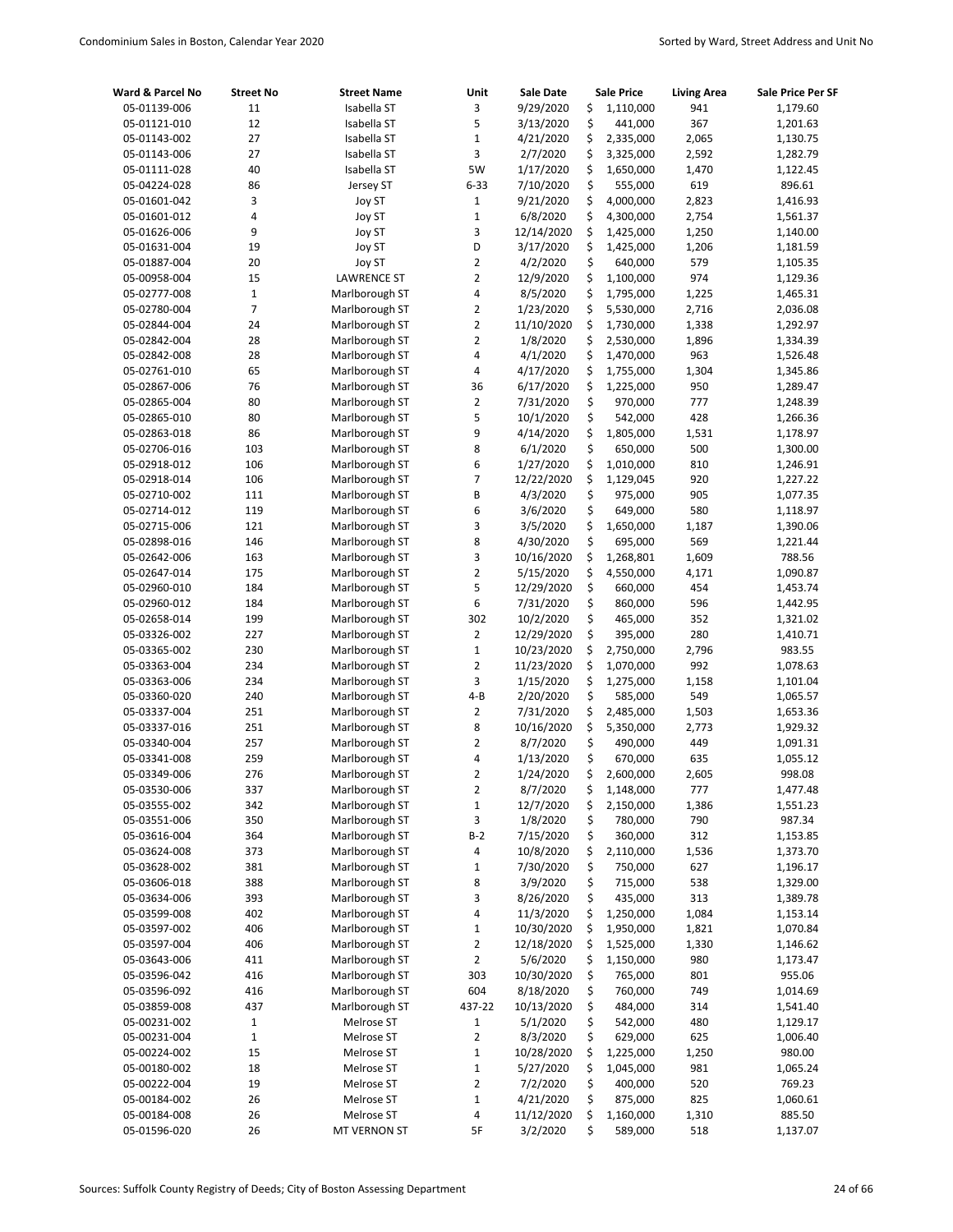| Ward & Parcel No             | <b>Street No</b> | <b>Street Name</b>               | Unit                    | <b>Sale Date</b>      |          | <b>Sale Price</b>  | <b>Living Area</b> | Sale Price Per SF    |
|------------------------------|------------------|----------------------------------|-------------------------|-----------------------|----------|--------------------|--------------------|----------------------|
| 05-01139-006                 | 11               | Isabella ST                      | 3                       | 9/29/2020             | \$       | 1,110,000          | 941                | 1,179.60             |
| 05-01121-010                 | 12               | Isabella ST                      | 5                       | 3/13/2020             | \$       | 441,000            | 367                | 1,201.63             |
| 05-01143-002                 | 27               | Isabella ST                      | $\mathbf 1$             | 4/21/2020             | \$       | 2,335,000          | 2,065              | 1,130.75             |
| 05-01143-006                 | 27               | Isabella ST                      | 3                       | 2/7/2020              | \$       | 3,325,000          | 2,592              | 1,282.79             |
| 05-01111-028                 | 40               | Isabella ST                      | 5W                      | 1/17/2020             | \$       | 1,650,000          | 1,470              | 1,122.45             |
| 05-04224-028                 | 86               | Jersey ST                        | $6 - 33$                | 7/10/2020             | \$       | 555,000            | 619                | 896.61               |
| 05-01601-042                 | 3                | Joy ST                           | $\mathbf 1$             | 9/21/2020             | \$       | 4,000,000          | 2,823              | 1,416.93             |
| 05-01601-012                 | 4                | Joy ST                           | $\mathbf 1$             | 6/8/2020              | \$       | 4,300,000          | 2,754              | 1,561.37             |
| 05-01626-006                 | 9                | Joy ST                           | 3                       | 12/14/2020            | \$       | 1,425,000          | 1,250              | 1,140.00             |
| 05-01631-004                 | 19               | Joy ST                           | D                       | 3/17/2020             | \$       | 1,425,000          | 1,206              | 1,181.59             |
| 05-01887-004                 | 20               | Joy ST                           | $\overline{2}$          | 4/2/2020              | \$       | 640,000            | 579                | 1,105.35             |
| 05-00958-004                 | 15               | <b>LAWRENCE ST</b>               | $\overline{2}$          | 12/9/2020             | \$       | 1,100,000          | 974                | 1,129.36             |
| 05-02777-008                 | $\mathbf 1$      | Marlborough ST                   | 4                       | 8/5/2020              | \$       | 1,795,000          | 1,225              | 1,465.31             |
| 05-02780-004                 | 7                | Marlborough ST                   | $\overline{2}$          | 1/23/2020             | \$       | 5,530,000          | 2,716              | 2,036.08             |
| 05-02844-004                 | 24               | Marlborough ST                   | $\overline{2}$          | 11/10/2020            | \$       | 1,730,000          | 1,338              | 1,292.97             |
| 05-02842-004                 | 28               | Marlborough ST                   | $\overline{2}$          | 1/8/2020              | \$       | 2,530,000          | 1,896              | 1,334.39             |
| 05-02842-008                 | 28               | Marlborough ST                   | 4                       | 4/1/2020              | \$       | 1,470,000          | 963                | 1,526.48             |
| 05-02761-010                 | 65               | Marlborough ST                   | 4                       | 4/17/2020             | \$       | 1,755,000          | 1,304              | 1,345.86             |
| 05-02867-006                 | 76               | Marlborough ST                   | 36                      | 6/17/2020             | \$       | 1,225,000          | 950                | 1,289.47             |
| 05-02865-004                 | 80               | Marlborough ST                   | 2                       | 7/31/2020             | \$       | 970,000            | 777                | 1,248.39             |
| 05-02865-010                 | 80               | Marlborough ST                   | 5                       | 10/1/2020             | \$       | 542,000            | 428                | 1,266.36             |
| 05-02863-018                 | 86               | Marlborough ST                   | 9                       | 4/14/2020             | \$       | 1,805,000          | 1,531              | 1,178.97             |
| 05-02706-016                 | 103              | Marlborough ST                   | 8                       | 6/1/2020              | \$       | 650,000            | 500                | 1,300.00             |
| 05-02918-012                 | 106              | Marlborough ST                   | 6                       | 1/27/2020             | \$       | 1,010,000          | 810                | 1,246.91             |
| 05-02918-014                 | 106              | Marlborough ST                   | $\overline{7}$          | 12/22/2020            | \$       | 1,129,045          | 920                | 1,227.22             |
| 05-02710-002                 | 111              | Marlborough ST                   | B                       | 4/3/2020              | \$       | 975,000            | 905                | 1,077.35             |
| 05-02714-012                 | 119              | Marlborough ST                   | 6                       | 3/6/2020              | \$       | 649,000            | 580                | 1,118.97             |
| 05-02715-006                 | 121              | Marlborough ST                   | 3                       | 3/5/2020              | \$       | 1,650,000          | 1,187              | 1,390.06             |
| 05-02898-016                 | 146              | Marlborough ST                   | 8                       | 4/30/2020             | \$       | 695,000            | 569                | 1,221.44             |
| 05-02642-006                 | 163              | Marlborough ST                   | 3                       | 10/16/2020            | \$       | 1,268,801          | 1,609              | 788.56               |
| 05-02647-014                 | 175              | Marlborough ST                   | $\overline{2}$          | 5/15/2020             | \$       | 4,550,000          | 4,171              | 1,090.87             |
| 05-02960-010                 | 184              | Marlborough ST                   | 5                       | 12/29/2020            | \$       | 660,000            | 454                | 1,453.74             |
| 05-02960-012                 | 184              | Marlborough ST                   | 6                       | 7/31/2020             | \$       | 860,000            | 596                | 1,442.95             |
| 05-02658-014                 | 199              | Marlborough ST                   | 302                     | 10/2/2020             | \$       | 465,000            | 352                | 1,321.02             |
| 05-03326-002                 | 227              | Marlborough ST                   | 2                       | 12/29/2020            | \$       | 395,000            | 280                | 1,410.71             |
| 05-03365-002                 | 230              | Marlborough ST                   | $\mathbf 1$             | 10/23/2020            | \$       | 2,750,000          | 2,796              | 983.55               |
| 05-03363-004                 | 234              | Marlborough ST                   | $\overline{2}$          | 11/23/2020            | \$       | 1,070,000          | 992                | 1,078.63             |
| 05-03363-006                 | 234              | Marlborough ST                   | 3                       | 1/15/2020             | \$       | 1,275,000          | 1,158              | 1,101.04             |
| 05-03360-020                 | 240              | Marlborough ST                   | $4 - B$                 | 2/20/2020             | \$       | 585,000            | 549                | 1,065.57             |
| 05-03337-004                 | 251              | Marlborough ST                   | $\overline{2}$<br>8     | 7/31/2020             | \$       | 2,485,000          | 1,503              | 1,653.36             |
| 05-03337-016                 | 251<br>257       | Marlborough ST                   | $\overline{2}$          | 10/16/2020            | \$<br>\$ | 5,350,000          | 2,773              | 1,929.32             |
| 05-03340-004<br>05-03341-008 | 259              | Marlborough ST<br>Marlborough ST | 4                       | 8/7/2020<br>1/13/2020 | \$       | 490,000<br>670,000 | 449<br>635         | 1,091.31<br>1,055.12 |
| 05-03349-006                 | 276              | Marlborough ST                   | $\overline{2}$          | 1/24/2020             | \$       | 2,600,000          | 2,605              | 998.08               |
| 05-03530-006                 | 337              | Marlborough ST                   | 2                       | 8/7/2020              | \$       | 1,148,000          | 777                | 1,477.48             |
| 05-03555-002                 | 342              | Marlborough ST                   | $\mathbf 1$             | 12/7/2020             | \$       | 2,150,000          | 1,386              | 1,551.23             |
| 05-03551-006                 | 350              | Marlborough ST                   | 3                       | 1/8/2020              | \$       | 780,000            | 790                | 987.34               |
| 05-03616-004                 | 364              | Marlborough ST                   | $B-2$                   | 7/15/2020             | \$       | 360,000            | 312                | 1,153.85             |
| 05-03624-008                 | 373              | Marlborough ST                   | 4                       | 10/8/2020             | \$       | 2,110,000          | 1,536              | 1,373.70             |
| 05-03628-002                 | 381              | Marlborough ST                   | 1                       | 7/30/2020             | \$       | 750,000            | 627                | 1,196.17             |
| 05-03606-018                 | 388              | Marlborough ST                   | 8                       | 3/9/2020              | \$       | 715,000            | 538                | 1,329.00             |
| 05-03634-006                 | 393              | Marlborough ST                   | 3                       | 8/26/2020             | \$       | 435,000            | 313                | 1,389.78             |
| 05-03599-008                 | 402              | Marlborough ST                   | 4                       | 11/3/2020             | \$       | 1,250,000          | 1,084              | 1,153.14             |
| 05-03597-002                 | 406              | Marlborough ST                   | $\mathbf 1$             | 10/30/2020            | \$       | 1,950,000          | 1,821              | 1,070.84             |
| 05-03597-004                 | 406              | Marlborough ST                   | $\mathbf 2$             | 12/18/2020            | \$       | 1,525,000          | 1,330              | 1,146.62             |
| 05-03643-006                 | 411              | Marlborough ST                   | $\overline{\mathbf{c}}$ | 5/6/2020              | \$       | 1,150,000          | 980                | 1,173.47             |
| 05-03596-042                 | 416              | Marlborough ST                   | 303                     | 10/30/2020            | \$       | 765,000            | 801                | 955.06               |
| 05-03596-092                 | 416              | Marlborough ST                   | 604                     | 8/18/2020             | \$       | 760,000            | 749                | 1,014.69             |
| 05-03859-008                 | 437              | Marlborough ST                   | 437-22                  | 10/13/2020            | \$       | 484,000            | 314                | 1,541.40             |
| 05-00231-002                 | $\mathbf{1}$     | Melrose ST                       | $\mathbf{1}$            | 5/1/2020              | \$       | 542,000            | 480                | 1,129.17             |
| 05-00231-004                 | 1                | Melrose ST                       | 2                       | 8/3/2020              | \$       | 629,000            | 625                | 1,006.40             |
| 05-00224-002                 | 15               | Melrose ST                       | $\mathbf 1$             | 10/28/2020            | \$       | 1,225,000          | 1,250              | 980.00               |
| 05-00180-002                 | 18               | Melrose ST                       | $\mathbf 1$             | 5/27/2020             | \$       | 1,045,000          | 981                | 1,065.24             |
| 05-00222-004                 | 19               | Melrose ST                       | $\overline{\mathbf{c}}$ | 7/2/2020              | \$       | 400,000            | 520                | 769.23               |
| 05-00184-002                 | 26               | Melrose ST                       | $\mathbf 1$             | 4/21/2020             | \$       | 875,000            | 825                | 1,060.61             |
| 05-00184-008                 | 26               | Melrose ST                       | 4                       | 11/12/2020            | \$       | 1,160,000          | 1,310              | 885.50               |
| 05-01596-020                 | 26               | MT VERNON ST                     | 5F                      | 3/2/2020              | \$       | 589,000            | 518                | 1,137.07             |
|                              |                  |                                  |                         |                       |          |                    |                    |                      |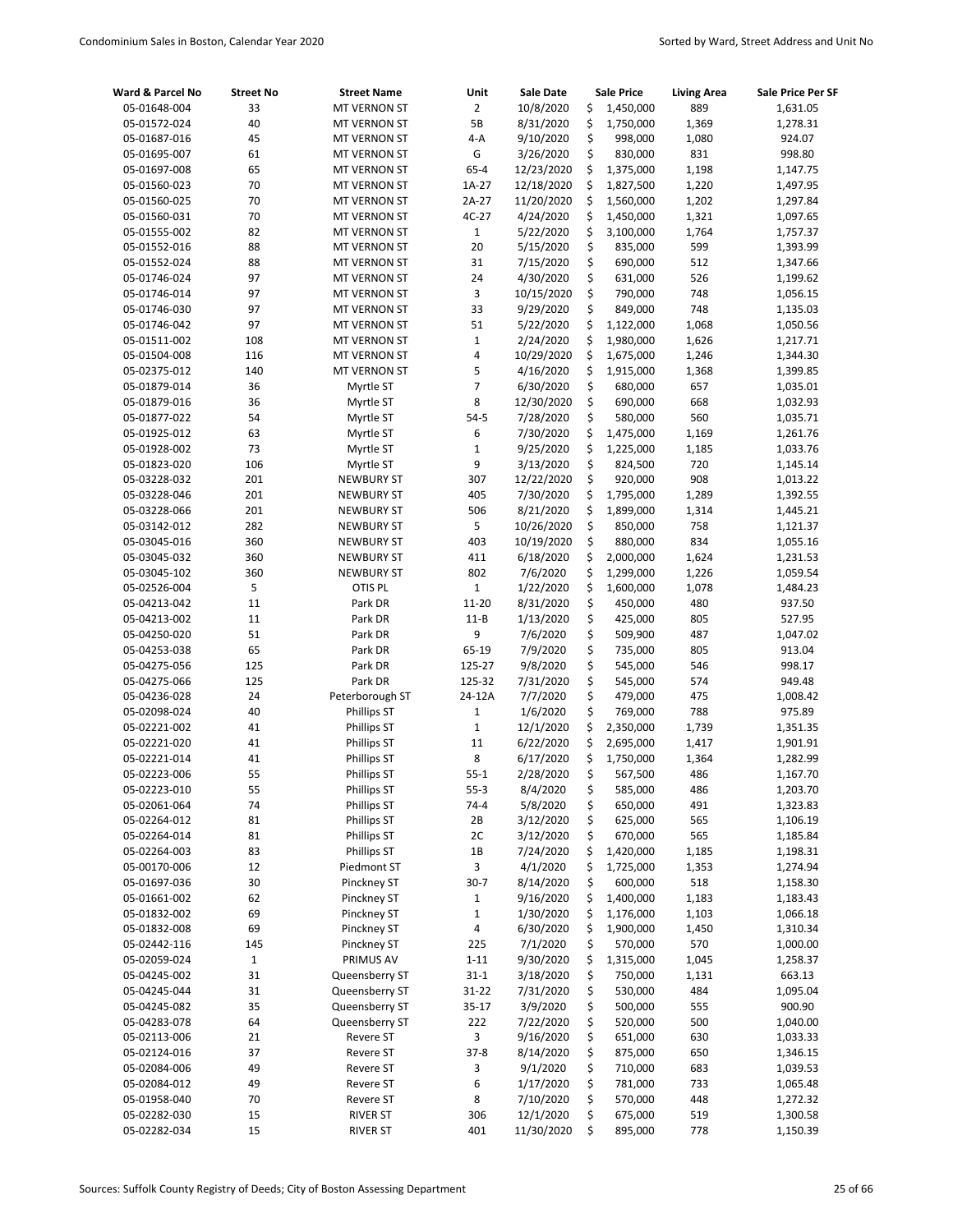| Ward & Parcel No             | <b>Street No</b> | <b>Street Name</b>                | Unit              | <b>Sale Date</b>       |          | <b>Sale Price</b>      | <b>Living Area</b> | Sale Price Per SF    |
|------------------------------|------------------|-----------------------------------|-------------------|------------------------|----------|------------------------|--------------------|----------------------|
| 05-01648-004                 | 33               | <b>MT VERNON ST</b>               | $\overline{2}$    | 10/8/2020              | \$       | 1,450,000              | 889                | 1,631.05             |
| 05-01572-024                 | 40               | MT VERNON ST                      | 5B                | 8/31/2020              | \$       | 1,750,000              | 1,369              | 1,278.31             |
| 05-01687-016                 | 45               | MT VERNON ST                      | $4-A$             | 9/10/2020              | \$       | 998,000                | 1,080              | 924.07               |
| 05-01695-007                 | 61               | MT VERNON ST                      | G                 | 3/26/2020              | \$       | 830,000                | 831                | 998.80               |
| 05-01697-008                 | 65               | <b>MT VERNON ST</b>               | $65 - 4$          | 12/23/2020             | \$       | 1,375,000              | 1,198              | 1,147.75             |
| 05-01560-023                 | 70               | MT VERNON ST                      | 1A-27             | 12/18/2020             | \$       | 1,827,500              | 1,220              | 1,497.95             |
| 05-01560-025                 | 70               | MT VERNON ST                      | 2A-27             | 11/20/2020             | \$       | 1,560,000              | 1,202              | 1,297.84             |
| 05-01560-031                 | 70               | MT VERNON ST                      | 4C-27             | 4/24/2020              | \$       | 1,450,000              | 1,321              | 1,097.65             |
| 05-01555-002                 | 82               | MT VERNON ST                      | $\mathbf{1}$      | 5/22/2020              | \$       | 3,100,000              | 1,764              | 1,757.37             |
| 05-01552-016                 | 88               | MT VERNON ST                      | 20                | 5/15/2020              | \$       | 835,000                | 599                | 1,393.99             |
| 05-01552-024                 | 88               | MT VERNON ST                      | 31                | 7/15/2020              | \$       | 690,000                | 512                | 1,347.66             |
| 05-01746-024                 | 97               | MT VERNON ST                      | 24                | 4/30/2020              | \$       | 631,000                | 526                | 1,199.62             |
| 05-01746-014                 | 97               | MT VERNON ST                      | 3                 | 10/15/2020             | \$       | 790,000                | 748                | 1,056.15             |
| 05-01746-030                 | 97               | MT VERNON ST                      | 33                | 9/29/2020              | \$       | 849,000                | 748                | 1,135.03             |
| 05-01746-042                 | 97               | MT VERNON ST                      | 51                | 5/22/2020              | \$       | 1,122,000              | 1,068              | 1,050.56             |
| 05-01511-002                 | 108              | MT VERNON ST                      | $\mathbf 1$       | 2/24/2020              | \$       | 1,980,000              | 1,626              | 1,217.71             |
| 05-01504-008                 | 116              | MT VERNON ST                      | 4                 | 10/29/2020             | \$       | 1,675,000              | 1,246              | 1,344.30             |
| 05-02375-012                 | 140              | <b>MT VERNON ST</b>               | 5                 | 4/16/2020              | \$       | 1,915,000              | 1,368              | 1,399.85             |
| 05-01879-014                 | 36               | Myrtle ST                         | $\overline{7}$    | 6/30/2020              | \$       | 680,000                | 657                | 1,035.01             |
| 05-01879-016                 | 36               | Myrtle ST                         | 8                 | 12/30/2020             | \$       | 690,000                | 668                | 1,032.93             |
| 05-01877-022                 | 54               | Myrtle ST                         | $54-5$            | 7/28/2020              | \$       | 580,000                | 560                | 1,035.71             |
| 05-01925-012                 | 63               | Myrtle ST                         | 6                 | 7/30/2020              | \$       | 1,475,000              | 1,169              | 1,261.76             |
| 05-01928-002                 | 73               | Myrtle ST                         | $\mathbf 1$       | 9/25/2020              | \$       | 1,225,000              | 1,185              | 1,033.76             |
| 05-01823-020                 | 106              | Myrtle ST                         | 9                 | 3/13/2020              | \$       | 824,500                | 720                | 1,145.14             |
| 05-03228-032                 | 201              | <b>NEWBURY ST</b>                 | 307               | 12/22/2020             | \$       | 920,000                | 908                | 1,013.22             |
| 05-03228-046                 | 201              | <b>NEWBURY ST</b>                 | 405               | 7/30/2020              | \$       | 1,795,000              | 1,289              | 1,392.55             |
| 05-03228-066                 | 201              | <b>NEWBURY ST</b>                 | 506               | 8/21/2020              | \$       | 1,899,000              | 1,314              | 1,445.21             |
| 05-03142-012                 | 282              | <b>NEWBURY ST</b>                 | 5                 | 10/26/2020             | \$       | 850,000                | 758                | 1,121.37             |
| 05-03045-016                 | 360              | <b>NEWBURY ST</b>                 | 403               | 10/19/2020             | \$       | 880,000                | 834                | 1,055.16             |
| 05-03045-032                 | 360              | <b>NEWBURY ST</b>                 | 411               | 6/18/2020              | \$       | 2,000,000              | 1,624              | 1,231.53             |
| 05-03045-102                 | 360              | <b>NEWBURY ST</b>                 | 802               | 7/6/2020               | \$       | 1,299,000              | 1,226              | 1,059.54             |
| 05-02526-004                 | 5                | OTIS PL                           | $\mathbf{1}$      | 1/22/2020              | \$       | 1,600,000              | 1,078              | 1,484.23             |
| 05-04213-042                 | 11               | Park DR                           | 11-20             | 8/31/2020              | \$       | 450,000                | 480                | 937.50               |
| 05-04213-002                 | 11               | Park DR                           | $11 - B$          | 1/13/2020              | \$       | 425,000                | 805                | 527.95               |
| 05-04250-020                 | 51               | Park DR                           | 9                 | 7/6/2020               | \$       | 509,900                | 487                | 1,047.02             |
| 05-04253-038                 | 65               | Park DR                           | 65-19             | 7/9/2020               | \$       | 735,000                | 805                | 913.04               |
| 05-04275-056                 | 125              | Park DR                           | 125-27            | 9/8/2020               | \$       | 545,000                | 546                | 998.17               |
| 05-04275-066                 | 125              | Park DR                           | 125-32            | 7/31/2020              | \$       | 545,000                | 574                | 949.48               |
| 05-04236-028                 | 24               | Peterborough ST                   | 24-12A            | 7/7/2020               | \$<br>\$ | 479,000                | 475                | 1,008.42             |
| 05-02098-024                 | 40<br>41         | Phillips ST                       | $\mathbf 1$       | 1/6/2020               | \$       | 769,000                | 788                | 975.89               |
| 05-02221-002                 |                  | Phillips ST<br><b>Phillips ST</b> | $\mathbf 1$<br>11 | 12/1/2020              | \$       | 2,350,000              | 1,739              | 1,351.35             |
| 05-02221-020<br>05-02221-014 | 41<br>41         | Phillips ST                       | 8                 | 6/22/2020<br>6/17/2020 | \$       | 2,695,000<br>1,750,000 | 1,417<br>1,364     | 1,901.91<br>1,282.99 |
| 05-02223-006                 | 55               | Phillips ST                       | $55 - 1$          | 2/28/2020              | \$       | 567,500                | 486                | 1,167.70             |
| 05-02223-010                 | 55               | Phillips ST                       | $55 - 3$          | 8/4/2020               | \$       | 585,000                | 486                | 1,203.70             |
| 05-02061-064                 | 74               | Phillips ST                       | $74 - 4$          | 5/8/2020               | \$       | 650,000                | 491                | 1,323.83             |
| 05-02264-012                 | 81               | <b>Phillips ST</b>                | 2В                | 3/12/2020              | \$       | 625,000                | 565                | 1,106.19             |
| 05-02264-014                 | 81               | <b>Phillips ST</b>                | 2C                | 3/12/2020              | \$       | 670,000                | 565                | 1,185.84             |
| 05-02264-003                 | 83               | Phillips ST                       | 1B                | 7/24/2020              | \$       | 1,420,000              | 1,185              | 1,198.31             |
| 05-00170-006                 | 12               | Piedmont ST                       | 3                 | 4/1/2020               | \$       | 1,725,000              | 1,353              | 1,274.94             |
| 05-01697-036                 | 30               | Pinckney ST                       | $30-7$            | 8/14/2020              | \$       | 600,000                | 518                | 1,158.30             |
| 05-01661-002                 | 62               | Pinckney ST                       | $\mathbf{1}$      | 9/16/2020              | \$       | 1,400,000              | 1,183              | 1,183.43             |
| 05-01832-002                 | 69               | Pinckney ST                       | $\mathbf{1}$      | 1/30/2020              | \$       | 1,176,000              | 1,103              | 1,066.18             |
| 05-01832-008                 | 69               | Pinckney ST                       | 4                 | 6/30/2020              | \$       | 1,900,000              | 1,450              | 1,310.34             |
| 05-02442-116                 | 145              | Pinckney ST                       | 225               | 7/1/2020               | \$       | 570,000                | 570                | 1,000.00             |
| 05-02059-024                 | $\mathbf{1}$     | PRIMUS AV                         | $1 - 11$          | 9/30/2020              | \$       | 1,315,000              | 1,045              | 1,258.37             |
| 05-04245-002                 | 31               | Queensberry ST                    | $31 - 1$          | 3/18/2020              | \$       | 750,000                | 1,131              | 663.13               |
| 05-04245-044                 | 31               | Queensberry ST                    | 31-22             | 7/31/2020              | \$       | 530,000                | 484                | 1,095.04             |
| 05-04245-082                 | 35               | Queensberry ST                    | 35-17             | 3/9/2020               | \$       | 500,000                | 555                | 900.90               |
| 05-04283-078                 | 64               | Queensberry ST                    | 222               | 7/22/2020              | \$       | 520,000                | 500                | 1,040.00             |
| 05-02113-006                 | 21               | Revere ST                         | 3                 | 9/16/2020              | \$       | 651,000                | 630                | 1,033.33             |
| 05-02124-016                 | 37               | Revere ST                         | $37 - 8$          | 8/14/2020              | \$       | 875,000                | 650                | 1,346.15             |
| 05-02084-006                 | 49               | Revere ST                         | 3                 | 9/1/2020               | \$       | 710,000                | 683                | 1,039.53             |
| 05-02084-012                 | 49               | Revere ST                         | 6                 | 1/17/2020              | \$       | 781,000                | 733                | 1,065.48             |
| 05-01958-040                 | 70               | <b>Revere ST</b>                  | 8                 | 7/10/2020              | \$       | 570,000                | 448                | 1,272.32             |
| 05-02282-030                 | 15               | <b>RIVER ST</b>                   | 306               | 12/1/2020              | \$       | 675,000                | 519                | 1,300.58             |
| 05-02282-034                 | 15               | <b>RIVER ST</b>                   | 401               | 11/30/2020             | \$       | 895,000                | 778                | 1,150.39             |
|                              |                  |                                   |                   |                        |          |                        |                    |                      |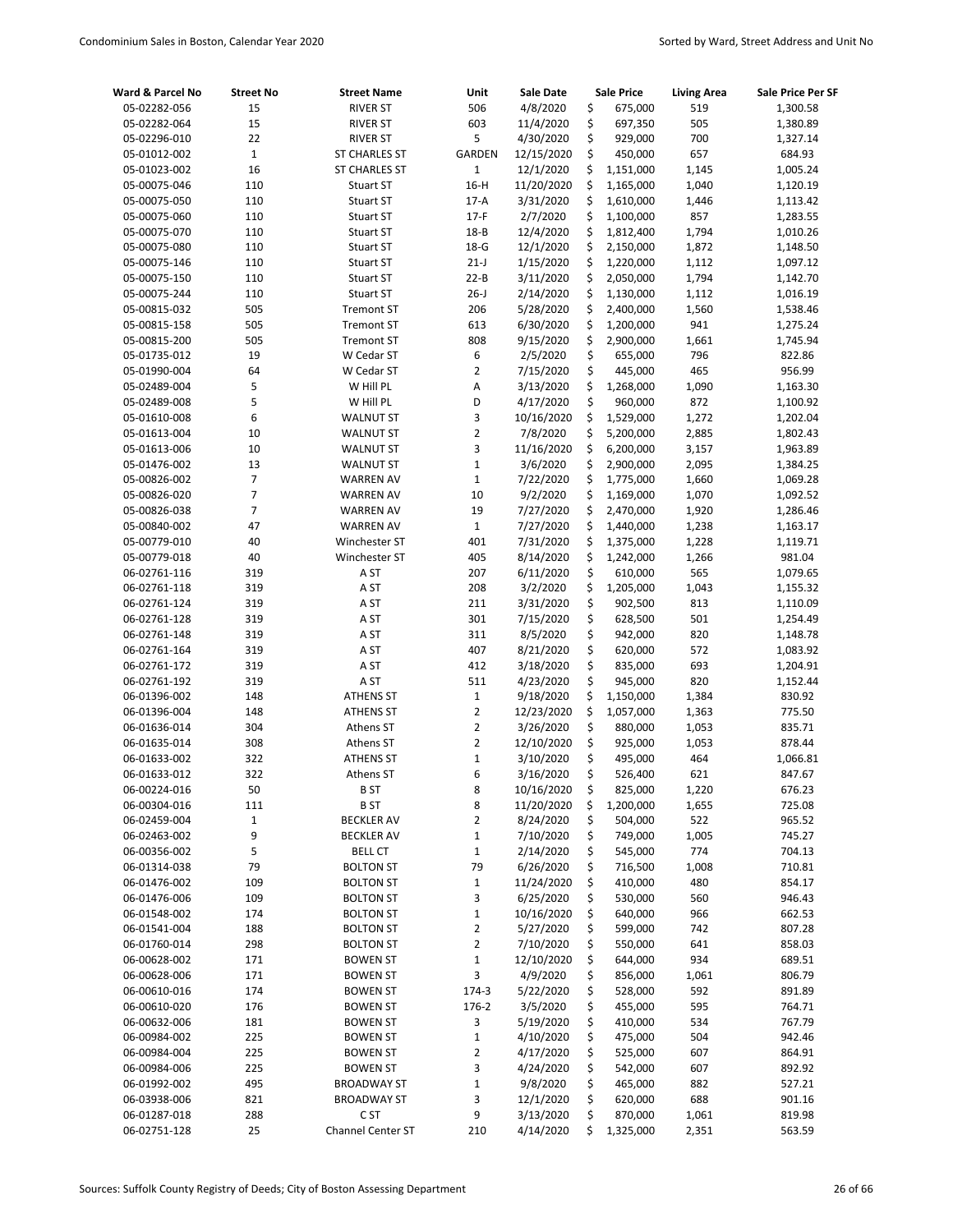| Ward & Parcel No             | <b>Street No</b> | <b>Street Name</b>   | Unit           | <b>Sale Date</b>      |          | <b>Sale Price</b>  | <b>Living Area</b> | <b>Sale Price Per SF</b> |
|------------------------------|------------------|----------------------|----------------|-----------------------|----------|--------------------|--------------------|--------------------------|
| 05-02282-056                 | 15               | <b>RIVER ST</b>      | 506            | 4/8/2020              | \$       | 675,000            | 519                | 1,300.58                 |
| 05-02282-064                 | 15               | <b>RIVER ST</b>      | 603            | 11/4/2020             | \$       | 697,350            | 505                | 1,380.89                 |
| 05-02296-010                 | 22               | <b>RIVER ST</b>      | 5              | 4/30/2020             | \$       | 929,000            | 700                | 1,327.14                 |
| 05-01012-002                 | $\mathbf 1$      | <b>ST CHARLES ST</b> | <b>GARDEN</b>  | 12/15/2020            | \$       | 450,000            | 657                | 684.93                   |
| 05-01023-002                 | 16               | <b>ST CHARLES ST</b> | $\mathbf 1$    | 12/1/2020             | \$       | 1,151,000          | 1,145              | 1,005.24                 |
| 05-00075-046                 | 110              | <b>Stuart ST</b>     | $16-H$         | 11/20/2020            | \$       | 1,165,000          | 1,040              | 1,120.19                 |
| 05-00075-050                 | 110              | <b>Stuart ST</b>     | $17-A$         | 3/31/2020             | \$       | 1,610,000          | 1,446              | 1,113.42                 |
| 05-00075-060                 | 110              | Stuart ST            | $17-F$         | 2/7/2020              | \$       | 1,100,000          | 857                | 1,283.55                 |
| 05-00075-070                 | 110              | <b>Stuart ST</b>     | $18 - B$       | 12/4/2020             | \$       | 1,812,400          | 1,794              | 1,010.26                 |
| 05-00075-080                 | 110              | <b>Stuart ST</b>     | $18-G$         | 12/1/2020             | \$       | 2,150,000          | 1,872              | 1,148.50                 |
| 05-00075-146                 | 110              | Stuart ST            | $21-J$         | 1/15/2020             | \$       | 1,220,000          | 1,112              | 1,097.12                 |
| 05-00075-150                 | 110              | Stuart ST            | $22 - B$       | 3/11/2020             | \$       | 2,050,000          | 1,794              | 1,142.70                 |
| 05-00075-244                 | 110              | Stuart ST            | $26 - J$       | 2/14/2020             | \$       | 1,130,000          | 1,112              | 1,016.19                 |
| 05-00815-032                 | 505              | <b>Tremont ST</b>    | 206            | 5/28/2020             | \$       | 2,400,000          | 1,560              | 1,538.46                 |
| 05-00815-158                 | 505              | <b>Tremont ST</b>    | 613            | 6/30/2020             | \$       | 1,200,000          | 941                | 1,275.24                 |
| 05-00815-200                 | 505              | <b>Tremont ST</b>    | 808            | 9/15/2020             | \$       | 2,900,000          | 1,661              | 1,745.94                 |
| 05-01735-012                 | 19               | W Cedar ST           | 6              | 2/5/2020              | \$       | 655,000            | 796                | 822.86                   |
| 05-01990-004                 | 64               | W Cedar ST           | $\overline{2}$ | 7/15/2020             | \$       | 445,000            | 465                | 956.99                   |
| 05-02489-004                 | 5                | W Hill PL            | A              | 3/13/2020             | \$       | 1,268,000          | 1,090              | 1,163.30                 |
| 05-02489-008                 | 5                | W Hill PL            | D              | 4/17/2020             | \$       | 960,000            | 872                | 1,100.92                 |
| 05-01610-008                 | 6                | <b>WALNUT ST</b>     | 3              | 10/16/2020            | \$       | 1,529,000          | 1,272              | 1,202.04                 |
| 05-01613-004                 | 10               | <b>WALNUT ST</b>     | $\overline{2}$ | 7/8/2020              | \$       | 5,200,000          | 2,885              | 1,802.43                 |
| 05-01613-006                 | 10               | <b>WALNUT ST</b>     | 3              | 11/16/2020            | \$       | 6,200,000          | 3,157              | 1,963.89                 |
| 05-01476-002                 | 13               | <b>WALNUT ST</b>     | $\mathbf 1$    | 3/6/2020              | \$       | 2,900,000          | 2,095              | 1,384.25                 |
| 05-00826-002                 | $\overline{7}$   | <b>WARREN AV</b>     | $\mathbf 1$    | 7/22/2020             | \$       | 1,775,000          | 1,660              | 1,069.28                 |
| 05-00826-020                 | 7                | <b>WARREN AV</b>     | 10             | 9/2/2020              | \$       | 1,169,000          | 1,070              | 1,092.52                 |
| 05-00826-038                 | $\overline{7}$   | <b>WARREN AV</b>     | 19             | 7/27/2020             | \$       | 2,470,000          | 1,920              | 1,286.46                 |
| 05-00840-002                 | 47               | <b>WARREN AV</b>     | $\mathbf{1}$   | 7/27/2020             | \$       | 1,440,000          | 1,238              | 1,163.17                 |
| 05-00779-010                 | 40               | Winchester ST        | 401            | 7/31/2020             | \$       | 1,375,000          | 1,228              | 1,119.71                 |
| 05-00779-018                 | 40               | Winchester ST        | 405            | 8/14/2020             | \$<br>\$ | 1,242,000          | 1,266<br>565       | 981.04                   |
| 06-02761-116                 | 319<br>319       | A ST                 | 207            | 6/11/2020             | \$       | 610,000            |                    | 1,079.65                 |
| 06-02761-118<br>06-02761-124 |                  | A <sub>ST</sub>      | 208            | 3/2/2020              |          | 1,205,000          | 1,043              | 1,155.32                 |
| 06-02761-128                 | 319<br>319       | A ST<br>A ST         | 211<br>301     | 3/31/2020             | \$<br>\$ | 902,500<br>628,500 | 813<br>501         | 1,110.09                 |
| 06-02761-148                 | 319              | A <sub>ST</sub>      | 311            | 7/15/2020<br>8/5/2020 | \$       | 942,000            | 820                | 1,254.49                 |
| 06-02761-164                 | 319              | A ST                 | 407            | 8/21/2020             | \$       | 620,000            | 572                | 1,148.78<br>1,083.92     |
| 06-02761-172                 | 319              | A ST                 | 412            | 3/18/2020             | \$       | 835,000            | 693                | 1,204.91                 |
| 06-02761-192                 | 319              | A ST                 | 511            | 4/23/2020             | \$       | 945,000            | 820                | 1,152.44                 |
| 06-01396-002                 | 148              | <b>ATHENS ST</b>     | $\mathbf 1$    | 9/18/2020             | \$       | 1,150,000          | 1,384              | 830.92                   |
| 06-01396-004                 | 148              | <b>ATHENS ST</b>     | $\overline{2}$ | 12/23/2020            | \$       | 1,057,000          | 1,363              | 775.50                   |
| 06-01636-014                 | 304              | Athens ST            | $\overline{2}$ | 3/26/2020             | \$       | 880,000            | 1,053              | 835.71                   |
| 06-01635-014                 | 308              | Athens ST            | $\overline{2}$ | 12/10/2020            | \$       | 925,000            | 1,053              | 878.44                   |
| 06-01633-002                 | 322              | <b>ATHENS ST</b>     | $\mathbf{1}$   | 3/10/2020             | \$       | 495,000            | 464                | 1,066.81                 |
| 06-01633-012                 | 322              | Athens ST            | 6              | 3/16/2020             | \$       | 526,400            | 621                | 847.67                   |
| 06-00224-016                 | 50               | B ST                 | 8              | 10/16/2020            | \$       | 825,000            | 1,220              | 676.23                   |
| 06-00304-016                 | 111              | <b>BST</b>           | 8              | 11/20/2020            | \$       | 1,200,000          | 1,655              | 725.08                   |
| 06-02459-004                 | 1                | <b>BECKLER AV</b>    | 2              | 8/24/2020             | \$       | 504,000            | 522                | 965.52                   |
| 06-02463-002                 | 9                | <b>BECKLER AV</b>    | $\mathbf 1$    | 7/10/2020             | \$       | 749,000            | 1,005              | 745.27                   |
| 06-00356-002                 | 5                | <b>BELL CT</b>       | $\mathbf 1$    | 2/14/2020             | \$       | 545,000            | 774                | 704.13                   |
| 06-01314-038                 | 79               | <b>BOLTON ST</b>     | 79             | 6/26/2020             | \$       | 716,500            | 1,008              | 710.81                   |
| 06-01476-002                 | 109              | <b>BOLTON ST</b>     | $\mathbf 1$    | 11/24/2020            | \$       | 410,000            | 480                | 854.17                   |
| 06-01476-006                 | 109              | <b>BOLTON ST</b>     | 3              | 6/25/2020             | \$       | 530,000            | 560                | 946.43                   |
| 06-01548-002                 | 174              | <b>BOLTON ST</b>     | $\mathbf 1$    | 10/16/2020            | \$       | 640,000            | 966                | 662.53                   |
| 06-01541-004                 | 188              | <b>BOLTON ST</b>     | 2              | 5/27/2020             | \$       | 599,000            | 742                | 807.28                   |
| 06-01760-014                 | 298              | <b>BOLTON ST</b>     | $\overline{2}$ | 7/10/2020             | \$       | 550,000            | 641                | 858.03                   |
| 06-00628-002                 | 171              | <b>BOWEN ST</b>      | $\mathbf 1$    | 12/10/2020            | \$       | 644,000            | 934                | 689.51                   |
| 06-00628-006                 | 171              | <b>BOWEN ST</b>      | 3              | 4/9/2020              | \$       | 856,000            | 1,061              | 806.79                   |
| 06-00610-016                 | 174              | <b>BOWEN ST</b>      | 174-3          | 5/22/2020             | \$       | 528,000            | 592                | 891.89                   |
| 06-00610-020                 | 176              | <b>BOWEN ST</b>      | 176-2          | 3/5/2020              | \$       | 455,000            | 595                | 764.71                   |
| 06-00632-006                 | 181              | <b>BOWEN ST</b>      | 3              | 5/19/2020             | \$       | 410,000            | 534                | 767.79                   |
| 06-00984-002                 | 225              | <b>BOWEN ST</b>      | $\mathbf 1$    | 4/10/2020             | \$       | 475,000            | 504                | 942.46                   |
| 06-00984-004                 | 225              | <b>BOWEN ST</b>      | $\mathbf 2$    | 4/17/2020             | \$       | 525,000            | 607                | 864.91                   |
| 06-00984-006                 | 225              | <b>BOWEN ST</b>      | 3              | 4/24/2020             | \$       | 542,000            | 607                | 892.92                   |
| 06-01992-002                 | 495              | <b>BROADWAY ST</b>   | $\mathbf 1$    | 9/8/2020              | \$       | 465,000            | 882                | 527.21                   |
| 06-03938-006                 | 821              | <b>BROADWAY ST</b>   | 3              | 12/1/2020             | \$       | 620,000            | 688                | 901.16                   |
| 06-01287-018                 | 288              | C <sub>ST</sub>      | 9              | 3/13/2020             | \$       | 870,000            | 1,061              | 819.98                   |
| 06-02751-128                 | 25               | Channel Center ST    | 210            | 4/14/2020             | \$       | 1,325,000          | 2,351              | 563.59                   |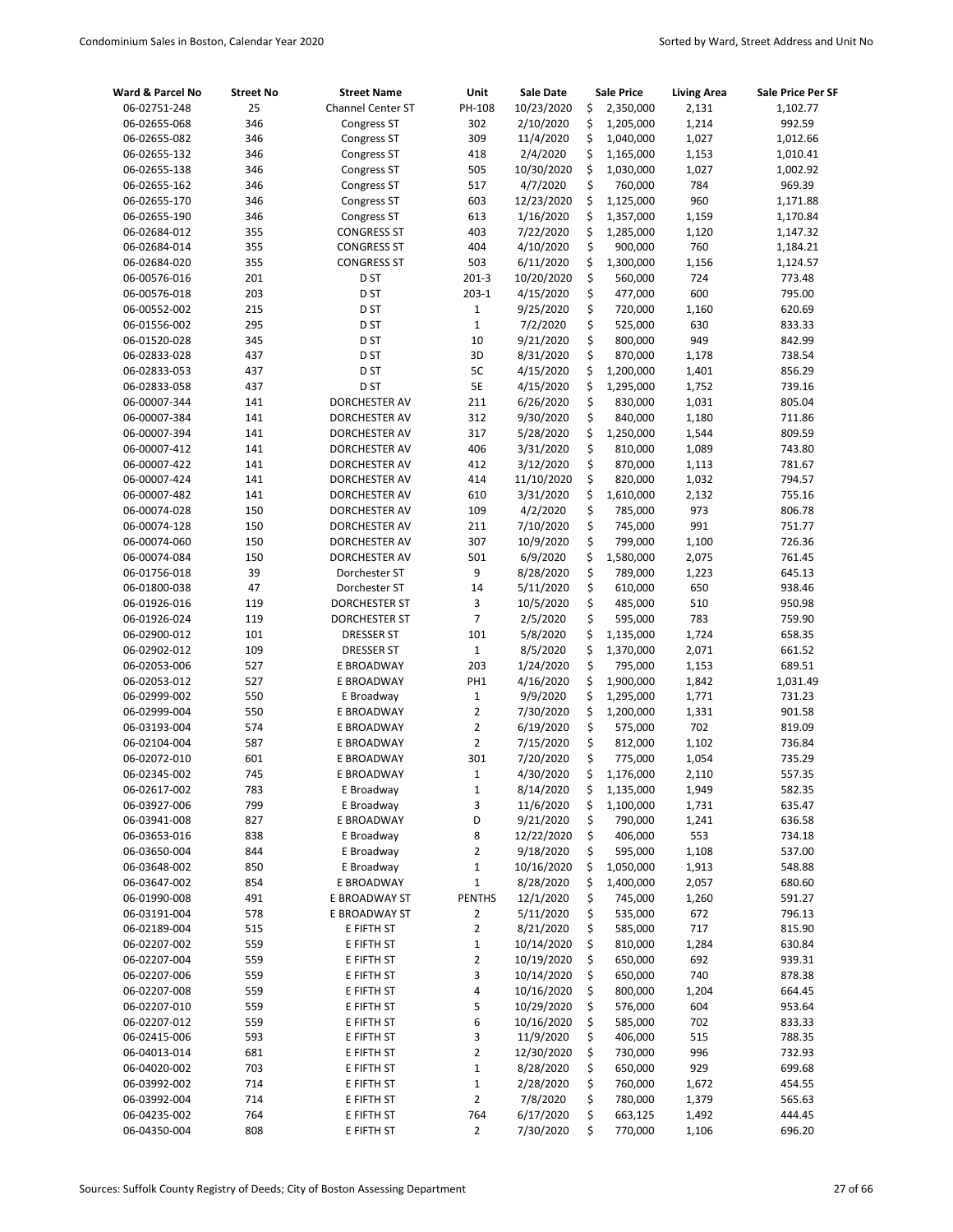| Ward & Parcel No | <b>Street No</b> | <b>Street Name</b>   | Unit            | <b>Sale Date</b> |    | <b>Sale Price</b> | <b>Living Area</b> | Sale Price Per SF |
|------------------|------------------|----------------------|-----------------|------------------|----|-------------------|--------------------|-------------------|
| 06-02751-248     | 25               | Channel Center ST    | PH-108          | 10/23/2020       | \$ | 2,350,000         | 2,131              | 1,102.77          |
| 06-02655-068     | 346              | <b>Congress ST</b>   | 302             | 2/10/2020        | \$ | 1,205,000         | 1,214              | 992.59            |
| 06-02655-082     | 346              | Congress ST          | 309             | 11/4/2020        | \$ | 1,040,000         | 1,027              | 1,012.66          |
| 06-02655-132     | 346              | Congress ST          | 418             | 2/4/2020         | \$ | 1,165,000         | 1,153              | 1,010.41          |
| 06-02655-138     | 346              | Congress ST          | 505             | 10/30/2020       | \$ | 1,030,000         | 1,027              | 1,002.92          |
| 06-02655-162     | 346              | Congress ST          | 517             | 4/7/2020         | \$ | 760,000           | 784                | 969.39            |
| 06-02655-170     | 346              | Congress ST          | 603             | 12/23/2020       | \$ | 1,125,000         | 960                | 1,171.88          |
| 06-02655-190     | 346              | Congress ST          | 613             | 1/16/2020        | \$ | 1,357,000         | 1,159              | 1,170.84          |
| 06-02684-012     | 355              | <b>CONGRESS ST</b>   | 403             | 7/22/2020        | \$ | 1,285,000         | 1,120              | 1,147.32          |
| 06-02684-014     | 355              | <b>CONGRESS ST</b>   | 404             | 4/10/2020        | \$ | 900,000           | 760                | 1,184.21          |
| 06-02684-020     | 355              | <b>CONGRESS ST</b>   | 503             | 6/11/2020        | \$ | 1,300,000         | 1,156              | 1,124.57          |
| 06-00576-016     | 201              | D ST                 | $201 - 3$       | 10/20/2020       | \$ | 560,000           | 724                | 773.48            |
| 06-00576-018     | 203              | D ST                 | $203-1$         | 4/15/2020        | \$ | 477,000           | 600                | 795.00            |
| 06-00552-002     | 215              | D <sub>ST</sub>      | $\mathbf 1$     | 9/25/2020        | \$ | 720,000           | 1,160              | 620.69            |
| 06-01556-002     | 295              | D ST                 | $\mathbf 1$     | 7/2/2020         | \$ | 525,000           | 630                | 833.33            |
| 06-01520-028     | 345              | D ST                 | 10              | 9/21/2020        | \$ | 800,000           | 949                | 842.99            |
| 06-02833-028     | 437              | D <sub>ST</sub>      | 3D              | 8/31/2020        | \$ | 870,000           | 1,178              | 738.54            |
| 06-02833-053     | 437              | D ST                 | 5C              | 4/15/2020        | \$ | 1,200,000         | 1,401              | 856.29            |
| 06-02833-058     | 437              | D ST                 | 5E              | 4/15/2020        | \$ | 1,295,000         | 1,752              | 739.16            |
| 06-00007-344     | 141              | DORCHESTER AV        | 211             | 6/26/2020        | \$ | 830,000           | 1,031              | 805.04            |
| 06-00007-384     | 141              | DORCHESTER AV        | 312             | 9/30/2020        | \$ | 840,000           | 1,180              | 711.86            |
| 06-00007-394     | 141              | DORCHESTER AV        | 317             | 5/28/2020        | \$ | 1,250,000         | 1,544              | 809.59            |
| 06-00007-412     | 141              | DORCHESTER AV        | 406             | 3/31/2020        | \$ | 810,000           | 1,089              | 743.80            |
| 06-00007-422     | 141              | DORCHESTER AV        | 412             | 3/12/2020        | \$ | 870,000           | 1,113              | 781.67            |
| 06-00007-424     | 141              | DORCHESTER AV        | 414             | 11/10/2020       | \$ | 820,000           | 1,032              | 794.57            |
| 06-00007-482     | 141              | DORCHESTER AV        | 610             | 3/31/2020        | \$ | 1,610,000         | 2,132              | 755.16            |
| 06-00074-028     | 150              | DORCHESTER AV        | 109             | 4/2/2020         | \$ | 785,000           | 973                | 806.78            |
| 06-00074-128     | 150              | DORCHESTER AV        | 211             | 7/10/2020        | \$ | 745,000           | 991                | 751.77            |
| 06-00074-060     | 150              | DORCHESTER AV        | 307             | 10/9/2020        | \$ | 799,000           | 1,100              | 726.36            |
| 06-00074-084     | 150              | DORCHESTER AV        | 501             | 6/9/2020         | \$ | 1,580,000         | 2,075              | 761.45            |
| 06-01756-018     | 39               | Dorchester ST        | 9               | 8/28/2020        | \$ | 789,000           | 1,223              | 645.13            |
| 06-01800-038     | 47               | Dorchester ST        | 14              | 5/11/2020        | \$ | 610,000           | 650                | 938.46            |
| 06-01926-016     | 119              | <b>DORCHESTER ST</b> | 3               | 10/5/2020        | \$ | 485,000           | 510                | 950.98            |
| 06-01926-024     | 119              | <b>DORCHESTER ST</b> | $\overline{7}$  | 2/5/2020         | \$ | 595,000           | 783                | 759.90            |
| 06-02900-012     | 101              | <b>DRESSER ST</b>    | 101             | 5/8/2020         | \$ | 1,135,000         | 1,724              | 658.35            |
| 06-02902-012     | 109              | <b>DRESSER ST</b>    | $\mathbf 1$     | 8/5/2020         | \$ | 1,370,000         | 2,071              | 661.52            |
| 06-02053-006     | 527              | E BROADWAY           | 203             | 1/24/2020        | \$ | 795,000           | 1,153              | 689.51            |
| 06-02053-012     | 527              | E BROADWAY           | PH <sub>1</sub> | 4/16/2020        | \$ | 1,900,000         | 1,842              | 1,031.49          |
| 06-02999-002     | 550              | E Broadway           | $\mathbf 1$     | 9/9/2020         | \$ | 1,295,000         | 1,771              | 731.23            |
| 06-02999-004     | 550              | E BROADWAY           | $\overline{2}$  | 7/30/2020        | \$ | 1,200,000         | 1,331              | 901.58            |
| 06-03193-004     | 574              | E BROADWAY           | $\overline{2}$  | 6/19/2020        | \$ | 575,000           | 702                | 819.09            |
| 06-02104-004     | 587              | E BROADWAY           | $\overline{2}$  | 7/15/2020        | \$ | 812,000           | 1,102              | 736.84            |
| 06-02072-010     | 601              | E BROADWAY           | 301             | 7/20/2020        | \$ | 775,000           | 1,054              | 735.29            |
| 06-02345-002     | 745              | E BROADWAY           | $\mathbf 1$     | 4/30/2020        | Ś  | 1,176,000         | 2,110              | 557.35            |
| 06-02617-002     | 783              | E Broadway           | $\mathbf{1}$    | 8/14/2020        | \$ | 1,135,000         | 1,949              | 582.35            |
| 06-03927-006     | 799              | E Broadway           | 3               | 11/6/2020        | \$ | 1,100,000         | 1,731              | 635.47            |
| 06-03941-008     | 827              | E BROADWAY           | D               | 9/21/2020        | \$ | 790,000           | 1,241              | 636.58            |
| 06-03653-016     | 838              | E Broadway           | 8               | 12/22/2020       | \$ | 406,000           | 553                | 734.18            |
| 06-03650-004     | 844              | E Broadway           | $\overline{2}$  | 9/18/2020        | \$ | 595,000           | 1,108              | 537.00            |
| 06-03648-002     | 850              | E Broadway           | $\mathbf{1}$    | 10/16/2020       | \$ | 1,050,000         | 1,913              | 548.88            |
| 06-03647-002     | 854              | E BROADWAY           | $\mathbf 1$     | 8/28/2020        | \$ | 1,400,000         | 2,057              | 680.60            |
| 06-01990-008     | 491              | E BROADWAY ST        | <b>PENTHS</b>   | 12/1/2020        | \$ | 745,000           | 1,260              | 591.27            |
| 06-03191-004     | 578              | E BROADWAY ST        | 2               | 5/11/2020        | \$ | 535,000           | 672                | 796.13            |
| 06-02189-004     | 515              | E FIFTH ST           | $\overline{2}$  | 8/21/2020        | \$ | 585,000           | 717                | 815.90            |
| 06-02207-002     | 559              | E FIFTH ST           | $\mathbf 1$     | 10/14/2020       | \$ | 810,000           | 1,284              | 630.84            |
| 06-02207-004     | 559              | E FIFTH ST           | $\overline{2}$  | 10/19/2020       | \$ | 650,000           | 692                | 939.31            |
| 06-02207-006     | 559              | E FIFTH ST           | 3               | 10/14/2020       | \$ | 650,000           | 740                | 878.38            |
| 06-02207-008     | 559              | E FIFTH ST           | 4               | 10/16/2020       | \$ | 800,000           | 1,204              | 664.45            |
| 06-02207-010     | 559              | E FIFTH ST           | 5               | 10/29/2020       | \$ | 576,000           | 604                | 953.64            |
| 06-02207-012     | 559              | E FIFTH ST           | 6               | 10/16/2020       | \$ | 585,000           | 702                | 833.33            |
| 06-02415-006     | 593              | E FIFTH ST           | 3               | 11/9/2020        | \$ | 406,000           | 515                | 788.35            |
| 06-04013-014     | 681              | E FIFTH ST           | $\overline{2}$  | 12/30/2020       | \$ | 730,000           | 996                | 732.93            |
| 06-04020-002     | 703              | E FIFTH ST           | $\mathbf 1$     | 8/28/2020        | \$ | 650,000           | 929                | 699.68            |
| 06-03992-002     | 714              | E FIFTH ST           | $\mathbf{1}$    | 2/28/2020        | \$ | 760,000           | 1,672              | 454.55            |
| 06-03992-004     | 714              | E FIFTH ST           | $\overline{2}$  | 7/8/2020         | \$ | 780,000           | 1,379              | 565.63            |
| 06-04235-002     | 764              | E FIFTH ST           | 764             | 6/17/2020        | \$ | 663,125           | 1,492              | 444.45            |
| 06-04350-004     | 808              | E FIFTH ST           | $\overline{2}$  | 7/30/2020        | \$ | 770,000           | 1,106              | 696.20            |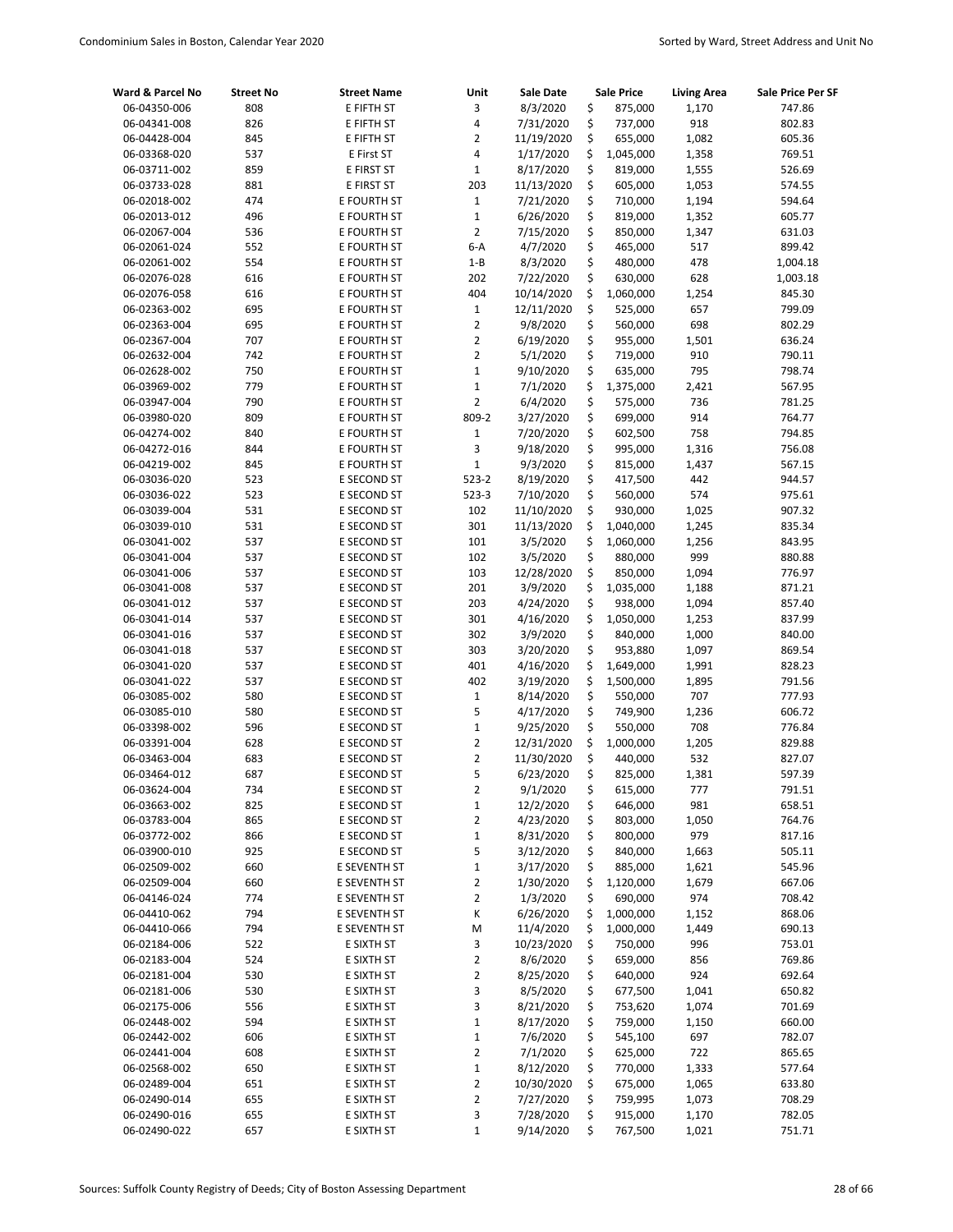| Ward & Parcel No | <b>Street No</b> | <b>Street Name</b> | Unit                    | <b>Sale Date</b> | <b>Sale Price</b> | <b>Living Area</b> | Sale Price Per SF |
|------------------|------------------|--------------------|-------------------------|------------------|-------------------|--------------------|-------------------|
| 06-04350-006     | 808              | E FIFTH ST         | 3                       | 8/3/2020         | \$<br>875,000     | 1,170              | 747.86            |
| 06-04341-008     | 826              | E FIFTH ST         | $\overline{\mathbf{4}}$ | 7/31/2020        | \$<br>737,000     | 918                | 802.83            |
| 06-04428-004     | 845              | E FIFTH ST         | $\overline{2}$          | 11/19/2020       | \$<br>655,000     | 1,082              | 605.36            |
| 06-03368-020     | 537              | E First ST         | $\overline{\mathbf{4}}$ | 1/17/2020        | \$<br>1,045,000   | 1,358              | 769.51            |
| 06-03711-002     | 859              | E FIRST ST         | $\mathbf{1}$            | 8/17/2020        | \$<br>819,000     | 1,555              | 526.69            |
| 06-03733-028     | 881              | E FIRST ST         | 203                     | 11/13/2020       | \$<br>605,000     | 1,053              | 574.55            |
| 06-02018-002     | 474              | E FOURTH ST        | $\mathbf 1$             | 7/21/2020        | \$<br>710,000     | 1,194              | 594.64            |
| 06-02013-012     | 496              | E FOURTH ST        | $\mathbf 1$             | 6/26/2020        | \$<br>819,000     | 1,352              | 605.77            |
| 06-02067-004     | 536              | E FOURTH ST        | $\overline{2}$          | 7/15/2020        | \$<br>850,000     | 1,347              | 631.03            |
| 06-02061-024     | 552              | E FOURTH ST        | $6-A$                   | 4/7/2020         | \$<br>465,000     | 517                | 899.42            |
| 06-02061-002     | 554              | E FOURTH ST        | $1 - B$                 | 8/3/2020         | \$<br>480,000     | 478                | 1,004.18          |
| 06-02076-028     | 616              | E FOURTH ST        | 202                     | 7/22/2020        | \$<br>630,000     | 628                | 1,003.18          |
| 06-02076-058     | 616              | E FOURTH ST        | 404                     | 10/14/2020       | \$<br>1,060,000   | 1,254              | 845.30            |
| 06-02363-002     | 695              | E FOURTH ST        | $\mathbf{1}$            | 12/11/2020       | \$<br>525,000     | 657                | 799.09            |
| 06-02363-004     | 695              | E FOURTH ST        | $\overline{2}$          | 9/8/2020         | \$<br>560,000     | 698                | 802.29            |
| 06-02367-004     | 707              | E FOURTH ST        | $\overline{2}$          | 6/19/2020        | \$<br>955,000     | 1,501              | 636.24            |
| 06-02632-004     | 742              | E FOURTH ST        | $\overline{2}$          | 5/1/2020         | \$<br>719,000     | 910                | 790.11            |
| 06-02628-002     | 750              | E FOURTH ST        | $\mathbf 1$             | 9/10/2020        | \$<br>635,000     | 795                | 798.74            |
| 06-03969-002     | 779              | E FOURTH ST        | $\mathbf 1$             | 7/1/2020         | \$<br>1,375,000   | 2,421              | 567.95            |
| 06-03947-004     | 790              | E FOURTH ST        | $\overline{2}$          | 6/4/2020         | \$<br>575,000     | 736                | 781.25            |
| 06-03980-020     | 809              | E FOURTH ST        | 809-2                   | 3/27/2020        | \$<br>699,000     | 914                | 764.77            |
| 06-04274-002     | 840              | E FOURTH ST        | $\mathbf{1}$            | 7/20/2020        | \$<br>602,500     | 758                | 794.85            |
| 06-04272-016     | 844              | E FOURTH ST        | 3                       | 9/18/2020        | \$<br>995,000     | 1,316              | 756.08            |
| 06-04219-002     | 845              | E FOURTH ST        | $\mathbf 1$             | 9/3/2020         | \$<br>815,000     | 1,437              | 567.15            |
| 06-03036-020     | 523              | E SECOND ST        | $523 - 2$               | 8/19/2020        | \$<br>417,500     | 442                | 944.57            |
| 06-03036-022     | 523              | E SECOND ST        | 523-3                   | 7/10/2020        | \$<br>560,000     | 574                | 975.61            |
| 06-03039-004     | 531              | E SECOND ST        | 102                     | 11/10/2020       | \$<br>930,000     | 1,025              | 907.32            |
| 06-03039-010     | 531              | E SECOND ST        | 301                     | 11/13/2020       | \$<br>1,040,000   | 1,245              | 835.34            |
| 06-03041-002     | 537              | E SECOND ST        | 101                     | 3/5/2020         | \$<br>1,060,000   | 1,256              | 843.95            |
| 06-03041-004     | 537              | E SECOND ST        | 102                     | 3/5/2020         | \$<br>880,000     | 999                | 880.88            |
| 06-03041-006     | 537              | E SECOND ST        | 103                     | 12/28/2020       | \$<br>850,000     | 1,094              | 776.97            |
| 06-03041-008     | 537              | E SECOND ST        | 201                     | 3/9/2020         | \$<br>1,035,000   | 1,188              | 871.21            |
| 06-03041-012     | 537              | E SECOND ST        | 203                     | 4/24/2020        | \$<br>938,000     | 1,094              | 857.40            |
| 06-03041-014     | 537              | E SECOND ST        | 301                     | 4/16/2020        | \$<br>1,050,000   | 1,253              | 837.99            |
| 06-03041-016     | 537              | E SECOND ST        | 302                     | 3/9/2020         | \$<br>840,000     | 1,000              | 840.00            |
| 06-03041-018     | 537              | E SECOND ST        | 303                     | 3/20/2020        | \$<br>953,880     | 1,097              | 869.54            |
| 06-03041-020     | 537              | E SECOND ST        | 401                     | 4/16/2020        | \$<br>1,649,000   | 1,991              | 828.23            |
| 06-03041-022     | 537              | E SECOND ST        | 402                     | 3/19/2020        | \$<br>1,500,000   | 1,895              | 791.56            |
| 06-03085-002     | 580              | E SECOND ST        | $\mathbf{1}$            | 8/14/2020        | \$<br>550,000     | 707                | 777.93            |
| 06-03085-010     | 580              | E SECOND ST        | 5                       | 4/17/2020        | \$<br>749,900     | 1,236              | 606.72            |
| 06-03398-002     | 596              | E SECOND ST        | $\mathbf 1$             | 9/25/2020        | \$<br>550,000     | 708                | 776.84            |
| 06-03391-004     | 628              | E SECOND ST        | $\overline{2}$          | 12/31/2020       | \$<br>1,000,000   | 1,205              | 829.88            |
| 06-03463-004     | 683              | E SECOND ST        | $\overline{2}$          | 11/30/2020       | \$<br>440,000     | 532                | 827.07            |
| 06-03464-012     | 687              | E SECOND ST        | 5                       | 6/23/2020        | \$<br>825,000     | 1,381              | 597.39            |
| 06-03624-004     | 734              | E SECOND ST        | $\overline{2}$          | 9/1/2020         | \$<br>615,000     | 777                | 791.51            |
| 06-03663-002     | 825              | E SECOND ST        | $\mathbf 1$             | 12/2/2020        | \$<br>646,000     | 981                | 658.51            |
| 06-03783-004     | 865              | E SECOND ST        | $\overline{2}$          | 4/23/2020        | \$<br>803,000     | 1,050              | 764.76            |
| 06-03772-002     | 866              | E SECOND ST        | $\mathbf 1$             | 8/31/2020        | \$<br>800,000     | 979                | 817.16            |
| 06-03900-010     | 925              | E SECOND ST        | 5                       | 3/12/2020        | \$<br>840,000     | 1,663              | 505.11            |
| 06-02509-002     | 660              | E SEVENTH ST       | 1                       | 3/17/2020        | \$<br>885,000     | 1,621              | 545.96            |
| 06-02509-004     | 660              | E SEVENTH ST       | $\overline{2}$          | 1/30/2020        | \$<br>1,120,000   | 1,679              | 667.06            |
| 06-04146-024     | 774              | E SEVENTH ST       | $\overline{2}$          | 1/3/2020         | \$<br>690,000     | 974                | 708.42            |
| 06-04410-062     | 794              | E SEVENTH ST       | К                       | 6/26/2020        | \$<br>1,000,000   | 1,152              | 868.06            |
| 06-04410-066     | 794              | E SEVENTH ST       | M                       | 11/4/2020        | \$<br>1,000,000   | 1,449              | 690.13            |
| 06-02184-006     | 522              | E SIXTH ST         | 3                       | 10/23/2020       | \$<br>750,000     | 996                | 753.01            |
| 06-02183-004     | 524              | E SIXTH ST         | $\overline{2}$          | 8/6/2020         | \$<br>659,000     | 856                | 769.86            |
| 06-02181-004     | 530              | E SIXTH ST         | $\overline{2}$          | 8/25/2020        | \$<br>640,000     | 924                | 692.64            |
| 06-02181-006     | 530              | E SIXTH ST         | 3                       | 8/5/2020         | \$<br>677,500     | 1,041              | 650.82            |
| 06-02175-006     | 556              | E SIXTH ST         | 3                       | 8/21/2020        | \$<br>753,620     | 1,074              | 701.69            |
| 06-02448-002     | 594              | E SIXTH ST         | $1\,$                   | 8/17/2020        | \$<br>759,000     | 1,150              | 660.00            |
| 06-02442-002     | 606              | E SIXTH ST         | $\mathbf{1}$            | 7/6/2020         | \$<br>545,100     | 697                | 782.07            |
| 06-02441-004     | 608              | E SIXTH ST         | $\overline{2}$          | 7/1/2020         | \$<br>625,000     | 722                | 865.65            |
| 06-02568-002     | 650              | E SIXTH ST         | $\mathbf 1$             | 8/12/2020        | \$<br>770,000     | 1,333              | 577.64            |
| 06-02489-004     | 651              | E SIXTH ST         | $\overline{2}$          | 10/30/2020       | \$<br>675,000     | 1,065              | 633.80            |
| 06-02490-014     | 655              | E SIXTH ST         | $\overline{2}$          | 7/27/2020        | \$<br>759,995     | 1,073              | 708.29            |
| 06-02490-016     | 655              | E SIXTH ST         | 3                       | 7/28/2020        | \$<br>915,000     | 1,170              | 782.05            |
| 06-02490-022     | 657              | E SIXTH ST         | $\mathbf{1}$            | 9/14/2020        | \$<br>767,500     | 1,021              | 751.71            |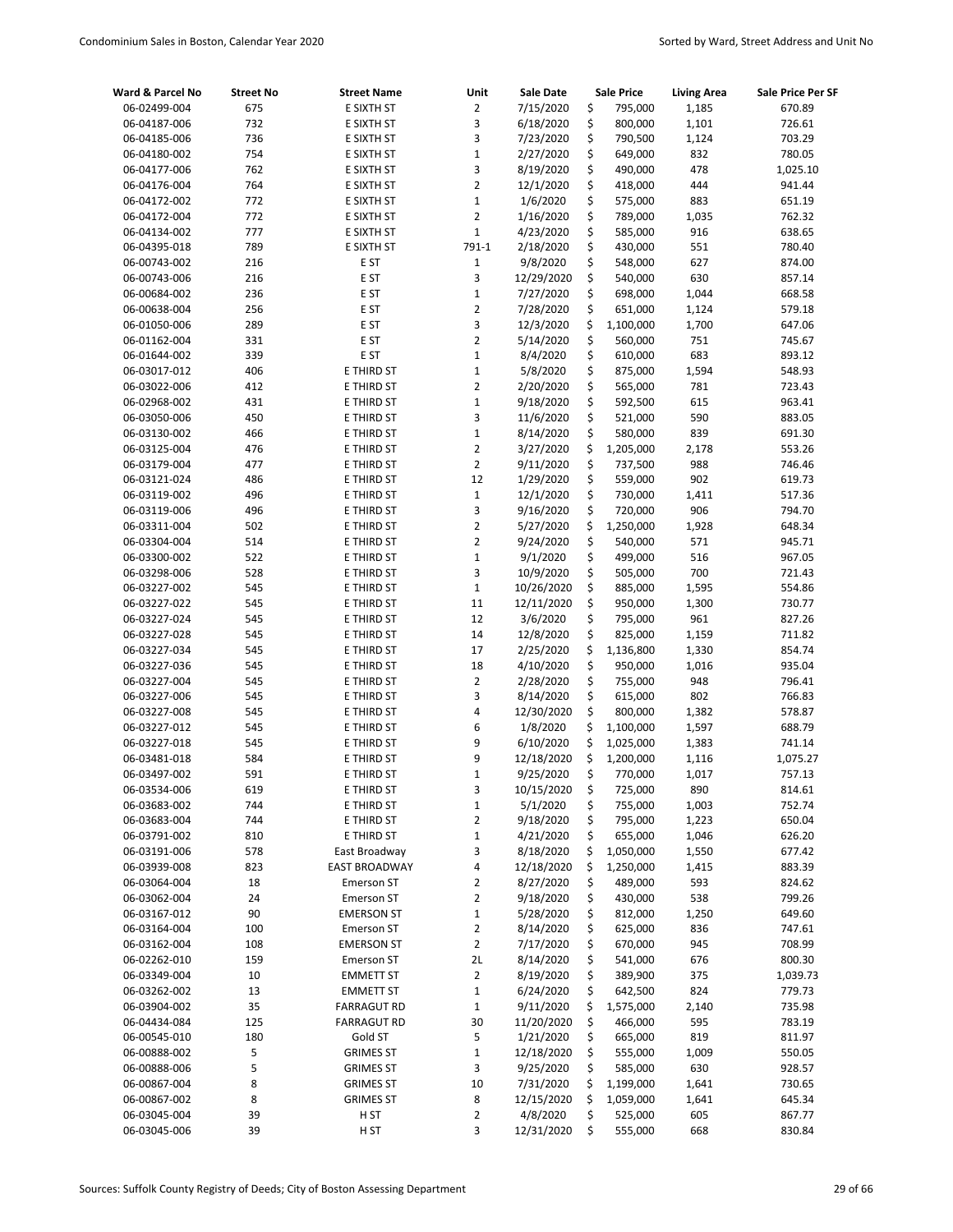| Ward & Parcel No             | <b>Street No</b> | <b>Street Name</b>       | Unit             | <b>Sale Date</b>       | <b>Sale Price</b>              | <b>Living Area</b> | Sale Price Per SF |
|------------------------------|------------------|--------------------------|------------------|------------------------|--------------------------------|--------------------|-------------------|
| 06-02499-004                 | 675              | E SIXTH ST               | $\overline{2}$   | 7/15/2020              | \$<br>795,000                  | 1,185              | 670.89            |
| 06-04187-006                 | 732              | E SIXTH ST               | 3                | 6/18/2020              | \$<br>800,000                  | 1,101              | 726.61            |
| 06-04185-006                 | 736              | E SIXTH ST               | 3                | 7/23/2020              | \$<br>790,500                  | 1,124              | 703.29            |
| 06-04180-002                 | 754              | E SIXTH ST               | $\mathbf{1}$     | 2/27/2020              | \$<br>649,000                  | 832                | 780.05            |
| 06-04177-006                 | 762              | E SIXTH ST               | 3                | 8/19/2020              | \$<br>490,000                  | 478                | 1,025.10          |
| 06-04176-004                 | 764              | E SIXTH ST               | $\overline{2}$   | 12/1/2020              | \$<br>418,000                  | 444                | 941.44            |
| 06-04172-002                 | 772              | E SIXTH ST               | $\mathbf{1}$     | 1/6/2020               | \$<br>575,000                  | 883                | 651.19            |
| 06-04172-004                 | 772              | E SIXTH ST               | $\overline{2}$   | 1/16/2020              | \$<br>789,000                  | 1,035              | 762.32            |
| 06-04134-002                 | 777              | E SIXTH ST               | $\mathbf 1$      | 4/23/2020              | \$<br>585,000                  | 916                | 638.65            |
| 06-04395-018                 | 789              | E SIXTH ST               | 791-1            | 2/18/2020              | \$<br>430,000                  | 551                | 780.40            |
| 06-00743-002                 | 216              | E ST                     | $\mathbf 1$      | 9/8/2020               | \$<br>548,000                  | 627                | 874.00            |
| 06-00743-006                 | 216              | E ST                     | 3                | 12/29/2020             | \$<br>540,000                  | 630                | 857.14            |
| 06-00684-002                 | 236              | E ST                     | $\mathbf 1$      | 7/27/2020              | \$<br>698,000                  | 1,044              | 668.58            |
| 06-00638-004                 | 256              | E ST                     | $\overline{2}$   | 7/28/2020              | \$<br>651,000                  | 1,124              | 579.18            |
| 06-01050-006                 | 289              | E ST                     | 3                | 12/3/2020              | \$<br>1,100,000                | 1,700              | 647.06            |
| 06-01162-004                 | 331              | E ST                     | $\overline{2}$   | 5/14/2020              | \$<br>560,000                  | 751                | 745.67            |
| 06-01644-002                 | 339              | E ST                     | $\mathbf 1$      | 8/4/2020               | \$<br>610,000                  | 683                | 893.12            |
| 06-03017-012                 | 406              | E THIRD ST               | $\mathbf 1$      | 5/8/2020               | \$<br>875,000                  | 1,594              | 548.93            |
| 06-03022-006                 | 412              | E THIRD ST               | $\overline{2}$   | 2/20/2020              | \$<br>565,000                  | 781                | 723.43            |
| 06-02968-002                 | 431              | E THIRD ST               | $\mathbf 1$      | 9/18/2020              | \$<br>592,500                  | 615                | 963.41            |
| 06-03050-006                 | 450              | E THIRD ST               | 3                | 11/6/2020              | \$<br>521,000                  | 590                | 883.05            |
| 06-03130-002                 | 466              | E THIRD ST               | $\mathbf 1$      | 8/14/2020              | \$<br>580,000                  | 839                | 691.30            |
| 06-03125-004                 | 476              | E THIRD ST               | $\overline{2}$   | 3/27/2020              | \$<br>1,205,000                | 2,178              | 553.26            |
| 06-03179-004                 | 477              | E THIRD ST               | $\overline{2}$   | 9/11/2020              | \$<br>737,500                  | 988                | 746.46            |
| 06-03121-024                 | 486              | E THIRD ST               | 12               | 1/29/2020              | \$<br>559,000                  | 902                | 619.73            |
| 06-03119-002                 | 496              | E THIRD ST               | $1\,$            | 12/1/2020              | \$<br>730,000                  | 1,411              | 517.36            |
| 06-03119-006                 | 496              | E THIRD ST               | 3                | 9/16/2020              | \$<br>720,000                  | 906                | 794.70            |
| 06-03311-004                 | 502              | E THIRD ST               | $\overline{2}$   | 5/27/2020              | \$<br>1,250,000                | 1,928              | 648.34            |
| 06-03304-004                 | 514              | E THIRD ST               | $\overline{2}$   | 9/24/2020              | \$<br>540,000                  | 571                | 945.71            |
| 06-03300-002                 | 522              | E THIRD ST               | $\mathbf 1$<br>3 | 9/1/2020               | \$<br>499,000<br>\$            | 516<br>700         | 967.05            |
| 06-03298-006                 | 528<br>545       | E THIRD ST               | $\mathbf{1}$     | 10/9/2020              | 505,000<br>\$                  |                    | 721.43            |
| 06-03227-002                 |                  | E THIRD ST               | 11               | 10/26/2020             | 885,000                        | 1,595              | 554.86            |
| 06-03227-022<br>06-03227-024 | 545<br>545       | E THIRD ST<br>E THIRD ST | 12               | 12/11/2020<br>3/6/2020 | \$<br>950,000<br>\$<br>795,000 | 1,300<br>961       | 730.77<br>827.26  |
| 06-03227-028                 | 545              | E THIRD ST               | 14               | 12/8/2020              | \$<br>825,000                  | 1,159              | 711.82            |
| 06-03227-034                 | 545              | E THIRD ST               | 17               | 2/25/2020              | \$<br>1,136,800                | 1,330              | 854.74            |
| 06-03227-036                 | 545              | E THIRD ST               | 18               | 4/10/2020              | \$<br>950,000                  | 1,016              | 935.04            |
| 06-03227-004                 | 545              | E THIRD ST               | $\overline{2}$   | 2/28/2020              | \$<br>755,000                  | 948                | 796.41            |
| 06-03227-006                 | 545              | E THIRD ST               | 3                | 8/14/2020              | \$<br>615,000                  | 802                | 766.83            |
| 06-03227-008                 | 545              | E THIRD ST               | 4                | 12/30/2020             | Ś<br>800,000                   | 1,382              | 578.87            |
| 06-03227-012                 | 545              | E THIRD ST               | 6                | 1/8/2020               | \$<br>1,100,000                | 1,597              | 688.79            |
| 06-03227-018                 | 545              | E THIRD ST               | 9                | 6/10/2020              | \$<br>1,025,000                | 1,383              | 741.14            |
| 06-03481-018                 | 584              | E THIRD ST               | 9                | 12/18/2020             | \$<br>1,200,000                | 1,116              | 1,075.27          |
| 06-03497-002                 | 591              | E THIRD ST               | $\mathbf{1}$     | 9/25/2020              | Ś<br>770,000                   | 1,017              | 757.13            |
| 06-03534-006                 | 619              | E THIRD ST               | 3                | 10/15/2020             | \$<br>725,000                  | 890                | 814.61            |
| 06-03683-002                 | 744              | E THIRD ST               | $\mathbf{1}$     | 5/1/2020               | \$<br>755,000                  | 1,003              | 752.74            |
| 06-03683-004                 | 744              | E THIRD ST               | $\overline{2}$   | 9/18/2020              | \$<br>795,000                  | 1,223              | 650.04            |
| 06-03791-002                 | 810              | E THIRD ST               | $\mathbf 1$      | 4/21/2020              | \$<br>655,000                  | 1,046              | 626.20            |
| 06-03191-006                 | 578              | East Broadway            | 3                | 8/18/2020              | \$<br>1,050,000                | 1,550              | 677.42            |
| 06-03939-008                 | 823              | <b>EAST BROADWAY</b>     | 4                | 12/18/2020             | \$<br>1,250,000                | 1,415              | 883.39            |
| 06-03064-004                 | 18               | <b>Emerson ST</b>        | $\overline{2}$   | 8/27/2020              | \$<br>489,000                  | 593                | 824.62            |
| 06-03062-004                 | 24               | <b>Emerson ST</b>        | 2                | 9/18/2020              | \$<br>430,000                  | 538                | 799.26            |
| 06-03167-012                 | 90               | <b>EMERSON ST</b>        | $\mathbf{1}$     | 5/28/2020              | \$<br>812,000                  | 1,250              | 649.60            |
| 06-03164-004                 | 100              | <b>Emerson ST</b>        | $\overline{2}$   | 8/14/2020              | \$<br>625,000                  | 836                | 747.61            |
| 06-03162-004                 | 108              | <b>EMERSON ST</b>        | $\overline{2}$   | 7/17/2020              | \$<br>670,000                  | 945                | 708.99            |
| 06-02262-010                 | 159              | Emerson ST               | 2L               | 8/14/2020              | \$<br>541,000                  | 676                | 800.30            |
| 06-03349-004                 | 10               | <b>EMMETT ST</b>         | 2                | 8/19/2020              | \$<br>389,900                  | 375                | 1,039.73          |
| 06-03262-002                 | 13               | <b>EMMETT ST</b>         | $\mathbf{1}$     | 6/24/2020              | \$<br>642,500                  | 824                | 779.73            |
| 06-03904-002                 | 35               | <b>FARRAGUT RD</b>       | $\mathbf{1}$     | 9/11/2020              | \$<br>1,575,000                | 2,140              | 735.98            |
| 06-04434-084                 | 125              | <b>FARRAGUT RD</b>       | 30               | 11/20/2020             | \$<br>466,000                  | 595                | 783.19            |
| 06-00545-010                 | 180              | Gold ST                  | 5                | 1/21/2020              | \$<br>665,000                  | 819                | 811.97            |
| 06-00888-002                 | 5                | <b>GRIMES ST</b>         | $\mathbf{1}$     | 12/18/2020             | \$<br>555,000                  | 1,009              | 550.05            |
| 06-00888-006                 | 5                | <b>GRIMES ST</b>         | 3                | 9/25/2020              | \$<br>585,000                  | 630                | 928.57            |
| 06-00867-004                 | 8                | <b>GRIMES ST</b>         | 10               | 7/31/2020              | \$<br>1,199,000                | 1,641              | 730.65            |
| 06-00867-002                 | 8                | <b>GRIMES ST</b>         | 8                | 12/15/2020             | \$<br>1,059,000                | 1,641              | 645.34            |
| 06-03045-004                 | 39               | H ST                     | $\overline{2}$   | 4/8/2020               | \$<br>525,000                  | 605                | 867.77            |
| 06-03045-006                 | 39               | H ST                     | 3                | 12/31/2020             | \$<br>555,000                  | 668                | 830.84            |
|                              |                  |                          |                  |                        |                                |                    |                   |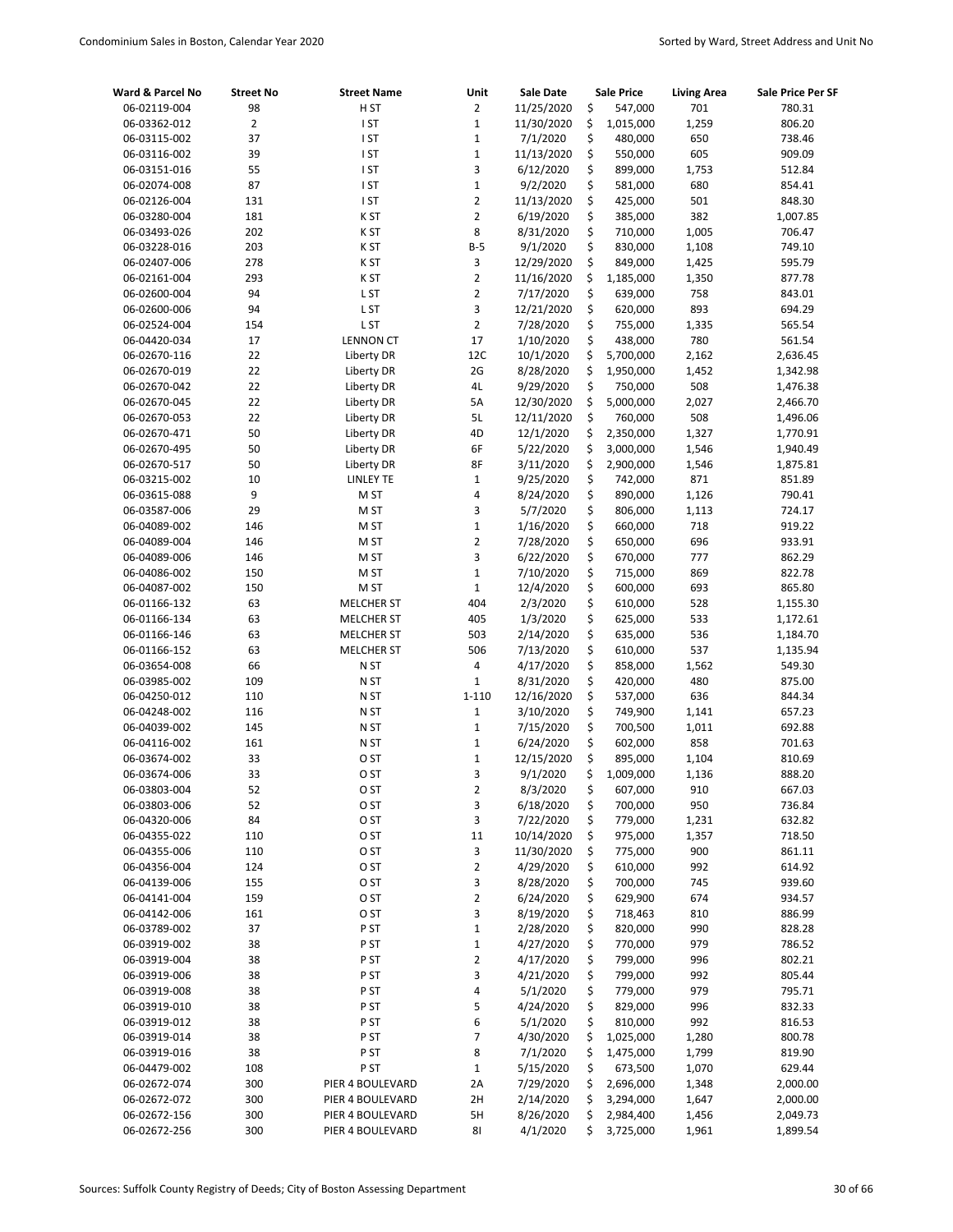| Ward & Parcel No | <b>Street No</b> | <b>Street Name</b> | Unit           | <b>Sale Date</b> | <b>Sale Price</b> | <b>Living Area</b> | Sale Price Per SF |
|------------------|------------------|--------------------|----------------|------------------|-------------------|--------------------|-------------------|
| 06-02119-004     | 98               | H ST               | $\overline{2}$ | 11/25/2020       | \$<br>547,000     | 701                | 780.31            |
| 06-03362-012     | $\overline{2}$   | I ST               | $\mathbf{1}$   | 11/30/2020       | \$<br>1,015,000   | 1,259              | 806.20            |
| 06-03115-002     | 37               | I ST               | $\mathbf{1}$   | 7/1/2020         | \$<br>480,000     | 650                | 738.46            |
| 06-03116-002     | 39               | I ST               | $\mathbf 1$    | 11/13/2020       | \$<br>550,000     | 605                | 909.09            |
| 06-03151-016     | 55               | I ST               | 3              | 6/12/2020        | \$<br>899,000     | 1,753              | 512.84            |
| 06-02074-008     | 87               | I ST               | $\mathbf 1$    | 9/2/2020         | \$<br>581,000     | 680                | 854.41            |
| 06-02126-004     | 131              | I ST               | $\overline{2}$ | 11/13/2020       | \$<br>425,000     | 501                | 848.30            |
| 06-03280-004     | 181              | K ST               | $\overline{2}$ | 6/19/2020        | \$<br>385,000     | 382                | 1,007.85          |
| 06-03493-026     | 202              | K ST               | 8              | 8/31/2020        | \$<br>710,000     | 1,005              | 706.47            |
| 06-03228-016     | 203              | K ST               | $B-5$          | 9/1/2020         | \$<br>830,000     | 1,108              | 749.10            |
| 06-02407-006     | 278              | K ST               | 3              | 12/29/2020       | \$<br>849,000     | 1,425              | 595.79            |
| 06-02161-004     | 293              | K ST               | $\overline{2}$ | 11/16/2020       | \$<br>1,185,000   | 1,350              | 877.78            |
| 06-02600-004     | 94               | L ST               | $\overline{2}$ | 7/17/2020        | \$<br>639,000     | 758                | 843.01            |
| 06-02600-006     | 94               | L ST               | 3              | 12/21/2020       | \$<br>620,000     | 893                | 694.29            |
| 06-02524-004     | 154              | L ST               | $\overline{2}$ | 7/28/2020        | \$<br>755,000     | 1,335              | 565.54            |
| 06-04420-034     | 17               | <b>LENNON CT</b>   | 17             | 1/10/2020        | \$<br>438,000     | 780                | 561.54            |
| 06-02670-116     | 22               | Liberty DR         | 12C            | 10/1/2020        | \$<br>5,700,000   | 2,162              | 2,636.45          |
| 06-02670-019     | 22               | Liberty DR         | 2G             | 8/28/2020        | \$<br>1,950,000   | 1,452              | 1,342.98          |
| 06-02670-042     | 22               | Liberty DR         | 4L             | 9/29/2020        | \$<br>750,000     | 508                | 1,476.38          |
| 06-02670-045     | 22               | Liberty DR         | 5A             | 12/30/2020       | \$<br>5,000,000   | 2,027              | 2,466.70          |
| 06-02670-053     | 22               | Liberty DR         | 5L             | 12/11/2020       | \$<br>760,000     | 508                | 1,496.06          |
| 06-02670-471     | 50               | Liberty DR         | 4D             | 12/1/2020        | \$<br>2,350,000   | 1,327              | 1,770.91          |
| 06-02670-495     | 50               | Liberty DR         | 6F             | 5/22/2020        | \$<br>3,000,000   | 1,546              | 1,940.49          |
| 06-02670-517     | 50               | Liberty DR         | 8F             | 3/11/2020        | \$<br>2,900,000   | 1,546              | 1,875.81          |
| 06-03215-002     | 10               | <b>LINLEY TE</b>   | $\mathbf{1}$   | 9/25/2020        | \$<br>742,000     | 871                | 851.89            |
| 06-03615-088     | 9                | M ST               | 4              | 8/24/2020        | \$<br>890,000     | 1,126              | 790.41            |
| 06-03587-006     | 29               | M ST               | 3              | 5/7/2020         | \$<br>806,000     | 1,113              | 724.17            |
| 06-04089-002     | 146              | M ST               | $\mathbf 1$    | 1/16/2020        | \$<br>660,000     | 718                | 919.22            |
| 06-04089-004     | 146              | M ST               | $\overline{2}$ | 7/28/2020        | \$<br>650,000     | 696                | 933.91            |
| 06-04089-006     | 146              | M ST               | 3              | 6/22/2020        | \$<br>670,000     | 777                | 862.29            |
| 06-04086-002     | 150              | M ST               | $\mathbf 1$    | 7/10/2020        | \$<br>715,000     | 869                | 822.78            |
| 06-04087-002     | 150              | M ST               | $\mathbf 1$    | 12/4/2020        | \$<br>600,000     | 693                | 865.80            |
| 06-01166-132     | 63               | <b>MELCHER ST</b>  | 404            | 2/3/2020         | \$<br>610,000     | 528                | 1,155.30          |
| 06-01166-134     | 63               | <b>MELCHER ST</b>  | 405            | 1/3/2020         | \$<br>625,000     | 533                | 1,172.61          |
| 06-01166-146     | 63               | <b>MELCHER ST</b>  | 503            | 2/14/2020        | \$<br>635,000     | 536                | 1,184.70          |
| 06-01166-152     | 63               | <b>MELCHER ST</b>  | 506            | 7/13/2020        | \$<br>610,000     | 537                | 1,135.94          |
| 06-03654-008     | 66               | N ST               | 4              | 4/17/2020        | \$<br>858,000     | 1,562              | 549.30            |
| 06-03985-002     | 109              | N ST               | $\mathbf 1$    | 8/31/2020        | \$<br>420,000     | 480                | 875.00            |
| 06-04250-012     | 110              | N ST               | 1-110          | 12/16/2020       | \$<br>537,000     | 636                | 844.34            |
| 06-04248-002     | 116              | N ST               | $\mathbf{1}$   | 3/10/2020        | \$<br>749,900     | 1,141              | 657.23            |
| 06-04039-002     | 145              | N ST               | $\mathbf{1}$   | 7/15/2020        | \$<br>700,500     | 1,011              | 692.88            |
| 06-04116-002     | 161              | N ST               | $\mathbf{1}$   | 6/24/2020        | \$<br>602,000     | 858                | 701.63            |
| 06-03674-002     | 33               | O ST               | $\mathbf{1}$   | 12/15/2020       | \$<br>895,000     | 1,104              | 810.69            |
| 06-03674-006     | 33               | O ST               | 3              | 9/1/2020         | \$<br>1,009,000   | 1,136              | 888.20            |
| 06-03803-004     | 52               | O ST               | $\overline{2}$ | 8/3/2020         | \$<br>607,000     | 910                | 667.03            |
| 06-03803-006     | 52               | O ST               | 3              | 6/18/2020        | \$<br>700,000     | 950                | 736.84            |
| 06-04320-006     | 84               | O ST               | 3              | 7/22/2020        | \$<br>779,000     | 1,231              | 632.82            |
| 06-04355-022     | 110              | O ST               | 11             | 10/14/2020       | \$<br>975,000     | 1,357              | 718.50            |
| 06-04355-006     | 110              | O ST               | 3              | 11/30/2020       | \$<br>775,000     | 900                | 861.11            |
| 06-04356-004     | 124              | O ST               | 2              | 4/29/2020        | \$<br>610,000     | 992                | 614.92            |
| 06-04139-006     | 155              | O ST               | 3              | 8/28/2020        | \$<br>700,000     | 745                | 939.60            |
| 06-04141-004     | 159              | O ST               | $\overline{2}$ | 6/24/2020        | \$<br>629,900     | 674                | 934.57            |
| 06-04142-006     | 161              | O ST               | 3              | 8/19/2020        | \$<br>718,463     | 810                | 886.99            |
| 06-03789-002     | 37               | P ST               | $\mathbf{1}$   | 2/28/2020        | \$<br>820,000     | 990                | 828.28            |
| 06-03919-002     | 38               | P ST               | $\mathbf{1}$   | 4/27/2020        | \$<br>770,000     | 979                | 786.52            |
| 06-03919-004     | 38               | P ST               | $\overline{2}$ | 4/17/2020        | \$<br>799,000     | 996                | 802.21            |
| 06-03919-006     | 38               | P ST               | 3              | 4/21/2020        | \$<br>799,000     | 992                | 805.44            |
| 06-03919-008     | 38               | P ST               | 4              | 5/1/2020         | \$<br>779,000     | 979                | 795.71            |
| 06-03919-010     | 38               | P ST               | 5              | 4/24/2020        | \$<br>829,000     | 996                | 832.33            |
| 06-03919-012     | 38               | P ST               | 6              | 5/1/2020         | \$<br>810,000     | 992                | 816.53            |
| 06-03919-014     | 38               | P ST               | 7              | 4/30/2020        | \$<br>1,025,000   | 1,280              | 800.78            |
| 06-03919-016     | 38               | P ST               | 8              | 7/1/2020         | \$<br>1,475,000   | 1,799              | 819.90            |
| 06-04479-002     | 108              | P ST               | $\mathbf{1}$   | 5/15/2020        | \$<br>673,500     | 1,070              | 629.44            |
| 06-02672-074     | 300              | PIER 4 BOULEVARD   | 2A             | 7/29/2020        | \$<br>2,696,000   | 1,348              | 2,000.00          |
| 06-02672-072     | 300              | PIER 4 BOULEVARD   | 2H             | 2/14/2020        | \$<br>3,294,000   | 1,647              | 2,000.00          |
| 06-02672-156     | 300              | PIER 4 BOULEVARD   | 5H             | 8/26/2020        | \$<br>2,984,400   | 1,456              | 2,049.73          |
| 06-02672-256     | 300              | PIER 4 BOULEVARD   | 81             | 4/1/2020         | \$<br>3,725,000   | 1,961              | 1,899.54          |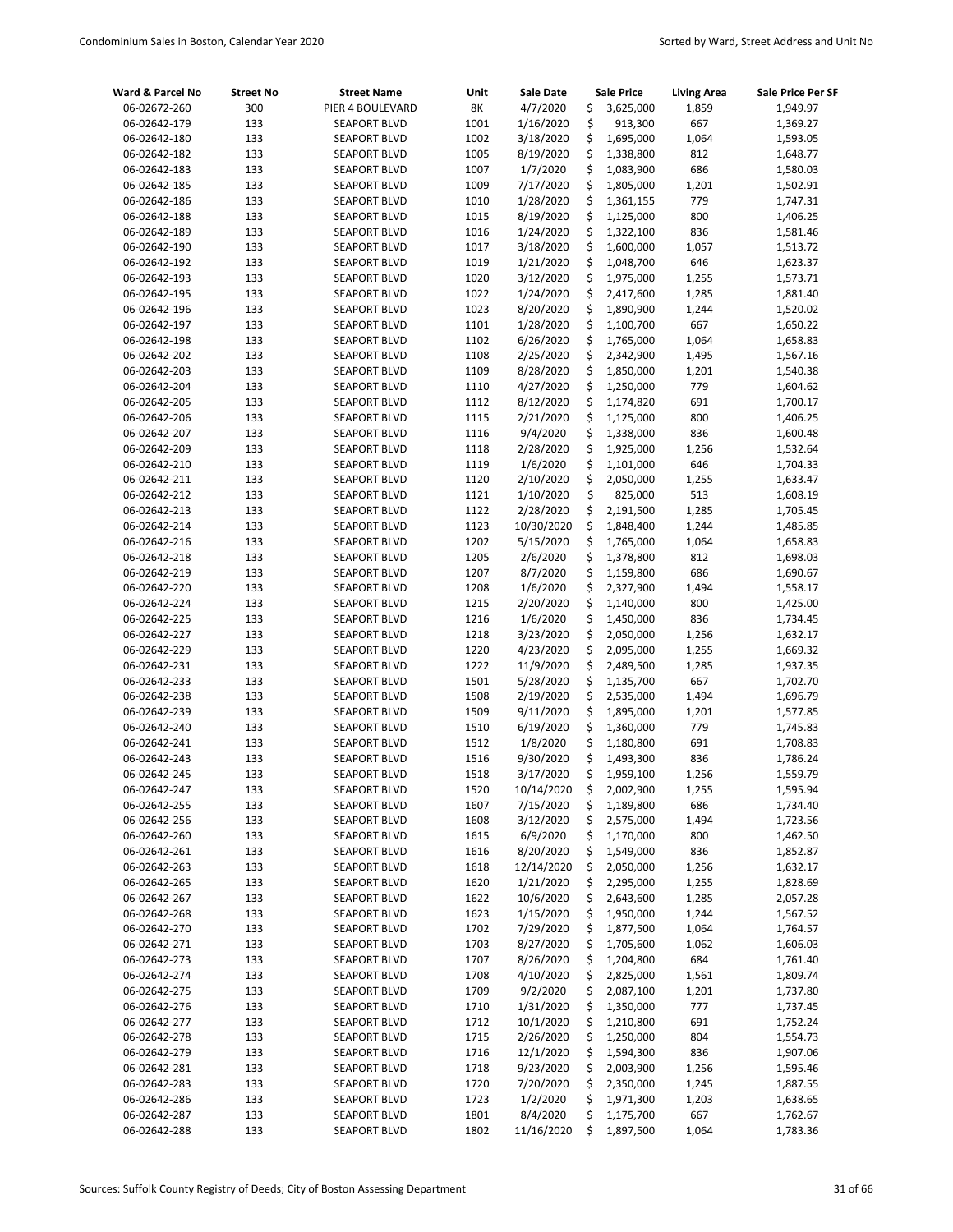| Ward & Parcel No             | <b>Street No</b> | <b>Street Name</b>                         | Unit         | <b>Sale Date</b>      | <b>Sale Price</b>            | <b>Living Area</b> | Sale Price Per SF    |
|------------------------------|------------------|--------------------------------------------|--------------|-----------------------|------------------------------|--------------------|----------------------|
| 06-02672-260                 | 300              | PIER 4 BOULEVARD                           | 8K           | 4/7/2020              | \$<br>3,625,000              | 1,859              | 1,949.97             |
| 06-02642-179                 | 133              | <b>SEAPORT BLVD</b>                        | 1001         | 1/16/2020             | \$<br>913,300                | 667                | 1,369.27             |
| 06-02642-180                 | 133              | <b>SEAPORT BLVD</b>                        | 1002         | 3/18/2020             | \$<br>1,695,000              | 1,064              | 1,593.05             |
| 06-02642-182                 | 133              | <b>SEAPORT BLVD</b>                        | 1005         | 8/19/2020             | \$<br>1,338,800              | 812                | 1,648.77             |
| 06-02642-183                 | 133              | <b>SEAPORT BLVD</b>                        | 1007         | 1/7/2020              | \$<br>1,083,900              | 686                | 1,580.03             |
| 06-02642-185                 | 133              | <b>SEAPORT BLVD</b>                        | 1009         | 7/17/2020             | \$<br>1,805,000              | 1,201              | 1,502.91             |
| 06-02642-186                 | 133              | <b>SEAPORT BLVD</b>                        | 1010         | 1/28/2020             | \$<br>1,361,155              | 779                | 1,747.31             |
| 06-02642-188                 | 133              | <b>SEAPORT BLVD</b>                        | 1015         | 8/19/2020             | \$<br>1,125,000              | 800                | 1,406.25             |
| 06-02642-189                 | 133              | <b>SEAPORT BLVD</b>                        | 1016         | 1/24/2020             | \$<br>1,322,100              | 836                | 1,581.46             |
| 06-02642-190                 | 133              | <b>SEAPORT BLVD</b>                        | 1017         | 3/18/2020             | \$<br>1,600,000              | 1,057              | 1,513.72             |
| 06-02642-192                 | 133              | <b>SEAPORT BLVD</b>                        | 1019         | 1/21/2020             | \$<br>1,048,700              | 646                | 1,623.37             |
| 06-02642-193                 | 133              | <b>SEAPORT BLVD</b>                        | 1020         | 3/12/2020             | \$<br>1,975,000              | 1,255              | 1,573.71             |
| 06-02642-195                 | 133              | <b>SEAPORT BLVD</b>                        | 1022         | 1/24/2020             | \$<br>2,417,600              | 1,285              | 1,881.40             |
| 06-02642-196                 | 133              | <b>SEAPORT BLVD</b>                        | 1023         | 8/20/2020             | \$<br>1,890,900              | 1,244              | 1,520.02             |
| 06-02642-197                 | 133              | <b>SEAPORT BLVD</b>                        | 1101         | 1/28/2020             | \$<br>1,100,700              | 667                | 1,650.22             |
| 06-02642-198                 | 133              | <b>SEAPORT BLVD</b>                        | 1102         | 6/26/2020             | \$<br>1,765,000              | 1,064              | 1,658.83             |
| 06-02642-202                 | 133              | <b>SEAPORT BLVD</b>                        | 1108         | 2/25/2020             | \$<br>2,342,900              | 1,495              | 1,567.16             |
| 06-02642-203                 | 133              | <b>SEAPORT BLVD</b>                        | 1109         | 8/28/2020             | \$<br>1,850,000              | 1,201              | 1,540.38             |
| 06-02642-204                 | 133              | <b>SEAPORT BLVD</b>                        | 1110         | 4/27/2020             | \$<br>1,250,000              | 779                | 1,604.62             |
| 06-02642-205                 | 133              | <b>SEAPORT BLVD</b>                        | 1112         | 8/12/2020             | \$<br>1,174,820              | 691                | 1,700.17             |
| 06-02642-206                 | 133              | <b>SEAPORT BLVD</b>                        | 1115         | 2/21/2020             | \$<br>1,125,000              | 800                | 1,406.25             |
| 06-02642-207                 | 133              | <b>SEAPORT BLVD</b>                        | 1116         | 9/4/2020              | \$<br>1,338,000              | 836                | 1,600.48             |
| 06-02642-209                 | 133              | <b>SEAPORT BLVD</b>                        | 1118         | 2/28/2020             | \$<br>1,925,000              | 1,256              | 1,532.64             |
| 06-02642-210                 | 133              | <b>SEAPORT BLVD</b>                        | 1119         | 1/6/2020              | \$<br>1,101,000              | 646                | 1,704.33             |
| 06-02642-211                 | 133              | <b>SEAPORT BLVD</b>                        | 1120         | 2/10/2020             | \$<br>2,050,000              | 1,255              | 1,633.47             |
| 06-02642-212                 | 133              | <b>SEAPORT BLVD</b>                        | 1121         | 1/10/2020             | \$<br>825,000                | 513                | 1,608.19             |
| 06-02642-213                 | 133              | <b>SEAPORT BLVD</b>                        | 1122         | 2/28/2020             | \$<br>2,191,500              | 1,285              | 1,705.45             |
| 06-02642-214                 | 133              | <b>SEAPORT BLVD</b>                        | 1123         | 10/30/2020            | \$<br>1,848,400              | 1,244              | 1,485.85             |
| 06-02642-216                 | 133              | <b>SEAPORT BLVD</b>                        | 1202         | 5/15/2020             | \$<br>1,765,000              | 1,064              | 1,658.83             |
| 06-02642-218                 | 133              | <b>SEAPORT BLVD</b>                        | 1205         | 2/6/2020              | \$<br>1,378,800<br>\$        | 812<br>686         | 1,698.03             |
| 06-02642-219                 | 133              | <b>SEAPORT BLVD</b>                        | 1207<br>1208 | 8/7/2020              | 1,159,800<br>\$              |                    | 1,690.67             |
| 06-02642-220<br>06-02642-224 | 133<br>133       | <b>SEAPORT BLVD</b><br><b>SEAPORT BLVD</b> | 1215         | 1/6/2020<br>2/20/2020 | 2,327,900<br>\$<br>1,140,000 | 1,494<br>800       | 1,558.17<br>1,425.00 |
| 06-02642-225                 | 133              | <b>SEAPORT BLVD</b>                        | 1216         | 1/6/2020              | \$<br>1,450,000              | 836                | 1,734.45             |
| 06-02642-227                 | 133              | <b>SEAPORT BLVD</b>                        | 1218         | 3/23/2020             | \$<br>2,050,000              | 1,256              | 1,632.17             |
| 06-02642-229                 | 133              | <b>SEAPORT BLVD</b>                        | 1220         | 4/23/2020             | \$<br>2,095,000              | 1,255              | 1,669.32             |
| 06-02642-231                 | 133              | <b>SEAPORT BLVD</b>                        | 1222         | 11/9/2020             | \$<br>2,489,500              | 1,285              | 1,937.35             |
| 06-02642-233                 | 133              | <b>SEAPORT BLVD</b>                        | 1501         | 5/28/2020             | \$<br>1,135,700              | 667                | 1,702.70             |
| 06-02642-238                 | 133              | <b>SEAPORT BLVD</b>                        | 1508         | 2/19/2020             | \$<br>2,535,000              | 1,494              | 1,696.79             |
| 06-02642-239                 | 133              | <b>SEAPORT BLVD</b>                        | 1509         | 9/11/2020             | \$<br>1,895,000              | 1,201              | 1,577.85             |
| 06-02642-240                 | 133              | <b>SEAPORT BLVD</b>                        | 1510         | 6/19/2020             | \$<br>1,360,000              | 779                | 1,745.83             |
| 06-02642-241                 | 133              | <b>SEAPORT BLVD</b>                        | 1512         | 1/8/2020              | \$<br>1,180,800              | 691                | 1,708.83             |
| 06-02642-243                 | 133              | <b>SEAPORT BLVD</b>                        | 1516         | 9/30/2020             | \$<br>1,493,300              | 836                | 1,786.24             |
| 06-02642-245                 | 133              | <b>SEAPORT BLVD</b>                        | 1518         | 3/17/2020             | Ś<br>1,959,100               | 1,256              | 1,559.79             |
| 06-02642-247                 | 133              | <b>SEAPORT BLVD</b>                        | 1520         | 10/14/2020            | \$<br>2,002,900              | 1,255              | 1,595.94             |
| 06-02642-255                 | 133              | <b>SEAPORT BLVD</b>                        | 1607         | 7/15/2020             | \$<br>1,189,800              | 686                | 1,734.40             |
| 06-02642-256                 | 133              | <b>SEAPORT BLVD</b>                        | 1608         | 3/12/2020             | \$<br>2,575,000              | 1,494              | 1,723.56             |
| 06-02642-260                 | 133              | <b>SEAPORT BLVD</b>                        | 1615         | 6/9/2020              | \$<br>1,170,000              | 800                | 1,462.50             |
| 06-02642-261                 | 133              | <b>SEAPORT BLVD</b>                        | 1616         | 8/20/2020             | \$<br>1,549,000              | 836                | 1,852.87             |
| 06-02642-263                 | 133              | <b>SEAPORT BLVD</b>                        | 1618         | 12/14/2020            | \$<br>2,050,000              | 1,256              | 1,632.17             |
| 06-02642-265                 | 133              | <b>SEAPORT BLVD</b>                        | 1620         | 1/21/2020             | \$<br>2,295,000              | 1,255              | 1,828.69             |
| 06-02642-267                 | 133              | <b>SEAPORT BLVD</b>                        | 1622         | 10/6/2020             | \$<br>2,643,600              | 1,285              | 2,057.28             |
| 06-02642-268                 | 133              | <b>SEAPORT BLVD</b>                        | 1623         | 1/15/2020             | \$<br>1,950,000              | 1,244              | 1,567.52             |
| 06-02642-270                 | 133              | <b>SEAPORT BLVD</b>                        | 1702         | 7/29/2020             | \$<br>1,877,500              | 1,064              | 1,764.57             |
| 06-02642-271                 | 133              | <b>SEAPORT BLVD</b>                        | 1703         | 8/27/2020             | \$<br>1,705,600              | 1,062              | 1,606.03             |
| 06-02642-273                 | 133              | <b>SEAPORT BLVD</b>                        | 1707         | 8/26/2020             | \$<br>1,204,800              | 684                | 1,761.40             |
| 06-02642-274                 | 133              | <b>SEAPORT BLVD</b>                        | 1708         | 4/10/2020             | \$<br>2,825,000              | 1,561              | 1,809.74             |
| 06-02642-275                 | 133              | <b>SEAPORT BLVD</b>                        | 1709         | 9/2/2020              | \$<br>2,087,100              | 1,201              | 1,737.80             |
| 06-02642-276                 | 133              | <b>SEAPORT BLVD</b>                        | 1710         | 1/31/2020             | \$<br>1,350,000              | 777                | 1,737.45             |
| 06-02642-277                 | 133              | <b>SEAPORT BLVD</b>                        | 1712         | 10/1/2020             | \$<br>1,210,800              | 691                | 1,752.24             |
| 06-02642-278                 | 133              | <b>SEAPORT BLVD</b>                        | 1715         | 2/26/2020             | \$<br>1,250,000              | 804                | 1,554.73             |
| 06-02642-279                 | 133              | <b>SEAPORT BLVD</b>                        | 1716         | 12/1/2020             | \$<br>1,594,300              | 836                | 1,907.06             |
| 06-02642-281                 | 133              | <b>SEAPORT BLVD</b>                        | 1718         | 9/23/2020             | \$<br>2,003,900              | 1,256              | 1,595.46             |
| 06-02642-283                 | 133              | <b>SEAPORT BLVD</b>                        | 1720         | 7/20/2020             | \$<br>2,350,000              | 1,245              | 1,887.55             |
| 06-02642-286                 | 133              | <b>SEAPORT BLVD</b>                        | 1723         | 1/2/2020              | \$<br>1,971,300              | 1,203              | 1,638.65             |
| 06-02642-287                 | 133              | <b>SEAPORT BLVD</b>                        | 1801         | 8/4/2020              | \$<br>1,175,700              | 667                | 1,762.67             |
| 06-02642-288                 | 133              | <b>SEAPORT BLVD</b>                        | 1802         | 11/16/2020            | \$<br>1,897,500              | 1,064              | 1,783.36             |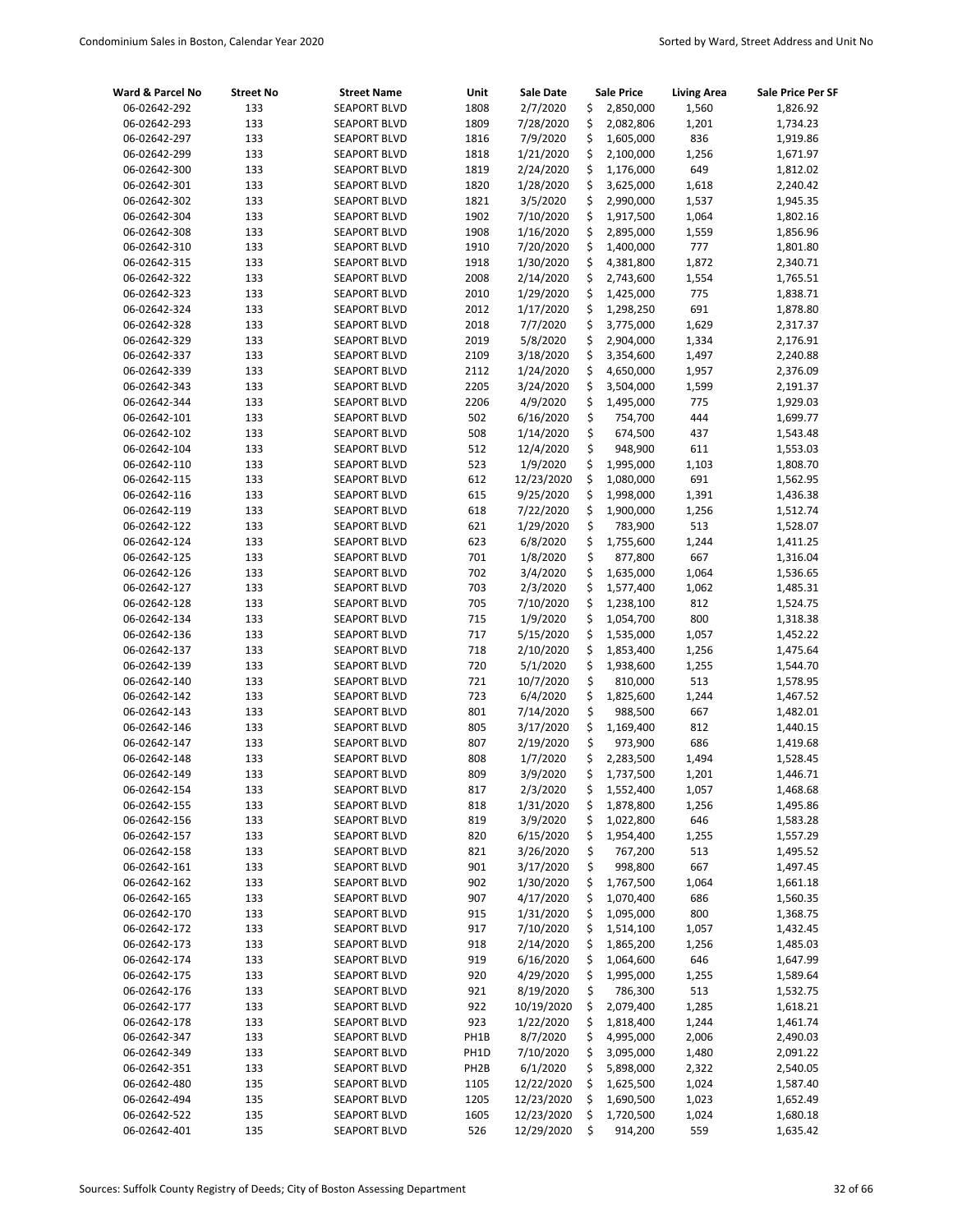| Ward & Parcel No             | <b>Street No</b> | <b>Street Name</b>                         | Unit              | <b>Sale Date</b>      |          | <b>Sale Price</b>    | <b>Living Area</b> | <b>Sale Price Per SF</b> |
|------------------------------|------------------|--------------------------------------------|-------------------|-----------------------|----------|----------------------|--------------------|--------------------------|
| 06-02642-292                 | 133              | <b>SEAPORT BLVD</b>                        | 1808              | 2/7/2020              | \$       | 2,850,000            | 1,560              | 1,826.92                 |
| 06-02642-293                 | 133              | <b>SEAPORT BLVD</b>                        | 1809              | 7/28/2020             | \$       | 2,082,806            | 1,201              | 1,734.23                 |
| 06-02642-297                 | 133              | <b>SEAPORT BLVD</b>                        | 1816              | 7/9/2020              | \$       | 1,605,000            | 836                | 1,919.86                 |
| 06-02642-299                 | 133              | <b>SEAPORT BLVD</b>                        | 1818              | 1/21/2020             | \$       | 2,100,000            | 1,256              | 1,671.97                 |
| 06-02642-300                 | 133              | <b>SEAPORT BLVD</b>                        | 1819              | 2/24/2020             | \$       | 1,176,000            | 649                | 1,812.02                 |
| 06-02642-301                 | 133              | <b>SEAPORT BLVD</b>                        | 1820              | 1/28/2020             | \$       | 3,625,000            | 1,618              | 2,240.42                 |
| 06-02642-302                 | 133              | <b>SEAPORT BLVD</b>                        | 1821              | 3/5/2020              | \$       | 2,990,000            | 1,537              | 1,945.35                 |
| 06-02642-304                 | 133              | <b>SEAPORT BLVD</b>                        | 1902              | 7/10/2020             | \$       | 1,917,500            | 1,064              | 1,802.16                 |
| 06-02642-308                 | 133              | <b>SEAPORT BLVD</b>                        | 1908              | 1/16/2020             | \$       | 2,895,000            | 1,559              | 1,856.96                 |
| 06-02642-310                 | 133              | <b>SEAPORT BLVD</b>                        | 1910              | 7/20/2020             | \$       | 1,400,000            | 777                | 1,801.80                 |
| 06-02642-315                 | 133              | <b>SEAPORT BLVD</b>                        | 1918              | 1/30/2020             | \$       | 4,381,800            | 1,872              | 2,340.71                 |
| 06-02642-322                 | 133              | <b>SEAPORT BLVD</b>                        | 2008              | 2/14/2020             | \$       | 2,743,600            | 1,554              | 1,765.51                 |
| 06-02642-323                 | 133              | <b>SEAPORT BLVD</b>                        | 2010              | 1/29/2020             | \$       | 1,425,000            | 775                | 1,838.71                 |
| 06-02642-324                 | 133              | <b>SEAPORT BLVD</b>                        | 2012              | 1/17/2020             | \$       | 1,298,250            | 691                | 1,878.80                 |
| 06-02642-328                 | 133              | <b>SEAPORT BLVD</b>                        | 2018              | 7/7/2020              | \$       | 3,775,000            | 1,629              | 2,317.37                 |
| 06-02642-329                 | 133              | <b>SEAPORT BLVD</b>                        | 2019              | 5/8/2020              | \$       | 2,904,000            | 1,334              | 2,176.91                 |
| 06-02642-337                 | 133              | <b>SEAPORT BLVD</b>                        | 2109              | 3/18/2020             | \$       | 3,354,600            | 1,497              | 2,240.88                 |
| 06-02642-339                 | 133              | <b>SEAPORT BLVD</b>                        | 2112              | 1/24/2020             | \$       | 4,650,000            | 1,957              | 2,376.09                 |
| 06-02642-343                 | 133              | <b>SEAPORT BLVD</b>                        | 2205              | 3/24/2020             | \$       | 3,504,000            | 1,599              | 2,191.37                 |
| 06-02642-344                 | 133              | <b>SEAPORT BLVD</b>                        | 2206              | 4/9/2020              | \$       | 1,495,000            | 775                | 1,929.03                 |
| 06-02642-101                 | 133              | <b>SEAPORT BLVD</b>                        | 502               | 6/16/2020             | \$       | 754,700              | 444                | 1,699.77                 |
| 06-02642-102                 | 133              | <b>SEAPORT BLVD</b>                        | 508               | 1/14/2020             | \$       | 674,500              | 437                | 1,543.48                 |
| 06-02642-104                 | 133              | <b>SEAPORT BLVD</b>                        | 512               | 12/4/2020             | \$       | 948,900              | 611                | 1,553.03                 |
| 06-02642-110                 | 133              | <b>SEAPORT BLVD</b>                        | 523               | 1/9/2020              | \$       | 1,995,000            | 1,103              | 1,808.70                 |
| 06-02642-115                 | 133              | <b>SEAPORT BLVD</b>                        | 612               | 12/23/2020            | \$       | 1,080,000            | 691                | 1,562.95                 |
| 06-02642-116                 | 133              | <b>SEAPORT BLVD</b>                        | 615               | 9/25/2020             | \$       | 1,998,000            | 1,391              | 1,436.38                 |
| 06-02642-119                 | 133              | <b>SEAPORT BLVD</b>                        | 618               | 7/22/2020             | \$       | 1,900,000            | 1,256              | 1,512.74                 |
| 06-02642-122                 | 133              | <b>SEAPORT BLVD</b>                        | 621               | 1/29/2020             | \$       | 783,900              | 513                | 1,528.07                 |
| 06-02642-124                 | 133              | <b>SEAPORT BLVD</b>                        | 623               | 6/8/2020              | \$       | 1,755,600            | 1,244              | 1,411.25                 |
| 06-02642-125                 | 133              | <b>SEAPORT BLVD</b>                        | 701               | 1/8/2020              | \$       | 877,800              | 667                | 1,316.04                 |
| 06-02642-126                 | 133              | <b>SEAPORT BLVD</b>                        | 702               | 3/4/2020              | \$       | 1,635,000            | 1,064              | 1,536.65                 |
| 06-02642-127                 | 133              | <b>SEAPORT BLVD</b>                        | 703               | 2/3/2020              | \$       | 1,577,400            | 1,062              | 1,485.31                 |
| 06-02642-128                 | 133              | <b>SEAPORT BLVD</b>                        | 705               | 7/10/2020             | \$       | 1,238,100            | 812                | 1,524.75                 |
| 06-02642-134                 | 133              | <b>SEAPORT BLVD</b>                        | 715               | 1/9/2020              | \$       | 1,054,700            | 800                | 1,318.38                 |
| 06-02642-136                 | 133              | <b>SEAPORT BLVD</b>                        | 717               | 5/15/2020             | \$<br>\$ | 1,535,000            | 1,057              | 1,452.22                 |
| 06-02642-137                 | 133              | <b>SEAPORT BLVD</b>                        | 718               | 2/10/2020             | \$       | 1,853,400            | 1,256              | 1,475.64                 |
| 06-02642-139<br>06-02642-140 | 133<br>133       | <b>SEAPORT BLVD</b><br><b>SEAPORT BLVD</b> | 720<br>721        | 5/1/2020<br>10/7/2020 | \$       | 1,938,600            | 1,255<br>513       | 1,544.70                 |
| 06-02642-142                 | 133              | <b>SEAPORT BLVD</b>                        | 723               | 6/4/2020              | \$       | 810,000<br>1,825,600 | 1,244              | 1,578.95                 |
| 06-02642-143                 | 133              | <b>SEAPORT BLVD</b>                        | 801               | 7/14/2020             | \$       | 988,500              | 667                | 1,467.52<br>1,482.01     |
| 06-02642-146                 | 133              | <b>SEAPORT BLVD</b>                        | 805               | 3/17/2020             | \$       | 1,169,400            | 812                | 1,440.15                 |
| 06-02642-147                 | 133              | <b>SEAPORT BLVD</b>                        | 807               | 2/19/2020             | \$       | 973,900              | 686                | 1,419.68                 |
| 06-02642-148                 | 133              | <b>SEAPORT BLVD</b>                        | 808               | 1/7/2020              | \$       | 2,283,500            | 1,494              | 1,528.45                 |
| 06-02642-149                 | 133              | <b>SEAPORT BLVD</b>                        | 809               | 3/9/2020              | \$       | 1,737,500            | 1,201              | 1,446.71                 |
| 06-02642-154                 | 133              | <b>SEAPORT BLVD</b>                        | 817               | 2/3/2020              | \$       | 1,552,400            | 1,057              | 1,468.68                 |
| 06-02642-155                 | 133              | <b>SEAPORT BLVD</b>                        | 818               | 1/31/2020             | \$       | 1,878,800            | 1,256              | 1,495.86                 |
| 06-02642-156                 | 133              | <b>SEAPORT BLVD</b>                        | 819               | 3/9/2020              | \$       | 1,022,800            | 646                | 1,583.28                 |
| 06-02642-157                 | 133              | <b>SEAPORT BLVD</b>                        | 820               | 6/15/2020             | \$       | 1,954,400            | 1,255              | 1,557.29                 |
| 06-02642-158                 | 133              | <b>SEAPORT BLVD</b>                        | 821               | 3/26/2020             | \$       | 767,200              | 513                | 1,495.52                 |
| 06-02642-161                 | 133              | <b>SEAPORT BLVD</b>                        | 901               | 3/17/2020             | \$       | 998,800              | 667                | 1,497.45                 |
| 06-02642-162                 | 133              | <b>SEAPORT BLVD</b>                        | 902               | 1/30/2020             | \$       | 1,767,500            | 1,064              | 1,661.18                 |
| 06-02642-165                 | 133              | <b>SEAPORT BLVD</b>                        | 907               | 4/17/2020             | \$       | 1,070,400            | 686                | 1,560.35                 |
| 06-02642-170                 | 133              | <b>SEAPORT BLVD</b>                        | 915               | 1/31/2020             | \$       | 1,095,000            | 800                | 1,368.75                 |
| 06-02642-172                 | 133              | <b>SEAPORT BLVD</b>                        | 917               | 7/10/2020             | \$       | 1,514,100            | 1,057              | 1,432.45                 |
| 06-02642-173                 | 133              | <b>SEAPORT BLVD</b>                        | 918               | 2/14/2020             | \$       | 1,865,200            | 1,256              | 1,485.03                 |
| 06-02642-174                 | 133              | <b>SEAPORT BLVD</b>                        | 919               | 6/16/2020             | \$       | 1,064,600            | 646                | 1,647.99                 |
| 06-02642-175                 | 133              | <b>SEAPORT BLVD</b>                        | 920               | 4/29/2020             | \$       | 1,995,000            | 1,255              | 1,589.64                 |
| 06-02642-176                 | 133              | <b>SEAPORT BLVD</b>                        | 921               | 8/19/2020             | \$       | 786,300              | 513                | 1,532.75                 |
| 06-02642-177                 | 133              | <b>SEAPORT BLVD</b>                        | 922               | 10/19/2020            | \$       | 2,079,400            | 1,285              | 1,618.21                 |
| 06-02642-178                 | 133              | <b>SEAPORT BLVD</b>                        | 923               | 1/22/2020             | \$       | 1,818,400            | 1,244              | 1,461.74                 |
| 06-02642-347                 | 133              | <b>SEAPORT BLVD</b>                        | PH1B              | 8/7/2020              | \$       | 4,995,000            | 2,006              | 2,490.03                 |
| 06-02642-349                 | 133              | <b>SEAPORT BLVD</b>                        | PH1D              | 7/10/2020             | \$       | 3,095,000            | 1,480              | 2,091.22                 |
| 06-02642-351                 | 133              | <b>SEAPORT BLVD</b>                        | PH <sub>2</sub> B | 6/1/2020              | \$       | 5,898,000            | 2,322              | 2,540.05                 |
| 06-02642-480                 | 135              | <b>SEAPORT BLVD</b>                        | 1105              | 12/22/2020            | \$       | 1,625,500            | 1,024              | 1,587.40                 |
| 06-02642-494                 | 135              | <b>SEAPORT BLVD</b>                        | 1205              | 12/23/2020            | \$       | 1,690,500            | 1,023              | 1,652.49                 |
| 06-02642-522                 | 135              | SEAPORT BLVD                               | 1605              | 12/23/2020            | \$       | 1,720,500            | 1,024              | 1,680.18                 |
| 06-02642-401                 | 135              | <b>SEAPORT BLVD</b>                        | 526               | 12/29/2020            | \$       | 914,200              | 559                | 1,635.42                 |
|                              |                  |                                            |                   |                       |          |                      |                    |                          |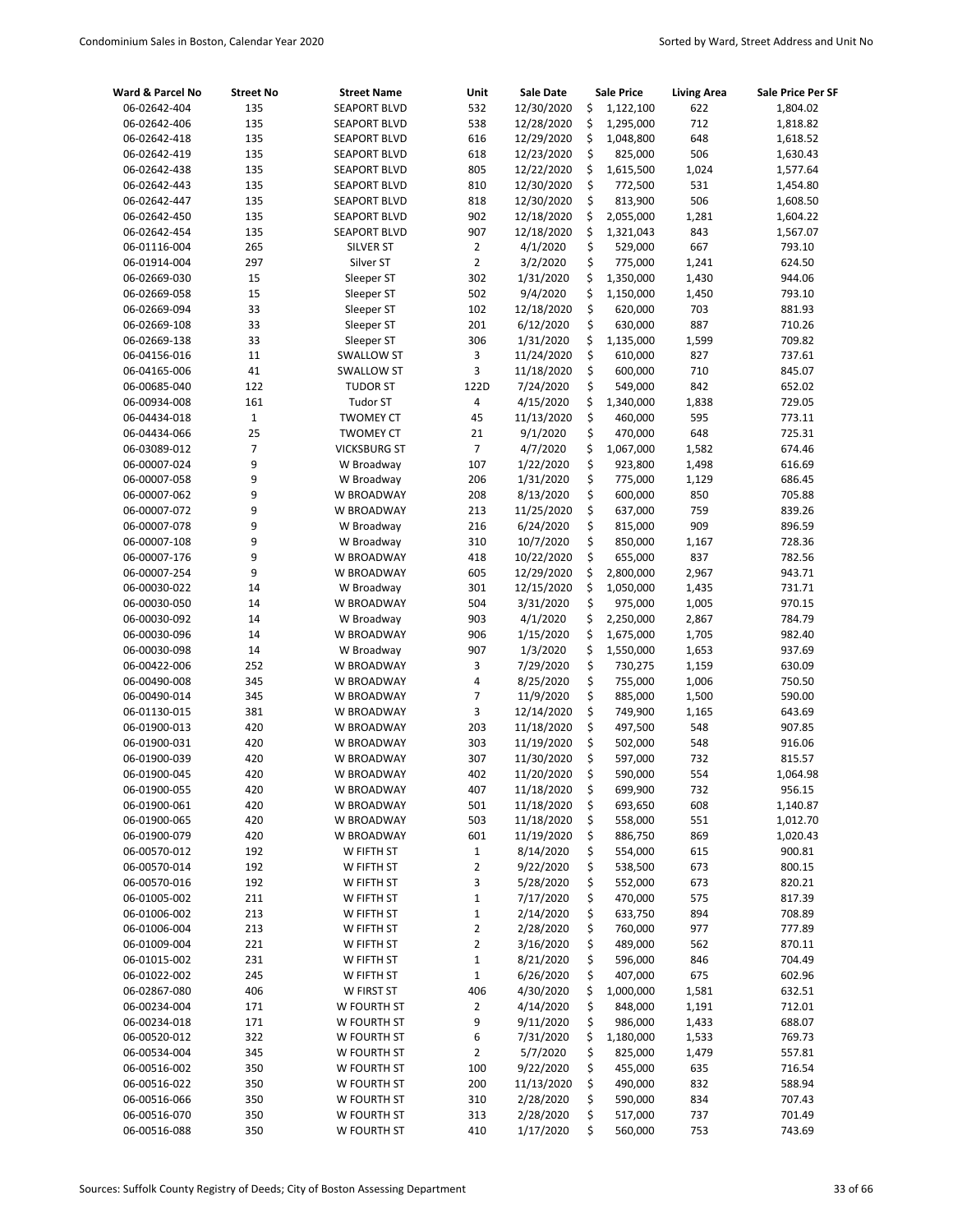| Ward & Parcel No             | <b>Street No</b> | <b>Street Name</b>       | Unit              | <b>Sale Date</b>       |          | <b>Sale Price</b>  | <b>Living Area</b> | Sale Price Per SF |
|------------------------------|------------------|--------------------------|-------------------|------------------------|----------|--------------------|--------------------|-------------------|
| 06-02642-404                 | 135              | <b>SEAPORT BLVD</b>      | 532               | 12/30/2020             | \$       | 1,122,100          | 622                | 1,804.02          |
| 06-02642-406                 | 135              | <b>SEAPORT BLVD</b>      | 538               | 12/28/2020             | \$       | 1,295,000          | 712                | 1,818.82          |
| 06-02642-418                 | 135              | <b>SEAPORT BLVD</b>      | 616               | 12/29/2020             | \$       | 1,048,800          | 648                | 1,618.52          |
| 06-02642-419                 | 135              | <b>SEAPORT BLVD</b>      | 618               | 12/23/2020             | \$       | 825,000            | 506                | 1,630.43          |
| 06-02642-438                 | 135              | <b>SEAPORT BLVD</b>      | 805               | 12/22/2020             | \$       | 1,615,500          | 1,024              | 1,577.64          |
| 06-02642-443                 | 135              | <b>SEAPORT BLVD</b>      | 810               | 12/30/2020             | \$       | 772,500            | 531                | 1,454.80          |
| 06-02642-447                 | 135              | <b>SEAPORT BLVD</b>      | 818               | 12/30/2020             | \$       | 813,900            | 506                | 1,608.50          |
| 06-02642-450                 | 135              | <b>SEAPORT BLVD</b>      | 902               | 12/18/2020             | \$       | 2,055,000          | 1,281              | 1,604.22          |
| 06-02642-454                 | 135              | <b>SEAPORT BLVD</b>      | 907               | 12/18/2020             | \$       | 1,321,043          | 843                | 1,567.07          |
| 06-01116-004                 | 265              | <b>SILVER ST</b>         | $\overline{2}$    | 4/1/2020               | \$       | 529,000            | 667                | 793.10            |
| 06-01914-004                 | 297              | Silver ST                | $\overline{2}$    | 3/2/2020               | \$       | 775,000            | 1,241              | 624.50            |
| 06-02669-030                 | 15               | Sleeper ST               | 302               | 1/31/2020              | \$       | 1,350,000          | 1,430              | 944.06            |
| 06-02669-058                 | 15               | Sleeper ST               | 502               | 9/4/2020               | \$       | 1,150,000          | 1,450              | 793.10            |
| 06-02669-094                 | 33               | Sleeper ST               | 102               | 12/18/2020             | \$       | 620,000            | 703                | 881.93            |
| 06-02669-108                 | 33               | Sleeper ST               | 201               | 6/12/2020              | \$       | 630,000            | 887                | 710.26            |
| 06-02669-138                 | 33               | Sleeper ST               | 306               | 1/31/2020              | \$       | 1,135,000          | 1,599              | 709.82            |
| 06-04156-016                 | 11               | <b>SWALLOW ST</b>        | 3                 | 11/24/2020             | \$       | 610,000            | 827                | 737.61            |
| 06-04165-006                 | 41               | <b>SWALLOW ST</b>        | 3                 | 11/18/2020             | \$       | 600,000            | 710                | 845.07            |
| 06-00685-040                 | 122              | <b>TUDOR ST</b>          | 122D              | 7/24/2020              | \$       | 549,000            | 842                | 652.02            |
| 06-00934-008                 | 161              | <b>Tudor ST</b>          | 4                 | 4/15/2020              | \$       | 1,340,000          | 1,838              | 729.05            |
| 06-04434-018                 | $\mathbf 1$      | <b>TWOMEY CT</b>         | 45                | 11/13/2020             | \$       | 460,000            | 595                | 773.11            |
| 06-04434-066                 | 25               | <b>TWOMEY CT</b>         | 21                | 9/1/2020               | \$       | 470,000            | 648                | 725.31            |
| 06-03089-012                 | 7                | <b>VICKSBURG ST</b>      | $\overline{7}$    | 4/7/2020               | \$       | 1,067,000          | 1,582              | 674.46            |
| 06-00007-024                 | 9                | W Broadway               | 107               | 1/22/2020              | \$       | 923,800            | 1,498              | 616.69            |
| 06-00007-058                 | 9                | W Broadway               | 206               | 1/31/2020              | \$       | 775,000            | 1,129              | 686.45            |
| 06-00007-062                 | 9                | W BROADWAY               | 208               | 8/13/2020              | \$       | 600,000            | 850                | 705.88            |
| 06-00007-072                 | 9                | W BROADWAY               | 213               | 11/25/2020             | \$       | 637,000            | 759                | 839.26            |
| 06-00007-078                 | 9                | W Broadway               | 216               | 6/24/2020              | \$       | 815,000            | 909                | 896.59            |
| 06-00007-108                 | 9                | W Broadway               | 310               | 10/7/2020              | \$       | 850,000            | 1,167              | 728.36            |
| 06-00007-176                 | 9                | W BROADWAY               | 418               | 10/22/2020             | \$       | 655,000            | 837                | 782.56            |
| 06-00007-254                 | 9                | W BROADWAY               | 605               | 12/29/2020             | \$       | 2,800,000          | 2,967              | 943.71            |
| 06-00030-022                 | 14               | W Broadway               | 301               | 12/15/2020             | \$       | 1,050,000          | 1,435              | 731.71            |
| 06-00030-050                 | 14               | W BROADWAY               | 504               | 3/31/2020              | \$       | 975,000            | 1,005              | 970.15            |
| 06-00030-092                 | 14               | W Broadway               | 903               | 4/1/2020               | \$       | 2,250,000          | 2,867              | 784.79            |
| 06-00030-096                 | 14               | W BROADWAY               | 906               | 1/15/2020              | \$       | 1,675,000          | 1,705              | 982.40            |
| 06-00030-098                 | 14               | W Broadway               | 907               | 1/3/2020               | \$       | 1,550,000          | 1,653              | 937.69            |
| 06-00422-006                 | 252              | W BROADWAY               | 3                 | 7/29/2020              | \$       | 730,275            | 1,159              | 630.09            |
| 06-00490-008                 | 345              | W BROADWAY               | 4                 | 8/25/2020              | \$       | 755,000            | 1,006              | 750.50            |
| 06-00490-014                 | 345              | W BROADWAY               | $\overline{7}$    | 11/9/2020              | \$       | 885,000            | 1,500              | 590.00            |
| 06-01130-015                 | 381              | W BROADWAY               | 3                 | 12/14/2020             | \$       | 749,900            | 1,165              | 643.69            |
| 06-01900-013                 | 420              | W BROADWAY               | 203               | 11/18/2020             | \$       | 497,500            | 548                | 907.85            |
| 06-01900-031                 | 420              | W BROADWAY               | 303               | 11/19/2020             | \$<br>\$ | 502,000            | 548                | 916.06            |
| 06-01900-039                 | 420              | W BROADWAY               | 307               | 11/30/2020             | Ś        | 597,000            | 732                | 815.57            |
| 06-01900-045                 | 420              | W BROADWAY               | 402               | 11/20/2020             |          | 590,000            | 554                | 1,064.98          |
| 06-01900-055                 | 420              | W BROADWAY               | 407               | 11/18/2020             | \$       | 699,900            | 732                | 956.15            |
| 06-01900-061                 | 420              | W BROADWAY               | 501               | 11/18/2020             | \$       | 693,650            | 608                | 1,140.87          |
| 06-01900-065                 | 420              | W BROADWAY<br>W BROADWAY | 503               | 11/18/2020             | \$       | 558,000            | 551                | 1,012.70          |
| 06-01900-079                 | 420              |                          | 601               | 11/19/2020             | \$       | 886,750            | 869                | 1,020.43          |
| 06-00570-012<br>06-00570-014 | 192<br>192       | W FIFTH ST<br>W FIFTH ST | $\mathbf{1}$<br>2 | 8/14/2020<br>9/22/2020 | \$<br>\$ | 554,000<br>538,500 | 615<br>673         | 900.81<br>800.15  |
| 06-00570-016                 | 192              | W FIFTH ST               | 3                 | 5/28/2020              | \$       | 552,000            | 673                | 820.21            |
| 06-01005-002                 | 211              | W FIFTH ST               | $\mathbf 1$       | 7/17/2020              | \$       | 470,000            | 575                | 817.39            |
| 06-01006-002                 | 213              | W FIFTH ST               | $\mathbf 1$       | 2/14/2020              | \$       | 633,750            | 894                | 708.89            |
| 06-01006-004                 | 213              | W FIFTH ST               | $\mathbf 2$       | 2/28/2020              | \$       | 760,000            | 977                | 777.89            |
| 06-01009-004                 | 221              | W FIFTH ST               | $\overline{2}$    | 3/16/2020              | \$       | 489,000            | 562                | 870.11            |
| 06-01015-002                 | 231              | W FIFTH ST               | $\mathbf 1$       | 8/21/2020              | \$       | 596,000            | 846                | 704.49            |
| 06-01022-002                 | 245              | W FIFTH ST               | $\mathbf 1$       | 6/26/2020              | \$       | 407,000            | 675                | 602.96            |
| 06-02867-080                 | 406              | W FIRST ST               | 406               | 4/30/2020              | \$       | 1,000,000          | 1,581              | 632.51            |
| 06-00234-004                 | 171              | W FOURTH ST              | 2                 | 4/14/2020              | \$       | 848,000            | 1,191              | 712.01            |
| 06-00234-018                 | 171              | W FOURTH ST              | 9                 | 9/11/2020              | \$       | 986,000            | 1,433              | 688.07            |
| 06-00520-012                 | 322              | W FOURTH ST              | 6                 | 7/31/2020              | \$       | 1,180,000          | 1,533              | 769.73            |
| 06-00534-004                 | 345              | W FOURTH ST              | 2                 | 5/7/2020               | \$       | 825,000            | 1,479              | 557.81            |
| 06-00516-002                 | 350              | W FOURTH ST              | 100               | 9/22/2020              | \$       | 455,000            | 635                | 716.54            |
| 06-00516-022                 | 350              | W FOURTH ST              | 200               | 11/13/2020             | \$       | 490,000            | 832                | 588.94            |
| 06-00516-066                 | 350              | W FOURTH ST              | 310               | 2/28/2020              | \$       | 590,000            | 834                | 707.43            |
| 06-00516-070                 | 350              | W FOURTH ST              | 313               | 2/28/2020              | \$       | 517,000            | 737                | 701.49            |
| 06-00516-088                 | 350              | W FOURTH ST              | 410               | 1/17/2020              | \$       | 560,000            | 753                | 743.69            |
|                              |                  |                          |                   |                        |          |                    |                    |                   |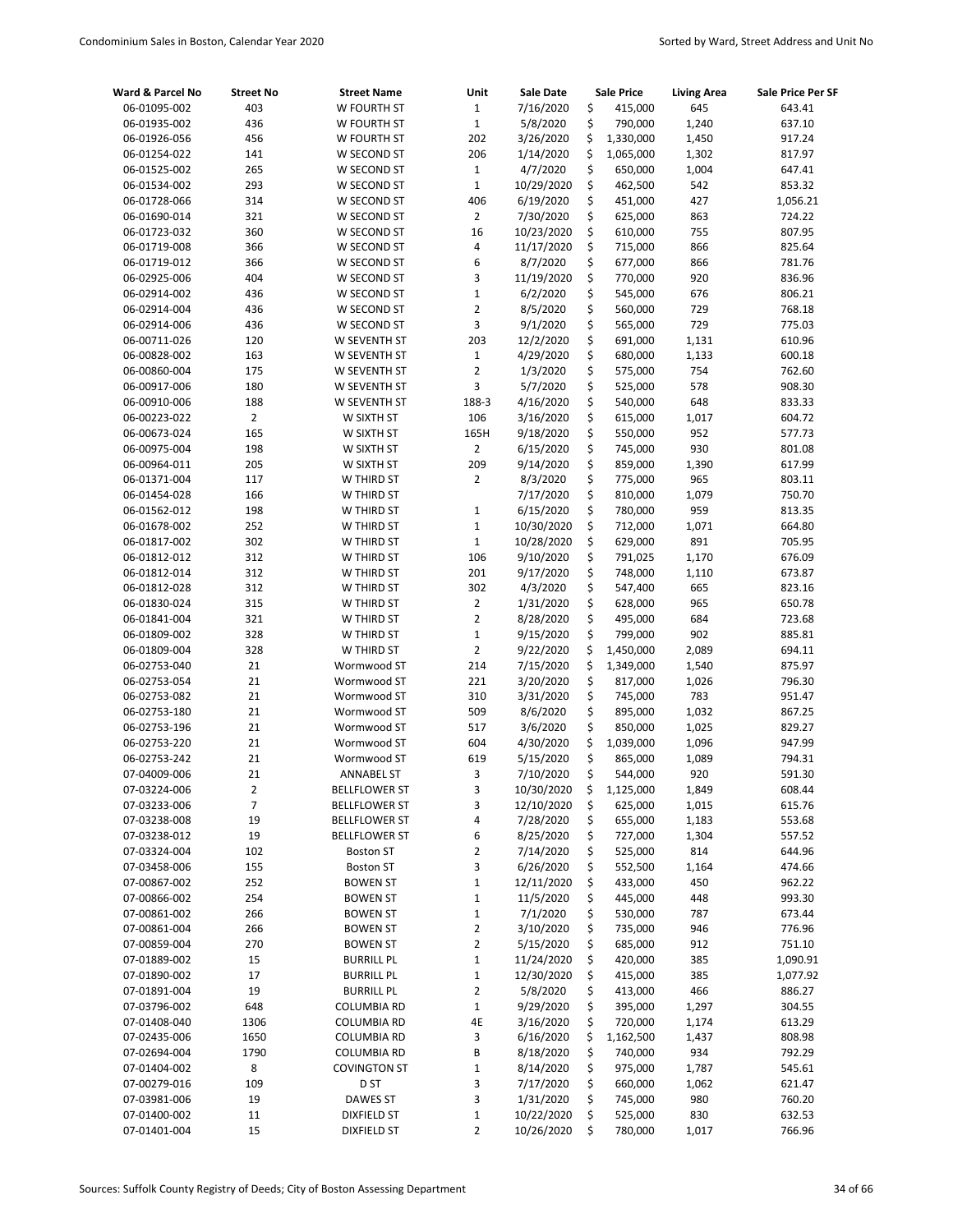| Ward & Parcel No             | <b>Street No</b>         | <b>Street Name</b>                  | Unit                          | Sale Date               |          | <b>Sale Price</b>  | <b>Living Area</b> | Sale Price Per SF |
|------------------------------|--------------------------|-------------------------------------|-------------------------------|-------------------------|----------|--------------------|--------------------|-------------------|
| 06-01095-002                 | 403                      | W FOURTH ST                         | $\mathbf{1}$                  | 7/16/2020               | \$       | 415,000            | 645                | 643.41            |
| 06-01935-002                 | 436                      | W FOURTH ST                         | $\mathbf 1$                   | 5/8/2020                | \$       | 790,000            | 1,240              | 637.10            |
| 06-01926-056                 | 456                      | W FOURTH ST                         | 202                           | 3/26/2020               | \$       | 1,330,000          | 1,450              | 917.24            |
| 06-01254-022                 | 141                      | W SECOND ST                         | 206                           | 1/14/2020               | \$       | 1,065,000          | 1,302              | 817.97            |
| 06-01525-002                 | 265                      | W SECOND ST                         | $1\,$                         | 4/7/2020                | \$       | 650,000            | 1,004              | 647.41            |
| 06-01534-002                 | 293                      | W SECOND ST                         | $\mathbf 1$                   | 10/29/2020              | \$       | 462,500            | 542                | 853.32            |
| 06-01728-066                 | 314                      | W SECOND ST                         | 406                           | 6/19/2020               | \$       | 451,000            | 427                | 1,056.21          |
| 06-01690-014                 | 321                      | W SECOND ST                         | $\overline{2}$                | 7/30/2020               | \$       | 625,000            | 863                | 724.22            |
| 06-01723-032                 | 360                      | W SECOND ST                         | 16                            | 10/23/2020              | \$       | 610,000            | 755                | 807.95            |
| 06-01719-008                 | 366                      | W SECOND ST                         | 4                             | 11/17/2020              | \$       | 715,000            | 866                | 825.64            |
| 06-01719-012                 | 366                      | W SECOND ST                         | 6                             | 8/7/2020                | \$       | 677,000            | 866                | 781.76            |
| 06-02925-006                 | 404                      | W SECOND ST                         | 3                             | 11/19/2020              | \$       | 770,000            | 920                | 836.96            |
| 06-02914-002                 | 436                      | W SECOND ST                         | $\mathbf 1$                   | 6/2/2020                | \$       | 545,000            | 676                | 806.21            |
| 06-02914-004                 | 436                      | W SECOND ST                         | $\overline{2}$                | 8/5/2020                | \$       | 560,000            | 729                | 768.18            |
| 06-02914-006                 | 436                      | W SECOND ST                         | 3<br>203                      | 9/1/2020                | \$<br>\$ | 565,000            | 729                | 775.03            |
| 06-00711-026                 | 120                      | W SEVENTH ST                        |                               | 12/2/2020               |          | 691,000            | 1,131              | 610.96            |
| 06-00828-002<br>06-00860-004 | 163<br>175               | W SEVENTH ST<br>W SEVENTH ST        | $\mathbf 1$<br>$\overline{2}$ | 4/29/2020<br>1/3/2020   | \$<br>\$ | 680,000<br>575,000 | 1,133<br>754       | 600.18<br>762.60  |
| 06-00917-006                 | 180                      | W SEVENTH ST                        | 3                             | 5/7/2020                | \$       | 525,000            | 578                | 908.30            |
| 06-00910-006                 | 188                      | W SEVENTH ST                        | 188-3                         | 4/16/2020               | \$       | 540,000            | 648                | 833.33            |
| 06-00223-022                 | $\overline{2}$           | W SIXTH ST                          | 106                           | 3/16/2020               | \$       | 615,000            | 1,017              | 604.72            |
| 06-00673-024                 | 165                      | W SIXTH ST                          | 165H                          | 9/18/2020               | \$       | 550,000            | 952                | 577.73            |
| 06-00975-004                 | 198                      | W SIXTH ST                          | $\overline{2}$                | 6/15/2020               | \$       | 745,000            | 930                | 801.08            |
| 06-00964-011                 | 205                      | W SIXTH ST                          | 209                           | 9/14/2020               | \$       | 859,000            | 1,390              | 617.99            |
| 06-01371-004                 | 117                      | W THIRD ST                          | $\overline{2}$                | 8/3/2020                | \$       | 775,000            | 965                | 803.11            |
| 06-01454-028                 | 166                      | W THIRD ST                          |                               | 7/17/2020               | \$       | 810,000            | 1,079              | 750.70            |
| 06-01562-012                 | 198                      | W THIRD ST                          | $\mathbf 1$                   | 6/15/2020               | \$       | 780,000            | 959                | 813.35            |
| 06-01678-002                 | 252                      | W THIRD ST                          | $\mathbf 1$                   | 10/30/2020              | \$       | 712,000            | 1,071              | 664.80            |
| 06-01817-002                 | 302                      | W THIRD ST                          | $\mathbf 1$                   | 10/28/2020              | \$       | 629,000            | 891                | 705.95            |
| 06-01812-012                 | 312                      | W THIRD ST                          | 106                           | 9/10/2020               | \$       | 791,025            | 1,170              | 676.09            |
| 06-01812-014                 | 312                      | W THIRD ST                          | 201                           | 9/17/2020               | \$       | 748,000            | 1,110              | 673.87            |
| 06-01812-028                 | 312                      | W THIRD ST                          | 302                           | 4/3/2020                | \$       | 547,400            | 665                | 823.16            |
| 06-01830-024                 | 315                      | W THIRD ST                          | $\overline{2}$                | 1/31/2020               | \$       | 628,000            | 965                | 650.78            |
| 06-01841-004                 | 321                      | W THIRD ST                          | $\overline{2}$                | 8/28/2020               | \$       | 495,000            | 684                | 723.68            |
| 06-01809-002                 | 328                      | W THIRD ST                          | $\mathbf 1$                   | 9/15/2020               | \$       | 799,000            | 902                | 885.81            |
| 06-01809-004                 | 328                      | W THIRD ST                          | $\overline{2}$                | 9/22/2020               | \$       | 1,450,000          | 2,089              | 694.11            |
| 06-02753-040                 | 21                       | Wormwood ST                         | 214                           | 7/15/2020               | \$       | 1,349,000          | 1,540              | 875.97            |
| 06-02753-054                 | 21                       | Wormwood ST                         | 221                           | 3/20/2020               | \$       | 817,000            | 1,026              | 796.30            |
| 06-02753-082                 | 21                       | Wormwood ST                         | 310                           | 3/31/2020               | \$       | 745,000            | 783                | 951.47            |
| 06-02753-180                 | 21                       | Wormwood ST                         | 509                           | 8/6/2020                | \$       | 895,000            | 1,032              | 867.25            |
| 06-02753-196                 | 21                       | Wormwood ST                         | 517                           | 3/6/2020                | \$       | 850,000            | 1,025              | 829.27            |
| 06-02753-220                 | 21                       | Wormwood ST                         | 604                           | 4/30/2020               | \$       | 1,039,000          | 1,096              | 947.99            |
| 06-02753-242                 | 21                       | Wormwood ST                         | 619                           | 5/15/2020               | \$       | 865,000            | 1,089              | 794.31            |
| 07-04009-006                 | 21                       | <b>ANNABEL ST</b>                   | 3                             | 7/10/2020               | Ś        | 544,000            | 920                | 591.30            |
| 07-03224-006                 | $\overline{2}$           | <b>BELLFLOWER ST</b>                | 3                             | 10/30/2020              | \$       | 1,125,000          | 1,849              | 608.44            |
| 07-03233-006                 | $\overline{\phantom{a}}$ | <b>BELLFLOWER ST</b>                | 3                             | 12/10/2020              | \$       | 625,000            | 1,015              | 615.76            |
| 07-03238-008                 | 19                       | <b>BELLFLOWER ST</b>                | 4                             | 7/28/2020               | \$       | 655,000            | 1,183              | 553.68            |
| 07-03238-012                 | 19                       | <b>BELLFLOWER ST</b>                | 6                             | 8/25/2020               | \$       | 727,000            | 1,304              | 557.52            |
| 07-03324-004                 | 102                      | <b>Boston ST</b>                    | $\overline{2}$                | 7/14/2020               | \$<br>\$ | 525,000            | 814                | 644.96            |
| 07-03458-006<br>07-00867-002 | 155<br>252               | <b>Boston ST</b><br><b>BOWEN ST</b> | 3<br>$\mathbf 1$              | 6/26/2020<br>12/11/2020 | \$       | 552,500<br>433,000 | 1,164<br>450       | 474.66<br>962.22  |
| 07-00866-002                 | 254                      | <b>BOWEN ST</b>                     | $\mathbf 1$                   | 11/5/2020               | \$       | 445,000            | 448                | 993.30            |
| 07-00861-002                 | 266                      | <b>BOWEN ST</b>                     | $\mathbf{1}$                  | 7/1/2020                | \$       | 530,000            | 787                | 673.44            |
| 07-00861-004                 | 266                      | <b>BOWEN ST</b>                     | $\overline{2}$                | 3/10/2020               | \$       | 735,000            | 946                | 776.96            |
| 07-00859-004                 | 270                      | <b>BOWEN ST</b>                     | $\mathbf 2$                   | 5/15/2020               | \$       | 685,000            | 912                | 751.10            |
| 07-01889-002                 | 15                       | <b>BURRILL PL</b>                   | $\mathbf 1$                   | 11/24/2020              | \$       | 420,000            | 385                | 1,090.91          |
| 07-01890-002                 | 17                       | <b>BURRILL PL</b>                   | $\mathbf 1$                   | 12/30/2020              | \$       | 415,000            | 385                | 1,077.92          |
| 07-01891-004                 | 19                       | <b>BURRILL PL</b>                   | $\mathbf 2$                   | 5/8/2020                | \$       | 413,000            | 466                | 886.27            |
| 07-03796-002                 | 648                      | COLUMBIA RD                         | $\mathbf{1}$                  | 9/29/2020               | \$       | 395,000            | 1,297              | 304.55            |
| 07-01408-040                 | 1306                     | <b>COLUMBIA RD</b>                  | 4E                            | 3/16/2020               | \$       | 720,000            | 1,174              | 613.29            |
| 07-02435-006                 | 1650                     | <b>COLUMBIA RD</b>                  | 3                             | 6/16/2020               | \$       | 1,162,500          | 1,437              | 808.98            |
| 07-02694-004                 | 1790                     | <b>COLUMBIA RD</b>                  | В                             | 8/18/2020               | \$       | 740,000            | 934                | 792.29            |
| 07-01404-002                 | 8                        | <b>COVINGTON ST</b>                 | $\mathbf 1$                   | 8/14/2020               | \$       | 975,000            | 1,787              | 545.61            |
| 07-00279-016                 | 109                      | D ST                                | 3                             | 7/17/2020               | \$       | 660,000            | 1,062              | 621.47            |
| 07-03981-006                 | 19                       | DAWES ST                            | 3                             | 1/31/2020               | \$       | 745,000            | 980                | 760.20            |
| 07-01400-002                 | 11                       | DIXFIELD ST                         | $\mathbf 1$                   | 10/22/2020              | \$       | 525,000            | 830                | 632.53            |
| 07-01401-004                 | 15                       | DIXFIELD ST                         | $\overline{2}$                | 10/26/2020              | \$       | 780,000            | 1,017              | 766.96            |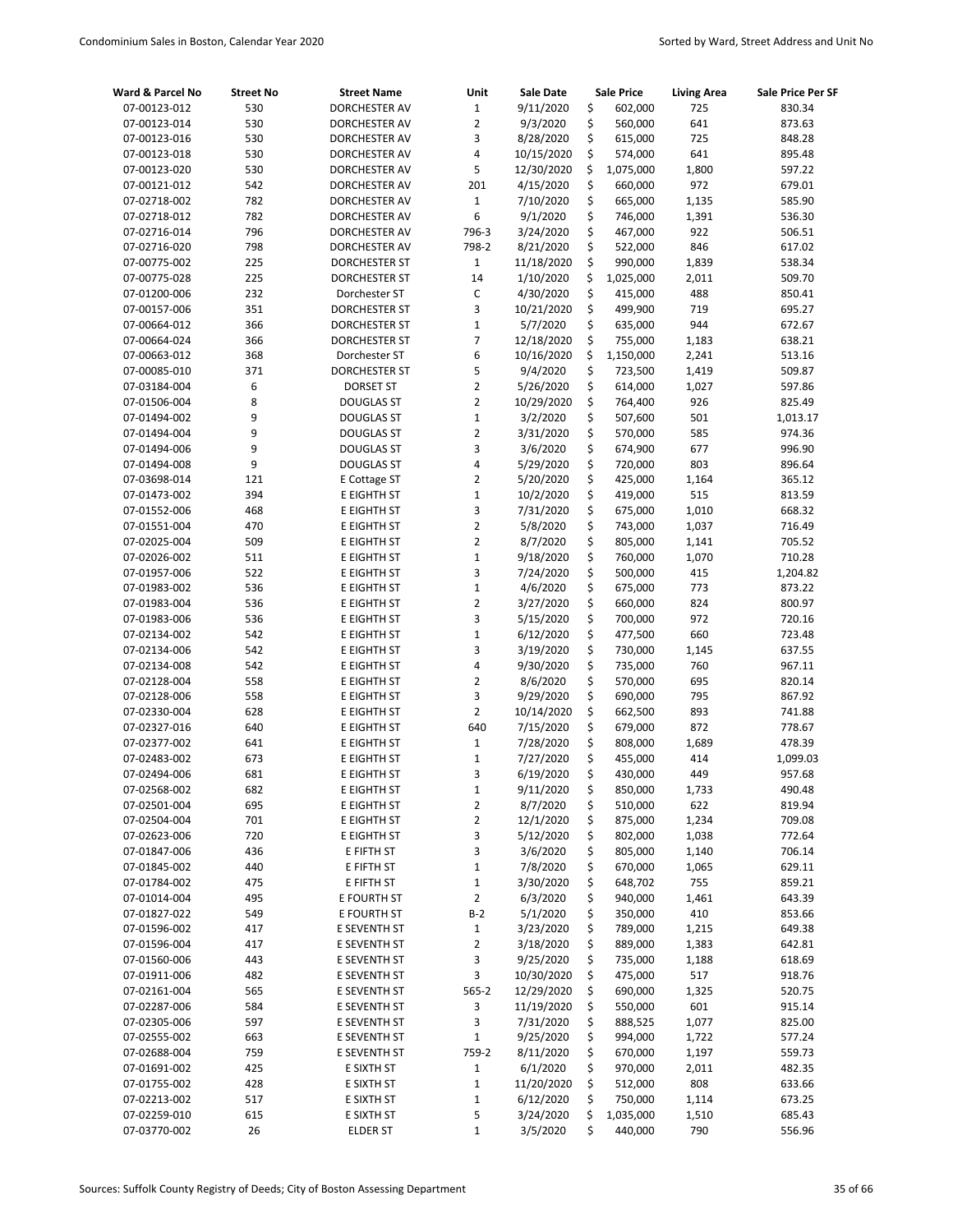| Ward & Parcel No | <b>Street No</b> | <b>Street Name</b>   | Unit           | Sale Date  | Sale Price      | <b>Living Area</b> | Sale Price Per SF |
|------------------|------------------|----------------------|----------------|------------|-----------------|--------------------|-------------------|
| 07-00123-012     | 530              | DORCHESTER AV        | $1\,$          | 9/11/2020  | \$<br>602,000   | 725                | 830.34            |
| 07-00123-014     | 530              | DORCHESTER AV        | $\overline{2}$ | 9/3/2020   | \$<br>560,000   | 641                | 873.63            |
| 07-00123-016     | 530              | DORCHESTER AV        | 3              | 8/28/2020  | \$<br>615,000   | 725                | 848.28            |
| 07-00123-018     | 530              | DORCHESTER AV        | 4              | 10/15/2020 | \$<br>574,000   | 641                | 895.48            |
| 07-00123-020     | 530              | <b>DORCHESTER AV</b> | 5              | 12/30/2020 | \$<br>1,075,000 | 1,800              | 597.22            |
| 07-00121-012     | 542              | DORCHESTER AV        | 201            | 4/15/2020  | \$<br>660,000   | 972                | 679.01            |
| 07-02718-002     | 782              | DORCHESTER AV        | $1\,$          | 7/10/2020  | \$<br>665,000   | 1,135              | 585.90            |
| 07-02718-012     | 782              | DORCHESTER AV        | 6              | 9/1/2020   | \$<br>746,000   | 1,391              | 536.30            |
| 07-02716-014     | 796              | DORCHESTER AV        | 796-3          | 3/24/2020  | \$<br>467,000   | 922                | 506.51            |
| 07-02716-020     | 798              | DORCHESTER AV        | 798-2          | 8/21/2020  | \$<br>522,000   | 846                | 617.02            |
| 07-00775-002     | 225              | DORCHESTER ST        | $\mathbf{1}$   | 11/18/2020 | \$<br>990,000   | 1,839              | 538.34            |
| 07-00775-028     | 225              | DORCHESTER ST        | 14             | 1/10/2020  | \$<br>1,025,000 | 2,011              | 509.70            |
| 07-01200-006     | 232              | Dorchester ST        | $\mathsf C$    | 4/30/2020  | \$<br>415,000   | 488                | 850.41            |
| 07-00157-006     | 351              | DORCHESTER ST        | 3              | 10/21/2020 | \$<br>499,900   | 719                | 695.27            |
| 07-00664-012     | 366              | DORCHESTER ST        | $\mathbf{1}$   | 5/7/2020   | \$<br>635,000   | 944                | 672.67            |
| 07-00664-024     | 366              | DORCHESTER ST        | $\overline{7}$ | 12/18/2020 | \$<br>755,000   | 1,183              | 638.21            |
| 07-00663-012     | 368              | Dorchester ST        | 6              | 10/16/2020 | \$<br>1,150,000 | 2,241              | 513.16            |
| 07-00085-010     | 371              | DORCHESTER ST        | 5              | 9/4/2020   | \$<br>723,500   | 1,419              | 509.87            |
| 07-03184-004     | 6                | <b>DORSET ST</b>     | $\overline{2}$ | 5/26/2020  | \$<br>614,000   | 1,027              | 597.86            |
| 07-01506-004     | 8                | <b>DOUGLAS ST</b>    | 2              | 10/29/2020 | \$<br>764,400   | 926                | 825.49            |
| 07-01494-002     | 9                | <b>DOUGLAS ST</b>    | $\mathbf 1$    | 3/2/2020   | \$<br>507,600   | 501                | 1,013.17          |
| 07-01494-004     | 9                | <b>DOUGLAS ST</b>    | $\overline{2}$ | 3/31/2020  | \$<br>570,000   | 585                | 974.36            |
| 07-01494-006     | 9                | <b>DOUGLAS ST</b>    | 3              | 3/6/2020   | \$<br>674,900   | 677                | 996.90            |
| 07-01494-008     | 9                | <b>DOUGLAS ST</b>    | 4              | 5/29/2020  | \$<br>720,000   | 803                | 896.64            |
| 07-03698-014     | 121              | E Cottage ST         | $\overline{2}$ | 5/20/2020  | \$<br>425,000   | 1,164              | 365.12            |
| 07-01473-002     | 394              | E EIGHTH ST          | $\mathbf 1$    | 10/2/2020  | \$<br>419,000   | 515                | 813.59            |
| 07-01552-006     | 468              | E EIGHTH ST          | 3              | 7/31/2020  | \$<br>675,000   | 1,010              | 668.32            |
| 07-01551-004     | 470              | E EIGHTH ST          | $\overline{2}$ | 5/8/2020   | \$<br>743,000   | 1,037              | 716.49            |
| 07-02025-004     | 509              | E EIGHTH ST          | $\overline{2}$ | 8/7/2020   | \$<br>805,000   | 1,141              | 705.52            |
| 07-02026-002     | 511              | E EIGHTH ST          | $\mathbf 1$    | 9/18/2020  | \$<br>760,000   | 1,070              | 710.28            |
| 07-01957-006     | 522              | E EIGHTH ST          | 3              | 7/24/2020  | \$<br>500,000   | 415                | 1,204.82          |
| 07-01983-002     | 536              | E EIGHTH ST          | $\mathbf 1$    | 4/6/2020   | \$<br>675,000   | 773                | 873.22            |
| 07-01983-004     | 536              | E EIGHTH ST          | $\overline{2}$ | 3/27/2020  | \$<br>660,000   | 824                | 800.97            |
| 07-01983-006     | 536              | E EIGHTH ST          | 3              | 5/15/2020  | \$<br>700,000   | 972                | 720.16            |
| 07-02134-002     | 542              | E EIGHTH ST          | $\mathbf 1$    | 6/12/2020  | \$<br>477,500   | 660                | 723.48            |
| 07-02134-006     | 542              | E EIGHTH ST          | 3              | 3/19/2020  | \$<br>730,000   | 1,145              | 637.55            |
| 07-02134-008     | 542              | E EIGHTH ST          | 4              | 9/30/2020  | \$<br>735,000   | 760                | 967.11            |
| 07-02128-004     | 558              | E EIGHTH ST          | 2              | 8/6/2020   | \$<br>570,000   | 695                | 820.14            |
| 07-02128-006     | 558              | E EIGHTH ST          | 3              | 9/29/2020  | \$<br>690,000   | 795                | 867.92            |
| 07-02330-004     | 628              | E EIGHTH ST          | $\overline{2}$ | 10/14/2020 | \$<br>662,500   | 893                | 741.88            |
| 07-02327-016     | 640              | E EIGHTH ST          | 640            | 7/15/2020  | \$<br>679,000   | 872                | 778.67            |
| 07-02377-002     | 641              | E EIGHTH ST          | $\mathbf{1}$   | 7/28/2020  | \$<br>808,000   | 1,689              | 478.39            |
| 07-02483-002     | 673              | E EIGHTH ST          | $\mathbf 1$    | 7/27/2020  | \$<br>455,000   | 414                | 1,099.03          |
| 07-02494-006     | 681              | E EIGHTH ST          | 3              | 6/19/2020  | \$<br>430,000   | 449                | 957.68            |
| 07-02568-002     | 682              | E EIGHTH ST          | $\mathbf{1}$   | 9/11/2020  | \$<br>850,000   | 1,733              | 490.48            |
| 07-02501-004     | 695              | E EIGHTH ST          | 2              | 8/7/2020   | \$<br>510,000   | 622                | 819.94            |
| 07-02504-004     | 701              | E EIGHTH ST          | $\overline{2}$ | 12/1/2020  | \$<br>875,000   | 1,234              | 709.08            |
| 07-02623-006     | 720              | E EIGHTH ST          | 3              | 5/12/2020  | \$<br>802,000   | 1,038              | 772.64            |
| 07-01847-006     | 436              | E FIFTH ST           | 3              | 3/6/2020   | \$<br>805,000   | 1,140              | 706.14            |
| 07-01845-002     | 440              | E FIFTH ST           | 1              | 7/8/2020   | \$<br>670,000   | 1,065              | 629.11            |
| 07-01784-002     | 475              | E FIFTH ST           | $\mathbf{1}$   | 3/30/2020  | \$<br>648,702   | 755                | 859.21            |
| 07-01014-004     | 495              | E FOURTH ST          | $\overline{2}$ | 6/3/2020   | \$<br>940,000   | 1,461              | 643.39            |
| 07-01827-022     | 549              | E FOURTH ST          | $B-2$          | 5/1/2020   | \$<br>350,000   | 410                | 853.66            |
| 07-01596-002     | 417              | E SEVENTH ST         | $\mathbf{1}$   | 3/23/2020  | \$<br>789,000   | 1,215              | 649.38            |
| 07-01596-004     | 417              | E SEVENTH ST         | 2              | 3/18/2020  | \$<br>889,000   | 1,383              | 642.81            |
| 07-01560-006     | 443              | E SEVENTH ST         | 3              | 9/25/2020  | \$<br>735,000   | 1,188              | 618.69            |
| 07-01911-006     | 482              | E SEVENTH ST         | 3              | 10/30/2020 | \$<br>475,000   | 517                | 918.76            |
| 07-02161-004     | 565              | E SEVENTH ST         | 565-2          | 12/29/2020 | \$<br>690,000   | 1,325              | 520.75            |
| 07-02287-006     | 584              | E SEVENTH ST         | 3              | 11/19/2020 | \$<br>550,000   | 601                | 915.14            |
| 07-02305-006     | 597              | E SEVENTH ST         | 3              | 7/31/2020  | \$<br>888,525   | 1,077              | 825.00            |
| 07-02555-002     | 663              | E SEVENTH ST         | $\mathbf 1$    | 9/25/2020  | \$<br>994,000   | 1,722              | 577.24            |
| 07-02688-004     | 759              | E SEVENTH ST         | 759-2          | 8/11/2020  | \$<br>670,000   | 1,197              | 559.73            |
| 07-01691-002     | 425              | E SIXTH ST           | $\mathbf{1}$   | 6/1/2020   | \$<br>970,000   | 2,011              | 482.35            |
| 07-01755-002     | 428              | E SIXTH ST           | $\mathbf 1$    | 11/20/2020 | \$<br>512,000   | 808                | 633.66            |
| 07-02213-002     | 517              | E SIXTH ST           | $\mathbf 1$    | 6/12/2020  | \$<br>750,000   | 1,114              | 673.25            |
| 07-02259-010     | 615              | E SIXTH ST           | 5              | 3/24/2020  | \$<br>1,035,000 | 1,510              | 685.43            |
| 07-03770-002     | 26               | ELDER ST             | 1              | 3/5/2020   | \$<br>440,000   | 790                | 556.96            |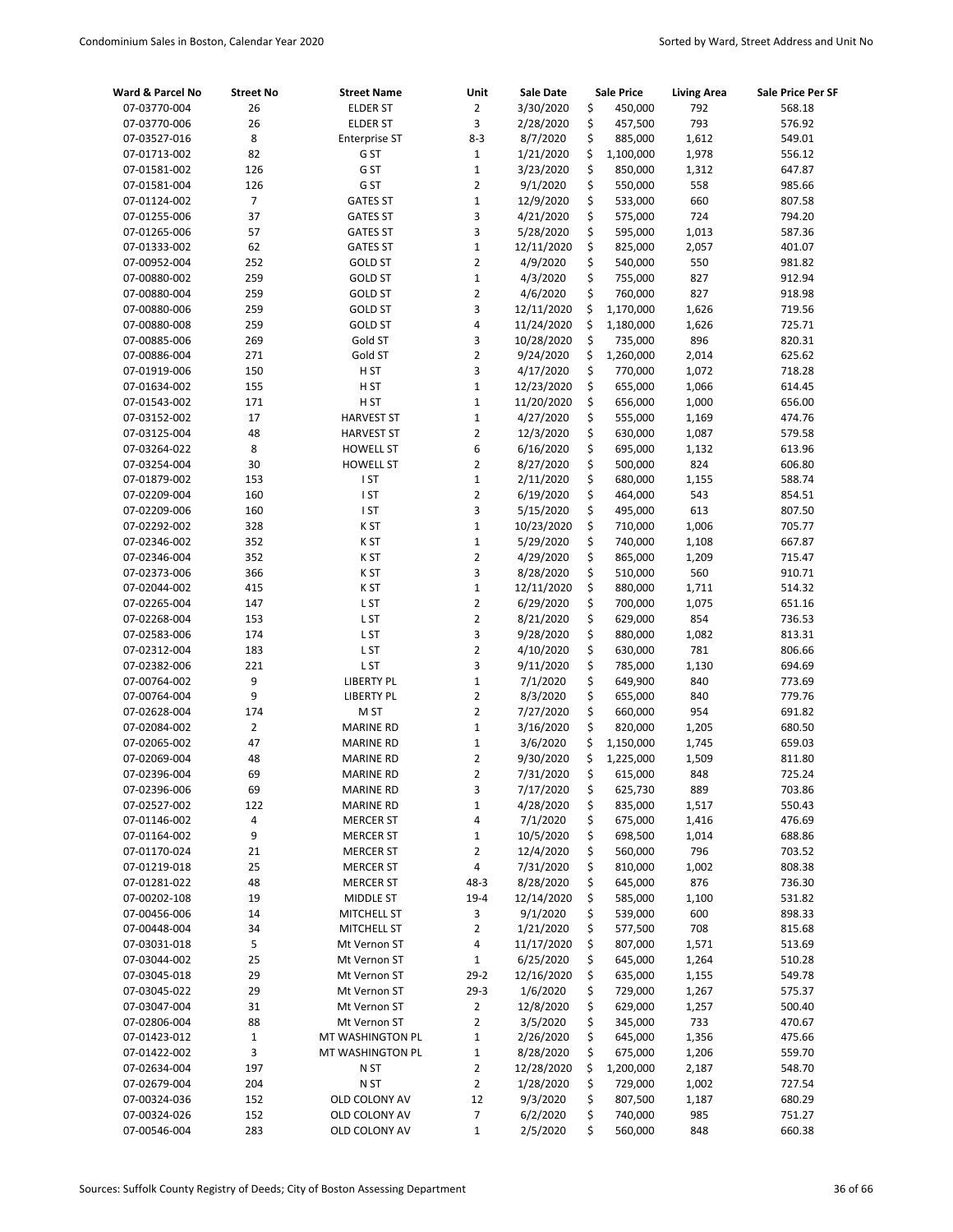| Ward & Parcel No | <b>Street No</b> | <b>Street Name</b>   | Unit           | Sale Date  |    | Sale Price | <b>Living Area</b> | Sale Price Per SF |
|------------------|------------------|----------------------|----------------|------------|----|------------|--------------------|-------------------|
| 07-03770-004     | 26               | <b>ELDER ST</b>      | $\overline{2}$ | 3/30/2020  | \$ | 450,000    | 792                | 568.18            |
| 07-03770-006     | 26               | <b>ELDER ST</b>      | 3              | 2/28/2020  | \$ | 457,500    | 793                | 576.92            |
| 07-03527-016     | 8                | <b>Enterprise ST</b> | $8 - 3$        | 8/7/2020   | \$ | 885,000    | 1,612              | 549.01            |
| 07-01713-002     | 82               | G ST                 | $\mathbf{1}$   | 1/21/2020  | \$ | 1,100,000  | 1,978              | 556.12            |
| 07-01581-002     | 126              | G ST                 | $1\,$          | 3/23/2020  | \$ | 850,000    | 1,312              | 647.87            |
| 07-01581-004     | 126              | G ST                 | $\overline{2}$ | 9/1/2020   | \$ | 550,000    | 558                | 985.66            |
| 07-01124-002     | $\overline{7}$   | <b>GATES ST</b>      | $\mathbf 1$    | 12/9/2020  | \$ | 533,000    | 660                | 807.58            |
| 07-01255-006     | 37               | <b>GATES ST</b>      | 3              | 4/21/2020  | \$ | 575,000    | 724                | 794.20            |
| 07-01265-006     | 57               | <b>GATES ST</b>      | 3              | 5/28/2020  | \$ | 595,000    | 1,013              | 587.36            |
| 07-01333-002     | 62               | <b>GATES ST</b>      | $\mathbf{1}$   | 12/11/2020 | \$ | 825,000    | 2,057              | 401.07            |
| 07-00952-004     | 252              | <b>GOLD ST</b>       | $\overline{2}$ | 4/9/2020   | \$ | 540,000    | 550                | 981.82            |
| 07-00880-002     | 259              | <b>GOLD ST</b>       | $\mathbf 1$    | 4/3/2020   | \$ | 755,000    | 827                | 912.94            |
| 07-00880-004     | 259              | <b>GOLD ST</b>       | $\overline{2}$ | 4/6/2020   | \$ | 760,000    | 827                | 918.98            |
| 07-00880-006     | 259              | <b>GOLD ST</b>       | 3              | 12/11/2020 | \$ | 1,170,000  | 1,626              | 719.56            |
| 07-00880-008     | 259              | <b>GOLD ST</b>       | 4              | 11/24/2020 | \$ | 1,180,000  | 1,626              | 725.71            |
| 07-00885-006     | 269              | Gold ST              | 3              | 10/28/2020 | \$ | 735,000    | 896                | 820.31            |
| 07-00886-004     | 271              | Gold ST              | $\overline{2}$ | 9/24/2020  | \$ | 1,260,000  | 2,014              | 625.62            |
| 07-01919-006     | 150              | H <sub>ST</sub>      | 3              | 4/17/2020  | \$ | 770,000    | 1,072              | 718.28            |
| 07-01634-002     | 155              | H ST                 | $\mathbf{1}$   | 12/23/2020 | \$ | 655,000    | 1,066              | 614.45            |
| 07-01543-002     | 171              | H ST                 | $\mathbf 1$    | 11/20/2020 | \$ | 656,000    | 1,000              | 656.00            |
| 07-03152-002     | 17               | <b>HARVEST ST</b>    | $\mathbf{1}$   | 4/27/2020  | \$ | 555,000    | 1,169              | 474.76            |
| 07-03125-004     | 48               | <b>HARVEST ST</b>    | $\overline{2}$ | 12/3/2020  | \$ | 630,000    | 1,087              | 579.58            |
| 07-03264-022     | 8                | <b>HOWELL ST</b>     | 6              | 6/16/2020  | \$ | 695,000    | 1,132              | 613.96            |
| 07-03254-004     | 30               | <b>HOWELL ST</b>     | $\overline{2}$ | 8/27/2020  | \$ | 500,000    | 824                | 606.80            |
| 07-01879-002     | 153              | I ST                 | $\mathbf{1}$   | 2/11/2020  | \$ | 680,000    | 1,155              | 588.74            |
| 07-02209-004     | 160              | I ST                 | $\overline{2}$ | 6/19/2020  | \$ | 464,000    | 543                | 854.51            |
| 07-02209-006     | 160              | I ST                 | 3              | 5/15/2020  | \$ | 495,000    | 613                | 807.50            |
| 07-02292-002     | 328              | K ST                 | $\mathbf{1}$   | 10/23/2020 | \$ | 710,000    | 1,006              | 705.77            |
| 07-02346-002     | 352              | K ST                 | $\mathbf 1$    | 5/29/2020  | \$ | 740,000    | 1,108              | 667.87            |
| 07-02346-004     | 352              | K ST                 | $\overline{2}$ | 4/29/2020  | \$ | 865,000    | 1,209              | 715.47            |
| 07-02373-006     | 366              | K ST                 | 3              | 8/28/2020  | \$ | 510,000    | 560                | 910.71            |
| 07-02044-002     | 415              | K ST                 | $\mathbf 1$    | 12/11/2020 | \$ | 880,000    | 1,711              | 514.32            |
| 07-02265-004     | 147              | L ST                 | $\overline{2}$ | 6/29/2020  | \$ | 700,000    | 1,075              | 651.16            |
| 07-02268-004     | 153              | L ST                 | $\overline{2}$ | 8/21/2020  | \$ | 629,000    | 854                | 736.53            |
| 07-02583-006     | 174              | L ST                 | 3              | 9/28/2020  | \$ | 880,000    | 1,082              | 813.31            |
| 07-02312-004     | 183              | L ST                 | $\overline{2}$ | 4/10/2020  | \$ | 630,000    | 781                | 806.66            |
| 07-02382-006     | 221              | L ST                 | 3              | 9/11/2020  | \$ | 785,000    | 1,130              | 694.69            |
| 07-00764-002     | 9                | <b>LIBERTY PL</b>    | $\mathbf 1$    | 7/1/2020   | \$ | 649,900    | 840                | 773.69            |
| 07-00764-004     | 9                | <b>LIBERTY PL</b>    | $\overline{2}$ | 8/3/2020   | \$ | 655,000    | 840                | 779.76            |
| 07-02628-004     | 174              | M ST                 | $\overline{2}$ | 7/27/2020  | \$ | 660,000    | 954                | 691.82            |
| 07-02084-002     | $\overline{2}$   | <b>MARINE RD</b>     | $\mathbf 1$    | 3/16/2020  | \$ | 820,000    | 1,205              | 680.50            |
| 07-02065-002     | 47               | <b>MARINE RD</b>     | $\mathbf 1$    | 3/6/2020   | \$ | 1,150,000  | 1,745              | 659.03            |
| 07-02069-004     | 48               | <b>MARINE RD</b>     | 2              | 9/30/2020  | \$ | 1,225,000  | 1,509              | 811.80            |
| 07-02396-004     | 69               | <b>MARINE RD</b>     | $\overline{2}$ | 7/31/2020  | Ś  | 615,000    | 848                | 725.24            |
| 07-02396-006     | 69               | <b>MARINE RD</b>     | 3              | 7/17/2020  | \$ | 625,730    | 889                | 703.86            |
| 07-02527-002     | 122              | <b>MARINE RD</b>     | $\mathbf 1$    | 4/28/2020  | \$ | 835,000    | 1,517              | 550.43            |
| 07-01146-002     | 4                | <b>MERCER ST</b>     | 4              | 7/1/2020   | \$ | 675,000    | 1,416              | 476.69            |
| 07-01164-002     | 9                | <b>MERCER ST</b>     | $\mathbf 1$    | 10/5/2020  | \$ | 698,500    | 1,014              | 688.86            |
| 07-01170-024     | 21               | <b>MERCER ST</b>     | 2              | 12/4/2020  | \$ | 560,000    | 796                | 703.52            |
| 07-01219-018     | 25               | <b>MERCER ST</b>     | 4              | 7/31/2020  | \$ | 810,000    | 1,002              | 808.38            |
| 07-01281-022     | 48               | <b>MERCER ST</b>     | $48 - 3$       | 8/28/2020  | \$ | 645,000    | 876                | 736.30            |
| 07-00202-108     | 19               | MIDDLE ST            | $19 - 4$       | 12/14/2020 | \$ | 585,000    | 1,100              | 531.82            |
| 07-00456-006     | 14               | <b>MITCHELL ST</b>   | 3              | 9/1/2020   | \$ | 539,000    | 600                | 898.33            |
| 07-00448-004     | 34               | MITCHELL ST          | $\overline{2}$ | 1/21/2020  | \$ | 577,500    | 708                | 815.68            |
| 07-03031-018     | 5                | Mt Vernon ST         | 4              | 11/17/2020 | \$ | 807,000    | 1,571              | 513.69            |
| 07-03044-002     | 25               | Mt Vernon ST         | $\mathbf{1}$   | 6/25/2020  | \$ | 645,000    | 1,264              | 510.28            |
| 07-03045-018     | 29               | Mt Vernon ST         | $29-2$         | 12/16/2020 | \$ | 635,000    | 1,155              | 549.78            |
| 07-03045-022     | 29               | Mt Vernon ST         | $29-3$         | 1/6/2020   | \$ | 729,000    | 1,267              | 575.37            |
| 07-03047-004     | 31               | Mt Vernon ST         | $\overline{2}$ | 12/8/2020  | \$ | 629,000    | 1,257              | 500.40            |
| 07-02806-004     | 88               | Mt Vernon ST         | $\overline{2}$ | 3/5/2020   | \$ | 345,000    | 733                | 470.67            |
| 07-01423-012     | $\mathbf 1$      | MT WASHINGTON PL     | $\mathbf 1$    | 2/26/2020  | \$ | 645,000    | 1,356              | 475.66            |
| 07-01422-002     | 3                | MT WASHINGTON PL     | $\mathbf{1}$   | 8/28/2020  | \$ | 675,000    | 1,206              | 559.70            |
| 07-02634-004     | 197              | N ST                 | 2              | 12/28/2020 | \$ | 1,200,000  | 2,187              | 548.70            |
| 07-02679-004     | 204              | N ST                 | $\overline{2}$ | 1/28/2020  | \$ | 729,000    | 1,002              | 727.54            |
| 07-00324-036     | 152              | OLD COLONY AV        | 12             | 9/3/2020   | \$ | 807,500    | 1,187              | 680.29            |
| 07-00324-026     | 152              | OLD COLONY AV        | 7              | 6/2/2020   | \$ | 740,000    | 985                | 751.27            |
| 07-00546-004     | 283              | OLD COLONY AV        | 1              | 2/5/2020   | \$ | 560,000    | 848                | 660.38            |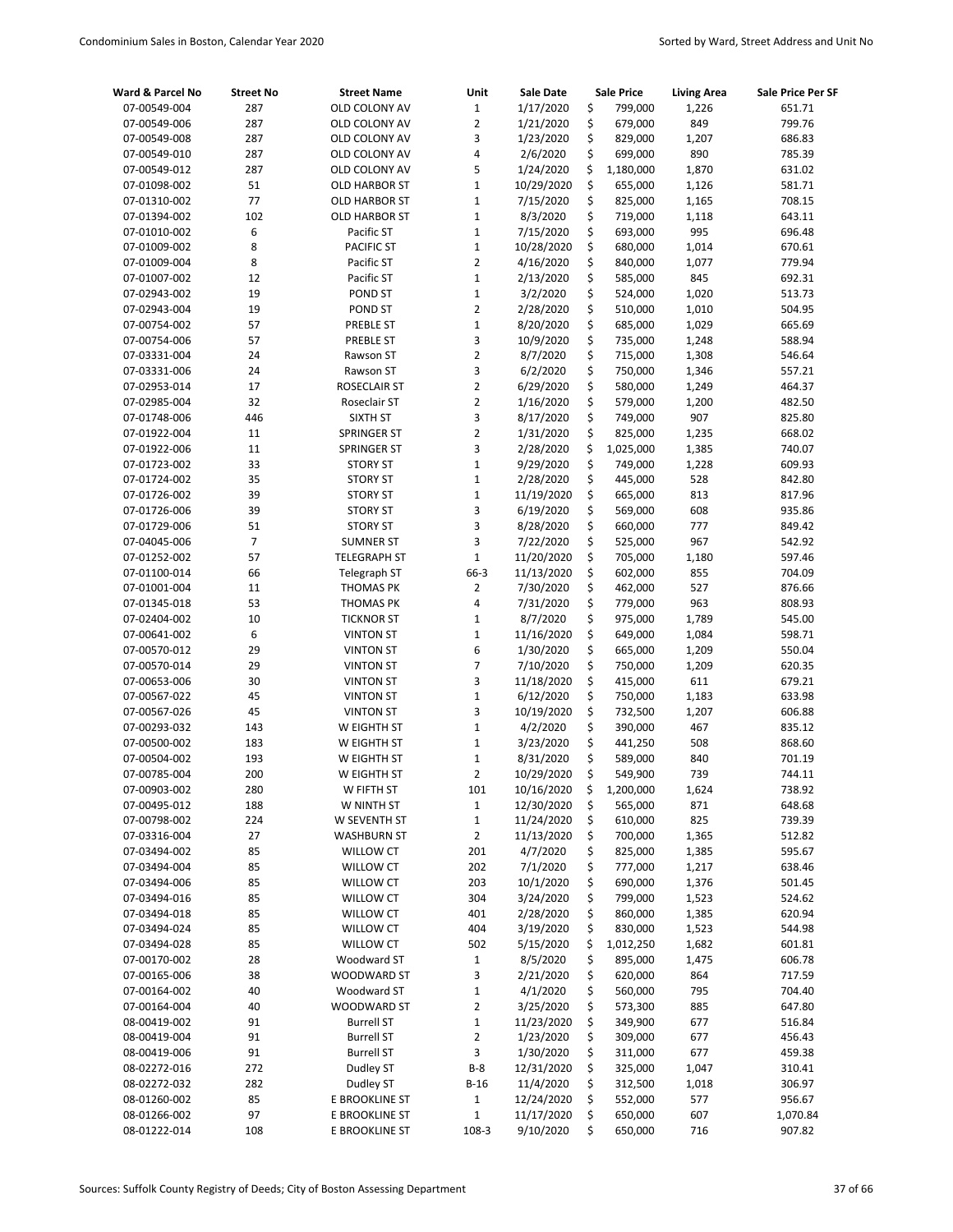| Ward & Parcel No             | <b>Street No</b> | <b>Street Name</b>                   | Unit                | <b>Sale Date</b>       |          | <b>Sale Price</b>  | <b>Living Area</b> | Sale Price Per SF |
|------------------------------|------------------|--------------------------------------|---------------------|------------------------|----------|--------------------|--------------------|-------------------|
| 07-00549-004                 | 287              | OLD COLONY AV                        | $\mathbf 1$         | 1/17/2020              | \$       | 799,000            | 1,226              | 651.71            |
| 07-00549-006                 | 287              | OLD COLONY AV                        | $\overline{2}$      | 1/21/2020              | \$       | 679,000            | 849                | 799.76            |
| 07-00549-008                 | 287              | OLD COLONY AV                        | 3                   | 1/23/2020              | \$       | 829,000            | 1,207              | 686.83            |
| 07-00549-010                 | 287              | OLD COLONY AV                        | 4                   | 2/6/2020               | \$       | 699,000            | 890                | 785.39            |
| 07-00549-012                 | 287              | OLD COLONY AV                        | 5                   | 1/24/2020              | \$       | 1,180,000          | 1,870              | 631.02            |
| 07-01098-002                 | 51               | <b>OLD HARBOR ST</b>                 | $\mathbf 1$         | 10/29/2020             | \$       | 655,000            | 1,126              | 581.71            |
| 07-01310-002                 | 77               | <b>OLD HARBOR ST</b>                 | $\mathbf 1$         | 7/15/2020              | \$       | 825,000            | 1,165              | 708.15            |
| 07-01394-002                 | 102              | <b>OLD HARBOR ST</b>                 | $\mathbf 1$         | 8/3/2020               | \$       | 719,000            | 1,118              | 643.11            |
| 07-01010-002                 | 6                | Pacific ST                           | $\mathbf{1}$        | 7/15/2020              | \$       | 693,000            | 995                | 696.48            |
| 07-01009-002                 | 8                | <b>PACIFIC ST</b>                    | $\mathbf 1$         | 10/28/2020             | \$       | 680,000            | 1,014              | 670.61            |
| 07-01009-004                 | 8                | Pacific ST                           | $\overline{2}$      | 4/16/2020              | \$       | 840,000            | 1,077              | 779.94            |
| 07-01007-002                 | 12               | Pacific ST                           | $\mathbf 1$         | 2/13/2020              | \$       | 585,000            | 845                | 692.31            |
| 07-02943-002                 | 19               | POND ST                              | $\mathbf 1$         | 3/2/2020               | \$       | 524,000            | 1,020              | 513.73            |
| 07-02943-004                 | 19               | POND ST                              | $\overline{2}$      | 2/28/2020              | \$       | 510,000            | 1,010              | 504.95            |
| 07-00754-002                 | 57               | PREBLE ST                            | $\mathbf 1$         | 8/20/2020              | \$       | 685,000            | 1,029              | 665.69            |
| 07-00754-006                 | 57               | PREBLE ST                            | 3                   | 10/9/2020              | \$       | 735,000            | 1,248              | 588.94            |
| 07-03331-004                 | 24               | Rawson ST                            | $\overline{2}$      | 8/7/2020               | \$       | 715,000            | 1,308              | 546.64            |
| 07-03331-006                 | 24               | Rawson ST                            | 3<br>$\overline{2}$ | 6/2/2020               | \$       | 750,000            | 1,346              | 557.21            |
| 07-02953-014                 | 17<br>32         | ROSECLAIR ST                         | $\overline{2}$      | 6/29/2020<br>1/16/2020 | \$<br>\$ | 580,000            | 1,249              | 464.37            |
| 07-02985-004                 |                  | Roseclair ST                         | 3                   |                        | \$       | 579,000            | 1,200<br>907       | 482.50            |
| 07-01748-006<br>07-01922-004 | 446<br>11        | SIXTH ST<br>SPRINGER ST              | $\overline{2}$      | 8/17/2020<br>1/31/2020 | \$       | 749,000<br>825,000 | 1,235              | 825.80<br>668.02  |
| 07-01922-006                 | 11               | SPRINGER ST                          | 3                   | 2/28/2020              | \$       | 1,025,000          | 1,385              | 740.07            |
| 07-01723-002                 | 33               | <b>STORY ST</b>                      | $\mathbf{1}$        | 9/29/2020              | \$       | 749,000            | 1,228              | 609.93            |
| 07-01724-002                 | 35               | <b>STORY ST</b>                      | $\mathbf 1$         | 2/28/2020              | \$       | 445,000            | 528                | 842.80            |
| 07-01726-002                 | 39               | <b>STORY ST</b>                      | $\mathbf 1$         | 11/19/2020             | \$       | 665,000            | 813                | 817.96            |
| 07-01726-006                 | 39               | <b>STORY ST</b>                      | 3                   | 6/19/2020              | \$       | 569,000            | 608                | 935.86            |
| 07-01729-006                 | 51               | <b>STORY ST</b>                      | 3                   | 8/28/2020              | \$       | 660,000            | 777                | 849.42            |
| 07-04045-006                 | $\overline{7}$   | <b>SUMNER ST</b>                     | 3                   | 7/22/2020              | \$       | 525,000            | 967                | 542.92            |
| 07-01252-002                 | 57               | <b>TELEGRAPH ST</b>                  | $\mathbf 1$         | 11/20/2020             | \$       | 705,000            | 1,180              | 597.46            |
| 07-01100-014                 | 66               | Telegraph ST                         | 66-3                | 11/13/2020             | \$       | 602,000            | 855                | 704.09            |
| 07-01001-004                 | 11               | <b>THOMAS PK</b>                     | $\overline{2}$      | 7/30/2020              | \$       | 462,000            | 527                | 876.66            |
| 07-01345-018                 | 53               | <b>THOMAS PK</b>                     | 4                   | 7/31/2020              | \$       | 779,000            | 963                | 808.93            |
| 07-02404-002                 | 10               | <b>TICKNOR ST</b>                    | $\mathbf 1$         | 8/7/2020               | \$       | 975,000            | 1,789              | 545.00            |
| 07-00641-002                 | 6                | <b>VINTON ST</b>                     | $\mathbf{1}$        | 11/16/2020             | \$       | 649,000            | 1,084              | 598.71            |
| 07-00570-012                 | 29               | <b>VINTON ST</b>                     | 6                   | 1/30/2020              | \$       | 665,000            | 1,209              | 550.04            |
| 07-00570-014                 | 29               | <b>VINTON ST</b>                     | $\overline{7}$      | 7/10/2020              | \$       | 750,000            | 1,209              | 620.35            |
| 07-00653-006                 | 30               | <b>VINTON ST</b>                     | 3                   | 11/18/2020             | \$       | 415,000            | 611                | 679.21            |
| 07-00567-022                 | 45               | <b>VINTON ST</b>                     | $\mathbf 1$         | 6/12/2020              | \$       | 750,000            | 1,183              | 633.98            |
| 07-00567-026                 | 45               | <b>VINTON ST</b>                     | 3                   | 10/19/2020             | \$       | 732,500            | 1,207              | 606.88            |
| 07-00293-032                 | 143              | W EIGHTH ST                          | $\mathbf 1$         | 4/2/2020               | \$       | 390,000            | 467                | 835.12            |
| 07-00500-002                 | 183              | W EIGHTH ST                          | $\mathbf{1}$        | 3/23/2020              | \$       | 441,250            | 508                | 868.60            |
| 07-00504-002                 | 193              | W EIGHTH ST                          | $\mathbf{1}$        | 8/31/2020              | \$       | 589,000            | 840                | 701.19            |
| 07-00785-004                 | 200              | W EIGHTH ST                          | 2                   | 10/29/2020             | Ś        | 549,900            | 739                | 744.11            |
| 07-00903-002                 | 280              | W FIFTH ST                           | 101                 | 10/16/2020             | \$       | 1,200,000          | 1,624              | 738.92            |
| 07-00495-012                 | 188              | W NINTH ST                           | $\mathbf 1$         | 12/30/2020             | \$       | 565,000            | 871                | 648.68            |
| 07-00798-002                 | 224              | W SEVENTH ST                         | $\mathbf 1$         | 11/24/2020             | \$       | 610,000            | 825                | 739.39            |
| 07-03316-004                 | 27               | <b>WASHBURN ST</b>                   | $\overline{2}$      | 11/13/2020             | \$       | 700,000            | 1,365              | 512.82            |
| 07-03494-002                 | 85               | WILLOW CT                            | 201                 | 4/7/2020               | \$       | 825,000            | 1,385              | 595.67            |
| 07-03494-004                 | 85               | <b>WILLOW CT</b>                     | 202                 | 7/1/2020               | \$       | 777,000            | 1,217              | 638.46            |
| 07-03494-006                 | 85               | <b>WILLOW CT</b>                     | 203                 | 10/1/2020              | \$       | 690,000            | 1,376              | 501.45            |
| 07-03494-016                 | 85<br>85         | <b>WILLOW CT</b>                     | 304<br>401          | 3/24/2020              | \$<br>\$ | 799,000            | 1,523              | 524.62            |
| 07-03494-018<br>07-03494-024 | 85               | <b>WILLOW CT</b>                     | 404                 | 2/28/2020<br>3/19/2020 | \$       | 860,000<br>830,000 | 1,385<br>1,523     | 620.94<br>544.98  |
| 07-03494-028                 | 85               | <b>WILLOW CT</b><br><b>WILLOW CT</b> | 502                 | 5/15/2020              | \$       | 1,012,250          | 1,682              | 601.81            |
| 07-00170-002                 | 28               | Woodward ST                          | $\mathbf{1}$        | 8/5/2020               | \$       | 895,000            | 1,475              | 606.78            |
| 07-00165-006                 | 38               | WOODWARD ST                          | 3                   | 2/21/2020              | \$       | 620,000            | 864                | 717.59            |
| 07-00164-002                 | 40               | Woodward ST                          | $\mathbf 1$         | 4/1/2020               | \$       | 560,000            | 795                | 704.40            |
| 07-00164-004                 | 40               | WOODWARD ST                          | $\overline{2}$      | 3/25/2020              | \$       | 573,300            | 885                | 647.80            |
| 08-00419-002                 | 91               | <b>Burrell ST</b>                    | $\mathbf 1$         | 11/23/2020             | \$       | 349,900            | 677                | 516.84            |
| 08-00419-004                 | 91               | <b>Burrell ST</b>                    | $\mathbf 2$         | 1/23/2020              | \$       | 309,000            | 677                | 456.43            |
| 08-00419-006                 | 91               | <b>Burrell ST</b>                    | 3                   | 1/30/2020              | \$       | 311,000            | 677                | 459.38            |
| 08-02272-016                 | 272              | Dudley ST                            | $B-8$               | 12/31/2020             | \$       | 325,000            | 1,047              | 310.41            |
| 08-02272-032                 | 282              | Dudley ST                            | $B-16$              | 11/4/2020              | \$       | 312,500            | 1,018              | 306.97            |
| 08-01260-002                 | 85               | E BROOKLINE ST                       | $\mathbf{1}$        | 12/24/2020             | \$       | 552,000            | 577                | 956.67            |
| 08-01266-002                 | 97               | E BROOKLINE ST                       | $\mathbf 1$         | 11/17/2020             | \$       | 650,000            | 607                | 1,070.84          |
| 08-01222-014                 | 108              | E BROOKLINE ST                       | 108-3               | 9/10/2020              | \$       | 650,000            | 716                | 907.82            |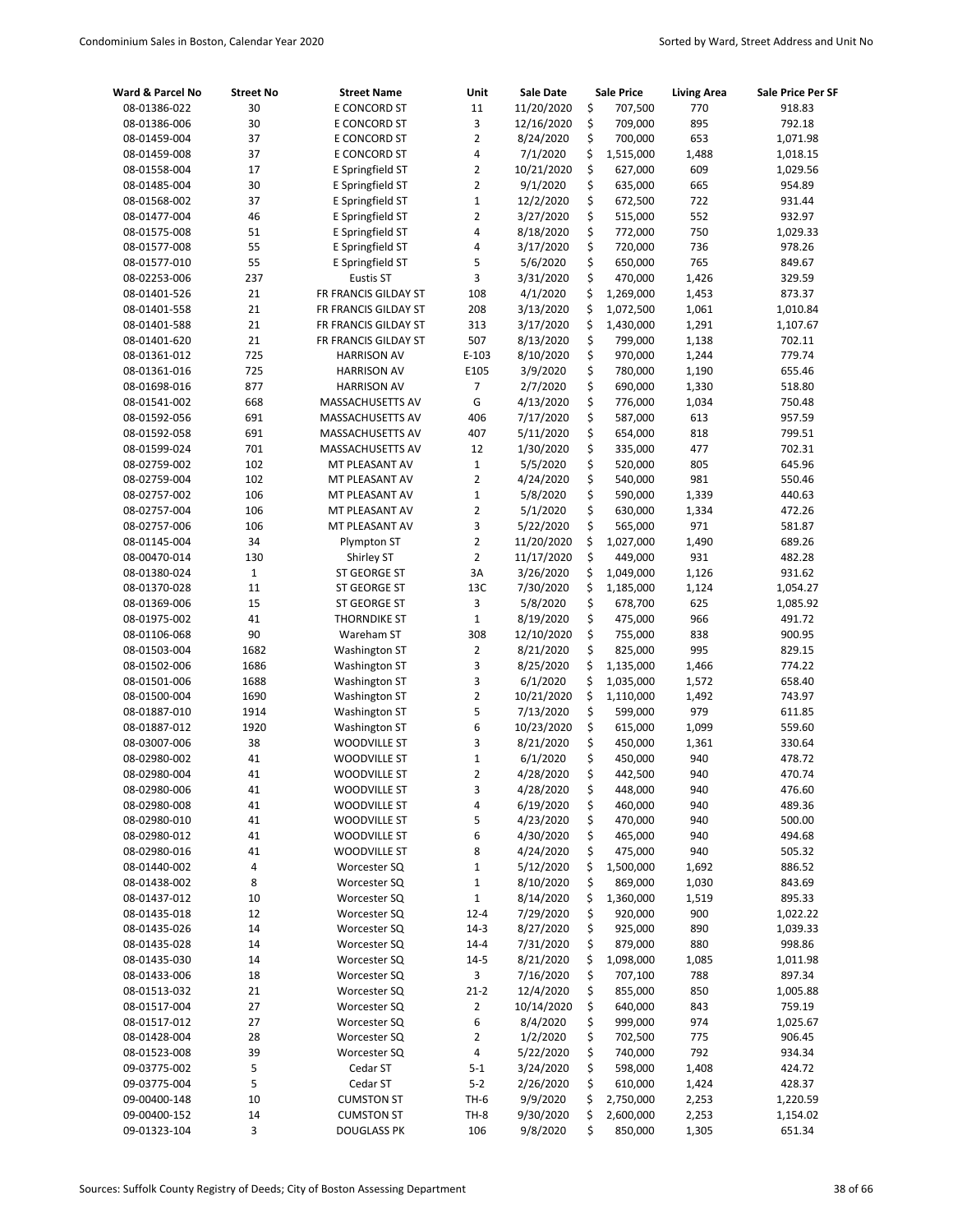| Ward & Parcel No             | <b>Street No</b>    | <b>Street Name</b>           | Unit                | Sale Date               | <b>Sale Price</b> |                    | <b>Living Area</b> | Sale Price Per SF  |
|------------------------------|---------------------|------------------------------|---------------------|-------------------------|-------------------|--------------------|--------------------|--------------------|
| 08-01386-022                 | 30                  | E CONCORD ST                 | 11                  | 11/20/2020              | \$                | 707,500            | 770                | 918.83             |
| 08-01386-006                 | 30                  | E CONCORD ST                 | 3                   | 12/16/2020              | \$                | 709,000            | 895                | 792.18             |
| 08-01459-004                 | 37                  | E CONCORD ST                 | $\overline{2}$      | 8/24/2020               | \$                | 700,000            | 653                | 1,071.98           |
| 08-01459-008                 | 37                  | E CONCORD ST                 | 4                   | 7/1/2020                | \$                | 1,515,000          | 1,488              | 1,018.15           |
| 08-01558-004                 | 17                  | E Springfield ST             | 2                   | 10/21/2020              | \$                | 627,000            | 609                | 1,029.56           |
| 08-01485-004                 | 30                  | E Springfield ST             | 2                   | 9/1/2020                | \$                | 635,000            | 665                | 954.89             |
| 08-01568-002                 | 37                  | E Springfield ST             | $\mathbf 1$         | 12/2/2020               | \$                | 672,500            | 722                | 931.44             |
| 08-01477-004                 | 46                  | E Springfield ST             | 2                   | 3/27/2020               | \$                | 515,000            | 552                | 932.97             |
| 08-01575-008                 | 51                  | E Springfield ST             | 4                   | 8/18/2020               | \$                | 772,000            | 750                | 1,029.33           |
| 08-01577-008                 | 55                  | E Springfield ST             | 4                   | 3/17/2020               | \$                | 720,000            | 736                | 978.26             |
| 08-01577-010                 | 55                  | E Springfield ST             | 5                   | 5/6/2020                | \$                | 650,000            | 765                | 849.67             |
| 08-02253-006                 | 237                 | <b>Eustis ST</b>             | 3                   | 3/31/2020               | \$                | 470,000            | 1,426              | 329.59             |
| 08-01401-526                 | 21                  | FR FRANCIS GILDAY ST         | 108                 | 4/1/2020                | \$                | 1,269,000          | 1,453              | 873.37             |
| 08-01401-558                 | 21                  | FR FRANCIS GILDAY ST         | 208                 | 3/13/2020               | \$                | 1,072,500          | 1,061              | 1,010.84           |
| 08-01401-588                 | 21                  | FR FRANCIS GILDAY ST         | 313                 | 3/17/2020               | \$                | 1,430,000          | 1,291              | 1,107.67           |
| 08-01401-620                 | 21                  | FR FRANCIS GILDAY ST         | 507                 | 8/13/2020               | \$                | 799,000            | 1,138              | 702.11             |
| 08-01361-012                 | 725                 | <b>HARRISON AV</b>           | $E-103$             | 8/10/2020               | \$                | 970,000            | 1,244              | 779.74             |
| 08-01361-016                 | 725                 | <b>HARRISON AV</b>           | E105                | 3/9/2020                | \$                | 780,000            | 1,190              | 655.46             |
| 08-01698-016                 | 877                 | <b>HARRISON AV</b>           | 7                   | 2/7/2020                | \$                | 690,000            | 1,330              | 518.80             |
| 08-01541-002                 | 668                 | MASSACHUSETTS AV             | G                   | 4/13/2020               | \$                | 776,000            | 1,034              | 750.48             |
| 08-01592-056                 | 691                 | MASSACHUSETTS AV             | 406                 | 7/17/2020               | \$                | 587,000            | 613                | 957.59             |
| 08-01592-058                 | 691                 | MASSACHUSETTS AV             | 407                 | 5/11/2020               | \$                | 654,000            | 818                | 799.51             |
| 08-01599-024                 | 701                 | MASSACHUSETTS AV             | 12                  | 1/30/2020               | \$                | 335,000            | 477                | 702.31             |
| 08-02759-002                 | 102                 | MT PLEASANT AV               | $\mathbf 1$         | 5/5/2020                | \$                | 520,000            | 805                | 645.96             |
| 08-02759-004                 | 102                 | MT PLEASANT AV               | $\overline{2}$      | 4/24/2020               | \$                | 540,000            | 981                | 550.46             |
| 08-02757-002                 | 106                 | MT PLEASANT AV               | $\mathbf 1$         | 5/8/2020                | \$                | 590,000            | 1,339              | 440.63             |
| 08-02757-004                 | 106                 | MT PLEASANT AV               | 2                   | 5/1/2020                | \$                | 630,000            | 1,334              | 472.26             |
| 08-02757-006                 | 106                 | MT PLEASANT AV               | 3                   | 5/22/2020               | \$                | 565,000            | 971                | 581.87             |
| 08-01145-004                 | 34                  | Plympton ST                  | 2<br>$\overline{2}$ | 11/20/2020              | \$                | 1,027,000          | 1,490<br>931       | 689.26             |
| 08-00470-014                 | 130<br>$\mathbf{1}$ | Shirley ST<br>ST GEORGE ST   | 3A                  | 11/17/2020<br>3/26/2020 | \$<br>\$          | 449,000            | 1,126              | 482.28<br>931.62   |
| 08-01380-024                 | 11                  |                              | 13C                 |                         | \$                | 1,049,000          |                    |                    |
| 08-01370-028                 | 15                  | ST GEORGE ST<br>ST GEORGE ST | 3                   | 7/30/2020<br>5/8/2020   | \$                | 1,185,000          | 1,124<br>625       | 1,054.27           |
| 08-01369-006<br>08-01975-002 | 41                  | <b>THORNDIKE ST</b>          | $\mathbf{1}$        | 8/19/2020               | \$                | 678,700<br>475,000 | 966                | 1,085.92<br>491.72 |
| 08-01106-068                 | 90                  | Wareham ST                   | 308                 | 12/10/2020              | \$                | 755,000            | 838                | 900.95             |
| 08-01503-004                 | 1682                | <b>Washington ST</b>         | $\overline{2}$      | 8/21/2020               | \$                | 825,000            | 995                | 829.15             |
| 08-01502-006                 | 1686                | <b>Washington ST</b>         | 3                   | 8/25/2020               | \$                | 1,135,000          | 1,466              | 774.22             |
| 08-01501-006                 | 1688                | <b>Washington ST</b>         | 3                   | 6/1/2020                | \$                | 1,035,000          | 1,572              | 658.40             |
| 08-01500-004                 | 1690                | Washington ST                | $\overline{2}$      | 10/21/2020              | \$                | 1,110,000          | 1,492              | 743.97             |
| 08-01887-010                 | 1914                | <b>Washington ST</b>         | 5                   | 7/13/2020               | \$                | 599,000            | 979                | 611.85             |
| 08-01887-012                 | 1920                | <b>Washington ST</b>         | 6                   | 10/23/2020              | \$                | 615,000            | 1,099              | 559.60             |
| 08-03007-006                 | 38                  | WOODVILLE ST                 | 3                   | 8/21/2020               | \$                | 450,000            | 1,361              | 330.64             |
| 08-02980-002                 | 41                  | <b>WOODVILLE ST</b>          | $\mathbf 1$         | 6/1/2020                | \$                | 450,000            | 940                | 478.72             |
| 08-02980-004                 | 41                  | <b>WOODVILLE ST</b>          | $\overline{2}$      | 4/28/2020               | \$                | 442,500            | 940                | 470.74             |
| 08-02980-006                 | 41                  | <b>WOODVILLE ST</b>          | 3                   | 4/28/2020               | \$                | 448,000            | 940                | 476.60             |
| 08-02980-008                 | 41                  | <b>WOODVILLE ST</b>          | 4                   | 6/19/2020               | \$                | 460,000            | 940                | 489.36             |
| 08-02980-010                 | 41                  | WOODVILLE ST                 | 5                   | 4/23/2020               | \$                | 470,000            | 940                | 500.00             |
| 08-02980-012                 | 41                  | WOODVILLE ST                 | 6                   | 4/30/2020               | \$                | 465,000            | 940                | 494.68             |
| 08-02980-016                 | 41                  | <b>WOODVILLE ST</b>          | 8                   | 4/24/2020               | \$                | 475,000            | 940                | 505.32             |
| 08-01440-002                 | 4                   | Worcester SQ                 | $\mathbf 1$         | 5/12/2020               | \$                | 1,500,000          | 1,692              | 886.52             |
| 08-01438-002                 | 8                   | Worcester SQ                 | $\mathbf 1$         | 8/10/2020               | \$                | 869,000            | 1,030              | 843.69             |
| 08-01437-012                 | 10                  | Worcester SQ                 | $\mathbf 1$         | 8/14/2020               | \$                | 1,360,000          | 1,519              | 895.33             |
| 08-01435-018                 | 12                  | Worcester SQ                 | $12 - 4$            | 7/29/2020               | \$                | 920,000            | 900                | 1,022.22           |
| 08-01435-026                 | 14                  | Worcester SQ                 | 14-3                | 8/27/2020               | \$                | 925,000            | 890                | 1,039.33           |
| 08-01435-028                 | 14                  | Worcester SQ                 | $14 - 4$            | 7/31/2020               | \$                | 879,000            | 880                | 998.86             |
| 08-01435-030                 | 14                  | Worcester SQ                 | $14 - 5$            | 8/21/2020               | \$                | 1,098,000          | 1,085              | 1,011.98           |
| 08-01433-006                 | 18                  | Worcester SQ                 | 3                   | 7/16/2020               | \$                | 707,100            | 788                | 897.34             |
| 08-01513-032                 | 21                  | Worcester SQ                 | $21 - 2$            | 12/4/2020               | \$                | 855,000            | 850                | 1,005.88           |
| 08-01517-004                 | 27                  | Worcester SQ                 | 2                   | 10/14/2020              | \$                | 640,000            | 843                | 759.19             |
| 08-01517-012                 | 27                  | Worcester SQ                 | 6                   | 8/4/2020                | \$                | 999,000            | 974                | 1,025.67           |
| 08-01428-004                 | 28                  | Worcester SQ                 | 2                   | 1/2/2020                | \$                | 702,500            | 775                | 906.45             |
| 08-01523-008                 | 39                  | Worcester SQ                 | 4                   | 5/22/2020               | \$                | 740,000            | 792                | 934.34             |
| 09-03775-002                 | 5                   | Cedar ST                     | $5-1$               | 3/24/2020               | \$                | 598,000            | 1,408              | 424.72             |
| 09-03775-004                 | 5                   | Cedar ST                     | $5 - 2$             | 2/26/2020               | \$                | 610,000            | 1,424              | 428.37             |
| 09-00400-148                 | 10                  | <b>CUMSTON ST</b>            | $TH-6$              | 9/9/2020                | \$                | 2,750,000          | 2,253              | 1,220.59           |
| 09-00400-152                 | 14                  | <b>CUMSTON ST</b>            | TH-8                | 9/30/2020               | \$                | 2,600,000          | 2,253              | 1,154.02           |
| 09-01323-104                 | 3                   | <b>DOUGLASS PK</b>           | 106                 | 9/8/2020                | \$                | 850,000            | 1,305              | 651.34             |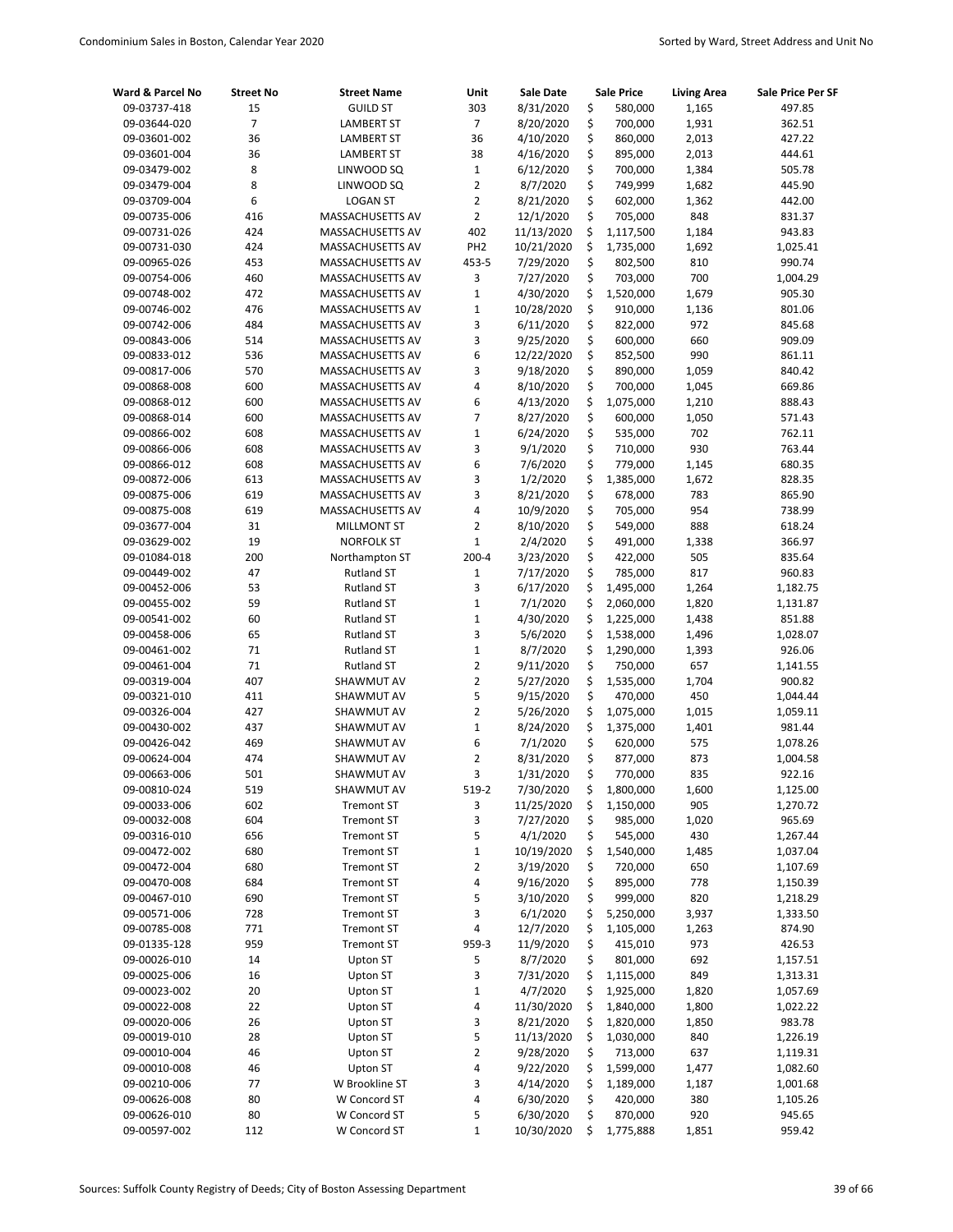| Ward & Parcel No             | <b>Street No</b> | <b>Street Name</b>                  | Unit                           | <b>Sale Date</b>      |          | <b>Sale Price</b>  | <b>Living Area</b> | Sale Price Per SF |
|------------------------------|------------------|-------------------------------------|--------------------------------|-----------------------|----------|--------------------|--------------------|-------------------|
| 09-03737-418                 | 15               | <b>GUILD ST</b>                     | 303                            | 8/31/2020             | \$       | 580,000            | 1,165              | 497.85            |
| 09-03644-020                 | $\overline{7}$   | <b>LAMBERT ST</b>                   | $\overline{7}$                 | 8/20/2020             | \$       | 700,000            | 1,931              | 362.51            |
| 09-03601-002                 | 36               | <b>LAMBERT ST</b>                   | 36                             | 4/10/2020             | \$       | 860,000            | 2,013              | 427.22            |
| 09-03601-004                 | 36               | <b>LAMBERT ST</b>                   | 38                             | 4/16/2020             | \$       | 895,000            | 2,013              | 444.61            |
| 09-03479-002                 | 8                | LINWOOD SQ                          | $\mathbf{1}$                   | 6/12/2020             | \$       | 700,000            | 1,384              | 505.78            |
| 09-03479-004                 | 8                | LINWOOD SQ                          | $\overline{2}$                 | 8/7/2020              | \$       | 749,999            | 1,682              | 445.90            |
| 09-03709-004                 | 6                | <b>LOGAN ST</b>                     | $\overline{2}$                 | 8/21/2020             | \$       | 602,000            | 1,362              | 442.00            |
| 09-00735-006                 | 416              | MASSACHUSETTS AV                    | $\overline{2}$                 | 12/1/2020             | \$       | 705,000            | 848                | 831.37            |
| 09-00731-026                 | 424              | MASSACHUSETTS AV                    | 402                            | 11/13/2020            | \$       | 1,117,500          | 1,184              | 943.83            |
| 09-00731-030                 | 424              | MASSACHUSETTS AV                    | PH <sub>2</sub>                | 10/21/2020            | \$       | 1,735,000          | 1,692              | 1,025.41          |
| 09-00965-026                 | 453              | MASSACHUSETTS AV                    | 453-5                          | 7/29/2020             | \$       | 802,500            | 810                | 990.74            |
| 09-00754-006                 | 460              | MASSACHUSETTS AV                    | 3                              | 7/27/2020             | \$       | 703,000            | 700                | 1,004.29          |
| 09-00748-002                 | 472              | MASSACHUSETTS AV                    | $\mathbf 1$                    | 4/30/2020             | \$       | 1,520,000          | 1,679              | 905.30            |
| 09-00746-002                 | 476              | MASSACHUSETTS AV                    | $\mathbf 1$                    | 10/28/2020            | \$       | 910,000            | 1,136              | 801.06            |
| 09-00742-006                 | 484              | MASSACHUSETTS AV                    | 3                              | 6/11/2020             | \$       | 822,000            | 972                | 845.68            |
| 09-00843-006                 | 514              | MASSACHUSETTS AV                    | 3                              | 9/25/2020             | \$       | 600,000            | 660                | 909.09            |
| 09-00833-012                 | 536              | MASSACHUSETTS AV                    | 6                              | 12/22/2020            | \$       | 852,500            | 990                | 861.11            |
| 09-00817-006                 | 570              | MASSACHUSETTS AV                    | 3                              | 9/18/2020             | \$       | 890,000            | 1,059              | 840.42            |
| 09-00868-008                 | 600              | MASSACHUSETTS AV                    | 4                              | 8/10/2020             | \$       | 700,000            | 1,045              | 669.86            |
| 09-00868-012                 | 600              | MASSACHUSETTS AV                    | 6                              | 4/13/2020             | \$       | 1,075,000          | 1,210              | 888.43            |
| 09-00868-014                 | 600              | MASSACHUSETTS AV                    | $\overline{7}$                 | 8/27/2020             | \$       | 600,000            | 1,050              | 571.43            |
| 09-00866-002                 | 608              | MASSACHUSETTS AV                    | $\mathbf 1$                    | 6/24/2020             | \$       | 535,000            | 702                | 762.11            |
| 09-00866-006                 | 608              | MASSACHUSETTS AV                    | 3                              | 9/1/2020              | \$       | 710,000            | 930                | 763.44            |
| 09-00866-012                 | 608              | MASSACHUSETTS AV                    | 6                              | 7/6/2020              | \$       | 779,000            | 1,145              | 680.35            |
| 09-00872-006                 | 613              | MASSACHUSETTS AV                    | 3                              | 1/2/2020              | \$       | 1,385,000          | 1,672              | 828.35            |
| 09-00875-006                 | 619              | MASSACHUSETTS AV                    | 3                              | 8/21/2020             | \$       | 678,000            | 783                | 865.90            |
| 09-00875-008                 | 619              | MASSACHUSETTS AV                    | 4                              | 10/9/2020             | \$       | 705,000            | 954                | 738.99            |
| 09-03677-004                 | 31<br>19         | <b>MILLMONT ST</b>                  | $\overline{2}$<br>$\mathbf{1}$ | 8/10/2020             | \$<br>\$ | 549,000            | 888                | 618.24            |
| 09-03629-002                 | 200              | <b>NORFOLK ST</b>                   | $200 - 4$                      | 2/4/2020<br>3/23/2020 | \$       | 491,000            | 1,338<br>505       | 366.97            |
| 09-01084-018<br>09-00449-002 | 47               | Northampton ST<br><b>Rutland ST</b> | $\mathbf{1}$                   | 7/17/2020             | \$       | 422,000<br>785,000 | 817                | 835.64<br>960.83  |
| 09-00452-006                 | 53               | <b>Rutland ST</b>                   | 3                              | 6/17/2020             | \$       | 1,495,000          | 1,264              | 1,182.75          |
| 09-00455-002                 | 59               | <b>Rutland ST</b>                   | $\mathbf{1}$                   | 7/1/2020              | \$       | 2,060,000          | 1,820              | 1,131.87          |
| 09-00541-002                 | 60               | <b>Rutland ST</b>                   | $\mathbf{1}$                   | 4/30/2020             | \$       | 1,225,000          | 1,438              | 851.88            |
| 09-00458-006                 | 65               | <b>Rutland ST</b>                   | 3                              | 5/6/2020              | \$       | 1,538,000          | 1,496              | 1,028.07          |
| 09-00461-002                 | 71               | <b>Rutland ST</b>                   | $\mathbf 1$                    | 8/7/2020              | \$       | 1,290,000          | 1,393              | 926.06            |
| 09-00461-004                 | 71               | <b>Rutland ST</b>                   | $\overline{2}$                 | 9/11/2020             | \$       | 750,000            | 657                | 1,141.55          |
| 09-00319-004                 | 407              | SHAWMUT AV                          | $\overline{2}$                 | 5/27/2020             | \$       | 1,535,000          | 1,704              | 900.82            |
| 09-00321-010                 | 411              | SHAWMUT AV                          | 5                              | 9/15/2020             | \$       | 470,000            | 450                | 1,044.44          |
| 09-00326-004                 | 427              | SHAWMUT AV                          | $\overline{2}$                 | 5/26/2020             | \$       | 1,075,000          | 1,015              | 1,059.11          |
| 09-00430-002                 | 437              | SHAWMUT AV                          | $\mathbf 1$                    | 8/24/2020             | \$       | 1,375,000          | 1,401              | 981.44            |
| 09-00426-042                 | 469              | SHAWMUT AV                          | 6                              | 7/1/2020              | \$       | 620,000            | 575                | 1,078.26          |
| 09-00624-004                 | 474              | SHAWMUT AV                          | $\overline{2}$                 | 8/31/2020             | \$       | 877,000            | 873                | 1,004.58          |
| 09-00663-006                 | 501              | SHAWMUT AV                          | 3                              | 1/31/2020             | \$       | 770,000            | 835                | 922.16            |
| 09-00810-024                 | 519              | SHAWMUT AV                          | 519-2                          | 7/30/2020             | \$       | 1,800,000          | 1,600              | 1,125.00          |
| 09-00033-006                 | 602              | <b>Tremont ST</b>                   | 3                              | 11/25/2020            | \$       | 1,150,000          | 905                | 1,270.72          |
| 09-00032-008                 | 604              | <b>Tremont ST</b>                   | 3                              | 7/27/2020             | \$       | 985,000            | 1,020              | 965.69            |
| 09-00316-010                 | 656              | <b>Tremont ST</b>                   | 5                              | 4/1/2020              | \$       | 545,000            | 430                | 1,267.44          |
| 09-00472-002                 | 680              | <b>Tremont ST</b>                   | $\mathbf 1$                    | 10/19/2020            | \$       | 1,540,000          | 1,485              | 1,037.04          |
| 09-00472-004                 | 680              | <b>Tremont ST</b>                   | $\overline{2}$                 | 3/19/2020             | \$       | 720,000            | 650                | 1,107.69          |
| 09-00470-008                 | 684              | <b>Tremont ST</b>                   | 4                              | 9/16/2020             | \$       | 895,000            | 778                | 1,150.39          |
| 09-00467-010                 | 690              | <b>Tremont ST</b>                   | 5                              | 3/10/2020             | \$       | 999,000            | 820                | 1,218.29          |
| 09-00571-006                 | 728              | <b>Tremont ST</b>                   | 3                              | 6/1/2020              | \$       | 5,250,000          | 3,937              | 1,333.50          |
| 09-00785-008                 | 771              | <b>Tremont ST</b>                   | 4                              | 12/7/2020             | \$       | 1,105,000          | 1,263              | 874.90            |
| 09-01335-128                 | 959              | <b>Tremont ST</b>                   | 959-3                          | 11/9/2020             | \$       | 415,010            | 973                | 426.53            |
| 09-00026-010                 | 14               | Upton ST                            | 5                              | 8/7/2020              | \$       | 801,000            | 692                | 1,157.51          |
| 09-00025-006                 | 16               | Upton ST                            | 3                              | 7/31/2020             | \$       | 1,115,000          | 849                | 1,313.31          |
| 09-00023-002                 | 20               | Upton ST                            | $\mathbf 1$                    | 4/7/2020              | \$       | 1,925,000          | 1,820              | 1,057.69          |
| 09-00022-008                 | 22               | Upton ST                            | 4                              | 11/30/2020            | \$       | 1,840,000          | 1,800              | 1,022.22          |
| 09-00020-006                 | 26               | Upton ST                            | 3                              | 8/21/2020             | \$       | 1,820,000          | 1,850              | 983.78            |
| 09-00019-010                 | 28               | Upton ST                            | 5                              | 11/13/2020            | \$       | 1,030,000          | 840                | 1,226.19          |
| 09-00010-004                 | 46               | Upton ST                            | $\overline{2}$                 | 9/28/2020             | \$       | 713,000            | 637                | 1,119.31          |
| 09-00010-008                 | 46               | Upton ST                            | 4                              | 9/22/2020             | \$       | 1,599,000          | 1,477              | 1,082.60          |
| 09-00210-006                 | 77               | W Brookline ST                      | 3                              | 4/14/2020             | \$       | 1,189,000          | 1,187              | 1,001.68          |
| 09-00626-008                 | 80               | W Concord ST                        | 4                              | 6/30/2020             | \$       | 420,000            | 380                | 1,105.26          |
| 09-00626-010                 | 80               | W Concord ST                        | 5                              | 6/30/2020             | \$       | 870,000            | 920                | 945.65            |
| 09-00597-002                 | 112              | W Concord ST                        | $\mathbf{1}$                   | 10/30/2020            | \$       | 1,775,888          | 1,851              | 959.42            |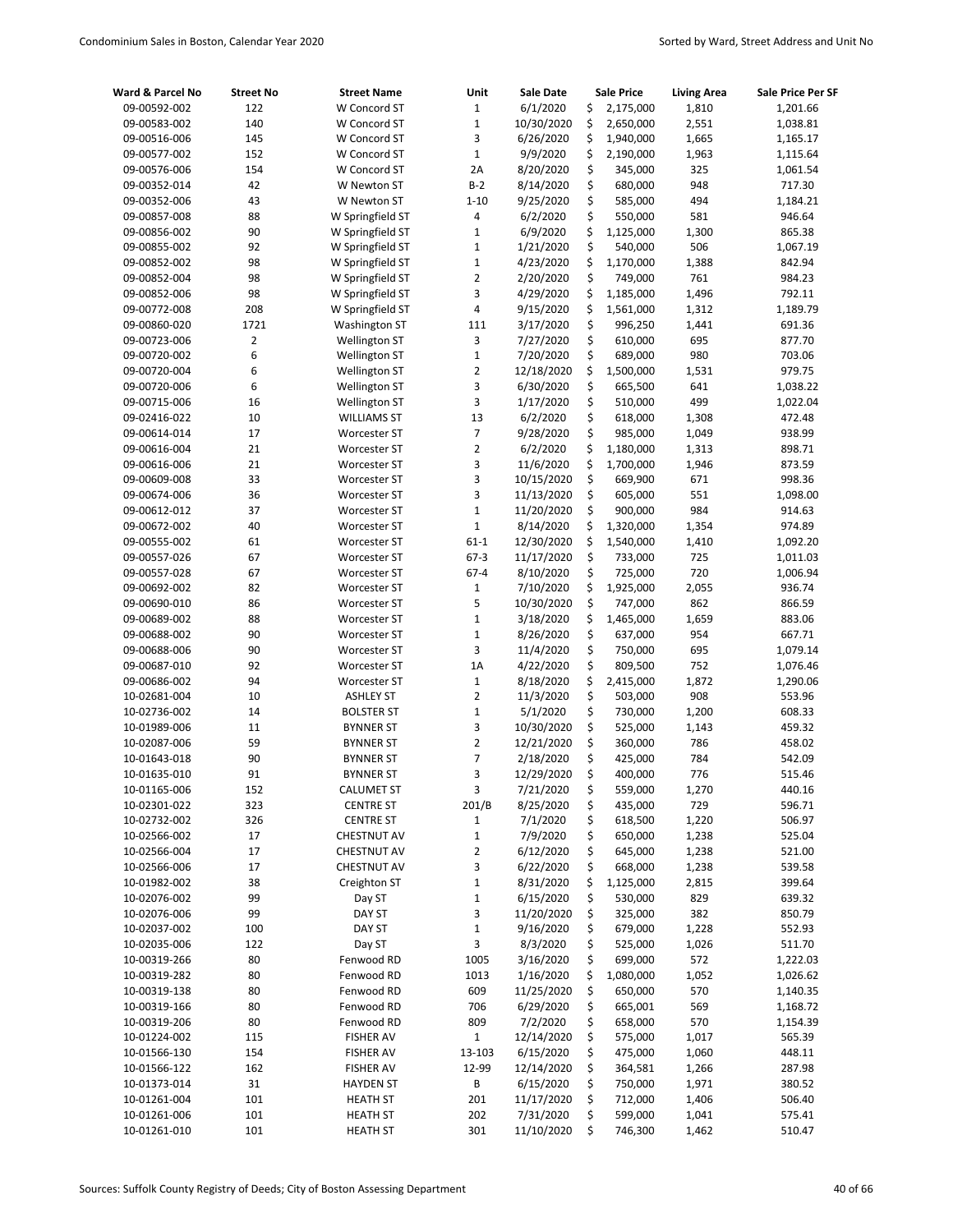| Ward & Parcel No             | <b>Street No</b> | <b>Street Name</b>                    | Unit                    | <b>Sale Date</b>        |          | <b>Sale Price</b>  | <b>Living Area</b> | <b>Sale Price Per SF</b> |
|------------------------------|------------------|---------------------------------------|-------------------------|-------------------------|----------|--------------------|--------------------|--------------------------|
| 09-00592-002                 | 122              | W Concord ST                          | $\mathbf 1$             | 6/1/2020                | \$       | 2,175,000          | 1,810              | 1,201.66                 |
| 09-00583-002                 | 140              | W Concord ST                          | $\mathbf 1$             | 10/30/2020              | \$       | 2,650,000          | 2,551              | 1,038.81                 |
| 09-00516-006                 | 145              | W Concord ST                          | 3                       | 6/26/2020               | \$       | 1,940,000          | 1,665              | 1,165.17                 |
| 09-00577-002                 | 152              | W Concord ST                          | $\mathbf 1$             | 9/9/2020                | \$       | 2,190,000          | 1,963              | 1,115.64                 |
| 09-00576-006                 | 154              | W Concord ST                          | 2A                      | 8/20/2020               | \$       | 345,000            | 325                | 1,061.54                 |
| 09-00352-014                 | 42               | W Newton ST                           | $B-2$                   | 8/14/2020               | \$       | 680,000            | 948                | 717.30                   |
| 09-00352-006                 | 43               | W Newton ST                           | $1 - 10$                | 9/25/2020               | \$       | 585,000            | 494                | 1,184.21                 |
| 09-00857-008                 | 88               | W Springfield ST                      | 4                       | 6/2/2020                | \$       | 550,000            | 581                | 946.64                   |
| 09-00856-002                 | 90               | W Springfield ST                      | $\mathbf 1$             | 6/9/2020                | \$       | 1,125,000          | 1,300              | 865.38                   |
| 09-00855-002                 | 92               | W Springfield ST                      | $\mathbf 1$             | 1/21/2020               | \$       | 540,000            | 506                | 1,067.19                 |
| 09-00852-002                 | 98               | W Springfield ST                      | $\mathbf 1$             | 4/23/2020               | \$       | 1,170,000          | 1,388              | 842.94                   |
| 09-00852-004                 | 98               | W Springfield ST                      | $\overline{2}$          | 2/20/2020               | \$       | 749,000            | 761                | 984.23                   |
| 09-00852-006                 | 98               | W Springfield ST                      | 3                       | 4/29/2020               | \$       | 1,185,000          | 1,496              | 792.11                   |
| 09-00772-008                 | 208<br>1721      | W Springfield ST                      | 4<br>111                | 9/15/2020               | \$       | 1,561,000          | 1,312              | 1,189.79                 |
| 09-00860-020<br>09-00723-006 | $\overline{2}$   | Washington ST<br><b>Wellington ST</b> | 3                       | 3/17/2020<br>7/27/2020  | \$<br>\$ | 996,250<br>610,000 | 1,441<br>695       | 691.36<br>877.70         |
| 09-00720-002                 | 6                | Wellington ST                         | $\mathbf 1$             | 7/20/2020               | \$       | 689,000            | 980                | 703.06                   |
| 09-00720-004                 | 6                | <b>Wellington ST</b>                  | $\overline{2}$          | 12/18/2020              | \$       | 1,500,000          | 1,531              | 979.75                   |
| 09-00720-006                 | 6                | <b>Wellington ST</b>                  | 3                       | 6/30/2020               | \$       | 665,500            | 641                | 1,038.22                 |
| 09-00715-006                 | 16               | <b>Wellington ST</b>                  | 3                       | 1/17/2020               | \$       | 510,000            | 499                | 1,022.04                 |
| 09-02416-022                 | 10               | <b>WILLIAMS ST</b>                    | 13                      | 6/2/2020                | \$       | 618,000            | 1,308              | 472.48                   |
| 09-00614-014                 | 17               | Worcester ST                          | $\overline{7}$          | 9/28/2020               | \$       | 985,000            | 1,049              | 938.99                   |
| 09-00616-004                 | 21               | Worcester ST                          | $\overline{2}$          | 6/2/2020                | \$       | 1,180,000          | 1,313              | 898.71                   |
| 09-00616-006                 | 21               | Worcester ST                          | 3                       | 11/6/2020               | \$       | 1,700,000          | 1,946              | 873.59                   |
| 09-00609-008                 | 33               | <b>Worcester ST</b>                   | 3                       | 10/15/2020              | \$       | 669,900            | 671                | 998.36                   |
| 09-00674-006                 | 36               | <b>Worcester ST</b>                   | 3                       | 11/13/2020              | \$       | 605,000            | 551                | 1,098.00                 |
| 09-00612-012                 | 37               | Worcester ST                          | $\mathbf 1$             | 11/20/2020              | \$       | 900,000            | 984                | 914.63                   |
| 09-00672-002                 | 40               | <b>Worcester ST</b>                   | $\mathbf 1$             | 8/14/2020               | \$       | 1,320,000          | 1,354              | 974.89                   |
| 09-00555-002                 | 61               | Worcester ST                          | $61 - 1$                | 12/30/2020              | \$       | 1,540,000          | 1,410              | 1,092.20                 |
| 09-00557-026                 | 67               | Worcester ST                          | $67-3$                  | 11/17/2020              | \$       | 733,000            | 725                | 1,011.03                 |
| 09-00557-028                 | 67               | Worcester ST                          | $67 - 4$                | 8/10/2020               | \$       | 725,000            | 720                | 1,006.94                 |
| 09-00692-002                 | 82               | Worcester ST                          | $\mathbf{1}$            | 7/10/2020               | \$       | 1,925,000          | 2,055              | 936.74                   |
| 09-00690-010                 | 86               | Worcester ST                          | 5                       | 10/30/2020              | \$       | 747,000            | 862                | 866.59                   |
| 09-00689-002                 | 88               | Worcester ST                          | $\mathbf 1$             | 3/18/2020               | \$       | 1,465,000          | 1,659              | 883.06                   |
| 09-00688-002                 | 90               | Worcester ST                          | $\mathbf 1$             | 8/26/2020               | \$       | 637,000            | 954                | 667.71                   |
| 09-00688-006                 | 90               | Worcester ST                          | 3                       | 11/4/2020               | \$       | 750,000            | 695                | 1,079.14                 |
| 09-00687-010                 | 92               | <b>Worcester ST</b>                   | 1A                      | 4/22/2020               | \$       | 809,500            | 752                | 1,076.46                 |
| 09-00686-002                 | 94               | Worcester ST                          | $\mathbf 1$             | 8/18/2020               | \$       | 2,415,000          | 1,872              | 1,290.06                 |
| 10-02681-004                 | 10               | <b>ASHLEY ST</b>                      | $\overline{2}$          | 11/3/2020               | \$       | 503,000            | 908                | 553.96                   |
| 10-02736-002                 | 14               | <b>BOLSTER ST</b>                     | $\mathbf{1}$            | 5/1/2020                | \$       | 730,000            | 1,200              | 608.33                   |
| 10-01989-006                 | 11               | <b>BYNNER ST</b>                      | 3                       | 10/30/2020              | \$       | 525,000            | 1,143              | 459.32                   |
| 10-02087-006                 | 59               | <b>BYNNER ST</b>                      | $\overline{2}$          | 12/21/2020              | \$       | 360,000            | 786                | 458.02                   |
| 10-01643-018                 | 90               | <b>BYNNER ST</b>                      | $\overline{7}$          | 2/18/2020               | \$       | 425,000            | 784                | 542.09                   |
| 10-01635-010                 | 91               | <b>BYNNER ST</b>                      | 3                       | 12/29/2020              | \$       | 400,000            | 776                | 515.46                   |
| 10-01165-006                 | 152              | <b>CALUMET ST</b>                     | 3                       | 7/21/2020               | \$       | 559,000            | 1,270              | 440.16                   |
| 10-02301-022                 | 323              | <b>CENTRE ST</b>                      | 201/B                   | 8/25/2020               | \$       | 435,000            | 729                | 596.71                   |
| 10-02732-002                 | 326              | <b>CENTRE ST</b>                      | 1                       | 7/1/2020                | \$       | 618,500            | 1,220              | 506.97                   |
| 10-02566-002                 | 17               | <b>CHESTNUT AV</b>                    | $\mathbf{1}$            | 7/9/2020                | \$       | 650,000            | 1,238              | 525.04                   |
| 10-02566-004                 | 17               | <b>CHESTNUT AV</b>                    | $\overline{\mathbf{c}}$ | 6/12/2020               | \$       | 645,000            | 1,238              | 521.00                   |
| 10-02566-006                 | 17               | <b>CHESTNUT AV</b>                    | 3                       | 6/22/2020               | \$       | 668,000            | 1,238              | 539.58                   |
| 10-01982-002                 | 38               | Creighton ST                          | $\mathbf 1$             | 8/31/2020               | \$       | 1,125,000          | 2,815              | 399.64                   |
| 10-02076-002                 | 99               | Day ST                                | $\mathbf 1$             | 6/15/2020               | \$       | 530,000            | 829                | 639.32                   |
| 10-02076-006                 | 99               | DAY ST                                | 3<br>$\mathbf 1$        | 11/20/2020<br>9/16/2020 | \$<br>\$ | 325,000<br>679,000 | 382                | 850.79                   |
| 10-02037-002                 | 100<br>122       | DAY ST                                | 3                       |                         | \$       | 525,000            | 1,228<br>1,026     | 552.93<br>511.70         |
| 10-02035-006<br>10-00319-266 | 80               | Day ST<br>Fenwood RD                  | 1005                    | 8/3/2020<br>3/16/2020   | \$       | 699,000            | 572                | 1,222.03                 |
| 10-00319-282                 | 80               | Fenwood RD                            | 1013                    | 1/16/2020               | \$       | 1,080,000          | 1,052              | 1,026.62                 |
| 10-00319-138                 | 80               | Fenwood RD                            | 609                     | 11/25/2020              | \$       | 650,000            | 570                |                          |
| 10-00319-166                 | 80               | Fenwood RD                            | 706                     | 6/29/2020               | \$       | 665,001            | 569                | 1,140.35<br>1,168.72     |
| 10-00319-206                 | 80               | Fenwood RD                            | 809                     | 7/2/2020                | \$       | 658,000            | 570                | 1,154.39                 |
| 10-01224-002                 | 115              | <b>FISHER AV</b>                      | $\mathbf{1}$            | 12/14/2020              | \$       | 575,000            | 1,017              | 565.39                   |
| 10-01566-130                 | 154              | <b>FISHER AV</b>                      | 13-103                  | 6/15/2020               | \$       | 475,000            | 1,060              | 448.11                   |
| 10-01566-122                 | 162              | <b>FISHER AV</b>                      | 12-99                   | 12/14/2020              | \$       | 364,581            | 1,266              | 287.98                   |
| 10-01373-014                 | 31               | <b>HAYDEN ST</b>                      | В                       | 6/15/2020               | \$       | 750,000            | 1,971              | 380.52                   |
| 10-01261-004                 | 101              | <b>HEATH ST</b>                       | 201                     | 11/17/2020              | \$       | 712,000            | 1,406              | 506.40                   |
| 10-01261-006                 | 101              | <b>HEATH ST</b>                       | 202                     | 7/31/2020               | \$       | 599,000            | 1,041              | 575.41                   |
| 10-01261-010                 | 101              | <b>HEATH ST</b>                       | 301                     | 11/10/2020              | \$       | 746,300            | 1,462              | 510.47                   |
|                              |                  |                                       |                         |                         |          |                    |                    |                          |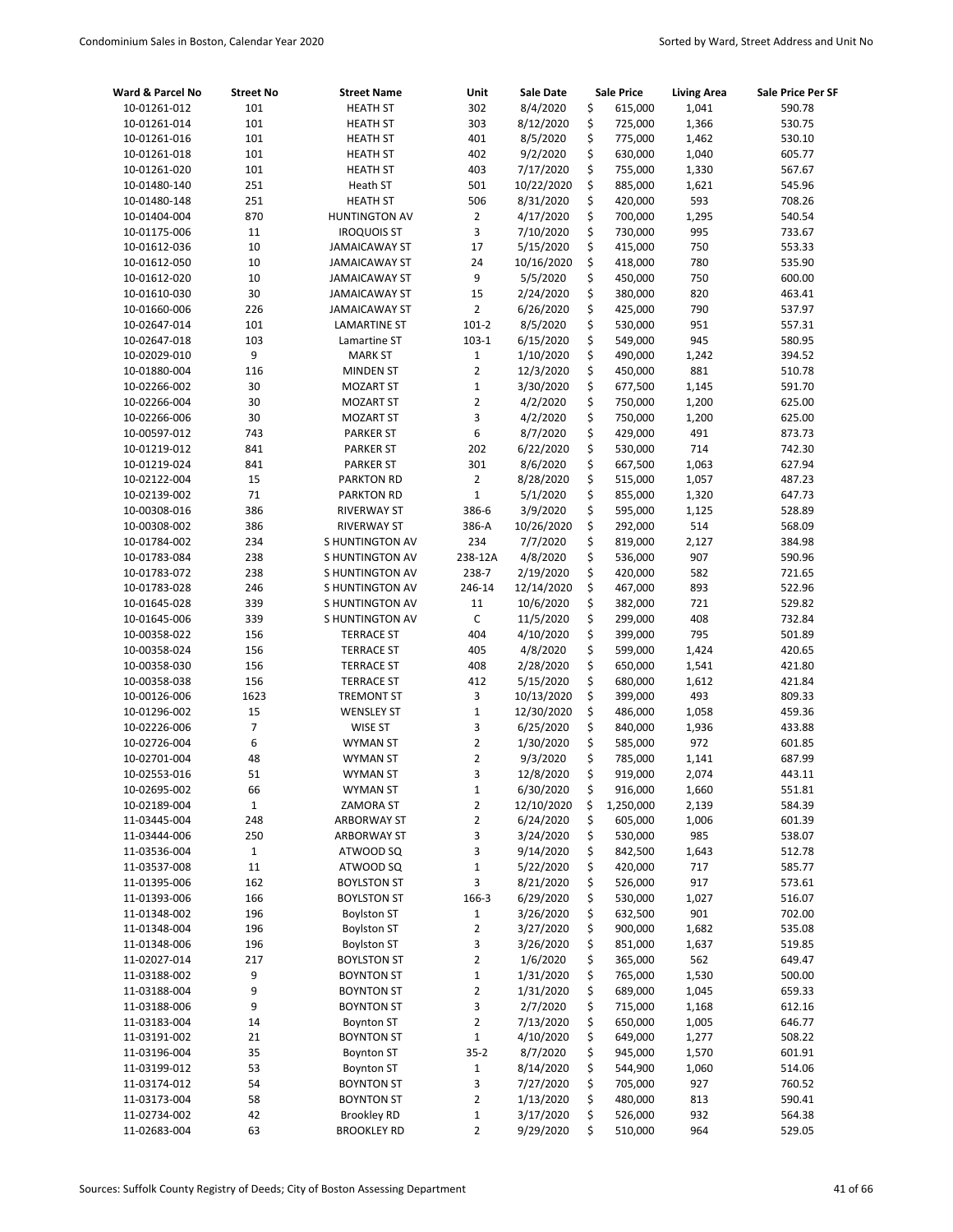| Ward & Parcel No             | <b>Street No</b> | <b>Street Name</b>                          | Unit           | <b>Sale Date</b>       |          | <b>Sale Price</b>  | <b>Living Area</b> | Sale Price Per SF |
|------------------------------|------------------|---------------------------------------------|----------------|------------------------|----------|--------------------|--------------------|-------------------|
| 10-01261-012                 | 101              | <b>HEATH ST</b>                             | 302            | 8/4/2020               | \$       | 615,000            | 1,041              | 590.78            |
| 10-01261-014                 | 101              | <b>HEATH ST</b>                             | 303            | 8/12/2020              | \$       | 725,000            | 1,366              | 530.75            |
| 10-01261-016                 | 101              | <b>HEATH ST</b>                             | 401            | 8/5/2020               | \$       | 775,000            | 1,462              | 530.10            |
| 10-01261-018                 | 101              | <b>HEATH ST</b>                             | 402            | 9/2/2020               | \$       | 630,000            | 1,040              | 605.77            |
| 10-01261-020                 | 101              | <b>HEATH ST</b>                             | 403            | 7/17/2020              | \$       | 755,000            | 1,330              | 567.67            |
| 10-01480-140                 | 251              | Heath ST                                    | 501            | 10/22/2020             | \$       | 885,000            | 1,621              | 545.96            |
| 10-01480-148                 | 251              | <b>HEATH ST</b>                             | 506            | 8/31/2020              | \$       | 420,000            | 593                | 708.26            |
| 10-01404-004                 | 870              | <b>HUNTINGTON AV</b>                        | $\overline{2}$ | 4/17/2020              | \$       | 700,000            | 1,295              | 540.54            |
| 10-01175-006                 | 11               | <b>IROQUOIS ST</b>                          | 3              | 7/10/2020              | \$       | 730,000            | 995                | 733.67            |
| 10-01612-036                 | 10               | <b>JAMAICAWAY ST</b>                        | 17             | 5/15/2020              | \$       | 415,000            | 750                | 553.33            |
| 10-01612-050                 | 10               | <b>JAMAICAWAY ST</b>                        | 24             | 10/16/2020             | \$       | 418,000            | 780                | 535.90            |
| 10-01612-020                 | 10               | <b>JAMAICAWAY ST</b>                        | 9              | 5/5/2020               | \$       | 450,000            | 750                | 600.00            |
| 10-01610-030                 | 30               | <b>JAMAICAWAY ST</b>                        | 15             | 2/24/2020              | \$       | 380,000            | 820                | 463.41            |
| 10-01660-006                 | 226              | <b>JAMAICAWAY ST</b>                        | $\overline{2}$ | 6/26/2020              | \$       | 425,000            | 790                | 537.97            |
| 10-02647-014                 | 101              | <b>LAMARTINE ST</b>                         | $101 - 2$      | 8/5/2020               | \$       | 530,000            | 951                | 557.31            |
| 10-02647-018                 | 103              | Lamartine ST                                | $103-1$        | 6/15/2020              | \$       | 549,000            | 945                | 580.95            |
| 10-02029-010                 | 9                | <b>MARK ST</b>                              | $\mathbf 1$    | 1/10/2020              | \$       | 490,000            | 1,242              | 394.52            |
| 10-01880-004                 | 116              | <b>MINDEN ST</b>                            | $\overline{2}$ | 12/3/2020              | \$       | 450,000            | 881                | 510.78            |
| 10-02266-002                 | 30               | <b>MOZART ST</b>                            | $\mathbf 1$    | 3/30/2020              | \$       | 677,500            | 1,145              | 591.70            |
| 10-02266-004                 | 30               | <b>MOZART ST</b>                            | $\overline{2}$ | 4/2/2020               | \$       | 750,000            | 1,200              | 625.00            |
| 10-02266-006                 | 30               | <b>MOZART ST</b>                            | 3              | 4/2/2020               | \$       | 750,000            | 1,200              | 625.00            |
| 10-00597-012                 | 743              | <b>PARKER ST</b>                            | 6              | 8/7/2020               | \$       | 429,000            | 491                | 873.73            |
| 10-01219-012                 | 841              | <b>PARKER ST</b>                            | 202            | 6/22/2020              | \$       | 530,000            | 714                | 742.30            |
| 10-01219-024                 | 841              | <b>PARKER ST</b>                            | 301            | 8/6/2020               | \$       | 667,500            | 1,063              | 627.94            |
| 10-02122-004                 | 15               | <b>PARKTON RD</b>                           | $\overline{2}$ | 8/28/2020              | \$       | 515,000            | 1,057              | 487.23            |
| 10-02139-002                 | 71               | <b>PARKTON RD</b>                           | $\mathbf 1$    | 5/1/2020               | \$       | 855,000            | 1,320              | 647.73            |
| 10-00308-016<br>10-00308-002 | 386              | <b>RIVERWAY ST</b>                          | 386-6          | 3/9/2020               | \$<br>\$ | 595,000            | 1,125              | 528.89            |
| 10-01784-002                 | 386<br>234       | <b>RIVERWAY ST</b><br><b>SHUNTINGTON AV</b> | 386-A<br>234   | 10/26/2020<br>7/7/2020 | \$       | 292,000<br>819,000 | 514<br>2,127       | 568.09<br>384.98  |
| 10-01783-084                 | 238              | <b>SHUNTINGTON AV</b>                       | 238-12A        | 4/8/2020               | \$       | 536,000            | 907                | 590.96            |
| 10-01783-072                 | 238              | S HUNTINGTON AV                             | 238-7          | 2/19/2020              | \$       | 420,000            | 582                | 721.65            |
| 10-01783-028                 | 246              | <b>SHUNTINGTON AV</b>                       | 246-14         | 12/14/2020             | \$       | 467,000            | 893                | 522.96            |
| 10-01645-028                 | 339              | <b>SHUNTINGTON AV</b>                       | 11             | 10/6/2020              | \$       | 382,000            | 721                | 529.82            |
| 10-01645-006                 | 339              | S HUNTINGTON AV                             | $\mathsf C$    | 11/5/2020              | \$       | 299,000            | 408                | 732.84            |
| 10-00358-022                 | 156              | <b>TERRACE ST</b>                           | 404            | 4/10/2020              | \$       | 399,000            | 795                | 501.89            |
| 10-00358-024                 | 156              | <b>TERRACE ST</b>                           | 405            | 4/8/2020               | \$       | 599,000            | 1,424              | 420.65            |
| 10-00358-030                 | 156              | <b>TERRACE ST</b>                           | 408            | 2/28/2020              | \$       | 650,000            | 1,541              | 421.80            |
| 10-00358-038                 | 156              | <b>TERRACE ST</b>                           | 412            | 5/15/2020              | \$       | 680,000            | 1,612              | 421.84            |
| 10-00126-006                 | 1623             | <b>TREMONT ST</b>                           | 3              | 10/13/2020             | \$       | 399,000            | 493                | 809.33            |
| 10-01296-002                 | 15               | <b>WENSLEY ST</b>                           | $\mathbf 1$    | 12/30/2020             | \$       | 486,000            | 1,058              | 459.36            |
| 10-02226-006                 | 7                | <b>WISE ST</b>                              | 3              | 6/25/2020              | \$       | 840,000            | 1,936              | 433.88            |
| 10-02726-004                 | 6                | <b>WYMAN ST</b>                             | $\overline{2}$ | 1/30/2020              | \$       | 585,000            | 972                | 601.85            |
| 10-02701-004                 | 48               | <b>WYMAN ST</b>                             | $\overline{2}$ | 9/3/2020               | \$       | 785,000            | 1,141              | 687.99            |
| 10-02553-016                 | 51               | WYMAN ST                                    | 3              | 12/8/2020              | \$       | 919,000            | 2,074              | 443.11            |
| 10-02695-002                 | 66               | <b>WYMAN ST</b>                             | $\mathbf{1}$   | 6/30/2020              | \$       | 916,000            | 1,660              | 551.81            |
| 10-02189-004                 | $\mathbf 1$      | <b>ZAMORA ST</b>                            | $\overline{2}$ | 12/10/2020             | \$       | 1,250,000          | 2,139              | 584.39            |
| 11-03445-004                 | 248              | <b>ARBORWAY ST</b>                          | 2              | 6/24/2020              | \$       | 605,000            | 1,006              | 601.39            |
| 11-03444-006                 | 250              | <b>ARBORWAY ST</b>                          | 3              | 3/24/2020              | \$       | 530,000            | 985                | 538.07            |
| 11-03536-004                 | $\mathbf{1}$     | ATWOOD SQ                                   | 3              | 9/14/2020              | \$       | 842,500            | 1,643              | 512.78            |
| 11-03537-008                 | 11               | ATWOOD SQ                                   | $\mathbf 1$    | 5/22/2020              | \$       | 420,000            | 717                | 585.77            |
| 11-01395-006                 | 162              | <b>BOYLSTON ST</b>                          | 3              | 8/21/2020              | \$       | 526,000            | 917                | 573.61            |
| 11-01393-006                 | 166              | <b>BOYLSTON ST</b>                          | 166-3          | 6/29/2020              | \$       | 530,000            | 1,027              | 516.07            |
| 11-01348-002                 | 196              | <b>Boylston ST</b>                          | $\mathbf 1$    | 3/26/2020              | \$       | 632,500            | 901                | 702.00            |
| 11-01348-004                 | 196              | <b>Boylston ST</b>                          | $\mathbf 2$    | 3/27/2020              | \$       | 900,000            | 1,682              | 535.08            |
| 11-01348-006                 | 196              | <b>Boylston ST</b>                          | 3              | 3/26/2020              | \$       | 851,000            | 1,637              | 519.85            |
| 11-02027-014                 | 217              | <b>BOYLSTON ST</b>                          | $\overline{2}$ | 1/6/2020               | \$       | 365,000            | 562                | 649.47            |
| 11-03188-002                 | 9                | <b>BOYNTON ST</b>                           | $\mathbf 1$    | 1/31/2020              | \$       | 765,000            | 1,530              | 500.00            |
| 11-03188-004                 | 9                | <b>BOYNTON ST</b>                           | $\mathbf 2$    | 1/31/2020              | \$       | 689,000            | 1,045              | 659.33            |
| 11-03188-006                 | 9                | <b>BOYNTON ST</b>                           | 3              | 2/7/2020               | \$       | 715,000            | 1,168              | 612.16            |
| 11-03183-004                 | 14               | <b>Boynton ST</b>                           | $\overline{2}$ | 7/13/2020              | \$       | 650,000            | 1,005              | 646.77            |
| 11-03191-002                 | 21               | <b>BOYNTON ST</b>                           | $\mathbf{1}$   | 4/10/2020              | \$       | 649,000            | 1,277              | 508.22            |
| 11-03196-004                 | 35               | <b>Boynton ST</b>                           | $35 - 2$       | 8/7/2020               | \$       | 945,000            | 1,570              | 601.91            |
| 11-03199-012                 | 53               | <b>Boynton ST</b>                           | $\mathbf{1}$   | 8/14/2020              | \$       | 544,900            | 1,060              | 514.06            |
| 11-03174-012                 | 54               | <b>BOYNTON ST</b>                           | 3              | 7/27/2020              | \$       | 705,000            | 927                | 760.52            |
| 11-03173-004                 | 58               | <b>BOYNTON ST</b>                           | $\overline{2}$ | 1/13/2020              | \$       | 480,000            | 813                | 590.41            |
| 11-02734-002                 | 42               | <b>Brookley RD</b>                          | $\mathbf 1$    | 3/17/2020              | \$       | 526,000            | 932                | 564.38            |
| 11-02683-004                 | 63               | <b>BROOKLEY RD</b>                          | $\overline{2}$ | 9/29/2020              | \$       | 510,000            | 964                | 529.05            |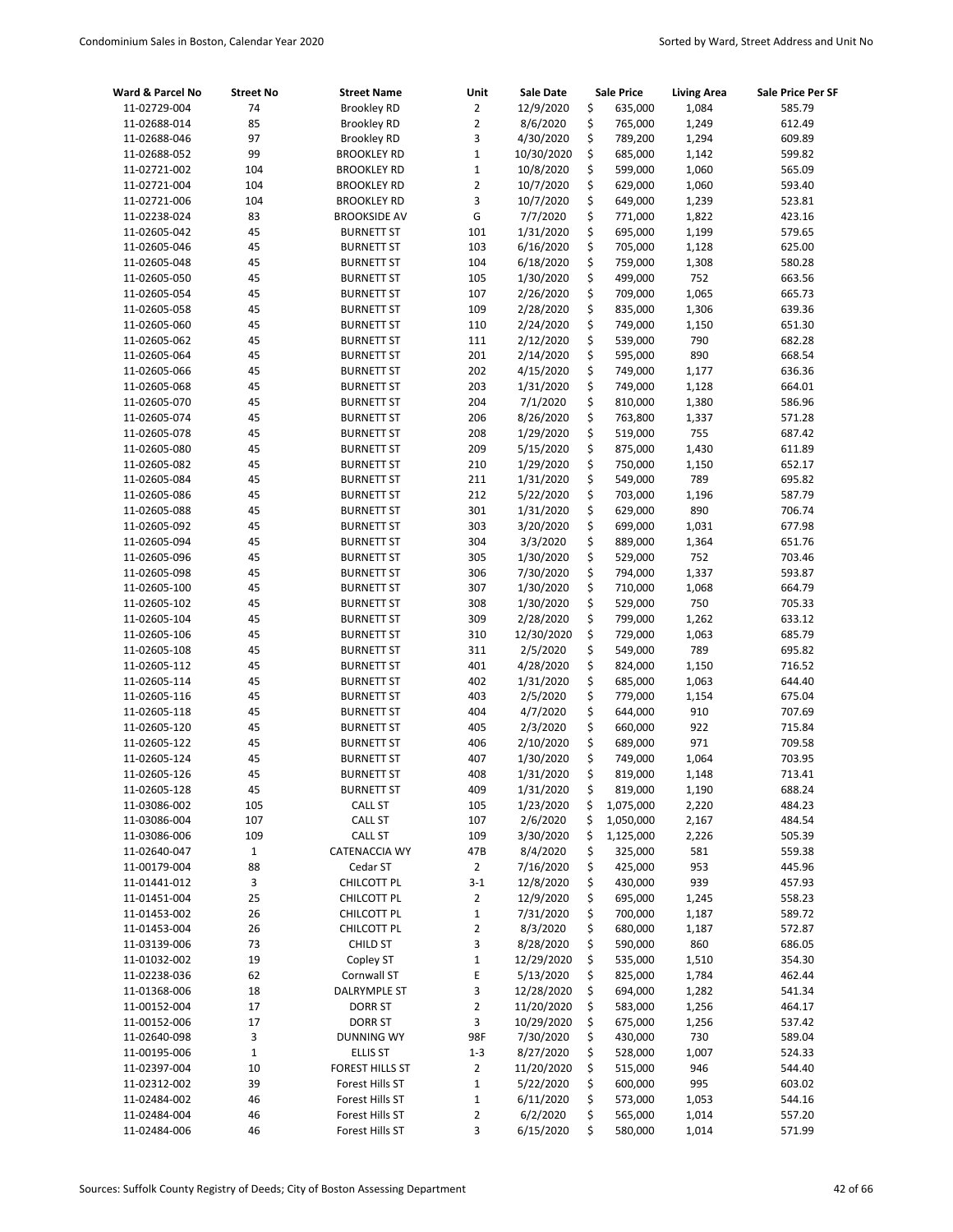| Ward & Parcel No             | <b>Street No</b> | <b>Street Name</b>                     | Unit           | Sale Date              |          | <b>Sale Price</b>  | <b>Living Area</b> | Sale Price Per SF |
|------------------------------|------------------|----------------------------------------|----------------|------------------------|----------|--------------------|--------------------|-------------------|
| 11-02729-004                 | 74               | <b>Brookley RD</b>                     | $\overline{2}$ | 12/9/2020              | \$       | 635,000            | 1,084              | 585.79            |
| 11-02688-014                 | 85               | <b>Brookley RD</b>                     | $\overline{2}$ | 8/6/2020               | \$       | 765,000            | 1,249              | 612.49            |
| 11-02688-046                 | 97               | <b>Brookley RD</b>                     | 3              | 4/30/2020              | \$       | 789,200            | 1,294              | 609.89            |
| 11-02688-052                 | 99               | <b>BROOKLEY RD</b>                     | $\mathbf{1}$   | 10/30/2020             | \$       | 685,000            | 1,142              | 599.82            |
| 11-02721-002                 | 104              | <b>BROOKLEY RD</b>                     | $\mathbf 1$    | 10/8/2020              | \$       | 599,000            | 1,060              | 565.09            |
| 11-02721-004                 | 104              | <b>BROOKLEY RD</b>                     | $\overline{2}$ | 10/7/2020              | \$       | 629,000            | 1,060              | 593.40            |
| 11-02721-006                 | 104              | <b>BROOKLEY RD</b>                     | 3              | 10/7/2020              | \$       | 649,000            | 1,239              | 523.81            |
| 11-02238-024                 | 83               | <b>BROOKSIDE AV</b>                    | G              | 7/7/2020               | \$       | 771,000            | 1,822              | 423.16            |
| 11-02605-042                 | 45               | <b>BURNETT ST</b>                      | 101            | 1/31/2020              | \$       | 695,000            | 1,199              | 579.65            |
| 11-02605-046                 | 45               | <b>BURNETT ST</b>                      | 103            | 6/16/2020              | \$       | 705,000            | 1,128              | 625.00            |
| 11-02605-048                 | 45               | <b>BURNETT ST</b>                      | 104            | 6/18/2020              | \$       | 759,000            | 1,308              | 580.28            |
| 11-02605-050                 | 45               | <b>BURNETT ST</b>                      | 105            | 1/30/2020              | \$       | 499,000            | 752                | 663.56            |
| 11-02605-054                 | 45               | <b>BURNETT ST</b>                      | 107            | 2/26/2020              | \$       | 709,000            | 1,065              | 665.73            |
| 11-02605-058                 | 45               | <b>BURNETT ST</b>                      | 109            | 2/28/2020              | \$       | 835,000            | 1,306              | 639.36            |
| 11-02605-060                 | 45               | <b>BURNETT ST</b>                      | 110            | 2/24/2020              | \$       | 749,000            | 1,150              | 651.30            |
| 11-02605-062                 | 45               | <b>BURNETT ST</b>                      | 111            | 2/12/2020              | \$       | 539,000            | 790                | 682.28            |
| 11-02605-064                 | 45               | <b>BURNETT ST</b>                      | 201            | 2/14/2020              | \$       | 595,000            | 890                | 668.54            |
| 11-02605-066                 | 45               | <b>BURNETT ST</b>                      | 202            | 4/15/2020              | \$       | 749,000            | 1,177              | 636.36            |
| 11-02605-068                 | 45               | <b>BURNETT ST</b>                      | 203            | 1/31/2020              | \$<br>\$ | 749,000            | 1,128              | 664.01            |
| 11-02605-070                 | 45               | <b>BURNETT ST</b>                      | 204            | 7/1/2020               |          | 810,000            | 1,380              | 586.96            |
| 11-02605-074<br>11-02605-078 | 45<br>45         | <b>BURNETT ST</b>                      | 206<br>208     | 8/26/2020<br>1/29/2020 | \$<br>\$ | 763,800<br>519,000 | 1,337<br>755       | 571.28<br>687.42  |
|                              |                  | <b>BURNETT ST</b>                      |                |                        | \$       |                    |                    |                   |
| 11-02605-080                 | 45<br>45         | <b>BURNETT ST</b>                      | 209            | 5/15/2020              |          | 875,000<br>750,000 | 1,430              | 611.89            |
| 11-02605-082                 | 45               | <b>BURNETT ST</b>                      | 210            | 1/29/2020              | \$<br>\$ | 549,000            | 1,150<br>789       | 652.17            |
| 11-02605-084                 | 45               | <b>BURNETT ST</b>                      | 211            | 1/31/2020              |          |                    |                    | 695.82            |
| 11-02605-086<br>11-02605-088 | 45               | <b>BURNETT ST</b><br><b>BURNETT ST</b> | 212<br>301     | 5/22/2020<br>1/31/2020 | \$<br>\$ | 703,000<br>629,000 | 1,196<br>890       | 587.79<br>706.74  |
| 11-02605-092                 | 45               | <b>BURNETT ST</b>                      | 303            | 3/20/2020              | \$       | 699,000            | 1,031              | 677.98            |
| 11-02605-094                 | 45               | <b>BURNETT ST</b>                      | 304            | 3/3/2020               | \$       | 889,000            | 1,364              | 651.76            |
| 11-02605-096                 | 45               | <b>BURNETT ST</b>                      | 305            | 1/30/2020              | \$       | 529,000            | 752                | 703.46            |
| 11-02605-098                 | 45               | <b>BURNETT ST</b>                      | 306            | 7/30/2020              | \$       | 794,000            | 1,337              | 593.87            |
| 11-02605-100                 | 45               | <b>BURNETT ST</b>                      | 307            | 1/30/2020              | \$       | 710,000            | 1,068              | 664.79            |
| 11-02605-102                 | 45               | <b>BURNETT ST</b>                      | 308            | 1/30/2020              | \$       | 529,000            | 750                | 705.33            |
| 11-02605-104                 | 45               | <b>BURNETT ST</b>                      | 309            | 2/28/2020              | \$       | 799,000            | 1,262              | 633.12            |
| 11-02605-106                 | 45               | <b>BURNETT ST</b>                      | 310            | 12/30/2020             | \$       | 729,000            | 1,063              | 685.79            |
| 11-02605-108                 | 45               | <b>BURNETT ST</b>                      | 311            | 2/5/2020               | \$       | 549,000            | 789                | 695.82            |
| 11-02605-112                 | 45               | <b>BURNETT ST</b>                      | 401            | 4/28/2020              | \$       | 824,000            | 1,150              | 716.52            |
| 11-02605-114                 | 45               | <b>BURNETT ST</b>                      | 402            | 1/31/2020              | \$       | 685,000            | 1,063              | 644.40            |
| 11-02605-116                 | 45               | <b>BURNETT ST</b>                      | 403            | 2/5/2020               | \$       | 779,000            | 1,154              | 675.04            |
| 11-02605-118                 | 45               | <b>BURNETT ST</b>                      | 404            | 4/7/2020               | \$       | 644,000            | 910                | 707.69            |
| 11-02605-120                 | 45               | <b>BURNETT ST</b>                      | 405            | 2/3/2020               | \$       | 660,000            | 922                | 715.84            |
| 11-02605-122                 | 45               | <b>BURNETT ST</b>                      | 406            | 2/10/2020              | \$       | 689,000            | 971                | 709.58            |
| 11-02605-124                 | 45               | <b>BURNETT ST</b>                      | 407            | 1/30/2020              | \$       | 749,000            | 1,064              | 703.95            |
| 11-02605-126                 | 45               | <b>BURNETT ST</b>                      | 408            | 1/31/2020              | \$       | 819,000            | 1,148              | 713.41            |
| 11-02605-128                 | 45               | <b>BURNETT ST</b>                      | 409            | 1/31/2020              | \$       | 819,000            | 1,190              | 688.24            |
| 11-03086-002                 | 105              | <b>CALL ST</b>                         | 105            | 1/23/2020              | \$       | 1,075,000          | 2,220              | 484.23            |
| 11-03086-004                 | 107              | <b>CALL ST</b>                         | 107            | 2/6/2020               | \$       | 1,050,000          | 2,167              | 484.54            |
| 11-03086-006                 | 109              | <b>CALL ST</b>                         | 109            | 3/30/2020              | \$       | 1,125,000          | 2,226              | 505.39            |
| 11-02640-047                 | $\mathbf{1}$     | CATENACCIA WY                          | 47B            | 8/4/2020               | \$       | 325,000            | 581                | 559.38            |
| 11-00179-004                 | 88               | Cedar ST                               | $\overline{2}$ | 7/16/2020              | \$       | 425,000            | 953                | 445.96            |
| 11-01441-012                 | 3                | CHILCOTT PL                            | $3-1$          | 12/8/2020              | \$       | 430,000            | 939                | 457.93            |
| 11-01451-004                 | 25               | CHILCOTT PL                            | 2              | 12/9/2020              | \$       | 695,000            | 1,245              | 558.23            |
| 11-01453-002                 | 26               | CHILCOTT PL                            | $\mathbf 1$    | 7/31/2020              | \$       | 700,000            | 1,187              | 589.72            |
| 11-01453-004                 | 26               | CHILCOTT PL                            | 2              | 8/3/2020               | \$       | 680,000            | 1,187              | 572.87            |
| 11-03139-006                 | 73               | <b>CHILD ST</b>                        | 3              | 8/28/2020              | \$       | 590,000            | 860                | 686.05            |
| 11-01032-002                 | 19               | Copley ST                              | $\mathbf 1$    | 12/29/2020             | \$       | 535,000            | 1,510              | 354.30            |
| 11-02238-036                 | 62               | Cornwall ST                            | E              | 5/13/2020              | \$       | 825,000            | 1,784              | 462.44            |
| 11-01368-006                 | 18               | DALRYMPLE ST                           | 3              | 12/28/2020             | \$       | 694,000            | 1,282              | 541.34            |
| 11-00152-004                 | 17               | DORR ST                                | $\overline{2}$ | 11/20/2020             | \$       | 583,000            | 1,256              | 464.17            |
| 11-00152-006                 | 17               | DORR ST                                | 3              | 10/29/2020             | \$       | 675,000            | 1,256              | 537.42            |
| 11-02640-098                 | 3                | <b>DUNNING WY</b>                      | 98F            | 7/30/2020              | \$       | 430,000            | 730                | 589.04            |
| 11-00195-006                 | $\mathbf{1}$     | <b>ELLIS ST</b>                        | $1 - 3$        | 8/27/2020              | \$       | 528,000            | 1,007              | 524.33            |
| 11-02397-004                 | 10               | FOREST HILLS ST                        | $\overline{2}$ | 11/20/2020             | \$       | 515,000            | 946                | 544.40            |
| 11-02312-002                 | 39               | Forest Hills ST                        | $\mathbf 1$    | 5/22/2020              | \$       | 600,000            | 995                | 603.02            |
| 11-02484-002                 | 46               | Forest Hills ST                        | $\mathbf 1$    | 6/11/2020              | \$       | 573,000            | 1,053              | 544.16            |
| 11-02484-004                 | 46               | Forest Hills ST                        | 2              | 6/2/2020               | \$       | 565,000            | 1,014              | 557.20            |
| 11-02484-006                 | 46               | Forest Hills ST                        | 3              | 6/15/2020              | \$       | 580,000            | 1,014              | 571.99            |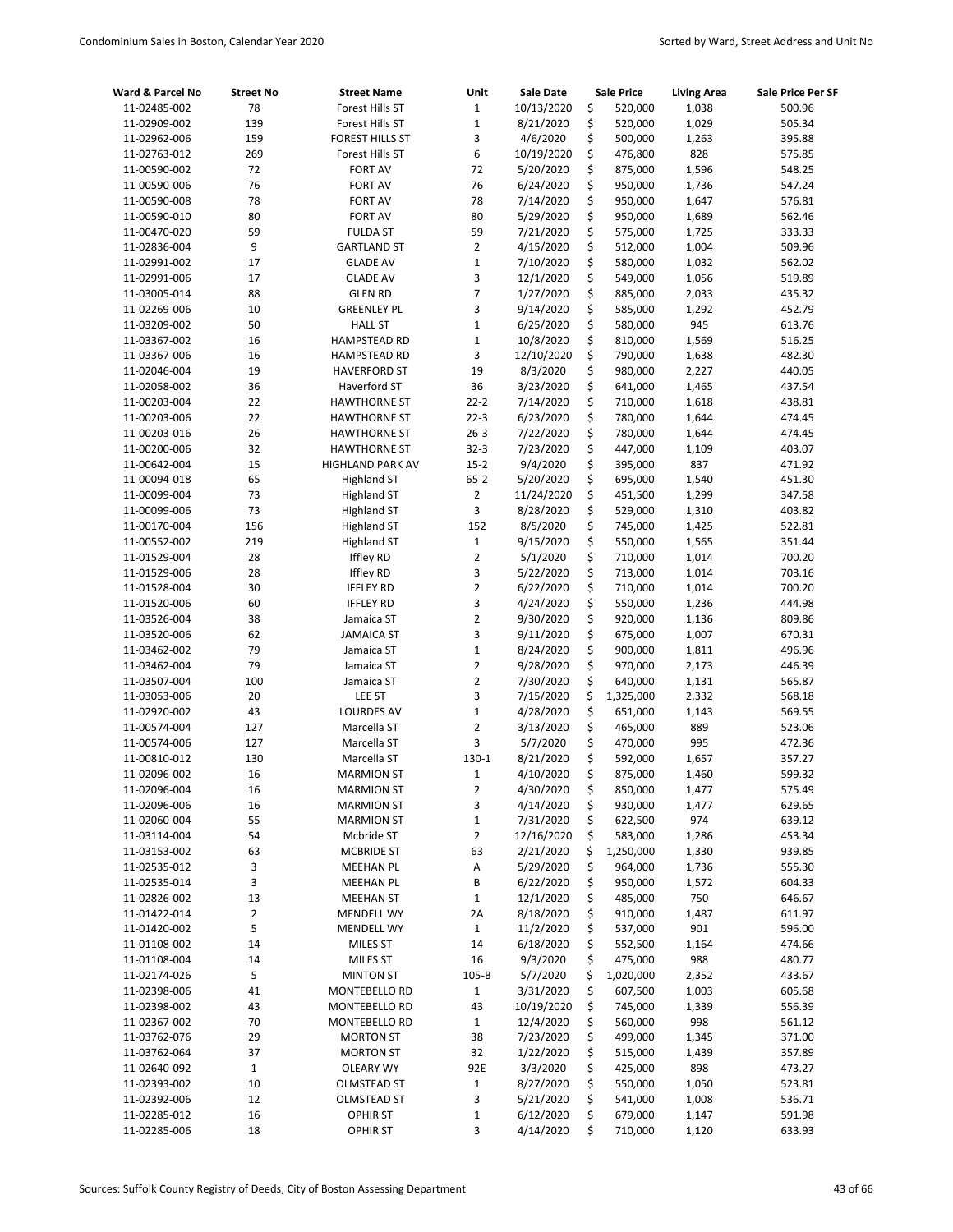| Ward & Parcel No | <b>Street No</b> | <b>Street Name</b>     | Unit                    | Sale Date  | <b>Sale Price</b> | <b>Living Area</b> | Sale Price Per SF |
|------------------|------------------|------------------------|-------------------------|------------|-------------------|--------------------|-------------------|
| 11-02485-002     | 78               | Forest Hills ST        | $\mathbf 1$             | 10/13/2020 | \$<br>520,000     | 1,038              | 500.96            |
| 11-02909-002     | 139              | Forest Hills ST        | $\mathbf{1}$            | 8/21/2020  | \$<br>520,000     | 1,029              | 505.34            |
| 11-02962-006     | 159              | <b>FOREST HILLS ST</b> | 3                       | 4/6/2020   | \$<br>500,000     | 1,263              | 395.88            |
| 11-02763-012     | 269              | Forest Hills ST        | 6                       | 10/19/2020 | \$<br>476,800     | 828                | 575.85            |
| 11-00590-002     | 72               | <b>FORT AV</b>         | 72                      | 5/20/2020  | \$<br>875,000     | 1,596              | 548.25            |
| 11-00590-006     | 76               | <b>FORT AV</b>         | 76                      | 6/24/2020  | \$<br>950,000     | 1,736              | 547.24            |
| 11-00590-008     | 78               | <b>FORT AV</b>         | 78                      | 7/14/2020  | \$<br>950,000     | 1,647              | 576.81            |
| 11-00590-010     | 80               | <b>FORT AV</b>         | 80                      | 5/29/2020  | \$<br>950,000     | 1,689              | 562.46            |
| 11-00470-020     | 59               | <b>FULDA ST</b>        | 59                      | 7/21/2020  | \$<br>575,000     | 1,725              | 333.33            |
| 11-02836-004     | 9                | <b>GARTLAND ST</b>     | $\overline{2}$          | 4/15/2020  | \$<br>512,000     | 1,004              | 509.96            |
| 11-02991-002     | 17               | <b>GLADE AV</b>        | $\mathbf 1$             | 7/10/2020  | \$<br>580,000     | 1,032              | 562.02            |
| 11-02991-006     | 17               | <b>GLADE AV</b>        | 3                       | 12/1/2020  | \$<br>549,000     | 1,056              | 519.89            |
| 11-03005-014     | 88               | <b>GLEN RD</b>         | 7                       | 1/27/2020  | \$<br>885,000     | 2,033              | 435.32            |
| 11-02269-006     | 10               | <b>GREENLEY PL</b>     | 3                       | 9/14/2020  | \$<br>585,000     | 1,292              | 452.79            |
| 11-03209-002     | 50               | <b>HALL ST</b>         | $\mathbf 1$             | 6/25/2020  | \$<br>580,000     | 945                | 613.76            |
| 11-03367-002     | 16               | <b>HAMPSTEAD RD</b>    | 1                       | 10/8/2020  | \$<br>810,000     | 1,569              | 516.25            |
| 11-03367-006     | 16               | <b>HAMPSTEAD RD</b>    | 3                       | 12/10/2020 | \$<br>790,000     | 1,638              | 482.30            |
| 11-02046-004     | 19               | <b>HAVERFORD ST</b>    | 19                      | 8/3/2020   | \$<br>980,000     | 2,227              | 440.05            |
| 11-02058-002     | 36               | Haverford ST           | 36                      | 3/23/2020  | \$<br>641,000     | 1,465              | 437.54            |
| 11-00203-004     | 22               | <b>HAWTHORNE ST</b>    | $22 - 2$                | 7/14/2020  | \$<br>710,000     | 1,618              | 438.81            |
| 11-00203-006     | 22               | <b>HAWTHORNE ST</b>    | $22 - 3$                | 6/23/2020  | \$<br>780,000     | 1,644              | 474.45            |
| 11-00203-016     | 26               | <b>HAWTHORNE ST</b>    | $26 - 3$                | 7/22/2020  | \$<br>780,000     | 1,644              | 474.45            |
| 11-00200-006     | 32               | <b>HAWTHORNE ST</b>    | $32 - 3$                | 7/23/2020  | \$<br>447,000     | 1,109              | 403.07            |
| 11-00642-004     | 15               | HIGHLAND PARK AV       | $15 - 2$                | 9/4/2020   | \$<br>395,000     | 837                | 471.92            |
| 11-00094-018     | 65               | <b>Highland ST</b>     | $65 - 2$                | 5/20/2020  | \$<br>695,000     | 1,540              | 451.30            |
| 11-00099-004     | 73               | <b>Highland ST</b>     | $\overline{2}$          | 11/24/2020 | \$<br>451,500     | 1,299              | 347.58            |
| 11-00099-006     | 73               | <b>Highland ST</b>     | 3                       | 8/28/2020  | \$<br>529,000     | 1,310              | 403.82            |
| 11-00170-004     | 156              | <b>Highland ST</b>     | 152                     | 8/5/2020   | \$<br>745,000     | 1,425              | 522.81            |
| 11-00552-002     | 219              | <b>Highland ST</b>     | $\mathbf 1$             | 9/15/2020  | \$<br>550,000     | 1,565              | 351.44            |
| 11-01529-004     | 28               | Iffley RD              | $\overline{2}$          | 5/1/2020   | \$<br>710,000     | 1,014              | 700.20            |
| 11-01529-006     | 28               | <b>Iffley RD</b>       | 3                       | 5/22/2020  | \$<br>713,000     | 1,014              | 703.16            |
| 11-01528-004     | 30               | <b>IFFLEY RD</b>       | 2                       | 6/22/2020  | \$<br>710,000     | 1,014              | 700.20            |
| 11-01520-006     | 60               | <b>IFFLEY RD</b>       | 3                       | 4/24/2020  | \$<br>550,000     | 1,236              | 444.98            |
| 11-03526-004     | 38               | Jamaica ST             | 2                       | 9/30/2020  | \$<br>920,000     | 1,136              | 809.86            |
| 11-03520-006     | 62               | <b>JAMAICA ST</b>      | 3                       | 9/11/2020  | \$<br>675,000     | 1,007              | 670.31            |
| 11-03462-002     | 79               | Jamaica ST             | $\mathbf 1$             | 8/24/2020  | \$<br>900,000     | 1,811              | 496.96            |
| 11-03462-004     | 79               | Jamaica ST             | $\overline{\mathbf{c}}$ | 9/28/2020  | \$<br>970,000     | 2,173              | 446.39            |
| 11-03507-004     | 100              | Jamaica ST             | $\overline{2}$          | 7/30/2020  | \$<br>640,000     | 1,131              | 565.87            |
| 11-03053-006     | 20               | LEE ST                 | 3                       | 7/15/2020  | \$<br>1,325,000   | 2,332              | 568.18            |
| 11-02920-002     | 43               | <b>LOURDES AV</b>      | $\mathbf{1}$            | 4/28/2020  | \$<br>651,000     | 1,143              | 569.55            |
| 11-00574-004     | 127              | Marcella ST            | 2                       | 3/13/2020  | \$<br>465,000     | 889                | 523.06            |
| 11-00574-006     | 127              | Marcella ST            | 3                       | 5/7/2020   | \$<br>470,000     | 995                | 472.36            |
| 11-00810-012     | 130              | Marcella ST            | 130-1                   | 8/21/2020  | \$<br>592,000     | 1,657              | 357.27            |
| 11-02096-002     | 16               | <b>MARMION ST</b>      | $\mathbf 1$             | 4/10/2020  | \$<br>875,000     | 1,460              | 599.32            |
| 11-02096-004     | 16               | <b>MARMION ST</b>      | $\mathbf 2$             | 4/30/2020  | \$<br>850,000     | 1,477              | 575.49            |
| 11-02096-006     | 16               | <b>MARMION ST</b>      | 3                       | 4/14/2020  | \$<br>930,000     | 1,477              | 629.65            |
| 11-02060-004     | 55               | <b>MARMION ST</b>      | $\mathbf 1$             | 7/31/2020  | \$<br>622,500     | 974                | 639.12            |
| 11-03114-004     | 54               | Mcbride ST             | $\mathbf 2$             | 12/16/2020 | \$<br>583,000     | 1,286              | 453.34            |
| 11-03153-002     | 63               | <b>MCBRIDE ST</b>      | 63                      | 2/21/2020  | \$<br>1,250,000   | 1,330              | 939.85            |
| 11-02535-012     | 3                | <b>MEEHAN PL</b>       | Α                       | 5/29/2020  | \$<br>964,000     | 1,736              | 555.30            |
| 11-02535-014     | 3                | <b>MEEHAN PL</b>       | В                       | 6/22/2020  | \$<br>950,000     | 1,572              | 604.33            |
| 11-02826-002     | 13               | <b>MEEHAN ST</b>       | $\mathbf{1}$            | 12/1/2020  | \$<br>485,000     | 750                | 646.67            |
| 11-01422-014     | 2                | <b>MENDELL WY</b>      | 2A                      | 8/18/2020  | \$<br>910,000     | 1,487              | 611.97            |
| 11-01420-002     | 5                | MENDELL WY             | $\mathbf{1}$            | 11/2/2020  | \$<br>537,000     | 901                | 596.00            |
| 11-01108-002     | 14               | MILES ST               | 14                      | 6/18/2020  | \$<br>552,500     | 1,164              | 474.66            |
| 11-01108-004     | 14               | MILES ST               | 16                      | 9/3/2020   | \$<br>475,000     | 988                | 480.77            |
| 11-02174-026     | 5                | <b>MINTON ST</b>       | $105-B$                 | 5/7/2020   | \$<br>1,020,000   | 2,352              | 433.67            |
| 11-02398-006     | 41               | MONTEBELLO RD          | $\mathbf{1}$            | 3/31/2020  | \$<br>607,500     | 1,003              | 605.68            |
| 11-02398-002     | 43               | MONTEBELLO RD          | 43                      | 10/19/2020 | \$<br>745,000     | 1,339              | 556.39            |
| 11-02367-002     | 70               | MONTEBELLO RD          | $\mathbf 1$             | 12/4/2020  | \$<br>560,000     | 998                | 561.12            |
| 11-03762-076     | 29               | <b>MORTON ST</b>       | 38                      | 7/23/2020  | \$<br>499,000     | 1,345              | 371.00            |
| 11-03762-064     | 37               | <b>MORTON ST</b>       | 32                      | 1/22/2020  | \$<br>515,000     | 1,439              | 357.89            |
| 11-02640-092     | $\mathbf{1}$     | <b>OLEARY WY</b>       | 92E                     | 3/3/2020   | \$<br>425,000     | 898                | 473.27            |
| 11-02393-002     | 10               | <b>OLMSTEAD ST</b>     | $\mathbf{1}$            | 8/27/2020  | \$<br>550,000     | 1,050              | 523.81            |
| 11-02392-006     | 12               | <b>OLMSTEAD ST</b>     | 3                       | 5/21/2020  | \$<br>541,000     | 1,008              | 536.71            |
| 11-02285-012     | 16               | OPHIR ST               | $\mathbf 1$             | 6/12/2020  | \$<br>679,000     | 1,147              | 591.98            |
| 11-02285-006     | 18               | OPHIR ST               | 3                       | 4/14/2020  | \$<br>710,000     | 1,120              | 633.93            |
|                  |                  |                        |                         |            |                   |                    |                   |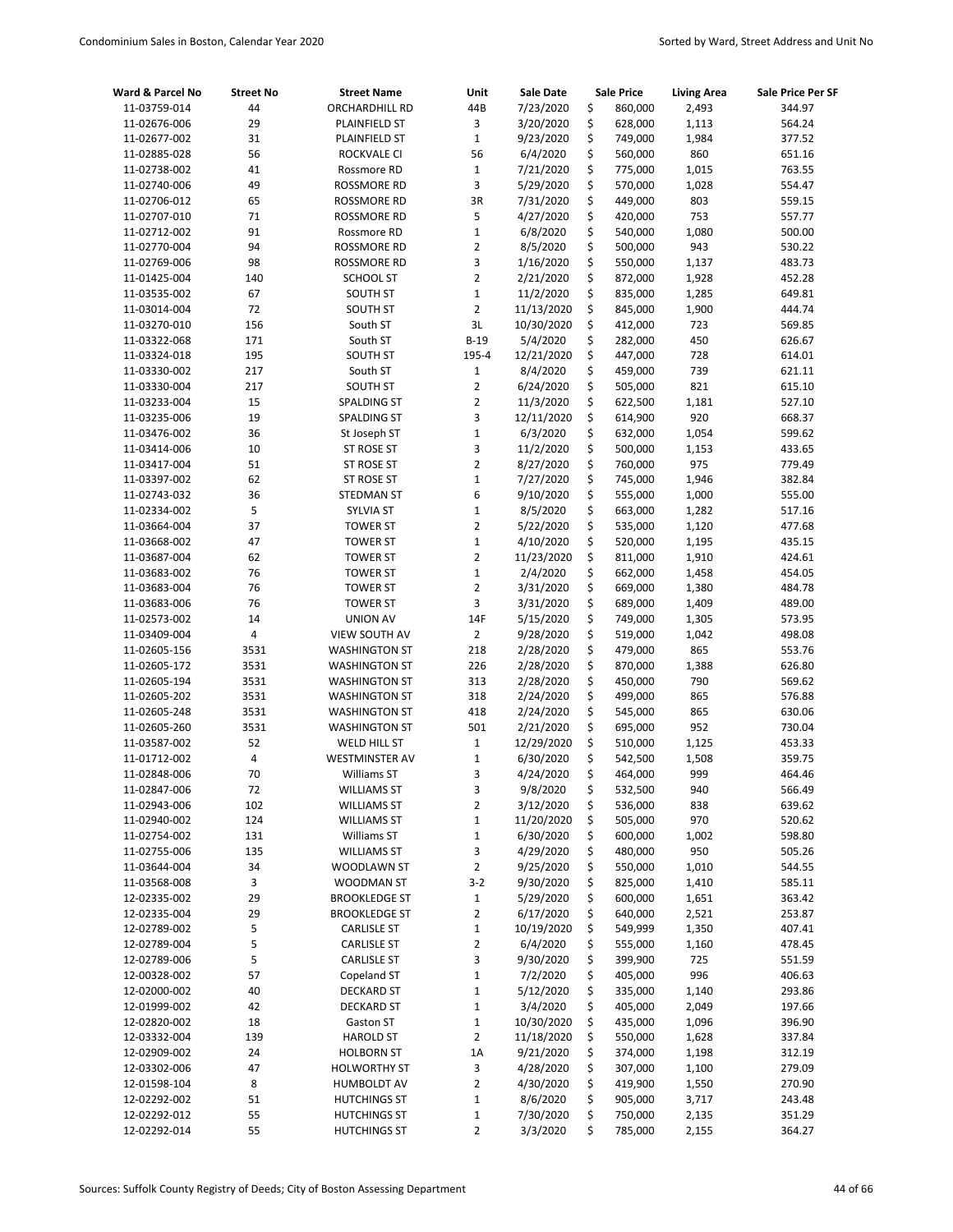| Ward & Parcel No             | <b>Street No</b> | <b>Street Name</b>                 | Unit             | Sale Date              |          | <b>Sale Price</b>  | <b>Living Area</b> | Sale Price Per SF |
|------------------------------|------------------|------------------------------------|------------------|------------------------|----------|--------------------|--------------------|-------------------|
| 11-03759-014                 | 44               | ORCHARDHILL RD                     | 44B              | 7/23/2020              | \$       | 860,000            | 2,493              | 344.97            |
| 11-02676-006                 | 29               | <b>PLAINFIELD ST</b>               | 3                | 3/20/2020              | \$       | 628,000            | 1,113              | 564.24            |
| 11-02677-002                 | 31               | PLAINFIELD ST                      | $\mathbf{1}$     | 9/23/2020              | \$       | 749,000            | 1,984              | 377.52            |
| 11-02885-028                 | 56               | ROCKVALE CI                        | 56               | 6/4/2020               | \$       | 560,000            | 860                | 651.16            |
| 11-02738-002                 | 41               | Rossmore RD                        | $\mathbf 1$      | 7/21/2020              | \$       | 775,000            | 1,015              | 763.55            |
| 11-02740-006                 | 49               | ROSSMORE RD                        | 3                | 5/29/2020              | \$       | 570,000            | 1,028              | 554.47            |
| 11-02706-012                 | 65               | ROSSMORE RD                        | 3R               | 7/31/2020              | \$       | 449,000            | 803                | 559.15            |
| 11-02707-010                 | 71               | <b>ROSSMORE RD</b>                 | 5                | 4/27/2020              | \$       | 420,000            | 753                | 557.77            |
| 11-02712-002                 | 91               | Rossmore RD                        | $\mathbf{1}$     | 6/8/2020               | \$       | 540,000            | 1,080              | 500.00            |
| 11-02770-004                 | 94               | ROSSMORE RD                        | $\overline{2}$   | 8/5/2020               | \$       | 500,000            | 943                | 530.22            |
| 11-02769-006                 | 98               | ROSSMORE RD                        | 3                | 1/16/2020              | \$       | 550,000            | 1,137              | 483.73            |
| 11-01425-004                 | 140              | <b>SCHOOL ST</b>                   | 2                | 2/21/2020              | \$       | 872,000            | 1,928              | 452.28            |
| 11-03535-002                 | 67               | <b>SOUTH ST</b>                    | $\mathbf 1$      | 11/2/2020              | \$       | 835,000            | 1,285              | 649.81            |
| 11-03014-004                 | 72               | SOUTH ST                           | $\overline{2}$   | 11/13/2020             | \$       | 845,000            | 1,900              | 444.74            |
| 11-03270-010                 | 156              | South ST                           | 3L               | 10/30/2020             | \$       | 412,000            | 723                | 569.85            |
| 11-03322-068                 | 171              | South ST                           | $B-19$           | 5/4/2020               | \$       | 282,000            | 450                | 626.67            |
| 11-03324-018                 | 195              | <b>SOUTH ST</b>                    | 195-4            | 12/21/2020             | \$       | 447,000            | 728                | 614.01            |
| 11-03330-002                 | 217              | South ST                           | $\mathbf 1$      | 8/4/2020               | \$       | 459,000            | 739                | 621.11            |
| 11-03330-004                 | 217              | <b>SOUTH ST</b>                    | $\overline{2}$   | 6/24/2020              | \$       | 505,000            | 821                | 615.10            |
| 11-03233-004                 | 15               | SPALDING ST                        | $\overline{2}$   | 11/3/2020              | \$       | 622,500            | 1,181              | 527.10            |
| 11-03235-006                 | 19               | SPALDING ST                        | 3                | 12/11/2020             | \$       | 614,900            | 920                | 668.37            |
| 11-03476-002                 | 36               | St Joseph ST                       | $\mathbf{1}$     | 6/3/2020               | \$       | 632,000            | 1,054              | 599.62            |
| 11-03414-006                 | 10               | ST ROSE ST                         | 3                | 11/2/2020              | \$       | 500,000            | 1,153              | 433.65            |
| 11-03417-004                 | 51<br>62         | ST ROSE ST                         | $\overline{2}$   | 8/27/2020              | \$<br>\$ | 760,000            | 975                | 779.49            |
| 11-03397-002                 | 36               | ST ROSE ST                         | $\mathbf 1$<br>6 | 7/27/2020              | \$       | 745,000            | 1,946<br>1,000     | 382.84            |
| 11-02743-032                 | 5                | <b>STEDMAN ST</b>                  | $\mathbf 1$      | 9/10/2020              |          | 555,000            |                    | 555.00<br>517.16  |
| 11-02334-002<br>11-03664-004 |                  | <b>SYLVIA ST</b>                   | $\overline{2}$   | 8/5/2020               | \$<br>\$ | 663,000            | 1,282              | 477.68            |
| 11-03668-002                 | 37<br>47         | <b>TOWER ST</b><br><b>TOWER ST</b> | $\mathbf{1}$     | 5/22/2020<br>4/10/2020 | \$       | 535,000<br>520,000 | 1,120<br>1,195     | 435.15            |
| 11-03687-004                 | 62               | <b>TOWER ST</b>                    | $\overline{2}$   | 11/23/2020             | \$       | 811,000            | 1,910              | 424.61            |
| 11-03683-002                 | 76               | <b>TOWER ST</b>                    | $\mathbf 1$      | 2/4/2020               | \$       | 662,000            | 1,458              | 454.05            |
| 11-03683-004                 | 76               | <b>TOWER ST</b>                    | $\overline{2}$   | 3/31/2020              | \$       | 669,000            | 1,380              | 484.78            |
| 11-03683-006                 | 76               | <b>TOWER ST</b>                    | 3                | 3/31/2020              | \$       | 689,000            | 1,409              | 489.00            |
| 11-02573-002                 | 14               | <b>UNION AV</b>                    | 14F              | 5/15/2020              | \$       | 749,000            | 1,305              | 573.95            |
| 11-03409-004                 | 4                | VIEW SOUTH AV                      | $\overline{2}$   | 9/28/2020              | \$       | 519,000            | 1,042              | 498.08            |
| 11-02605-156                 | 3531             | <b>WASHINGTON ST</b>               | 218              | 2/28/2020              | \$       | 479,000            | 865                | 553.76            |
| 11-02605-172                 | 3531             | <b>WASHINGTON ST</b>               | 226              | 2/28/2020              | \$       | 870,000            | 1,388              | 626.80            |
| 11-02605-194                 | 3531             | <b>WASHINGTON ST</b>               | 313              | 2/28/2020              | \$       | 450,000            | 790                | 569.62            |
| 11-02605-202                 | 3531             | <b>WASHINGTON ST</b>               | 318              | 2/24/2020              | \$       | 499,000            | 865                | 576.88            |
| 11-02605-248                 | 3531             | <b>WASHINGTON ST</b>               | 418              | 2/24/2020              | \$       | 545,000            | 865                | 630.06            |
| 11-02605-260                 | 3531             | <b>WASHINGTON ST</b>               | 501              | 2/21/2020              | \$       | 695,000            | 952                | 730.04            |
| 11-03587-002                 | 52               | WELD HILL ST                       | $\mathbf 1$      | 12/29/2020             | \$       | 510,000            | 1,125              | 453.33            |
| 11-01712-002                 | 4                | <b>WESTMINSTER AV</b>              | $\mathbf 1$      | 6/30/2020              | \$       | 542,500            | 1,508              | 359.75            |
| 11-02848-006                 | 70               | Williams ST                        | 3                | 4/24/2020              | \$       | 464,000            | 999                | 464.46            |
| 11-02847-006                 | 72               | <b>WILLIAMS ST</b>                 | 3                | 9/8/2020               | \$       | 532,500            | 940                | 566.49            |
| 11-02943-006                 | 102              | <b>WILLIAMS ST</b>                 | $\overline{2}$   | 3/12/2020              | \$       | 536,000            | 838                | 639.62            |
| 11-02940-002                 | 124              | <b>WILLIAMS ST</b>                 | $\mathbf 1$      | 11/20/2020             | \$       | 505,000            | 970                | 520.62            |
| 11-02754-002                 | 131              | Williams ST                        | $\mathbf 1$      | 6/30/2020              | \$       | 600,000            | 1,002              | 598.80            |
| 11-02755-006                 | 135              | <b>WILLIAMS ST</b>                 | 3                | 4/29/2020              | \$       | 480,000            | 950                | 505.26            |
| 11-03644-004                 | 34               | WOODLAWN ST                        | 2                | 9/25/2020              | \$       | 550,000            | 1,010              | 544.55            |
| 11-03568-008                 | 3                | WOODMAN ST                         | $3-2$            | 9/30/2020              | \$       | 825,000            | 1,410              | 585.11            |
| 12-02335-002                 | 29               | <b>BROOKLEDGE ST</b>               | $\mathbf{1}$     | 5/29/2020              | \$       | 600,000            | 1,651              | 363.42            |
| 12-02335-004                 | 29               | <b>BROOKLEDGE ST</b>               | 2                | 6/17/2020              | \$       | 640,000            | 2,521              | 253.87            |
| 12-02789-002                 | 5                | <b>CARLISLE ST</b>                 | $\mathbf 1$      | 10/19/2020             | \$       | 549,999            | 1,350              | 407.41            |
| 12-02789-004                 | 5                | <b>CARLISLE ST</b>                 | 2                | 6/4/2020               | \$       | 555,000            | 1,160              | 478.45            |
| 12-02789-006                 | 5                | <b>CARLISLE ST</b>                 | 3                | 9/30/2020              | \$       | 399,900            | 725                | 551.59            |
| 12-00328-002                 | 57               | Copeland ST                        | $\mathbf 1$      | 7/2/2020               | \$       | 405,000            | 996                | 406.63            |
| 12-02000-002                 | 40               | <b>DECKARD ST</b>                  | $\mathbf 1$      | 5/12/2020              | \$       | 335,000            | 1,140              | 293.86            |
| 12-01999-002                 | 42               | <b>DECKARD ST</b>                  | $\mathbf 1$      | 3/4/2020               | \$       | 405,000            | 2,049              | 197.66            |
| 12-02820-002                 | 18               | Gaston ST                          | $\mathbf 1$      | 10/30/2020             | \$       | 435,000            | 1,096              | 396.90            |
| 12-03332-004                 | 139              | <b>HAROLD ST</b>                   | $\overline{2}$   | 11/18/2020             | \$       | 550,000            | 1,628              | 337.84            |
| 12-02909-002                 | 24               | <b>HOLBORN ST</b>                  | 1A               | 9/21/2020              | \$       | 374,000            | 1,198              | 312.19            |
| 12-03302-006                 | 47               | <b>HOLWORTHY ST</b>                | 3                | 4/28/2020              | \$       | 307,000            | 1,100              | 279.09            |
| 12-01598-104                 | 8                | HUMBOLDT AV                        | 2                | 4/30/2020              | \$       | 419,900            | 1,550              | 270.90            |
| 12-02292-002                 | 51               | <b>HUTCHINGS ST</b>                | $\mathbf 1$      | 8/6/2020               | \$       | 905,000            | 3,717              | 243.48            |
| 12-02292-012                 | 55               | <b>HUTCHINGS ST</b>                | $\mathbf 1$      | 7/30/2020              | \$       | 750,000            | 2,135              | 351.29            |
| 12-02292-014                 | 55               | <b>HUTCHINGS ST</b>                | 2                | 3/3/2020               | \$       | 785,000            | 2,155              | 364.27            |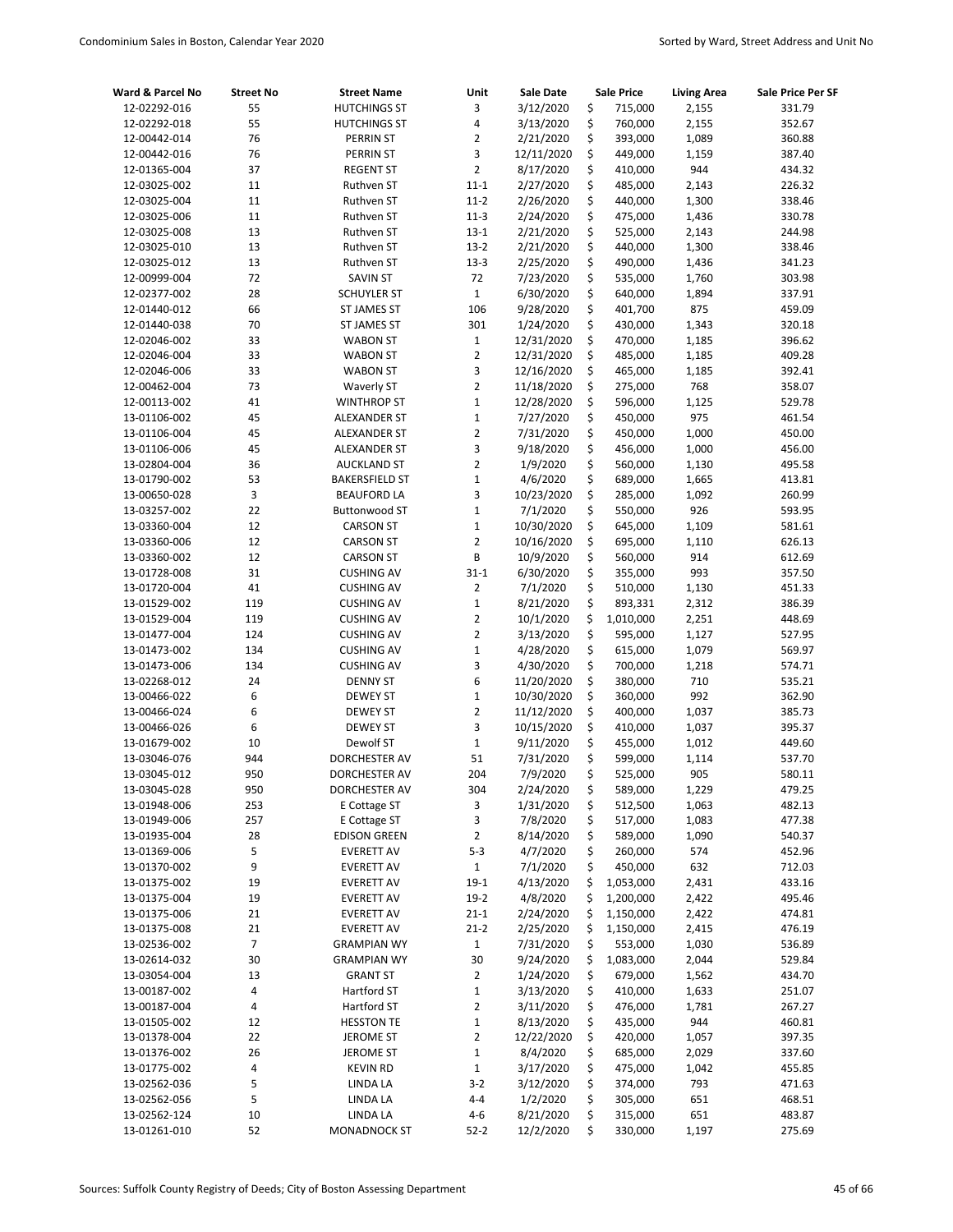| Ward & Parcel No             | <b>Street No</b> | <b>Street Name</b>                 | Unit              | Sale Date                |          | <b>Sale Price</b>  | <b>Living Area</b> | Sale Price Per SF |
|------------------------------|------------------|------------------------------------|-------------------|--------------------------|----------|--------------------|--------------------|-------------------|
| 12-02292-016                 | 55               | <b>HUTCHINGS ST</b>                | 3                 | 3/12/2020                | \$       | 715,000            | 2,155              | 331.79            |
| 12-02292-018                 | 55               | <b>HUTCHINGS ST</b>                | 4                 | 3/13/2020                | \$       | 760,000            | 2,155              | 352.67            |
| 12-00442-014                 | 76               | PERRIN ST                          | $\overline{2}$    | 2/21/2020                | \$       | 393,000            | 1,089              | 360.88            |
| 12-00442-016                 | 76               | PERRIN ST                          | 3                 | 12/11/2020               | \$       | 449,000            | 1,159              | 387.40            |
| 12-01365-004                 | 37               | <b>REGENT ST</b>                   | $\overline{2}$    | 8/17/2020                | \$       | 410,000            | 944                | 434.32            |
| 12-03025-002                 | 11               | Ruthven ST                         | $11 - 1$          | 2/27/2020                | \$       | 485,000            | 2,143              | 226.32            |
| 12-03025-004                 | 11               | Ruthven ST                         | $11-2$            | 2/26/2020                | \$       | 440,000            | 1,300              | 338.46            |
| 12-03025-006                 | 11               | Ruthven ST                         | $11-3$            | 2/24/2020                | \$       | 475,000            | 1,436              | 330.78            |
| 12-03025-008                 | 13               | Ruthven ST                         | $13 - 1$          | 2/21/2020                | \$       | 525,000            | 2,143              | 244.98            |
| 12-03025-010                 | 13               | Ruthven ST                         | $13-2$            | 2/21/2020                | \$       | 440,000            | 1,300              | 338.46            |
| 12-03025-012                 | 13               | Ruthven ST                         | $13 - 3$          | 2/25/2020                | \$       | 490,000            | 1,436              | 341.23            |
| 12-00999-004                 | 72               | <b>SAVIN ST</b>                    | 72                | 7/23/2020                | \$       | 535,000            | 1,760              | 303.98            |
| 12-02377-002                 | 28               | <b>SCHUYLER ST</b>                 | $1\,$             | 6/30/2020                | \$       | 640,000            | 1,894              | 337.91            |
| 12-01440-012                 | 66               | ST JAMES ST                        | 106               | 9/28/2020                | \$       | 401,700            | 875                | 459.09            |
| 12-01440-038                 | 70               | ST JAMES ST                        | 301               | 1/24/2020                | \$       | 430,000            | 1,343              | 320.18            |
| 12-02046-002                 | 33               | <b>WABON ST</b>                    | $1\,$             | 12/31/2020               | \$       | 470,000            | 1,185              | 396.62            |
| 12-02046-004                 | 33               | <b>WABON ST</b>                    | $\overline{2}$    | 12/31/2020               | \$       | 485,000            | 1,185              | 409.28            |
| 12-02046-006                 | 33               | <b>WABON ST</b>                    | 3                 | 12/16/2020               | \$       | 465,000            | 1,185              | 392.41            |
| 12-00462-004                 | 73               | <b>Waverly ST</b>                  | $\overline{2}$    | 11/18/2020               | \$       | 275,000            | 768                | 358.07            |
| 12-00113-002                 | 41               | <b>WINTHROP ST</b>                 | $\mathbf{1}$      | 12/28/2020               | \$       | 596,000            | 1,125              | 529.78            |
| 13-01106-002                 | 45               | ALEXANDER ST                       | $\mathbf 1$       | 7/27/2020                | \$       | 450,000            | 975                | 461.54            |
| 13-01106-004                 | 45               | <b>ALEXANDER ST</b>                | $\overline{2}$    | 7/31/2020                | \$       | 450,000            | 1,000              | 450.00            |
| 13-01106-006                 | 45               | ALEXANDER ST                       | 3                 | 9/18/2020                | \$       | 456,000            | 1,000              | 456.00            |
| 13-02804-004                 | 36               | <b>AUCKLAND ST</b>                 | $\overline{2}$    | 1/9/2020                 | \$       | 560,000            | 1,130              | 495.58            |
| 13-01790-002                 | 53               | <b>BAKERSFIELD ST</b>              | $\mathbf 1$       | 4/6/2020                 | \$       | 689,000            | 1,665              | 413.81            |
| 13-00650-028                 | 3                | <b>BEAUFORD LA</b>                 | 3                 | 10/23/2020               | \$       | 285,000            | 1,092              | 260.99            |
| 13-03257-002                 | 22               | <b>Buttonwood ST</b>               | $\mathbf 1$       | 7/1/2020                 | \$       | 550,000            | 926                | 593.95            |
| 13-03360-004                 | 12               | <b>CARSON ST</b>                   | $\mathbf 1$       | 10/30/2020               | \$       | 645,000            | 1,109              | 581.61            |
| 13-03360-006                 | 12               | <b>CARSON ST</b>                   | 2                 | 10/16/2020               | \$       | 695,000            | 1,110              | 626.13            |
| 13-03360-002                 | 12               | <b>CARSON ST</b>                   | B                 | 10/9/2020                | \$       | 560,000            | 914                | 612.69            |
| 13-01728-008                 | 31               | <b>CUSHING AV</b>                  | $31 - 1$          | 6/30/2020                | \$       | 355,000            | 993                | 357.50            |
| 13-01720-004                 | 41               | <b>CUSHING AV</b>                  | $\overline{2}$    | 7/1/2020                 | \$       | 510,000            | 1,130              | 451.33            |
| 13-01529-002                 | 119              | <b>CUSHING AV</b>                  | $\mathbf 1$       | 8/21/2020                | \$       | 893,331            | 2,312              | 386.39            |
| 13-01529-004                 | 119              | <b>CUSHING AV</b>                  | $\overline{2}$    | 10/1/2020                | \$       | 1,010,000          | 2,251              | 448.69            |
| 13-01477-004<br>13-01473-002 | 124              | <b>CUSHING AV</b>                  | 2<br>$\mathbf{1}$ | 3/13/2020                | \$       | 595,000            | 1,127              | 527.95            |
|                              | 134              | <b>CUSHING AV</b>                  | 3                 | 4/28/2020                | \$       | 615,000            | 1,079              | 569.97            |
| 13-01473-006                 | 134<br>24        | <b>CUSHING AV</b>                  | 6                 | 4/30/2020                | \$<br>\$ | 700,000<br>380,000 | 1,218<br>710       | 574.71<br>535.21  |
| 13-02268-012<br>13-00466-022 | 6                | <b>DENNY ST</b><br><b>DEWEY ST</b> | $\mathbf{1}$      | 11/20/2020<br>10/30/2020 | \$       | 360,000            | 992                | 362.90            |
| 13-00466-024                 | 6                | <b>DEWEY ST</b>                    | $\overline{2}$    | 11/12/2020               | \$       | 400,000            | 1,037              | 385.73            |
| 13-00466-026                 | 6                | <b>DEWEY ST</b>                    | 3                 | 10/15/2020               | \$       | 410,000            | 1,037              | 395.37            |
| 13-01679-002                 | 10               | Dewolf ST                          | $\mathbf{1}$      | 9/11/2020                | \$       | 455,000            | 1,012              | 449.60            |
| 13-03046-076                 | 944              | DORCHESTER AV                      | 51                | 7/31/2020                | \$       | 599,000            | 1,114              | 537.70            |
| 13-03045-012                 | 950              | DORCHESTER AV                      | 204               | 7/9/2020                 | \$       | 525,000            | 905                | 580.11            |
| 13-03045-028                 | 950              | DORCHESTER AV                      | 304               | 2/24/2020                | \$       | 589,000            | 1,229              | 479.25            |
| 13-01948-006                 | 253              | <b>E</b> Cottage ST                | 3                 | 1/31/2020                | \$       | 512,500            | 1,063              | 482.13            |
| 13-01949-006                 | 257              | E Cottage ST                       | 3                 | 7/8/2020                 | \$       | 517,000            | 1,083              | 477.38            |
| 13-01935-004                 | 28               | <b>EDISON GREEN</b>                | $\overline{2}$    | 8/14/2020                | \$       | 589,000            | 1,090              | 540.37            |
| 13-01369-006                 | 5                | <b>EVERETT AV</b>                  | $5 - 3$           | 4/7/2020                 | \$       | 260,000            | 574                | 452.96            |
| 13-01370-002                 | 9                | <b>EVERETT AV</b>                  | $\mathbf{1}$      | 7/1/2020                 | \$       | 450,000            | 632                | 712.03            |
| 13-01375-002                 | 19               | <b>EVERETT AV</b>                  | $19-1$            | 4/13/2020                | \$       | 1,053,000          | 2,431              | 433.16            |
| 13-01375-004                 | 19               | <b>EVERETT AV</b>                  | $19 - 2$          | 4/8/2020                 | \$       | 1,200,000          | 2,422              | 495.46            |
| 13-01375-006                 | 21               | <b>EVERETT AV</b>                  | $21 - 1$          | 2/24/2020                | \$       | 1,150,000          | 2,422              | 474.81            |
| 13-01375-008                 | 21               | <b>EVERETT AV</b>                  | $21-2$            | 2/25/2020                | \$       | 1,150,000          | 2,415              | 476.19            |
| 13-02536-002                 | $\overline{7}$   | <b>GRAMPIAN WY</b>                 | $\mathbf 1$       | 7/31/2020                | \$       | 553,000            | 1,030              | 536.89            |
| 13-02614-032                 | 30               | <b>GRAMPIAN WY</b>                 | 30                | 9/24/2020                | \$       | 1,083,000          | 2,044              | 529.84            |
| 13-03054-004                 | 13               | <b>GRANT ST</b>                    | $\overline{2}$    | 1/24/2020                | \$       | 679,000            | 1,562              | 434.70            |
| 13-00187-002                 | 4                | Hartford ST                        | $\mathbf 1$       | 3/13/2020                | \$       | 410,000            | 1,633              | 251.07            |
| 13-00187-004                 | 4                | Hartford ST                        | 2                 | 3/11/2020                | \$       | 476,000            | 1,781              | 267.27            |
| 13-01505-002                 | 12               | <b>HESSTON TE</b>                  | $\mathbf 1$       | 8/13/2020                | \$       | 435,000            | 944                | 460.81            |
| 13-01378-004                 | 22               | <b>JEROME ST</b>                   | 2                 | 12/22/2020               | \$       | 420,000            | 1,057              | 397.35            |
| 13-01376-002                 | 26               | <b>JEROME ST</b>                   | $\mathbf 1$       | 8/4/2020                 | \$       | 685,000            | 2,029              | 337.60            |
| 13-01775-002                 | 4                | <b>KEVIN RD</b>                    | $\mathbf{1}$      | 3/17/2020                | \$       | 475,000            | 1,042              | 455.85            |
| 13-02562-036                 | 5                | LINDA LA                           | $3-2$             | 3/12/2020                | \$       | 374,000            | 793                | 471.63            |
| 13-02562-056                 | 5                | LINDA LA                           | $4 - 4$           | 1/2/2020                 | \$       | 305,000            | 651                | 468.51            |
| 13-02562-124                 | 10               | LINDA LA                           | 4-6               | 8/21/2020                | \$       | 315,000            | 651                | 483.87            |
| 13-01261-010                 | 52               | <b>MONADNOCK ST</b>                | $52-2$            | 12/2/2020                | \$       | 330,000            | 1,197              | 275.69            |
|                              |                  |                                    |                   |                          |          |                    |                    |                   |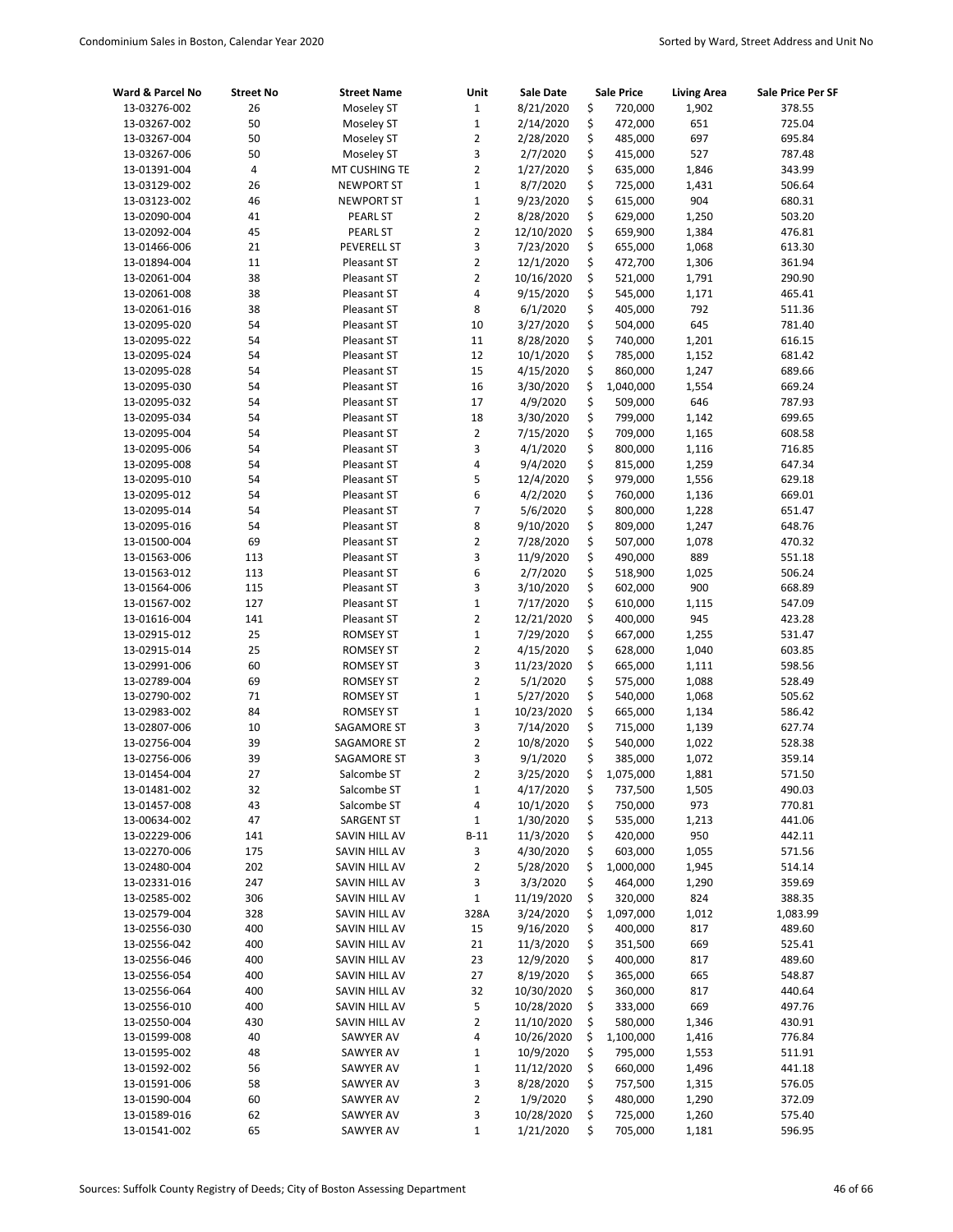| Ward & Parcel No             | <b>Street No</b> | <b>Street Name</b>             | Unit             | Sale Date               |          | <b>Sale Price</b>    | <b>Living Area</b> | Sale Price Per SF  |
|------------------------------|------------------|--------------------------------|------------------|-------------------------|----------|----------------------|--------------------|--------------------|
| 13-03276-002                 | 26               | Moseley ST                     | $1\,$            | 8/21/2020               | \$       | 720,000              | 1,902              | 378.55             |
| 13-03267-002                 | 50               | Moseley ST                     | $\mathbf{1}$     | 2/14/2020               | \$       | 472,000              | 651                | 725.04             |
| 13-03267-004                 | 50               | Moseley ST                     | $\overline{2}$   | 2/28/2020               | \$       | 485,000              | 697                | 695.84             |
| 13-03267-006                 | 50               | Moseley ST                     | 3                | 2/7/2020                | \$       | 415,000              | 527                | 787.48             |
| 13-01391-004                 | $\sqrt{4}$       | MT CUSHING TE                  | $\overline{2}$   | 1/27/2020               | \$       | 635,000              | 1,846              | 343.99             |
| 13-03129-002                 | 26               | <b>NEWPORT ST</b>              | $\mathbf 1$      | 8/7/2020                | \$       | 725,000              | 1,431              | 506.64             |
| 13-03123-002                 | 46               | <b>NEWPORT ST</b>              | $\mathbf 1$      | 9/23/2020               | \$       | 615,000              | 904                | 680.31             |
| 13-02090-004                 | 41               | PEARL ST                       | $\overline{2}$   | 8/28/2020               | \$       | 629,000              | 1,250              | 503.20             |
| 13-02092-004                 | 45               | PEARL ST                       | $\overline{2}$   | 12/10/2020              | \$       | 659,900              | 1,384              | 476.81             |
| 13-01466-006                 | 21               | PEVERELL ST                    | 3                | 7/23/2020               | \$       | 655,000              | 1,068              | 613.30             |
| 13-01894-004                 | 11               | Pleasant ST                    | $\overline{2}$   | 12/1/2020               | \$       | 472,700              | 1,306              | 361.94             |
| 13-02061-004                 | 38               | Pleasant ST                    | $\overline{2}$   | 10/16/2020              | \$       | 521,000              | 1,791              | 290.90             |
| 13-02061-008                 | 38               | Pleasant ST                    | 4                | 9/15/2020               | \$       | 545,000              | 1,171              | 465.41             |
| 13-02061-016                 | 38               | Pleasant ST                    | 8                | 6/1/2020                | \$<br>\$ | 405,000              | 792<br>645         | 511.36             |
| 13-02095-020                 | 54<br>54         | Pleasant ST                    | 10<br>11         | 3/27/2020               | \$       | 504,000              | 1,201              | 781.40             |
| 13-02095-022<br>13-02095-024 | 54               | Pleasant ST<br>Pleasant ST     | 12               | 8/28/2020<br>10/1/2020  | \$       | 740,000<br>785,000   | 1,152              | 616.15<br>681.42   |
| 13-02095-028                 | 54               | Pleasant ST                    | 15               | 4/15/2020               | \$       | 860,000              | 1,247              | 689.66             |
| 13-02095-030                 | 54               | Pleasant ST                    | 16               | 3/30/2020               | \$       | 1,040,000            | 1,554              | 669.24             |
| 13-02095-032                 | 54               | Pleasant ST                    | 17               | 4/9/2020                | \$       | 509,000              | 646                | 787.93             |
| 13-02095-034                 | 54               | Pleasant ST                    | 18               | 3/30/2020               | \$       | 799,000              | 1,142              | 699.65             |
| 13-02095-004                 | 54               | Pleasant ST                    | $\overline{2}$   | 7/15/2020               | \$       | 709,000              | 1,165              | 608.58             |
| 13-02095-006                 | 54               | Pleasant ST                    | 3                | 4/1/2020                | \$       | 800,000              | 1,116              | 716.85             |
| 13-02095-008                 | 54               | Pleasant ST                    | 4                | 9/4/2020                | \$       | 815,000              | 1,259              | 647.34             |
| 13-02095-010                 | 54               | Pleasant ST                    | 5                | 12/4/2020               | \$       | 979,000              | 1,556              | 629.18             |
| 13-02095-012                 | 54               | Pleasant ST                    | 6                | 4/2/2020                | \$       | 760,000              | 1,136              | 669.01             |
| 13-02095-014                 | 54               | Pleasant ST                    | 7                | 5/6/2020                | \$       | 800,000              | 1,228              | 651.47             |
| 13-02095-016                 | 54               | Pleasant ST                    | 8                | 9/10/2020               | \$       | 809,000              | 1,247              | 648.76             |
| 13-01500-004                 | 69               | Pleasant ST                    | 2                | 7/28/2020               | \$       | 507,000              | 1,078              | 470.32             |
| 13-01563-006                 | 113              | Pleasant ST                    | 3                | 11/9/2020               | \$       | 490,000              | 889                | 551.18             |
| 13-01563-012                 | 113              | Pleasant ST                    | 6                | 2/7/2020                | \$       | 518,900              | 1,025              | 506.24             |
| 13-01564-006                 | 115              | Pleasant ST                    | 3                | 3/10/2020               | \$       | 602,000              | 900                | 668.89             |
| 13-01567-002                 | 127              | Pleasant ST                    | $\mathbf{1}$     | 7/17/2020               | \$       | 610,000              | 1,115              | 547.09             |
| 13-01616-004                 | 141              | Pleasant ST                    | $\overline{2}$   | 12/21/2020              | \$       | 400,000              | 945                | 423.28             |
| 13-02915-012                 | 25               | <b>ROMSEY ST</b>               | $\mathbf 1$      | 7/29/2020               | \$       | 667,000              | 1,255              | 531.47             |
| 13-02915-014                 | 25               | <b>ROMSEY ST</b>               | $\overline{2}$   | 4/15/2020               | \$       | 628,000              | 1,040              | 603.85             |
| 13-02991-006                 | 60               | <b>ROMSEY ST</b>               | 3                | 11/23/2020              | \$       | 665,000              | 1,111              | 598.56             |
| 13-02789-004                 | 69               | <b>ROMSEY ST</b>               | 2                | 5/1/2020                | \$       | 575,000              | 1,088              | 528.49             |
| 13-02790-002                 | 71               | <b>ROMSEY ST</b>               | $\mathbf{1}$     | 5/27/2020               | \$       | 540,000              | 1,068              | 505.62             |
| 13-02983-002                 | 84               | <b>ROMSEY ST</b>               | $\mathbf{1}$     | 10/23/2020              | \$       | 665,000              | 1,134              | 586.42             |
| 13-02807-006                 | 10               | SAGAMORE ST                    | 3                | 7/14/2020               | \$       | 715,000              | 1,139              | 627.74             |
| 13-02756-004                 | 39               | SAGAMORE ST                    | $\overline{2}$   | 10/8/2020               | \$       | 540,000              | 1,022              | 528.38             |
| 13-02756-006                 | 39               | SAGAMORE ST                    | 3                | 9/1/2020                | \$       | 385,000              | 1,072              | 359.14             |
| 13-01454-004                 | 27               | Salcombe ST                    | $\overline{2}$   | 3/25/2020               | Ś        | 1,075,000            | 1,881              | 571.50             |
| 13-01481-002                 | 32               | Salcombe ST                    | $\mathbf{1}$     | 4/17/2020               | \$       | 737,500              | 1,505              | 490.03             |
| 13-01457-008                 | 43               | Salcombe ST                    | 4                | 10/1/2020               | \$       | 750,000              | 973                | 770.81             |
| 13-00634-002                 | 47               | <b>SARGENT ST</b>              | $\mathbf 1$      | 1/30/2020               | \$       | 535,000              | 1,213              | 441.06             |
| 13-02229-006                 | 141              | SAVIN HILL AV                  | $B-11$           | 11/3/2020               | \$       | 420,000              | 950                | 442.11             |
| 13-02270-006                 | 175              | SAVIN HILL AV                  | 3                | 4/30/2020               | \$       | 603,000              | 1,055              | 571.56             |
| 13-02480-004                 | 202              | SAVIN HILL AV                  | 2                | 5/28/2020               | \$       | 1,000,000            | 1,945              | 514.14             |
| 13-02331-016<br>13-02585-002 | 247<br>306       | SAVIN HILL AV<br>SAVIN HILL AV | 3<br>$\mathbf 1$ | 3/3/2020                | \$<br>\$ | 464,000              | 1,290<br>824       | 359.69             |
| 13-02579-004                 | 328              | SAVIN HILL AV                  | 328A             | 11/19/2020<br>3/24/2020 | \$       | 320,000<br>1,097,000 | 1,012              | 388.35<br>1,083.99 |
| 13-02556-030                 | 400              | SAVIN HILL AV                  | 15               | 9/16/2020               | \$       | 400,000              | 817                | 489.60             |
| 13-02556-042                 | 400              | SAVIN HILL AV                  | 21               | 11/3/2020               | \$       | 351,500              | 669                | 525.41             |
| 13-02556-046                 | 400              | SAVIN HILL AV                  | 23               | 12/9/2020               | \$       | 400,000              | 817                | 489.60             |
| 13-02556-054                 | 400              | SAVIN HILL AV                  | 27               | 8/19/2020               | \$       | 365,000              | 665                | 548.87             |
| 13-02556-064                 | 400              | SAVIN HILL AV                  | 32               | 10/30/2020              | \$       | 360,000              | 817                | 440.64             |
| 13-02556-010                 | 400              | SAVIN HILL AV                  | 5                | 10/28/2020              | \$       | 333,000              | 669                | 497.76             |
| 13-02550-004                 | 430              | SAVIN HILL AV                  | $\overline{2}$   | 11/10/2020              | \$       | 580,000              | 1,346              | 430.91             |
| 13-01599-008                 | 40               | SAWYER AV                      | 4                | 10/26/2020              | \$       | 1,100,000            | 1,416              | 776.84             |
| 13-01595-002                 | 48               | SAWYER AV                      | $\mathbf 1$      | 10/9/2020               | \$       | 795,000              | 1,553              | 511.91             |
| 13-01592-002                 | 56               | SAWYER AV                      | $\mathbf 1$      | 11/12/2020              | \$       | 660,000              | 1,496              | 441.18             |
| 13-01591-006                 | 58               | SAWYER AV                      | 3                | 8/28/2020               | \$       | 757,500              | 1,315              | 576.05             |
| 13-01590-004                 | 60               | SAWYER AV                      | $\overline{2}$   | 1/9/2020                | \$       | 480,000              | 1,290              | 372.09             |
| 13-01589-016                 | 62               | SAWYER AV                      | 3                | 10/28/2020              | \$       | 725,000              | 1,260              | 575.40             |
| 13-01541-002                 | 65               | SAWYER AV                      | 1                | 1/21/2020               | \$       | 705,000              | 1,181              | 596.95             |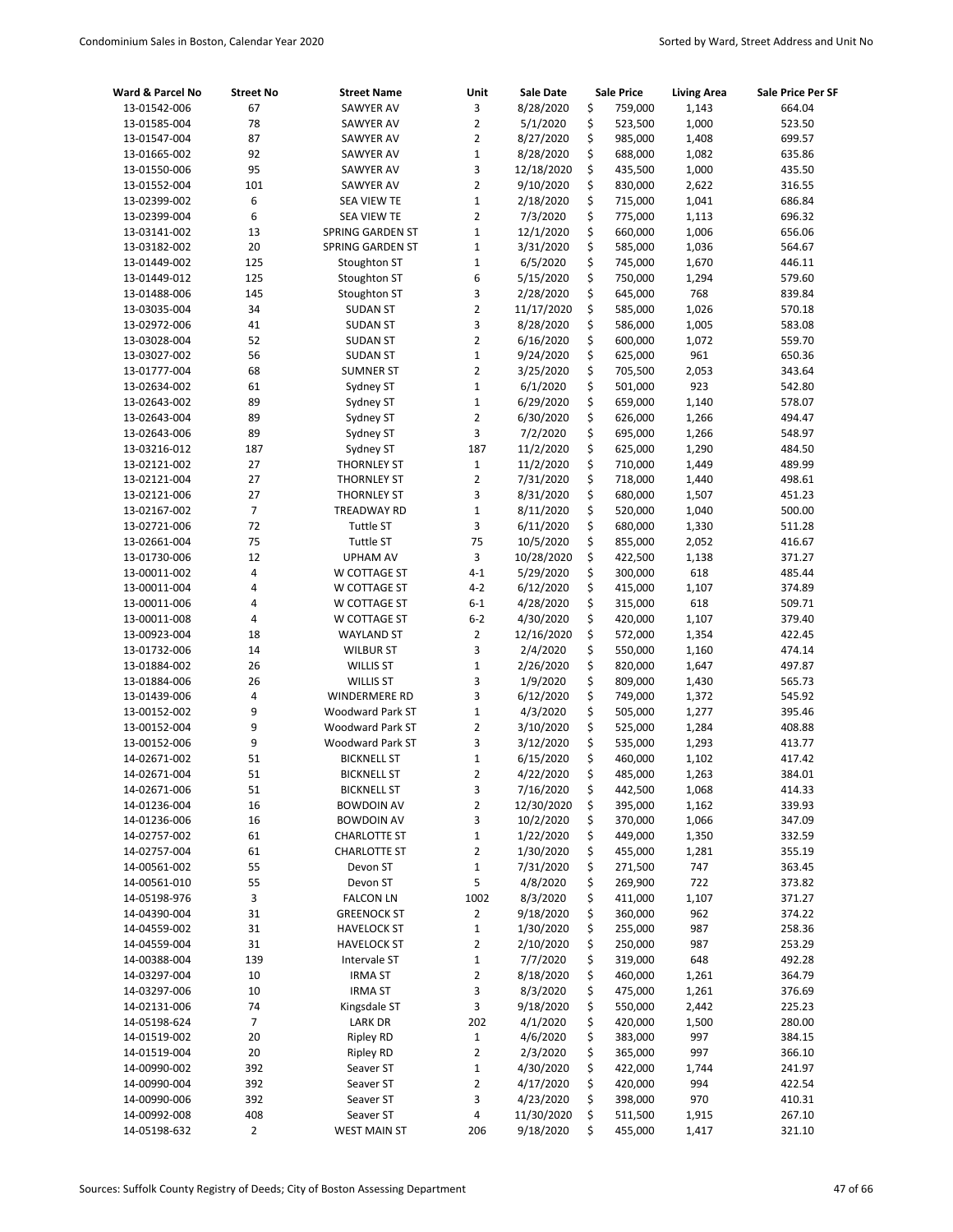| Ward & Parcel No             | <b>Street No</b> | <b>Street Name</b>           | Unit           | <b>Sale Date</b>       |          | <b>Sale Price</b>  | <b>Living Area</b> | Sale Price Per SF |
|------------------------------|------------------|------------------------------|----------------|------------------------|----------|--------------------|--------------------|-------------------|
| 13-01542-006                 | 67               | SAWYER AV                    | 3              | 8/28/2020              | \$       | 759,000            | 1,143              | 664.04            |
| 13-01585-004                 | 78               | <b>SAWYER AV</b>             | $\overline{2}$ | 5/1/2020               | \$       | 523,500            | 1,000              | 523.50            |
| 13-01547-004                 | 87               | SAWYER AV                    | $\overline{2}$ | 8/27/2020              | \$       | 985,000            | 1,408              | 699.57            |
| 13-01665-002                 | 92               | SAWYER AV                    | $\mathbf{1}$   | 8/28/2020              | \$       | 688,000            | 1,082              | 635.86            |
| 13-01550-006                 | 95               | <b>SAWYER AV</b>             | 3              | 12/18/2020             | \$       | 435,500            | 1,000              | 435.50            |
| 13-01552-004                 | 101              | SAWYER AV                    | $\overline{2}$ | 9/10/2020              | \$       | 830,000            | 2,622              | 316.55            |
| 13-02399-002                 | 6                | <b>SEA VIEW TE</b>           | $\mathbf{1}$   | 2/18/2020              | \$       | 715,000            | 1,041              | 686.84            |
| 13-02399-004                 | 6                | <b>SEA VIEW TE</b>           | $\overline{2}$ | 7/3/2020               | \$       | 775,000            | 1,113              | 696.32            |
| 13-03141-002                 | 13               | SPRING GARDEN ST             | $\mathbf{1}$   | 12/1/2020              | \$       | 660,000            | 1,006              | 656.06            |
| 13-03182-002                 | 20               | <b>SPRING GARDEN ST</b>      | $\mathbf{1}$   | 3/31/2020              | \$       | 585,000            | 1,036              | 564.67            |
| 13-01449-002                 | 125              | Stoughton ST                 | $\mathbf 1$    | 6/5/2020               | \$       | 745,000            | 1,670              | 446.11            |
| 13-01449-012                 | 125              | Stoughton ST                 | 6              | 5/15/2020              | \$       | 750,000            | 1,294              | 579.60            |
| 13-01488-006                 | 145              | Stoughton ST                 | 3              | 2/28/2020              | \$       | 645,000            | 768                | 839.84            |
| 13-03035-004                 | 34               | <b>SUDAN ST</b>              | $\overline{2}$ | 11/17/2020             | \$       | 585,000            | 1,026              | 570.18            |
| 13-02972-006                 | 41               | <b>SUDAN ST</b>              | 3              | 8/28/2020              | \$       | 586,000            | 1,005              | 583.08            |
| 13-03028-004                 | 52               | <b>SUDAN ST</b>              | $\overline{2}$ | 6/16/2020              | \$       | 600,000            | 1,072              | 559.70            |
| 13-03027-002                 | 56               | <b>SUDAN ST</b>              | $\mathbf 1$    | 9/24/2020              | \$       | 625,000            | 961                | 650.36            |
| 13-01777-004                 | 68               | <b>SUMNER ST</b>             | $\overline{2}$ | 3/25/2020              | \$       | 705,500            | 2,053              | 343.64            |
| 13-02634-002                 | 61               | Sydney ST                    | $\mathbf{1}$   | 6/1/2020               | \$       | 501,000            | 923                | 542.80            |
| 13-02643-002                 | 89               | Sydney ST                    | $\mathbf 1$    | 6/29/2020              | \$       | 659,000            | 1,140              | 578.07            |
| 13-02643-004                 | 89               | Sydney ST                    | $\overline{2}$ | 6/30/2020              | \$       | 626,000            | 1,266              | 494.47            |
| 13-02643-006                 | 89               | Sydney ST                    | 3              | 7/2/2020               | \$       | 695,000            | 1,266              | 548.97            |
| 13-03216-012                 | 187              | Sydney ST                    | 187            | 11/2/2020              | \$       | 625,000            | 1,290              | 484.50            |
| 13-02121-002                 | 27               | <b>THORNLEY ST</b>           | $\mathbf 1$    | 11/2/2020              | \$       | 710,000            | 1,449              | 489.99            |
| 13-02121-004                 | 27               | <b>THORNLEY ST</b>           | $\overline{2}$ | 7/31/2020              | \$       | 718,000            | 1,440              | 498.61            |
| 13-02121-006                 | 27               | <b>THORNLEY ST</b>           | 3              | 8/31/2020              | \$       | 680,000            | 1,507              | 451.23            |
| 13-02167-002                 | $\overline{7}$   | TREADWAY RD                  | $\mathbf 1$    | 8/11/2020              | \$       | 520,000            | 1,040              | 500.00            |
| 13-02721-006                 | 72               | <b>Tuttle ST</b>             | 3              | 6/11/2020              | \$       | 680,000            | 1,330              | 511.28            |
| 13-02661-004                 | 75               | Tuttle ST                    | 75             | 10/5/2020              | \$       | 855,000            | 2,052              | 416.67            |
| 13-01730-006                 | 12<br>4          | <b>UPHAM AV</b>              | 3<br>$4 - 1$   | 10/28/2020             | \$<br>\$ | 422,500            | 1,138<br>618       | 371.27            |
| 13-00011-002<br>13-00011-004 | 4                | W COTTAGE ST                 | $4 - 2$        | 5/29/2020              | \$       | 300,000            |                    | 485.44            |
|                              | 4                | W COTTAGE ST<br>W COTTAGE ST | $6 - 1$        | 6/12/2020              |          | 415,000            | 1,107<br>618       | 374.89            |
| 13-00011-006<br>13-00011-008 | 4                | W COTTAGE ST                 | $6 - 2$        | 4/28/2020<br>4/30/2020 | \$<br>\$ | 315,000<br>420,000 | 1,107              | 509.71<br>379.40  |
| 13-00923-004                 | 18               | <b>WAYLAND ST</b>            | $\overline{2}$ | 12/16/2020             | \$       | 572,000            | 1,354              | 422.45            |
| 13-01732-006                 | 14               | <b>WILBUR ST</b>             | 3              | 2/4/2020               | \$       | 550,000            | 1,160              | 474.14            |
| 13-01884-002                 | 26               | <b>WILLIS ST</b>             | $\mathbf 1$    | 2/26/2020              | \$       | 820,000            | 1,647              | 497.87            |
| 13-01884-006                 | 26               | <b>WILLIS ST</b>             | 3              | 1/9/2020               | \$       | 809,000            | 1,430              | 565.73            |
| 13-01439-006                 | 4                | WINDERMERE RD                | 3              | 6/12/2020              | \$       | 749,000            | 1,372              | 545.92            |
| 13-00152-002                 | 9                | Woodward Park ST             | $\mathbf{1}$   | 4/3/2020               | \$       | 505,000            | 1,277              | 395.46            |
| 13-00152-004                 | 9                | <b>Woodward Park ST</b>      | $\overline{2}$ | 3/10/2020              | \$       | 525,000            | 1,284              | 408.88            |
| 13-00152-006                 | 9                | Woodward Park ST             | 3              | 3/12/2020              | \$       | 535,000            | 1,293              | 413.77            |
| 14-02671-002                 | 51               | <b>BICKNELL ST</b>           | $\mathbf{1}$   | 6/15/2020              | \$       | 460,000            | 1,102              | 417.42            |
| 14-02671-004                 | 51               | <b>BICKNELL ST</b>           | $\overline{2}$ | 4/22/2020              | Ś        | 485,000            | 1,263              | 384.01            |
| 14-02671-006                 | 51               | <b>BICKNELL ST</b>           | 3              | 7/16/2020              | \$       | 442,500            | 1,068              | 414.33            |
| 14-01236-004                 | 16               | <b>BOWDOIN AV</b>            | $\overline{2}$ | 12/30/2020             | \$       | 395,000            | 1,162              | 339.93            |
| 14-01236-006                 | 16               | <b>BOWDOIN AV</b>            | 3              | 10/2/2020              | \$       | 370,000            | 1,066              | 347.09            |
| 14-02757-002                 | 61               | <b>CHARLOTTE ST</b>          | $\mathbf 1$    | 1/22/2020              | \$       | 449,000            | 1,350              | 332.59            |
| 14-02757-004                 | 61               | <b>CHARLOTTE ST</b>          | $\overline{2}$ | 1/30/2020              | \$       | 455,000            | 1,281              | 355.19            |
| 14-00561-002                 | 55               | Devon ST                     | $\mathbf 1$    | 7/31/2020              | \$       | 271,500            | 747                | 363.45            |
| 14-00561-010                 | 55               | Devon ST                     | 5              | 4/8/2020               | \$       | 269,900            | 722                | 373.82            |
| 14-05198-976                 | 3                | <b>FALCON LN</b>             | 1002           | 8/3/2020               | \$       | 411,000            | 1,107              | 371.27            |
| 14-04390-004                 | 31               | <b>GREENOCK ST</b>           | 2              | 9/18/2020              | \$       | 360,000            | 962                | 374.22            |
| 14-04559-002                 | 31               | <b>HAVELOCK ST</b>           | $\mathbf{1}$   | 1/30/2020              | \$       | 255,000            | 987                | 258.36            |
| 14-04559-004                 | 31               | <b>HAVELOCK ST</b>           | $\overline{2}$ | 2/10/2020              | \$       | 250,000            | 987                | 253.29            |
| 14-00388-004                 | 139              | Intervale ST                 | $\mathbf{1}$   | 7/7/2020               | \$       | 319,000            | 648                | 492.28            |
| 14-03297-004                 | 10               | <b>IRMA ST</b>               | $\overline{2}$ | 8/18/2020              | \$       | 460,000            | 1,261              | 364.79            |
| 14-03297-006                 | 10               | <b>IRMA ST</b>               | 3              | 8/3/2020               | \$       | 475,000            | 1,261              | 376.69            |
| 14-02131-006                 | 74               | Kingsdale ST                 | 3              | 9/18/2020              | \$       | 550,000            | 2,442              | 225.23            |
| 14-05198-624                 | 7                | <b>LARK DR</b>               | 202            | 4/1/2020               | \$       | 420,000            | 1,500              | 280.00            |
| 14-01519-002                 | 20               | <b>Ripley RD</b>             | $\mathbf 1$    | 4/6/2020               | \$       | 383,000            | 997                | 384.15            |
| 14-01519-004                 | 20               | <b>Ripley RD</b>             | 2              | 2/3/2020               | \$       | 365,000            | 997                | 366.10            |
| 14-00990-002                 | 392              | Seaver ST                    | $\mathbf{1}$   | 4/30/2020              | \$       | 422,000            | 1,744              | 241.97            |
| 14-00990-004                 | 392              | Seaver ST                    | $\overline{2}$ | 4/17/2020              | \$       | 420,000            | 994                | 422.54            |
| 14-00990-006                 | 392              | Seaver ST                    | 3              | 4/23/2020              | \$       | 398,000            | 970                | 410.31            |
| 14-00992-008                 | 408              | Seaver ST                    | 4              | 11/30/2020             | \$       | 511,500            | 1,915              | 267.10            |
| 14-05198-632                 | 2                | <b>WEST MAIN ST</b>          | 206            | 9/18/2020              | \$       | 455,000            | 1,417              | 321.10            |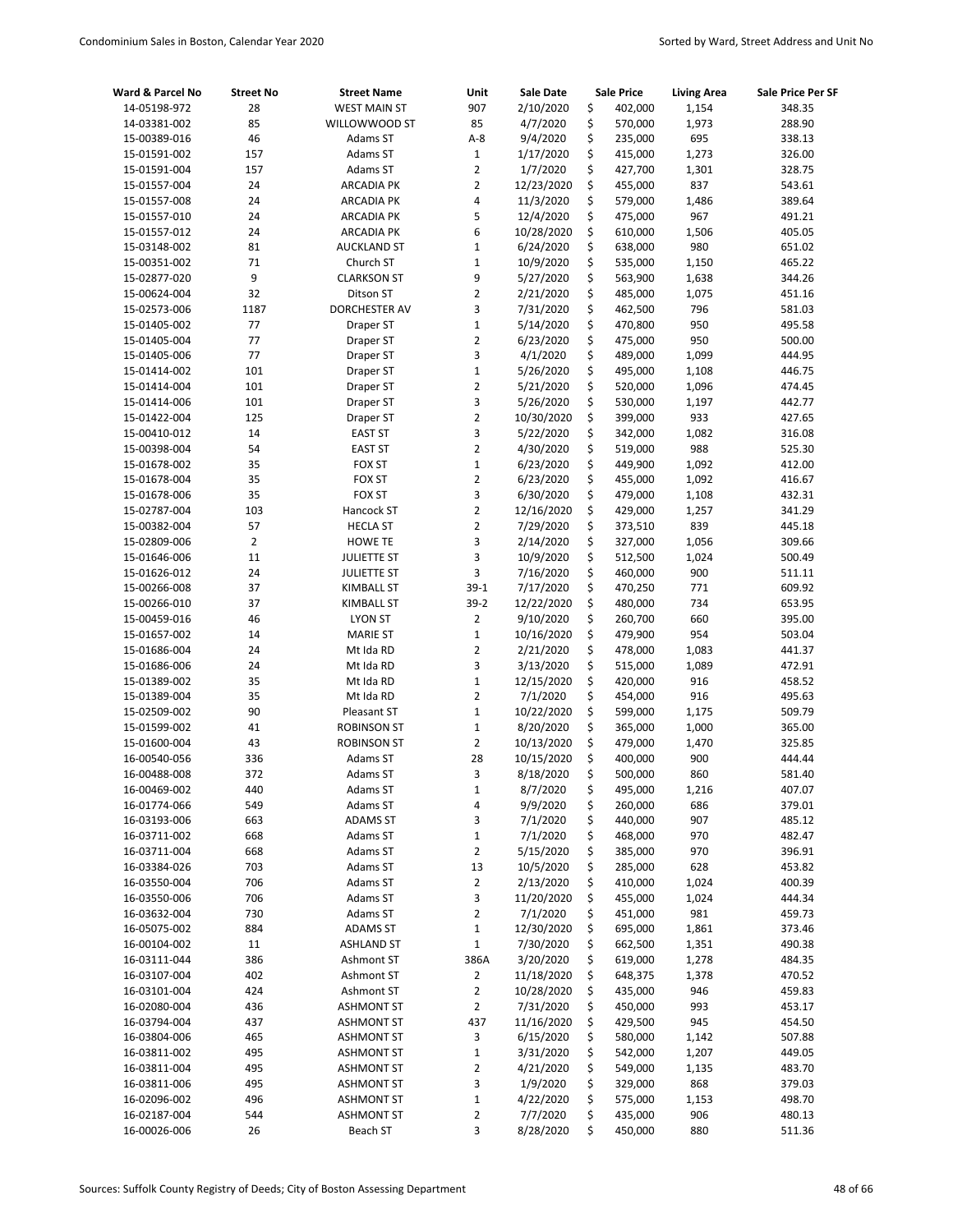| Ward & Parcel No | <b>Street No</b> | <b>Street Name</b>  | Unit                    | Sale Date  | <b>Sale Price</b> | <b>Living Area</b> | Sale Price Per SF |
|------------------|------------------|---------------------|-------------------------|------------|-------------------|--------------------|-------------------|
| 14-05198-972     | 28               | <b>WEST MAIN ST</b> | 907                     | 2/10/2020  | \$<br>402,000     | 1,154              | 348.35            |
| 14-03381-002     | 85               | WILLOWWOOD ST       | 85                      | 4/7/2020   | \$<br>570,000     | 1,973              | 288.90            |
| 15-00389-016     | 46               | Adams ST            | $A-8$                   | 9/4/2020   | \$<br>235,000     | 695                | 338.13            |
| 15-01591-002     | 157              | Adams ST            | $\mathbf{1}$            | 1/17/2020  | \$<br>415,000     | 1,273              | 326.00            |
| 15-01591-004     | 157              | Adams ST            | $\overline{2}$          | 1/7/2020   | \$<br>427,700     | 1,301              | 328.75            |
| 15-01557-004     | 24               | <b>ARCADIA PK</b>   | 2                       | 12/23/2020 | \$<br>455,000     | 837                | 543.61            |
| 15-01557-008     | 24               | <b>ARCADIA PK</b>   | 4                       | 11/3/2020  | \$<br>579,000     | 1,486              | 389.64            |
| 15-01557-010     | 24               | <b>ARCADIA PK</b>   | 5                       | 12/4/2020  | \$<br>475,000     | 967                | 491.21            |
| 15-01557-012     | 24               | <b>ARCADIA PK</b>   | 6                       | 10/28/2020 | \$<br>610,000     | 1,506              | 405.05            |
| 15-03148-002     | 81               | <b>AUCKLAND ST</b>  | $\mathbf{1}$            | 6/24/2020  | \$<br>638,000     | 980                | 651.02            |
| 15-00351-002     | 71               | Church ST           | $\mathbf 1$             | 10/9/2020  | \$<br>535,000     | 1,150              | 465.22            |
| 15-02877-020     | 9                | <b>CLARKSON ST</b>  | 9                       | 5/27/2020  | \$<br>563,900     | 1,638              | 344.26            |
| 15-00624-004     | 32               | Ditson ST           | 2                       | 2/21/2020  | \$<br>485,000     | 1,075              | 451.16            |
| 15-02573-006     | 1187             | DORCHESTER AV       | 3                       | 7/31/2020  | \$<br>462,500     | 796                | 581.03            |
| 15-01405-002     | 77               | Draper ST           | $\mathbf{1}$            | 5/14/2020  | \$<br>470,800     | 950                | 495.58            |
| 15-01405-004     | 77               | Draper ST           | $\overline{2}$          | 6/23/2020  | \$<br>475,000     | 950                | 500.00            |
| 15-01405-006     | 77               | Draper ST           | 3                       | 4/1/2020   | \$<br>489,000     | 1,099              | 444.95            |
| 15-01414-002     | 101              | Draper ST           | $\mathbf 1$             | 5/26/2020  | \$<br>495,000     | 1,108              | 446.75            |
| 15-01414-004     | 101              | Draper ST           | $\overline{2}$          | 5/21/2020  | \$<br>520,000     | 1,096              | 474.45            |
| 15-01414-006     | 101              | Draper ST           | 3                       | 5/26/2020  | \$<br>530,000     | 1,197              | 442.77            |
| 15-01422-004     | 125              | Draper ST           | $\overline{2}$          | 10/30/2020 | \$<br>399,000     | 933                | 427.65            |
| 15-00410-012     | 14               | <b>EAST ST</b>      | 3                       | 5/22/2020  | \$<br>342,000     | 1,082              | 316.08            |
| 15-00398-004     | 54               | <b>EAST ST</b>      | $\overline{2}$          | 4/30/2020  | \$<br>519,000     | 988                | 525.30            |
| 15-01678-002     | 35               | <b>FOX ST</b>       | $\mathbf{1}$            | 6/23/2020  | \$<br>449,900     | 1,092              | 412.00            |
| 15-01678-004     | 35               | <b>FOX ST</b>       | $\overline{2}$          | 6/23/2020  | \$<br>455,000     | 1,092              | 416.67            |
| 15-01678-006     | 35               | <b>FOX ST</b>       | 3                       | 6/30/2020  | \$<br>479,000     | 1,108              | 432.31            |
| 15-02787-004     | 103              | Hancock ST          | $\overline{2}$          | 12/16/2020 | \$<br>429,000     | 1,257              | 341.29            |
| 15-00382-004     | 57               | <b>HECLA ST</b>     | 2                       | 7/29/2020  | \$<br>373,510     | 839                | 445.18            |
| 15-02809-006     | $\overline{2}$   | <b>HOWE TE</b>      | 3                       | 2/14/2020  | \$<br>327,000     | 1,056              | 309.66            |
| 15-01646-006     | 11               | <b>JULIETTE ST</b>  | 3                       | 10/9/2020  | \$<br>512,500     | 1,024              | 500.49            |
| 15-01626-012     | 24               | <b>JULIETTE ST</b>  | 3                       | 7/16/2020  | \$<br>460,000     | 900                | 511.11            |
| 15-00266-008     | 37               | <b>KIMBALL ST</b>   | $39-1$                  | 7/17/2020  | \$<br>470,250     | 771                | 609.92            |
| 15-00266-010     | 37               | <b>KIMBALL ST</b>   | $39-2$                  | 12/22/2020 | \$<br>480,000     | 734                | 653.95            |
| 15-00459-016     | 46               | <b>LYON ST</b>      | $\overline{2}$          | 9/10/2020  | \$<br>260,700     | 660                | 395.00            |
| 15-01657-002     | 14               | <b>MARIE ST</b>     | $\mathbf{1}$            | 10/16/2020 | \$<br>479,900     | 954                | 503.04            |
| 15-01686-004     | 24               | Mt Ida RD           | $\overline{2}$          | 2/21/2020  | \$<br>478,000     | 1,083              | 441.37            |
| 15-01686-006     | 24               | Mt Ida RD           | 3                       | 3/13/2020  | \$<br>515,000     | 1,089              | 472.91            |
| 15-01389-002     | 35               | Mt Ida RD           | $\mathbf{1}$            | 12/15/2020 | \$<br>420,000     | 916                | 458.52            |
| 15-01389-004     | 35               | Mt Ida RD           | $\overline{2}$          | 7/1/2020   | \$<br>454,000     | 916                | 495.63            |
| 15-02509-002     | 90               | Pleasant ST         | $\mathbf{1}$            | 10/22/2020 | \$<br>599,000     | 1,175              | 509.79            |
| 15-01599-002     | 41               | ROBINSON ST         | $\mathbf 1$             | 8/20/2020  | \$<br>365,000     | 1,000              | 365.00            |
| 15-01600-004     | 43               | <b>ROBINSON ST</b>  | $\overline{2}$          | 10/13/2020 | \$<br>479,000     | 1,470              | 325.85            |
| 16-00540-056     | 336              | Adams ST            | 28                      | 10/15/2020 | \$<br>400,000     | 900                | 444.44            |
| 16-00488-008     | 372              | Adams ST            | 3                       | 8/18/2020  | \$<br>500,000     | 860                | 581.40            |
| 16-00469-002     | 440              | Adams ST            | $\mathbf 1$             | 8/7/2020   | \$<br>495,000     | 1,216              | 407.07            |
| 16-01774-066     | 549              | Adams ST            | 4                       | 9/9/2020   | \$<br>260,000     | 686                | 379.01            |
| 16-03193-006     | 663              | <b>ADAMS ST</b>     | 3                       | 7/1/2020   | \$<br>440,000     | 907                | 485.12            |
| 16-03711-002     | 668              | Adams ST            | $\mathbf 1$             | 7/1/2020   | \$<br>468,000     | 970                | 482.47            |
| 16-03711-004     | 668              | Adams ST            | 2                       | 5/15/2020  | \$<br>385,000     | 970                | 396.91            |
| 16-03384-026     | 703              | Adams ST            | 13                      | 10/5/2020  | \$<br>285,000     | 628                | 453.82            |
| 16-03550-004     | 706              | Adams ST            | 2                       | 2/13/2020  | \$<br>410,000     | 1,024              | 400.39            |
| 16-03550-006     | 706              | Adams ST            | 3                       | 11/20/2020 | \$<br>455,000     | 1,024              | 444.34            |
| 16-03632-004     | 730              | Adams ST            | 2                       | 7/1/2020   | \$<br>451,000     | 981                | 459.73            |
| 16-05075-002     | 884              | <b>ADAMS ST</b>     | $\mathbf 1$             | 12/30/2020 | \$<br>695,000     | 1,861              | 373.46            |
| 16-00104-002     | 11               | <b>ASHLAND ST</b>   | $\mathbf 1$             | 7/30/2020  | \$<br>662,500     | 1,351              | 490.38            |
| 16-03111-044     | 386              | Ashmont ST          | 386A                    | 3/20/2020  | \$<br>619,000     | 1,278              | 484.35            |
| 16-03107-004     | 402              | Ashmont ST          | 2                       | 11/18/2020 | \$<br>648,375     | 1,378              | 470.52            |
| 16-03101-004     | 424              | Ashmont ST          | $\overline{\mathbf{c}}$ | 10/28/2020 | \$<br>435,000     | 946                | 459.83            |
| 16-02080-004     | 436              | <b>ASHMONT ST</b>   | 2                       | 7/31/2020  | \$<br>450,000     | 993                | 453.17            |
| 16-03794-004     | 437              | <b>ASHMONT ST</b>   | 437                     | 11/16/2020 | \$<br>429,500     | 945                | 454.50            |
| 16-03804-006     | 465              | <b>ASHMONT ST</b>   | 3                       | 6/15/2020  | \$<br>580,000     | 1,142              | 507.88            |
| 16-03811-002     | 495              | <b>ASHMONT ST</b>   | $\mathbf 1$             | 3/31/2020  | \$<br>542,000     | 1,207              | 449.05            |
| 16-03811-004     | 495              | <b>ASHMONT ST</b>   | 2                       | 4/21/2020  | \$<br>549,000     | 1,135              | 483.70            |
| 16-03811-006     | 495              | <b>ASHMONT ST</b>   | 3                       | 1/9/2020   | \$<br>329,000     | 868                | 379.03            |
| 16-02096-002     | 496              | <b>ASHMONT ST</b>   | $\mathbf 1$             | 4/22/2020  | \$<br>575,000     | 1,153              | 498.70            |
| 16-02187-004     | 544              | <b>ASHMONT ST</b>   | 2                       | 7/7/2020   | \$<br>435,000     | 906                | 480.13            |
| 16-00026-006     | 26               | Beach ST            | 3                       | 8/28/2020  | \$<br>450,000     | 880                | 511.36            |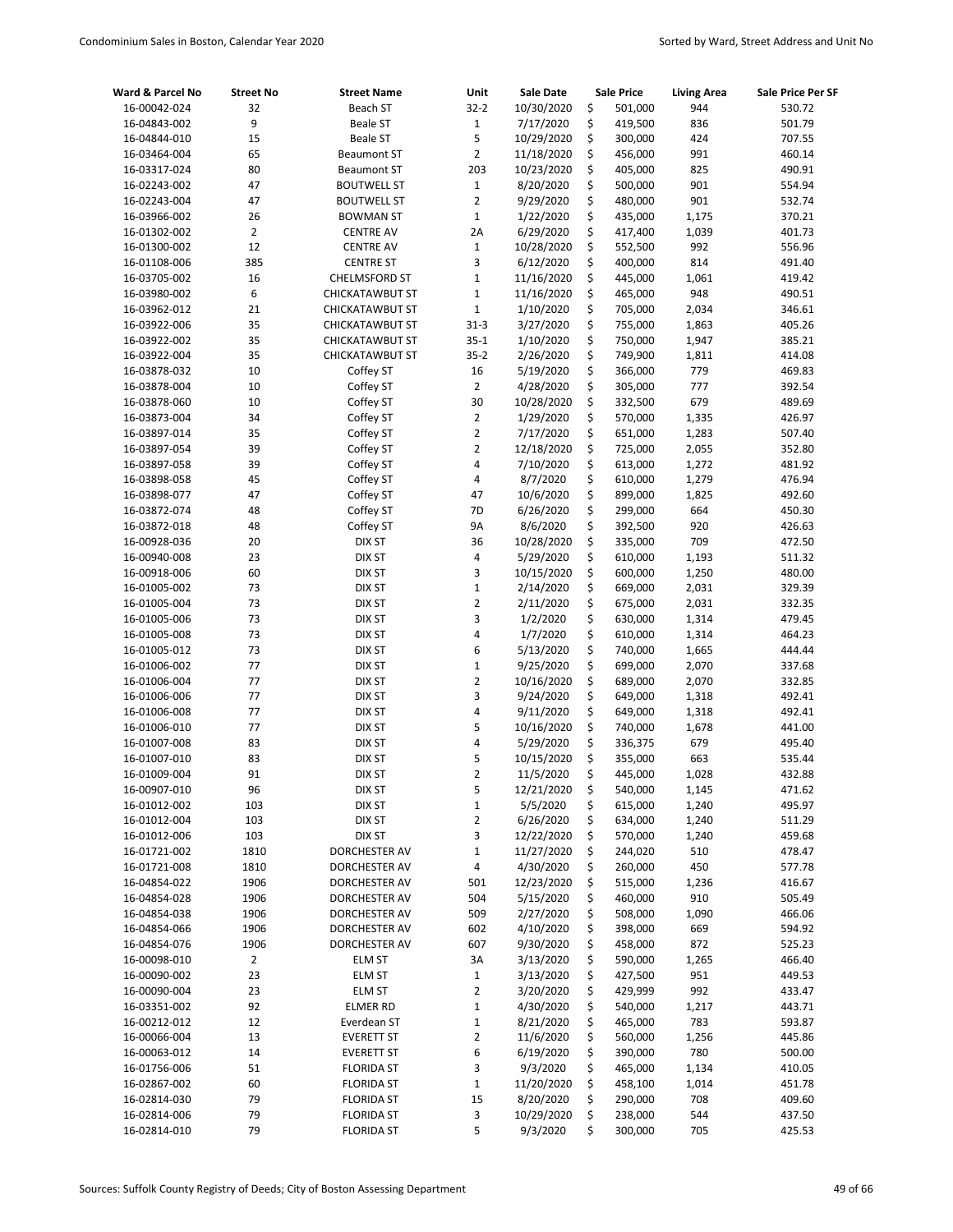| Ward & Parcel No | <b>Street No</b> | <b>Street Name</b>     | Unit           | Sale Date  | <b>Sale Price</b> | <b>Living Area</b> | Sale Price Per SF |
|------------------|------------------|------------------------|----------------|------------|-------------------|--------------------|-------------------|
| 16-00042-024     | 32               | Beach ST               | $32 - 2$       | 10/30/2020 | \$<br>501,000     | 944                | 530.72            |
| 16-04843-002     | 9                | <b>Beale ST</b>        | $\mathbf{1}$   | 7/17/2020  | \$<br>419,500     | 836                | 501.79            |
| 16-04844-010     | 15               | <b>Beale ST</b>        | 5              | 10/29/2020 | \$<br>300,000     | 424                | 707.55            |
| 16-03464-004     | 65               | <b>Beaumont ST</b>     | $\overline{2}$ | 11/18/2020 | \$<br>456,000     | 991                | 460.14            |
| 16-03317-024     | 80               | <b>Beaumont ST</b>     | 203            | 10/23/2020 | \$<br>405,000     | 825                | 490.91            |
| 16-02243-002     | 47               | <b>BOUTWELL ST</b>     | $1\,$          | 8/20/2020  | \$<br>500,000     | 901                | 554.94            |
| 16-02243-004     | 47               | <b>BOUTWELL ST</b>     | $\overline{2}$ | 9/29/2020  | \$<br>480,000     | 901                | 532.74            |
| 16-03966-002     | 26               | <b>BOWMAN ST</b>       | $1\,$          | 1/22/2020  | \$<br>435,000     | 1,175              | 370.21            |
| 16-01302-002     | $\overline{2}$   | <b>CENTRE AV</b>       | 2A             | 6/29/2020  | \$<br>417,400     | 1,039              | 401.73            |
| 16-01300-002     | 12               | <b>CENTRE AV</b>       | $1\,$          | 10/28/2020 | \$<br>552,500     | 992                | 556.96            |
| 16-01108-006     | 385              | <b>CENTRE ST</b>       | 3              | 6/12/2020  | \$<br>400,000     | 814                | 491.40            |
| 16-03705-002     | 16               | <b>CHELMSFORD ST</b>   | $\mathbf{1}$   | 11/16/2020 | \$<br>445,000     | 1,061              | 419.42            |
| 16-03980-002     | 6                | <b>CHICKATAWBUT ST</b> | $\mathbf 1$    | 11/16/2020 | \$<br>465,000     | 948                | 490.51            |
| 16-03962-012     | 21               | <b>CHICKATAWBUT ST</b> | $\mathbf{1}$   | 1/10/2020  | \$<br>705,000     | 2,034              | 346.61            |
| 16-03922-006     | 35               | <b>CHICKATAWBUT ST</b> | $31 - 3$       | 3/27/2020  | \$<br>755,000     | 1,863              | 405.26            |
| 16-03922-002     | 35               | CHICKATAWBUT ST        | $35 - 1$       | 1/10/2020  | \$<br>750,000     | 1,947              | 385.21            |
| 16-03922-004     | 35               | <b>CHICKATAWBUT ST</b> | $35-2$         | 2/26/2020  | \$<br>749,900     | 1,811              | 414.08            |
| 16-03878-032     | 10               | Coffey ST              | 16             | 5/19/2020  | \$<br>366,000     | 779                | 469.83            |
| 16-03878-004     | 10               | Coffey ST              | $\mathbf 2$    | 4/28/2020  | \$<br>305,000     | 777                | 392.54            |
| 16-03878-060     | 10               | Coffey ST              | 30             | 10/28/2020 | \$<br>332,500     | 679                | 489.69            |
| 16-03873-004     | 34               | Coffey ST              | $\overline{2}$ | 1/29/2020  | \$<br>570,000     | 1,335              | 426.97            |
| 16-03897-014     | 35               | Coffey ST              | $\overline{2}$ | 7/17/2020  | \$<br>651,000     | 1,283              | 507.40            |
| 16-03897-054     | 39               | Coffey ST              | 2              | 12/18/2020 | \$<br>725,000     | 2,055              | 352.80            |
| 16-03897-058     | 39               | Coffey ST              | 4              | 7/10/2020  | \$<br>613,000     | 1,272              | 481.92            |
| 16-03898-058     | 45               | Coffey ST              | 4              | 8/7/2020   | \$<br>610,000     | 1,279              | 476.94            |
| 16-03898-077     | 47               | Coffey ST              | 47             | 10/6/2020  | \$<br>899,000     | 1,825              | 492.60            |
| 16-03872-074     | 48               | Coffey ST              | 7D             | 6/26/2020  | \$<br>299,000     | 664                | 450.30            |
| 16-03872-018     | 48               | Coffey ST              | <b>9A</b>      | 8/6/2020   | \$<br>392,500     | 920                | 426.63            |
| 16-00928-036     | 20               | DIX ST                 | 36             | 10/28/2020 | \$<br>335,000     | 709                | 472.50            |
| 16-00940-008     | 23               | DIX ST                 | 4              | 5/29/2020  | \$<br>610,000     | 1,193              | 511.32            |
| 16-00918-006     | 60               | DIX ST                 | 3              | 10/15/2020 | \$<br>600,000     | 1,250              | 480.00            |
| 16-01005-002     | 73               | DIX ST                 | $\mathbf 1$    | 2/14/2020  | \$<br>669,000     | 2,031              | 329.39            |
| 16-01005-004     | 73               | DIX ST                 | $\overline{2}$ | 2/11/2020  | \$<br>675,000     | 2,031              | 332.35            |
| 16-01005-006     | 73               | DIX ST                 | 3              | 1/2/2020   | \$<br>630,000     | 1,314              | 479.45            |
| 16-01005-008     | 73               | DIX ST                 | 4              | 1/7/2020   | \$<br>610,000     | 1,314              | 464.23            |
| 16-01005-012     | 73               | DIX ST                 | 6              | 5/13/2020  | \$<br>740,000     | 1,665              | 444.44            |
| 16-01006-002     | 77               | DIX ST                 | $\mathbf 1$    | 9/25/2020  | \$<br>699,000     | 2,070              | 337.68            |
| 16-01006-004     | 77               | DIX ST                 | $\overline{2}$ | 10/16/2020 | \$<br>689,000     | 2,070              | 332.85            |
| 16-01006-006     | 77               | DIX ST                 | 3              | 9/24/2020  | \$<br>649,000     | 1,318              | 492.41            |
| 16-01006-008     | 77               | DIX ST                 | 4              | 9/11/2020  | \$<br>649,000     | 1,318              | 492.41            |
| 16-01006-010     | 77               | DIX ST                 | 5              | 10/16/2020 | \$<br>740,000     | 1,678              | 441.00            |
| 16-01007-008     | 83               | DIX ST                 | 4              | 5/29/2020  | \$<br>336,375     | 679                | 495.40            |
| 16-01007-010     | 83               | DIX ST                 | 5              | 10/15/2020 | \$<br>355,000     | 663                | 535.44            |
| 16-01009-004     | 91               | DIX ST                 | $\overline{2}$ | 11/5/2020  | \$<br>445,000     | 1,028              | 432.88            |
| 16-00907-010     | 96               | DIX ST                 | 5              | 12/21/2020 | \$<br>540,000     | 1,145              | 471.62            |
| 16-01012-002     | 103              | DIX ST                 | $\mathbf 1$    | 5/5/2020   | \$<br>615,000     | 1,240              | 495.97            |
| 16-01012-004     | 103              | DIX ST                 | 2              | 6/26/2020  | \$<br>634,000     | 1,240              | 511.29            |
| 16-01012-006     | 103              | DIX ST                 | 3              | 12/22/2020 | \$<br>570,000     | 1,240              | 459.68            |
| 16-01721-002     | 1810             | DORCHESTER AV          | $\mathbf 1$    | 11/27/2020 | \$<br>244,020     | 510                | 478.47            |
| 16-01721-008     | 1810             | <b>DORCHESTER AV</b>   | 4              | 4/30/2020  | \$<br>260,000     | 450                | 577.78            |
| 16-04854-022     | 1906             | DORCHESTER AV          | 501            | 12/23/2020 | \$<br>515,000     | 1,236              | 416.67            |
| 16-04854-028     | 1906             | <b>DORCHESTER AV</b>   | 504            | 5/15/2020  | \$<br>460,000     | 910                | 505.49            |
| 16-04854-038     | 1906             | DORCHESTER AV          | 509            | 2/27/2020  | \$<br>508,000     | 1,090              | 466.06            |
| 16-04854-066     | 1906             | DORCHESTER AV          | 602            | 4/10/2020  | \$<br>398,000     | 669                | 594.92            |
| 16-04854-076     | 1906             | <b>DORCHESTER AV</b>   | 607            | 9/30/2020  | \$<br>458,000     | 872                | 525.23            |
| 16-00098-010     | $\overline{2}$   | <b>ELM ST</b>          | 3A             | 3/13/2020  | \$<br>590,000     | 1,265              | 466.40            |
| 16-00090-002     | 23               | <b>ELM ST</b>          | $\mathbf 1$    | 3/13/2020  | \$<br>427,500     | 951                | 449.53            |
| 16-00090-004     | 23               | <b>ELM ST</b>          | $\overline{2}$ | 3/20/2020  | \$<br>429,999     | 992                | 433.47            |
| 16-03351-002     | 92               | <b>ELMER RD</b>        | $\mathbf 1$    | 4/30/2020  | \$<br>540,000     | 1,217              | 443.71            |
| 16-00212-012     | 12               | Everdean ST            | $\mathbf 1$    | 8/21/2020  | \$<br>465,000     | 783                | 593.87            |
| 16-00066-004     | 13               | <b>EVERETT ST</b>      | 2              | 11/6/2020  | \$<br>560,000     | 1,256              | 445.86            |
| 16-00063-012     | 14               | <b>EVERETT ST</b>      | 6              | 6/19/2020  | \$<br>390,000     | 780                | 500.00            |
| 16-01756-006     | 51               | <b>FLORIDA ST</b>      | 3              | 9/3/2020   | \$<br>465,000     | 1,134              | 410.05            |
| 16-02867-002     | 60               | <b>FLORIDA ST</b>      | $\mathbf{1}$   | 11/20/2020 | \$<br>458,100     | 1,014              | 451.78            |
| 16-02814-030     | 79               | <b>FLORIDA ST</b>      | 15             | 8/20/2020  | \$<br>290,000     | 708                | 409.60            |
| 16-02814-006     | 79               | <b>FLORIDA ST</b>      | 3              | 10/29/2020 | \$<br>238,000     | 544                | 437.50            |
| 16-02814-010     | 79               | <b>FLORIDA ST</b>      | 5              | 9/3/2020   | \$<br>300,000     | 705                | 425.53            |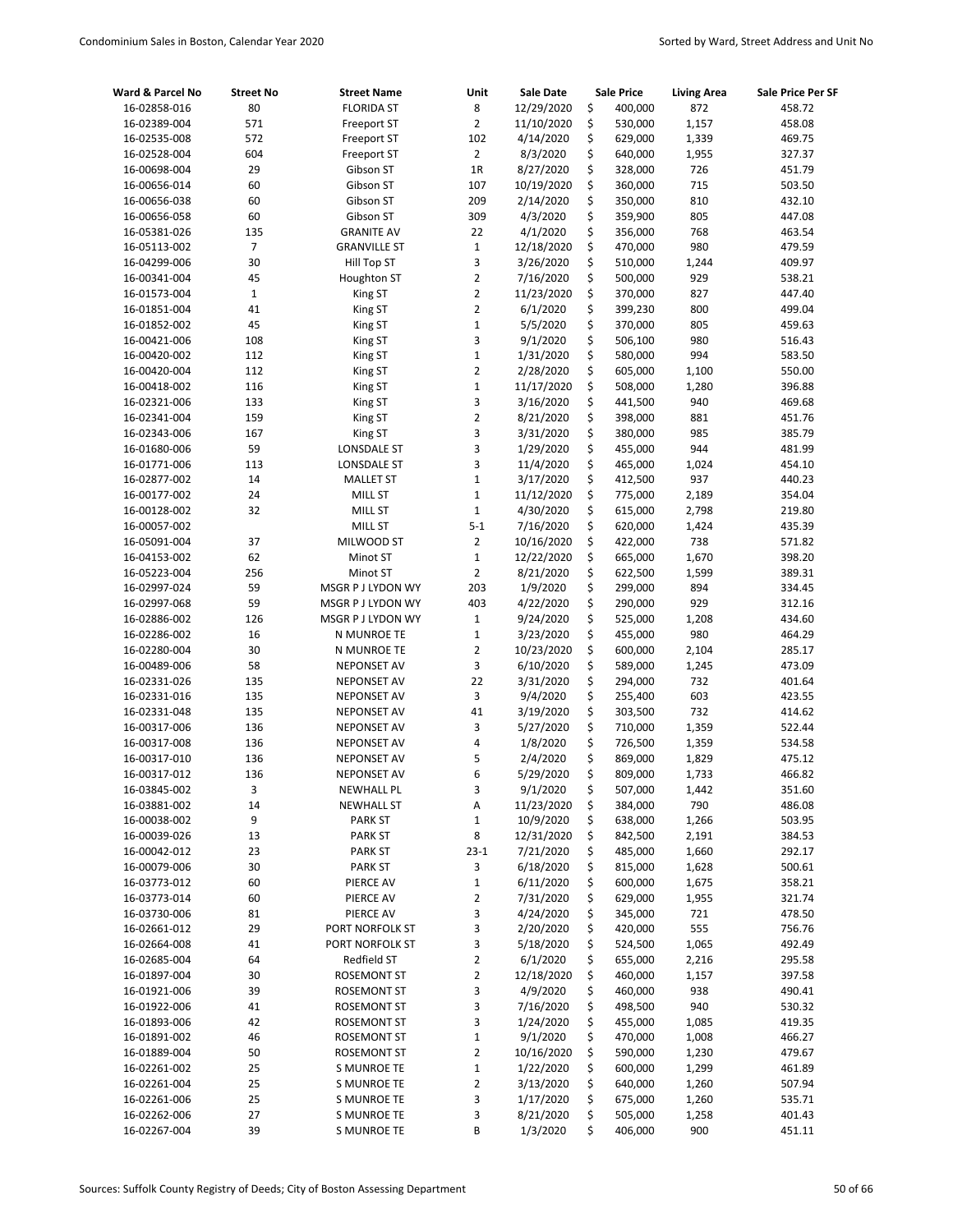| Ward & Parcel No             | <b>Street No</b> | <b>Street Name</b>                       | Unit           | <b>Sale Date</b>     |          | <b>Sale Price</b>  | <b>Living Area</b> | Sale Price Per SF |
|------------------------------|------------------|------------------------------------------|----------------|----------------------|----------|--------------------|--------------------|-------------------|
| 16-02858-016                 | 80               | <b>FLORIDA ST</b>                        | 8              | 12/29/2020           | \$       | 400,000            | 872                | 458.72            |
| 16-02389-004                 | 571              | Freeport ST                              | $\overline{2}$ | 11/10/2020           | \$       | 530,000            | 1,157              | 458.08            |
| 16-02535-008                 | 572              | Freeport ST                              | 102            | 4/14/2020            | \$       | 629,000            | 1,339              | 469.75            |
| 16-02528-004                 | 604              | Freeport ST                              | $\overline{2}$ | 8/3/2020             | \$       | 640,000            | 1,955              | 327.37            |
| 16-00698-004                 | 29               | Gibson ST                                | 1R             | 8/27/2020            | \$       | 328,000            | 726                | 451.79            |
| 16-00656-014                 | 60               | Gibson ST                                | 107            | 10/19/2020           | \$       | 360,000            | 715                | 503.50            |
| 16-00656-038                 | 60               | Gibson ST                                | 209            | 2/14/2020            | \$       | 350,000            | 810                | 432.10            |
| 16-00656-058                 | 60               | Gibson ST                                | 309            | 4/3/2020             | \$       | 359,900            | 805                | 447.08            |
| 16-05381-026                 | 135              | <b>GRANITE AV</b>                        | 22             | 4/1/2020             | \$       | 356,000            | 768                | 463.54            |
| 16-05113-002                 | $\overline{7}$   | <b>GRANVILLE ST</b>                      | $\mathbf{1}$   | 12/18/2020           | \$       | 470,000            | 980                | 479.59            |
| 16-04299-006                 | 30               | Hill Top ST                              | 3              | 3/26/2020            | \$       | 510,000            | 1,244              | 409.97            |
| 16-00341-004                 | 45               | Houghton ST                              | $\overline{2}$ | 7/16/2020            | \$       | 500,000            | 929                | 538.21            |
| 16-01573-004                 | $\mathbf 1$      | King ST                                  | $\overline{2}$ | 11/23/2020           | \$       | 370,000            | 827                | 447.40            |
| 16-01851-004                 | 41               | King ST                                  | $\overline{2}$ | 6/1/2020             | \$       | 399,230            | 800                | 499.04            |
| 16-01852-002                 | 45               | King ST                                  | $\mathbf 1$    | 5/5/2020             | \$       | 370,000            | 805                | 459.63            |
| 16-00421-006                 | 108              | King ST                                  | 3              | 9/1/2020             | \$       | 506,100            | 980                | 516.43            |
| 16-00420-002                 | 112              | King ST                                  | $\mathbf 1$    | 1/31/2020            | \$       | 580,000            | 994                | 583.50            |
| 16-00420-004                 | 112              | King ST                                  | $\overline{2}$ | 2/28/2020            | \$       | 605,000            | 1,100              | 550.00            |
| 16-00418-002                 | 116              | King ST                                  | $\mathbf 1$    | 11/17/2020           | \$       | 508,000            | 1,280              | 396.88            |
| 16-02321-006                 | 133              | King ST                                  | 3              | 3/16/2020            | \$       | 441,500            | 940                | 469.68            |
| 16-02341-004                 | 159              | King ST                                  | $\overline{2}$ | 8/21/2020            | \$       | 398,000            | 881                | 451.76            |
| 16-02343-006                 | 167              | King ST                                  | 3              | 3/31/2020            | \$       | 380,000            | 985                | 385.79            |
| 16-01680-006                 | 59               | <b>LONSDALE ST</b>                       | 3              | 1/29/2020            | \$       | 455,000            | 944                | 481.99            |
| 16-01771-006                 | 113              | LONSDALE ST                              | 3              | 11/4/2020            | \$       | 465,000            | 1,024              | 454.10            |
| 16-02877-002                 | 14               | <b>MALLET ST</b>                         | $\mathbf{1}$   | 3/17/2020            | \$       | 412,500            | 937                | 440.23            |
| 16-00177-002                 | 24               | MILL ST                                  | $\mathbf 1$    | 11/12/2020           | \$       | 775,000            | 2,189              | 354.04            |
| 16-00128-002                 | 32               | <b>MILL ST</b>                           | $\mathbf 1$    | 4/30/2020            | \$       | 615,000            | 2,798              | 219.80            |
| 16-00057-002                 |                  | <b>MILL ST</b>                           | $5 - 1$        | 7/16/2020            | \$       | 620,000            | 1,424              | 435.39            |
| 16-05091-004                 | 37               | MILWOOD ST                               | $\overline{2}$ | 10/16/2020           | \$       | 422,000            | 738                | 571.82            |
| 16-04153-002                 | 62               | Minot ST                                 | $\mathbf 1$    | 12/22/2020           | \$       | 665,000            | 1,670              | 398.20            |
| 16-05223-004                 | 256              | Minot ST                                 | $\overline{2}$ | 8/21/2020            | \$       | 622,500            | 1,599              | 389.31            |
| 16-02997-024                 | 59               | MSGR P J LYDON WY                        | 203            | 1/9/2020             | \$       | 299,000            | 894                | 334.45            |
| 16-02997-068                 | 59               | MSGR P J LYDON WY                        | 403            | 4/22/2020            | \$       | 290,000            | 929                | 312.16            |
| 16-02886-002                 | 126              | MSGR P J LYDON WY                        | $1\,$          | 9/24/2020            | \$       | 525,000            | 1,208              | 434.60            |
| 16-02286-002                 | 16               | N MUNROE TE                              | $\mathbf 1$    | 3/23/2020            | \$       | 455,000            | 980                | 464.29            |
| 16-02280-004                 | 30               | N MUNROE TE                              | $\overline{2}$ | 10/23/2020           | \$       | 600,000            | 2,104              | 285.17            |
| 16-00489-006                 | 58               | <b>NEPONSET AV</b>                       | 3              | 6/10/2020            | \$       | 589,000            | 1,245              | 473.09            |
| 16-02331-026                 | 135              | <b>NEPONSET AV</b>                       | 22             | 3/31/2020            | \$       | 294,000            | 732                | 401.64            |
| 16-02331-016                 | 135              | <b>NEPONSET AV</b>                       | 3              | 9/4/2020             | \$       | 255,400            | 603                | 423.55            |
| 16-02331-048                 | 135              | <b>NEPONSET AV</b>                       | 41             | 3/19/2020            | \$<br>\$ | 303,500            | 732                | 414.62            |
| 16-00317-006                 | 136              | <b>NEPONSET AV</b>                       | 3<br>4         | 5/27/2020            |          | 710,000            | 1,359              | 522.44            |
| 16-00317-008<br>16-00317-010 | 136<br>136       | <b>NEPONSET AV</b><br><b>NEPONSET AV</b> | 5              | 1/8/2020<br>2/4/2020 | \$<br>\$ | 726,500<br>869,000 | 1,359<br>1,829     | 534.58<br>475.12  |
|                              | 136              | <b>NEPONSET AV</b>                       | 6              | 5/29/2020            | Ś        | 809,000            |                    | 466.82            |
| 16-00317-012<br>16-03845-002 | 3                | <b>NEWHALL PL</b>                        | 3              | 9/1/2020             | \$       | 507,000            | 1,733<br>1,442     | 351.60            |
| 16-03881-002                 | 14               | <b>NEWHALL ST</b>                        | Α              | 11/23/2020           | \$       | 384,000            | 790                | 486.08            |
| 16-00038-002                 | 9                | <b>PARK ST</b>                           | $\mathbf{1}$   | 10/9/2020            | \$       | 638,000            | 1,266              | 503.95            |
| 16-00039-026                 | 13               | <b>PARK ST</b>                           | 8              | 12/31/2020           | \$       | 842,500            | 2,191              | 384.53            |
| 16-00042-012                 | 23               | <b>PARK ST</b>                           | $23 - 1$       | 7/21/2020            | \$       | 485,000            | 1,660              | 292.17            |
| 16-00079-006                 | 30               | <b>PARK ST</b>                           | 3              | 6/18/2020            | \$       | 815,000            | 1,628              | 500.61            |
| 16-03773-012                 | 60               | PIERCE AV                                | $\mathbf 1$    | 6/11/2020            | \$       | 600,000            | 1,675              | 358.21            |
| 16-03773-014                 | 60               | PIERCE AV                                | 2              | 7/31/2020            | \$       | 629,000            | 1,955              | 321.74            |
| 16-03730-006                 | 81               | PIERCE AV                                | 3              | 4/24/2020            | \$       | 345,000            | 721                | 478.50            |
| 16-02661-012                 | 29               | PORT NORFOLK ST                          | 3              | 2/20/2020            | \$       | 420,000            | 555                | 756.76            |
| 16-02664-008                 | 41               | PORT NORFOLK ST                          | 3              | 5/18/2020            | \$       | 524,500            | 1,065              | 492.49            |
| 16-02685-004                 | 64               | Redfield ST                              | $\overline{2}$ | 6/1/2020             | \$       | 655,000            | 2,216              | 295.58            |
| 16-01897-004                 | 30               | <b>ROSEMONT ST</b>                       | $\overline{2}$ | 12/18/2020           | \$       | 460,000            | 1,157              | 397.58            |
| 16-01921-006                 | 39               | <b>ROSEMONT ST</b>                       | 3              | 4/9/2020             | \$       | 460,000            | 938                | 490.41            |
| 16-01922-006                 | 41               | <b>ROSEMONT ST</b>                       | 3              | 7/16/2020            | \$       | 498,500            | 940                | 530.32            |
| 16-01893-006                 | 42               | <b>ROSEMONT ST</b>                       | 3              | 1/24/2020            | \$       | 455,000            | 1,085              | 419.35            |
| 16-01891-002                 | 46               | <b>ROSEMONT ST</b>                       | $\mathbf{1}$   | 9/1/2020             | \$       | 470,000            | 1,008              | 466.27            |
| 16-01889-004                 | 50               | <b>ROSEMONT ST</b>                       | 2              | 10/16/2020           | \$       | 590,000            | 1,230              | 479.67            |
| 16-02261-002                 | 25               | S MUNROE TE                              | $\mathbf 1$    | 1/22/2020            | \$       | 600,000            | 1,299              | 461.89            |
| 16-02261-004                 | 25               | S MUNROE TE                              | $\overline{2}$ | 3/13/2020            | \$       | 640,000            | 1,260              | 507.94            |
| 16-02261-006                 | 25               | S MUNROE TE                              | 3              | 1/17/2020            | \$       | 675,000            | 1,260              | 535.71            |
| 16-02262-006                 | 27               | S MUNROE TE                              | 3              | 8/21/2020            | \$       | 505,000            | 1,258              | 401.43            |
| 16-02267-004                 | 39               | S MUNROE TE                              | В              | 1/3/2020             | \$       | 406,000            | 900                | 451.11            |
|                              |                  |                                          |                |                      |          |                    |                    |                   |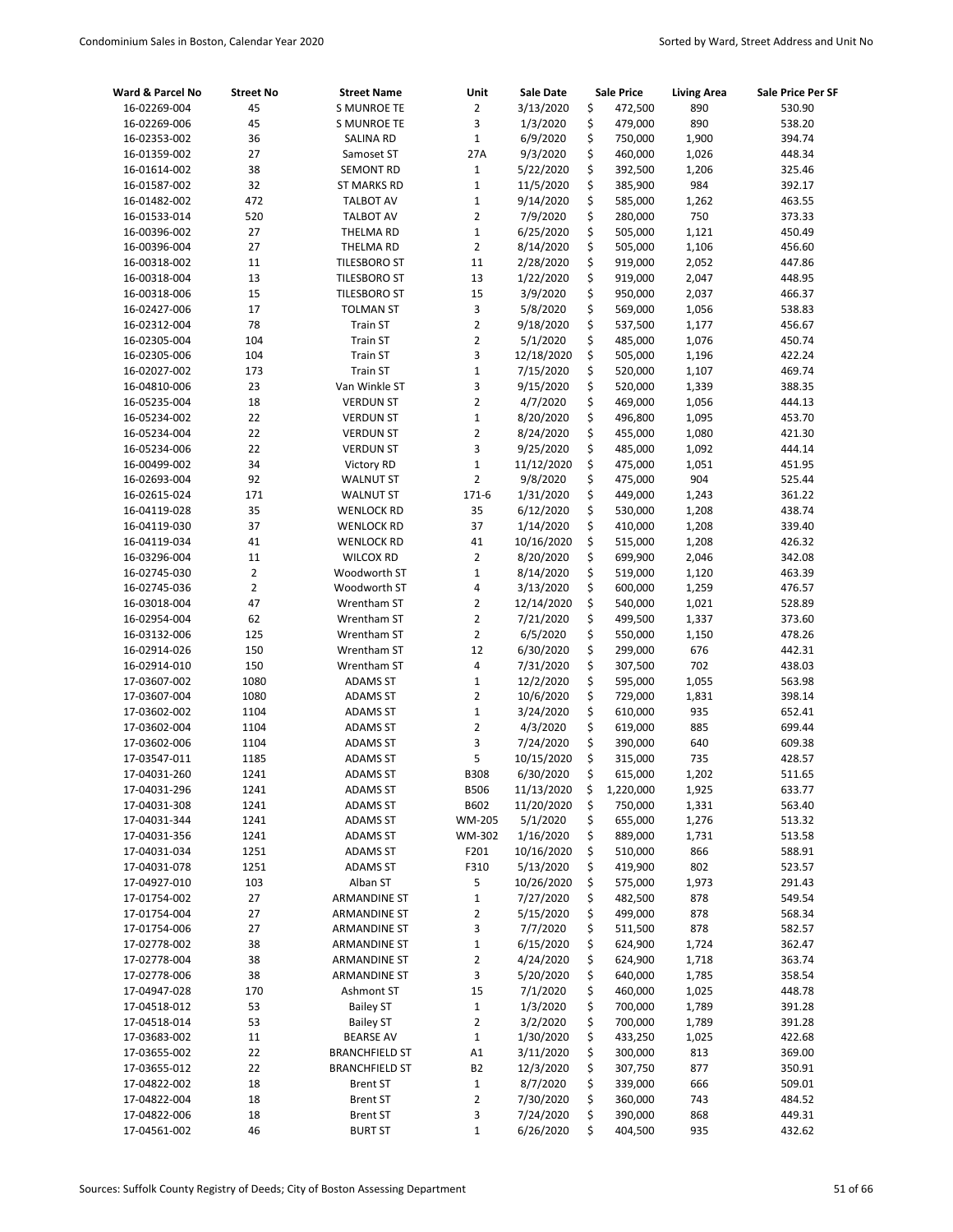| Ward & Parcel No             | <b>Street No</b>     | <b>Street Name</b>               | Unit           | <b>Sale Date</b>       |          | <b>Sale Price</b>  | <b>Living Area</b> | Sale Price Per SF |
|------------------------------|----------------------|----------------------------------|----------------|------------------------|----------|--------------------|--------------------|-------------------|
| 16-02269-004                 | 45                   | <b>S MUNROE TE</b>               | $\overline{2}$ | 3/13/2020              | \$       | 472,500            | 890                | 530.90            |
| 16-02269-006                 | 45                   | <b>S MUNROE TE</b>               | 3              | 1/3/2020               | \$       | 479,000            | 890                | 538.20            |
| 16-02353-002                 | 36                   | SALINA RD                        | $\mathbf 1$    | 6/9/2020               | \$       | 750,000            | 1,900              | 394.74            |
| 16-01359-002                 | 27                   | Samoset ST                       | 27A            | 9/3/2020               | \$       | 460,000            | 1,026              | 448.34            |
| 16-01614-002                 | 38                   | <b>SEMONT RD</b>                 | $\mathbf 1$    | 5/22/2020              | \$       | 392,500            | 1,206              | 325.46            |
| 16-01587-002                 | 32                   | ST MARKS RD                      | $\mathbf 1$    | 11/5/2020              | \$       | 385,900            | 984                | 392.17            |
| 16-01482-002                 | 472                  | <b>TALBOT AV</b>                 | $\mathbf 1$    | 9/14/2020              | \$       | 585,000            | 1,262              | 463.55            |
| 16-01533-014                 | 520                  | <b>TALBOT AV</b>                 | $\overline{2}$ | 7/9/2020               | \$       | 280,000            | 750                | 373.33            |
| 16-00396-002                 | 27                   | THELMA RD                        | $\mathbf 1$    | 6/25/2020              | \$       | 505,000            | 1,121              | 450.49            |
| 16-00396-004                 | 27                   | THELMA RD                        | $\overline{2}$ | 8/14/2020              | \$       | 505,000            | 1,106              | 456.60            |
| 16-00318-002                 | 11                   | <b>TILESBORO ST</b>              | 11             | 2/28/2020              | \$       | 919,000            | 2,052              | 447.86            |
| 16-00318-004                 | 13                   | <b>TILESBORO ST</b>              | 13             | 1/22/2020              | \$       | 919,000            | 2,047              | 448.95            |
| 16-00318-006                 | 15                   | <b>TILESBORO ST</b>              | 15             | 3/9/2020               | \$       | 950,000            | 2,037              | 466.37            |
| 16-02427-006                 | 17                   | <b>TOLMAN ST</b>                 | 3              | 5/8/2020               | \$       | 569,000            | 1,056              | 538.83            |
| 16-02312-004                 | 78                   | <b>Train ST</b>                  | $\overline{2}$ | 9/18/2020              | \$       | 537,500            | 1,177              | 456.67            |
| 16-02305-004                 | 104                  | <b>Train ST</b>                  | $\overline{2}$ | 5/1/2020               | \$       | 485,000            | 1,076              | 450.74            |
| 16-02305-006                 | 104                  | <b>Train ST</b>                  | 3              | 12/18/2020             | \$       | 505,000            | 1,196              | 422.24            |
| 16-02027-002                 | 173                  | <b>Train ST</b>                  | $\mathbf 1$    | 7/15/2020              | \$       | 520,000            | 1,107              | 469.74            |
| 16-04810-006                 | 23                   | Van Winkle ST                    | 3              | 9/15/2020              | \$       | 520,000            | 1,339              | 388.35            |
| 16-05235-004                 | 18                   | <b>VERDUN ST</b>                 | $\overline{2}$ | 4/7/2020               | \$       | 469,000            | 1,056              | 444.13            |
| 16-05234-002                 | 22                   | <b>VERDUN ST</b>                 | $\mathbf 1$    | 8/20/2020              | \$       | 496,800            | 1,095              | 453.70            |
| 16-05234-004                 | 22                   | <b>VERDUN ST</b>                 | $\overline{2}$ | 8/24/2020              | \$       | 455,000            | 1,080              | 421.30            |
| 16-05234-006                 | 22                   | <b>VERDUN ST</b>                 | 3              | 9/25/2020              | \$       | 485,000            | 1,092              | 444.14            |
| 16-00499-002                 | 34                   | Victory RD                       | $\mathbf 1$    | 11/12/2020             | \$       | 475,000            | 1,051              | 451.95            |
| 16-02693-004                 | 92                   | <b>WALNUT ST</b>                 | $\overline{2}$ | 9/8/2020               | \$       | 475,000            | 904                | 525.44            |
| 16-02615-024                 | 171                  | <b>WALNUT ST</b>                 | 171-6          | 1/31/2020              | \$       | 449,000            | 1,243              | 361.22            |
| 16-04119-028                 | 35                   | <b>WENLOCK RD</b>                | 35             | 6/12/2020              | \$       | 530,000            | 1,208              | 438.74            |
| 16-04119-030                 | 37                   | <b>WENLOCK RD</b>                | 37<br>41       | 1/14/2020              | \$<br>\$ | 410,000            | 1,208              | 339.40            |
| 16-04119-034                 | 41                   | <b>WENLOCK RD</b>                | $\overline{2}$ | 10/16/2020             |          | 515,000            | 1,208              | 426.32            |
| 16-03296-004<br>16-02745-030 | 11<br>$\overline{2}$ | <b>WILCOX RD</b><br>Woodworth ST | $\mathbf 1$    | 8/20/2020<br>8/14/2020 | \$<br>\$ | 699,900<br>519,000 | 2,046<br>1,120     | 342.08<br>463.39  |
| 16-02745-036                 | $\overline{2}$       | Woodworth ST                     | 4              | 3/13/2020              | \$       | 600,000            | 1,259              | 476.57            |
| 16-03018-004                 | 47                   | Wrentham ST                      | $\overline{2}$ | 12/14/2020             | \$       | 540,000            | 1,021              | 528.89            |
| 16-02954-004                 | 62                   | Wrentham ST                      | $\overline{2}$ | 7/21/2020              | \$       | 499,500            | 1,337              | 373.60            |
| 16-03132-006                 | 125                  | Wrentham ST                      | $\overline{2}$ | 6/5/2020               | \$       | 550,000            | 1,150              | 478.26            |
| 16-02914-026                 | 150                  | Wrentham ST                      | 12             | 6/30/2020              | \$       | 299,000            | 676                | 442.31            |
| 16-02914-010                 | 150                  | Wrentham ST                      | 4              | 7/31/2020              | \$       | 307,500            | 702                | 438.03            |
| 17-03607-002                 | 1080                 | <b>ADAMS ST</b>                  | $\mathbf 1$    | 12/2/2020              | \$       | 595,000            | 1,055              | 563.98            |
| 17-03607-004                 | 1080                 | <b>ADAMS ST</b>                  | $\overline{2}$ | 10/6/2020              | \$       | 729,000            | 1,831              | 398.14            |
| 17-03602-002                 | 1104                 | <b>ADAMS ST</b>                  | $\mathbf 1$    | 3/24/2020              | \$       | 610,000            | 935                | 652.41            |
| 17-03602-004                 | 1104                 | <b>ADAMS ST</b>                  | $\overline{2}$ | 4/3/2020               | \$       | 619,000            | 885                | 699.44            |
| 17-03602-006                 | 1104                 | <b>ADAMS ST</b>                  | 3              | 7/24/2020              | \$       | 390,000            | 640                | 609.38            |
| 17-03547-011                 | 1185                 | <b>ADAMS ST</b>                  | 5              | 10/15/2020             | \$       | 315,000            | 735                | 428.57            |
| 17-04031-260                 | 1241                 | <b>ADAMS ST</b>                  | <b>B308</b>    | 6/30/2020              | \$       | 615,000            | 1,202              | 511.65            |
| 17-04031-296                 | 1241                 | <b>ADAMS ST</b>                  | <b>B506</b>    | 11/13/2020             | \$       | 1,220,000          | 1,925              | 633.77            |
| 17-04031-308                 | 1241                 | <b>ADAMS ST</b>                  | B602           | 11/20/2020             | \$       | 750,000            | 1,331              | 563.40            |
| 17-04031-344                 | 1241                 | ADAMS ST                         | WM-205         | 5/1/2020               | \$       | 655,000            | 1,276              | 513.32            |
| 17-04031-356                 | 1241                 | ADAMS ST                         | WM-302         | 1/16/2020              | \$       | 889,000            | 1,731              | 513.58            |
| 17-04031-034                 | 1251                 | <b>ADAMS ST</b>                  | F201           | 10/16/2020             | \$       | 510,000            | 866                | 588.91            |
| 17-04031-078                 | 1251                 | ADAMS ST                         | F310           | 5/13/2020              | \$       | 419,900            | 802                | 523.57            |
| 17-04927-010                 | 103                  | Alban ST                         | 5              | 10/26/2020             | \$       | 575,000            | 1,973              | 291.43            |
| 17-01754-002                 | 27                   | <b>ARMANDINE ST</b>              | $\mathbf{1}$   | 7/27/2020              | \$       | 482,500            | 878                | 549.54            |
| 17-01754-004                 | 27                   | ARMANDINE ST                     | 2              | 5/15/2020              | \$       | 499,000            | 878                | 568.34            |
| 17-01754-006                 | 27                   | <b>ARMANDINE ST</b>              | 3              | 7/7/2020               | \$       | 511,500            | 878                | 582.57            |
| 17-02778-002                 | 38                   | ARMANDINE ST                     | $\mathbf{1}$   | 6/15/2020              | \$       | 624,900            | 1,724              | 362.47            |
| 17-02778-004                 | 38                   | ARMANDINE ST                     | $\overline{2}$ | 4/24/2020              | \$       | 624,900            | 1,718              | 363.74            |
| 17-02778-006                 | 38                   | ARMANDINE ST                     | 3              | 5/20/2020              | \$       | 640,000            | 1,785              | 358.54            |
| 17-04947-028                 | 170                  | Ashmont ST                       | 15             | 7/1/2020               | \$       | 460,000            | 1,025              | 448.78            |
| 17-04518-012                 | 53                   | <b>Bailey ST</b>                 | $\mathbf{1}$   | 1/3/2020               | \$       | 700,000            | 1,789              | 391.28            |
| 17-04518-014                 | 53                   | <b>Bailey ST</b>                 | $\overline{2}$ | 3/2/2020               | \$       | 700,000            | 1,789              | 391.28            |
| 17-03683-002                 | 11                   | <b>BEARSE AV</b>                 | $\mathbf 1$    | 1/30/2020              | \$       | 433,250            | 1,025              | 422.68            |
| 17-03655-002                 | 22                   | <b>BRANCHFIELD ST</b>            | A1             | 3/11/2020              | \$       | 300,000            | 813                | 369.00            |
| 17-03655-012                 | 22                   | <b>BRANCHFIELD ST</b>            | <b>B2</b>      | 12/3/2020              | \$       | 307,750            | 877                | 350.91            |
| 17-04822-002                 | 18                   | Brent ST                         | $\mathbf 1$    | 8/7/2020               | \$       | 339,000            | 666                | 509.01            |
| 17-04822-004                 | 18                   | Brent ST                         | 2              | 7/30/2020              | \$       | 360,000            | 743                | 484.52            |
| 17-04822-006                 | 18                   | Brent ST                         | 3              | 7/24/2020              | \$       | 390,000            | 868                | 449.31            |
| 17-04561-002                 | 46                   | <b>BURT ST</b>                   | $\mathbf{1}$   | 6/26/2020              | \$       | 404,500            | 935                | 432.62            |
|                              |                      |                                  |                |                        |          |                    |                    |                   |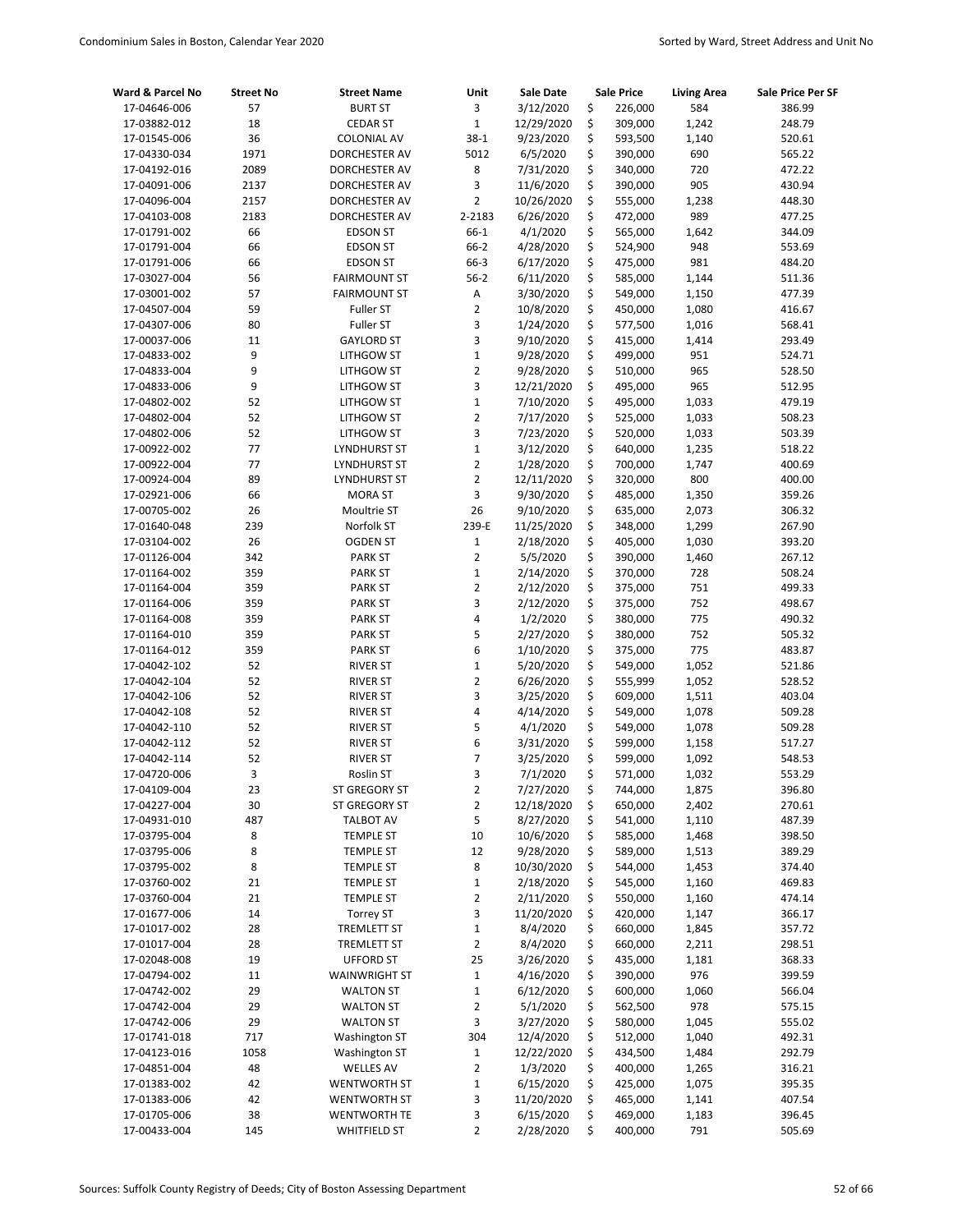| Ward & Parcel No             | <b>Street No</b> | <b>Street Name</b>                 | Unit                | Sale Date             |          | <b>Sale Price</b>  | <b>Living Area</b> | Sale Price Per SF |
|------------------------------|------------------|------------------------------------|---------------------|-----------------------|----------|--------------------|--------------------|-------------------|
| 17-04646-006                 | 57               | <b>BURT ST</b>                     | 3                   | 3/12/2020             | \$       | 226,000            | 584                | 386.99            |
| 17-03882-012                 | 18               | <b>CEDAR ST</b>                    | $1\,$               | 12/29/2020            | \$       | 309,000            | 1,242              | 248.79            |
| 17-01545-006                 | 36               | <b>COLONIAL AV</b>                 | $38-1$              | 9/23/2020             | \$       | 593,500            | 1,140              | 520.61            |
| 17-04330-034                 | 1971             | DORCHESTER AV                      | 5012                | 6/5/2020              | \$       | 390,000            | 690                | 565.22            |
| 17-04192-016                 | 2089             | DORCHESTER AV                      | 8                   | 7/31/2020             | \$       | 340,000            | 720                | 472.22            |
| 17-04091-006                 | 2137             | DORCHESTER AV                      | 3                   | 11/6/2020             | \$       | 390,000            | 905                | 430.94            |
| 17-04096-004                 | 2157             | DORCHESTER AV                      | $\overline{2}$      | 10/26/2020            | \$       | 555,000            | 1,238              | 448.30            |
| 17-04103-008                 | 2183             | DORCHESTER AV                      | 2-2183              | 6/26/2020             | \$       | 472,000            | 989                | 477.25            |
| 17-01791-002                 | 66               | <b>EDSON ST</b>                    | 66-1                | 4/1/2020              | \$       | 565,000            | 1,642              | 344.09            |
| 17-01791-004                 | 66               | <b>EDSON ST</b>                    | $66 - 2$            | 4/28/2020             | \$       | 524,900            | 948                | 553.69            |
| 17-01791-006                 | 66               | <b>EDSON ST</b>                    | 66-3                | 6/17/2020             | \$       | 475,000            | 981                | 484.20            |
| 17-03027-004                 | 56               | <b>FAIRMOUNT ST</b>                | $56-2$              | 6/11/2020             | \$       | 585,000            | 1,144              | 511.36            |
| 17-03001-002                 | 57               | <b>FAIRMOUNT ST</b>                | A                   | 3/30/2020             | \$       | 549,000            | 1,150              | 477.39            |
| 17-04507-004                 | 59               | Fuller ST                          | $\overline{2}$      | 10/8/2020             | \$       | 450,000            | 1,080              | 416.67            |
| 17-04307-006                 | 80               | Fuller ST                          | 3                   | 1/24/2020             | \$       | 577,500            | 1,016              | 568.41            |
| 17-00037-006                 | 11               | <b>GAYLORD ST</b>                  | 3                   | 9/10/2020             | \$       | 415,000            | 1,414              | 293.49            |
| 17-04833-002                 | 9                | LITHGOW ST                         | $\mathbf 1$         | 9/28/2020             | \$       | 499,000            | 951                | 524.71            |
| 17-04833-004                 | 9                | LITHGOW ST                         | $\overline{2}$      | 9/28/2020             | \$       | 510,000            | 965                | 528.50            |
| 17-04833-006                 | 9                | LITHGOW ST                         | 3                   | 12/21/2020            | \$       | 495,000            | 965                | 512.95            |
| 17-04802-002                 | 52               | LITHGOW ST                         | $1\,$               | 7/10/2020             | \$       | 495,000            | 1,033              | 479.19            |
| 17-04802-004                 | 52               | LITHGOW ST                         | $\overline{2}$      | 7/17/2020             | \$       | 525,000            | 1,033              | 508.23            |
| 17-04802-006                 | 52               | LITHGOW ST                         | 3                   | 7/23/2020             | \$       | 520,000            | 1,033              | 503.39            |
| 17-00922-002                 | 77               | LYNDHURST ST                       | $\mathbf 1$         | 3/12/2020             | \$       | 640,000            | 1,235              | 518.22            |
| 17-00922-004                 | 77               | LYNDHURST ST                       | $\overline{2}$      | 1/28/2020             | \$       | 700,000            | 1,747              | 400.69            |
| 17-00924-004                 | 89               | LYNDHURST ST                       | $\overline{2}$      | 12/11/2020            | \$       | 320,000            | 800                | 400.00            |
| 17-02921-006                 | 66               | MORA ST                            | 3                   | 9/30/2020             | \$       | 485,000            | 1,350              | 359.26            |
| 17-00705-002                 | 26               | Moultrie ST                        | 26                  | 9/10/2020             | \$       | 635,000            | 2,073              | 306.32            |
| 17-01640-048                 | 239              | Norfolk ST                         | 239-E               | 11/25/2020            | \$       | 348,000            | 1,299              | 267.90            |
| 17-03104-002                 | 26               | <b>OGDEN ST</b>                    | $\mathbf{1}$        | 2/18/2020             | \$       | 405,000            | 1,030              | 393.20            |
| 17-01126-004                 | 342              | <b>PARK ST</b>                     | $\overline{2}$      | 5/5/2020              | \$       | 390,000            | 1,460              | 267.12            |
| 17-01164-002                 | 359              | <b>PARK ST</b>                     | $1\,$               | 2/14/2020             | \$       | 370,000            | 728                | 508.24            |
| 17-01164-004                 | 359              | <b>PARK ST</b>                     | $\overline{2}$      | 2/12/2020             | \$       | 375,000            | 751                | 499.33            |
| 17-01164-006                 | 359              | PARK ST                            | 3                   | 2/12/2020             | \$       | 375,000            | 752                | 498.67            |
| 17-01164-008                 | 359              | <b>PARK ST</b>                     | 4                   | 1/2/2020              | \$       | 380,000            | 775                | 490.32            |
| 17-01164-010                 | 359              | <b>PARK ST</b>                     | 5                   | 2/27/2020             | \$       | 380,000            | 752                | 505.32            |
| 17-01164-012                 | 359              | <b>PARK ST</b>                     | 6                   | 1/10/2020             | \$       | 375,000            | 775                | 483.87            |
| 17-04042-102                 | 52               | <b>RIVER ST</b>                    | $\mathbf 1$         | 5/20/2020             | \$       | 549,000            | 1,052              | 521.86            |
| 17-04042-104                 | 52               | <b>RIVER ST</b>                    | $\overline{2}$<br>3 | 6/26/2020             | \$<br>\$ | 555,999            | 1,052              | 528.52            |
| 17-04042-106                 | 52<br>52         | <b>RIVER ST</b>                    | 4                   | 3/25/2020             | \$       | 609,000            | 1,511              | 403.04            |
| 17-04042-108<br>17-04042-110 | 52               | <b>RIVER ST</b>                    | 5                   | 4/14/2020<br>4/1/2020 | \$       | 549,000<br>549,000 | 1,078<br>1,078     | 509.28<br>509.28  |
| 17-04042-112                 | 52               | <b>RIVER ST</b><br><b>RIVER ST</b> | 6                   | 3/31/2020             | \$       | 599,000            | 1,158              | 517.27            |
| 17-04042-114                 | 52               | <b>RIVER ST</b>                    | 7                   | 3/25/2020             | \$       | 599,000            | 1,092              | 548.53            |
| 17-04720-006                 | 3                | Roslin ST                          | 3                   | 7/1/2020              | \$       | 571,000            | 1,032              | 553.29            |
| 17-04109-004                 | 23               | ST GREGORY ST                      | $\overline{2}$      | 7/27/2020             | \$       | 744,000            | 1,875              | 396.80            |
| 17-04227-004                 | 30               | ST GREGORY ST                      | 2                   | 12/18/2020            | \$       | 650,000            | 2,402              | 270.61            |
| 17-04931-010                 | 487              | <b>TALBOT AV</b>                   | 5                   | 8/27/2020             | \$       | 541,000            | 1,110              | 487.39            |
| 17-03795-004                 | 8                | <b>TEMPLE ST</b>                   | 10                  | 10/6/2020             | \$       | 585,000            | 1,468              | 398.50            |
| 17-03795-006                 | 8                | <b>TEMPLE ST</b>                   | 12                  | 9/28/2020             | \$       | 589,000            | 1,513              | 389.29            |
| 17-03795-002                 | 8                | <b>TEMPLE ST</b>                   | 8                   | 10/30/2020            | \$       | 544,000            | 1,453              | 374.40            |
| 17-03760-002                 | 21               | <b>TEMPLE ST</b>                   | $\mathbf 1$         | 2/18/2020             | \$       | 545,000            | 1,160              | 469.83            |
| 17-03760-004                 | 21               | <b>TEMPLE ST</b>                   | 2                   | 2/11/2020             | \$       | 550,000            | 1,160              | 474.14            |
| 17-01677-006                 | 14               | <b>Torrey ST</b>                   | 3                   | 11/20/2020            | \$       | 420,000            | 1,147              | 366.17            |
| 17-01017-002                 | 28               | <b>TREMLETT ST</b>                 | $\mathbf{1}$        | 8/4/2020              | \$       | 660,000            | 1,845              | 357.72            |
| 17-01017-004                 | 28               | <b>TREMLETT ST</b>                 | $\overline{2}$      | 8/4/2020              | \$       | 660,000            | 2,211              | 298.51            |
| 17-02048-008                 | 19               | <b>UFFORD ST</b>                   | 25                  | 3/26/2020             | \$       | 435,000            | 1,181              | 368.33            |
| 17-04794-002                 | 11               | <b>WAINWRIGHT ST</b>               | $\mathbf 1$         | 4/16/2020             | \$       | 390,000            | 976                | 399.59            |
| 17-04742-002                 | 29               | <b>WALTON ST</b>                   | $\mathbf 1$         | 6/12/2020             | \$       | 600,000            | 1,060              | 566.04            |
| 17-04742-004                 | 29               | <b>WALTON ST</b>                   | $\overline{2}$      | 5/1/2020              | \$       | 562,500            | 978                | 575.15            |
| 17-04742-006                 | 29               | <b>WALTON ST</b>                   | 3                   | 3/27/2020             | \$       | 580,000            | 1,045              | 555.02            |
| 17-01741-018                 | 717              | <b>Washington ST</b>               | 304                 | 12/4/2020             | \$       | 512,000            | 1,040              | 492.31            |
| 17-04123-016                 | 1058             | <b>Washington ST</b>               | $\mathbf{1}$        | 12/22/2020            | \$       | 434,500            | 1,484              | 292.79            |
| 17-04851-004                 | 48               | <b>WELLES AV</b>                   | $\overline{2}$      | 1/3/2020              | \$       | 400,000            | 1,265              | 316.21            |
| 17-01383-002                 | 42               | <b>WENTWORTH ST</b>                | $\mathbf 1$         | 6/15/2020             | \$       | 425,000            | 1,075              | 395.35            |
| 17-01383-006                 | 42               | <b>WENTWORTH ST</b>                | 3                   | 11/20/2020            | \$       | 465,000            | 1,141              | 407.54            |
| 17-01705-006                 | 38               | <b>WENTWORTH TE</b>                | 3                   | 6/15/2020             | \$       | 469,000            | 1,183              | 396.45            |
| 17-00433-004                 | 145              | <b>WHITFIELD ST</b>                | 2                   | 2/28/2020             | \$       | 400,000            | 791                | 505.69            |
|                              |                  |                                    |                     |                       |          |                    |                    |                   |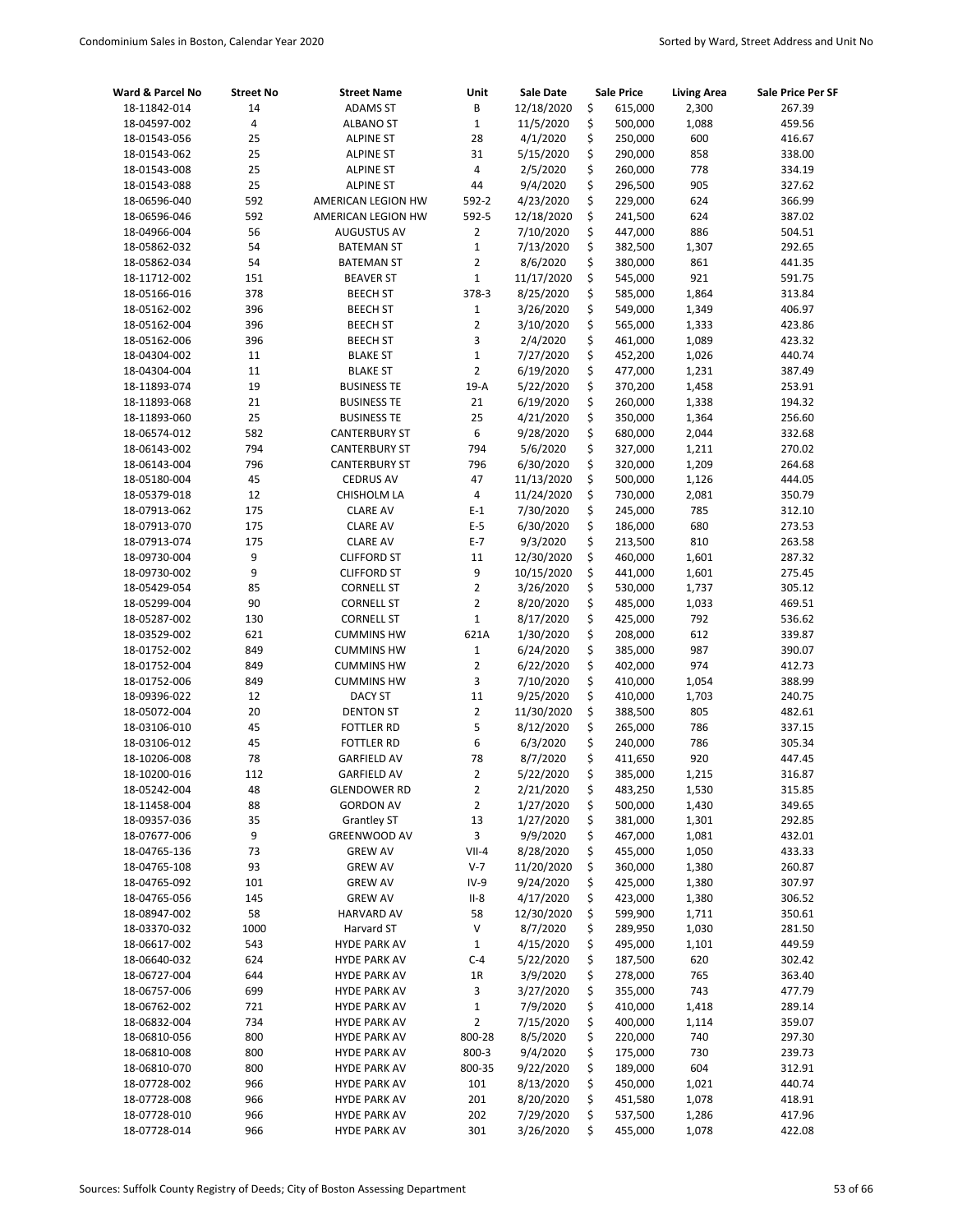| Ward & Parcel No             | <b>Street No</b> | <b>Street Name</b>                       | Unit                    | <b>Sale Date</b>         |          | <b>Sale Price</b>  | <b>Living Area</b> | Sale Price Per SF |
|------------------------------|------------------|------------------------------------------|-------------------------|--------------------------|----------|--------------------|--------------------|-------------------|
| 18-11842-014                 | 14               | <b>ADAMS ST</b>                          | B                       | 12/18/2020               | \$       | 615,000            | 2,300              | 267.39            |
| 18-04597-002                 | 4                | <b>ALBANO ST</b>                         | $\mathbf 1$             | 11/5/2020                | \$       | 500,000            | 1,088              | 459.56            |
| 18-01543-056                 | 25               | <b>ALPINE ST</b>                         | 28                      | 4/1/2020                 | \$       | 250,000            | 600                | 416.67            |
| 18-01543-062                 | 25               | <b>ALPINE ST</b>                         | 31                      | 5/15/2020                | \$       | 290,000            | 858                | 338.00            |
| 18-01543-008                 | 25               | <b>ALPINE ST</b>                         | $\overline{\mathbf{4}}$ | 2/5/2020                 | \$       | 260,000            | 778                | 334.19            |
| 18-01543-088                 | 25               | <b>ALPINE ST</b>                         | 44                      | 9/4/2020                 | \$       | 296,500            | 905                | 327.62            |
| 18-06596-040                 | 592              | AMERICAN LEGION HW                       | 592-2                   | 4/23/2020                | \$       | 229,000            | 624                | 366.99            |
| 18-06596-046                 | 592              | AMERICAN LEGION HW                       | 592-5                   | 12/18/2020               | \$       | 241,500            | 624                | 387.02            |
| 18-04966-004                 | 56               | <b>AUGUSTUS AV</b>                       | $\overline{2}$          | 7/10/2020                | \$       | 447,000            | 886                | 504.51            |
| 18-05862-032                 | 54               | <b>BATEMAN ST</b>                        | $\mathbf 1$             | 7/13/2020                | \$       | 382,500            | 1,307              | 292.65            |
| 18-05862-034                 | 54               | <b>BATEMAN ST</b>                        | $\overline{2}$          | 8/6/2020                 | \$       | 380,000            | 861                | 441.35            |
| 18-11712-002                 | 151              | <b>BEAVER ST</b>                         | $\mathbf 1$             | 11/17/2020               | \$       | 545,000            | 921                | 591.75            |
| 18-05166-016                 | 378              | <b>BEECH ST</b>                          | 378-3                   | 8/25/2020                | \$       | 585,000            | 1,864              | 313.84            |
| 18-05162-002                 | 396              | <b>BEECH ST</b>                          | $\mathbf 1$             | 3/26/2020                | \$       | 549,000            | 1,349              | 406.97            |
| 18-05162-004                 | 396              | <b>BEECH ST</b>                          | $\overline{2}$          | 3/10/2020                | \$       | 565,000            | 1,333              | 423.86            |
| 18-05162-006                 | 396              | <b>BEECH ST</b>                          | 3                       | 2/4/2020                 | \$       | 461,000            | 1,089              | 423.32            |
| 18-04304-002                 | 11               | <b>BLAKE ST</b>                          | $\mathbf 1$             | 7/27/2020                | \$       | 452,200            | 1,026              | 440.74            |
| 18-04304-004                 | 11               | <b>BLAKE ST</b>                          | $\overline{2}$          | 6/19/2020                | \$       | 477,000            | 1,231              | 387.49            |
| 18-11893-074                 | 19               | <b>BUSINESS TE</b>                       | $19-A$                  | 5/22/2020                | \$       | 370,200            | 1,458              | 253.91            |
| 18-11893-068                 | 21               | <b>BUSINESS TE</b>                       | 21                      | 6/19/2020                | \$       | 260,000            | 1,338              | 194.32            |
| 18-11893-060                 | 25               | <b>BUSINESS TE</b>                       | 25                      | 4/21/2020                | \$       | 350,000            | 1,364              | 256.60            |
| 18-06574-012                 | 582              | <b>CANTERBURY ST</b>                     | 6                       | 9/28/2020                | \$       | 680,000            | 2,044              | 332.68            |
| 18-06143-002                 | 794              | <b>CANTERBURY ST</b>                     | 794                     | 5/6/2020                 | \$       | 327,000            | 1,211              | 270.02            |
| 18-06143-004                 | 796              | <b>CANTERBURY ST</b>                     | 796                     | 6/30/2020                | \$       | 320,000            | 1,209              | 264.68            |
| 18-05180-004                 | 45               | <b>CEDRUS AV</b>                         | 47                      | 11/13/2020               | \$       | 500,000            | 1,126              | 444.05            |
| 18-05379-018                 | 12               | CHISHOLM LA                              | 4                       | 11/24/2020               | \$       | 730,000            | 2,081<br>785       | 350.79            |
| 18-07913-062                 | 175              | <b>CLARE AV</b>                          | $E-1$                   | 7/30/2020                | \$<br>\$ | 245,000            |                    | 312.10            |
| 18-07913-070                 | 175              | <b>CLARE AV</b>                          | $E-5$<br>$E-7$          | 6/30/2020                | \$       | 186,000            | 680<br>810         | 273.53            |
| 18-07913-074                 | 175<br>9         | <b>CLARE AV</b>                          |                         | 9/3/2020                 |          | 213,500            |                    | 263.58            |
| 18-09730-004<br>18-09730-002 | 9                | <b>CLIFFORD ST</b><br><b>CLIFFORD ST</b> | 11<br>9                 | 12/30/2020<br>10/15/2020 | \$<br>\$ | 460,000<br>441,000 | 1,601<br>1,601     | 287.32<br>275.45  |
| 18-05429-054                 | 85               | <b>CORNELL ST</b>                        | $\overline{2}$          | 3/26/2020                | \$       | 530,000            | 1,737              | 305.12            |
| 18-05299-004                 | 90               | <b>CORNELL ST</b>                        | $\overline{2}$          | 8/20/2020                | \$       | 485,000            | 1,033              | 469.51            |
| 18-05287-002                 | 130              | <b>CORNELL ST</b>                        | $1\,$                   | 8/17/2020                | \$       | 425,000            | 792                | 536.62            |
| 18-03529-002                 | 621              | <b>CUMMINS HW</b>                        | 621A                    | 1/30/2020                | \$       | 208,000            | 612                | 339.87            |
| 18-01752-002                 | 849              | <b>CUMMINS HW</b>                        | $\mathbf 1$             | 6/24/2020                | \$       | 385,000            | 987                | 390.07            |
| 18-01752-004                 | 849              | <b>CUMMINS HW</b>                        | $\overline{2}$          | 6/22/2020                | \$       | 402,000            | 974                | 412.73            |
| 18-01752-006                 | 849              | <b>CUMMINS HW</b>                        | 3                       | 7/10/2020                | \$       | 410,000            | 1,054              | 388.99            |
| 18-09396-022                 | 12               | <b>DACY ST</b>                           | 11                      | 9/25/2020                | \$       | 410,000            | 1,703              | 240.75            |
| 18-05072-004                 | 20               | <b>DENTON ST</b>                         | $\overline{2}$          | 11/30/2020               | \$       | 388,500            | 805                | 482.61            |
| 18-03106-010                 | 45               | <b>FOTTLER RD</b>                        | 5                       | 8/12/2020                | \$       | 265,000            | 786                | 337.15            |
| 18-03106-012                 | 45               | <b>FOTTLER RD</b>                        | 6                       | 6/3/2020                 | \$       | 240,000            | 786                | 305.34            |
| 18-10206-008                 | 78               | <b>GARFIELD AV</b>                       | 78                      | 8/7/2020                 | \$       | 411,650            | 920                | 447.45            |
| 18-10200-016                 | 112              | <b>GARFIELD AV</b>                       | $\overline{2}$          | 5/22/2020                | \$       | 385,000            | 1,215              | 316.87            |
| 18-05242-004                 | 48               | <b>GLENDOWER RD</b>                      | 2                       | 2/21/2020                | \$       | 483,250            | 1,530              | 315.85            |
| 18-11458-004                 | 88               | <b>GORDON AV</b>                         | $\overline{2}$          | 1/27/2020                | \$       | 500,000            | 1,430              | 349.65            |
| 18-09357-036                 | 35               | <b>Grantley ST</b>                       | 13                      | 1/27/2020                | \$       | 381,000            | 1,301              | 292.85            |
| 18-07677-006                 | 9                | GREENWOOD AV                             | 3                       | 9/9/2020                 | \$       | 467,000            | 1,081              | 432.01            |
| 18-04765-136                 | 73               | <b>GREW AV</b>                           | $VII-4$                 | 8/28/2020                | \$       | 455,000            | 1,050              | 433.33            |
| 18-04765-108                 | 93               | <b>GREW AV</b>                           | $V-7$                   | 11/20/2020               | \$       | 360,000            | 1,380              | 260.87            |
| 18-04765-092                 | 101              | <b>GREW AV</b>                           | $IV-9$                  | 9/24/2020                | \$       | 425,000            | 1,380              | 307.97            |
| 18-04765-056                 | 145              | <b>GREW AV</b>                           | $II-8$                  | 4/17/2020                | \$       | 423,000            | 1,380              | 306.52            |
| 18-08947-002                 | 58               | <b>HARVARD AV</b>                        | 58                      | 12/30/2020               | \$       | 599,900            | 1,711              | 350.61            |
| 18-03370-032                 | 1000             | Harvard ST                               | $\sf V$                 | 8/7/2020                 | \$       | 289,950            | 1,030              | 281.50            |
| 18-06617-002                 | 543              | <b>HYDE PARK AV</b>                      | $\mathbf 1$             | 4/15/2020                | \$       | 495,000            | 1,101              | 449.59            |
| 18-06640-032                 | 624              | <b>HYDE PARK AV</b>                      | $C-4$                   | 5/22/2020                | \$       | 187,500            | 620                | 302.42            |
| 18-06727-004                 | 644              | <b>HYDE PARK AV</b>                      | 1R                      | 3/9/2020                 | \$       | 278,000            | 765                | 363.40            |
| 18-06757-006                 | 699              | <b>HYDE PARK AV</b>                      | 3                       | 3/27/2020                | \$       | 355,000            | 743                | 477.79            |
| 18-06762-002                 | 721              | <b>HYDE PARK AV</b>                      | $\mathbf{1}$            | 7/9/2020                 | \$       | 410,000            | 1,418              | 289.14            |
| 18-06832-004                 | 734              | <b>HYDE PARK AV</b>                      | $\overline{2}$          | 7/15/2020                | \$       | 400,000            | 1,114              | 359.07            |
| 18-06810-056                 | 800              | <b>HYDE PARK AV</b>                      | 800-28                  | 8/5/2020                 | \$       | 220,000            | 740                | 297.30            |
| 18-06810-008                 | 800              | <b>HYDE PARK AV</b>                      | 800-3                   | 9/4/2020                 | \$       | 175,000            | 730                | 239.73            |
| 18-06810-070                 | 800              | <b>HYDE PARK AV</b>                      | 800-35                  | 9/22/2020                | \$       | 189,000            | 604                | 312.91            |
| 18-07728-002                 | 966              | <b>HYDE PARK AV</b>                      | 101                     | 8/13/2020                | \$       | 450,000            | 1,021              | 440.74            |
| 18-07728-008                 | 966              | <b>HYDE PARK AV</b>                      | 201                     | 8/20/2020                | \$       | 451,580            | 1,078              | 418.91            |
| 18-07728-010                 | 966              | <b>HYDE PARK AV</b>                      | 202                     | 7/29/2020                | \$       | 537,500            | 1,286              | 417.96            |
| 18-07728-014                 | 966              | <b>HYDE PARK AV</b>                      | 301                     | 3/26/2020                | \$       | 455,000            | 1,078              | 422.08            |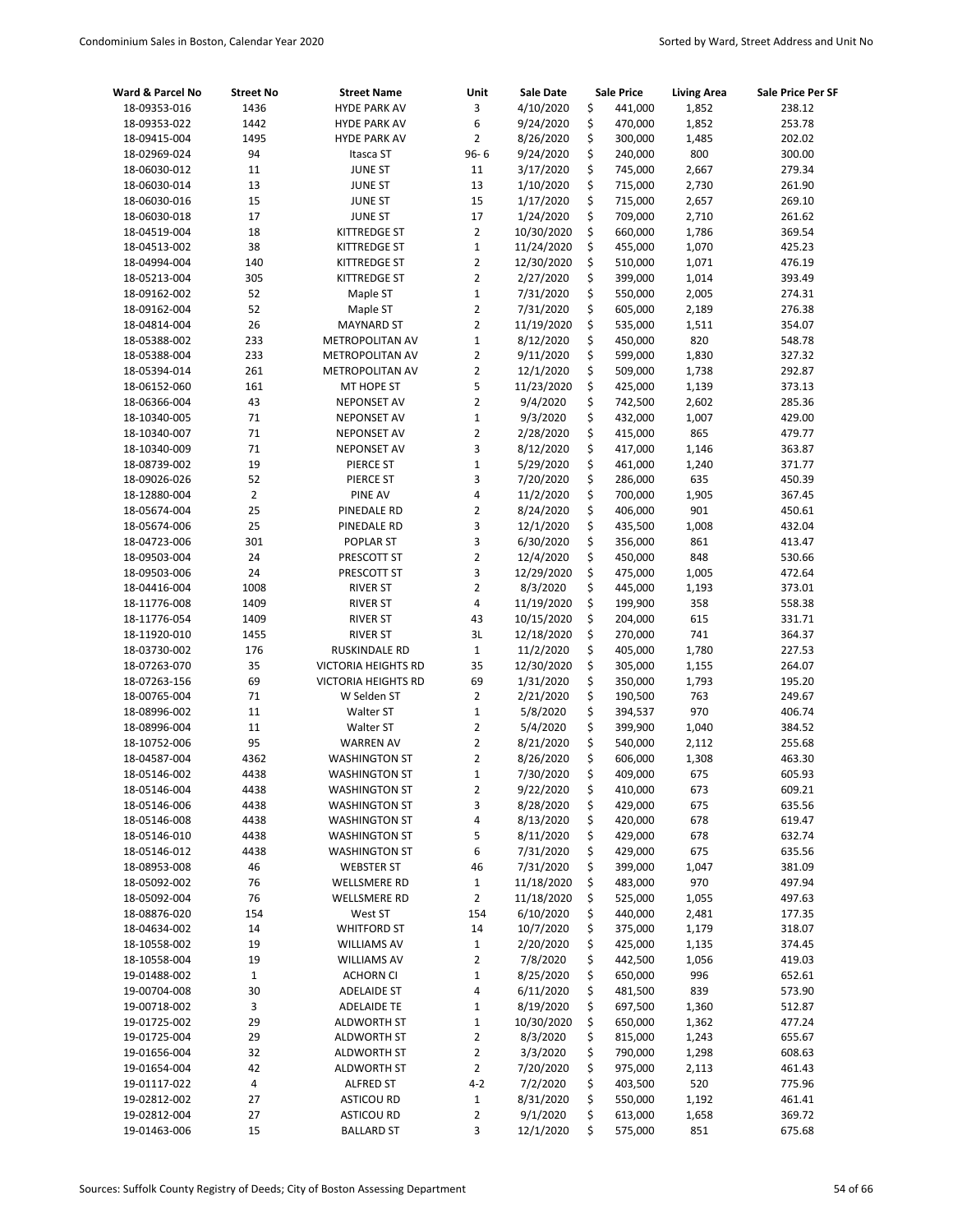| Ward & Parcel No             | <b>Street No</b> | <b>Street Name</b>                       | Unit                          | <b>Sale Date</b>       |          | <b>Sale Price</b>  | <b>Living Area</b> | Sale Price Per SF |
|------------------------------|------------------|------------------------------------------|-------------------------------|------------------------|----------|--------------------|--------------------|-------------------|
| 18-09353-016                 | 1436             | <b>HYDE PARK AV</b>                      | 3                             | 4/10/2020              | \$       | 441,000            | 1,852              | 238.12            |
| 18-09353-022                 | 1442             | <b>HYDE PARK AV</b>                      | 6                             | 9/24/2020              | \$       | 470,000            | 1,852              | 253.78            |
| 18-09415-004                 | 1495             | <b>HYDE PARK AV</b>                      | $\overline{2}$                | 8/26/2020              | \$       | 300,000            | 1,485              | 202.02            |
| 18-02969-024                 | 94               | Itasca ST                                | $96 - 6$                      | 9/24/2020              | \$       | 240,000            | 800                | 300.00            |
| 18-06030-012                 | 11               | <b>JUNE ST</b>                           | 11                            | 3/17/2020              | \$       | 745,000            | 2,667              | 279.34            |
| 18-06030-014                 | 13               | <b>JUNE ST</b>                           | 13                            | 1/10/2020              | \$       | 715,000            | 2,730              | 261.90            |
| 18-06030-016                 | 15               | <b>JUNE ST</b>                           | 15                            | 1/17/2020              | \$       | 715,000            | 2,657              | 269.10            |
| 18-06030-018                 | 17               | <b>JUNE ST</b>                           | 17                            | 1/24/2020              | \$       | 709,000            | 2,710              | 261.62            |
| 18-04519-004                 | 18               | <b>KITTREDGE ST</b>                      | $\overline{2}$                | 10/30/2020             | \$       | 660,000            | 1,786              | 369.54            |
| 18-04513-002                 | 38               | KITTREDGE ST                             | $\mathbf 1$                   | 11/24/2020             | \$       | 455,000            | 1,070              | 425.23            |
| 18-04994-004                 | 140              | KITTREDGE ST                             | $\overline{2}$                | 12/30/2020             | \$       | 510,000            | 1,071              | 476.19            |
| 18-05213-004                 | 305              | KITTREDGE ST                             | $\overline{2}$                | 2/27/2020              | \$       | 399,000            | 1,014              | 393.49            |
| 18-09162-002                 | 52               | Maple ST                                 | $\mathbf 1$                   | 7/31/2020              | \$       | 550,000            | 2,005              | 274.31            |
| 18-09162-004                 | 52               | Maple ST                                 | $\overline{2}$                | 7/31/2020              | \$       | 605,000            | 2,189              | 276.38            |
| 18-04814-004                 | 26<br>233        | <b>MAYNARD ST</b>                        | $\overline{2}$                | 11/19/2020             | \$<br>\$ | 535,000            | 1,511<br>820       | 354.07            |
| 18-05388-002                 | 233              | METROPOLITAN AV                          | $\mathbf 1$                   | 8/12/2020              | \$       | 450,000            |                    | 548.78            |
| 18-05388-004                 | 261              | METROPOLITAN AV                          | $\overline{2}$<br>$\mathbf 2$ | 9/11/2020<br>12/1/2020 | \$       | 599,000<br>509,000 | 1,830<br>1,738     | 327.32<br>292.87  |
| 18-05394-014                 |                  | METROPOLITAN AV                          | 5                             |                        | \$       |                    |                    |                   |
| 18-06152-060<br>18-06366-004 | 161<br>43        | MT HOPE ST<br><b>NEPONSET AV</b>         | $\overline{2}$                | 11/23/2020<br>9/4/2020 | \$       | 425,000<br>742,500 | 1,139<br>2,602     | 373.13<br>285.36  |
|                              | 71               |                                          | $\mathbf 1$                   | 9/3/2020               | \$       | 432,000            | 1,007              |                   |
| 18-10340-005<br>18-10340-007 | 71               | <b>NEPONSET AV</b><br><b>NEPONSET AV</b> | $\overline{2}$                | 2/28/2020              | \$       | 415,000            | 865                | 429.00<br>479.77  |
| 18-10340-009                 | 71               |                                          | 3                             | 8/12/2020              | \$       | 417,000            | 1,146              |                   |
|                              | 19               | <b>NEPONSET AV</b>                       | $\mathbf 1$                   |                        |          |                    |                    | 363.87            |
| 18-08739-002<br>18-09026-026 | 52               | PIERCE ST<br>PIERCE ST                   | 3                             | 5/29/2020<br>7/20/2020 | \$<br>\$ | 461,000<br>286,000 | 1,240<br>635       | 371.77<br>450.39  |
| 18-12880-004                 | $\overline{2}$   | PINE AV                                  | 4                             | 11/2/2020              | \$       | 700,000            | 1,905              | 367.45            |
| 18-05674-004                 | 25               | PINEDALE RD                              | $\overline{2}$                | 8/24/2020              | \$       | 406,000            | 901                | 450.61            |
| 18-05674-006                 | 25               | PINEDALE RD                              | 3                             | 12/1/2020              | \$       | 435,500            | 1,008              | 432.04            |
| 18-04723-006                 | 301              | POPLAR ST                                | 3                             | 6/30/2020              | \$       | 356,000            | 861                | 413.47            |
| 18-09503-004                 | 24               | PRESCOTT ST                              | $\overline{2}$                | 12/4/2020              | \$       | 450,000            | 848                | 530.66            |
| 18-09503-006                 | 24               | PRESCOTT ST                              | 3                             | 12/29/2020             | \$       | 475,000            | 1,005              | 472.64            |
| 18-04416-004                 | 1008             | <b>RIVER ST</b>                          | $\overline{2}$                | 8/3/2020               | \$       | 445,000            | 1,193              | 373.01            |
| 18-11776-008                 | 1409             | <b>RIVER ST</b>                          | 4                             | 11/19/2020             | \$       | 199,900            | 358                | 558.38            |
| 18-11776-054                 | 1409             | <b>RIVER ST</b>                          | 43                            | 10/15/2020             | \$       | 204,000            | 615                | 331.71            |
| 18-11920-010                 | 1455             | <b>RIVER ST</b>                          | 3L                            | 12/18/2020             | \$       | 270,000            | 741                | 364.37            |
| 18-03730-002                 | 176              | RUSKINDALE RD                            | $\mathbf{1}$                  | 11/2/2020              | \$       | 405,000            | 1,780              | 227.53            |
| 18-07263-070                 | 35               | <b>VICTORIA HEIGHTS RD</b>               | 35                            | 12/30/2020             | \$       | 305,000            | 1,155              | 264.07            |
| 18-07263-156                 | 69               | <b>VICTORIA HEIGHTS RD</b>               | 69                            | 1/31/2020              | \$       | 350,000            | 1,793              | 195.20            |
| 18-00765-004                 | 71               | W Selden ST                              | $\overline{2}$                | 2/21/2020              | \$       | 190,500            | 763                | 249.67            |
| 18-08996-002                 | 11               | Walter ST                                | $\mathbf{1}$                  | 5/8/2020               | \$       | 394,537            | 970                | 406.74            |
| 18-08996-004                 | 11               | Walter ST                                | $\overline{2}$                | 5/4/2020               | \$       | 399,900            | 1,040              | 384.52            |
| 18-10752-006                 | 95               | <b>WARREN AV</b>                         | $\overline{2}$                | 8/21/2020              | \$       | 540,000            | 2,112              | 255.68            |
| 18-04587-004                 | 4362             | <b>WASHINGTON ST</b>                     | $\overline{2}$                | 8/26/2020              | \$       | 606,000            | 1,308              | 463.30            |
| 18-05146-002                 | 4438             | <b>WASHINGTON ST</b>                     | $\mathbf{1}$                  | 7/30/2020              | Ś        | 409,000            | 675                | 605.93            |
| 18-05146-004                 | 4438             | <b>WASHINGTON ST</b>                     | 2                             | 9/22/2020              | \$       | 410,000            | 673                | 609.21            |
| 18-05146-006                 | 4438             | <b>WASHINGTON ST</b>                     | 3                             | 8/28/2020              | \$       | 429,000            | 675                | 635.56            |
| 18-05146-008                 | 4438             | <b>WASHINGTON ST</b>                     | 4                             | 8/13/2020              | \$       | 420,000            | 678                | 619.47            |
| 18-05146-010                 | 4438             | <b>WASHINGTON ST</b>                     | 5                             | 8/11/2020              | \$       | 429,000            | 678                | 632.74            |
| 18-05146-012                 | 4438             | <b>WASHINGTON ST</b>                     | 6                             | 7/31/2020              | \$       | 429,000            | 675                | 635.56            |
| 18-08953-008                 | 46               | <b>WEBSTER ST</b>                        | 46                            | 7/31/2020              | \$       | 399,000            | 1,047              | 381.09            |
| 18-05092-002                 | 76               | <b>WELLSMERE RD</b>                      | $\mathbf{1}$                  | 11/18/2020             | \$       | 483,000            | 970                | 497.94            |
| 18-05092-004                 | 76               | <b>WELLSMERE RD</b>                      | $\overline{2}$                | 11/18/2020             | \$       | 525,000            | 1,055              | 497.63            |
| 18-08876-020                 | 154              | West ST                                  | 154                           | 6/10/2020              | \$       | 440,000            | 2,481              | 177.35            |
| 18-04634-002                 | 14               | <b>WHITFORD ST</b>                       | 14                            | 10/7/2020              | \$       | 375,000            | 1,179              | 318.07            |
| 18-10558-002                 | 19               | <b>WILLIAMS AV</b>                       | $\mathbf 1$                   | 2/20/2020              | \$       | 425,000            | 1,135              | 374.45            |
| 18-10558-004                 | 19               | <b>WILLIAMS AV</b>                       | 2                             | 7/8/2020               | \$       | 442,500            | 1,056              | 419.03            |
| 19-01488-002                 | $\mathbf{1}$     | <b>ACHORN CI</b>                         | $\mathbf{1}$                  | 8/25/2020              | \$       | 650,000            | 996                | 652.61            |
| 19-00704-008                 | 30               | <b>ADELAIDE ST</b>                       | 4                             | 6/11/2020              | \$       | 481,500            | 839                | 573.90            |
| 19-00718-002                 | 3                | <b>ADELAIDE TE</b>                       | $\mathbf 1$                   | 8/19/2020              | \$       | 697,500            | 1,360              | 512.87            |
| 19-01725-002                 | 29               | <b>ALDWORTH ST</b>                       | $\mathbf 1$                   | 10/30/2020             | \$       | 650,000            | 1,362              | 477.24            |
| 19-01725-004                 | 29               | <b>ALDWORTH ST</b>                       | $\overline{\mathbf{c}}$       | 8/3/2020               | \$       | 815,000            | 1,243              | 655.67            |
| 19-01656-004                 | 32               | <b>ALDWORTH ST</b>                       | $\overline{2}$                | 3/3/2020               | \$       | 790,000            | 1,298              | 608.63            |
| 19-01654-004                 | 42               | <b>ALDWORTH ST</b>                       | $\overline{2}$                | 7/20/2020              | \$       | 975,000            | 2,113              | 461.43            |
| 19-01117-022                 | 4                | <b>ALFRED ST</b>                         | $4 - 2$                       | 7/2/2020               | \$       | 403,500            | 520                | 775.96            |
| 19-02812-002                 | 27               | <b>ASTICOU RD</b>                        | $\mathbf 1$                   | 8/31/2020              | \$       | 550,000            | 1,192              | 461.41            |
| 19-02812-004                 | 27               | <b>ASTICOU RD</b>                        | 2                             | 9/1/2020               | \$       | 613,000            | 1,658              | 369.72            |
| 19-01463-006                 | 15               | <b>BALLARD ST</b>                        | 3                             | 12/1/2020              | \$       | 575,000            | 851                | 675.68            |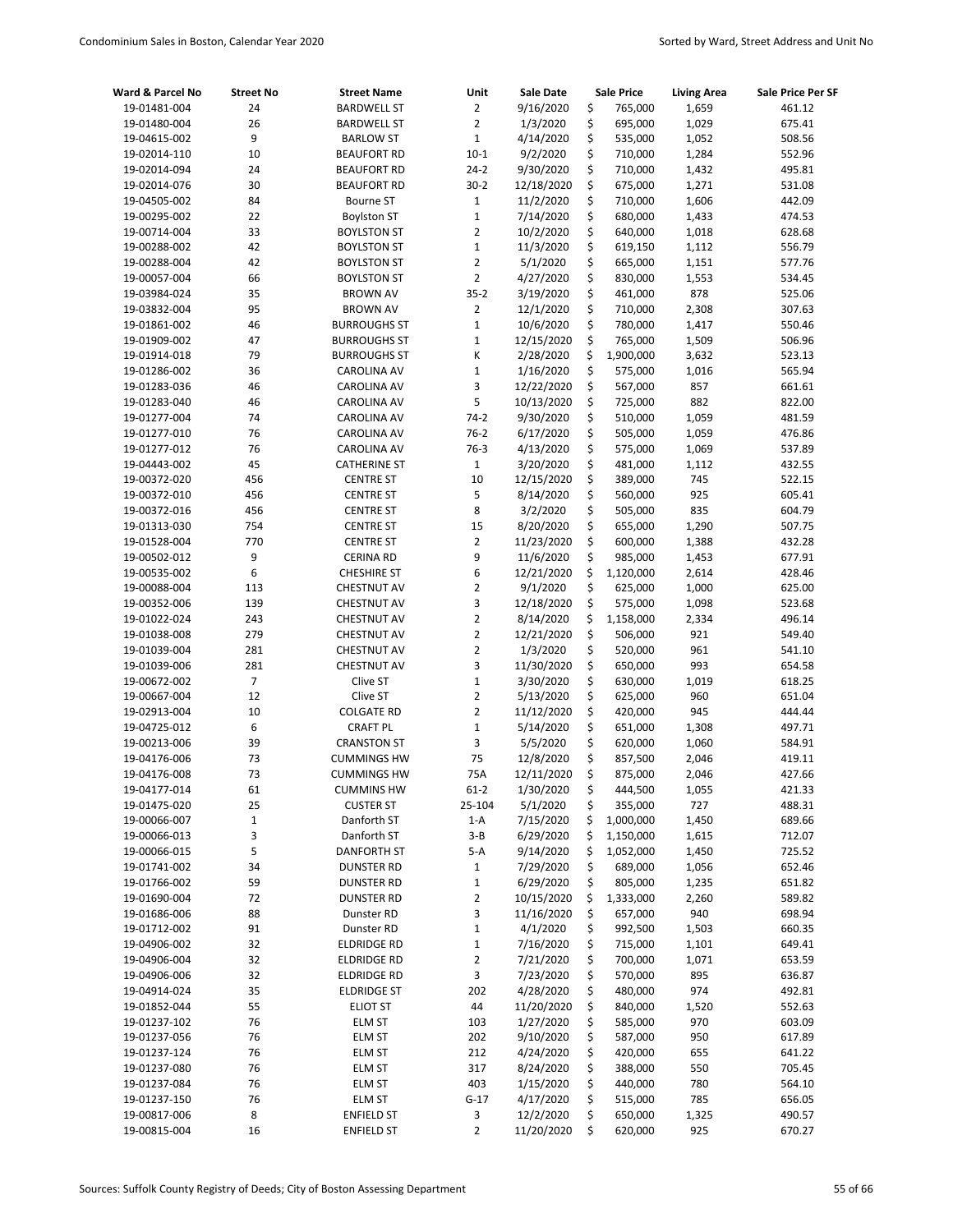| Ward & Parcel No             | <b>Street No</b> | <b>Street Name</b>                    | Unit                           | Sale Date             |          | <b>Sale Price</b>  | <b>Living Area</b> | Sale Price Per SF |
|------------------------------|------------------|---------------------------------------|--------------------------------|-----------------------|----------|--------------------|--------------------|-------------------|
| 19-01481-004                 | 24               | <b>BARDWELL ST</b>                    | $\overline{2}$                 | 9/16/2020             | \$       | 765,000            | 1,659              | 461.12            |
| 19-01480-004                 | 26               | <b>BARDWELL ST</b>                    | $\overline{2}$                 | 1/3/2020              | \$       | 695,000            | 1,029              | 675.41            |
| 19-04615-002                 | 9                | <b>BARLOW ST</b>                      | $\mathbf 1$                    | 4/14/2020             | \$       | 535,000            | 1,052              | 508.56            |
| 19-02014-110                 | 10               | <b>BEAUFORT RD</b>                    | $10-1$                         | 9/2/2020              | \$       | 710,000            | 1,284              | 552.96            |
| 19-02014-094                 | 24               | <b>BEAUFORT RD</b>                    | $24-2$                         | 9/30/2020             | \$       | 710,000            | 1,432              | 495.81            |
| 19-02014-076                 | 30               | <b>BEAUFORT RD</b>                    | $30-2$                         | 12/18/2020            | \$       | 675,000            | 1,271              | 531.08            |
| 19-04505-002                 | 84               | <b>Bourne ST</b>                      | $\mathbf 1$                    | 11/2/2020             | \$       | 710,000            | 1,606              | 442.09            |
| 19-00295-002                 | 22               | <b>Boylston ST</b>                    | $\mathbf 1$                    | 7/14/2020             | \$       | 680,000            | 1,433              | 474.53            |
| 19-00714-004                 | 33               | <b>BOYLSTON ST</b>                    | $\overline{2}$                 | 10/2/2020             | \$       | 640,000            | 1,018              | 628.68            |
| 19-00288-002                 | 42               | <b>BOYLSTON ST</b>                    | $\mathbf{1}$                   | 11/3/2020             | \$       | 619,150            | 1,112              | 556.79            |
| 19-00288-004                 | 42               | <b>BOYLSTON ST</b>                    | 2                              | 5/1/2020              | \$       | 665,000            | 1,151              | 577.76            |
| 19-00057-004                 | 66               | <b>BOYLSTON ST</b>                    | $\overline{2}$                 | 4/27/2020             | \$       | 830,000            | 1,553              | 534.45            |
| 19-03984-024                 | 35               | <b>BROWN AV</b>                       | $35 - 2$                       | 3/19/2020             | \$       | 461,000            | 878                | 525.06            |
| 19-03832-004                 | 95               | <b>BROWN AV</b>                       | $\overline{2}$                 | 12/1/2020             | \$       | 710,000            | 2,308              | 307.63            |
| 19-01861-002                 | 46               | <b>BURROUGHS ST</b>                   | $\mathbf 1$                    | 10/6/2020             | \$       | 780,000            | 1,417              | 550.46            |
| 19-01909-002                 | 47               | <b>BURROUGHS ST</b>                   | $\mathbf 1$                    | 12/15/2020            | \$       | 765,000            | 1,509              | 506.96            |
| 19-01914-018                 | 79               | <b>BURROUGHS ST</b>                   | К                              | 2/28/2020             | \$       | 1,900,000          | 3,632              | 523.13            |
| 19-01286-002                 | 36               | <b>CAROLINA AV</b>                    | $\mathbf 1$                    | 1/16/2020             | \$       | 575,000            | 1,016              | 565.94            |
| 19-01283-036                 | 46               | CAROLINA AV                           | 3                              | 12/22/2020            | \$       | 567,000            | 857                | 661.61            |
| 19-01283-040                 | 46               | <b>CAROLINA AV</b>                    | 5                              | 10/13/2020            | \$       | 725,000            | 882                | 822.00            |
| 19-01277-004                 | 74               | <b>CAROLINA AV</b>                    | $74-2$                         | 9/30/2020             | \$       | 510,000            | 1,059              | 481.59            |
| 19-01277-010                 | 76               | <b>CAROLINA AV</b>                    | $76-2$                         | 6/17/2020             | \$       | 505,000            | 1,059              | 476.86            |
| 19-01277-012                 | 76               | <b>CAROLINA AV</b>                    | $76-3$                         | 4/13/2020             | \$       | 575,000            | 1,069              | 537.89            |
| 19-04443-002                 | 45               | <b>CATHERINE ST</b>                   | $1\,$                          | 3/20/2020             | \$       | 481,000            | 1,112              | 432.55            |
| 19-00372-020                 | 456              | <b>CENTRE ST</b>                      | 10                             | 12/15/2020            | \$       | 389,000            | 745                | 522.15            |
| 19-00372-010                 | 456              | <b>CENTRE ST</b>                      | 5                              | 8/14/2020             | \$       | 560,000            | 925                | 605.41            |
| 19-00372-016                 | 456              | <b>CENTRE ST</b>                      | 8                              | 3/2/2020              | \$       | 505,000            | 835                | 604.79            |
| 19-01313-030                 | 754              | <b>CENTRE ST</b>                      | 15                             | 8/20/2020             | \$       | 655,000            | 1,290              | 507.75            |
| 19-01528-004                 | 770              | <b>CENTRE ST</b>                      | $\overline{2}$                 | 11/23/2020            | \$       | 600,000            | 1,388              | 432.28            |
| 19-00502-012                 | 9                | <b>CERINA RD</b>                      | 9                              | 11/6/2020             | \$       | 985,000            | 1,453              | 677.91            |
| 19-00535-002                 | 6                | <b>CHESHIRE ST</b>                    | 6                              | 12/21/2020            | \$       | 1,120,000          | 2,614              | 428.46            |
| 19-00088-004                 | 113              | <b>CHESTNUT AV</b>                    | 2                              | 9/1/2020              | \$       | 625,000            | 1,000              | 625.00            |
| 19-00352-006                 | 139              | <b>CHESTNUT AV</b>                    | 3                              | 12/18/2020            | \$       | 575,000            | 1,098              | 523.68            |
| 19-01022-024                 | 243              | <b>CHESTNUT AV</b>                    | $\overline{2}$                 | 8/14/2020             | \$       | 1,158,000          | 2,334              | 496.14            |
| 19-01038-008                 | 279              | <b>CHESTNUT AV</b>                    | 2                              | 12/21/2020            | \$       | 506,000            | 921                | 549.40            |
| 19-01039-004                 | 281              | <b>CHESTNUT AV</b>                    | $\overline{2}$                 | 1/3/2020              | \$       | 520,000            | 961                | 541.10            |
| 19-01039-006                 | 281              | <b>CHESTNUT AV</b>                    | 3                              | 11/30/2020            | \$       | 650,000            | 993                | 654.58            |
| 19-00672-002                 | $\overline{7}$   | Clive ST                              | $\mathbf{1}$<br>$\overline{2}$ | 3/30/2020             | \$       | 630,000            | 1,019              | 618.25            |
| 19-00667-004                 | 12               | Clive ST                              | $\overline{2}$                 | 5/13/2020             | \$       | 625,000            | 960                | 651.04            |
| 19-02913-004                 | 10<br>6          | <b>COLGATE RD</b>                     | $\mathbf 1$                    | 11/12/2020            | \$<br>\$ | 420,000            | 945                | 444.44            |
| 19-04725-012<br>19-00213-006 | 39               | <b>CRAFT PL</b><br><b>CRANSTON ST</b> | 3                              | 5/14/2020             | \$       | 651,000            | 1,308              | 497.71            |
| 19-04176-006                 | 73               | <b>CUMMINGS HW</b>                    | 75                             | 5/5/2020<br>12/8/2020 | \$       | 620,000<br>857,500 | 1,060<br>2,046     | 584.91<br>419.11  |
| 19-04176-008                 | 73               | <b>CUMMINGS HW</b>                    | 75A                            | 12/11/2020            | \$       | 875,000            | 2,046              | 427.66            |
| 19-04177-014                 | 61               | <b>CUMMINS HW</b>                     | $61 - 2$                       | 1/30/2020             | \$       | 444,500            | 1,055              | 421.33            |
| 19-01475-020                 | 25               | <b>CUSTER ST</b>                      | 25-104                         | 5/1/2020              | \$       | 355,000            | 727                | 488.31            |
| 19-00066-007                 | $\mathbf 1$      | Danforth ST                           | $1-A$                          | 7/15/2020             | \$       | 1,000,000          | 1,450              | 689.66            |
| 19-00066-013                 | 3                | Danforth ST                           | $3 - B$                        | 6/29/2020             | \$       | 1,150,000          | 1,615              | 712.07            |
| 19-00066-015                 | 5                | <b>DANFORTH ST</b>                    | $5-A$                          | 9/14/2020             | \$       | 1,052,000          | 1,450              | 725.52            |
| 19-01741-002                 | 34               | <b>DUNSTER RD</b>                     | $\mathbf{1}$                   | 7/29/2020             | \$       | 689,000            | 1,056              | 652.46            |
| 19-01766-002                 | 59               | <b>DUNSTER RD</b>                     | $\mathbf 1$                    | 6/29/2020             | \$       | 805,000            | 1,235              | 651.82            |
| 19-01690-004                 | 72               | <b>DUNSTER RD</b>                     | 2                              | 10/15/2020            | \$       | 1,333,000          | 2,260              | 589.82            |
| 19-01686-006                 | 88               | Dunster RD                            | 3                              | 11/16/2020            | \$       | 657,000            | 940                | 698.94            |
| 19-01712-002                 | 91               | Dunster RD                            | $\mathbf 1$                    | 4/1/2020              | \$       | 992,500            | 1,503              | 660.35            |
| 19-04906-002                 | 32               | <b>ELDRIDGE RD</b>                    | $\mathbf 1$                    | 7/16/2020             | \$       | 715,000            | 1,101              | 649.41            |
| 19-04906-004                 | 32               | <b>ELDRIDGE RD</b>                    | 2                              | 7/21/2020             | \$       | 700,000            | 1,071              | 653.59            |
| 19-04906-006                 | 32               | <b>ELDRIDGE RD</b>                    | 3                              | 7/23/2020             | \$       | 570,000            | 895                | 636.87            |
| 19-04914-024                 | 35               | <b>ELDRIDGE ST</b>                    | 202                            | 4/28/2020             | \$       | 480,000            | 974                | 492.81            |
| 19-01852-044                 | 55               | <b>ELIOT ST</b>                       | 44                             | 11/20/2020            | \$       | 840,000            | 1,520              | 552.63            |
| 19-01237-102                 | 76               | <b>ELM ST</b>                         | 103                            | 1/27/2020             | \$       | 585,000            | 970                | 603.09            |
| 19-01237-056                 | 76               | <b>ELM ST</b>                         | 202                            | 9/10/2020             | \$       | 587,000            | 950                | 617.89            |
| 19-01237-124                 | 76               | ELM ST                                | 212                            | 4/24/2020             | \$       | 420,000            | 655                | 641.22            |
| 19-01237-080                 | 76               | ELM ST                                | 317                            | 8/24/2020             | \$       | 388,000            | 550                | 705.45            |
| 19-01237-084                 | 76               | ELM ST                                | 403                            | 1/15/2020             | \$       | 440,000            | 780                | 564.10            |
| 19-01237-150                 | 76               | ELM ST                                | $G-17$                         | 4/17/2020             | \$       | 515,000            | 785                | 656.05            |
| 19-00817-006                 | 8                | <b>ENFIELD ST</b>                     | 3                              | 12/2/2020             | \$       | 650,000            | 1,325              | 490.57            |
| 19-00815-004                 | 16               | <b>ENFIELD ST</b>                     | 2                              | 11/20/2020            | \$       | 620,000            | 925                | 670.27            |
|                              |                  |                                       |                                |                       |          |                    |                    |                   |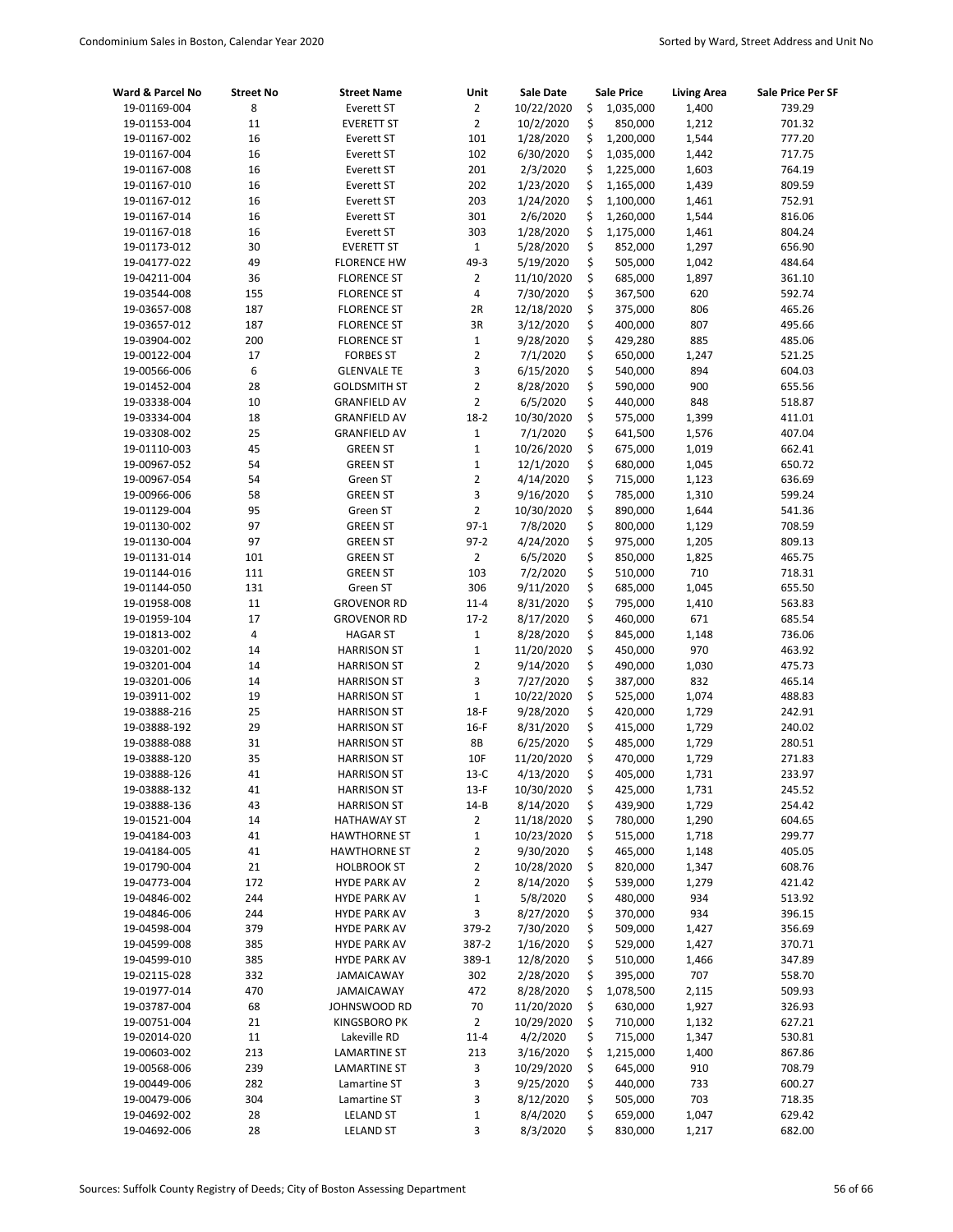| Ward & Parcel No             | <b>Street No</b>        | <b>Street Name</b>                         | Unit                    | <b>Sale Date</b>       |          | <b>Sale Price</b>  | <b>Living Area</b> | Sale Price Per SF |
|------------------------------|-------------------------|--------------------------------------------|-------------------------|------------------------|----------|--------------------|--------------------|-------------------|
| 19-01169-004                 | 8                       | <b>Everett ST</b>                          | $\overline{2}$          | 10/22/2020             | \$       | 1,035,000          | 1,400              | 739.29            |
| 19-01153-004                 | 11                      | <b>EVERETT ST</b>                          | $\overline{2}$          | 10/2/2020              | \$       | 850,000            | 1,212              | 701.32            |
| 19-01167-002                 | 16                      | Everett ST                                 | 101                     | 1/28/2020              | \$       | 1,200,000          | 1,544              | 777.20            |
| 19-01167-004                 | 16                      | Everett ST                                 | 102                     | 6/30/2020              | \$       | 1,035,000          | 1,442              | 717.75            |
| 19-01167-008                 | 16                      | <b>Everett ST</b>                          | 201                     | 2/3/2020               | \$       | 1,225,000          | 1,603              | 764.19            |
| 19-01167-010                 | 16                      | Everett ST                                 | 202                     | 1/23/2020              | \$       | 1,165,000          | 1,439              | 809.59            |
| 19-01167-012                 | 16                      | Everett ST                                 | 203                     | 1/24/2020              | \$       | 1,100,000          | 1,461              | 752.91            |
| 19-01167-014                 | 16                      | <b>Everett ST</b>                          | 301                     | 2/6/2020               | \$       | 1,260,000          | 1,544              | 816.06            |
| 19-01167-018                 | 16                      | Everett ST                                 | 303                     | 1/28/2020              | \$       | 1,175,000          | 1,461              | 804.24            |
| 19-01173-012                 | 30                      | <b>EVERETT ST</b>                          | $\mathbf{1}$            | 5/28/2020              | \$       | 852,000            | 1,297              | 656.90            |
| 19-04177-022                 | 49                      | <b>FLORENCE HW</b>                         | 49-3                    | 5/19/2020              | \$       | 505,000            | 1,042              | 484.64            |
| 19-04211-004                 | 36                      | <b>FLORENCE ST</b>                         | $\overline{2}$          | 11/10/2020             | \$       | 685,000            | 1,897              | 361.10            |
| 19-03544-008                 | 155                     | <b>FLORENCE ST</b>                         | $\overline{\mathbf{4}}$ | 7/30/2020              | \$       | 367,500            | 620                | 592.74            |
| 19-03657-008                 | 187                     | <b>FLORENCE ST</b>                         | 2R                      | 12/18/2020             | \$       | 375,000            | 806                | 465.26            |
| 19-03657-012                 | 187                     | <b>FLORENCE ST</b>                         | 3R                      | 3/12/2020              | \$       | 400,000            | 807                | 495.66            |
| 19-03904-002                 | 200                     | <b>FLORENCE ST</b>                         | $\mathbf 1$             | 9/28/2020              | \$       | 429,280            | 885                | 485.06            |
| 19-00122-004                 | 17                      | <b>FORBES ST</b>                           | $\overline{2}$          | 7/1/2020               | \$<br>\$ | 650,000            | 1,247              | 521.25            |
| 19-00566-006                 | 6<br>28                 | <b>GLENVALE TE</b>                         | 3<br>$\overline{2}$     | 6/15/2020              |          | 540,000            | 894<br>900         | 604.03            |
| 19-01452-004<br>19-03338-004 | 10                      | <b>GOLDSMITH ST</b>                        | $\overline{2}$          | 8/28/2020<br>6/5/2020  | \$<br>\$ | 590,000<br>440,000 | 848                | 655.56<br>518.87  |
| 19-03334-004                 | 18                      | <b>GRANFIELD AV</b><br><b>GRANFIELD AV</b> | $18 - 2$                | 10/30/2020             | \$       | 575,000            | 1,399              | 411.01            |
| 19-03308-002                 | 25                      | <b>GRANFIELD AV</b>                        | $\mathbf 1$             | 7/1/2020               | \$       | 641,500            | 1,576              | 407.04            |
| 19-01110-003                 | 45                      | <b>GREEN ST</b>                            | $\mathbf 1$             | 10/26/2020             | \$       | 675,000            | 1,019              | 662.41            |
| 19-00967-052                 | 54                      | <b>GREEN ST</b>                            | $\mathbf 1$             | 12/1/2020              | \$       | 680,000            | 1,045              | 650.72            |
| 19-00967-054                 | 54                      | Green ST                                   | $\overline{2}$          | 4/14/2020              | \$       | 715,000            | 1,123              | 636.69            |
| 19-00966-006                 | 58                      | <b>GREEN ST</b>                            | 3                       | 9/16/2020              | \$       | 785,000            | 1,310              | 599.24            |
| 19-01129-004                 | 95                      | Green ST                                   | $\overline{2}$          | 10/30/2020             | \$       | 890,000            | 1,644              | 541.36            |
| 19-01130-002                 | 97                      | <b>GREEN ST</b>                            | $97-1$                  | 7/8/2020               | \$       | 800,000            | 1,129              | 708.59            |
| 19-01130-004                 | 97                      | <b>GREEN ST</b>                            | $97 - 2$                | 4/24/2020              | \$       | 975,000            | 1,205              | 809.13            |
| 19-01131-014                 | 101                     | <b>GREEN ST</b>                            | $\overline{2}$          | 6/5/2020               | \$       | 850,000            | 1,825              | 465.75            |
| 19-01144-016                 | 111                     | <b>GREEN ST</b>                            | 103                     | 7/2/2020               | \$       | 510,000            | 710                | 718.31            |
| 19-01144-050                 | 131                     | Green ST                                   | 306                     | 9/11/2020              | \$       | 685,000            | 1,045              | 655.50            |
| 19-01958-008                 | 11                      | <b>GROVENOR RD</b>                         | $11 - 4$                | 8/31/2020              | \$       | 795,000            | 1,410              | 563.83            |
| 19-01959-104                 | 17                      | <b>GROVENOR RD</b>                         | $17-2$                  | 8/17/2020              | \$       | 460,000            | 671                | 685.54            |
| 19-01813-002                 | $\overline{\mathbf{4}}$ | <b>HAGAR ST</b>                            | $\mathbf 1$             | 8/28/2020              | \$       | 845,000            | 1,148              | 736.06            |
| 19-03201-002                 | 14                      | <b>HARRISON ST</b>                         | $\mathbf 1$             | 11/20/2020             | \$       | 450,000            | 970                | 463.92            |
| 19-03201-004                 | 14                      | <b>HARRISON ST</b>                         | $\overline{2}$          | 9/14/2020              | \$       | 490,000            | 1,030              | 475.73            |
| 19-03201-006                 | 14                      | <b>HARRISON ST</b>                         | 3                       | 7/27/2020              | \$       | 387,000            | 832                | 465.14            |
| 19-03911-002                 | 19                      | <b>HARRISON ST</b>                         | $\mathbf{1}$            | 10/22/2020             | \$       | 525,000            | 1,074              | 488.83            |
| 19-03888-216                 | 25                      | <b>HARRISON ST</b>                         | 18-F                    | 9/28/2020              | \$       | 420,000            | 1,729              | 242.91            |
| 19-03888-192                 | 29                      | <b>HARRISON ST</b>                         | $16-F$                  | 8/31/2020              | \$       | 415,000            | 1,729              | 240.02            |
| 19-03888-088                 | 31                      | <b>HARRISON ST</b>                         | 8B                      | 6/25/2020              | \$       | 485,000            | 1,729              | 280.51            |
| 19-03888-120                 | 35                      | <b>HARRISON ST</b>                         | 10F                     | 11/20/2020             | \$       | 470,000            | 1,729              | 271.83            |
| 19-03888-126                 | 41                      | <b>HARRISON ST</b>                         | $13-C$                  | 4/13/2020              | \$       | 405,000            | 1,731              | 233.97            |
| 19-03888-132                 | 41                      | <b>HARRISON ST</b>                         | $13-F$                  | 10/30/2020             | \$       | 425,000            | 1,731              | 245.52            |
| 19-03888-136                 | 43                      | <b>HARRISON ST</b>                         | $14 - B$                | 8/14/2020              | \$       | 439,900            | 1,729              | 254.42            |
| 19-01521-004                 | 14                      | <b>HATHAWAY ST</b>                         | 2                       | 11/18/2020             | \$       | 780,000            | 1,290              | 604.65            |
| 19-04184-003                 | 41                      | <b>HAWTHORNE ST</b>                        | $\mathbf 1$             | 10/23/2020             | \$       | 515,000            | 1,718              | 299.77            |
| 19-04184-005                 | 41                      | <b>HAWTHORNE ST</b>                        | $\overline{2}$          | 9/30/2020              | \$       | 465,000            | 1,148              | 405.05            |
| 19-01790-004                 | 21                      | <b>HOLBROOK ST</b>                         | $\overline{2}$          | 10/28/2020             | \$       | 820,000            | 1,347              | 608.76            |
| 19-04773-004                 | 172                     | <b>HYDE PARK AV</b>                        | $\overline{\mathbf{c}}$ | 8/14/2020              | \$       | 539,000            | 1,279              | 421.42            |
| 19-04846-002                 | 244                     | <b>HYDE PARK AV</b>                        | $\mathbf 1$             | 5/8/2020               | \$       | 480,000            | 934                | 513.92            |
| 19-04846-006                 | 244                     | <b>HYDE PARK AV</b>                        | 3                       | 8/27/2020              | \$       | 370,000            | 934                | 396.15            |
| 19-04598-004                 | 379                     | <b>HYDE PARK AV</b>                        | 379-2                   | 7/30/2020              | \$       | 509,000            | 1,427              | 356.69            |
| 19-04599-008                 | 385<br>385              | <b>HYDE PARK AV</b>                        | 387-2<br>389-1          | 1/16/2020<br>12/8/2020 | \$<br>\$ | 529,000            | 1,427              | 370.71            |
| 19-04599-010<br>19-02115-028 | 332                     | <b>HYDE PARK AV</b><br><b>JAMAICAWAY</b>   | 302                     | 2/28/2020              | \$       | 510,000<br>395,000 | 1,466<br>707       | 347.89<br>558.70  |
| 19-01977-014                 | 470                     | <b>JAMAICAWAY</b>                          | 472                     | 8/28/2020              | \$       | 1,078,500          | 2,115              | 509.93            |
| 19-03787-004                 | 68                      | JOHNSWOOD RD                               | 70                      | 11/20/2020             | \$       | 630,000            | 1,927              | 326.93            |
| 19-00751-004                 | 21                      | <b>KINGSBORO PK</b>                        | 2                       | 10/29/2020             | \$       | 710,000            | 1,132              | 627.21            |
| 19-02014-020                 | $11\,$                  | Lakeville RD                               | $11 - 4$                | 4/2/2020               | \$       | 715,000            | 1,347              | 530.81            |
| 19-00603-002                 | 213                     | <b>LAMARTINE ST</b>                        | 213                     | 3/16/2020              | \$       | 1,215,000          | 1,400              | 867.86            |
| 19-00568-006                 | 239                     | <b>LAMARTINE ST</b>                        | 3                       | 10/29/2020             | \$       | 645,000            | 910                | 708.79            |
| 19-00449-006                 | 282                     | Lamartine ST                               | 3                       | 9/25/2020              | \$       | 440,000            | 733                | 600.27            |
| 19-00479-006                 | 304                     | Lamartine ST                               | 3                       | 8/12/2020              | \$       | 505,000            | 703                | 718.35            |
| 19-04692-002                 | 28                      | <b>LELAND ST</b>                           | $\mathbf 1$             | 8/4/2020               | \$       | 659,000            | 1,047              | 629.42            |
| 19-04692-006                 | 28                      | <b>LELAND ST</b>                           | 3                       | 8/3/2020               | \$       | 830,000            | 1,217              | 682.00            |
|                              |                         |                                            |                         |                        |          |                    |                    |                   |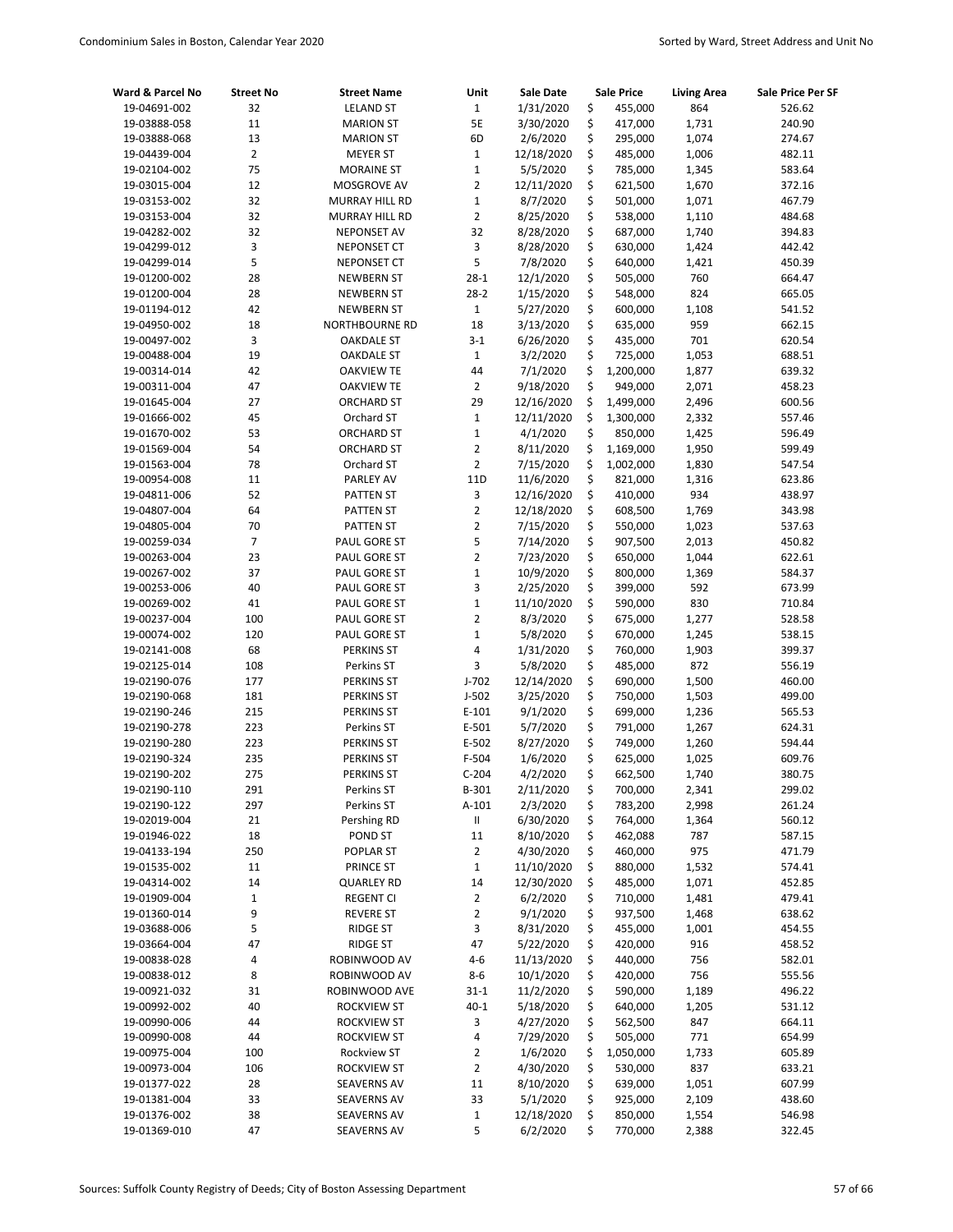| Ward & Parcel No             | <b>Street No</b> | <b>Street Name</b>                     | Unit               | <b>Sale Date</b>       |          | <b>Sale Price</b>    | <b>Living Area</b> | Sale Price Per SF |
|------------------------------|------------------|----------------------------------------|--------------------|------------------------|----------|----------------------|--------------------|-------------------|
| 19-04691-002                 | 32               | <b>LELAND ST</b>                       | $\mathbf 1$        | 1/31/2020              | \$       | 455,000              | 864                | 526.62            |
| 19-03888-058                 | 11               | <b>MARION ST</b>                       | 5E                 | 3/30/2020              | \$       | 417,000              | 1,731              | 240.90            |
| 19-03888-068                 | 13               | <b>MARION ST</b>                       | 6D                 | 2/6/2020               | \$       | 295,000              | 1,074              | 274.67            |
| 19-04439-004                 | $\overline{2}$   | <b>MEYER ST</b>                        | $\mathbf 1$        | 12/18/2020             | \$       | 485,000              | 1,006              | 482.11            |
| 19-02104-002                 | 75               | <b>MORAINE ST</b>                      | $\mathbf 1$        | 5/5/2020               | \$       | 785,000              | 1,345              | 583.64            |
| 19-03015-004                 | 12               | MOSGROVE AV                            | $\overline{2}$     | 12/11/2020             | \$       | 621,500              | 1,670              | 372.16            |
| 19-03153-002                 | 32               | <b>MURRAY HILL RD</b>                  | $\mathbf 1$        | 8/7/2020               | \$       | 501,000              | 1,071              | 467.79            |
| 19-03153-004                 | 32               | MURRAY HILL RD                         | $\overline{2}$     | 8/25/2020              | \$       | 538,000              | 1,110              | 484.68            |
| 19-04282-002                 | 32               | <b>NEPONSET AV</b>                     | 32                 | 8/28/2020              | \$       | 687,000              | 1,740              | 394.83            |
| 19-04299-012                 | 3                | <b>NEPONSET CT</b>                     | 3                  | 8/28/2020              | \$       | 630,000              | 1,424              | 442.42            |
| 19-04299-014                 | 5                | <b>NEPONSET CT</b>                     | 5                  | 7/8/2020               | \$       | 640,000              | 1,421              | 450.39            |
| 19-01200-002                 | 28               | <b>NEWBERN ST</b>                      | $28-1$             | 12/1/2020              | \$       | 505,000              | 760                | 664.47            |
| 19-01200-004                 | 28               | <b>NEWBERN ST</b>                      | $28-2$             | 1/15/2020              | \$       | 548,000              | 824                | 665.05            |
| 19-01194-012                 | 42               | <b>NEWBERN ST</b>                      | $\mathbf{1}$       | 5/27/2020              | \$       | 600,000              | 1,108              | 541.52            |
| 19-04950-002                 | 18<br>3          | NORTHBOURNE RD                         | 18                 | 3/13/2020              | \$<br>\$ | 635,000              | 959<br>701         | 662.15            |
| 19-00497-002<br>19-00488-004 | 19               | <b>OAKDALE ST</b>                      | $3 - 1$            | 6/26/2020              | \$       | 435,000              |                    | 620.54            |
| 19-00314-014                 | 42               | <b>OAKDALE ST</b><br><b>OAKVIEW TE</b> | $\mathbf{1}$<br>44 | 3/2/2020<br>7/1/2020   | \$       | 725,000<br>1,200,000 | 1,053<br>1,877     | 688.51<br>639.32  |
| 19-00311-004                 | 47               | <b>OAKVIEW TE</b>                      | $\overline{2}$     | 9/18/2020              | \$       | 949,000              | 2,071              | 458.23            |
| 19-01645-004                 | 27               | <b>ORCHARD ST</b>                      | 29                 | 12/16/2020             | \$       | 1,499,000            | 2,496              | 600.56            |
| 19-01666-002                 | 45               | Orchard ST                             | $\mathbf 1$        | 12/11/2020             | \$       | 1,300,000            | 2,332              | 557.46            |
| 19-01670-002                 | 53               | <b>ORCHARD ST</b>                      | $\mathbf 1$        | 4/1/2020               | \$       | 850,000              | 1,425              | 596.49            |
| 19-01569-004                 | 54               | <b>ORCHARD ST</b>                      | $\overline{2}$     | 8/11/2020              | \$       | 1,169,000            | 1,950              | 599.49            |
| 19-01563-004                 | 78               | Orchard ST                             | $\overline{2}$     | 7/15/2020              | \$       | 1,002,000            | 1,830              | 547.54            |
| 19-00954-008                 | 11               | PARLEY AV                              | 11D                | 11/6/2020              | \$       | 821,000              | 1,316              | 623.86            |
| 19-04811-006                 | 52               | PATTEN ST                              | 3                  | 12/16/2020             | \$       | 410,000              | 934                | 438.97            |
| 19-04807-004                 | 64               | PATTEN ST                              | $\overline{2}$     | 12/18/2020             | \$       | 608,500              | 1,769              | 343.98            |
| 19-04805-004                 | 70               | <b>PATTEN ST</b>                       | $\overline{2}$     | 7/15/2020              | \$       | 550,000              | 1,023              | 537.63            |
| 19-00259-034                 | $\overline{7}$   | PAUL GORE ST                           | 5                  | 7/14/2020              | \$       | 907,500              | 2,013              | 450.82            |
| 19-00263-004                 | 23               | PAUL GORE ST                           | $\overline{2}$     | 7/23/2020              | \$       | 650,000              | 1,044              | 622.61            |
| 19-00267-002                 | 37               | PAUL GORE ST                           | $\mathbf 1$        | 10/9/2020              | \$       | 800,000              | 1,369              | 584.37            |
| 19-00253-006                 | 40               | PAUL GORE ST                           | 3                  | 2/25/2020              | \$       | 399,000              | 592                | 673.99            |
| 19-00269-002                 | 41               | PAUL GORE ST                           | $\mathbf 1$        | 11/10/2020             | \$       | 590,000              | 830                | 710.84            |
| 19-00237-004                 | 100              | PAUL GORE ST                           | $\overline{2}$     | 8/3/2020               | \$       | 675,000              | 1,277              | 528.58            |
| 19-00074-002                 | 120              | PAUL GORE ST                           | $\mathbf 1$        | 5/8/2020               | \$       | 670,000              | 1,245              | 538.15            |
| 19-02141-008                 | 68               | <b>PERKINS ST</b>                      | 4                  | 1/31/2020              | \$       | 760,000              | 1,903              | 399.37            |
| 19-02125-014                 | 108              | Perkins ST                             | 3                  | 5/8/2020               | \$       | 485,000              | 872                | 556.19            |
| 19-02190-076                 | 177              | <b>PERKINS ST</b>                      | $J-702$            | 12/14/2020             | \$       | 690,000              | 1,500              | 460.00            |
| 19-02190-068                 | 181              | <b>PERKINS ST</b>                      | $J-502$            | 3/25/2020              | \$       | 750,000              | 1,503              | 499.00            |
| 19-02190-246                 | 215              | <b>PERKINS ST</b>                      | $E-101$            | 9/1/2020               | \$       | 699,000              | 1,236              | 565.53            |
| 19-02190-278                 | 223              | Perkins ST                             | E-501              | 5/7/2020               | \$       | 791,000              | 1,267              | 624.31            |
| 19-02190-280                 | 223              | <b>PERKINS ST</b>                      | E-502              | 8/27/2020              | \$       | 749,000              | 1,260              | 594.44            |
| 19-02190-324                 | 235              | <b>PERKINS ST</b>                      | F-504              | 1/6/2020               | \$       | 625,000              | 1,025              | 609.76            |
| 19-02190-202                 | 275              | <b>PERKINS ST</b>                      | $C-204$            | 4/2/2020               | \$       | 662,500              | 1,740              | 380.75            |
| 19-02190-110                 | 291              | Perkins ST                             | B-301              | 2/11/2020              | \$       | 700,000              | 2,341              | 299.02            |
| 19-02190-122                 | 297              | Perkins ST                             | $A-101$            | 2/3/2020               | \$       | 783,200              | 2,998              | 261.24            |
| 19-02019-004                 | 21               | Pershing RD                            | Ш                  | 6/30/2020              | \$       | 764,000              | 1,364              | 560.12            |
| 19-01946-022                 | 18               | POND ST                                | 11                 | 8/10/2020              | \$       | 462,088              | 787                | 587.15            |
| 19-04133-194                 | 250              | POPLAR ST                              | $\overline{2}$     | 4/30/2020              | \$       | 460,000              | 975                | 471.79            |
| 19-01535-002                 | $11\,$           | PRINCE ST                              | $\mathbf{1}$       | 11/10/2020             | \$       | 880,000              | 1,532              | 574.41            |
| 19-04314-002                 | 14               | <b>QUARLEY RD</b>                      | 14                 | 12/30/2020             | \$       | 485,000              | 1,071              | 452.85            |
| 19-01909-004                 | $\mathbf 1$      | <b>REGENT CI</b>                       | $\overline{2}$     | 6/2/2020               | \$       | 710,000              | 1,481              | 479.41            |
| 19-01360-014                 | 9                | <b>REVERE ST</b>                       | $\overline{2}$     | 9/1/2020               | \$       | 937,500              | 1,468              | 638.62            |
| 19-03688-006                 | 5                | RIDGE ST                               | 3                  | 8/31/2020              | \$       | 455,000              | 1,001              | 454.55            |
| 19-03664-004                 | 47               | RIDGE ST                               | 47                 | 5/22/2020              | \$       | 420,000              | 916                | 458.52            |
| 19-00838-028                 | 4<br>8           | ROBINWOOD AV                           | $4 - 6$<br>$8 - 6$ | 11/13/2020             | \$<br>\$ | 440,000<br>420,000   | 756<br>756         | 582.01<br>555.56  |
| 19-00838-012<br>19-00921-032 | 31               | ROBINWOOD AV<br>ROBINWOOD AVE          | $31 - 1$           | 10/1/2020<br>11/2/2020 | \$       | 590,000              | 1,189              | 496.22            |
| 19-00992-002                 | 40               | <b>ROCKVIEW ST</b>                     | $40 - 1$           | 5/18/2020              | \$       | 640,000              | 1,205              | 531.12            |
| 19-00990-006                 | 44               | <b>ROCKVIEW ST</b>                     | 3                  | 4/27/2020              | \$       | 562,500              | 847                | 664.11            |
| 19-00990-008                 | 44               | <b>ROCKVIEW ST</b>                     | 4                  | 7/29/2020              | \$       | 505,000              | 771                | 654.99            |
| 19-00975-004                 | 100              | Rockview ST                            | 2                  | 1/6/2020               | \$       | 1,050,000            | 1,733              | 605.89            |
| 19-00973-004                 | 106              | <b>ROCKVIEW ST</b>                     | $\overline{2}$     | 4/30/2020              | \$       | 530,000              | 837                | 633.21            |
| 19-01377-022                 | 28               | <b>SEAVERNS AV</b>                     | 11                 | 8/10/2020              | \$       | 639,000              | 1,051              | 607.99            |
| 19-01381-004                 | 33               | <b>SEAVERNS AV</b>                     | 33                 | 5/1/2020               | \$       | 925,000              | 2,109              | 438.60            |
| 19-01376-002                 | 38               | SEAVERNS AV                            | $\mathbf{1}$       | 12/18/2020             | \$       | 850,000              | 1,554              | 546.98            |
| 19-01369-010                 | 47               | SEAVERNS AV                            | 5                  | 6/2/2020               | \$       | 770,000              | 2,388              | 322.45            |
|                              |                  |                                        |                    |                        |          |                      |                    |                   |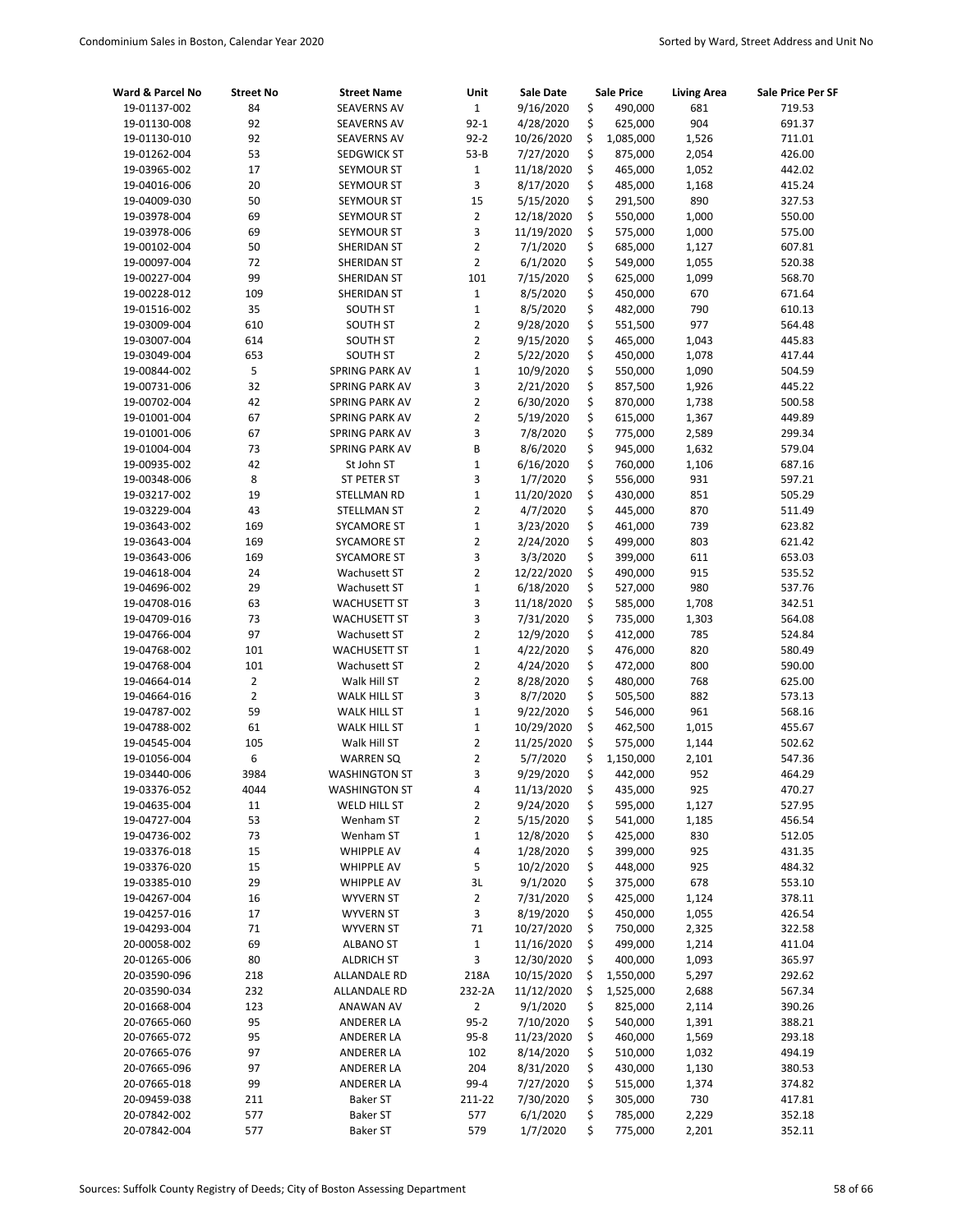| Ward & Parcel No             | <b>Street No</b> | <b>Street Name</b>                     | Unit                             | <b>Sale Date</b>       |          | <b>Sale Price</b>  | <b>Living Area</b> | Sale Price Per SF |
|------------------------------|------------------|----------------------------------------|----------------------------------|------------------------|----------|--------------------|--------------------|-------------------|
| 19-01137-002                 | 84               | <b>SEAVERNS AV</b>                     | $1\,$                            | 9/16/2020              | \$       | 490,000            | 681                | 719.53            |
| 19-01130-008                 | 92               | <b>SEAVERNS AV</b>                     | $92 - 1$                         | 4/28/2020              | \$       | 625,000            | 904                | 691.37            |
| 19-01130-010                 | 92               | <b>SEAVERNS AV</b>                     | $92 - 2$                         | 10/26/2020             | \$       | 1,085,000          | 1,526              | 711.01            |
| 19-01262-004                 | 53               | SEDGWICK ST                            | $53 - B$                         | 7/27/2020              | \$       | 875,000            | 2,054              | 426.00            |
| 19-03965-002                 | 17               | SEYMOUR ST                             | $1\,$                            | 11/18/2020             | \$       | 465,000            | 1,052              | 442.02            |
| 19-04016-006                 | 20               | SEYMOUR ST                             | 3                                | 8/17/2020              | \$       | 485,000            | 1,168              | 415.24            |
| 19-04009-030                 | 50               | SEYMOUR ST                             | 15                               | 5/15/2020              | \$       | 291,500            | 890                | 327.53            |
| 19-03978-004                 | 69               | SEYMOUR ST                             | $\overline{2}$                   | 12/18/2020             | \$       | 550,000            | 1,000              | 550.00            |
| 19-03978-006                 | 69               | SEYMOUR ST                             | 3                                | 11/19/2020             | \$       | 575,000            | 1,000              | 575.00            |
| 19-00102-004                 | 50               | <b>SHERIDAN ST</b>                     | $\overline{2}$                   | 7/1/2020               | \$       | 685,000            | 1,127              | 607.81            |
| 19-00097-004                 | 72               | SHERIDAN ST                            | $\overline{2}$                   | 6/1/2020               | \$       | 549,000            | 1,055              | 520.38            |
| 19-00227-004                 | 99               | SHERIDAN ST                            | 101                              | 7/15/2020              | \$       | 625,000            | 1,099              | 568.70            |
| 19-00228-012                 | 109              | SHERIDAN ST                            | $\mathbf{1}$                     | 8/5/2020               | \$       | 450,000            | 670                | 671.64            |
| 19-01516-002                 | 35               | SOUTH ST                               | $\mathbf{1}$                     | 8/5/2020               | \$       | 482,000            | 790                | 610.13            |
| 19-03009-004                 | 610              | SOUTH ST                               | $\overline{2}$<br>$\overline{2}$ | 9/28/2020              | \$<br>\$ | 551,500            | 977                | 564.48            |
| 19-03007-004<br>19-03049-004 | 614<br>653       | <b>SOUTH ST</b>                        | $\overline{2}$                   | 9/15/2020              | \$       | 465,000            | 1,043<br>1,078     | 445.83            |
| 19-00844-002                 | 5                | <b>SOUTH ST</b><br>SPRING PARK AV      | $\mathbf{1}$                     | 5/22/2020<br>10/9/2020 | \$       | 450,000<br>550,000 | 1,090              | 417.44<br>504.59  |
| 19-00731-006                 | 32               | <b>SPRING PARK AV</b>                  | 3                                | 2/21/2020              | \$       | 857,500            | 1,926              | 445.22            |
| 19-00702-004                 | 42               | SPRING PARK AV                         | $\overline{2}$                   | 6/30/2020              | \$       | 870,000            | 1,738              | 500.58            |
| 19-01001-004                 | 67               | SPRING PARK AV                         | $\overline{2}$                   | 5/19/2020              | \$       | 615,000            | 1,367              | 449.89            |
| 19-01001-006                 | 67               | SPRING PARK AV                         | 3                                | 7/8/2020               | \$       | 775,000            | 2,589              | 299.34            |
| 19-01004-004                 | 73               | SPRING PARK AV                         | B                                | 8/6/2020               | \$       | 945,000            | 1,632              | 579.04            |
| 19-00935-002                 | 42               | St John ST                             | $\mathbf 1$                      | 6/16/2020              | \$       | 760,000            | 1,106              | 687.16            |
| 19-00348-006                 | 8                | ST PETER ST                            | 3                                | 1/7/2020               | \$       | 556,000            | 931                | 597.21            |
| 19-03217-002                 | 19               | STELLMAN RD                            | $\mathbf{1}$                     | 11/20/2020             | \$       | 430,000            | 851                | 505.29            |
| 19-03229-004                 | 43               | STELLMAN ST                            | $\overline{2}$                   | 4/7/2020               | \$       | 445,000            | 870                | 511.49            |
| 19-03643-002                 | 169              | <b>SYCAMORE ST</b>                     | $\mathbf{1}$                     | 3/23/2020              | \$       | 461,000            | 739                | 623.82            |
| 19-03643-004                 | 169              | SYCAMORE ST                            | $\overline{2}$                   | 2/24/2020              | \$       | 499,000            | 803                | 621.42            |
| 19-03643-006                 | 169              | SYCAMORE ST                            | 3                                | 3/3/2020               | \$       | 399,000            | 611                | 653.03            |
| 19-04618-004                 | 24               | Wachusett ST                           | $\overline{2}$                   | 12/22/2020             | \$       | 490,000            | 915                | 535.52            |
| 19-04696-002                 | 29               | Wachusett ST                           | $\mathbf 1$                      | 6/18/2020              | \$       | 527,000            | 980                | 537.76            |
| 19-04708-016                 | 63               | <b>WACHUSETT ST</b>                    | 3                                | 11/18/2020             | \$       | 585,000            | 1,708              | 342.51            |
| 19-04709-016                 | 73               | <b>WACHUSETT ST</b>                    | 3                                | 7/31/2020              | \$       | 735,000            | 1,303              | 564.08            |
| 19-04766-004                 | 97               | Wachusett ST                           | $\overline{2}$                   | 12/9/2020              | \$       | 412,000            | 785                | 524.84            |
| 19-04768-002                 | 101              | <b>WACHUSETT ST</b>                    | $\mathbf{1}$                     | 4/22/2020              | \$       | 476,000            | 820                | 580.49            |
| 19-04768-004                 | 101              | Wachusett ST                           | $\overline{2}$                   | 4/24/2020              | \$       | 472,000            | 800                | 590.00            |
| 19-04664-014                 | $\overline{2}$   | Walk Hill ST                           | $\overline{2}$                   | 8/28/2020              | \$       | 480,000            | 768                | 625.00            |
| 19-04664-016                 | $\overline{2}$   | <b>WALK HILL ST</b>                    | 3                                | 8/7/2020               | \$       | 505,500            | 882                | 573.13            |
| 19-04787-002                 | 59               | <b>WALK HILL ST</b>                    | $\mathbf{1}$                     | 9/22/2020              | \$       | 546,000            | 961                | 568.16            |
| 19-04788-002                 | 61               | <b>WALK HILL ST</b>                    | $\mathbf{1}$                     | 10/29/2020             | \$       | 462,500            | 1,015              | 455.67            |
| 19-04545-004                 | 105              | Walk Hill ST                           | $\overline{2}$                   | 11/25/2020             | \$       | 575,000            | 1,144              | 502.62            |
| 19-01056-004                 | 6                | <b>WARREN SQ</b>                       | $\overline{2}$                   | 5/7/2020               | \$       | 1,150,000          | 2,101              | 547.36            |
| 19-03440-006                 | 3984             | <b>WASHINGTON ST</b>                   | 3                                | 9/29/2020              | Ś        | 442,000            | 952                | 464.29            |
| 19-03376-052                 | 4044             | <b>WASHINGTON ST</b>                   | 4                                | 11/13/2020             | \$       | 435,000            | 925                | 470.27            |
| 19-04635-004                 | $11\,$           | WELD HILL ST                           | $\overline{2}$                   | 9/24/2020              | \$       | 595,000            | 1,127              | 527.95            |
| 19-04727-004                 | 53               | Wenham ST                              | 2                                | 5/15/2020              | \$       | 541,000            | 1,185              | 456.54            |
| 19-04736-002                 | 73               | Wenham ST                              | 1                                | 12/8/2020              | \$       | 425,000            | 830                | 512.05            |
| 19-03376-018<br>19-03376-020 | 15<br>15         | <b>WHIPPLE AV</b>                      | 4<br>5                           | 1/28/2020<br>10/2/2020 | \$<br>\$ | 399,000            | 925<br>925         | 431.35            |
| 19-03385-010                 | 29               | <b>WHIPPLE AV</b><br><b>WHIPPLE AV</b> | 3L                               | 9/1/2020               | \$       | 448,000<br>375,000 | 678                | 484.32<br>553.10  |
| 19-04267-004                 | 16               | <b>WYVERN ST</b>                       | $\overline{2}$                   | 7/31/2020              | \$       | 425,000            | 1,124              | 378.11            |
| 19-04257-016                 | 17               | <b>WYVERN ST</b>                       | 3                                | 8/19/2020              | \$       | 450,000            | 1,055              | 426.54            |
| 19-04293-004                 | 71               | <b>WYVERN ST</b>                       | 71                               | 10/27/2020             | \$       | 750,000            | 2,325              | 322.58            |
| 20-00058-002                 | 69               | <b>ALBANO ST</b>                       | $\mathbf 1$                      | 11/16/2020             | \$       | 499,000            | 1,214              | 411.04            |
| 20-01265-006                 | 80               | <b>ALDRICH ST</b>                      | 3                                | 12/30/2020             | \$       | 400,000            | 1,093              | 365.97            |
| 20-03590-096                 | 218              | ALLANDALE RD                           | 218A                             | 10/15/2020             | \$       | 1,550,000          | 5,297              | 292.62            |
| 20-03590-034                 | 232              | ALLANDALE RD                           | 232-2A                           | 11/12/2020             | \$       | 1,525,000          | 2,688              | 567.34            |
| 20-01668-004                 | 123              | ANAWAN AV                              | $\overline{2}$                   | 9/1/2020               | \$       | 825,000            | 2,114              | 390.26            |
| 20-07665-060                 | 95               | ANDERER LA                             | $95 - 2$                         | 7/10/2020              | \$       | 540,000            | 1,391              | 388.21            |
| 20-07665-072                 | 95               | ANDERER LA                             | $95 - 8$                         | 11/23/2020             | \$       | 460,000            | 1,569              | 293.18            |
| 20-07665-076                 | 97               | ANDERER LA                             | 102                              | 8/14/2020              | \$       | 510,000            | 1,032              | 494.19            |
| 20-07665-096                 | 97               | ANDERER LA                             | 204                              | 8/31/2020              | \$       | 430,000            | 1,130              | 380.53            |
| 20-07665-018                 | 99               | ANDERER LA                             | 99-4                             | 7/27/2020              | \$       | 515,000            | 1,374              | 374.82            |
| 20-09459-038                 | 211              | Baker ST                               | 211-22                           | 7/30/2020              | \$       | 305,000            | 730                | 417.81            |
| 20-07842-002                 | 577              | Baker ST                               | 577                              | 6/1/2020               | \$       | 785,000            | 2,229              | 352.18            |
| 20-07842-004                 | 577              | Baker ST                               | 579                              | 1/7/2020               | \$       | 775,000            | 2,201              | 352.11            |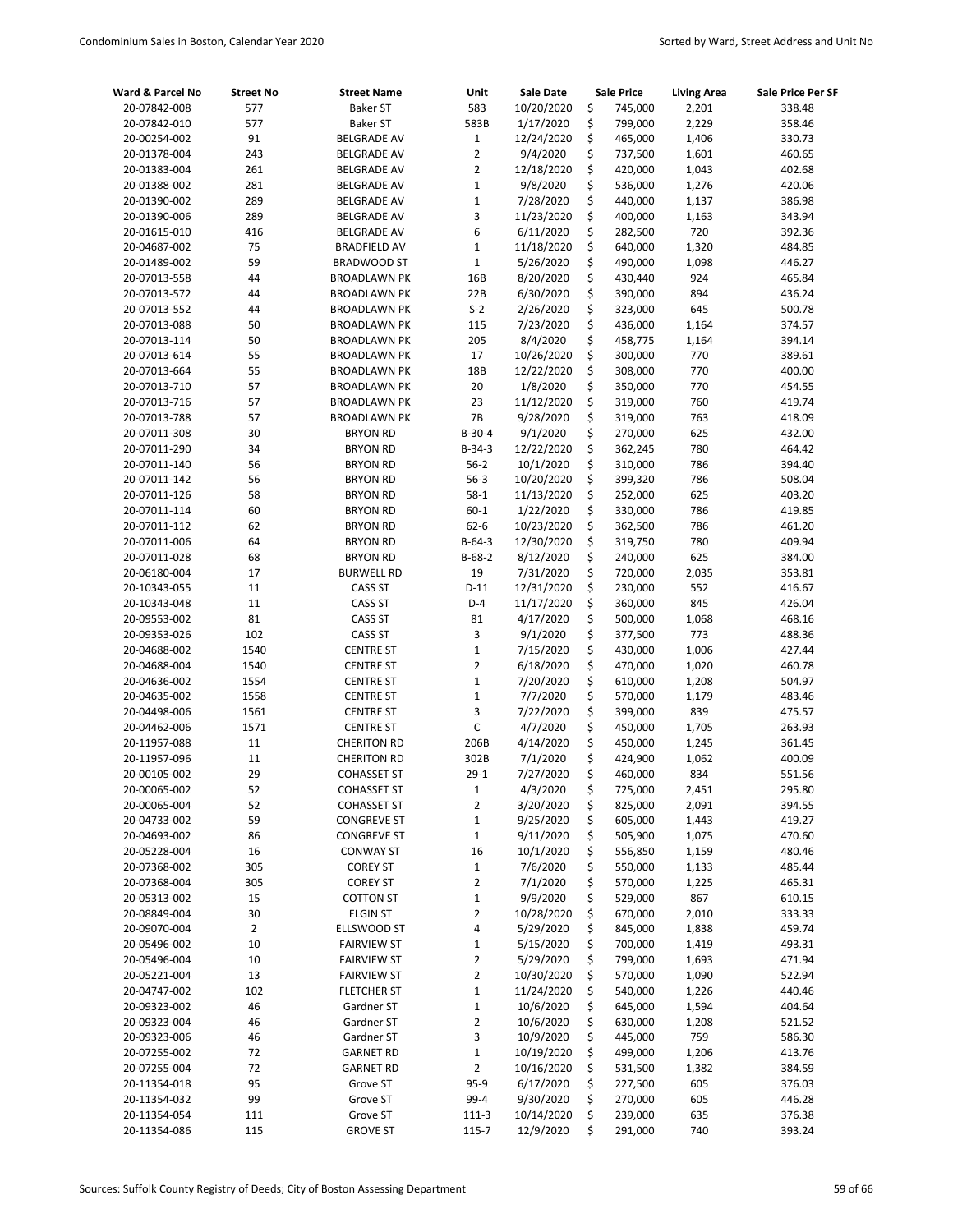| Ward & Parcel No             | <b>Street No</b> | <b>Street Name</b>                         | Unit              | Sale Date             |          | <b>Sale Price</b>  | <b>Living Area</b> | Sale Price Per SF |
|------------------------------|------------------|--------------------------------------------|-------------------|-----------------------|----------|--------------------|--------------------|-------------------|
| 20-07842-008                 | 577              | <b>Baker ST</b>                            | 583               | 10/20/2020            | \$       | 745,000            | 2,201              | 338.48            |
| 20-07842-010                 | 577              | <b>Baker ST</b>                            | 583B              | 1/17/2020             | \$       | 799,000            | 2,229              | 358.46            |
| 20-00254-002                 | 91               | <b>BELGRADE AV</b>                         | $\mathbf{1}$      | 12/24/2020            | \$       | 465,000            | 1,406              | 330.73            |
| 20-01378-004                 | 243              | <b>BELGRADE AV</b>                         | $\overline{2}$    | 9/4/2020              | \$       | 737,500            | 1,601              | 460.65            |
| 20-01383-004                 | 261              | <b>BELGRADE AV</b>                         | $\overline{2}$    | 12/18/2020            | \$       | 420,000            | 1,043              | 402.68            |
| 20-01388-002                 | 281              | <b>BELGRADE AV</b>                         | $\mathbf 1$       | 9/8/2020              | \$       | 536,000            | 1,276              | 420.06            |
| 20-01390-002                 | 289              | <b>BELGRADE AV</b>                         | $\mathbf 1$       | 7/28/2020             | \$       | 440,000            | 1,137              | 386.98            |
| 20-01390-006                 | 289              | <b>BELGRADE AV</b>                         | 3                 | 11/23/2020            | \$       | 400,000            | 1,163              | 343.94            |
| 20-01615-010                 | 416              | <b>BELGRADE AV</b>                         | 6                 | 6/11/2020             | \$       | 282,500            | 720                | 392.36            |
| 20-04687-002                 | 75               | <b>BRADFIELD AV</b>                        | $\mathbf{1}$      | 11/18/2020            | \$       | 640,000            | 1,320              | 484.85            |
| 20-01489-002                 | 59               | BRADWOOD ST                                | $\mathbf 1$       | 5/26/2020             | \$       | 490,000            | 1,098              | 446.27            |
| 20-07013-558                 | 44               | <b>BROADLAWN PK</b>                        | 16B               | 8/20/2020             | \$       | 430,440            | 924                | 465.84            |
| 20-07013-572                 | 44               | <b>BROADLAWN PK</b>                        | 22B               | 6/30/2020             | \$       | 390,000            | 894                | 436.24            |
| 20-07013-552                 | 44               | <b>BROADLAWN PK</b>                        | $S-2$             | 2/26/2020             | \$       | 323,000            | 645                | 500.78            |
| 20-07013-088<br>20-07013-114 | 50<br>50         | <b>BROADLAWN PK</b>                        | 115<br>205        | 7/23/2020<br>8/4/2020 | \$<br>\$ | 436,000<br>458,775 | 1,164<br>1,164     | 374.57<br>394.14  |
| 20-07013-614                 | 55               | <b>BROADLAWN PK</b><br><b>BROADLAWN PK</b> | 17                | 10/26/2020            | \$       | 300,000            | 770                | 389.61            |
| 20-07013-664                 | 55               | <b>BROADLAWN PK</b>                        | 18B               | 12/22/2020            | \$       | 308,000            | 770                | 400.00            |
| 20-07013-710                 | 57               | <b>BROADLAWN PK</b>                        | 20                | 1/8/2020              | \$       | 350,000            | 770                | 454.55            |
| 20-07013-716                 | 57               | <b>BROADLAWN PK</b>                        | 23                | 11/12/2020            | \$       | 319,000            | 760                | 419.74            |
| 20-07013-788                 | 57               | <b>BROADLAWN PK</b>                        | 7B                | 9/28/2020             | \$       | 319,000            | 763                | 418.09            |
| 20-07011-308                 | 30               | <b>BRYON RD</b>                            | $B-30-4$          | 9/1/2020              | \$       | 270,000            | 625                | 432.00            |
| 20-07011-290                 | 34               | <b>BRYON RD</b>                            | $B-34-3$          | 12/22/2020            | \$       | 362,245            | 780                | 464.42            |
| 20-07011-140                 | 56               | <b>BRYON RD</b>                            | $56-2$            | 10/1/2020             | \$       | 310,000            | 786                | 394.40            |
| 20-07011-142                 | 56               | <b>BRYON RD</b>                            | $56-3$            | 10/20/2020            | \$       | 399,320            | 786                | 508.04            |
| 20-07011-126                 | 58               | <b>BRYON RD</b>                            | $58-1$            | 11/13/2020            | \$       | 252,000            | 625                | 403.20            |
| 20-07011-114                 | 60               | <b>BRYON RD</b>                            | $60 - 1$          | 1/22/2020             | \$       | 330,000            | 786                | 419.85            |
| 20-07011-112                 | 62               | <b>BRYON RD</b>                            | $62 - 6$          | 10/23/2020            | \$       | 362,500            | 786                | 461.20            |
| 20-07011-006                 | 64               | <b>BRYON RD</b>                            | $B-64-3$          | 12/30/2020            | \$       | 319,750            | 780                | 409.94            |
| 20-07011-028                 | 68               | <b>BRYON RD</b>                            | $B-68-2$          | 8/12/2020             | \$       | 240,000            | 625                | 384.00            |
| 20-06180-004                 | 17               | <b>BURWELL RD</b>                          | 19                | 7/31/2020             | \$       | 720,000            | 2,035              | 353.81            |
| 20-10343-055                 | 11               | CASS ST                                    | $D-11$            | 12/31/2020            | \$       | 230,000            | 552                | 416.67            |
| 20-10343-048                 | 11               | CASS ST                                    | $D-4$             | 11/17/2020            | \$       | 360,000            | 845                | 426.04            |
| 20-09553-002                 | 81               | <b>CASS ST</b>                             | 81                | 4/17/2020             | \$       | 500,000            | 1,068              | 468.16            |
| 20-09353-026                 | 102              | <b>CASS ST</b>                             | 3                 | 9/1/2020              | \$       | 377,500            | 773                | 488.36            |
| 20-04688-002                 | 1540             | <b>CENTRE ST</b>                           | $\mathbf 1$       | 7/15/2020             | \$       | 430,000            | 1,006              | 427.44            |
| 20-04688-004                 | 1540             | <b>CENTRE ST</b>                           | $\overline{2}$    | 6/18/2020             | \$       | 470,000            | 1,020              | 460.78            |
| 20-04636-002                 | 1554             | <b>CENTRE ST</b>                           | $\mathbf{1}$      | 7/20/2020             | \$       | 610,000            | 1,208              | 504.97            |
| 20-04635-002                 | 1558             | <b>CENTRE ST</b>                           | $\mathbf{1}$      | 7/7/2020              | \$       | 570,000            | 1,179              | 483.46            |
| 20-04498-006                 | 1561             | <b>CENTRE ST</b>                           | 3                 | 7/22/2020             | \$       | 399,000            | 839                | 475.57            |
| 20-04462-006                 | 1571             | <b>CENTRE ST</b>                           | C                 | 4/7/2020              | \$       | 450,000            | 1,705              | 263.93            |
| 20-11957-088                 | 11               | <b>CHERITON RD</b>                         | 206B              | 4/14/2020             | \$       | 450,000            | 1,245              | 361.45            |
| 20-11957-096                 | 11               | <b>CHERITON RD</b>                         | 302B              | 7/1/2020              | \$       | 424,900            | 1,062              | 400.09            |
| 20-00105-002                 | 29               | <b>COHASSET ST</b>                         | $29-1$            | 7/27/2020             | \$       | 460,000            | 834                | 551.56            |
| 20-00065-002                 | 52               | <b>COHASSET ST</b>                         | $\mathbf{1}$      | 4/3/2020              | \$       | 725,000            | 2,451              | 295.80            |
| 20-00065-004                 | 52               | <b>COHASSET ST</b>                         | 2                 | 3/20/2020             | \$       | 825,000            | 2,091              | 394.55            |
| 20-04733-002                 | 59               | <b>CONGREVE ST</b>                         | $\mathbf 1$       | 9/25/2020             | \$       | 605,000            | 1,443              | 419.27            |
| 20-04693-002                 | 86               | <b>CONGREVE ST</b>                         | $\mathbf{1}$      | 9/11/2020             | \$       | 505,900            | 1,075              | 470.60            |
| 20-05228-004                 | 16<br>305        | <b>CONWAY ST</b>                           | 16                | 10/1/2020<br>7/6/2020 | \$       | 556,850            | 1,159              | 480.46            |
| 20-07368-002<br>20-07368-004 | 305              | <b>COREY ST</b>                            | $\mathbf{1}$<br>2 | 7/1/2020              | \$       | 550,000            | 1,133              | 485.44            |
| 20-05313-002                 | 15               | <b>COREY ST</b><br>COTTON ST               | $\mathbf 1$       | 9/9/2020              | \$<br>\$ | 570,000<br>529,000 | 1,225<br>867       | 465.31<br>610.15  |
| 20-08849-004                 | 30               | <b>ELGIN ST</b>                            | 2                 | 10/28/2020            | \$       | 670,000            | 2,010              | 333.33            |
| 20-09070-004                 | $\overline{2}$   | ELLSWOOD ST                                | 4                 | 5/29/2020             | \$       | 845,000            | 1,838              | 459.74            |
| 20-05496-002                 | 10               | <b>FAIRVIEW ST</b>                         | $\mathbf 1$       | 5/15/2020             | \$       | 700,000            | 1,419              | 493.31            |
| 20-05496-004                 | 10               | <b>FAIRVIEW ST</b>                         | 2                 | 5/29/2020             | \$       | 799,000            | 1,693              | 471.94            |
| 20-05221-004                 | 13               | <b>FAIRVIEW ST</b>                         | $\overline{2}$    | 10/30/2020            | \$       | 570,000            | 1,090              | 522.94            |
| 20-04747-002                 | 102              | <b>FLETCHER ST</b>                         | $\mathbf 1$       | 11/24/2020            | \$       | 540,000            | 1,226              | 440.46            |
| 20-09323-002                 | 46               | Gardner ST                                 | $\mathbf 1$       | 10/6/2020             | \$       | 645,000            | 1,594              | 404.64            |
| 20-09323-004                 | 46               | Gardner ST                                 | 2                 | 10/6/2020             | \$       | 630,000            | 1,208              | 521.52            |
| 20-09323-006                 | 46               | Gardner ST                                 | 3                 | 10/9/2020             | \$       | 445,000            | 759                | 586.30            |
| 20-07255-002                 | 72               | <b>GARNET RD</b>                           | $\mathbf 1$       | 10/19/2020            | \$       | 499,000            | 1,206              | 413.76            |
| 20-07255-004                 | 72               | <b>GARNET RD</b>                           | 2                 | 10/16/2020            | \$       | 531,500            | 1,382              | 384.59            |
| 20-11354-018                 | 95               | Grove ST                                   | 95-9              | 6/17/2020             | \$       | 227,500            | 605                | 376.03            |
| 20-11354-032                 | 99               | Grove ST                                   | 99-4              | 9/30/2020             | \$       | 270,000            | 605                | 446.28            |
| 20-11354-054                 | 111              | Grove ST                                   | $111-3$           | 10/14/2020            | \$       | 239,000            | 635                | 376.38            |
| 20-11354-086                 | 115              | <b>GROVE ST</b>                            | 115-7             | 12/9/2020             | \$       | 291,000            | 740                | 393.24            |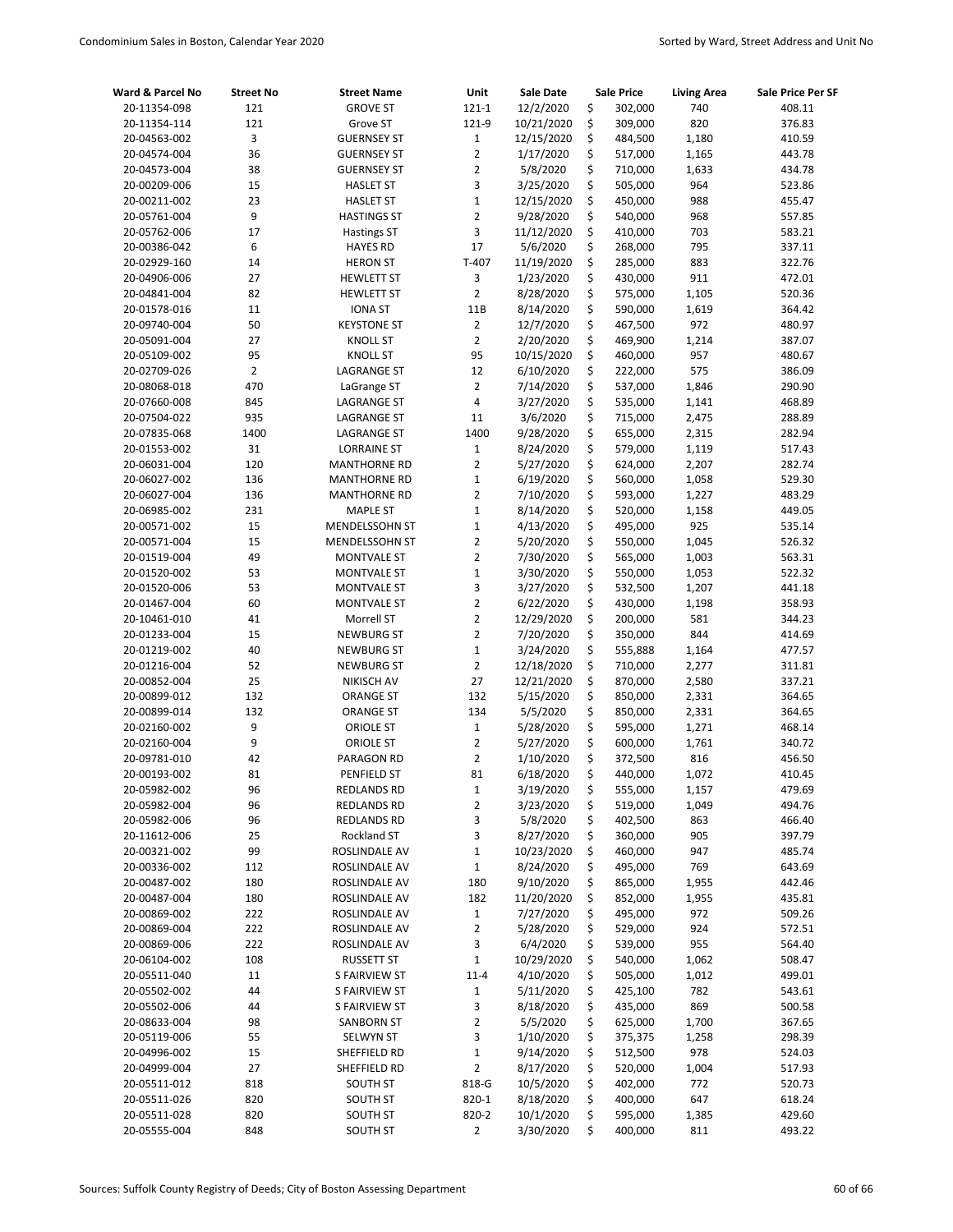| Ward & Parcel No             | <b>Street No</b> | <b>Street Name</b>                     | Unit                          | Sale Date              | <b>Sale Price</b> |                    | <b>Living Area</b> | Sale Price Per SF |
|------------------------------|------------------|----------------------------------------|-------------------------------|------------------------|-------------------|--------------------|--------------------|-------------------|
| 20-11354-098                 | 121              | <b>GROVE ST</b>                        | $121 - 1$                     | 12/2/2020              | \$                | 302,000            | 740                | 408.11            |
| 20-11354-114                 | 121              | Grove ST                               | 121-9                         | 10/21/2020             | \$                | 309,000            | 820                | 376.83            |
| 20-04563-002                 | 3                | <b>GUERNSEY ST</b>                     | $\mathbf{1}$                  | 12/15/2020             | \$                | 484,500            | 1,180              | 410.59            |
| 20-04574-004                 | 36               | <b>GUERNSEY ST</b>                     | $\overline{2}$                | 1/17/2020              | \$                | 517,000            | 1,165              | 443.78            |
| 20-04573-004                 | 38               | <b>GUERNSEY ST</b>                     | $\overline{2}$                | 5/8/2020               | \$                | 710,000            | 1,633              | 434.78            |
| 20-00209-006                 | 15               | <b>HASLET ST</b>                       | 3                             | 3/25/2020              | \$                | 505,000            | 964                | 523.86            |
| 20-00211-002                 | 23               | <b>HASLET ST</b>                       | $\mathbf{1}$                  | 12/15/2020             | \$                | 450,000            | 988                | 455.47            |
| 20-05761-004                 | 9                | <b>HASTINGS ST</b>                     | $\overline{2}$                | 9/28/2020              | \$                | 540,000            | 968                | 557.85            |
| 20-05762-006                 | 17               | <b>Hastings ST</b>                     | 3                             | 11/12/2020             | \$                | 410,000            | 703                | 583.21            |
| 20-00386-042                 | 6                | <b>HAYES RD</b>                        | 17                            | 5/6/2020               | \$                | 268,000            | 795                | 337.11            |
| 20-02929-160                 | 14               | <b>HERON ST</b>                        | $T-407$                       | 11/19/2020             | \$                | 285,000            | 883                | 322.76            |
| 20-04906-006                 | 27               | <b>HEWLETT ST</b>                      | 3                             | 1/23/2020              | \$                | 430,000            | 911                | 472.01            |
| 20-04841-004                 | 82               | <b>HEWLETT ST</b>                      | $\overline{2}$                | 8/28/2020              | \$                | 575,000            | 1,105              | 520.36            |
| 20-01578-016                 | 11               | <b>IONA ST</b>                         | 11B                           | 8/14/2020              | \$                | 590,000            | 1,619              | 364.42            |
| 20-09740-004                 | 50               | <b>KEYSTONE ST</b>                     | $\overline{2}$                | 12/7/2020              | \$                | 467,500            | 972                | 480.97            |
| 20-05091-004                 | 27               | <b>KNOLL ST</b>                        | $\overline{2}$                | 2/20/2020              | \$                | 469,900            | 1,214              | 387.07            |
| 20-05109-002                 | 95               | <b>KNOLL ST</b>                        | 95                            | 10/15/2020             | \$                | 460,000            | 957                | 480.67            |
| 20-02709-026                 | $\overline{2}$   | <b>LAGRANGE ST</b>                     | 12                            | 6/10/2020              | \$                | 222,000            | 575                | 386.09            |
| 20-08068-018                 | 470              | LaGrange ST                            | $\overline{2}$                | 7/14/2020              | \$                | 537,000            | 1,846              | 290.90            |
| 20-07660-008                 | 845              | <b>LAGRANGE ST</b>                     | 4                             | 3/27/2020              | \$                | 535,000            | 1,141              | 468.89            |
| 20-07504-022                 | 935              | LAGRANGE ST                            | 11                            | 3/6/2020               | \$                | 715,000            | 2,475              | 288.89            |
| 20-07835-068                 | 1400             | <b>LAGRANGE ST</b>                     | 1400                          | 9/28/2020              | \$                | 655,000            | 2,315              | 282.94            |
| 20-01553-002                 | 31               | <b>LORRAINE ST</b>                     | $\mathbf{1}$                  | 8/24/2020              | \$                | 579,000            | 1,119              | 517.43            |
| 20-06031-004                 | 120              | <b>MANTHORNE RD</b>                    | $\overline{2}$                | 5/27/2020              | \$<br>\$          | 624,000<br>560,000 | 2,207              | 282.74            |
| 20-06027-002                 | 136              | <b>MANTHORNE RD</b>                    | $\mathbf 1$<br>$\overline{2}$ | 6/19/2020              | \$                |                    | 1,058              | 529.30            |
| 20-06027-004<br>20-06985-002 | 136<br>231       | <b>MANTHORNE RD</b><br><b>MAPLE ST</b> | $\mathbf{1}$                  | 7/10/2020<br>8/14/2020 | \$                | 593,000<br>520,000 | 1,227<br>1,158     | 483.29<br>449.05  |
| 20-00571-002                 | 15               | MENDELSSOHN ST                         | $\mathbf{1}$                  | 4/13/2020              | \$                | 495,000            | 925                | 535.14            |
| 20-00571-004                 | 15               | MENDELSSOHN ST                         | $\overline{2}$                | 5/20/2020              | \$                | 550,000            | 1,045              | 526.32            |
| 20-01519-004                 | 49               | <b>MONTVALE ST</b>                     | $\overline{2}$                | 7/30/2020              | \$                | 565,000            | 1,003              | 563.31            |
| 20-01520-002                 | 53               | <b>MONTVALE ST</b>                     | $\mathbf{1}$                  | 3/30/2020              | \$                | 550,000            | 1,053              | 522.32            |
| 20-01520-006                 | 53               | <b>MONTVALE ST</b>                     | 3                             | 3/27/2020              | \$                | 532,500            | 1,207              | 441.18            |
| 20-01467-004                 | 60               | <b>MONTVALE ST</b>                     | $\overline{2}$                | 6/22/2020              | \$                | 430,000            | 1,198              | 358.93            |
| 20-10461-010                 | 41               | Morrell ST                             | $\overline{2}$                | 12/29/2020             | \$                | 200,000            | 581                | 344.23            |
| 20-01233-004                 | 15               | <b>NEWBURG ST</b>                      | $\overline{2}$                | 7/20/2020              | \$                | 350,000            | 844                | 414.69            |
| 20-01219-002                 | 40               | <b>NEWBURG ST</b>                      | $\mathbf{1}$                  | 3/24/2020              | \$                | 555,888            | 1,164              | 477.57            |
| 20-01216-004                 | 52               | <b>NEWBURG ST</b>                      | $\overline{2}$                | 12/18/2020             | \$                | 710,000            | 2,277              | 311.81            |
| 20-00852-004                 | 25               | NIKISCH AV                             | 27                            | 12/21/2020             | \$                | 870,000            | 2,580              | 337.21            |
| 20-00899-012                 | 132              | <b>ORANGE ST</b>                       | 132                           | 5/15/2020              | \$                | 850,000            | 2,331              | 364.65            |
| 20-00899-014                 | 132              | <b>ORANGE ST</b>                       | 134                           | 5/5/2020               | \$                | 850,000            | 2,331              | 364.65            |
| 20-02160-002                 | 9                | ORIOLE ST                              | $\mathbf{1}$                  | 5/28/2020              | \$                | 595,000            | 1,271              | 468.14            |
| 20-02160-004                 | 9                | <b>ORIOLE ST</b>                       | $\overline{2}$                | 5/27/2020              | \$                | 600,000            | 1,761              | 340.72            |
| 20-09781-010                 | 42               | PARAGON RD                             | $\overline{2}$                | 1/10/2020              | \$                | 372,500            | 816                | 456.50            |
| 20-00193-002                 | 81               | PENFIELD ST                            | 81                            | 6/18/2020              | \$                | 440,000            | 1,072              | 410.45            |
| 20-05982-002                 | 96               | REDLANDS RD                            | $\mathbf 1$                   | 3/19/2020              | \$                | 555,000            | 1,157              | 479.69            |
| 20-05982-004                 | 96               | REDLANDS RD                            | 2                             | 3/23/2020              | \$                | 519,000            | 1,049              | 494.76            |
| 20-05982-006                 | 96               | REDLANDS RD                            | 3                             | 5/8/2020               | \$                | 402,500            | 863                | 466.40            |
| 20-11612-006                 | 25               | Rockland ST                            | 3                             | 8/27/2020              | \$                | 360,000            | 905                | 397.79            |
| 20-00321-002                 | 99               | ROSLINDALE AV                          | 1                             | 10/23/2020             | \$                | 460,000            | 947                | 485.74            |
| 20-00336-002                 | 112              | ROSLINDALE AV                          | $\mathbf 1$                   | 8/24/2020              | \$                | 495,000            | 769                | 643.69            |
| 20-00487-002                 | 180              | ROSLINDALE AV                          | 180                           | 9/10/2020              | \$                | 865,000            | 1,955              | 442.46            |
| 20-00487-004                 | 180              | ROSLINDALE AV                          | 182                           | 11/20/2020             | \$                | 852,000            | 1,955              | 435.81            |
| 20-00869-002                 | 222              | ROSLINDALE AV                          | $\mathbf{1}$                  | 7/27/2020              | \$                | 495,000            | 972                | 509.26            |
| 20-00869-004                 | 222              | ROSLINDALE AV                          | $\overline{2}$                | 5/28/2020              | \$                | 529,000            | 924                | 572.51            |
| 20-00869-006                 | 222              | ROSLINDALE AV                          | 3                             | 6/4/2020               | \$                | 539,000            | 955                | 564.40            |
| 20-06104-002                 | 108              | RUSSETT ST                             | $\mathbf 1$                   | 10/29/2020             | \$                | 540,000            | 1,062              | 508.47            |
| 20-05511-040                 | 11               | <b>S FAIRVIEW ST</b>                   | $11 - 4$                      | 4/10/2020              | \$                | 505,000            | 1,012              | 499.01            |
| 20-05502-002                 | 44               | S FAIRVIEW ST                          | $\mathbf 1$                   | 5/11/2020              | \$                | 425,100            | 782                | 543.61            |
| 20-05502-006                 | 44               | S FAIRVIEW ST                          | 3                             | 8/18/2020              | \$                | 435,000            | 869                | 500.58            |
| 20-08633-004                 | 98               | <b>SANBORN ST</b>                      | $\overline{2}$                | 5/5/2020               | \$                | 625,000            | 1,700              | 367.65            |
| 20-05119-006                 | 55               | <b>SELWYN ST</b>                       | 3                             | 1/10/2020              | \$                | 375,375            | 1,258              | 298.39            |
| 20-04996-002                 | 15               | SHEFFIELD RD                           | $\mathbf 1$                   | 9/14/2020              | \$                | 512,500            | 978                | 524.03            |
| 20-04999-004                 | 27               | SHEFFIELD RD                           | 2                             | 8/17/2020              | \$                | 520,000            | 1,004              | 517.93            |
| 20-05511-012                 | 818              | SOUTH ST                               | 818-G                         | 10/5/2020              | \$                | 402,000            | 772                | 520.73            |
| 20-05511-026                 | 820              | SOUTH ST                               | 820-1                         | 8/18/2020              | \$                | 400,000            | 647                | 618.24            |
| 20-05511-028                 | 820              | SOUTH ST                               | 820-2                         | 10/1/2020              | \$                | 595,000            | 1,385              | 429.60            |
| 20-05555-004                 | 848              | SOUTH ST                               | 2                             | 3/30/2020              | \$                | 400,000            | 811                | 493.22            |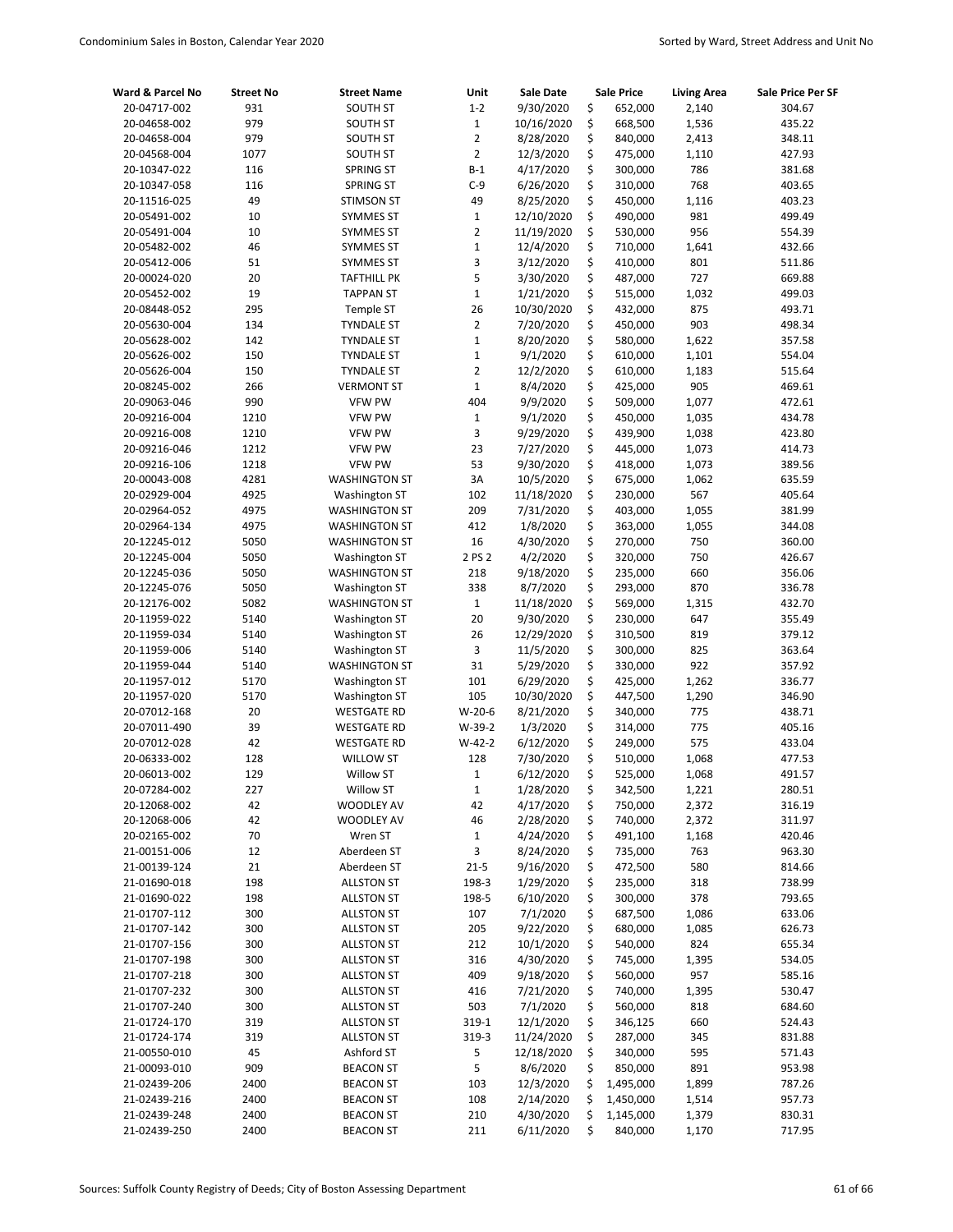| Ward & Parcel No | <b>Street No</b> | <b>Street Name</b>   | Unit           | Sale Date  | <b>Sale Price</b> | <b>Living Area</b> | Sale Price Per SF |
|------------------|------------------|----------------------|----------------|------------|-------------------|--------------------|-------------------|
| 20-04717-002     | 931              | <b>SOUTH ST</b>      | $1 - 2$        | 9/30/2020  | \$<br>652,000     | 2,140              | 304.67            |
| 20-04658-002     | 979              | <b>SOUTH ST</b>      | $\mathbf{1}$   | 10/16/2020 | \$<br>668,500     | 1,536              | 435.22            |
| 20-04658-004     | 979              | <b>SOUTH ST</b>      | $\overline{2}$ | 8/28/2020  | \$<br>840,000     | 2,413              | 348.11            |
| 20-04568-004     | 1077             | <b>SOUTH ST</b>      | $\overline{2}$ | 12/3/2020  | \$<br>475,000     | 1,110              | 427.93            |
| 20-10347-022     | 116              | SPRING ST            | $B-1$          | 4/17/2020  | \$<br>300,000     | 786                | 381.68            |
| 20-10347-058     | 116              | <b>SPRING ST</b>     | C-9            | 6/26/2020  | \$<br>310,000     | 768                | 403.65            |
| 20-11516-025     | 49               | <b>STIMSON ST</b>    | 49             | 8/25/2020  | \$<br>450,000     | 1,116              | 403.23            |
| 20-05491-002     | 10               | <b>SYMMES ST</b>     | $\mathbf{1}$   | 12/10/2020 | \$<br>490,000     | 981                | 499.49            |
| 20-05491-004     | 10               | <b>SYMMES ST</b>     | $\overline{2}$ | 11/19/2020 | \$<br>530,000     | 956                | 554.39            |
| 20-05482-002     | 46               | <b>SYMMES ST</b>     | $\mathbf 1$    | 12/4/2020  | \$<br>710,000     | 1,641              | 432.66            |
| 20-05412-006     | 51               | <b>SYMMES ST</b>     | 3              | 3/12/2020  | \$<br>410,000     | 801                | 511.86            |
| 20-00024-020     | 20               | TAFTHILL PK          | 5              | 3/30/2020  | \$<br>487,000     | 727                | 669.88            |
| 20-05452-002     | 19               | <b>TAPPAN ST</b>     | $\mathbf 1$    | 1/21/2020  | \$<br>515,000     | 1,032              | 499.03            |
| 20-08448-052     | 295              | Temple ST            | 26             | 10/30/2020 | \$<br>432,000     | 875                | 493.71            |
| 20-05630-004     | 134              | <b>TYNDALE ST</b>    | $\overline{2}$ | 7/20/2020  | \$<br>450,000     | 903                | 498.34            |
| 20-05628-002     | 142              | <b>TYNDALE ST</b>    | $\mathbf 1$    | 8/20/2020  | \$<br>580,000     | 1,622              | 357.58            |
| 20-05626-002     | 150              | <b>TYNDALE ST</b>    | $\mathbf 1$    | 9/1/2020   | \$<br>610,000     | 1,101              | 554.04            |
| 20-05626-004     | 150              | <b>TYNDALE ST</b>    | $\overline{2}$ | 12/2/2020  | \$<br>610,000     | 1,183              | 515.64            |
| 20-08245-002     | 266              | <b>VERMONT ST</b>    | $\mathbf{1}$   | 8/4/2020   | \$<br>425,000     | 905                | 469.61            |
| 20-09063-046     | 990              | <b>VFW PW</b>        | 404            | 9/9/2020   | \$<br>509,000     | 1,077              | 472.61            |
| 20-09216-004     | 1210             | <b>VFW PW</b>        | $\mathbf{1}$   | 9/1/2020   | \$<br>450,000     | 1,035              | 434.78            |
| 20-09216-008     | 1210             | <b>VFW PW</b>        | 3              | 9/29/2020  | \$<br>439,900     | 1,038              | 423.80            |
| 20-09216-046     | 1212             | <b>VFW PW</b>        | 23             | 7/27/2020  | \$<br>445,000     | 1,073              | 414.73            |
| 20-09216-106     | 1218             | <b>VFW PW</b>        | 53             | 9/30/2020  | \$<br>418,000     | 1,073              | 389.56            |
| 20-00043-008     | 4281             | <b>WASHINGTON ST</b> | 3A             | 10/5/2020  | \$<br>675,000     | 1,062              | 635.59            |
| 20-02929-004     | 4925             | Washington ST        | 102            | 11/18/2020 | \$<br>230,000     | 567                | 405.64            |
| 20-02964-052     | 4975             | <b>WASHINGTON ST</b> | 209            | 7/31/2020  | \$<br>403,000     | 1,055              | 381.99            |
| 20-02964-134     | 4975             | <b>WASHINGTON ST</b> | 412            | 1/8/2020   | \$<br>363,000     | 1,055              | 344.08            |
| 20-12245-012     | 5050             | <b>WASHINGTON ST</b> | 16             | 4/30/2020  | \$<br>270,000     | 750                | 360.00            |
| 20-12245-004     | 5050             | <b>Washington ST</b> | 2 PS 2         | 4/2/2020   | \$<br>320,000     | 750                | 426.67            |
| 20-12245-036     | 5050             | <b>WASHINGTON ST</b> | 218            | 9/18/2020  | \$<br>235,000     | 660                | 356.06            |
| 20-12245-076     | 5050             | <b>Washington ST</b> | 338            | 8/7/2020   | \$<br>293,000     | 870                | 336.78            |
| 20-12176-002     | 5082             | <b>WASHINGTON ST</b> | $\mathbf 1$    | 11/18/2020 | \$<br>569,000     | 1,315              | 432.70            |
| 20-11959-022     | 5140             | <b>Washington ST</b> | 20             | 9/30/2020  | \$<br>230,000     | 647                | 355.49            |
| 20-11959-034     | 5140             | <b>Washington ST</b> | 26             | 12/29/2020 | \$<br>310,500     | 819                | 379.12            |
| 20-11959-006     | 5140             | <b>Washington ST</b> | 3              | 11/5/2020  | \$<br>300,000     | 825                | 363.64            |
| 20-11959-044     | 5140             | <b>WASHINGTON ST</b> | 31             | 5/29/2020  | \$<br>330,000     | 922                | 357.92            |
| 20-11957-012     | 5170             | <b>Washington ST</b> | 101            | 6/29/2020  | \$<br>425,000     | 1,262              | 336.77            |
| 20-11957-020     | 5170             | <b>Washington ST</b> | 105            | 10/30/2020 | \$<br>447,500     | 1,290              | 346.90            |
| 20-07012-168     | 20               | <b>WESTGATE RD</b>   | $W-20-6$       | 8/21/2020  | \$<br>340,000     | 775                | 438.71            |
| 20-07011-490     | 39               | <b>WESTGATE RD</b>   | W-39-2         | 1/3/2020   | \$<br>314,000     | 775                | 405.16            |
| 20-07012-028     | 42               | <b>WESTGATE RD</b>   | $W-42-2$       | 6/12/2020  | \$<br>249,000     | 575                | 433.04            |
| 20-06333-002     | 128              | <b>WILLOW ST</b>     | 128            | 7/30/2020  | \$<br>510,000     | 1,068              | 477.53            |
| 20-06013-002     | 129              | Willow ST            | $\mathbf 1$    | 6/12/2020  | \$<br>525,000     | 1,068              | 491.57            |
| 20-07284-002     | 227              | <b>Willow ST</b>     | $\mathbf{1}$   | 1/28/2020  | \$<br>342,500     | 1,221              | 280.51            |
| 20-12068-002     | 42               | WOODLEY AV           | 42             | 4/17/2020  | \$<br>750,000     | 2,372              | 316.19            |
| 20-12068-006     | 42               | WOODLEY AV           | 46             | 2/28/2020  | \$<br>740,000     | 2,372              | 311.97            |
| 20-02165-002     | 70               | Wren ST              | $\mathbf{1}$   | 4/24/2020  | \$<br>491,100     | 1,168              | 420.46            |
| 21-00151-006     | 12               | Aberdeen ST          | 3              | 8/24/2020  | \$<br>735,000     | 763                | 963.30            |
| 21-00139-124     | 21               | Aberdeen ST          | $21 - 5$       | 9/16/2020  | \$<br>472,500     | 580                | 814.66            |
| 21-01690-018     | 198              | <b>ALLSTON ST</b>    | 198-3          | 1/29/2020  | \$<br>235,000     | 318                | 738.99            |
| 21-01690-022     | 198              | <b>ALLSTON ST</b>    | 198-5          | 6/10/2020  | \$<br>300,000     | 378                | 793.65            |
| 21-01707-112     | 300              | <b>ALLSTON ST</b>    | 107            | 7/1/2020   | \$<br>687,500     | 1,086              | 633.06            |
| 21-01707-142     | 300              | <b>ALLSTON ST</b>    | 205            | 9/22/2020  | \$<br>680,000     | 1,085              | 626.73            |
| 21-01707-156     | 300              | <b>ALLSTON ST</b>    | 212            | 10/1/2020  | \$<br>540,000     | 824                | 655.34            |
| 21-01707-198     | 300              | <b>ALLSTON ST</b>    | 316            | 4/30/2020  | \$<br>745,000     | 1,395              | 534.05            |
| 21-01707-218     | 300              | <b>ALLSTON ST</b>    | 409            | 9/18/2020  | \$<br>560,000     | 957                | 585.16            |
| 21-01707-232     | 300              | <b>ALLSTON ST</b>    | 416            | 7/21/2020  | \$<br>740,000     | 1,395              | 530.47            |
| 21-01707-240     | 300              | <b>ALLSTON ST</b>    | 503            | 7/1/2020   | \$<br>560,000     | 818                | 684.60            |
| 21-01724-170     | 319              | <b>ALLSTON ST</b>    | 319-1          | 12/1/2020  | \$<br>346,125     | 660                | 524.43            |
| 21-01724-174     | 319              | <b>ALLSTON ST</b>    | 319-3          | 11/24/2020 | \$<br>287,000     | 345                | 831.88            |
| 21-00550-010     | 45               | Ashford ST           | 5              | 12/18/2020 | \$<br>340,000     | 595                | 571.43            |
| 21-00093-010     | 909              | <b>BEACON ST</b>     | 5              | 8/6/2020   | \$<br>850,000     | 891                | 953.98            |
| 21-02439-206     | 2400             | <b>BEACON ST</b>     | 103            | 12/3/2020  | \$<br>1,495,000   | 1,899              | 787.26            |
| 21-02439-216     | 2400             | <b>BEACON ST</b>     | 108            | 2/14/2020  | \$<br>1,450,000   | 1,514              | 957.73            |
| 21-02439-248     | 2400             | <b>BEACON ST</b>     | 210            | 4/30/2020  | \$<br>1,145,000   | 1,379              | 830.31            |
| 21-02439-250     | 2400             | <b>BEACON ST</b>     | 211            | 6/11/2020  | \$<br>840,000     | 1,170              | 717.95            |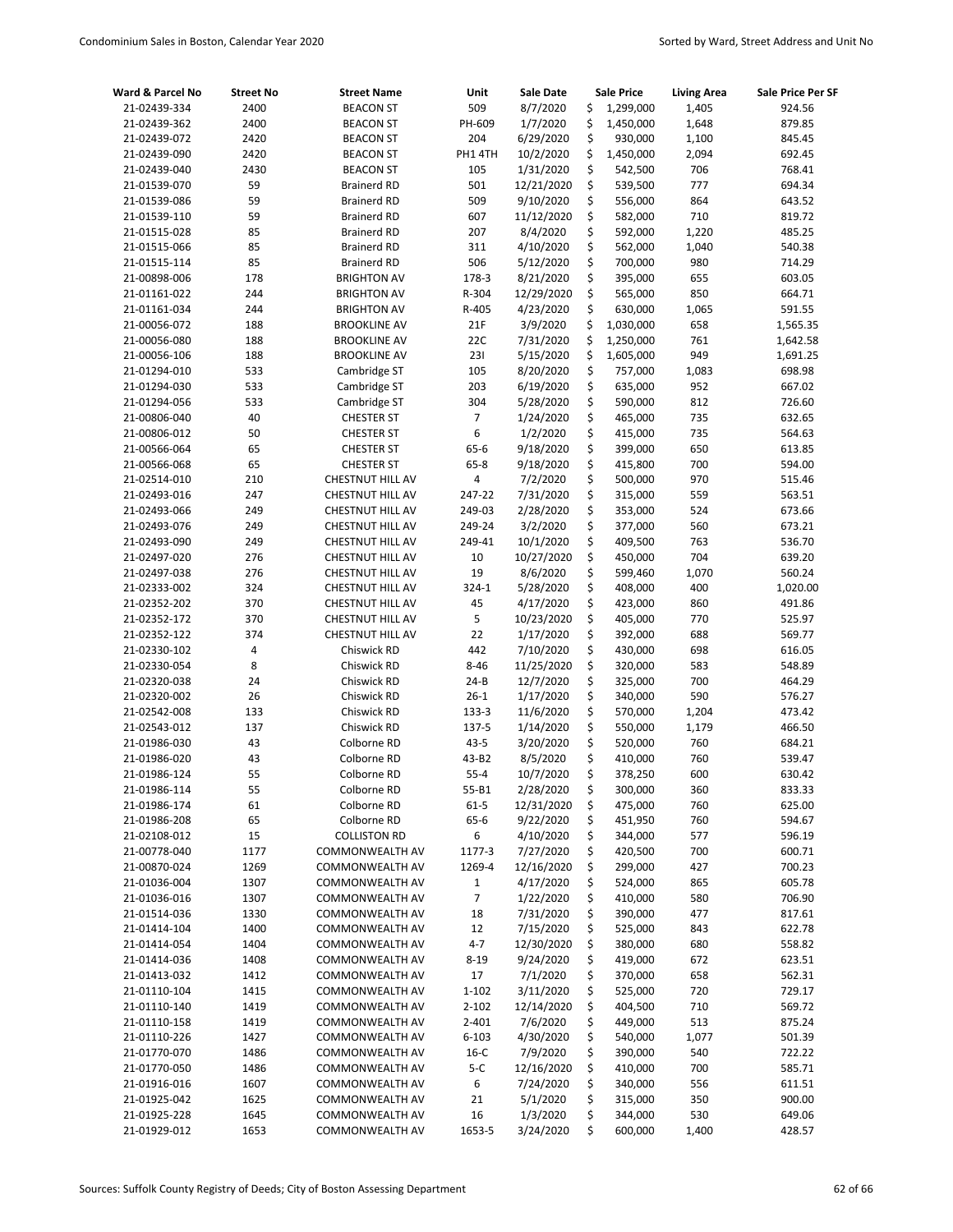| Ward & Parcel No             | <b>Street No</b> | <b>Street Name</b>                         | Unit              | <b>Sale Date</b>        |          | <b>Sale Price</b>      | <b>Living Area</b> | Sale Price Per SF    |
|------------------------------|------------------|--------------------------------------------|-------------------|-------------------------|----------|------------------------|--------------------|----------------------|
| 21-02439-334                 | 2400             | <b>BEACON ST</b>                           | 509               | 8/7/2020                | \$       | 1,299,000              | 1,405              | 924.56               |
| 21-02439-362                 | 2400             | <b>BEACON ST</b>                           | PH-609            | 1/7/2020                | \$       | 1,450,000              | 1,648              | 879.85               |
| 21-02439-072                 | 2420             | <b>BEACON ST</b>                           | 204               | 6/29/2020               | \$       | 930,000                | 1,100              | 845.45               |
| 21-02439-090                 | 2420             | <b>BEACON ST</b>                           | PH1 4TH           | 10/2/2020               | \$       | 1,450,000              | 2,094              | 692.45               |
| 21-02439-040                 | 2430             | <b>BEACON ST</b>                           | 105               | 1/31/2020               | \$       | 542,500                | 706                | 768.41               |
| 21-01539-070                 | 59               | <b>Brainerd RD</b>                         | 501               | 12/21/2020              | \$       | 539,500                | 777                | 694.34               |
| 21-01539-086                 | 59               | <b>Brainerd RD</b>                         | 509               | 9/10/2020               | \$       | 556,000                | 864                | 643.52               |
| 21-01539-110                 | 59               | <b>Brainerd RD</b>                         | 607               | 11/12/2020              | \$       | 582,000                | 710                | 819.72               |
| 21-01515-028                 | 85               | <b>Brainerd RD</b>                         | 207               | 8/4/2020                | \$       | 592,000                | 1,220              | 485.25               |
| 21-01515-066                 | 85               | <b>Brainerd RD</b>                         | 311               | 4/10/2020               | \$       | 562,000                | 1,040              | 540.38               |
| 21-01515-114                 | 85               | <b>Brainerd RD</b>                         | 506               | 5/12/2020               | \$       | 700,000                | 980                | 714.29               |
| 21-00898-006                 | 178              | <b>BRIGHTON AV</b>                         | 178-3             | 8/21/2020               | \$       | 395,000                | 655                | 603.05               |
| 21-01161-022                 | 244              | <b>BRIGHTON AV</b>                         | R-304             | 12/29/2020              | \$<br>\$ | 565,000                | 850                | 664.71               |
| 21-01161-034                 | 244              | <b>BRIGHTON AV</b>                         | R-405             | 4/23/2020               |          | 630,000                | 1,065              | 591.55               |
| 21-00056-072                 | 188              | <b>BROOKLINE AV</b>                        | 21F               | 3/9/2020                | \$<br>\$ | 1,030,000              | 658                | 1,565.35             |
| 21-00056-080<br>21-00056-106 | 188<br>188       | <b>BROOKLINE AV</b><br><b>BROOKLINE AV</b> | 22C<br>231        | 7/31/2020<br>5/15/2020  | \$       | 1,250,000<br>1,605,000 | 761<br>949         | 1,642.58<br>1,691.25 |
| 21-01294-010                 | 533              | Cambridge ST                               | 105               | 8/20/2020               | \$       | 757,000                | 1,083              | 698.98               |
| 21-01294-030                 | 533              | Cambridge ST                               | 203               | 6/19/2020               | \$       | 635,000                | 952                | 667.02               |
| 21-01294-056                 | 533              | Cambridge ST                               | 304               | 5/28/2020               | \$       | 590,000                | 812                | 726.60               |
| 21-00806-040                 | 40               | <b>CHESTER ST</b>                          | 7                 | 1/24/2020               | \$       | 465,000                | 735                | 632.65               |
| 21-00806-012                 | 50               | <b>CHESTER ST</b>                          | 6                 | 1/2/2020                | \$       | 415,000                | 735                | 564.63               |
| 21-00566-064                 | 65               | <b>CHESTER ST</b>                          | 65-6              | 9/18/2020               | \$       | 399,000                | 650                | 613.85               |
| 21-00566-068                 | 65               | <b>CHESTER ST</b>                          | $65 - 8$          | 9/18/2020               | \$       | 415,800                | 700                | 594.00               |
| 21-02514-010                 | 210              | CHESTNUT HILL AV                           | 4                 | 7/2/2020                | \$       | 500,000                | 970                | 515.46               |
| 21-02493-016                 | 247              | CHESTNUT HILL AV                           | 247-22            | 7/31/2020               | \$       | 315,000                | 559                | 563.51               |
| 21-02493-066                 | 249              | CHESTNUT HILL AV                           | 249-03            | 2/28/2020               | \$       | 353,000                | 524                | 673.66               |
| 21-02493-076                 | 249              | CHESTNUT HILL AV                           | 249-24            | 3/2/2020                | \$       | 377,000                | 560                | 673.21               |
| 21-02493-090                 | 249              | CHESTNUT HILL AV                           | 249-41            | 10/1/2020               | \$       | 409,500                | 763                | 536.70               |
| 21-02497-020                 | 276              | CHESTNUT HILL AV                           | 10                | 10/27/2020              | \$       | 450,000                | 704                | 639.20               |
| 21-02497-038                 | 276              | CHESTNUT HILL AV                           | 19                | 8/6/2020                | \$       | 599,460                | 1,070              | 560.24               |
| 21-02333-002                 | 324              | CHESTNUT HILL AV                           | 324-1             | 5/28/2020               | \$       | 408,000                | 400                | 1,020.00             |
| 21-02352-202                 | 370              | CHESTNUT HILL AV                           | 45                | 4/17/2020               | \$       | 423,000                | 860                | 491.86               |
| 21-02352-172                 | 370              | CHESTNUT HILL AV                           | 5                 | 10/23/2020              | \$       | 405,000                | 770                | 525.97               |
| 21-02352-122                 | 374              | CHESTNUT HILL AV                           | 22                | 1/17/2020               | \$       | 392,000                | 688                | 569.77               |
| 21-02330-102                 | 4                | Chiswick RD                                | 442               | 7/10/2020               | \$       | 430,000                | 698                | 616.05               |
| 21-02330-054                 | 8                | Chiswick RD                                | $8 - 46$          | 11/25/2020              | \$       | 320,000                | 583                | 548.89               |
| 21-02320-038                 | 24               | Chiswick RD                                | $24 - B$          | 12/7/2020               | \$       | 325,000                | 700                | 464.29               |
| 21-02320-002                 | 26               | Chiswick RD                                | $26-1$            | 1/17/2020               | \$       | 340,000                | 590                | 576.27               |
| 21-02542-008                 | 133              | Chiswick RD                                | 133-3             | 11/6/2020               | \$       | 570,000                | 1,204              | 473.42               |
| 21-02543-012                 | 137              | Chiswick RD                                | 137-5             | 1/14/2020               | \$       | 550,000                | 1,179              | 466.50               |
| 21-01986-030                 | 43               | Colborne RD                                | $43 - 5$          | 3/20/2020               | \$       | 520,000                | 760                | 684.21               |
| 21-01986-020                 | 43               | Colborne RD                                | 43-B2             | 8/5/2020                | \$       | 410,000                | 760                | 539.47               |
| 21-01986-124                 | 55               | Colborne RD                                | $55 - 4$          | 10/7/2020               | \$       | 378,250                | 600                | 630.42               |
| 21-01986-114                 | 55               | Colborne RD                                | 55-B1             | 2/28/2020               | \$       | 300,000                | 360                | 833.33               |
| 21-01986-174                 | 61               | Colborne RD                                | $61 - 5$          | 12/31/2020              | \$       | 475,000                | 760                | 625.00               |
| 21-01986-208                 | 65               | Colborne RD                                | 65-6              | 9/22/2020               | \$       | 451,950                | 760                | 594.67               |
| 21-02108-012                 | 15               | <b>COLLISTON RD</b>                        | 6                 | 4/10/2020               | \$       | 344,000                | 577                | 596.19               |
| 21-00778-040                 | 1177             | COMMONWEALTH AV                            | 1177-3            | 7/27/2020               | \$       | 420,500                | 700                | 600.71               |
| 21-00870-024                 | 1269<br>1307     | COMMONWEALTH AV                            | 1269-4            | 12/16/2020<br>4/17/2020 | \$<br>\$ | 299,000<br>524,000     | 427<br>865         | 700.23               |
| 21-01036-004<br>21-01036-016 | 1307             | COMMONWEALTH AV<br>COMMONWEALTH AV         | $\mathbf{1}$<br>7 | 1/22/2020               | \$       | 410,000                | 580                | 605.78<br>706.90     |
| 21-01514-036                 | 1330             | COMMONWEALTH AV                            | 18                | 7/31/2020               | \$       | 390,000                | 477                | 817.61               |
| 21-01414-104                 | 1400             | COMMONWEALTH AV                            | 12                | 7/15/2020               | \$       | 525,000                | 843                | 622.78               |
| 21-01414-054                 | 1404             | COMMONWEALTH AV                            | $4 - 7$           | 12/30/2020              | \$       | 380,000                | 680                | 558.82               |
| 21-01414-036                 | 1408             | COMMONWEALTH AV                            | $8 - 19$          | 9/24/2020               | \$       | 419,000                | 672                | 623.51               |
| 21-01413-032                 | 1412             | COMMONWEALTH AV                            | 17                | 7/1/2020                | \$       | 370,000                | 658                | 562.31               |
| 21-01110-104                 | 1415             | COMMONWEALTH AV                            | 1-102             | 3/11/2020               | \$       | 525,000                | 720                | 729.17               |
| 21-01110-140                 | 1419             | COMMONWEALTH AV                            | $2 - 102$         | 12/14/2020              | \$       | 404,500                | 710                | 569.72               |
| 21-01110-158                 | 1419             | COMMONWEALTH AV                            | $2 - 401$         | 7/6/2020                | \$       | 449,000                | 513                | 875.24               |
| 21-01110-226                 | 1427             | COMMONWEALTH AV                            | 6-103             | 4/30/2020               | \$       | 540,000                | 1,077              | 501.39               |
| 21-01770-070                 | 1486             | COMMONWEALTH AV                            | $16-C$            | 7/9/2020                | \$       | 390,000                | 540                | 722.22               |
| 21-01770-050                 | 1486             | COMMONWEALTH AV                            | $5-C$             | 12/16/2020              | \$       | 410,000                | 700                | 585.71               |
| 21-01916-016                 | 1607             | COMMONWEALTH AV                            | 6                 | 7/24/2020               | \$       | 340,000                | 556                | 611.51               |
| 21-01925-042                 | 1625             | COMMONWEALTH AV                            | 21                | 5/1/2020                | \$       | 315,000                | 350                | 900.00               |
| 21-01925-228                 | 1645             | COMMONWEALTH AV                            | 16                | 1/3/2020                | \$       | 344,000                | 530                | 649.06               |
| 21-01929-012                 | 1653             | COMMONWEALTH AV                            | 1653-5            | 3/24/2020               | \$       | 600,000                | 1,400              | 428.57               |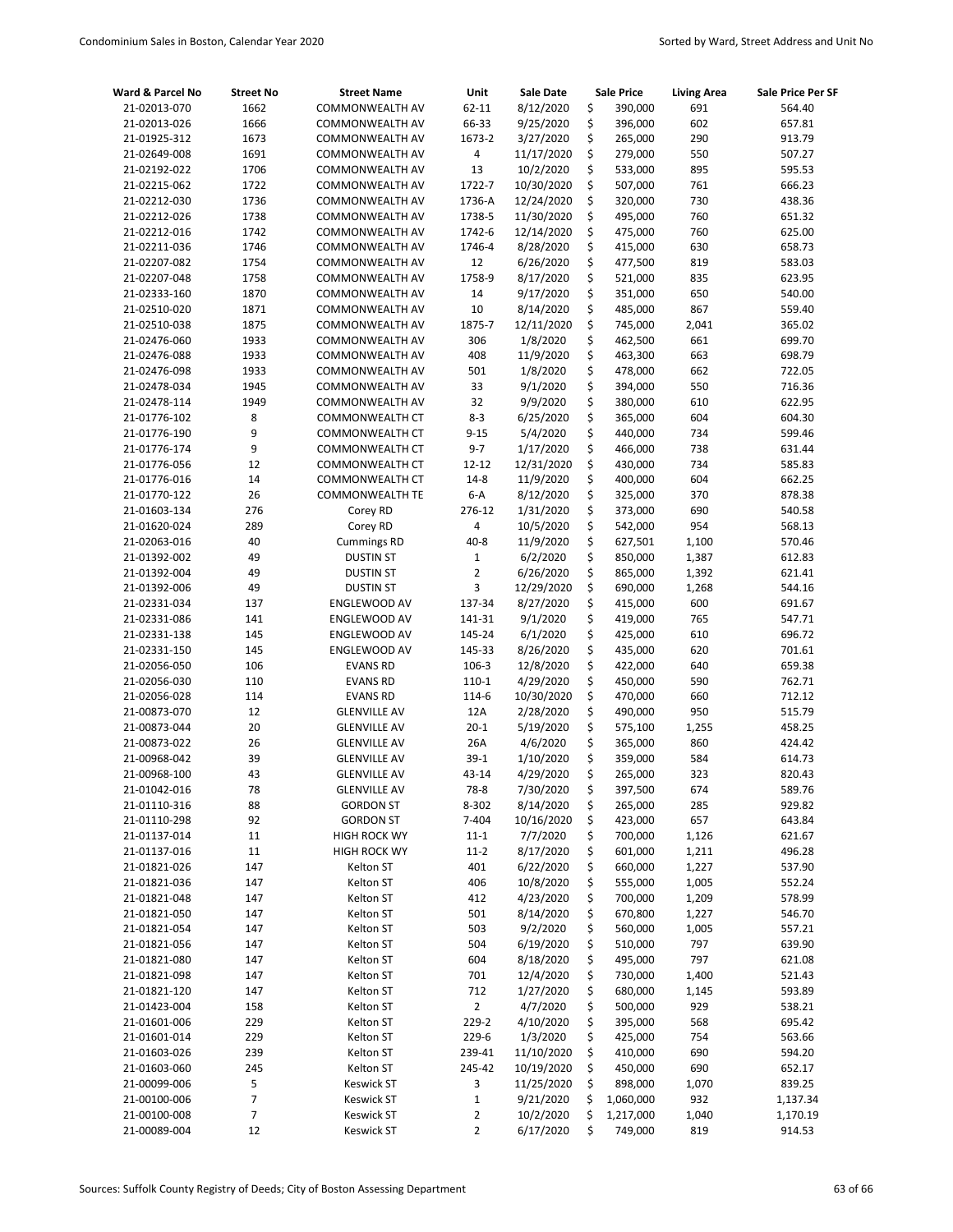| Ward & Parcel No             | <b>Street No</b> | <b>Street Name</b>                         | Unit            | Sale Date              |          | <b>Sale Price</b>  | <b>Living Area</b> | Sale Price Per SF |
|------------------------------|------------------|--------------------------------------------|-----------------|------------------------|----------|--------------------|--------------------|-------------------|
| 21-02013-070                 | 1662             | COMMONWEALTH AV                            | 62-11           | 8/12/2020              | \$       | 390,000            | 691                | 564.40            |
| 21-02013-026                 | 1666             | COMMONWEALTH AV                            | 66-33           | 9/25/2020              | \$       | 396,000            | 602                | 657.81            |
| 21-01925-312                 | 1673             | COMMONWEALTH AV                            | 1673-2          | 3/27/2020              | \$       | 265,000            | 290                | 913.79            |
| 21-02649-008                 | 1691             | COMMONWEALTH AV                            | 4               | 11/17/2020             | \$       | 279,000            | 550                | 507.27            |
| 21-02192-022                 | 1706             | COMMONWEALTH AV                            | 13              | 10/2/2020              | \$       | 533,000            | 895                | 595.53            |
| 21-02215-062                 | 1722             | COMMONWEALTH AV                            | 1722-7          | 10/30/2020             | \$       | 507,000            | 761                | 666.23            |
| 21-02212-030                 | 1736             | COMMONWEALTH AV                            | 1736-A          | 12/24/2020             | \$       | 320,000            | 730                | 438.36            |
| 21-02212-026                 | 1738             | COMMONWEALTH AV                            | 1738-5          | 11/30/2020             | \$       | 495,000            | 760                | 651.32            |
| 21-02212-016                 | 1742             | COMMONWEALTH AV                            | 1742-6          | 12/14/2020             | \$       | 475,000            | 760                | 625.00            |
| 21-02211-036                 | 1746             | COMMONWEALTH AV                            | 1746-4          | 8/28/2020              | \$       | 415,000            | 630                | 658.73            |
| 21-02207-082                 | 1754             | COMMONWEALTH AV                            | 12              | 6/26/2020              | \$       | 477,500            | 819                | 583.03            |
| 21-02207-048                 | 1758             | COMMONWEALTH AV                            | 1758-9          | 8/17/2020              | \$       | 521,000            | 835                | 623.95            |
| 21-02333-160                 | 1870             | COMMONWEALTH AV                            | 14              | 9/17/2020              | \$       | 351,000            | 650                | 540.00            |
| 21-02510-020                 | 1871             | COMMONWEALTH AV                            | 10              | 8/14/2020              | \$       | 485,000            | 867                | 559.40            |
| 21-02510-038                 | 1875             | COMMONWEALTH AV                            | 1875-7          | 12/11/2020             | \$       | 745,000            | 2,041              | 365.02            |
| 21-02476-060                 | 1933             | COMMONWEALTH AV                            | 306             | 1/8/2020               | \$       | 462,500            | 661                | 699.70            |
| 21-02476-088                 | 1933             | COMMONWEALTH AV                            | 408             | 11/9/2020              | \$       | 463,300            | 663                | 698.79            |
| 21-02476-098                 | 1933             | COMMONWEALTH AV                            | 501             | 1/8/2020               | \$       | 478,000            | 662                | 722.05            |
| 21-02478-034                 | 1945             | COMMONWEALTH AV                            | 33              | 9/1/2020               | \$       | 394,000            | 550                | 716.36            |
| 21-02478-114                 | 1949             | COMMONWEALTH AV                            | 32              | 9/9/2020               | \$       | 380,000            | 610                | 622.95            |
| 21-01776-102                 | 8                | COMMONWEALTH CT                            | $8 - 3$         | 6/25/2020              | \$       | 365,000            | 604                | 604.30            |
| 21-01776-190                 | 9                | COMMONWEALTH CT                            | $9 - 15$        | 5/4/2020               | \$       | 440,000            | 734                | 599.46            |
| 21-01776-174                 | 9                | COMMONWEALTH CT                            | $9 - 7$         | 1/17/2020              | \$       | 466,000            | 738                | 631.44            |
| 21-01776-056                 | 12               | <b>COMMONWEALTH CT</b>                     | $12 - 12$       | 12/31/2020             | \$       | 430,000            | 734                | 585.83            |
| 21-01776-016                 | 14               | COMMONWEALTH CT                            | $14 - 8$        | 11/9/2020              | \$       | 400,000            | 604                | 662.25            |
| 21-01770-122                 | 26               | <b>COMMONWEALTH TE</b>                     | $6-A$           | 8/12/2020              | \$       | 325,000            | 370                | 878.38            |
| 21-01603-134                 | 276              | Corey RD                                   | 276-12          | 1/31/2020              | \$       | 373,000            | 690                | 540.58            |
| 21-01620-024                 | 289              | Corey RD                                   | 4               | 10/5/2020              | \$       | 542,000            | 954                | 568.13            |
| 21-02063-016                 | 40               | <b>Cummings RD</b>                         | $40 - 8$        | 11/9/2020              | \$       | 627,501            | 1,100              | 570.46            |
| 21-01392-002                 | 49               | <b>DUSTIN ST</b>                           | $\mathbf 1$     | 6/2/2020               | \$       | 850,000            | 1,387              | 612.83            |
| 21-01392-004                 | 49               | <b>DUSTIN ST</b>                           | $\overline{2}$  | 6/26/2020              | \$       | 865,000            | 1,392              | 621.41            |
| 21-01392-006                 | 49               | <b>DUSTIN ST</b>                           | 3               | 12/29/2020             | \$       | 690,000            | 1,268              | 544.16            |
| 21-02331-034                 | 137              | ENGLEWOOD AV                               | 137-34          | 8/27/2020              | \$       | 415,000            | 600                | 691.67            |
| 21-02331-086                 | 141              | ENGLEWOOD AV                               | 141-31          | 9/1/2020               | \$       | 419,000            | 765                | 547.71            |
| 21-02331-138                 | 145              | ENGLEWOOD AV                               | 145-24          | 6/1/2020               | \$       | 425,000            | 610                | 696.72            |
| 21-02331-150                 | 145              | ENGLEWOOD AV                               | 145-33          | 8/26/2020              | \$       | 435,000            | 620                | 701.61            |
| 21-02056-050                 | 106              | <b>EVANS RD</b>                            | 106-3           | 12/8/2020              | \$<br>\$ | 422,000            | 640                | 659.38            |
| 21-02056-030                 | 110              | <b>EVANS RD</b>                            | $110-1$         | 4/29/2020              |          | 450,000            | 590                | 762.71            |
| 21-02056-028<br>21-00873-070 | 114              | <b>EVANS RD</b>                            | 114-6           | 10/30/2020             | \$<br>\$ | 470,000<br>490,000 | 660                | 712.12            |
| 21-00873-044                 | 12<br>20         | <b>GLENVILLE AV</b><br><b>GLENVILLE AV</b> | 12A<br>$20 - 1$ | 2/28/2020<br>5/19/2020 | \$       | 575,100            | 950<br>1,255       | 515.79<br>458.25  |
| 21-00873-022                 | 26               | <b>GLENVILLE AV</b>                        | 26A             | 4/6/2020               | \$       | 365,000            | 860                | 424.42            |
| 21-00968-042                 | 39               | <b>GLENVILLE AV</b>                        | $39-1$          | 1/10/2020              | \$       | 359,000            | 584                | 614.73            |
| 21-00968-100                 | 43               | <b>GLENVILLE AV</b>                        | 43-14           | 4/29/2020              | \$       | 265,000            | 323                | 820.43            |
| 21-01042-016                 | 78               | <b>GLENVILLE AV</b>                        | 78-8            | 7/30/2020              | \$       | 397,500            | 674                | 589.76            |
| 21-01110-316                 | 88               | <b>GORDON ST</b>                           | 8-302           | 8/14/2020              | \$       | 265,000            | 285                | 929.82            |
| 21-01110-298                 | 92               | <b>GORDON ST</b>                           | 7-404           | 10/16/2020             | \$       | 423,000            | 657                | 643.84            |
| 21-01137-014                 | $11\,$           | <b>HIGH ROCK WY</b>                        | $11 - 1$        | 7/7/2020               | \$       | 700,000            | 1,126              | 621.67            |
| 21-01137-016                 | $11\,$           | <b>HIGH ROCK WY</b>                        | $11 - 2$        | 8/17/2020              | \$       | 601,000            | 1,211              | 496.28            |
| 21-01821-026                 | 147              | Kelton ST                                  | 401             | 6/22/2020              | \$       | 660,000            | 1,227              | 537.90            |
| 21-01821-036                 | 147              | Kelton ST                                  | 406             | 10/8/2020              | \$       | 555,000            | 1,005              | 552.24            |
| 21-01821-048                 | 147              | Kelton ST                                  | 412             | 4/23/2020              | \$       | 700,000            | 1,209              | 578.99            |
| 21-01821-050                 | 147              | Kelton ST                                  | 501             | 8/14/2020              | \$       | 670,800            | 1,227              | 546.70            |
| 21-01821-054                 | 147              | Kelton ST                                  | 503             | 9/2/2020               | \$       | 560,000            | 1,005              | 557.21            |
| 21-01821-056                 | 147              | Kelton ST                                  | 504             | 6/19/2020              | \$       | 510,000            | 797                | 639.90            |
| 21-01821-080                 | 147              | Kelton ST                                  | 604             | 8/18/2020              | \$       | 495,000            | 797                | 621.08            |
| 21-01821-098                 | 147              | Kelton ST                                  | 701             | 12/4/2020              | \$       | 730,000            | 1,400              | 521.43            |
| 21-01821-120                 | 147              | Kelton ST                                  | 712             | 1/27/2020              | \$       | 680,000            | 1,145              | 593.89            |
| 21-01423-004                 | 158              | Kelton ST                                  | 2               | 4/7/2020               | \$       | 500,000            | 929                | 538.21            |
| 21-01601-006                 | 229              | Kelton ST                                  | 229-2           | 4/10/2020              | \$       | 395,000            | 568                | 695.42            |
| 21-01601-014                 | 229              | Kelton ST                                  | 229-6           | 1/3/2020               | \$       | 425,000            | 754                | 563.66            |
| 21-01603-026                 | 239              | Kelton ST                                  | 239-41          | 11/10/2020             | \$       | 410,000            | 690                | 594.20            |
| 21-01603-060                 | 245              | Kelton ST                                  | 245-42          | 10/19/2020             | \$       | 450,000            | 690                | 652.17            |
| 21-00099-006                 | 5                | <b>Keswick ST</b>                          | 3               | 11/25/2020             | \$       | 898,000            | 1,070              | 839.25            |
| 21-00100-006                 | 7                | <b>Keswick ST</b>                          | $\mathbf 1$     | 9/21/2020              | \$       | 1,060,000          | 932                | 1,137.34          |
| 21-00100-008                 | 7                | <b>Keswick ST</b>                          | 2               | 10/2/2020              | \$       | 1,217,000          | 1,040              | 1,170.19          |
| 21-00089-004                 | 12               | <b>Keswick ST</b>                          | 2               | 6/17/2020              | \$       | 749,000            | 819                | 914.53            |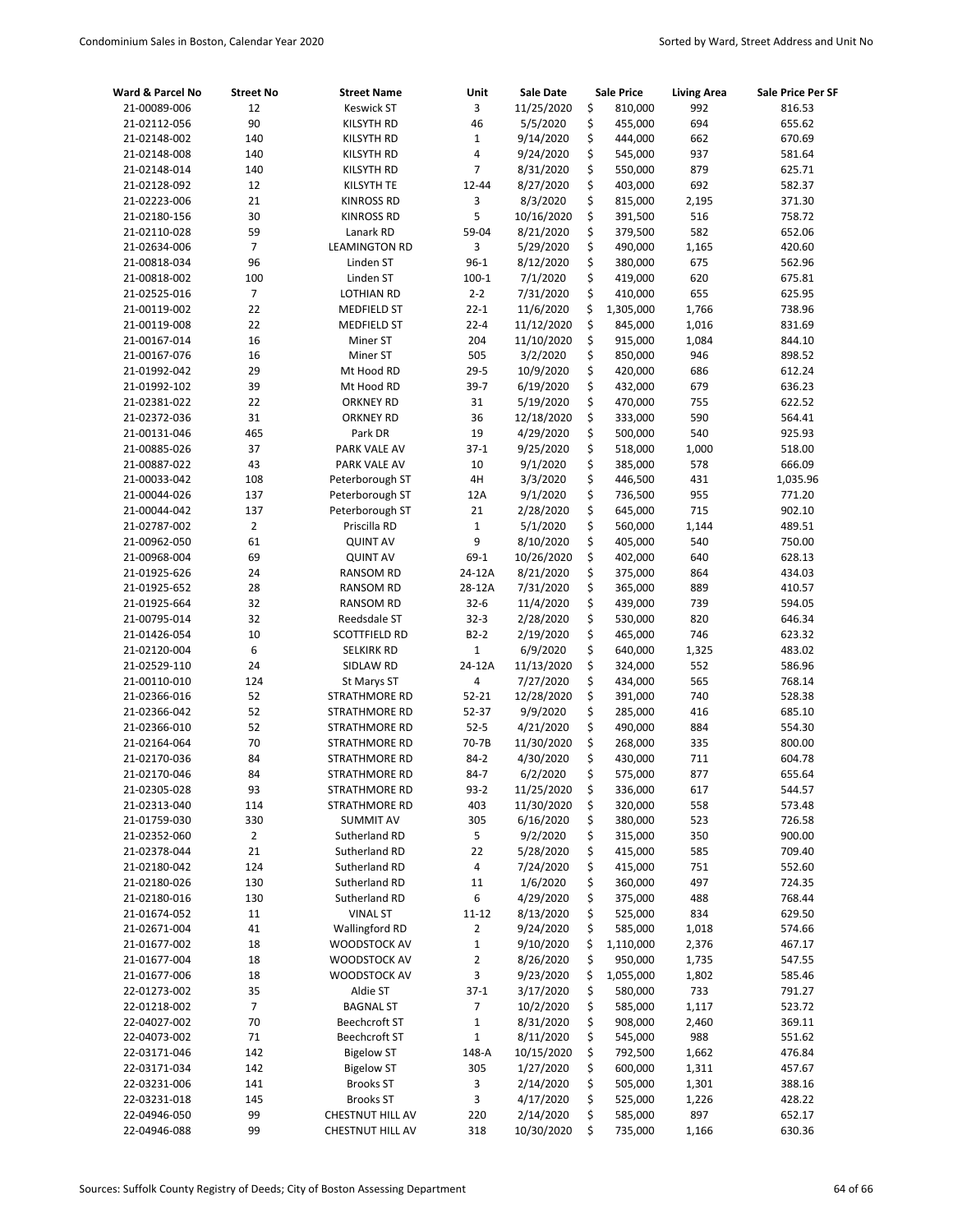| Ward & Parcel No             | <b>Street No</b> | <b>Street Name</b>                  | Unit             | <b>Sale Date</b>        |          | <b>Sale Price</b>  | <b>Living Area</b> | Sale Price Per SF |
|------------------------------|------------------|-------------------------------------|------------------|-------------------------|----------|--------------------|--------------------|-------------------|
| 21-00089-006                 | 12               | <b>Keswick ST</b>                   | 3                | 11/25/2020              | \$       | 810,000            | 992                | 816.53            |
| 21-02112-056                 | 90               | KILSYTH RD                          | 46               | 5/5/2020                | \$       | 455,000            | 694                | 655.62            |
| 21-02148-002                 | 140              | <b>KILSYTH RD</b>                   | $\mathbf 1$      | 9/14/2020               | \$       | 444,000            | 662                | 670.69            |
| 21-02148-008                 | 140              | KILSYTH RD                          | 4                | 9/24/2020               | \$       | 545,000            | 937                | 581.64            |
| 21-02148-014                 | 140              | KILSYTH RD                          | 7                | 8/31/2020               | \$       | 550,000            | 879                | 625.71            |
| 21-02128-092                 | 12               | KILSYTH TE                          | 12-44            | 8/27/2020               | \$       | 403,000            | 692                | 582.37            |
| 21-02223-006                 | 21               | <b>KINROSS RD</b>                   | 3                | 8/3/2020                | \$       | 815,000            | 2,195              | 371.30            |
| 21-02180-156                 | 30               | <b>KINROSS RD</b>                   | 5                | 10/16/2020              | \$       | 391,500            | 516                | 758.72            |
| 21-02110-028                 | 59               | Lanark RD                           | 59-04            | 8/21/2020               | \$       | 379,500            | 582                | 652.06            |
| 21-02634-006                 | $\overline{7}$   | <b>LEAMINGTON RD</b>                | 3                | 5/29/2020               | \$       | 490,000            | 1,165              | 420.60            |
| 21-00818-034                 | 96               | Linden ST                           | $96-1$           | 8/12/2020               | \$       | 380,000            | 675                | 562.96            |
| 21-00818-002                 | 100              | Linden ST                           | $100 - 1$        | 7/1/2020                | \$       | 419,000            | 620                | 675.81            |
| 21-02525-016                 | $\overline{7}$   | <b>LOTHIAN RD</b>                   | $2 - 2$          | 7/31/2020               | \$       | 410,000            | 655                | 625.95            |
| 21-00119-002                 | 22               | <b>MEDFIELD ST</b>                  | $22 - 1$         | 11/6/2020               | \$       | 1,305,000          | 1,766              | 738.96            |
| 21-00119-008                 | 22               | <b>MEDFIELD ST</b>                  | $22 - 4$         | 11/12/2020              | \$       | 845,000            | 1,016              | 831.69            |
| 21-00167-014                 | 16               | Miner ST                            | 204              | 11/10/2020              | \$       | 915,000            | 1,084              | 844.10            |
| 21-00167-076                 | 16               | Miner ST                            | 505              | 3/2/2020                | \$       | 850,000            | 946                | 898.52            |
| 21-01992-042                 | 29               | Mt Hood RD                          | $29 - 5$         | 10/9/2020               | \$       | 420,000            | 686                | 612.24            |
| 21-01992-102                 | 39               | Mt Hood RD                          | $39-7$           | 6/19/2020               | \$       | 432,000            | 679                | 636.23            |
| 21-02381-022                 | 22               | <b>ORKNEY RD</b>                    | 31               | 5/19/2020               | \$       | 470,000            | 755                | 622.52            |
| 21-02372-036                 | 31               | <b>ORKNEY RD</b>                    | 36               | 12/18/2020              | \$       | 333,000            | 590                | 564.41            |
| 21-00131-046                 | 465              | Park DR                             | 19               | 4/29/2020               | \$       | 500,000            | 540                | 925.93            |
| 21-00885-026                 | 37               | PARK VALE AV                        | $37 - 1$         | 9/25/2020               | \$       | 518,000            | 1,000              | 518.00            |
| 21-00887-022                 | 43               | PARK VALE AV                        | 10               | 9/1/2020                | \$       | 385,000            | 578                | 666.09            |
| 21-00033-042                 | 108              | Peterborough ST                     | 4H               | 3/3/2020                | \$       | 446,500            | 431                | 1,035.96          |
| 21-00044-026                 | 137              | Peterborough ST                     | 12A              | 9/1/2020                | \$       | 736,500            | 955<br>715         | 771.20            |
| 21-00044-042<br>21-02787-002 | 137              | Peterborough ST                     | 21               | 2/28/2020               | \$<br>\$ | 645,000            |                    | 902.10            |
|                              | $\overline{2}$   | Priscilla RD                        | $\mathbf 1$<br>9 | 5/1/2020                | \$       | 560,000            | 1,144              | 489.51            |
| 21-00962-050                 | 61               | <b>QUINT AV</b>                     | $69-1$           | 8/10/2020               |          | 405,000            | 540                | 750.00            |
| 21-00968-004<br>21-01925-626 | 69<br>24         | <b>QUINT AV</b><br><b>RANSOM RD</b> | 24-12A           | 10/26/2020<br>8/21/2020 | \$<br>\$ | 402,000<br>375,000 | 640<br>864         | 628.13<br>434.03  |
| 21-01925-652                 | 28               | <b>RANSOM RD</b>                    | 28-12A           | 7/31/2020               | \$       |                    | 889                | 410.57            |
| 21-01925-664                 | 32               | <b>RANSOM RD</b>                    | $32 - 6$         | 11/4/2020               | \$       | 365,000<br>439,000 | 739                | 594.05            |
| 21-00795-014                 | 32               | Reedsdale ST                        | $32 - 3$         | 2/28/2020               | \$       | 530,000            | 820                | 646.34            |
| 21-01426-054                 | 10               | SCOTTFIELD RD                       | $B2-2$           | 2/19/2020               | \$       | 465,000            | 746                | 623.32            |
| 21-02120-004                 | 6                | <b>SELKIRK RD</b>                   | $\mathbf{1}$     | 6/9/2020                | \$       | 640,000            | 1,325              | 483.02            |
| 21-02529-110                 | 24               | SIDLAW RD                           | 24-12A           | 11/13/2020              | \$       | 324,000            | 552                | 586.96            |
| 21-00110-010                 | 124              | St Marys ST                         | 4                | 7/27/2020               | \$       | 434,000            | 565                | 768.14            |
| 21-02366-016                 | 52               | STRATHMORE RD                       | $52 - 21$        | 12/28/2020              | \$       | 391,000            | 740                | 528.38            |
| 21-02366-042                 | 52               | <b>STRATHMORE RD</b>                | 52-37            | 9/9/2020                | \$       | 285,000            | 416                | 685.10            |
| 21-02366-010                 | 52               | STRATHMORE RD                       | $52 - 5$         | 4/21/2020               | \$       | 490,000            | 884                | 554.30            |
| 21-02164-064                 | 70               | <b>STRATHMORE RD</b>                | 70-7B            | 11/30/2020              | \$       | 268,000            | 335                | 800.00            |
| 21-02170-036                 | 84               | <b>STRATHMORE RD</b>                | $84-2$           | 4/30/2020               | \$       | 430,000            | 711                | 604.78            |
| 21-02170-046                 | 84               | <b>STRATHMORE RD</b>                | $84 - 7$         | 6/2/2020                | \$       | 575,000            | 877                | 655.64            |
| 21-02305-028                 | 93               | STRATHMORE RD                       | $93-2$           | 11/25/2020              | \$       | 336,000            | 617                | 544.57            |
| 21-02313-040                 | 114              | STRATHMORE RD                       | 403              | 11/30/2020              | \$       | 320,000            | 558                | 573.48            |
| 21-01759-030                 | 330              | <b>SUMMIT AV</b>                    | 305              | 6/16/2020               | \$       | 380,000            | 523                | 726.58            |
| 21-02352-060                 | 2                | Sutherland RD                       | 5                | 9/2/2020                | \$       | 315,000            | 350                | 900.00            |
| 21-02378-044                 | 21               | Sutherland RD                       | 22               | 5/28/2020               | \$       | 415,000            | 585                | 709.40            |
| 21-02180-042                 | 124              | Sutherland RD                       | 4                | 7/24/2020               | \$       | 415,000            | 751                | 552.60            |
| 21-02180-026                 | 130              | Sutherland RD                       | 11               | 1/6/2020                | \$       | 360,000            | 497                | 724.35            |
| 21-02180-016                 | 130              | Sutherland RD                       | 6                | 4/29/2020               | \$       | 375,000            | 488                | 768.44            |
| 21-01674-052                 | $11\,$           | <b>VINAL ST</b>                     | $11 - 12$        | 8/13/2020               | \$       | 525,000            | 834                | 629.50            |
| 21-02671-004                 | 41               | <b>Wallingford RD</b>               | 2                | 9/24/2020               | \$       | 585,000            | 1,018              | 574.66            |
| 21-01677-002                 | 18               | <b>WOODSTOCK AV</b>                 | $\mathbf 1$      | 9/10/2020               | \$       | 1,110,000          | 2,376              | 467.17            |
| 21-01677-004                 | 18               | WOODSTOCK AV                        | $\mathbf 2$      | 8/26/2020               | \$       | 950,000            | 1,735              | 547.55            |
| 21-01677-006                 | 18               | <b>WOODSTOCK AV</b>                 | 3                | 9/23/2020               | \$       | 1,055,000          | 1,802              | 585.46            |
| 22-01273-002                 | 35               | Aldie ST                            | $37-1$           | 3/17/2020               | \$       | 580,000            | 733                | 791.27            |
| 22-01218-002                 | 7                | <b>BAGNAL ST</b>                    | 7                | 10/2/2020               | \$       | 585,000            | 1,117              | 523.72            |
| 22-04027-002                 | 70               | <b>Beechcroft ST</b>                | $\mathbf 1$      | 8/31/2020               | \$       | 908,000            | 2,460              | 369.11            |
| 22-04073-002                 | 71               | <b>Beechcroft ST</b>                | $\mathbf 1$      | 8/11/2020               | \$       | 545,000            | 988                | 551.62            |
| 22-03171-046                 | 142              | <b>Bigelow ST</b>                   | 148-A            | 10/15/2020              | \$       | 792,500            | 1,662              | 476.84            |
| 22-03171-034                 | 142              | <b>Bigelow ST</b>                   | 305              | 1/27/2020               | \$       | 600,000            | 1,311              | 457.67            |
| 22-03231-006                 | 141              | <b>Brooks ST</b>                    | 3                | 2/14/2020               | \$       | 505,000            | 1,301              | 388.16            |
| 22-03231-018                 | 145              | <b>Brooks ST</b>                    | 3                | 4/17/2020               | \$       | 525,000            | 1,226              | 428.22            |
| 22-04946-050                 | 99               | CHESTNUT HILL AV                    | 220              | 2/14/2020               | \$       | 585,000            | 897                | 652.17            |
| 22-04946-088                 | 99               | CHESTNUT HILL AV                    | 318              | 10/30/2020              | \$       | 735,000            | 1,166              | 630.36            |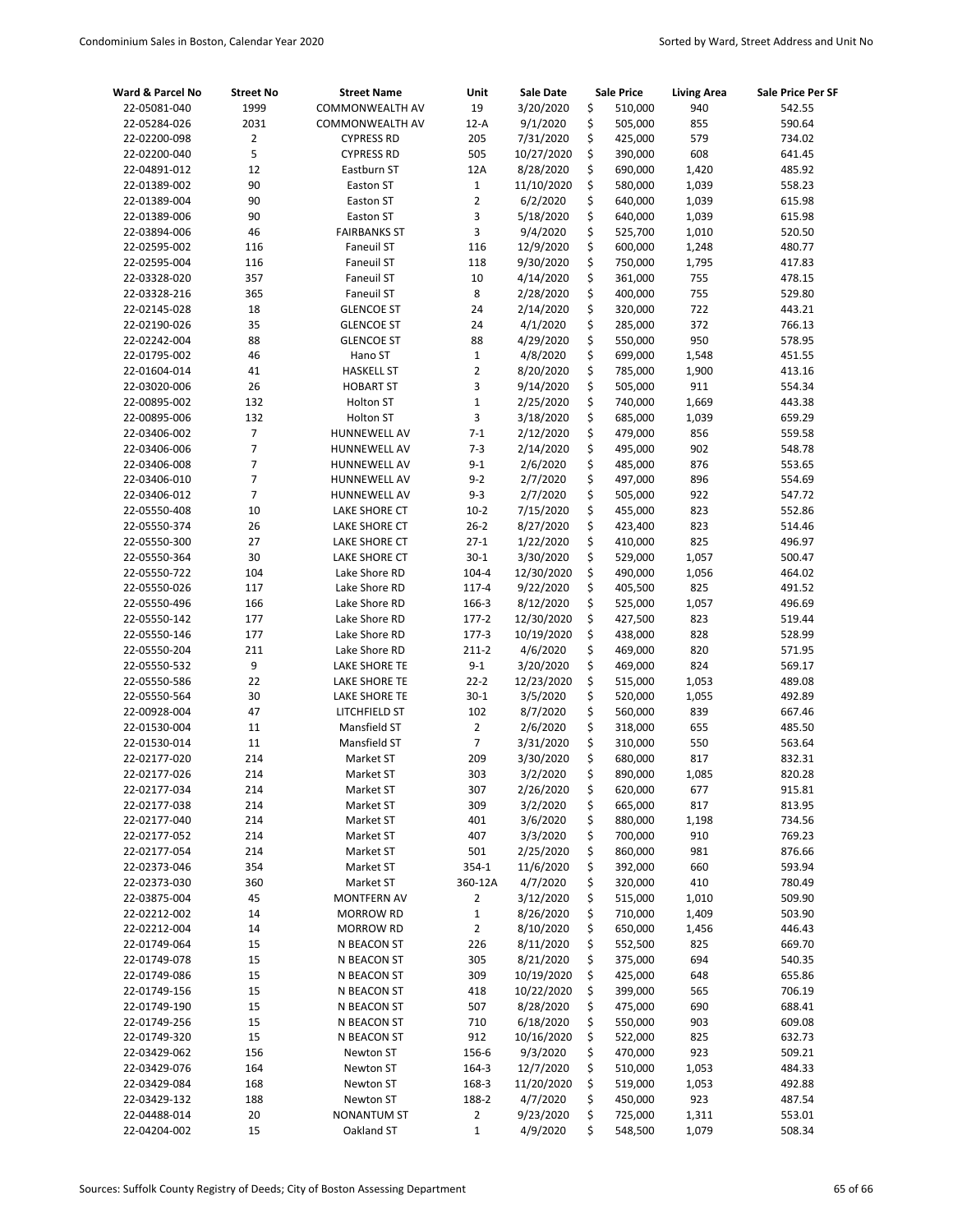| Ward & Parcel No             | <b>Street No</b> | <b>Street Name</b>           | Unit                          | <b>Sale Date</b>       |          | <b>Sale Price</b>  | <b>Living Area</b> | Sale Price Per SF |
|------------------------------|------------------|------------------------------|-------------------------------|------------------------|----------|--------------------|--------------------|-------------------|
| 22-05081-040                 | 1999             | COMMONWEALTH AV              | 19                            | 3/20/2020              | \$       | 510,000            | 940                | 542.55            |
| 22-05284-026                 | 2031             | COMMONWEALTH AV              | $12-A$                        | 9/1/2020               | \$       | 505,000            | 855                | 590.64            |
| 22-02200-098                 | $\overline{2}$   | <b>CYPRESS RD</b>            | 205                           | 7/31/2020              | \$       | 425,000            | 579                | 734.02            |
| 22-02200-040                 | 5                | <b>CYPRESS RD</b>            | 505                           | 10/27/2020             | \$       | 390,000            | 608                | 641.45            |
| 22-04891-012                 | 12               | Eastburn ST                  | 12A                           | 8/28/2020              | \$       | 690,000            | 1,420              | 485.92            |
| 22-01389-002                 | 90               | Easton ST                    | $\mathbf{1}$                  | 11/10/2020             | \$       | 580,000            | 1,039              | 558.23            |
| 22-01389-004                 | 90               | Easton ST                    | $\overline{2}$                | 6/2/2020               | \$       | 640,000            | 1,039              | 615.98            |
| 22-01389-006                 | 90               | <b>Easton ST</b>             | 3                             | 5/18/2020              | \$       | 640,000            | 1,039              | 615.98            |
| 22-03894-006                 | 46               | <b>FAIRBANKS ST</b>          | 3                             | 9/4/2020               | \$       | 525,700            | 1,010              | 520.50            |
| 22-02595-002                 | 116              | <b>Faneuil ST</b>            | 116                           | 12/9/2020              | \$       | 600,000            | 1,248              | 480.77            |
| 22-02595-004                 | 116              | <b>Faneuil ST</b>            | 118                           | 9/30/2020              | \$       | 750,000            | 1,795              | 417.83            |
| 22-03328-020                 | 357              | <b>Faneuil ST</b>            | 10                            | 4/14/2020              | \$       | 361,000            | 755                | 478.15            |
| 22-03328-216                 | 365              | <b>Faneuil ST</b>            | 8                             | 2/28/2020              | \$       | 400,000            | 755                | 529.80            |
| 22-02145-028                 | 18               | <b>GLENCOE ST</b>            | 24                            | 2/14/2020              | \$       | 320,000            | 722                | 443.21            |
| 22-02190-026                 | 35               | <b>GLENCOE ST</b>            | 24                            | 4/1/2020               | \$<br>\$ | 285,000            | 372                | 766.13            |
| 22-02242-004                 | 88<br>46         | <b>GLENCOE ST</b>            | 88                            | 4/29/2020              | \$       | 550,000            | 950                | 578.95            |
| 22-01795-002<br>22-01604-014 | 41               | Hano ST<br><b>HASKELL ST</b> | $\mathbf 1$<br>$\overline{2}$ | 4/8/2020<br>8/20/2020  | \$       | 699,000<br>785,000 | 1,548<br>1,900     | 451.55<br>413.16  |
| 22-03020-006                 | 26               | <b>HOBART ST</b>             | 3                             | 9/14/2020              | \$       | 505,000            | 911                | 554.34            |
| 22-00895-002                 | 132              | <b>Holton ST</b>             | $\mathbf 1$                   | 2/25/2020              | \$       | 740,000            | 1,669              | 443.38            |
| 22-00895-006                 | 132              | <b>Holton ST</b>             | 3                             | 3/18/2020              | \$       | 685,000            | 1,039              | 659.29            |
| 22-03406-002                 | $\overline{7}$   | HUNNEWELL AV                 | $7 - 1$                       | 2/12/2020              | \$       | 479,000            | 856                | 559.58            |
| 22-03406-006                 | 7                | HUNNEWELL AV                 | $7 - 3$                       | 2/14/2020              | \$       | 495,000            | 902                | 548.78            |
| 22-03406-008                 | $\overline{7}$   | HUNNEWELL AV                 | $9 - 1$                       | 2/6/2020               | \$       | 485,000            | 876                | 553.65            |
| 22-03406-010                 | $\overline{7}$   | HUNNEWELL AV                 | $9 - 2$                       | 2/7/2020               | \$       | 497,000            | 896                | 554.69            |
| 22-03406-012                 | $\overline{7}$   | HUNNEWELL AV                 | $9 - 3$                       | 2/7/2020               | \$       | 505,000            | 922                | 547.72            |
| 22-05550-408                 | 10               | LAKE SHORE CT                | $10-2$                        | 7/15/2020              | \$       | 455,000            | 823                | 552.86            |
| 22-05550-374                 | 26               | LAKE SHORE CT                | $26 - 2$                      | 8/27/2020              | \$       | 423,400            | 823                | 514.46            |
| 22-05550-300                 | 27               | LAKE SHORE CT                | $27-1$                        | 1/22/2020              | \$       | 410,000            | 825                | 496.97            |
| 22-05550-364                 | 30               | LAKE SHORE CT                | $30 - 1$                      | 3/30/2020              | \$       | 529,000            | 1,057              | 500.47            |
| 22-05550-722                 | 104              | Lake Shore RD                | 104-4                         | 12/30/2020             | \$       | 490,000            | 1,056              | 464.02            |
| 22-05550-026                 | 117              | Lake Shore RD                | 117-4                         | 9/22/2020              | \$       | 405,500            | 825                | 491.52            |
| 22-05550-496                 | 166              | Lake Shore RD                | 166-3                         | 8/12/2020              | \$       | 525,000            | 1,057              | 496.69            |
| 22-05550-142                 | 177              | Lake Shore RD                | $177 - 2$                     | 12/30/2020             | \$       | 427,500            | 823                | 519.44            |
| 22-05550-146                 | 177              | Lake Shore RD                | $177 - 3$                     | 10/19/2020             | \$       | 438,000            | 828                | 528.99            |
| 22-05550-204                 | 211              | Lake Shore RD                | $211-2$                       | 4/6/2020               | \$       | 469,000            | 820                | 571.95            |
| 22-05550-532                 | 9                | LAKE SHORE TE                | $9 - 1$                       | 3/20/2020              | \$       | 469,000            | 824                | 569.17            |
| 22-05550-586                 | 22               | LAKE SHORE TE                | $22 - 2$                      | 12/23/2020             | \$       | 515,000            | 1,053              | 489.08            |
| 22-05550-564                 | 30               | LAKE SHORE TE                | $30 - 1$                      | 3/5/2020               | \$       | 520,000            | 1,055              | 492.89            |
| 22-00928-004                 | 47               | LITCHFIELD ST                | 102                           | 8/7/2020               | \$       | 560,000            | 839                | 667.46            |
| 22-01530-004                 | 11               | Mansfield ST                 | $\overline{2}$                | 2/6/2020               | \$       | 318,000            | 655                | 485.50            |
| 22-01530-014                 | 11               | Mansfield ST                 | $\overline{7}$                | 3/31/2020              | \$       | 310,000            | 550                | 563.64            |
| 22-02177-020                 | 214              | Market ST                    | 209                           | 3/30/2020              | \$       | 680,000            | 817                | 832.31            |
| 22-02177-026                 | 214              | Market ST                    | 303                           | 3/2/2020               | \$       | 890,000            | 1,085              | 820.28            |
| 22-02177-034                 | 214              | Market ST                    | 307                           | 2/26/2020              | \$       | 620,000            | 677                | 915.81            |
| 22-02177-038                 | 214              | Market ST                    | 309                           | 3/2/2020               | \$       | 665,000            | 817                | 813.95            |
| 22-02177-040                 | 214              | Market ST                    | 401<br>407                    | 3/6/2020<br>3/3/2020   | \$<br>\$ | 880,000            | 1,198<br>910       | 734.56            |
| 22-02177-052<br>22-02177-054 | 214<br>214       | Market ST<br>Market ST       | 501                           |                        | \$       | 700,000<br>860,000 | 981                | 769.23            |
| 22-02373-046                 | 354              | Market ST                    | 354-1                         | 2/25/2020<br>11/6/2020 | \$       | 392,000            | 660                | 876.66<br>593.94  |
| 22-02373-030                 | 360              | Market ST                    | 360-12A                       | 4/7/2020               | \$       | 320,000            | 410                | 780.49            |
| 22-03875-004                 | 45               | <b>MONTFERN AV</b>           | 2                             | 3/12/2020              | \$       | 515,000            | 1,010              | 509.90            |
| 22-02212-002                 | 14               | <b>MORROW RD</b>             | $\mathbf{1}$                  | 8/26/2020              | \$       | 710,000            | 1,409              | 503.90            |
| 22-02212-004                 | 14               | <b>MORROW RD</b>             | $\overline{2}$                | 8/10/2020              | \$       | 650,000            | 1,456              | 446.43            |
| 22-01749-064                 | 15               | N BEACON ST                  | 226                           | 8/11/2020              | \$       | 552,500            | 825                | 669.70            |
| 22-01749-078                 | 15               | N BEACON ST                  | 305                           | 8/21/2020              | \$       | 375,000            | 694                | 540.35            |
| 22-01749-086                 | 15               | N BEACON ST                  | 309                           | 10/19/2020             | \$       | 425,000            | 648                | 655.86            |
| 22-01749-156                 | 15               | N BEACON ST                  | 418                           | 10/22/2020             | \$       | 399,000            | 565                | 706.19            |
| 22-01749-190                 | 15               | N BEACON ST                  | 507                           | 8/28/2020              | \$       | 475,000            | 690                | 688.41            |
| 22-01749-256                 | 15               | N BEACON ST                  | 710                           | 6/18/2020              | \$       | 550,000            | 903                | 609.08            |
| 22-01749-320                 | 15               | N BEACON ST                  | 912                           | 10/16/2020             | \$       | 522,000            | 825                | 632.73            |
| 22-03429-062                 | 156              | Newton ST                    | 156-6                         | 9/3/2020               | \$       | 470,000            | 923                | 509.21            |
| 22-03429-076                 | 164              | Newton ST                    | 164-3                         | 12/7/2020              | \$       | 510,000            | 1,053              | 484.33            |
| 22-03429-084                 | 168              | Newton ST                    | 168-3                         | 11/20/2020             | \$       | 519,000            | 1,053              | 492.88            |
| 22-03429-132                 | 188              | Newton ST                    | 188-2                         | 4/7/2020               | \$       | 450,000            | 923                | 487.54            |
| 22-04488-014                 | 20               | <b>NONANTUM ST</b>           | $\overline{2}$                | 9/23/2020              | \$       | 725,000            | 1,311              | 553.01            |
| 22-04204-002                 | 15               | Oakland ST                   | $\mathbf{1}$                  | 4/9/2020               | \$       | 548,500            | 1,079              | 508.34            |